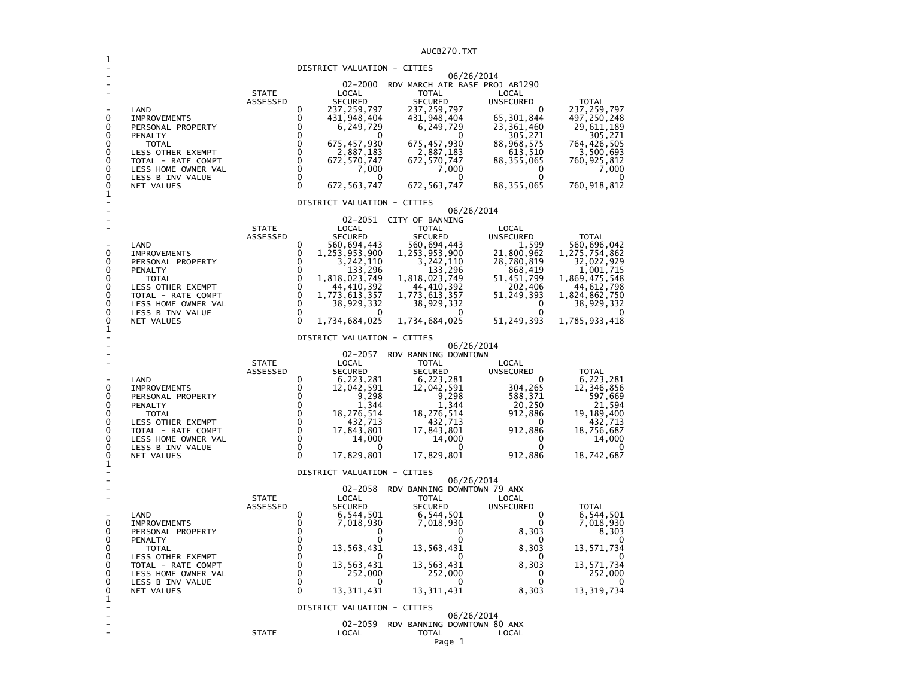AUCB270.TXT1 - DISTRICT VALUATION - CITIES - 06/26/2014 - 02-2000 RDV MARCH AIR BASE PROJ AB1290 - STATE LOCAL TOTAL LOCAL **UNSECURED**  ASSESSED SECURED SECURED UNSECURED TOTAL 237, 259, 797 - LAND 0 237,259,797 237,259,797 0 237,259,797 497, 250, 248 0 IMPROVEMENTS 0 431,948,404 431,948,404 65,301,844<br>0 06,249,729 6,249,729 23,361,460 29,611,189 0 PERSONAL PROPERTY 0 6,249,729 6,249,729 23,361,460 29,611,189<br>0 0 305,271 305,271 0 PENALTY 0 0 0 305,271 305,271 0 1077AL 100 1077AL 0 675,457,930 675,457,930 88,968,575 764,426,505<br>
0 2,887,183 2,887,183 613,510 3,500,693<br>
0 107AL - RATE COMPT 0 672,570,747 672,570,747 88,355,065 760,925,812 0 LESS OTHER EXEMPT 0 2,887,183 2,887,183 613,510 3,500,693 760,925,812 0 TOTAL - RATE COMPT 0 672,570,747 672,570,747 88,355,065<br>0 0 7,000 7,000 7,000 0  $7,000$ 0 LESS HOME OWNER VAL  $\begin{array}{ccc} 0 & 0 & 7,000 & 7,000 & 7,000 \ 0 & \text{LESS B INV VALUE} & 0 & 0 & 0 \end{array}$  $\sim$ 0 1 LESS B INV VALUE 2 2 2 2 2 2 2 3 3 4 4 5 672 , 263 , 274 7 672 , 263 , 274 7 88 , 355 , 065 760, 918, 812 0 NET VALUES 0 672,563,747 1 - DISTRICT VALUATION - CITIES - 06/26/2014 - 02-2051 CITY OF BANNING - STATE LOCAL TOTAL LOCAL **UNSECURED**  ASSESSED SECURED SECURED UNSECURED TOTAL 560,696,042 0 560,694,443 560,694,443 1,599<br>1,253,953,900 1,253,953,900 1,253,953,900 21,800,962 1,275,754,862 0 IMPROVEMENTS 0 1,253,953,900 1,253,953,900 21,800,962<br>0 3,242,110 3,242,110 28,780,819 32,022,929 0 PERSONAL PROPERTY 0 3,242,110 3,242,110 28,780,819 32,022,929 0 PENSONAL PROPERTY 0 1.233,296 1.233,296 28,780,819<br>
0 PENALTY 0 133,296 133,296 868,419<br>
0 1,818,023,749 1,818,023,749 51,451,799 1,869,475,548 0 TOTAL 0 1,818,023,749 1,818,023,749 51,451,799<br>0 LESS OTHER EXEMPT 0 44,410,392 44,410,392 202,406 44,612,798 0 LESS OTHER EXEMPT 0 44,410,392 44,410,392 202,406 44,612,798 1,824,862,750 0 TOTAL - RATE COMPT 0 1,773,613,357 1,773,613,357 51,249,393 1,824,862,750  $'$  38,929,332  $\begin{array}{ccccccc} 0 & & \textrm{LES} & \textrm{HOM} & \textrm{HOM} & \textrm{D} & \textrm{D} & \textrm{D} & \textrm{D} & \textrm{D} & \textrm{D} & \textrm{D} & \textrm{D} & \textrm{D} & \textrm{D} & \textrm{D} & \textrm{D} & \textrm{D} & \textrm{D} & \textrm{D} & \textrm{D} & \textrm{D} & \textrm{D} & \textrm{D} & \textrm{D} & \textrm{D} & \textrm{D} & \textrm{D$ LESS B INV VALUE 51, 249, 393 1, 785, 933, 418 0 NET VALUES 0 1,734,684,025 1,734,684,025 1  $\sim$ - DISTRICT VALUATION - CITIES - 06/26/2014 02-2057 RDV BANNING DOWNTOWN - STATE LOCAL TOTAL LOCAL ASSESSED SECURED SECURED UNSECURED TOTAL 6,223,281 - LAND 0 6,223,281 6,223,281 0 6,223,281 12,346,856 0 IMPROVEMENTS 0 12,042,591 12,042,591 304,265 12,346,856  $397,669$ 0 PERSONAL PROPERTY 0 0 9,298 -- 9,298 588,371 597,669<br>0 PENALTY 0 1,344 1,344 20,250 21,594 0 PENALTY 0 1,344 1,344 20,250 21,594 19.189.400 0 TOTAL 0 18,276,514 18,276,514 912,886 19,189,400  $432,713$ 0 LESS OTHER EXEMPT 0 432,713 432,713 0 432,713 0 TOTAL - RATE COMPT 0 17,843,801 17,843,801 912,886<br>0 LESS HOME OWNER VAL 0 14,000 14,000 0 14,000 0 LESS HOME OWNER VAL 0 14,000 14,000 0 14,000 LESS B INV VALUE 0 NET VALUES 0 17,829,801 17,829,801 912,886 18,742,687 1 DISTRICT VALUATION - CITIES - 06/26/2014 - 02-2058 RDV BANNING DOWNTOWN 79 ANX  $10C<sub>4</sub>$ - STATE LOCAL TOTAL LOCAL **UNSECURED**  ASSESSED SECURED SECURED UNSECURED TOTAL 6,544,501 - LAND 0 6,544,501 6,544,501 0 6,544,501 7,018,930 0 IMPROVEMENTS 0 7,018,930 7,018,930 0 7,018,930 8,303 0 PERSONAL PROPERTY 0 0 0 8,303 8,303 0 PENALTY 0 0 0 0 0 13,571,734 0 TOTAL 0 13,563,431 13,563,431 8,303<br>0 0 0 0 0 LESS OTHER EXEMPT 0 0 0 0 0 13,571,734 0 TOTAL - RATE COMPT 0 13,563,431 13,563,431 8,303<br>0 LESS HOME OWNER VAL 0 252,000 252,000 0 252,000 0 LESS HOME OWNER VAL 0 252,000 252,000 0 252,000 LESS B INV VALUE  $0$  0<br>
NET VALUES 0 13,311,431 13, 319, 734 0 NET VALUES 0 13,311,431 13,311,431 8,303 13,319,734 1

 - 02-2059 RDV BANNING DOWNTOWN 80 ANX - STATE LOCAL TOTAL LOCAL

DISTRICT VALUATION - CITIES

- 06/26/2014

LOCAL

 $\Omega$ 

- 0

 $\Omega$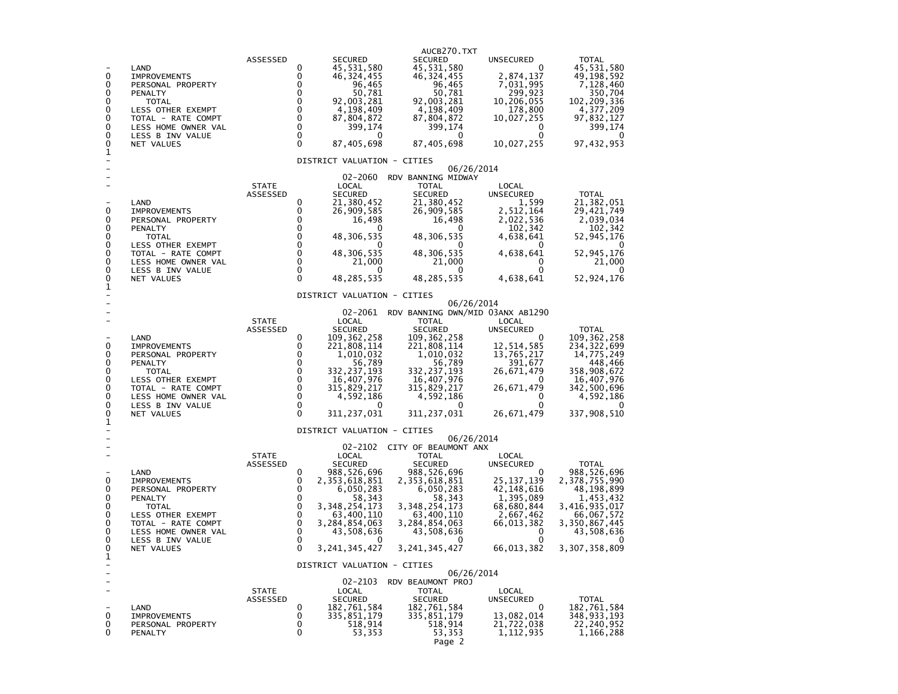|                          |                                         |                          |                      |                               | AUCB270.TXT                              |                           |                             |
|--------------------------|-----------------------------------------|--------------------------|----------------------|-------------------------------|------------------------------------------|---------------------------|-----------------------------|
|                          | LAND                                    | ASSESSED                 | 0                    | <b>SECURED</b><br>45,531,580  | SECURED<br>45,531,580                    | <b>UNSECURED</b><br>0     | TOTAL<br>45,531,580         |
| 0                        | <b>IMPROVEMENTS</b>                     |                          | 0                    | 46, 324, 455                  | 46, 324, 455                             | 2,874,137                 | 49,198,592                  |
| 0                        | PERSONAL PROPERTY                       |                          | 0                    | 96,465                        | 96,465                                   | 7,031,995                 | 7,128,460                   |
| 0                        | PENALTY                                 |                          | 0                    | 50,781                        | 50,781                                   | 299,923                   | 350,704                     |
| 0<br>0                   | <b>TOTAL</b><br>LESS OTHER EXEMPT       |                          | 0<br>0               | 92,003,281<br>4,198,409       | 92,003,281<br>4,198,409                  | 10,206,055<br>178,800     | 102, 209, 336<br>4,377,209  |
| 0                        | TOTAL - RATE COMPT                      |                          | 0                    | 87,804,872                    | 87,804,872                               | 10,027,255                | 97,832,127                  |
| 0                        | LESS HOME OWNER VAL                     |                          | $\mathbf 0$          | 399,174                       | 399,174                                  | 0                         | 399,174                     |
| 0                        | LESS B INV VALUE                        |                          | 0<br>$\Omega$        | 0                             | 0                                        | 0                         |                             |
| 0<br>1                   | NET VALUES                              |                          |                      | 87,405,698                    | 87,405,698                               | 10,027,255                | 97, 432, 953                |
|                          |                                         |                          |                      | DISTRICT VALUATION - CITIES   | 06/26/2014                               |                           |                             |
|                          |                                         |                          |                      | 02-2060                       | RDV BANNING MIDWAY                       |                           |                             |
|                          |                                         | <b>STATE</b><br>ASSESSED |                      | LOCAL<br><b>SECURED</b>       | <b>TOTAL</b><br><b>SECURED</b>           | LOCAL<br>UNSECURED        | <b>TOTAL</b>                |
|                          | LAND                                    |                          | 0                    | 21,380,452                    | 21,380,452                               | 1,599                     | 21,382,051                  |
| 0                        | <b>IMPROVEMENTS</b>                     |                          | 0                    | 26,909,585                    | 26,909,585                               | 2,512,164                 | 29,421,749                  |
| 0                        | PERSONAL PROPERTY                       |                          | 0<br>0               | 16,498<br>$\Omega$            | 16,498                                   | 2,022,536                 | 2,039,034                   |
| 0<br>0                   | PENALTY<br><b>TOTAL</b>                 |                          | 0                    | 48,306,535                    | 0<br>48,306,535                          | 102,342<br>4,638,641      | 102,342<br>52,945,176       |
| 0                        | LESS OTHER EXEMPT                       |                          | $\mathbf 0$          |                               |                                          | 0                         |                             |
| 0                        | TOTAL - RATE COMPT                      |                          | $\mathbf 0$          | 48,306,535                    | 48,306,535                               | 4,638,641                 | 52,945,176                  |
| 0<br>0                   | LESS HOME OWNER VAL<br>LESS B INV VALUE |                          | $\Omega$<br>$\Omega$ | 21,000<br>0                   | 21,000<br>$\mathbf{0}$                   | 0<br>$\Omega$             | 21,000<br>0                 |
| 0                        | NET VALUES                              |                          | $\Omega$             | 48,285,535                    | 48,285,535                               | 4,638,641                 | 52,924,176                  |
| 1                        |                                         |                          |                      | DISTRICT VALUATION - CITIES   |                                          |                           |                             |
|                          |                                         |                          |                      |                               | 06/26/2014                               |                           |                             |
|                          |                                         |                          |                      |                               | 02-2061 RDV BANNING DWN/MID 03ANX AB1290 |                           |                             |
|                          |                                         | <b>STATE</b><br>ASSESSED |                      | LOCAL<br><b>SECURED</b>       | <b>TOTAL</b><br><b>SECURED</b>           | LOCAL<br><b>UNSECURED</b> | <b>TOTAL</b>                |
|                          | LAND                                    |                          | 0                    | 109, 362, 258                 | 109, 362, 258                            | 0                         | 109, 362, 258               |
| 0                        | <b>IMPROVEMENTS</b>                     |                          | 0                    | 221,808,114                   | 221,808,114                              | 12, 514, 585              | 234, 322, 699               |
| 0                        | PERSONAL PROPERTY                       |                          | 0                    | 1,010,032                     | 1,010,032                                | 13,765,217                | 14,775,249                  |
| 0<br>0                   | PENALTY<br>TOTAL                        |                          | 0<br>0               | 56,789<br>332,237,193         | 56,789<br>332,237,193                    | 391,677<br>26,671,479     | 448,466<br>358,908,672      |
| 0                        | LESS OTHER EXEMPT                       |                          | $\mathbf 0$          | 16,407,976                    | 16,407,976                               | 0                         | 16,407,976                  |
| 0                        | TOTAL - RATE COMPT                      |                          | $\mathbf 0$          | 315,829,217                   | 315,829,217                              | 26,671,479                | 342,500,696                 |
| 0                        | LESS HOME OWNER VAL                     |                          | $\ddot{\mathbf{0}}$  | 4,592,186                     | 4,592,186                                | 0                         | 4,592,186                   |
| 0<br>0                   | LESS B INV VALUE<br>NET VALUES          |                          | 0<br>$\Omega$        | 0<br>311,237,031              | 0<br>311, 237, 031                       | 0<br>26,671,479           | 337,908,510                 |
| 1                        |                                         |                          |                      |                               |                                          |                           |                             |
|                          |                                         |                          |                      | DISTRICT VALUATION - CITIES   | 06/26/2014                               |                           |                             |
|                          |                                         |                          |                      | 02-2102                       | CITY OF BEAUMONT ANX                     |                           |                             |
|                          |                                         | <b>STATE</b>             |                      | LOCAL                         | TOTAL                                    | LOCAL                     |                             |
|                          | LAND                                    | ASSESSED                 | 0                    | <b>SECURED</b><br>988,526,696 | <b>SECURED</b><br>988,526,696            | UNSECURED<br>0            | <b>TOTAL</b><br>988,526,696 |
| 0                        | <b>IMPROVEMENTS</b>                     |                          | 0                    | 2,353,618,851                 | 2,353,618,851                            | 25, 137, 139              | 2,378,755,990               |
| 0                        | PERSONAL PROPERTY                       |                          | 0                    | 6,050,283                     | 6,050,283                                | 42, 148, 616              | 48,198,899                  |
| 0<br>0                   | PENALTY<br>TOTAL                        |                          | 0<br>0               | 58,343<br>3, 348, 254, 173    | 58,343<br>3, 348, 254, 173               | 1,395,089<br>68,680,844   | 1,453,432<br>3,416,935,017  |
| 0                        | LESS OTHER EXEMPT                       |                          | $\mathbf 0$          | 63,400,110                    | 63,400,110                               | 2,667,462                 | 66,067,572                  |
| 0                        | TOTAL - RATE COMPT                      |                          | 0                    | 3,284,854,063                 | 3,284,854,063                            | 66,013,382                | 3,350,867,445               |
| 0                        | LESS HOME OWNER VAL                     |                          | $\mathbf 0$          | 43,508,636                    | 43,508,636                               | 0                         | 43,508,636                  |
| 0<br>0                   | LESS B INV VALUE<br>NET VALUES          |                          | 0<br>$\Omega$        | 3, 241, 345, 427              | 0<br>3,241,345,427                       | 0<br>66,013,382           | 3,307,358,809               |
| 1<br>$\overline{a}$      |                                         |                          |                      | DISTRICT VALUATION - CITIES   |                                          |                           |                             |
|                          |                                         |                          |                      |                               | 06/26/2014                               |                           |                             |
| $\overline{\phantom{a}}$ |                                         | <b>STATE</b>             |                      | 02-2103<br>LOCAL              | RDV BEAUMONT PROJ<br><b>TOTAL</b>        | LOCAL                     |                             |
|                          |                                         | ASSESSED                 |                      | <b>SECURED</b>                | <b>SECURED</b>                           | UNSECURED                 | TOTAL                       |
|                          | LAND                                    |                          | 0                    | 182,761,584                   | 182,761,584                              | 0                         | 182,761,584                 |
| 0<br>0                   | <b>IMPROVEMENTS</b>                     |                          | 0<br>0               | 335,851,179<br>518,914        | 335,851,179                              | 13,082,014                | 348,933,193                 |
| 0                        | PERSONAL PROPERTY<br>PENALTY            |                          | 0                    | 53,353                        | 518,914<br>53,353                        | 21,722,038<br>1,112,935   | 22,240,952<br>1,166,288     |
|                          |                                         |                          |                      |                               | Page 2                                   |                           |                             |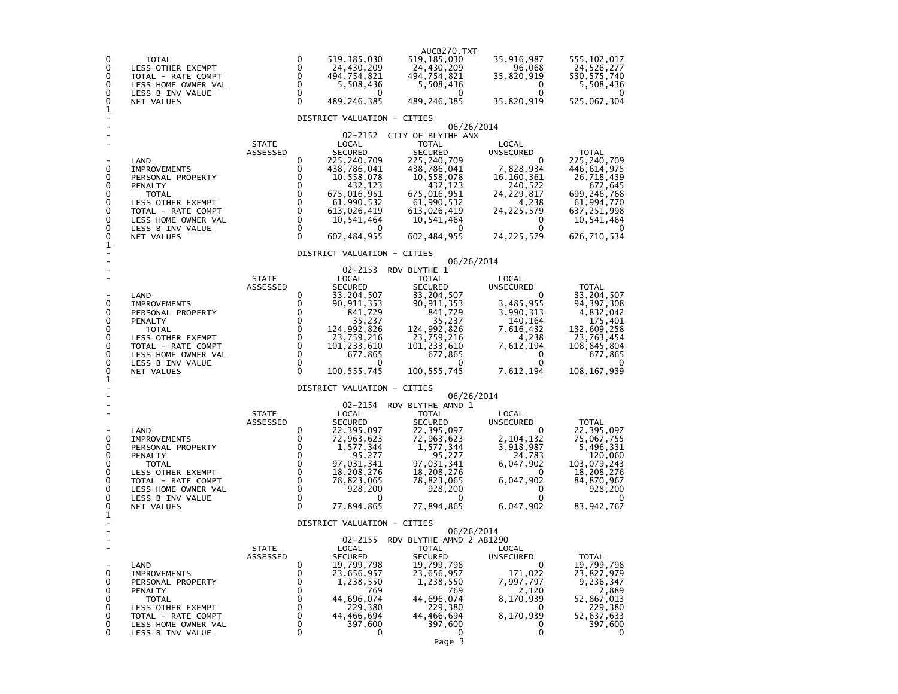| 0<br>0<br>0<br>0<br>0<br>0<br>1                | <b>TOTAL</b><br>LESS OTHER EXEMPT<br>TOTAL - RATE COMPT<br>LESS HOME OWNER VAL<br>LESS B INV VALUE<br>NET VALUES                                                                |                          | 0<br>519,185,030<br>$\Omega$<br>24,430,209<br>$\Omega$<br>494,754,821<br>0<br>5,508,436<br>0<br>0<br>489,246,385<br>DISTRICT VALUATION - CITIES                                                                                                                                                                         | AUCB270.TXT<br>519,185,030<br>24,430,209<br>494,754,821<br>5,508,436<br>0<br>489,246,385                                                                                                                | 35,916,987<br>96,068<br>35,820,919<br>0<br>0<br>35,820,919                                                                          | 555,102,017<br>24,526,277<br>530, 575, 740<br>5,508,436<br>525,067,304                                                                        |
|------------------------------------------------|---------------------------------------------------------------------------------------------------------------------------------------------------------------------------------|--------------------------|-------------------------------------------------------------------------------------------------------------------------------------------------------------------------------------------------------------------------------------------------------------------------------------------------------------------------|---------------------------------------------------------------------------------------------------------------------------------------------------------------------------------------------------------|-------------------------------------------------------------------------------------------------------------------------------------|-----------------------------------------------------------------------------------------------------------------------------------------------|
| 0<br>0<br>0<br>0<br>0<br>0<br>0<br>0<br>0<br>1 | LAND<br><b>IMPROVEMENTS</b><br>PERSONAL PROPERTY<br>PENALTY<br>TOTAL<br>LESS OTHER EXEMPT<br>TOTAL - RATE COMPT<br>LESS HOME OWNER VAL<br>LESS B INV VALUE<br>NET VALUES        | <b>STATE</b><br>ASSESSED | 02-2152<br>LOCAL<br><b>SECURED</b><br>0<br>225,240,709<br>0<br>438,786,041<br>0<br>10,558,078<br>0<br>432,123<br>0<br>675,016,951<br>0<br>61,990,532<br>0<br>613,026,419<br>0<br>10,541,464<br>$\mathbf 0$<br>$\mathbf 0$<br>602,484,955                                                                                | 06/26/2014<br>CITY OF BLYTHE ANX<br><b>TOTAL</b><br><b>SECURED</b><br>225,240,709<br>438,786,041<br>10,558,078<br>432,123<br>675,016,951<br>61,990,532<br>613,026,419<br>10,541,464<br>0<br>602,484,955 | LOCAL<br><b>UNSECURED</b><br>0<br>7,828,934<br>16, 160, 361<br>240,522<br>24,229,817<br>4,238<br>24,225,579<br>0<br>0<br>24,225,579 | <b>TOTAL</b><br>225,240,709<br>446,614,975<br>26,718,439<br>672,645<br>699,246,768<br>61,994,770<br>637,251,998<br>10,541,464<br>626,710,534  |
| 0<br>0<br>0<br>0<br>0<br>0<br>0<br>0<br>0<br>1 | LAND<br><b>IMPROVEMENTS</b><br>PERSONAL PROPERTY<br>PENALTY<br>TOTAL<br>LESS OTHER EXEMPT<br>TOTAL - RATE COMPT<br>LESS HOME OWNER VAL<br>LESS B INV VALUE<br>NET VALUES        | <b>STATE</b><br>ASSESSED | DISTRICT VALUATION - CITIES<br>02-2153<br>LOCAL<br><b>SECURED</b><br>0<br>33,204,507<br>0<br>90, 911, 353<br>0<br>841,729<br>0<br>35,237<br>0<br>124,992,826<br>0<br>23,759,216<br>0<br>101,233,610<br>0<br>677,865<br>0<br>0<br>$\Omega$<br>100,555,745                                                                | 06/26/2014<br>RDV BLYTHE 1<br><b>TOTAL</b><br><b>SECURED</b><br>33,204,507<br>90,911,353<br>841,729<br>35,237<br>124,992,826<br>23,759,216<br>101, 233, 610<br>677,865<br>0<br>100, 555, 745            | LOCAL<br>UNSECURED<br>0<br>3,485,955<br>3,990,313<br>140,164<br>7,616,432<br>4,238<br>7,612,194<br>0<br>0<br>7,612,194              | <b>TOTAL</b><br>33,204,507<br>94, 397, 308<br>4,832,042<br>175,401<br>132,609,258<br>23,763,454<br>108,845,804<br>677,865<br>0<br>108,167,939 |
| 0<br>0<br>0<br>0<br>0<br>0<br>0<br>0<br>0<br>1 | LAND<br><b>IMPROVEMENTS</b><br>PERSONAL PROPERTY<br>PENALTY<br><b>TOTAL</b><br>LESS OTHER EXEMPT<br>TOTAL - RATE COMPT<br>LESS HOME OWNER VAL<br>LESS B INV VALUE<br>NET VALUES | <b>STATE</b><br>ASSESSED | DISTRICT VALUATION - CITIES<br>02-2154<br>LOCAL<br><b>SECURED</b><br>0<br>22,395,097<br>0<br>72,963,623<br>0<br>1,577,344<br>0<br>95,277<br>$\mathbf 0$<br>97,031,341<br>$\mathbf 0$<br>18,208,276<br>0<br>78,823,065<br>$\mathbf 0$<br>928,200<br>$\mathbf 0$<br>$\Omega$<br>77,894,865<br>DISTRICT VALUATION - CITIES | 06/26/2014<br>RDV BLYTHE AMND 1<br><b>TOTAL</b><br>SECURED<br>22,395,097<br>72,963,623<br>1,577,344<br>95,277<br>97,031,341<br>18,208,276<br>78,823,065<br>928,200<br>0<br>77,894,865                   | LOCAL<br>UNSECURED<br>0<br>2,104,132<br>3,918,987<br>24,783<br>6,047,902<br>$\Omega$<br>6,047,902<br>0<br>0<br>6,047,902            | <b>TOTAL</b><br>22,395,097<br>75,067,755<br>5,496,331<br>120,060<br>103,079,243<br>18,208,276<br>84,870,967<br>928,200<br>83, 942, 767        |
| 0<br>0<br>0<br>0<br>0<br>0<br>0<br>0           | LAND<br><b>IMPROVEMENTS</b><br>PERSONAL PROPERTY<br>PENALTY<br><b>TOTAL</b><br>LESS OTHER EXEMPT<br>TOTAL - RATE COMPT<br>LESS HOME OWNER VAL<br>LESS B INV VALUE               | STATE<br>ASSESSED        | 02-2155<br>LOCAL<br><b>SECURED</b><br>0<br>19,799,798<br>0<br>23,656,957<br>0<br>1,238,550<br>0<br>769<br>0<br>44,696,074<br>0<br>229,380<br>0<br>44,466,694<br>0<br>397,600<br>0<br>0                                                                                                                                  | 06/26/2014<br>RDV BLYTHE AMND 2 AB1290<br><b>TOTAL</b><br><b>SECURED</b><br>19,799,798<br>23,656,957<br>1,238,550<br>769<br>44,696,074<br>229,380<br>44,466,694<br>397,600<br>0<br>Page 3               | LOCAL<br><b>UNSECURED</b><br>0<br>171,022<br>7,997,797<br>2,120<br>8,170,939<br>0<br>8,170,939<br>0<br>0                            | <b>TOTAL</b><br>19,799,798<br>23,827,979<br>9,236,347<br>2,889<br>52,867,013<br>229,380<br>52,637,633<br>397,600<br>0                         |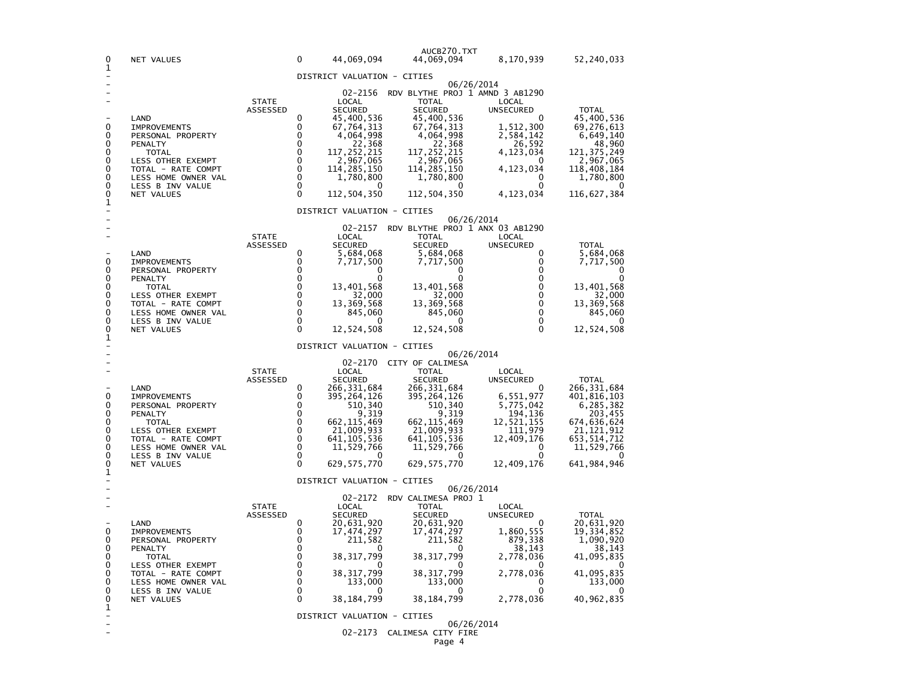| 0<br>1                                                   | NET VALUES                                                                                                                                                                             |                          | $\Omega$                                                                                                            | 44,069,094                                                                                                                                                                | AUCB270.TXT<br>44,069,094                                                                                                                                                  | 8,170,939                                                                                                                                                                    | 52,240,033                                                                                                                               |
|----------------------------------------------------------|----------------------------------------------------------------------------------------------------------------------------------------------------------------------------------------|--------------------------|---------------------------------------------------------------------------------------------------------------------|---------------------------------------------------------------------------------------------------------------------------------------------------------------------------|----------------------------------------------------------------------------------------------------------------------------------------------------------------------------|------------------------------------------------------------------------------------------------------------------------------------------------------------------------------|------------------------------------------------------------------------------------------------------------------------------------------|
|                                                          |                                                                                                                                                                                        |                          |                                                                                                                     | DISTRICT VALUATION - CITIES                                                                                                                                               |                                                                                                                                                                            |                                                                                                                                                                              |                                                                                                                                          |
| 0<br>0<br>0<br>0<br>0<br>0<br>0<br>0<br>0<br>$\mathbf 1$ | LAND<br><b>IMPROVEMENTS</b><br>PERSONAL PROPERTY<br>PENALTY<br><b>TOTAL</b><br>LESS OTHER EXEMPT<br>TOTAL - RATE COMPT<br>LESS HOME OWNER VAL<br>LESS B INV VALUE<br><b>NET VALUES</b> | <b>STATE</b><br>ASSESSED | 0<br>$\Omega$<br>0<br>$\Omega$<br>$\Omega$<br>$\Omega$<br>$\mathbf 0$<br>$\Omega$<br>$\Omega$<br>$\Omega$           | LOCAL<br><b>SECURED</b><br>45,400,536<br>67,764,313<br>4,064,998<br>22,368<br>117,252,215<br>2,967,065<br>114,285,150<br>1,780,800<br>112,504,350                         | <b>TOTAL</b><br><b>SECURED</b><br>45,400,536<br>67,764,313<br>4,064,998<br>22,368<br>117, 252, 215<br>2,967,065<br>114,285,150<br>1,780,800<br>112,504,350                 | 06/26/2014<br>02-2156 RDV BLYTHE PROJ 1 AMND 3 AB1290<br>LOCAL<br><b>UNSECURED</b><br>0<br>1,512,300<br>2,584,142<br>26,592<br>4,123,034<br>4,123,034<br>0<br>0<br>4,123,034 | <b>TOTAL</b><br>45,400,536<br>69,276,613<br>6,649,140<br>48,960<br>121, 375, 249<br>2,967,065<br>118,408,184<br>1,780,800<br>116,627,384 |
|                                                          |                                                                                                                                                                                        |                          |                                                                                                                     | DISTRICT VALUATION - CITIES                                                                                                                                               |                                                                                                                                                                            | 06/26/2014                                                                                                                                                                   |                                                                                                                                          |
| 0<br>0<br>0<br>0<br>0<br>0<br>0<br>0<br>0<br>1           | LAND<br><b>IMPROVEMENTS</b><br>PERSONAL PROPERTY<br>PENALTY<br>TOTAL<br>LESS OTHER EXEMPT<br>TOTAL - RATE COMPT<br>LESS HOME OWNER VAL<br>LESS B INV VALUE<br>NET VALUES               | <b>STATE</b><br>ASSESSED | 0<br>0<br>$\Omega$<br>$\Omega$<br>$\mathbf 0$<br>$\mathbf 0$<br>$\Omega$<br>$\Omega$<br>$\mathbf 0$<br>$\mathbf{0}$ | 02-2157<br>LOCAL<br><b>SECURED</b><br>5,684,068<br>7,717,500<br>O<br>O<br>13,401,568<br>32,000<br>13,369,568<br>845,060<br>O<br>12,524,508<br>DISTRICT VALUATION - CITIES | <b>TOTAL</b><br><b>SECURED</b><br>5,684,068<br>7,717,500<br>0<br>O<br>13,401,568<br>32,000<br>13,369,568<br>845,060<br>O<br>12,524,508                                     | RDV BLYTHE PROJ 1 ANX 03 AB1290<br>LOCAL<br><b>UNSECURED</b><br>0<br>0<br>$\mathbf{0}$<br>0<br>0<br>0<br>$\mathbf{0}$<br>0<br>0<br>$\mathbf{0}$<br>06/26/2014                | <b>TOTAL</b><br>5,684,068<br>7,717,500<br>0<br>13,401,568<br>32,000<br>13,369,568<br>845,060<br>0<br>12,524,508                          |
|                                                          | LAND                                                                                                                                                                                   | <b>STATE</b><br>ASSESSED | 0                                                                                                                   | LOCAL<br><b>SECURED</b><br>266,331,684                                                                                                                                    | 02-2170 CITY OF CALIMESA<br><b>TOTAL</b><br><b>SECURED</b><br>266,331,684                                                                                                  | LOCAL<br><b>UNSECURED</b>                                                                                                                                                    | <b>TOTAL</b><br>266,331,684                                                                                                              |
| 0<br>0<br>0<br>0<br>0<br>0<br>0<br>0                     | <b>IMPROVEMENTS</b><br>PERSONAL PROPERTY<br>PENALTY<br><b>TOTAL</b><br>LESS OTHER EXEMPT<br>TOTAL - RATE COMPT<br>LESS HOME OWNER VAL<br>LESS B INV VALUE                              |                          | $\Omega$<br>$\Omega$<br>0<br>$\Omega$<br>$\Omega$<br>$\mathbf 0$<br>$\mathbf 0$<br>$\Omega$                         | 395, 264, 126<br>510,340<br>9,319<br>662,115,469<br>21,009,933<br>641, 105, 536<br>11,529,766                                                                             | 395,264,126<br>510,340<br>9,319<br>662, 115, 469<br>21,009,933<br>641, 105, 536<br>11,529,766                                                                              | 6,551,977<br>5,775,042<br>194,136<br>12,521,155<br>111,979<br>12,409,176<br>O                                                                                                | 401,816,103<br>6,285,382<br>203,455<br>674,636,624<br>21, 121, 912<br>653,514,712<br>11,529,766<br>$\Omega$                              |
| 0<br>1                                                   | <b>NET VALUES</b>                                                                                                                                                                      |                          | $\Omega$                                                                                                            | 629, 575, 770                                                                                                                                                             | 629, 575, 770                                                                                                                                                              | 12,409,176                                                                                                                                                                   | 641,984,946                                                                                                                              |
|                                                          |                                                                                                                                                                                        |                          |                                                                                                                     | DISTRICT VALUATION - CITIES                                                                                                                                               |                                                                                                                                                                            | 06/26/2014                                                                                                                                                                   |                                                                                                                                          |
| 0<br>0<br>0<br>0<br>0<br>0<br>0<br>0<br>$_1^0$           | LAND<br><b>IMPROVEMENTS</b><br>PERSONAL PROPERTY<br>PENALTY<br><b>TOTAL</b><br>LESS OTHER EXEMPT<br>TOTAL - RATE COMPT<br>LESS HOME OWNER VAL<br>LESS B INV VALUE<br>NET VALUES        | <b>STATE</b><br>ASSESSED | $\Omega$<br>0<br>0<br>$\Omega$<br>$\Omega$<br>0<br>$\Omega$<br>$\Omega$<br>$\mathbf 0$<br>$\Omega$                  | 02-2172<br>LOCAL<br><b>SECURED</b><br>20,631,920<br>17,474,297<br>211,582<br>38,317,799<br>38,317,799<br>133,000<br>38,184,799<br>DISTRICT VALUATION - CITIES             | RDV CALIMESA PROJ 1<br>TOTAL<br><b>SECURED</b><br>20,631,920<br>17,474,297<br>211,582<br>$\mathbf{\Omega}$<br>38, 317, 799<br>38, 317, 799<br>133,000<br>O<br>38, 184, 799 | LOCAL<br><b>UNSECURED</b><br>1,860,555<br>879,338<br>38,143<br>2,778,036<br>2,778,036<br>0<br>0<br>2,778,036                                                                 | <b>TOTAL</b><br>20,631,920<br>19,334,852<br>1,090,920<br>38,143<br>41,095,835<br>41,095,835<br>133,000<br>40,962,835                     |
|                                                          |                                                                                                                                                                                        |                          |                                                                                                                     |                                                                                                                                                                           | 02-2173 CALIMESA CITY FIRE                                                                                                                                                 | 06/26/2014                                                                                                                                                                   |                                                                                                                                          |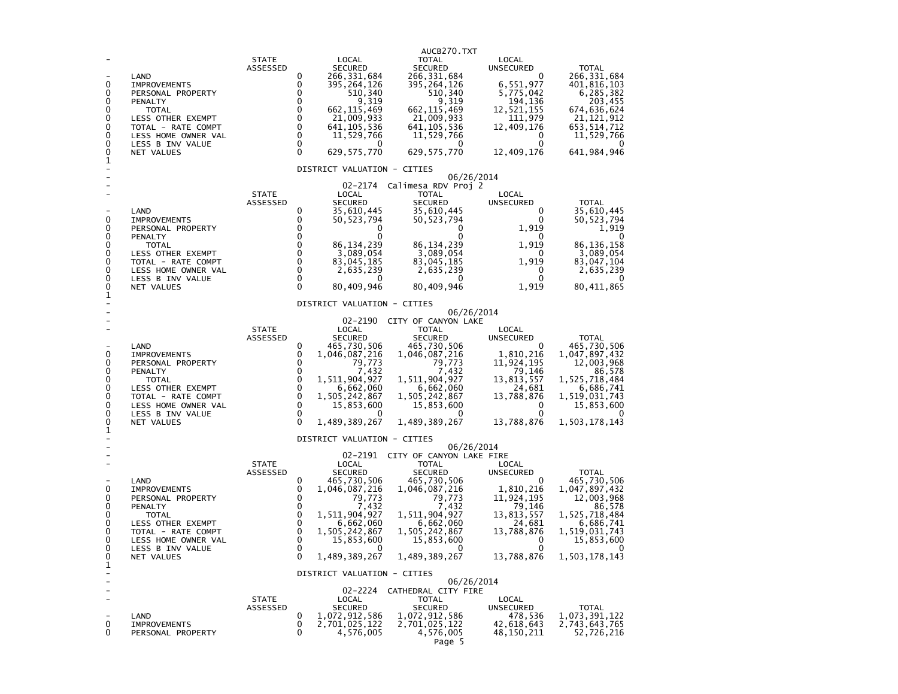| 0<br>0<br>0<br>0<br>0<br>0<br>0<br>0<br>0<br>1 | LAND<br><b>IMPROVEMENTS</b><br>PERSONAL PROPERTY<br><b>PENALTY</b><br><b>TOTAL</b><br>LESS OTHER EXEMPT<br>TOTAL - RATE COMPT<br>LESS HOME OWNER VAL<br>LESS B INV VALUE<br>NET VALUES | <b>STATE</b><br>ASSESSED | 0<br>0<br>0<br>0<br>0<br>0<br>$\mathbf 0$<br>$\mathbf 0$<br>$\Omega$<br>$\Omega$ | LOCAL<br><b>SECURED</b><br>266, 331, 684<br>395,264,126<br>510,340<br>9,319<br>662, 115, 469<br>21,009,933<br>641, 105, 536<br>11,529,766<br>0<br>629, 575, 770<br>DISTRICT VALUATION - CITIES                              | AUCB270.TXT<br>TOTAL<br><b>SECURED</b><br>266, 331, 684<br>395, 264, 126<br>510,340<br>9,319<br>662, 115, 469<br>21,009,933<br>641, 105, 536<br>11,529,766<br>0<br>629, 575, 770<br>06/26/2014                                | LOCAL<br>UNSECURED<br>0<br>6,551,977<br>5,775,042<br>194,136<br>12,521,155<br>111,979<br>12,409,176<br>0<br>0<br>12,409,176 | <b>TOTAL</b><br>266, 331, 684<br>401,816,103<br>6,285,382<br>203,455<br>674,636,624<br>21, 121, 912<br>653,514,712<br>11,529,766<br>0<br>641, 984, 946  |
|------------------------------------------------|----------------------------------------------------------------------------------------------------------------------------------------------------------------------------------------|--------------------------|----------------------------------------------------------------------------------|-----------------------------------------------------------------------------------------------------------------------------------------------------------------------------------------------------------------------------|-------------------------------------------------------------------------------------------------------------------------------------------------------------------------------------------------------------------------------|-----------------------------------------------------------------------------------------------------------------------------|---------------------------------------------------------------------------------------------------------------------------------------------------------|
| 0<br>0<br>0<br>0<br>0<br>0<br>0<br>0<br>0<br>1 | LAND<br><b>IMPROVEMENTS</b><br>PERSONAL PROPERTY<br>PENALTY<br>TOTAL<br>LESS OTHER EXEMPT<br>TOTAL - RATE COMPT<br>LESS HOME OWNER VAL<br>LESS B INV VALUE<br><b>NET VALUES</b>        | <b>STATE</b><br>ASSESSED | 0<br>0<br>0<br>0<br>0<br>0<br>0<br>$\mathbf 0$<br>0<br>$\Omega$                  | 02-2174<br>LOCAL<br><b>SECURED</b><br>35,610,445<br>50, 523, 794<br>0<br>0<br>86, 134, 239<br>3,089,054<br>83,045,185<br>2,635,239<br>0<br>80,409,946                                                                       | Calimesa RDV Proj 2<br><b>TOTAL</b><br><b>SECURED</b><br>35,610,445<br>50,523,794<br>0<br>86, 134, 239<br>3,089,054<br>83,045,185<br>2,635,239<br>0<br>80,409,946                                                             | LOCAL<br>UNSECURED<br>0<br>0<br>1,919<br>0<br>1,919<br>0<br>1,919<br>0<br>0<br>1,919                                        | <b>TOTAL</b><br>35,610,445<br>50,523,794<br>1,919<br>0<br>86, 136, 158<br>3,089,054<br>83,047,104<br>2,635,239<br>$^{(1)}$<br>80,411,865                |
| 0<br>0<br>0<br>0<br>0<br>0<br>0<br>0<br>0<br>1 | LAND<br>IMPROVEMENTS<br>PERSONAL PROPERTY<br>PENALTY<br><b>TOTAL</b><br>LESS OTHER EXEMPT<br>TOTAL - RATE COMPT<br>LESS HOME OWNER VAL<br>LESS B INV VALUE<br>NET VALUES               | <b>STATE</b><br>ASSESSED | 0<br>0<br>0<br>0<br>0<br>0<br>$\mathbf 0$<br>0<br>0<br>$\Omega$                  | DISTRICT VALUATION - CITIES<br>02-2190<br>LOCAL<br><b>SECURED</b><br>465,730,506<br>1,046,087,216<br>79,773<br>7,432<br>1,511,904,927<br>6,662,060<br>1,505,242,867<br>15,853,600<br>0<br>1,489,389,267                     | 06/26/2014<br>CITY OF CANYON LAKE<br><b>TOTAL</b><br><b>SECURED</b><br>465,730,506<br>1,046,087,216<br>79,773<br>7,432<br>1,511,904,927<br>6,662,060<br>1,505,242,867<br>15,853,600<br>0<br>1,489,389,267                     | LOCAL<br>UNSECURED<br>0<br>1,810,216<br>11,924,195<br>79,146<br>13,813,557<br>24,681<br>13,788,876<br>0<br>0<br>13,788,876  | <b>TOTAL</b><br>465,730,506<br>1,047,897,432<br>12,003,968<br>86,578<br>1,525,718,484<br>6,686,741<br>1,519,031,743<br>15,853,600<br>1,503,178,143      |
| 0<br>0<br>0<br>0<br>0<br>0<br>0<br>0<br>0<br>1 | LAND<br><b>IMPROVEMENTS</b><br>PERSONAL PROPERTY<br>PENALTY<br><b>TOTAL</b><br>LESS OTHER EXEMPT<br>TOTAL - RATE COMPT<br>LESS HOME OWNER VAL<br>LESS B INV VALUE<br>NET VALUES        | <b>STATE</b><br>ASSESSED | 0<br>0<br>0<br>0<br>0<br>0<br>$\mathbf 0$<br>$\mathbf 0$<br>$\Omega$<br>0        | DISTRICT VALUATION - CITIES<br>LOCAL<br><b>SECURED</b><br>465,730,506<br>1,046,087,216<br>79,773<br>7.432<br>1,511,904,927<br>6,662,060<br>1,505,242,867<br>15,853,600<br>0<br>1,489,389,267<br>DISTRICT VALUATION - CITIES | 06/26/2014<br>02-2191 CITY OF CANYON LAKE FIRE<br>TOTAL<br><b>SECURED</b><br>465,730,506<br>1,046,087,216<br>79,773<br>7,432<br>1,511,904,927<br>6,662,060<br>1,505,242,867<br>15,853,600<br>0<br>1,489,389,267<br>06/26/2014 | LOCAL<br>UNSECURED<br>0<br>1,810,216<br>11,924,195<br>79,146<br>13,813,557<br>24,681<br>13,788,876<br>0<br>0<br>13,788,876  | <b>TOTAL</b><br>465,730,506<br>1,047,897,432<br>12,003,968<br>86,578<br>1,525,718,484<br>6,686,741<br>1,519,031,743<br>15,853,600<br>0<br>1,503,178,143 |
| 0<br>0                                         | LAND<br><b>IMPROVEMENTS</b><br>PERSONAL PROPERTY                                                                                                                                       | <b>STATE</b><br>ASSESSED | 0<br>0<br>0                                                                      | 02-2224<br>LOCAL<br><b>SECURED</b><br>1,072,912,586<br>2,701,025,122<br>4,576,005                                                                                                                                           | CATHEDRAL CITY FIRE<br><b>TOTAL</b><br>SECURED<br>1,072,912,586<br>2,701,025,122<br>4,576,005<br>Page 5                                                                                                                       | LOCAL<br>UNSECURED<br>478,536<br>42,618,643<br>48,150,211                                                                   | <b>TOTAL</b><br>1,073,391,122<br>2,743,643,765<br>52,726,216                                                                                            |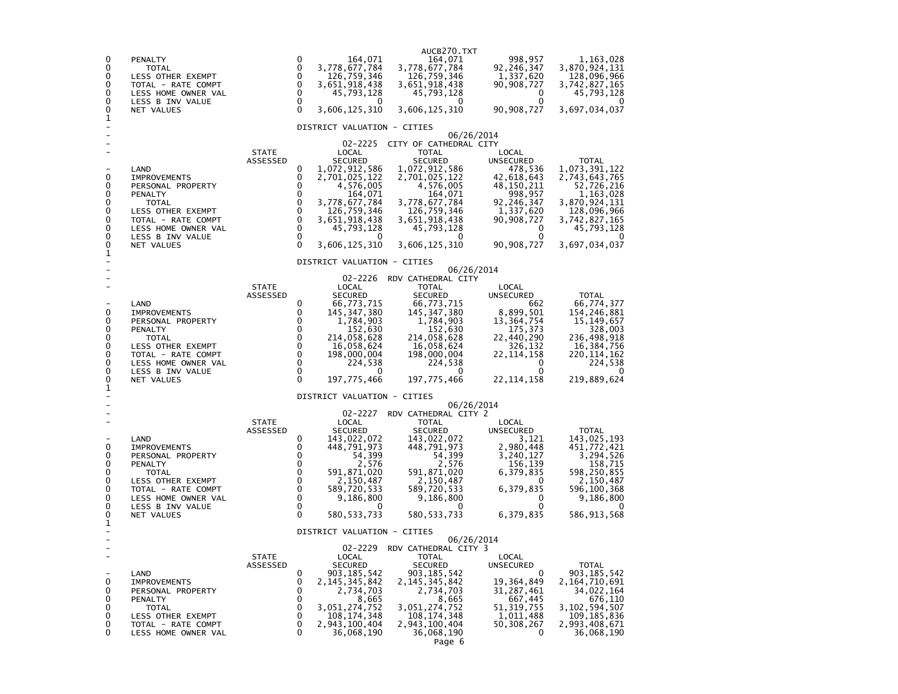| 0<br>0<br>0<br>0<br>0<br>0<br>0<br>1              | PENALTY<br>TOTAL<br>LESS OTHER EXEMPT<br>TOTAL - RATE COMPT<br>LESS HOME OWNER VAL<br>LESS B INV VALUE<br>NET VALUES                                                     |                          | 0<br>164,071<br>0<br>3,778,677,784<br>0<br>126,759,346<br>0<br>3,651,918,438<br>$\mathbf 0$<br>45,793,128<br>0<br>$^{(1)}$<br>$\Omega$<br>3,606,125,310                                                                                                                                                             | AUCB270.TXT<br>164,071<br>3,778,677,784<br>126,759,346<br>3,651,918,438<br>45,793,128<br>0<br>3,606,125,310                                                                                             | 998,957<br>92,246,347<br>1,337,620<br>90,908,727<br>0<br>0<br>90,908,727                                                                                   | 1,163,028<br>3,870,924,131<br>128,096,966<br>3,742,827,165<br>45,793,128<br>3,697,034,037                                                                 |
|---------------------------------------------------|--------------------------------------------------------------------------------------------------------------------------------------------------------------------------|--------------------------|---------------------------------------------------------------------------------------------------------------------------------------------------------------------------------------------------------------------------------------------------------------------------------------------------------------------|---------------------------------------------------------------------------------------------------------------------------------------------------------------------------------------------------------|------------------------------------------------------------------------------------------------------------------------------------------------------------|-----------------------------------------------------------------------------------------------------------------------------------------------------------|
| 0<br>0<br>0<br>0<br>0<br>0<br>0<br>0<br>0<br>1    | LAND<br><b>IMPROVEMENTS</b><br>PERSONAL PROPERTY<br>PENALTY<br>TOTAL<br>LESS OTHER EXEMPT<br>TOTAL - RATE COMPT<br>LESS HOME OWNER VAL<br>LESS B INV VALUE<br>NET VALUES | <b>STATE</b><br>ASSESSED | DISTRICT VALUATION - CITIES<br>02-2225<br>LOCAL<br><b>SECURED</b><br>0<br>1,072,912,586<br>0<br>2,701,025,122<br>0<br>4,576,005<br>0<br>164,071<br>0<br>3,778,677,784<br>0<br>126,759,346<br>0<br>3,651,918,438<br>0<br>45,793,128<br>0<br>0<br>3,606,125,310                                                       | CITY OF CATHEDRAL CITY<br><b>TOTAL</b><br><b>SECURED</b><br>1,072,912,586<br>2,701,025,122<br>4,576,005<br>164,071<br>3,778,677,784<br>126,759,346<br>3,651,918,438<br>45,793,128<br>0<br>3,606,125,310 | 06/26/2014<br>LOCAL<br><b>UNSECURED</b><br>478,536<br>42,618,643<br>48,150,211<br>998,957<br>92,246,347<br>1,337,620<br>90,908,727<br>0<br>0<br>90,908,727 | <b>TOTAL</b><br>1,073,391,122<br>2,743,643,765<br>52,726,216<br>1,163,028<br>3,870,924,131<br>128,096,966<br>3,742,827,165<br>45,793,128<br>3,697,034,037 |
| 0<br>0<br>0<br>0<br>0<br>0<br>0<br>0<br>0<br>1    | LAND<br><b>IMPROVEMENTS</b><br>PERSONAL PROPERTY<br>PENALTY<br>TOTAL<br>LESS OTHER EXEMPT<br>TOTAL - RATE COMPT<br>LESS HOME OWNER VAL<br>LESS B INV VALUE<br>NET VALUES | <b>STATE</b><br>ASSESSED | DISTRICT VALUATION - CITIES<br>02-2226<br>LOCAL<br><b>SECURED</b><br>0<br>66,773,715<br>0<br>145, 347, 380<br>0<br>1,784,903<br>0<br>152,630<br>0<br>214,058,628<br>$\Omega$<br>16,058,624<br>$\mathbf 0$<br>198,000,004<br>$\Omega$<br>224,538<br>0<br>0<br>$\Omega$<br>197,775,466<br>DISTRICT VALUATION - CITIES | RDV CATHEDRAL CITY<br><b>TOTAL</b><br><b>SECURED</b><br>66,773,715<br>145, 347, 380<br>1,784,903<br>152,630<br>214,058,628<br>16,058,624<br>198,000,004<br>224,538<br>0<br>197,775,466                  | 06/26/2014<br>LOCAL<br>UNSECURED<br>662<br>8,899,501<br>13, 364, 754<br>175,373<br>22,440,290<br>326,132<br>22, 114, 158<br>0<br>0<br>22, 114, 158         | <b>TOTAL</b><br>66,774,377<br>154,246,881<br>15, 149, 657<br>328,003<br>236,498,918<br>16,384,756<br>220,114,162<br>224,538<br>$\Omega$<br>219,889,624    |
| 0<br>0<br>0<br>0<br>0<br>0<br>0<br>0<br>0<br>1    | LAND<br><b>IMPROVEMENTS</b><br>PERSONAL PROPERTY<br>PENALTY<br>TOTAL<br>LESS OTHER EXEMPT<br>TOTAL - RATE COMPT<br>LESS HOME OWNER VAL<br>LESS B INV VALUE<br>NET VALUES | <b>STATE</b><br>ASSESSED | 02-2227<br>LOCAL<br><b>SECURED</b><br>143,022,072<br>0<br>0<br>448,791,973<br>0<br>54,399<br>0<br>2,576<br>0<br>591,871,020<br>0<br>2,150,487<br>0<br>589,720,533<br>$\mathbf 0$<br>9,186,800<br>0<br>$^{\circ}$<br>$\Omega$<br>580,533,733                                                                         | RDV CATHEDRAL CITY 2<br><b>TOTAL</b><br><b>SECURED</b><br>143,022,072<br>448,791,973<br>54,399<br>2,576<br>591,871,020<br>2,150,487<br>589,720,533<br>9,186,800<br>0<br>580, 533, 733                   | 06/26/2014<br>LOCAL<br>UNSECURED<br>3,121<br>2,980,448<br>3,240,127<br>156,139<br>6,379,835<br>$^{\circ}$<br>6,379,835<br>0<br>0<br>6,379,835              | <b>TOTAL</b><br>143,025,193<br>451,772,421<br>3,294,526<br>158,715<br>598,250,855<br>2,150,487<br>596,100,368<br>9,186,800<br>0<br>586,913,568            |
| $\overline{a}$<br>0<br>0<br>0<br>0<br>0<br>0<br>0 | LAND<br><b>IMPROVEMENTS</b><br>PERSONAL PROPERTY<br>PENALTY<br>TOTAL<br>LESS OTHER EXEMPT<br>TOTAL - RATE COMPT<br>LESS HOME OWNER VAL                                   | <b>STATE</b><br>ASSESSED | DISTRICT VALUATION - CITIES<br>02-2229<br>LOCAL<br><b>SECURED</b><br>0<br>903, 185, 542<br>0<br>2, 145, 345, 842<br>0<br>2,734,703<br>0<br>8,665<br>0<br>3,051,274,752<br>0<br>108,174,348<br>0<br>2,943,100,404<br>0<br>36,068,190                                                                                 | RDV CATHEDRAL CITY 3<br><b>TOTAL</b><br><b>SECURED</b><br>903,185,542<br>2,145,345,842<br>2,734,703<br>8,665<br>3,051,274,752<br>108,174,348<br>2,943,100,404<br>36,068,190<br>Page 6                   | 06/26/2014<br>LOCAL<br>UNSECURED<br>0<br>19,364,849<br>31,287,461<br>667,445<br>51, 319, 755<br>1,011,488<br>50,308,267<br>0                               | TOTAL<br>903,185,542<br>2,164,710,691<br>34,022,164<br>676,110<br>3,102,594,507<br>109,185,836<br>2,993,408,671<br>36,068,190                             |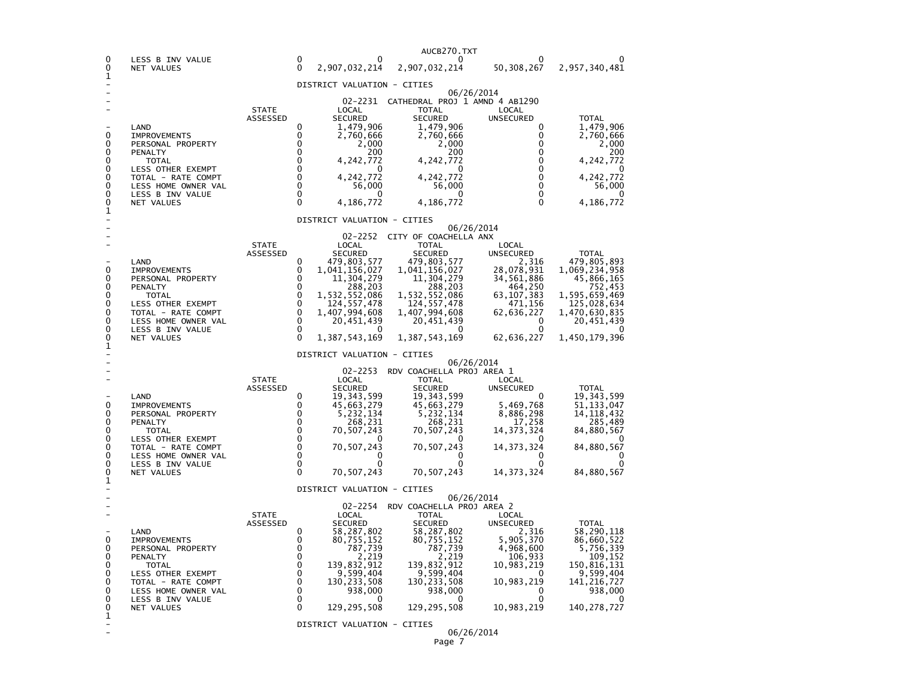|        |                                           |                          |                            |                                | AUCB270.TXT                                       |                            |                              |
|--------|-------------------------------------------|--------------------------|----------------------------|--------------------------------|---------------------------------------------------|----------------------------|------------------------------|
| 0<br>0 | LESS B INV VALUE<br>NET VALUES            |                          | $\Omega$<br>$\Omega$       | O<br>2,907,032,214             | 0<br>2,907,032,214                                | 50,308,267                 | 2,957,340,481                |
| 1      |                                           |                          |                            | DISTRICT VALUATION - CITIES    |                                                   |                            |                              |
|        |                                           |                          |                            |                                | 02-2231 CATHEDRAL PROJ 1 AMND 4 AB1290            | 06/26/2014                 |                              |
|        |                                           | <b>STATE</b>             |                            | LOCAL                          | <b>TOTAL</b>                                      | LOCAL                      |                              |
|        | LAND                                      | ASSESSED                 | 0                          | <b>SECURED</b><br>1,479,906    | <b>SECURED</b><br>1,479,906                       | <b>UNSECURED</b><br>0      | <b>TOTAL</b><br>1,479,906    |
| 0<br>0 | <b>IMPROVEMENTS</b><br>PERSONAL PROPERTY  |                          | 0<br>$\Omega$              | 2,760,666<br>2,000             | 2,760,666<br>2,000                                | 0<br>$\Omega$              | 2,760,666<br>2,000           |
| 0      | PENALTY                                   |                          | $\Omega$                   | 200                            | 200                                               | 0                          | 200                          |
| 0<br>0 | <b>TOTAL</b><br>LESS OTHER EXEMPT         |                          | $\mathbf 0$<br>0           | 4,242,772<br>$\Omega$          | 4,242,772<br>0                                    | 0<br>0                     | 4,242,772<br>0               |
| 0<br>0 | TOTAL - RATE COMPT<br>LESS HOME OWNER VAL |                          | $\Omega$<br>$\Omega$       | 4, 242, 772<br>56,000          | 4, 242, 772<br>56,000                             | 0<br>0                     | 4, 242, 772<br>56,000        |
| 0<br>0 | LESS B INV VALUE<br><b>NET VALUES</b>     |                          | $\Omega$<br>$\mathbf{0}$   | 0<br>4,186,772                 | 0                                                 | $\mathbf 0$<br>$\mathbf 0$ | 0                            |
| 1      |                                           |                          |                            |                                | 4,186,772                                         |                            | 4,186,772                    |
|        |                                           |                          |                            | DISTRICT VALUATION - CITIES    |                                                   | 06/26/2014                 |                              |
|        |                                           | <b>STATE</b>             |                            | LOCAL                          | 02-2252 CITY OF COACHELLA ANX<br><b>TOTAL</b>     | LOCAL                      |                              |
|        |                                           | ASSESSED                 | 0                          | <b>SECURED</b>                 | <b>SECURED</b>                                    | <b>UNSECURED</b>           | <b>TOTAL</b>                 |
| 0      | LAND<br><b>IMPROVEMENTS</b>               |                          | 0                          | 479,803,577<br>1,041,156,027   | 479,803,577<br>1,041,156,027                      | 2,316<br>28,078,931        | 479,805,893<br>1,069,234,958 |
| 0<br>0 | PERSONAL PROPERTY<br>PENALTY              |                          | $\Omega$<br>$\mathbf{0}$   | 11,304,279<br>288,203          | 11,304,279<br>288,203                             | 34,561,886<br>464,250      | 45,866,165<br>752,453        |
| 0<br>0 | <b>TOTAL</b><br><b>LESS OTHER EXEMPT</b>  |                          | $\mathbf 0$<br>$\mathbf 0$ | 1,532,552,086<br>124, 557, 478 | 1,532,552,086<br>124, 557, 478                    | 63, 107, 383<br>471,156    | 1,595,659,469<br>125,028,634 |
| 0      | TOTAL - RATE COMPT                        |                          | $\mathbf 0$                | 1,407,994,608                  | 1,407,994,608                                     | 62,636,227                 | 1,470,630,835                |
| 0<br>0 | LESS HOME OWNER VAL<br>LESS B INV VALUE   |                          | 0<br>$\mathbf 0$           | 20,451,439<br>O                | 20,451,439<br>O                                   | 0<br>0                     | 20,451,439<br>O              |
| 0<br>1 | NET VALUES                                |                          | $\Omega$                   | 1,387,543,169                  | 1, 387, 543, 169                                  | 62,636,227                 | 1,450,179,396                |
|        |                                           |                          |                            | DISTRICT VALUATION - CITIES    |                                                   | 06/26/2014                 |                              |
|        |                                           | <b>STATE</b>             |                            | LOCAL                          | 02-2253 RDV COACHELLA PROJ AREA 1<br><b>TOTAL</b> | LOCAL                      |                              |
|        |                                           | ASSESSED                 |                            | SECURED                        | <b>SECURED</b>                                    | <b>UNSECURED</b>           | <b>TOTAL</b>                 |
| 0      | LAND<br><b>IMPROVEMENTS</b>               |                          | 0<br>0                     | 19, 343, 599<br>45,663,279     | 19,343,599<br>45,663,279                          | 5,469,768                  | 19,343,599<br>51,133,047     |
| 0<br>0 | PERSONAL PROPERTY<br>PENALTY              |                          | $\Omega$<br>$\mathbf 0$    | 5,232,134<br>268,231           | 5,232,134<br>268,231                              | 8,886,298<br>17,258        | 14,118,432<br>285,489        |
| 0<br>0 | <b>TOTAL</b>                              |                          | $\Omega$<br>$\Omega$       | 70,507,243                     | 70,507,243                                        | 14, 373, 324               | 84,880,567                   |
| 0      | LESS OTHER EXEMPT<br>TOTAL - RATE COMPT   |                          | $\Omega$                   | 70,507,243                     | 70,507,243                                        | $\Omega$<br>14, 373, 324   | $\Omega$<br>84,880,567       |
| 0<br>0 | LESS HOME OWNER VAL<br>LESS B INV VALUE   |                          | 0<br>$\mathbf 0$           | 0<br>∩                         | 0<br>∩                                            | 0<br>0                     | 0<br>O                       |
| 0<br>1 | NET VALUES                                |                          | $\Omega$                   | 70,507,243                     | 70,507,243                                        | 14, 373, 324               | 84,880,567                   |
|        |                                           |                          |                            | DISTRICT VALUATION - CITIES    |                                                   | 06/26/2014                 |                              |
|        |                                           |                          |                            | 02-2254                        | RDV COACHELLA PROJ AREA 2                         |                            |                              |
|        |                                           | <b>STATE</b><br>ASSESSED |                            | LOCAL<br>SECURED               | TOTAL<br><b>SECURED</b>                           | LOCAL<br>UNSECURED         | <b>TOTAL</b>                 |
| 0      | LAND<br><b>IMPROVEMENTS</b>               |                          | 0<br>0                     | 58,287,802<br>80,755,152       | 58,287,802<br>80,755,152                          | 2,316<br>5,905,370         | 58,290,118<br>86,660,522     |
| 0<br>0 | PERSONAL PROPERTY<br>PENALTY              |                          | $\Omega$<br>$\mathbf 0$    | 787,739<br>2,219               | 787,739<br>2,219                                  | 4,968,600<br>106,933       | 5,756,339<br>109,152         |
| 0      | <b>TOTAL</b>                              |                          | $\Omega$                   | 139,832,912                    | 139,832,912                                       | 10,983,219                 | 150,816,131                  |
| 0<br>0 | LESS OTHER EXEMPT<br>TOTAL - RATE COMPT   |                          | $\Omega$<br>$\Omega$       | 9,599,404<br>130, 233, 508     | 9,599,404<br>130, 233, 508                        | $\Omega$<br>10,983,219     | 9,599,404<br>141, 216, 727   |
| 0<br>0 | LESS HOME OWNER VAL<br>LESS B INV VALUE   |                          | $\mathbf 0$<br>0           | 938,000<br>0                   | 938,000<br>0                                      | 0                          | 938,000                      |
| 0<br>1 | NET VALUES                                |                          | $\Omega$                   | 129, 295, 508                  | 129, 295, 508                                     | 10,983,219                 | 140, 278, 727                |
|        |                                           |                          |                            | DISTRICT VALUATION - CITIES    |                                                   | 06/26/2014                 |                              |
|        |                                           |                          |                            |                                |                                                   |                            |                              |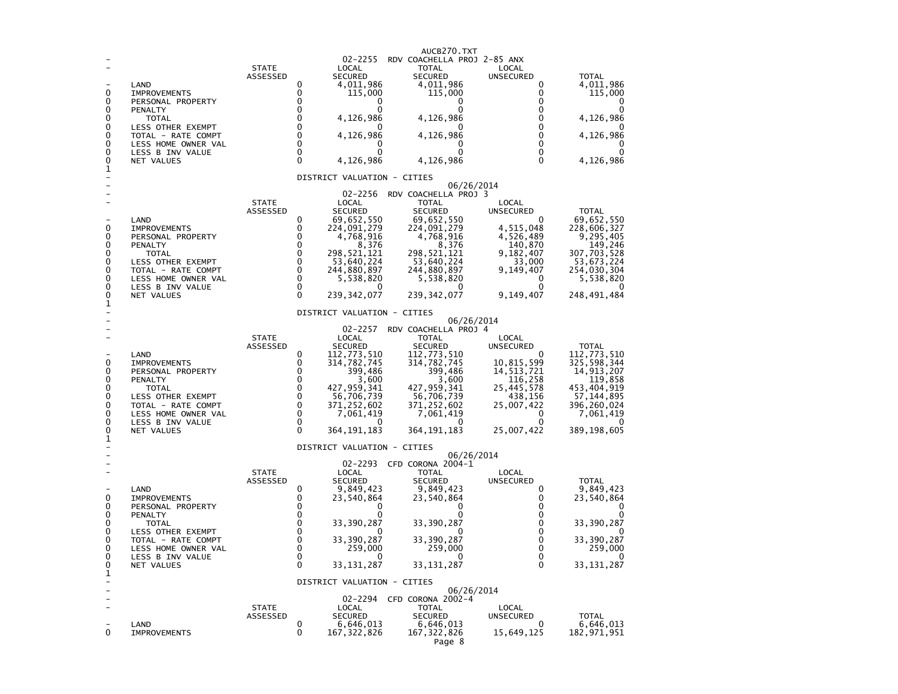| 0<br>0<br>0<br>0<br>0<br>0<br>0<br>0<br>0<br>1 | LAND<br><b>IMPROVEMENTS</b><br>PERSONAL PROPERTY<br>PENALTY<br>TOTAL<br>LESS OTHER EXEMPT<br>TOTAL - RATE COMPT<br>LESS HOME OWNER VAL<br>LESS B INV VALUE<br>NET VALUES        | <b>STATE</b><br>ASSESSED        | 0<br>0<br>0<br>0<br>$\Omega$<br>$\Omega$<br>$\Omega$<br>$\Omega$<br>$\Omega$<br>$\Omega$ | 02-2255<br>LOCAL<br><b>SECURED</b><br>4,011,986<br>115,000<br>0<br>0<br>4,126,986<br>4,126,986<br>0<br>0<br>4,126,986                                                     | AUCB270.TXT<br>RDV COACHELLA PROJ 2-85 ANX<br>TOTAL<br><b>SECURED</b><br>4,011,986<br>115,000<br>0<br>0<br>4,126,986<br>4,126,986<br>0<br>0<br>4,126,986                                              | LOCAL<br><b>UNSECURED</b><br>0<br>0<br>0<br>0<br>$\mathbf 0$<br>0<br>0<br>$\mathbf{0}$<br>0<br>$\mathbf{0}$                   | <b>TOTAL</b><br>4,011,986<br>115,000<br>0<br>0<br>4,126,986<br>4,126,986<br>0<br>0<br>4,126,986                                                |
|------------------------------------------------|---------------------------------------------------------------------------------------------------------------------------------------------------------------------------------|---------------------------------|------------------------------------------------------------------------------------------|---------------------------------------------------------------------------------------------------------------------------------------------------------------------------|-------------------------------------------------------------------------------------------------------------------------------------------------------------------------------------------------------|-------------------------------------------------------------------------------------------------------------------------------|------------------------------------------------------------------------------------------------------------------------------------------------|
|                                                |                                                                                                                                                                                 |                                 |                                                                                          | DISTRICT VALUATION - CITIES                                                                                                                                               | 06/26/2014                                                                                                                                                                                            |                                                                                                                               |                                                                                                                                                |
| 0<br>0<br>0<br>0<br>0<br>0<br>0<br>0<br>0<br>1 | LAND<br><b>IMPROVEMENTS</b><br>PERSONAL PROPERTY<br>PENALTY<br><b>TOTAL</b><br>LESS OTHER EXEMPT<br>TOTAL - RATE COMPT<br>LESS HOME OWNER VAL<br>LESS B INV VALUE<br>NET VALUES | <b>STATE</b><br>ASSESSED        | 0<br>0<br>0<br>0<br>$\mathbf 0$<br>0<br>0<br>0<br>0<br>$\Omega$                          | 02-2256<br>LOCAL<br><b>SECURED</b><br>69,652,550<br>224,091,279<br>4,768,916<br>8,376<br>298,521,121<br>53,640,224<br>244,880,897<br>5,538,820<br>$\Omega$<br>239,342,077 | RDV COACHELLA PROJ 3<br>TOTAL<br><b>SECURED</b><br>69,652,550<br>224,091,279<br>4,768,916<br>8,376<br>298,521,121<br>53,640,224<br>244,880,897<br>5,538,820<br>$\Omega$<br>239, 342, 077              | LOCAL<br>UNSECURED<br>0<br>4,515,048<br>4,526,489<br>140,870<br>9,182,407<br>33,000<br>9,149,407<br>0<br>0<br>9,149,407       | <b>TOTAL</b><br>69,652,550<br>228,606,327<br>9,295,405<br>149,246<br>307,703,528<br>53,673,224<br>254,030,304<br>5,538,820<br>0<br>248,491,484 |
|                                                |                                                                                                                                                                                 |                                 |                                                                                          | DISTRICT VALUATION - CITIES                                                                                                                                               |                                                                                                                                                                                                       |                                                                                                                               |                                                                                                                                                |
| 0<br>0<br>0<br>0<br>0<br>0<br>0<br>0<br>0<br>1 | LAND<br><b>IMPROVEMENTS</b><br>PERSONAL PROPERTY<br>PENALTY<br><b>TOTAL</b><br>LESS OTHER EXEMPT<br>TOTAL - RATE COMPT<br>LESS HOME OWNER VAL<br>LESS B INV VALUE<br>NET VALUES | <b>STATE</b><br>ASSESSED        | 0<br>0<br>$\Omega$<br>$\Omega$<br>$\Omega$<br>0<br>$\Omega$<br>0<br>0<br>$\Omega$        | $02 - 2257$<br>LOCAL<br><b>SECURED</b><br>112,773,510<br>314,782,745<br>399,486<br>3,600<br>427,959,341<br>56,706,739<br>371,252,602<br>7,061,419<br>0<br>364,191,183     | 06/26/2014<br>RDV COACHELLA PROJ 4<br><b>TOTAL</b><br><b>SECURED</b><br>112,773,510<br>314,782,745<br>399,486<br>3,600<br>427, 959, 341<br>56,706,739<br>371,252,602<br>7,061,419<br>O<br>364,191,183 | LOCAL<br>UNSECURED<br>0<br>10,815,599<br>14,513,721<br>116,258<br>25,445,578<br>438,156<br>25,007,422<br>0<br>0<br>25,007,422 | <b>TOTAL</b><br>112,773,510<br>325,598,344<br>14,913,207<br>119,858<br>453,404,919<br>57,144,895<br>396,260,024<br>7,061,419<br>389,198,605    |
|                                                |                                                                                                                                                                                 |                                 |                                                                                          | DISTRICT VALUATION - CITIES                                                                                                                                               | 06/26/2014                                                                                                                                                                                            |                                                                                                                               |                                                                                                                                                |
| 0<br>0<br>0<br>0                               | LAND<br><b>IMPROVEMENTS</b><br>PERSONAL PROPERTY<br>PENALTY<br><b>TOTAL</b>                                                                                                     | <b>STATE</b><br>ASSESSED        | 0<br>0<br>0<br>$\Omega$<br>$\Omega$                                                      | 02-2293<br>LOCAL<br><b>SECURED</b><br>9,849,423<br>23,540,864<br>$\Omega$<br>33,390,287                                                                                   | CFD CORONA 2004-1<br><b>TOTAL</b><br><b>SECURED</b><br>9,849,423<br>23,540,864<br>0<br>33,390,287                                                                                                     | LOCAL<br><b>UNSECURED</b><br>0<br>0<br>0<br>0<br>$\mathbf 0$                                                                  | <b>TOTAL</b><br>9,849,423<br>23,540,864<br>0<br>33,390,287                                                                                     |
| 0<br>0<br>$\Omega$<br>0<br>0                   | LESS OTHER EXEMPT<br>TOTAL - RATE COMPT<br>LESS HOME OWNER VAL<br>LESS B INV VALUE<br>NET VALUES                                                                                |                                 | 0<br>$\Omega$<br>$\Omega$<br>0<br>$\Omega$                                               | 33,390,287<br>259,000<br>0<br>33, 131, 287                                                                                                                                | 33, 390, 287<br>1259,000<br>0<br>33, 131, 287                                                                                                                                                         | 0<br>0<br>0<br>0<br>$\Omega$                                                                                                  | 0<br>33,390,287<br>259,000<br>0<br>33, 131, 287                                                                                                |
| 1                                              |                                                                                                                                                                                 |                                 |                                                                                          | DISTRICT VALUATION - CITIES                                                                                                                                               |                                                                                                                                                                                                       |                                                                                                                               |                                                                                                                                                |
| $\overline{\phantom{0}}$<br>0                  | LAND<br><b>IMPROVEMENTS</b>                                                                                                                                                     | <b>STATE</b><br><b>ASSESSED</b> | 0<br>0                                                                                   | 02-2294<br>LOCAL<br><b>SECURED</b><br>6,646,013<br>167,322,826                                                                                                            | 06/26/2014<br>CFD CORONA 2002-4<br><b>TOTAL</b><br><b>SECURED</b><br>6,646,013<br>167, 322, 826<br>Page 8                                                                                             | LOCAL<br>UNSECURED<br>0<br>15,649,125                                                                                         | <b>TOTAL</b><br>6,646,013<br>182,971,951                                                                                                       |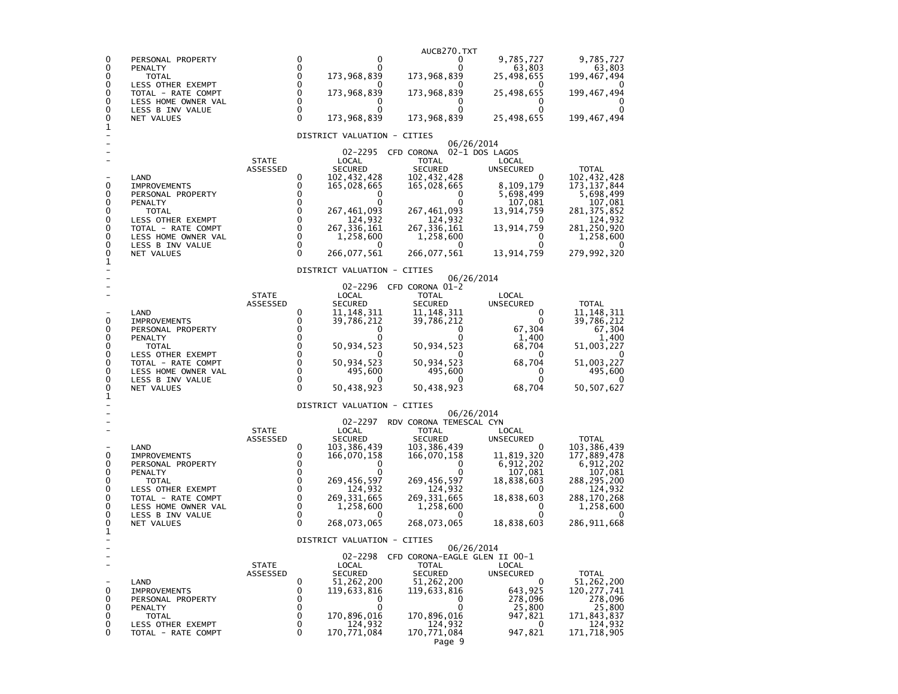|        |                                              |                          |                            |                               | AUCB270.TXT                   |                           |                              |
|--------|----------------------------------------------|--------------------------|----------------------------|-------------------------------|-------------------------------|---------------------------|------------------------------|
| 0<br>0 | PERSONAL PROPERTY                            |                          | 0<br>$\mathbf 0$           | 0<br>0                        | 0<br>0                        | 9,785,727<br>63,803       | 9,785,727<br>63,803          |
| 0<br>0 | PENALTY<br><b>TOTAL</b><br>LESS OTHER EXEMPT |                          | $\mathbf 0$<br>0           | 173,968,839                   | 173,968,839                   | 25,498,655                | 199,467,494                  |
| 0<br>0 | TOTAL - RATE COMPT<br>LESS HOME OWNER VAL    |                          | $\mathbf 0$<br>$\Omega$    | 173,968,839<br>0              | 173,968,839<br>0              | 25,498,655<br>0           | 199,467,494                  |
| 0<br>0 | LESS B INV VALUE                             |                          | $\mathbf 0$<br>$\Omega$    | 0<br>173,968,839              | 0<br>173,968,839              | 25,498,655                | 0<br>199,467,494             |
| 1      | NET VALUES                                   |                          |                            | DISTRICT VALUATION - CITIES   |                               |                           |                              |
|        |                                              |                          |                            |                               |                               | 06/26/2014                |                              |
|        |                                              | <b>STATE</b>             |                            | 02-2295<br>LOCAL              | CFD CORONA<br>TOTAL           | 02-1 DOS LAGOS<br>LOCAL   |                              |
|        |                                              | ASSESSED                 |                            | <b>SECURED</b>                | SECURED                       | <b>UNSECURED</b>          | <b>TOTAL</b>                 |
| 0      | LAND<br><b>IMPROVEMENTS</b>                  |                          | 0<br>0                     | 102,432,428<br>165,028,665    | 102,432,428<br>165,028,665    | 0<br>8,109,179            | 102,432,428<br>173, 137, 844 |
| 0      | PERSONAL PROPERTY                            |                          | 0                          | 0                             | 0                             | 5,698,499                 | 5,698,499                    |
| 0<br>0 | PENALTY<br><b>TOTAL</b>                      |                          | 0<br>0                     | 0<br>267,461,093              | 267,461,093                   | 107,081<br>13,914,759     | 107,081<br>281,375,852       |
| 0      | LESS OTHER EXEMPT                            |                          | 0                          | 124,932                       | 124,932                       |                           | 124,932                      |
| 0<br>0 | TOTAL - RATE COMPT<br>LESS HOME OWNER VAL    |                          | 0<br>0                     | 267, 336, 161                 | 267, 336, 161                 | 13,914,759<br>0           | 281,250,920                  |
| 0      | LESS B INV VALUE                             |                          | 0                          | 1,258,600<br>$\mathbf{U}$     | 1,258,600<br>0                | Ω                         | 1,258,600                    |
| 0<br>1 | NET VALUES                                   |                          | 0                          | 266,077,561                   | 266,077,561                   | 13,914,759                | 279,992,320                  |
|        |                                              |                          |                            | DISTRICT VALUATION - CITIES   |                               | 06/26/2014                |                              |
|        |                                              |                          |                            | 02-2296                       | CFD CORONA 01-2               |                           |                              |
|        |                                              | <b>STATE</b><br>ASSESSED |                            | LOCAL<br><b>SECURED</b>       | TOTAL<br><b>SECURED</b>       | LOCAL<br><b>UNSECURED</b> | <b>TOTAL</b>                 |
|        | LAND                                         |                          | 0                          | 11,148,311                    | 11,148,311                    | 0                         | 11,148,311                   |
| 0<br>0 | <b>IMPROVEMENTS</b><br>PERSONAL PROPERTY     |                          | 0<br>0                     | 39,786,212<br>0               | 39,786,212<br>0               | 0<br>67,304               | 39,786,212<br>67,304         |
| 0      | PENALTY                                      |                          | $\mathbf 0$                |                               |                               | 1.400                     | 1,400                        |
| 0<br>0 | <b>TOTAL</b><br>LESS OTHER EXEMPT            |                          | $\mathbf 0$<br>$\mathbf 0$ | 50,934,523                    | 50,934,523<br>$\Omega$        | 68,704<br>0               | 51,003,227                   |
| 0      | TOTAL - RATE COMPT                           |                          | 0                          | 50,934,523                    | 50,934,523                    | 68,704                    | 51,003,227                   |
| 0<br>0 | LESS HOME OWNER VAL<br>LESS B INV VALUE      |                          | $\mathbf 0$<br>$\Omega$    | 495,600                       | 495,600                       | $\mathbf{0}$<br>0         | 495,600                      |
| 0<br>1 | NET VALUES                                   |                          | $\Omega$                   | 50,438,923                    | 50,438,923                    | 68,704                    | 50,507,627                   |
|        |                                              |                          |                            | DISTRICT VALUATION - CITIES   |                               |                           |                              |
|        |                                              |                          |                            | 02-2297                       | RDV CORONA TEMESCAL CYN       | 06/26/2014                |                              |
|        |                                              | <b>STATE</b>             |                            | LOCAL                         | TOTAL                         | LOCAL                     |                              |
|        | LAND                                         | ASSESSED                 | 0                          | <b>SECURED</b><br>103,386,439 | <b>SECURED</b><br>103,386,439 | UNSECURED                 | <b>TOTAL</b><br>103,386,439  |
| 0      | <b>IMPROVEMENTS</b>                          |                          | 0                          | 166,070,158                   | 166,070,158                   | 11,819,320                | 177,889,478                  |
| 0<br>0 | PERSONAL PROPERTY<br>PENALTY                 |                          | 0<br>0                     | 0<br>0                        | 0<br>0                        | 6,912,202<br>107,081      | 6,912,202<br>107,081         |
| 0      | TOTAL                                        |                          | 0                          | 269,456,597                   | 269,456,597                   | 18,838,603                | 288,295,200                  |
| 0<br>0 | LESS OTHER EXEMPT<br>TOTAL - RATE COMPT      |                          | $\mathbf 0$<br>$\mathbf 0$ | 124,932<br>269, 331, 665      | 124,932<br>269, 331, 665      | 18,838,603                | 124,932<br>288,170,268       |
| 0      | LESS HOME OWNER VAL                          |                          | 0                          | 1,258,600                     | 1,258,600                     | 0                         | 1,258,600                    |
| 0<br>0 | LESS B INV VALUE<br>NET VALUES               |                          | 0<br>$\Omega$              | 268,073,065                   | 268,073,065                   | 18,838,603                | 286,911,668                  |
| 1      |                                              |                          |                            | DISTRICT VALUATION - CITIES   |                               |                           |                              |
|        |                                              |                          |                            | 02-2298                       | CFD CORONA-EAGLE GLEN II 00-1 | 06/26/2014                |                              |
|        |                                              | <b>STATE</b>             |                            | LOCAL                         | TOTAL                         | LOCAL                     |                              |
|        | LAND                                         | ASSESSED                 | 0                          | <b>SECURED</b><br>51,262,200  | <b>SECURED</b><br>51,262,200  | UNSECURED<br>0            | <b>TOTAL</b><br>51,262,200   |
| 0      | <b>IMPROVEMENTS</b>                          |                          | 0                          | 119,633,816                   | 119,633,816                   | 643,925                   | 120,277,741                  |
| 0<br>0 | PERSONAL PROPERTY<br>PENALTY                 |                          | 0<br>0                     | 0<br>0                        | 0<br>0                        | 278,096<br>25,800         | 278,096<br>25,800            |
| 0      | TOTAL                                        |                          | 0                          | 170,896,016                   | 170,896,016                   | 947,821                   | 171,843,837                  |
| 0<br>0 | LESS OTHER EXEMPT                            |                          | 0<br>0                     | 124,932<br>170,771,084        | 124,932                       | 0<br>947,821              | 124,932                      |
|        | TOTAL - RATE COMPT                           |                          |                            |                               | 170,771,084<br>Page 9         |                           | 171,718,905                  |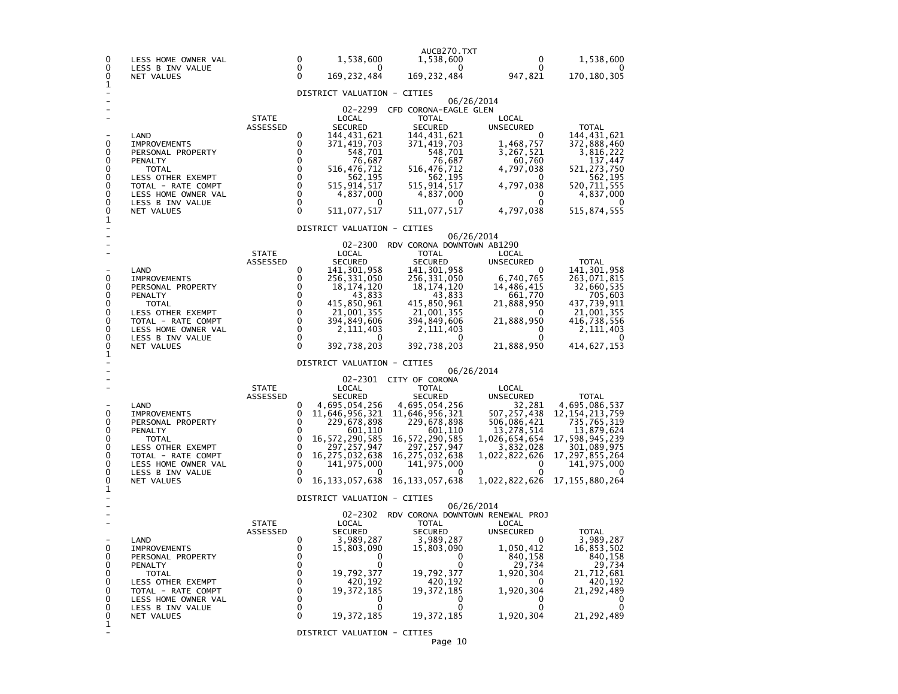| 0<br>0<br>0                               | LESS HOME OWNER VAL<br>LESS B INV VALUE<br>NET VALUES                                                                                                             |                          | 0<br>0<br>0                                                            | 1,538,600<br>0<br>169, 232, 484                                                                                                                    | AUCB270.TXT<br>1,538,600<br>0<br>169, 232, 484                                                                                                                                             | 0<br>0<br>947,821                                                                                                                        | 1,538,600<br>170, 180, 305                                                                                                                 |
|-------------------------------------------|-------------------------------------------------------------------------------------------------------------------------------------------------------------------|--------------------------|------------------------------------------------------------------------|----------------------------------------------------------------------------------------------------------------------------------------------------|--------------------------------------------------------------------------------------------------------------------------------------------------------------------------------------------|------------------------------------------------------------------------------------------------------------------------------------------|--------------------------------------------------------------------------------------------------------------------------------------------|
| 1                                         |                                                                                                                                                                   |                          |                                                                        | DISTRICT VALUATION - CITIES                                                                                                                        |                                                                                                                                                                                            |                                                                                                                                          |                                                                                                                                            |
| 0<br>0                                    | LAND<br><b>IMPROVEMENTS</b><br>PERSONAL PROPERTY                                                                                                                  | <b>STATE</b><br>ASSESSED | 0<br>0<br>0                                                            | LOCAL<br><b>SECURED</b><br>144,431,621<br>371,419,703<br>548,701                                                                                   | 02-2299 CFD CORONA-EAGLE GLEN<br><b>TOTAL</b><br><b>SECURED</b><br>144, 431, 621<br>371,419,703<br>548,701                                                                                 | 06/26/2014<br>LOCAL<br><b>UNSECURED</b><br>0<br>1,468,757<br>3,267,521                                                                   | <b>TOTAL</b><br>144, 431, 621<br>372,888,460<br>3,816,222                                                                                  |
| 0<br>0<br>0<br>0<br>0<br>0                | PENALTY<br><b>TOTAL</b><br>LESS OTHER EXEMPT<br>TOTAL - RATE COMPT<br>LESS HOME OWNER VAL<br>LESS B INV VALUE                                                     |                          | 0<br>$\mathbf 0$<br>$\mathbf 0$<br>$\mathbf 0$<br>$\Omega$<br>$\Omega$ | 76,687<br>516,476,712<br>562,195<br>515,914,517<br>4,837,000                                                                                       | 76,687<br>516,476,712<br>562,195<br>515, 914, 517<br>4,837,000<br>$\Omega$                                                                                                                 | 60,760<br>4,797,038<br>0<br>4,797,038<br>0<br>0                                                                                          | 137,447<br>521,273,750<br>562,195<br>520,711,555<br>4,837,000                                                                              |
| 0                                         | NET VALUES                                                                                                                                                        |                          | $\Omega$                                                               | 511,077,517                                                                                                                                        | 511,077,517                                                                                                                                                                                | 4,797,038                                                                                                                                | 515,874,555                                                                                                                                |
| 1                                         |                                                                                                                                                                   |                          |                                                                        | DISTRICT VALUATION - CITIES                                                                                                                        |                                                                                                                                                                                            |                                                                                                                                          |                                                                                                                                            |
|                                           |                                                                                                                                                                   | <b>STATE</b>             |                                                                        | 02-2300<br>LOCAL                                                                                                                                   | RDV CORONA DOWNTOWN AB1290<br>TOTAL                                                                                                                                                        | 06/26/2014<br>LOCAL                                                                                                                      |                                                                                                                                            |
| 0<br>0<br>0<br>0                          | LAND<br><b>IMPROVEMENTS</b><br>PERSONAL PROPERTY<br>PENALTY<br>TOTAL                                                                                              | ASSESSED                 | 0<br>0<br>$\Omega$<br>0<br>0                                           | <b>SECURED</b><br>141,301,958<br>256,331,050<br>18, 174, 120<br>43,833<br>415,850,961                                                              | SECURED<br>141, 301, 958<br>256,331,050<br>18, 174, 120<br>43,833<br>415,850,961                                                                                                           | <b>UNSECURED</b><br>0<br>6,740,765<br>14,486,415<br>661,770<br>21,888,950                                                                | <b>TOTAL</b><br>141,301,958<br>263,071,815<br>32,660,535<br>705,603<br>437,739,911                                                         |
| 0<br>0<br>0<br>0<br>0<br>1                | LESS OTHER EXEMPT<br>TOTAL - RATE COMPT<br>LESS HOME OWNER VAL<br>LESS B INV VALUE<br>NET VALUES                                                                  |                          | 0<br>0<br>0<br>$\mathbf{0}$<br>$\Omega$                                | 21,001,355<br>394,849,606<br>2,111,403<br>0<br>392,738,203                                                                                         | 21,001,355<br>394,849,606<br>2,111,403<br>O<br>392,738,203                                                                                                                                 | 0<br>21,888,950<br>0<br>0<br>21,888,950                                                                                                  | 21,001,355<br>416,738,556<br>2,111,403<br>414,627,153                                                                                      |
|                                           |                                                                                                                                                                   |                          |                                                                        | DISTRICT VALUATION - CITIES                                                                                                                        |                                                                                                                                                                                            | 06/26/2014                                                                                                                               |                                                                                                                                            |
| 0<br>0<br>0<br>0<br>0<br>0<br>0<br>0      | LAND<br><b>IMPROVEMENTS</b><br>PERSONAL PROPERTY<br>PENALTY<br>TOTAL<br>LESS OTHER EXEMPT<br>TOTAL - RATE COMPT<br>LESS HOME OWNER VAL<br>LESS B INV VALUE        | <b>STATE</b><br>ASSESSED | 0<br>0<br>0<br>0<br>0<br>0<br>$\mathbf{0}$<br>$\mathbf{0}$<br>$\Omega$ | LOCAL<br>SECURED<br>4,695,054,256<br>11,646,956,321<br>229,678,898<br>601,110<br>16,572,290,585<br>297,257,947<br>16, 275, 032, 638<br>141,975,000 | 02-2301 CITY OF CORONA<br><b>TOTAL</b><br>SECURED<br>4,695,054,256<br>11,646,956,321<br>229,678,898<br>601,110<br>16,572,290,585<br>297, 257, 947<br>16, 275, 032, 638<br>141,975,000<br>0 | LOCAL<br>UNSECURED<br>32,281<br>507,257,438<br>506,086,421<br>13,278,514<br>1,026,654,654<br>3,832,028<br>1,022,822,626<br>0<br>$\Omega$ | TOTAL<br>4,695,086,537<br>12, 154, 213, 759<br>735,765,319<br>13,879,624<br>17,598,945,239<br>301,089,975<br>17,297,855,264<br>141,975,000 |
| 0<br>1                                    | NET VALUES                                                                                                                                                        |                          | $\Omega$                                                               | 16, 133, 057, 638                                                                                                                                  | 16, 133, 057, 638                                                                                                                                                                          | 1,022,822,626                                                                                                                            | 17, 155, 880, 264                                                                                                                          |
|                                           |                                                                                                                                                                   |                          |                                                                        | DISTRICT VALUATION - CITIES<br>02-2302                                                                                                             | RDV CORONA DOWNTOWN RENEWAL PROJ                                                                                                                                                           | 06/26/2014                                                                                                                               |                                                                                                                                            |
| 0<br>0<br>0<br>0<br>0<br>0<br>0<br>0<br>0 | LAND<br>IMPROVEMENTS<br>PERSONAL PROPERTY<br>PENALTY<br>TOTAL<br>LESS OTHER EXEMPT<br>TOTAL - RATE COMPT<br>LESS HOME OWNER VAL<br>LESS B INV VALUE<br>NET VALUES | <b>STATE</b><br>ASSESSED | 0<br>0<br>0<br>0<br>0<br>0<br>0<br>0<br>0<br>0                         | LOCAL<br><b>SECURED</b><br>3,989,287<br>15,803,090<br>0<br>0<br>19,792,377<br>420,192<br>19,372,185<br>$\mathbf{U}$<br>0<br>19,372,185             | <b>TOTAL</b><br><b>SECURED</b><br>3,989,287<br>15,803,090<br>0<br>0<br>19,792,377<br>420,192<br>19,372,185<br>0<br>0<br>19,372,185                                                         | LOCAL<br>UNSECURED<br>0<br>1,050,412<br>840,158<br>29,734<br>1,920,304<br>0<br>1,920,304<br>0<br>0<br>1,920,304                          | TOTAL<br>3,989,287<br>16,853,502<br>840,158<br>29,734<br>21,712,681<br>420,192<br>21,292,489<br>U<br>0<br>21,292,489                       |
| 1                                         |                                                                                                                                                                   |                          |                                                                        | DISTRICT VALUATION - CITIES                                                                                                                        |                                                                                                                                                                                            |                                                                                                                                          |                                                                                                                                            |
|                                           |                                                                                                                                                                   |                          |                                                                        |                                                                                                                                                    | Page 10                                                                                                                                                                                    |                                                                                                                                          |                                                                                                                                            |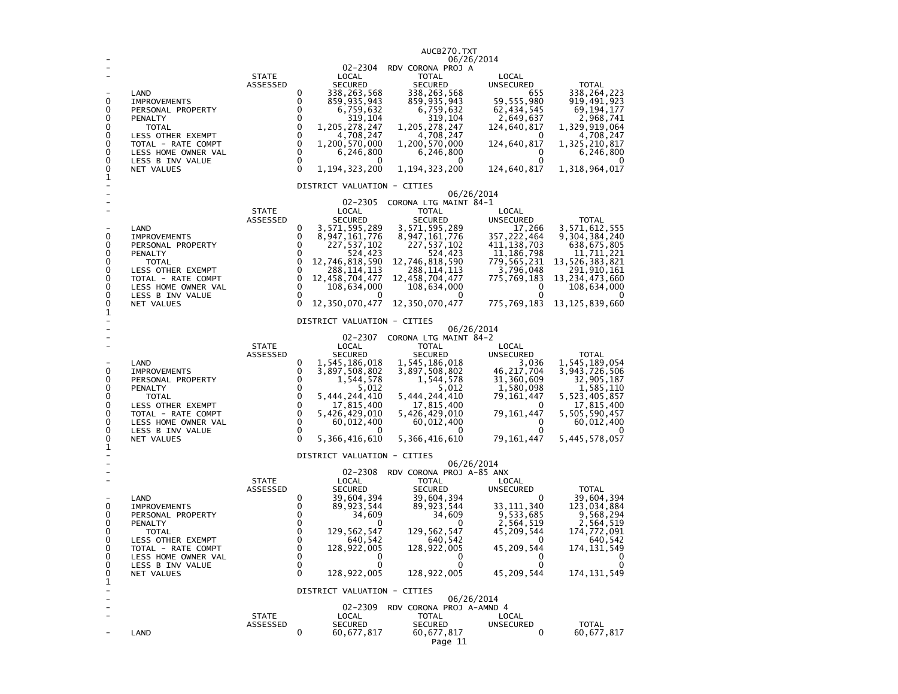|                                                |                                                                                                                                                                                        |                          |                                                                        |                                                                                                                                                                                                           | AUCB270.TXT                                                                                                                                                                                                 |                                                                                                                                                        |                                                                                                                                                                       |
|------------------------------------------------|----------------------------------------------------------------------------------------------------------------------------------------------------------------------------------------|--------------------------|------------------------------------------------------------------------|-----------------------------------------------------------------------------------------------------------------------------------------------------------------------------------------------------------|-------------------------------------------------------------------------------------------------------------------------------------------------------------------------------------------------------------|--------------------------------------------------------------------------------------------------------------------------------------------------------|-----------------------------------------------------------------------------------------------------------------------------------------------------------------------|
| 0<br>0<br>0<br>0<br>0<br>0<br>0<br>0<br>0<br>1 | LAND<br><b>IMPROVEMENTS</b><br>PERSONAL PROPERTY<br>PENALTY<br>TOTAL<br>LESS OTHER EXEMPT<br>TOTAL - RATE COMPT<br>LESS HOME OWNER VAL<br>LESS B INV VALUE<br>NET VALUES               | <b>STATE</b><br>ASSESSED | 0<br>0<br>0<br>0<br>0<br>0<br>0<br>0<br>0<br>$\Omega$                  | 02-2304<br>LOCAL<br><b>SECURED</b><br>338,263,568<br>859,935,943<br>6,759,632<br>319,104<br>1,205,278,247<br>4,708,247<br>1,200,570,000<br>6,246,800<br>0<br>1,194,323,200<br>DISTRICT VALUATION - CITIES | RDV CORONA PROJ A<br><b>TOTAL</b><br><b>SECURED</b><br>338,263,568<br>859,935,943<br>6,759,632<br>319,104<br>1, 205, 278, 247<br>4,708,247<br>1,200,570,000<br>6,246,800<br>0<br>1, 194, 323, 200           | 06/26/2014<br>LOCAL<br>UNSECURED<br>655<br>59,555,980<br>62,434,545<br>2,649,637<br>124,640,817<br>0<br>124,640,817<br>0<br>0<br>124,640,817           | <b>TOTAL</b><br>338,264,223<br>919,491,923<br>69,194,177<br>2,968,741<br>1,329,919,064<br>4,708,247<br>1,325,210,817<br>6,246,800<br>0<br>1,318,964,017               |
|                                                |                                                                                                                                                                                        |                          |                                                                        |                                                                                                                                                                                                           |                                                                                                                                                                                                             | 06/26/2014                                                                                                                                             |                                                                                                                                                                       |
| 0<br>0<br>0<br>0<br>0<br>0<br>0<br>0<br>0      | LAND<br><b>IMPROVEMENTS</b><br>PERSONAL PROPERTY<br>PENALTY<br><b>TOTAL</b><br>LESS OTHER EXEMPT<br>TOTAL - RATE COMPT<br>LESS HOME OWNER VAL<br>LESS B INV VALUE<br><b>NET VALUES</b> | <b>STATE</b><br>ASSESSED | 0<br>0<br>$\Omega$<br>0<br>0<br>0<br>0<br>$\mathbf 0$<br>0<br>$\Omega$ | 02-2305<br>LOCAL<br><b>SECURED</b><br>3,571,595,289<br>8,947,161,776<br>227, 537, 102<br>524,423<br>12,746,818,590<br>288, 114, 113<br>12,458,704,477<br>108,634,000<br>12,350,070,477                    | CORONA LTG MAINT 84-1<br><b>TOTAL</b><br>SECURED<br>3,571,595,289<br>8, 947, 161, 776<br>227,537,102<br>524,423<br>12,746,818,590<br>288,114,113<br>12, 458, 704, 477<br>108,634,000<br>0<br>12,350,070,477 | LOCAL<br><b>UNSECURED</b><br>17,266<br>357,222,464<br>411,138,703<br>11,186,798<br>779,565,231<br>3,796,048<br>775,769,183<br>0<br>0<br>775,769,183    | <b>TOTAL</b><br>3,571,612,555<br>9,304,384,240<br>638,675,805<br>11,711,221<br>13,526,383,821<br>291,910,161<br>13, 234, 473, 660<br>108,634,000<br>13, 125, 839, 660 |
| 1                                              |                                                                                                                                                                                        |                          |                                                                        | DISTRICT VALUATION - CITIES                                                                                                                                                                               |                                                                                                                                                                                                             |                                                                                                                                                        |                                                                                                                                                                       |
| 0<br>0<br>0<br>0<br>0<br>0<br>0<br>0<br>0<br>1 | LAND<br><b>IMPROVEMENTS</b><br>PERSONAL PROPERTY<br>PENALTY<br><b>TOTAL</b><br>LESS OTHER EXEMPT<br>TOTAL - RATE COMPT<br>LESS HOME OWNER VAL<br>LESS B INV VALUE<br>NET VALUES        | <b>STATE</b><br>ASSESSED | 0<br>0<br>0<br>0<br>0<br>$\pmb{0}$<br>0<br>0<br>0<br>$\Omega$          | 02-2307<br>LOCAL<br><b>SECURED</b><br>1,545,186,018<br>3,897,508,802<br>1,544,578<br>5,012<br>5,444,244,410<br>17,815,400<br>5,426,429,010<br>60,012,400<br>0<br>5,366,416,610                            | CORONA LTG MAINT 84-2<br><b>TOTAL</b><br><b>SECURED</b><br>1,545,186,018<br>3,897,508,802<br>1,544,578<br>5,012<br>5,444,244,410<br>17,815,400<br>5,426,429,010<br>60,012,400<br>$\Omega$<br>5,366,416,610  | 06/26/2014<br>LOCAL<br><b>UNSECURED</b><br>3,036<br>46, 217, 704<br>31,360,609<br>1,580,098<br>79, 161, 447<br>0<br>79,161,447<br>0<br>0<br>79,161,447 | <b>TOTAL</b><br>1,545,189,054<br>3,943,726,506<br>32,905,187<br>1,585,110<br>5,523,405,857<br>17,815,400<br>5,505,590,457<br>60,012,400<br>5,445,578,057              |
|                                                |                                                                                                                                                                                        |                          |                                                                        | DISTRICT VALUATION - CITIES                                                                                                                                                                               |                                                                                                                                                                                                             |                                                                                                                                                        |                                                                                                                                                                       |
| 0<br>0<br>0<br>0<br>0<br>0<br>0<br>0<br>0      | LAND<br><b>IMPROVEMENTS</b><br>PERSONAL PROPERTY<br>PENALTY<br>TOTAL<br>LESS OTHER EXEMPT<br>TOTAL - RATE COMPT<br>LESS HOME OWNER VAL<br>LESS B INV VALUE<br>NET VALUES               | <b>STATE</b><br>ASSESSED | 0<br>0<br>0<br>0<br>0<br>0<br>$\Omega$<br>0<br>0<br>0                  | 02-2308<br>LOCAL<br><b>SECURED</b><br>39,604,394<br>89, 923, 544<br>34,609<br>0<br>129,562,547<br>640,542<br>128,922,005<br>0<br>0<br>128,922,005                                                         | RDV CORONA PROJ A-85 ANX<br><b>TOTAL</b><br><b>SECURED</b><br>39,604,394<br>89, 923, 544<br>34,609<br>0<br>129,562,547<br>640,542<br>128,922,005<br>0<br>0<br>128,922,005                                   | 06/26/2014<br>LOCAL<br>UNSECURED<br>0<br>33, 111, 340<br>9,533,685<br>2,564,519<br>45,209,544<br>0<br>45,209,544<br>0<br>0<br>45,209,544               | <b>TOTAL</b><br>39,604,394<br>123,034,884<br>9,568,294<br>2,564,519<br>174,772,091<br>640,542<br>174, 131, 549<br>0<br>0<br>174, 131, 549                             |
| 1<br>۳                                         |                                                                                                                                                                                        |                          |                                                                        | DISTRICT VALUATION - CITIES                                                                                                                                                                               |                                                                                                                                                                                                             |                                                                                                                                                        |                                                                                                                                                                       |
| ÷<br>÷                                         | LAND                                                                                                                                                                                   | <b>STATE</b><br>ASSESSED | 0                                                                      | 02-2309<br>LOCAL<br><b>SECURED</b><br>60,677,817                                                                                                                                                          | RDV CORONA PROJ A-AMND 4<br><b>TOTAL</b><br>SECURED<br>60,677,817<br>Page 11                                                                                                                                | 06/26/2014<br>LOCAL<br><b>UNSECURED</b><br>$\mathbf 0$                                                                                                 | <b>TOTAL</b><br>60,677,817                                                                                                                                            |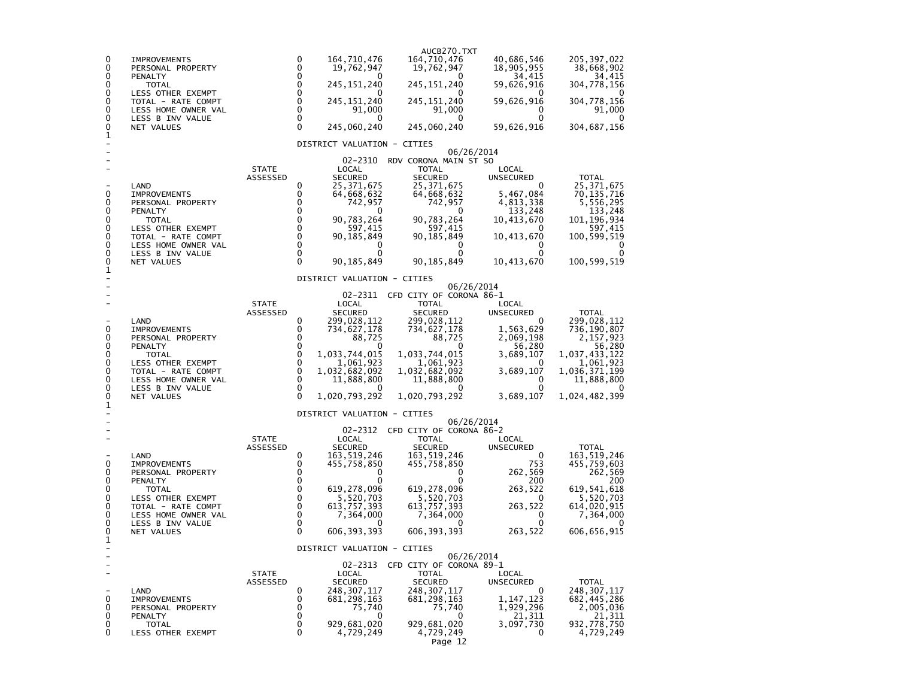| 205, 397, 022<br>0<br>164,710,476<br>164,710,476<br>40,686,546<br>0<br><b>IMPROVEMENTS</b><br>0<br>0<br>19,762,947<br>19,762,947<br>18,905,955<br>38,668,902<br>PERSONAL PROPERTY<br>0<br>0<br>34,415<br>34,415<br>PENALTY<br>0<br>0<br>245, 151, 240<br>59,626,916<br>304,778,156<br>0<br>245, 151, 240<br><b>TOTAL</b><br>$\mathbf 0$<br>0<br>LESS OTHER EXEMPT<br>$\mathbf 0$<br>245,151,240<br>245, 151, 240<br>59,626,916<br>0<br>304,778,156<br>TOTAL - RATE COMPT<br>$\mathbf 0$<br>0<br>91,000<br>91,000<br>91,000<br>LESS HOME OWNER VAL<br>0<br>$\mathbf 0$<br>0<br>LESS B INV VALUE<br>0<br>0<br>0<br>0<br>$\Omega$<br>245,060,240<br>245,060,240<br>304,687,156<br>0<br>59,626,916<br>NET VALUES<br>1<br>DISTRICT VALUATION - CITIES<br>06/26/2014<br>02-2310<br>RDV CORONA MAIN ST SO<br><b>STATE</b><br>LOCAL<br><b>TOTAL</b><br>LOCAL<br><b>SECURED</b><br><b>SECURED</b><br>ASSESSED<br><b>UNSECURED</b><br><b>TOTAL</b><br>0<br>25, 371, 675<br>25, 371, 675<br>25, 371, 675<br>LAND<br>0<br>0<br>0<br>5,467,084<br>70, 135, 716<br><b>IMPROVEMENTS</b><br>64,668,632<br>64,668,632<br>0<br>5,556,295<br>0<br>742,957<br>742,957<br>4,813,338<br>PERSONAL PROPERTY<br>0<br>133,248<br>0<br>PENALTY<br>0<br>133,248<br>0<br>0<br>90,783,264<br>90,783,264<br>101, 196, 934<br>0<br>10,413,670<br><b>TOTAL</b><br>0<br>0<br>597,415<br>597,415<br>597,415<br>LESS OTHER EXEMPT<br>0<br>0<br>0<br>90, 185, 849<br>90,185,849<br>10, 413, 670<br>100,599,519<br>TOTAL - RATE COMPT<br>0<br>0<br>0<br>LESS HOME OWNER VAL<br>0<br>0<br>$\mathbf 0$<br>0<br>LESS B INV VALUE<br>0<br>0<br>0<br>0<br>$\Omega$<br>90, 185, 849<br>90, 185, 849<br>10,413,670<br>100,599,519<br>0<br>NET VALUES<br>1<br>DISTRICT VALUATION - CITIES<br>06/26/2014<br>02-2311<br>CFD CITY OF CORONA 86-1<br><b>STATE</b><br>LOCAL<br><b>TOTAL</b><br>LOCAL<br>ASSESSED<br><b>SECURED</b><br><b>SECURED</b><br><b>TOTAL</b><br>UNSECURED<br>LAND<br>0<br>299,028,112<br>299,028,112<br>299,028,112<br>0<br>0<br>734,627,178<br>734,627,178<br>0<br>1,563,629<br>736,190,807<br><b>IMPROVEMENTS</b><br>0<br>0<br>88.725<br>88,725<br>2.069.198<br>2,157,923<br>PERSONAL PROPERTY<br>0<br>0<br>56,280<br>56,280<br>PENALTY<br>$\mathbf 0$<br>0<br>1,033,744,015<br>1,033,744,015<br>3,689,107<br>1,037,433,122<br><b>TOTAL</b><br>$\mathbf 0$<br>0<br>1,061,923<br>1,061,923<br>1,061,923<br>LESS OTHER EXEMPT<br>0<br>$\mathbf 0$<br>3,689,107<br>TOTAL - RATE COMPT<br>1,032,682,092<br>1,032,682,092<br>1,036,371,199<br>$\mathbf 0$<br>0<br>11,888,800<br>11,888,800<br>11,888,800<br>LESS HOME OWNER VAL<br>0<br>$\mathbf 0$<br>0<br>LESS B INV VALUE<br>0<br>0<br>0<br>$\Omega$<br>1,020,793,292<br>1,020,793,292<br>3,689,107<br>1,024,482,399<br>NET VALUES<br>1<br>DISTRICT VALUATION - CITIES<br>06/26/2014<br>02-2312<br>CFD CITY OF CORONA 86-2<br><b>STATE</b><br>LOCAL<br><b>TOTAL</b><br>LOCAL<br>ASSESSED<br><b>SECURED</b><br><b>SECURED</b><br>UNSECURED<br>TOTAL<br>LAND<br>0<br>163,519,246<br>163,519,246<br>163,519,246<br>0<br>0<br>753<br>0<br>455,758,850<br>455,758,850<br>455,759,603<br><b>IMPROVEMENTS</b><br>0<br>262,569<br>0<br>262,569<br>PERSONAL PROPERTY<br>0<br>0<br>0<br>0<br>PENALTY<br>200<br>200<br>0<br>619, 541, 618<br>0<br>619,278,096<br>619,278,096<br>263,522<br><b>TOTAL</b><br>$\mathbf 0$<br>5,520,703<br>5, 520, 703<br>613, 757, 393<br>0<br><b>LESS OTHER EXEMPT</b><br>5,520,703<br>$^{\circ}$ |   |                    |   |             | AUCB270.TXT |         |             |
|-------------------------------------------------------------------------------------------------------------------------------------------------------------------------------------------------------------------------------------------------------------------------------------------------------------------------------------------------------------------------------------------------------------------------------------------------------------------------------------------------------------------------------------------------------------------------------------------------------------------------------------------------------------------------------------------------------------------------------------------------------------------------------------------------------------------------------------------------------------------------------------------------------------------------------------------------------------------------------------------------------------------------------------------------------------------------------------------------------------------------------------------------------------------------------------------------------------------------------------------------------------------------------------------------------------------------------------------------------------------------------------------------------------------------------------------------------------------------------------------------------------------------------------------------------------------------------------------------------------------------------------------------------------------------------------------------------------------------------------------------------------------------------------------------------------------------------------------------------------------------------------------------------------------------------------------------------------------------------------------------------------------------------------------------------------------------------------------------------------------------------------------------------------------------------------------------------------------------------------------------------------------------------------------------------------------------------------------------------------------------------------------------------------------------------------------------------------------------------------------------------------------------------------------------------------------------------------------------------------------------------------------------------------------------------------------------------------------------------------------------------------------------------------------------------------------------------------------------------------------------------------------------------------------------------------------------------------------------------------------------------------------------------------------------------------------------------------------------------------------------------------------------------------------------------------------------------------------------------------------------------------------------------------------------------------------------------------------------------------------------------------------------------------------------------------------|---|--------------------|---|-------------|-------------|---------|-------------|
|                                                                                                                                                                                                                                                                                                                                                                                                                                                                                                                                                                                                                                                                                                                                                                                                                                                                                                                                                                                                                                                                                                                                                                                                                                                                                                                                                                                                                                                                                                                                                                                                                                                                                                                                                                                                                                                                                                                                                                                                                                                                                                                                                                                                                                                                                                                                                                                                                                                                                                                                                                                                                                                                                                                                                                                                                                                                                                                                                                                                                                                                                                                                                                                                                                                                                                                                                                                                                                           |   |                    |   |             |             |         |             |
|                                                                                                                                                                                                                                                                                                                                                                                                                                                                                                                                                                                                                                                                                                                                                                                                                                                                                                                                                                                                                                                                                                                                                                                                                                                                                                                                                                                                                                                                                                                                                                                                                                                                                                                                                                                                                                                                                                                                                                                                                                                                                                                                                                                                                                                                                                                                                                                                                                                                                                                                                                                                                                                                                                                                                                                                                                                                                                                                                                                                                                                                                                                                                                                                                                                                                                                                                                                                                                           |   |                    |   |             |             |         |             |
|                                                                                                                                                                                                                                                                                                                                                                                                                                                                                                                                                                                                                                                                                                                                                                                                                                                                                                                                                                                                                                                                                                                                                                                                                                                                                                                                                                                                                                                                                                                                                                                                                                                                                                                                                                                                                                                                                                                                                                                                                                                                                                                                                                                                                                                                                                                                                                                                                                                                                                                                                                                                                                                                                                                                                                                                                                                                                                                                                                                                                                                                                                                                                                                                                                                                                                                                                                                                                                           |   |                    |   |             |             |         |             |
|                                                                                                                                                                                                                                                                                                                                                                                                                                                                                                                                                                                                                                                                                                                                                                                                                                                                                                                                                                                                                                                                                                                                                                                                                                                                                                                                                                                                                                                                                                                                                                                                                                                                                                                                                                                                                                                                                                                                                                                                                                                                                                                                                                                                                                                                                                                                                                                                                                                                                                                                                                                                                                                                                                                                                                                                                                                                                                                                                                                                                                                                                                                                                                                                                                                                                                                                                                                                                                           |   |                    |   |             |             |         |             |
|                                                                                                                                                                                                                                                                                                                                                                                                                                                                                                                                                                                                                                                                                                                                                                                                                                                                                                                                                                                                                                                                                                                                                                                                                                                                                                                                                                                                                                                                                                                                                                                                                                                                                                                                                                                                                                                                                                                                                                                                                                                                                                                                                                                                                                                                                                                                                                                                                                                                                                                                                                                                                                                                                                                                                                                                                                                                                                                                                                                                                                                                                                                                                                                                                                                                                                                                                                                                                                           |   |                    |   |             |             |         |             |
|                                                                                                                                                                                                                                                                                                                                                                                                                                                                                                                                                                                                                                                                                                                                                                                                                                                                                                                                                                                                                                                                                                                                                                                                                                                                                                                                                                                                                                                                                                                                                                                                                                                                                                                                                                                                                                                                                                                                                                                                                                                                                                                                                                                                                                                                                                                                                                                                                                                                                                                                                                                                                                                                                                                                                                                                                                                                                                                                                                                                                                                                                                                                                                                                                                                                                                                                                                                                                                           |   |                    |   |             |             |         |             |
|                                                                                                                                                                                                                                                                                                                                                                                                                                                                                                                                                                                                                                                                                                                                                                                                                                                                                                                                                                                                                                                                                                                                                                                                                                                                                                                                                                                                                                                                                                                                                                                                                                                                                                                                                                                                                                                                                                                                                                                                                                                                                                                                                                                                                                                                                                                                                                                                                                                                                                                                                                                                                                                                                                                                                                                                                                                                                                                                                                                                                                                                                                                                                                                                                                                                                                                                                                                                                                           |   |                    |   |             |             |         |             |
|                                                                                                                                                                                                                                                                                                                                                                                                                                                                                                                                                                                                                                                                                                                                                                                                                                                                                                                                                                                                                                                                                                                                                                                                                                                                                                                                                                                                                                                                                                                                                                                                                                                                                                                                                                                                                                                                                                                                                                                                                                                                                                                                                                                                                                                                                                                                                                                                                                                                                                                                                                                                                                                                                                                                                                                                                                                                                                                                                                                                                                                                                                                                                                                                                                                                                                                                                                                                                                           |   |                    |   |             |             |         |             |
|                                                                                                                                                                                                                                                                                                                                                                                                                                                                                                                                                                                                                                                                                                                                                                                                                                                                                                                                                                                                                                                                                                                                                                                                                                                                                                                                                                                                                                                                                                                                                                                                                                                                                                                                                                                                                                                                                                                                                                                                                                                                                                                                                                                                                                                                                                                                                                                                                                                                                                                                                                                                                                                                                                                                                                                                                                                                                                                                                                                                                                                                                                                                                                                                                                                                                                                                                                                                                                           |   |                    |   |             |             |         |             |
|                                                                                                                                                                                                                                                                                                                                                                                                                                                                                                                                                                                                                                                                                                                                                                                                                                                                                                                                                                                                                                                                                                                                                                                                                                                                                                                                                                                                                                                                                                                                                                                                                                                                                                                                                                                                                                                                                                                                                                                                                                                                                                                                                                                                                                                                                                                                                                                                                                                                                                                                                                                                                                                                                                                                                                                                                                                                                                                                                                                                                                                                                                                                                                                                                                                                                                                                                                                                                                           |   |                    |   |             |             |         |             |
|                                                                                                                                                                                                                                                                                                                                                                                                                                                                                                                                                                                                                                                                                                                                                                                                                                                                                                                                                                                                                                                                                                                                                                                                                                                                                                                                                                                                                                                                                                                                                                                                                                                                                                                                                                                                                                                                                                                                                                                                                                                                                                                                                                                                                                                                                                                                                                                                                                                                                                                                                                                                                                                                                                                                                                                                                                                                                                                                                                                                                                                                                                                                                                                                                                                                                                                                                                                                                                           |   |                    |   |             |             |         |             |
|                                                                                                                                                                                                                                                                                                                                                                                                                                                                                                                                                                                                                                                                                                                                                                                                                                                                                                                                                                                                                                                                                                                                                                                                                                                                                                                                                                                                                                                                                                                                                                                                                                                                                                                                                                                                                                                                                                                                                                                                                                                                                                                                                                                                                                                                                                                                                                                                                                                                                                                                                                                                                                                                                                                                                                                                                                                                                                                                                                                                                                                                                                                                                                                                                                                                                                                                                                                                                                           |   |                    |   |             |             |         |             |
|                                                                                                                                                                                                                                                                                                                                                                                                                                                                                                                                                                                                                                                                                                                                                                                                                                                                                                                                                                                                                                                                                                                                                                                                                                                                                                                                                                                                                                                                                                                                                                                                                                                                                                                                                                                                                                                                                                                                                                                                                                                                                                                                                                                                                                                                                                                                                                                                                                                                                                                                                                                                                                                                                                                                                                                                                                                                                                                                                                                                                                                                                                                                                                                                                                                                                                                                                                                                                                           |   |                    |   |             |             |         |             |
|                                                                                                                                                                                                                                                                                                                                                                                                                                                                                                                                                                                                                                                                                                                                                                                                                                                                                                                                                                                                                                                                                                                                                                                                                                                                                                                                                                                                                                                                                                                                                                                                                                                                                                                                                                                                                                                                                                                                                                                                                                                                                                                                                                                                                                                                                                                                                                                                                                                                                                                                                                                                                                                                                                                                                                                                                                                                                                                                                                                                                                                                                                                                                                                                                                                                                                                                                                                                                                           |   |                    |   |             |             |         |             |
|                                                                                                                                                                                                                                                                                                                                                                                                                                                                                                                                                                                                                                                                                                                                                                                                                                                                                                                                                                                                                                                                                                                                                                                                                                                                                                                                                                                                                                                                                                                                                                                                                                                                                                                                                                                                                                                                                                                                                                                                                                                                                                                                                                                                                                                                                                                                                                                                                                                                                                                                                                                                                                                                                                                                                                                                                                                                                                                                                                                                                                                                                                                                                                                                                                                                                                                                                                                                                                           |   |                    |   |             |             |         |             |
|                                                                                                                                                                                                                                                                                                                                                                                                                                                                                                                                                                                                                                                                                                                                                                                                                                                                                                                                                                                                                                                                                                                                                                                                                                                                                                                                                                                                                                                                                                                                                                                                                                                                                                                                                                                                                                                                                                                                                                                                                                                                                                                                                                                                                                                                                                                                                                                                                                                                                                                                                                                                                                                                                                                                                                                                                                                                                                                                                                                                                                                                                                                                                                                                                                                                                                                                                                                                                                           |   |                    |   |             |             |         |             |
|                                                                                                                                                                                                                                                                                                                                                                                                                                                                                                                                                                                                                                                                                                                                                                                                                                                                                                                                                                                                                                                                                                                                                                                                                                                                                                                                                                                                                                                                                                                                                                                                                                                                                                                                                                                                                                                                                                                                                                                                                                                                                                                                                                                                                                                                                                                                                                                                                                                                                                                                                                                                                                                                                                                                                                                                                                                                                                                                                                                                                                                                                                                                                                                                                                                                                                                                                                                                                                           |   |                    |   |             |             |         |             |
|                                                                                                                                                                                                                                                                                                                                                                                                                                                                                                                                                                                                                                                                                                                                                                                                                                                                                                                                                                                                                                                                                                                                                                                                                                                                                                                                                                                                                                                                                                                                                                                                                                                                                                                                                                                                                                                                                                                                                                                                                                                                                                                                                                                                                                                                                                                                                                                                                                                                                                                                                                                                                                                                                                                                                                                                                                                                                                                                                                                                                                                                                                                                                                                                                                                                                                                                                                                                                                           |   |                    |   |             |             |         |             |
|                                                                                                                                                                                                                                                                                                                                                                                                                                                                                                                                                                                                                                                                                                                                                                                                                                                                                                                                                                                                                                                                                                                                                                                                                                                                                                                                                                                                                                                                                                                                                                                                                                                                                                                                                                                                                                                                                                                                                                                                                                                                                                                                                                                                                                                                                                                                                                                                                                                                                                                                                                                                                                                                                                                                                                                                                                                                                                                                                                                                                                                                                                                                                                                                                                                                                                                                                                                                                                           |   |                    |   |             |             |         |             |
|                                                                                                                                                                                                                                                                                                                                                                                                                                                                                                                                                                                                                                                                                                                                                                                                                                                                                                                                                                                                                                                                                                                                                                                                                                                                                                                                                                                                                                                                                                                                                                                                                                                                                                                                                                                                                                                                                                                                                                                                                                                                                                                                                                                                                                                                                                                                                                                                                                                                                                                                                                                                                                                                                                                                                                                                                                                                                                                                                                                                                                                                                                                                                                                                                                                                                                                                                                                                                                           |   |                    |   |             |             |         |             |
|                                                                                                                                                                                                                                                                                                                                                                                                                                                                                                                                                                                                                                                                                                                                                                                                                                                                                                                                                                                                                                                                                                                                                                                                                                                                                                                                                                                                                                                                                                                                                                                                                                                                                                                                                                                                                                                                                                                                                                                                                                                                                                                                                                                                                                                                                                                                                                                                                                                                                                                                                                                                                                                                                                                                                                                                                                                                                                                                                                                                                                                                                                                                                                                                                                                                                                                                                                                                                                           |   |                    |   |             |             |         |             |
|                                                                                                                                                                                                                                                                                                                                                                                                                                                                                                                                                                                                                                                                                                                                                                                                                                                                                                                                                                                                                                                                                                                                                                                                                                                                                                                                                                                                                                                                                                                                                                                                                                                                                                                                                                                                                                                                                                                                                                                                                                                                                                                                                                                                                                                                                                                                                                                                                                                                                                                                                                                                                                                                                                                                                                                                                                                                                                                                                                                                                                                                                                                                                                                                                                                                                                                                                                                                                                           |   |                    |   |             |             |         |             |
|                                                                                                                                                                                                                                                                                                                                                                                                                                                                                                                                                                                                                                                                                                                                                                                                                                                                                                                                                                                                                                                                                                                                                                                                                                                                                                                                                                                                                                                                                                                                                                                                                                                                                                                                                                                                                                                                                                                                                                                                                                                                                                                                                                                                                                                                                                                                                                                                                                                                                                                                                                                                                                                                                                                                                                                                                                                                                                                                                                                                                                                                                                                                                                                                                                                                                                                                                                                                                                           |   |                    |   |             |             |         |             |
|                                                                                                                                                                                                                                                                                                                                                                                                                                                                                                                                                                                                                                                                                                                                                                                                                                                                                                                                                                                                                                                                                                                                                                                                                                                                                                                                                                                                                                                                                                                                                                                                                                                                                                                                                                                                                                                                                                                                                                                                                                                                                                                                                                                                                                                                                                                                                                                                                                                                                                                                                                                                                                                                                                                                                                                                                                                                                                                                                                                                                                                                                                                                                                                                                                                                                                                                                                                                                                           |   |                    |   |             |             |         |             |
|                                                                                                                                                                                                                                                                                                                                                                                                                                                                                                                                                                                                                                                                                                                                                                                                                                                                                                                                                                                                                                                                                                                                                                                                                                                                                                                                                                                                                                                                                                                                                                                                                                                                                                                                                                                                                                                                                                                                                                                                                                                                                                                                                                                                                                                                                                                                                                                                                                                                                                                                                                                                                                                                                                                                                                                                                                                                                                                                                                                                                                                                                                                                                                                                                                                                                                                                                                                                                                           |   |                    |   |             |             |         |             |
|                                                                                                                                                                                                                                                                                                                                                                                                                                                                                                                                                                                                                                                                                                                                                                                                                                                                                                                                                                                                                                                                                                                                                                                                                                                                                                                                                                                                                                                                                                                                                                                                                                                                                                                                                                                                                                                                                                                                                                                                                                                                                                                                                                                                                                                                                                                                                                                                                                                                                                                                                                                                                                                                                                                                                                                                                                                                                                                                                                                                                                                                                                                                                                                                                                                                                                                                                                                                                                           |   |                    |   |             |             |         |             |
|                                                                                                                                                                                                                                                                                                                                                                                                                                                                                                                                                                                                                                                                                                                                                                                                                                                                                                                                                                                                                                                                                                                                                                                                                                                                                                                                                                                                                                                                                                                                                                                                                                                                                                                                                                                                                                                                                                                                                                                                                                                                                                                                                                                                                                                                                                                                                                                                                                                                                                                                                                                                                                                                                                                                                                                                                                                                                                                                                                                                                                                                                                                                                                                                                                                                                                                                                                                                                                           |   |                    |   |             |             |         |             |
|                                                                                                                                                                                                                                                                                                                                                                                                                                                                                                                                                                                                                                                                                                                                                                                                                                                                                                                                                                                                                                                                                                                                                                                                                                                                                                                                                                                                                                                                                                                                                                                                                                                                                                                                                                                                                                                                                                                                                                                                                                                                                                                                                                                                                                                                                                                                                                                                                                                                                                                                                                                                                                                                                                                                                                                                                                                                                                                                                                                                                                                                                                                                                                                                                                                                                                                                                                                                                                           |   |                    |   |             |             |         |             |
|                                                                                                                                                                                                                                                                                                                                                                                                                                                                                                                                                                                                                                                                                                                                                                                                                                                                                                                                                                                                                                                                                                                                                                                                                                                                                                                                                                                                                                                                                                                                                                                                                                                                                                                                                                                                                                                                                                                                                                                                                                                                                                                                                                                                                                                                                                                                                                                                                                                                                                                                                                                                                                                                                                                                                                                                                                                                                                                                                                                                                                                                                                                                                                                                                                                                                                                                                                                                                                           |   |                    |   |             |             |         |             |
|                                                                                                                                                                                                                                                                                                                                                                                                                                                                                                                                                                                                                                                                                                                                                                                                                                                                                                                                                                                                                                                                                                                                                                                                                                                                                                                                                                                                                                                                                                                                                                                                                                                                                                                                                                                                                                                                                                                                                                                                                                                                                                                                                                                                                                                                                                                                                                                                                                                                                                                                                                                                                                                                                                                                                                                                                                                                                                                                                                                                                                                                                                                                                                                                                                                                                                                                                                                                                                           |   |                    |   |             |             |         |             |
|                                                                                                                                                                                                                                                                                                                                                                                                                                                                                                                                                                                                                                                                                                                                                                                                                                                                                                                                                                                                                                                                                                                                                                                                                                                                                                                                                                                                                                                                                                                                                                                                                                                                                                                                                                                                                                                                                                                                                                                                                                                                                                                                                                                                                                                                                                                                                                                                                                                                                                                                                                                                                                                                                                                                                                                                                                                                                                                                                                                                                                                                                                                                                                                                                                                                                                                                                                                                                                           | 0 | TOTAL - RATE COMPT | 0 | 613,757,393 |             | 263,522 | 614,020,915 |
| $\mathbf 0$<br>0<br>7,364,000<br>7,364,000<br>0<br>7,364,000<br>LESS HOME OWNER VAL<br>0<br>0<br>LESS B INV VALUE<br>0<br>0<br>0                                                                                                                                                                                                                                                                                                                                                                                                                                                                                                                                                                                                                                                                                                                                                                                                                                                                                                                                                                                                                                                                                                                                                                                                                                                                                                                                                                                                                                                                                                                                                                                                                                                                                                                                                                                                                                                                                                                                                                                                                                                                                                                                                                                                                                                                                                                                                                                                                                                                                                                                                                                                                                                                                                                                                                                                                                                                                                                                                                                                                                                                                                                                                                                                                                                                                                          |   |                    |   |             |             |         |             |
| $\Omega$<br>606, 393, 393<br>606, 393, 393<br>606,656,915<br>0<br>263,522<br>NET VALUES<br>1                                                                                                                                                                                                                                                                                                                                                                                                                                                                                                                                                                                                                                                                                                                                                                                                                                                                                                                                                                                                                                                                                                                                                                                                                                                                                                                                                                                                                                                                                                                                                                                                                                                                                                                                                                                                                                                                                                                                                                                                                                                                                                                                                                                                                                                                                                                                                                                                                                                                                                                                                                                                                                                                                                                                                                                                                                                                                                                                                                                                                                                                                                                                                                                                                                                                                                                                              |   |                    |   |             |             |         |             |
| DISTRICT VALUATION - CITIES<br>06/26/2014                                                                                                                                                                                                                                                                                                                                                                                                                                                                                                                                                                                                                                                                                                                                                                                                                                                                                                                                                                                                                                                                                                                                                                                                                                                                                                                                                                                                                                                                                                                                                                                                                                                                                                                                                                                                                                                                                                                                                                                                                                                                                                                                                                                                                                                                                                                                                                                                                                                                                                                                                                                                                                                                                                                                                                                                                                                                                                                                                                                                                                                                                                                                                                                                                                                                                                                                                                                                 |   |                    |   |             |             |         |             |
| 02-2313<br>CFD CITY OF CORONA 89-1                                                                                                                                                                                                                                                                                                                                                                                                                                                                                                                                                                                                                                                                                                                                                                                                                                                                                                                                                                                                                                                                                                                                                                                                                                                                                                                                                                                                                                                                                                                                                                                                                                                                                                                                                                                                                                                                                                                                                                                                                                                                                                                                                                                                                                                                                                                                                                                                                                                                                                                                                                                                                                                                                                                                                                                                                                                                                                                                                                                                                                                                                                                                                                                                                                                                                                                                                                                                        |   |                    |   |             |             |         |             |
| <b>STATE</b><br>LOCAL<br><b>TOTAL</b><br>LOCAL<br>ASSESSED<br><b>SECURED</b><br><b>SECURED</b><br><b>UNSECURED</b><br><b>TOTAL</b>                                                                                                                                                                                                                                                                                                                                                                                                                                                                                                                                                                                                                                                                                                                                                                                                                                                                                                                                                                                                                                                                                                                                                                                                                                                                                                                                                                                                                                                                                                                                                                                                                                                                                                                                                                                                                                                                                                                                                                                                                                                                                                                                                                                                                                                                                                                                                                                                                                                                                                                                                                                                                                                                                                                                                                                                                                                                                                                                                                                                                                                                                                                                                                                                                                                                                                        |   |                    |   |             |             |         |             |
| 0<br>LAND<br>248,307,117<br>248,307,117<br>248,307,117<br>$\Omega$                                                                                                                                                                                                                                                                                                                                                                                                                                                                                                                                                                                                                                                                                                                                                                                                                                                                                                                                                                                                                                                                                                                                                                                                                                                                                                                                                                                                                                                                                                                                                                                                                                                                                                                                                                                                                                                                                                                                                                                                                                                                                                                                                                                                                                                                                                                                                                                                                                                                                                                                                                                                                                                                                                                                                                                                                                                                                                                                                                                                                                                                                                                                                                                                                                                                                                                                                                        |   |                    |   |             |             |         |             |
| 0<br>1,147,123<br>0<br><b>IMPROVEMENTS</b><br>681,298,163<br>681,298,163<br>682,445,286<br>0<br>75,740<br>0<br>75,740<br>1,929,296<br>2,005,036<br>PERSONAL PROPERTY                                                                                                                                                                                                                                                                                                                                                                                                                                                                                                                                                                                                                                                                                                                                                                                                                                                                                                                                                                                                                                                                                                                                                                                                                                                                                                                                                                                                                                                                                                                                                                                                                                                                                                                                                                                                                                                                                                                                                                                                                                                                                                                                                                                                                                                                                                                                                                                                                                                                                                                                                                                                                                                                                                                                                                                                                                                                                                                                                                                                                                                                                                                                                                                                                                                                      |   |                    |   |             |             |         |             |
| 0<br>0<br>0<br>0<br>21,311<br>21,311<br>PENALTY<br>0<br>929,681,020<br>929,681,020<br>0<br>3,097,730<br>932,778,750<br>TOTAL                                                                                                                                                                                                                                                                                                                                                                                                                                                                                                                                                                                                                                                                                                                                                                                                                                                                                                                                                                                                                                                                                                                                                                                                                                                                                                                                                                                                                                                                                                                                                                                                                                                                                                                                                                                                                                                                                                                                                                                                                                                                                                                                                                                                                                                                                                                                                                                                                                                                                                                                                                                                                                                                                                                                                                                                                                                                                                                                                                                                                                                                                                                                                                                                                                                                                                              |   |                    |   |             |             |         |             |
| 0<br>0<br>4,729,249<br>4,729,249<br>4,729,249<br>LESS OTHER EXEMPT<br>0<br>Page 12                                                                                                                                                                                                                                                                                                                                                                                                                                                                                                                                                                                                                                                                                                                                                                                                                                                                                                                                                                                                                                                                                                                                                                                                                                                                                                                                                                                                                                                                                                                                                                                                                                                                                                                                                                                                                                                                                                                                                                                                                                                                                                                                                                                                                                                                                                                                                                                                                                                                                                                                                                                                                                                                                                                                                                                                                                                                                                                                                                                                                                                                                                                                                                                                                                                                                                                                                        |   |                    |   |             |             |         |             |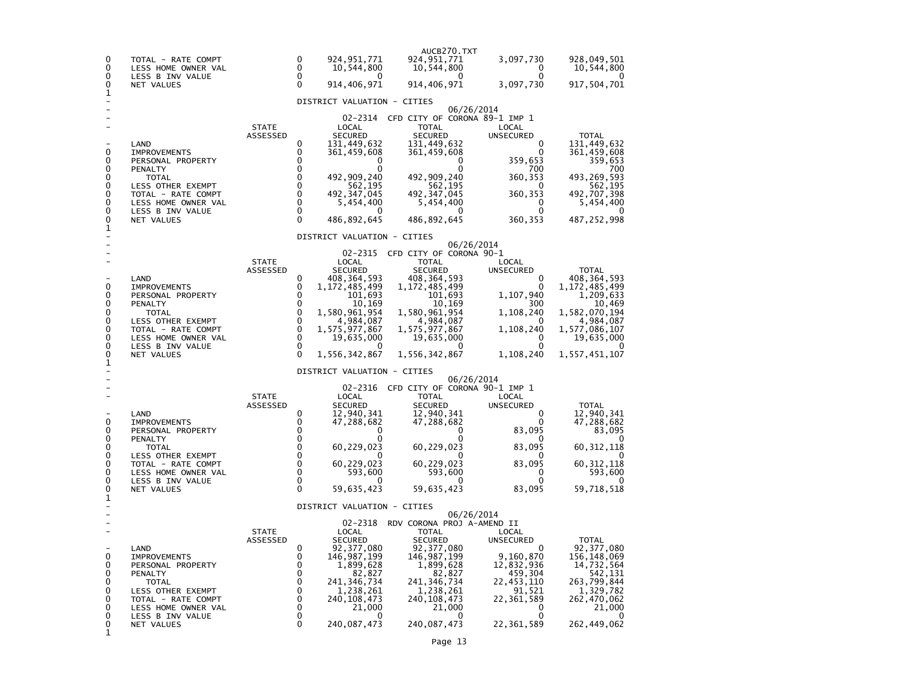| 0<br>0<br>0<br>0                                         | TOTAL - RATE COMPT<br>LESS HOME OWNER VAL<br>LESS B INV VALUE<br>NET VALUES                                                                                                     |                          | 0<br>0<br>0<br>0                                                                           | 924,951,771<br>10,544,800<br>0<br>914,406,971                                                                                                                                                           | AUCB270.TXT<br>924,951,771<br>10,544,800<br>0<br>914,406,971                                                                                                                                           | 3,097,730<br>0<br>0<br>3,097,730                                                                                                   | 928,049,501<br>10,544,800<br>0<br>917,504,701                                                                                                     |
|----------------------------------------------------------|---------------------------------------------------------------------------------------------------------------------------------------------------------------------------------|--------------------------|--------------------------------------------------------------------------------------------|---------------------------------------------------------------------------------------------------------------------------------------------------------------------------------------------------------|--------------------------------------------------------------------------------------------------------------------------------------------------------------------------------------------------------|------------------------------------------------------------------------------------------------------------------------------------|---------------------------------------------------------------------------------------------------------------------------------------------------|
| 1                                                        |                                                                                                                                                                                 |                          |                                                                                            | DISTRICT VALUATION - CITIES                                                                                                                                                                             |                                                                                                                                                                                                        |                                                                                                                                    |                                                                                                                                                   |
| 0<br>0<br>0<br>0<br>0<br>0<br>0<br>0<br>0                | LAND<br><b>IMPROVEMENTS</b><br>PERSONAL PROPERTY<br>PENALTY<br><b>TOTAL</b><br>LESS OTHER EXEMPT<br>TOTAL - RATE COMPT<br>LESS HOME OWNER VAL<br>LESS B INV VALUE<br>NET VALUES | <b>STATE</b><br>ASSESSED | 0<br>$\Omega$<br>$\Omega$<br>$\Omega$<br>$\Omega$<br>0<br>0<br>0<br>0<br>$\Omega$          | 02-2314<br>LOCAL<br><b>SECURED</b><br>131,449,632<br>361,459,608<br>0<br>0<br>492,909,240<br>562,195<br>492.347.045<br>5,454,400<br>0<br>486,892,645                                                    | CFD CITY OF CORONA 89-1 IMP 1<br><b>TOTAL</b><br><b>SECURED</b><br>131,449,632<br>361,459,608<br>o<br>492.909.240<br>562,195<br>492, 347, 045<br>5,454,400<br>$\mathbf{0}$<br>486,892,645              | 06/26/2014<br>LOCAL<br><b>UNSECURED</b><br>0<br>$\Omega$<br>359,653<br>700<br>360,353<br>0<br>360,353<br>0<br>$\Omega$<br>360, 353 | <b>TOTAL</b><br>131,449,632<br>361,459,608<br>359,653<br>700<br>493,269,593<br>562,195<br>492,707,398<br>5,454,400<br>0<br>487,252,998            |
| 1                                                        |                                                                                                                                                                                 |                          |                                                                                            | DISTRICT VALUATION - CITIES                                                                                                                                                                             |                                                                                                                                                                                                        |                                                                                                                                    |                                                                                                                                                   |
| 0<br>0<br>0<br>0<br>0<br>0<br>0<br>0<br>0<br>1           | LAND<br><b>IMPROVEMENTS</b><br>PERSONAL PROPERTY<br>PENALTY<br><b>TOTAL</b><br>LESS OTHER EXEMPT<br>TOTAL - RATE COMPT<br>LESS HOME OWNER VAL<br>LESS B INV VALUE<br>NET VALUES | <b>STATE</b><br>ASSESSED | 0<br>0<br>0<br>$\mathbf 0$<br>0<br>0<br>$\mathbf 0$<br>$\mathbf 0$<br>$\Omega$<br>$\Omega$ | 02-2315<br>LOCAL<br><b>SECURED</b><br>408,364,593<br>1, 172, 485, 499<br>101,693<br>10,169<br>1,580,961,954<br>4,984,087<br>1,575,977,867<br>19,635,000<br>1,556,342,867<br>DISTRICT VALUATION - CITIES | CFD CITY OF CORONA 90-1<br><b>TOTAL</b><br><b>SECURED</b><br>408, 364, 593<br>1, 172, 485, 499<br>101,693<br>10,169<br>1,580,961,954<br>4,984,087<br>1,575,977,867<br>19,635,000<br>0<br>1,556,342,867 | 06/26/2014<br>LOCAL<br>UNSECURED<br>0<br>0<br>1,107,940<br>300<br>1,108,240<br>0<br>1,108,240<br>0<br>0<br>1,108,240               | <b>TOTAL</b><br>408,364,593<br>1,172,485,499<br>1,209,633<br>10.469<br>1,582,070,194<br>4,984,087<br>1,577,086,107<br>19,635,000<br>1,557,451,107 |
|                                                          |                                                                                                                                                                                 | <b>STATE</b>             |                                                                                            | 02-2316<br>LOCAL                                                                                                                                                                                        | CFD CITY OF CORONA 90-1 IMP 1<br><b>TOTAL</b>                                                                                                                                                          | 06/26/2014<br>LOCAL                                                                                                                |                                                                                                                                                   |
| 0<br>0<br>0                                              | LAND<br><b>IMPROVEMENTS</b><br>PERSONAL PROPERTY                                                                                                                                | ASSESSED                 | 0<br>0<br>0<br>0                                                                           | <b>SECURED</b><br>12,940,341<br>47,288,682<br>O<br>0                                                                                                                                                    | <b>SECURED</b><br>12,940,341<br>47,288,682<br>0<br>0                                                                                                                                                   | UNSECURED<br>0<br>0<br>83,095<br>0                                                                                                 | <b>TOTAL</b><br>12,940,341<br>47,288,682<br>83,095<br>$\Omega$                                                                                    |
| 0                                                        | PENALTY<br>TOTAL                                                                                                                                                                |                          | 0                                                                                          | 60,229,023                                                                                                                                                                                              | 60,229,023                                                                                                                                                                                             | 83,095                                                                                                                             | 60,312,118                                                                                                                                        |
| 0<br>0<br>0<br>0                                         | LESS OTHER EXEMPT<br>TOTAL - RATE COMPT<br>LESS HOME OWNER VAL                                                                                                                  |                          | 0<br>$\mathbf 0$<br>0<br>0                                                                 | 60,229,023<br>593,600<br>0                                                                                                                                                                              | 60,229,023<br>593,600<br>0                                                                                                                                                                             | $\mathbf{0}$<br>83,095<br>0<br>0                                                                                                   | 60, 312, 118<br>593,600<br>O                                                                                                                      |
| 0                                                        | LESS B INV VALUE<br>NET VALUES                                                                                                                                                  |                          | $\Omega$                                                                                   | 59,635,423                                                                                                                                                                                              | 59,635,423                                                                                                                                                                                             | 83,095                                                                                                                             | 59,718,518                                                                                                                                        |
| 1                                                        |                                                                                                                                                                                 |                          |                                                                                            | DISTRICT VALUATION - CITIES                                                                                                                                                                             |                                                                                                                                                                                                        |                                                                                                                                    |                                                                                                                                                   |
|                                                          |                                                                                                                                                                                 |                          |                                                                                            | 02-2318                                                                                                                                                                                                 | RDV CORONA PROJ A-AMEND II                                                                                                                                                                             | 06/26/2014                                                                                                                         |                                                                                                                                                   |
| $\mathbf 0$<br>0<br>0<br>0<br>0<br>0<br>0<br>0<br>0<br>1 | LAND<br><b>IMPROVEMENTS</b><br>PERSONAL PROPERTY<br>PENALTY<br><b>TOTAL</b><br>LESS OTHER EXEMPT<br>TOTAL - RATE COMPT<br>LESS HOME OWNER VAL<br>LESS B INV VALUE<br>NET VALUES | <b>STATE</b><br>ASSESSED | 0<br>0<br>0<br>0<br>0<br>$\mathbf 0$<br>0<br>0<br>0<br>0                                   | LOCAL<br><b>SECURED</b><br>92, 377, 080<br>146, 987, 199<br>1,899,628<br>82,827<br>241, 346, 734<br>1,238,261<br>240,108,473<br>21,000<br>0<br>240,087,473                                              | <b>TOTAL</b><br><b>SECURED</b><br>92, 377, 080<br>146, 987, 199<br>1,899,628<br>82,827<br>241, 346, 734<br>1,238,261<br>240,108,473<br>21,000<br>0<br>240,087,473                                      | LOCAL<br><b>UNSECURED</b><br>0<br>9,160,870<br>12,832,936<br>459,304<br>22,453,110<br>91,521<br>22,361,589<br>0<br>0<br>22,361,589 | <b>TOTAL</b><br>92, 377, 080<br>156, 148, 069<br>14,732,564<br>542,131<br>263,799,844<br>1,329,782<br>262,470,062<br>21,000<br>0<br>262,449,062   |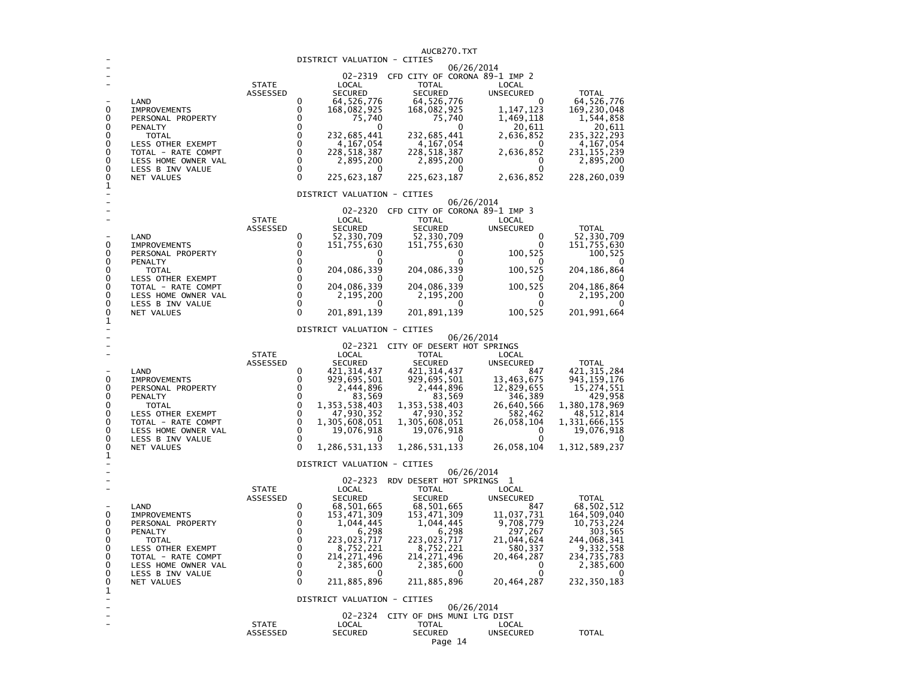|                            |                                         |                          |                            |                                | AUCB270.TXT                                         |                           |                               |
|----------------------------|-----------------------------------------|--------------------------|----------------------------|--------------------------------|-----------------------------------------------------|---------------------------|-------------------------------|
|                            |                                         |                          |                            | DISTRICT VALUATION - CITIES    | 06/26/2014                                          |                           |                               |
|                            |                                         |                          |                            |                                | 02-2319 CFD CITY OF CORONA 89-1 IMP 2               |                           |                               |
|                            |                                         | <b>STATE</b><br>ASSESSED |                            | LOCAL<br><b>SECURED</b>        | <b>TOTAL</b><br><b>SECURED</b>                      | LOCAL<br><b>UNSECURED</b> | <b>TOTAL</b>                  |
|                            | LAND                                    |                          | $\Omega$                   | 64, 526, 776                   | 64,526,776                                          | <sup>0</sup>              |                               |
| 0                          | <b>IMPROVEMENTS</b>                     |                          | $\mathbf 0$                | 168,082,925                    | 168,082,925<br>75,740                               | 1, 147, 123               | 64, 526, 776<br>169, 230, 048 |
| 0<br>0                     | PERSONAL PROPERTY<br>PENALTY            |                          | $\mathbf 0$<br>0           | 75,740<br>0                    | <sup>0</sup>                                        | 1,469,118<br>20,611       | 1,544,858<br>20,611           |
| 0                          | <b>TOTAL</b>                            |                          | $\mathbf 0$                | 232,685,441                    | 232,685,441                                         | 2,636,852                 | 235,322,293                   |
| 0<br>$\mathbf 0$           | LESS OTHER EXEMPT<br>TOTAL - RATE COMPT |                          | $\mathbf 0$<br>$\mathbf 0$ | 4,167,054<br>228,518,387       | 4, 167, 054<br>228,518,387                          | 0                         | 4,167,054<br>231,155,239      |
| 0                          | LESS HOME OWNER VAL                     |                          | $\mathbf 0$                | 2,895,200                      | 2,895,200                                           | 2,636,852<br>0            | 2,895,200                     |
| 0                          | LESS B INV VALUE                        |                          | $\mathbf 0$                | $\Omega$                       | $\Omega$                                            | 0                         |                               |
| 0<br>$\mathbf{1}$          | NET VALUES                              |                          | $\Omega$                   | 225, 623, 187                  | 225, 623, 187                                       | 2,636,852                 | 228,260,039                   |
|                            |                                         |                          |                            | DISTRICT VALUATION - CITIES    |                                                     |                           |                               |
|                            |                                         |                          |                            |                                | 06/26/2014<br>02-2320 CFD CITY OF CORONA 89-1 IMP 3 |                           |                               |
|                            |                                         | <b>STATE</b>             |                            | LOCAL                          | <b>TOTAL</b>                                        | LOCAL                     |                               |
|                            |                                         | ASSESSED                 |                            | <b>SECURED</b>                 | <b>SECURED</b>                                      | UNSECURED                 | <b>TOTAL</b>                  |
| 0                          | LAND<br>IMPROVEMENTS                    |                          | 0<br>0                     | 52,330,709<br>151,755,630      | 52, 330, 709<br>151,755,630                         | $\Omega$<br>0             | 52, 330, 709<br>151, 755, 630 |
| $\mathbf{0}$               | PERSONAL PROPERTY                       |                          | $\Omega$                   | 0                              | 0                                                   | 100,525                   | 100,525                       |
| 0                          | PENALTY                                 |                          | $\mathbf 0$                | $\Omega$                       | $\Omega$                                            | $^{\circ}$                | $\Omega$                      |
| 0<br>0                     | <b>TOTAL</b><br>LESS OTHER EXEMPT       |                          | $\mathbf 0$<br>$\mathbf 0$ | 204,086,339                    | 204,086,339                                         | 100,525<br>0              | 204, 186, 864                 |
| 0                          | TOTAL - RATE COMPT                      |                          | $\mathbf 0$                | 204,086,339                    | 204,086,339                                         | 100,525                   | 204, 186, 864                 |
| $\mathbf 0$<br>$\mathbf 0$ | LESS HOME OWNER VAL<br>LESS B INV VALUE |                          | $\mathbf 0$<br>$\mathbf 0$ | 2,195,200<br>0                 | 2,195,200<br>0                                      | $\Omega$<br>$\Omega$      | 2,195,200<br>O                |
| 0                          | NET VALUES                              |                          | $\Omega$                   | 201,891,139                    | 201,891,139                                         | 100,525                   | 201,991,664                   |
| 1                          |                                         |                          |                            |                                |                                                     |                           |                               |
|                            |                                         |                          |                            | DISTRICT VALUATION - CITIES    | 06/26/2014                                          |                           |                               |
|                            |                                         |                          |                            |                                | 02-2321 CITY OF DESERT HOT SPRINGS                  |                           |                               |
|                            |                                         | <b>STATE</b><br>ASSESSED |                            | LOCAL<br><b>SECURED</b>        | <b>TOTAL</b><br><b>SECURED</b>                      | LOCAL<br>UNSECURED        | <b>TOTAL</b>                  |
|                            | LAND                                    |                          | $\Omega$                   | 421, 314, 437<br>929, 695, 501 | 421, 314, 437                                       | 847                       | 421, 315, 284                 |
| $\Omega$<br>0              | <b>IMPROVEMENTS</b>                     |                          | $\Omega$                   |                                | 929,695,501                                         | 13,463,675                | 943, 159, 176                 |
| 0                          | PERSONAL PROPERTY<br>PENALTY            |                          | 0<br>$\mathbf 0$           | 2,444,896<br>83,569            | 2,444,896<br>83,569                                 | 12,829,655<br>346,389     | 15, 274, 551<br>429,958       |
| 0                          | <b>TOTAL</b>                            |                          | $\pmb{0}$                  | 1,353,538,403                  | 1,353,538,403                                       | 26,640,566                | 1,380,178,969                 |
| 0<br>0                     | LESS OTHER EXEMPT<br>TOTAL - RATE COMPT |                          | $\pmb{0}$<br>0             | 47,930,352<br>1,305,608,051    | 47,930,352<br>1,305,608,051                         | 582,462<br>26,058,104     | 48, 512, 814<br>1,331,666,155 |
| 0                          | LESS HOME OWNER VAL                     |                          | $\mathbf 0$                | 19,076,918                     | 19,076,918                                          | 0                         | 19,076,918                    |
| 0                          | LESS B INV VALUE                        |                          | $\mathbf 0$                |                                |                                                     |                           |                               |
| 0<br>$\mathbf{1}$          | NET VALUES                              |                          | $\Omega$                   | 1,286,531,133                  | 1,286,531,133                                       | 26,058,104                | 1, 312, 589, 237              |
|                            |                                         |                          |                            | DISTRICT VALUATION - CITIES    |                                                     |                           |                               |
|                            |                                         |                          |                            |                                | 06/26/2014<br>02-2323 RDV DESERT HOT SPRINGS        | 1                         |                               |
|                            |                                         | <b>STATE</b>             |                            | LOCAL                          | TOTAL                                               | LOCAL                     |                               |
|                            |                                         | <b>ASSESSED</b>          |                            | <b>SECURED</b>                 | <b>SECURED</b>                                      | UNSECURED                 | <b>TOTAL</b>                  |
| 0                          | LAND<br><b>IMPROVEMENTS</b>             |                          | 0<br>0                     | 68,501,665<br>153, 471, 309    | 68,501,665<br>153, 471, 309                         | 847<br>11,037,731         | 68, 502, 512<br>164, 509, 040 |
| 0                          | PERSONAL PROPERTY                       |                          | $\mathbf 0$                | 1,044,445                      | 1,044,445                                           | 9,708,779                 | 10,753,224                    |
| 0                          | PENALTY                                 |                          | $\pmb{0}$                  | 6,298                          | 6,298                                               | 297,267                   | 303,565                       |
| $\mathbf 0$<br>0           | <b>TOTAL</b><br>LESS OTHER EXEMPT       |                          | $\pmb{0}$<br>0             | 223,023,717<br>8,752,221       | 223,023,717<br>8,752,221                            | 21,044,624<br>580,337     | 244,068,341<br>9,332,558      |
| 0                          | TOTAL - RATE COMPT                      |                          | 0                          | 214, 271, 496                  | 214, 271, 496                                       | 20,464,287                | 234,735,783                   |
| $\mathbf{0}$<br>$\Omega$   | LESS HOME OWNER VAL                     |                          | $\mathbf 0$<br>$\Omega$    | 2,385,600                      | 2,385,600                                           | 0<br>$\Omega$             | 2,385,600                     |
| 0                          | LESS B INV VALUE<br>NET VALUES          |                          | $\Omega$                   | 0<br>211,885,896               | 0<br>211,885,896                                    | 20,464,287                | 232, 350, 183                 |
| 1                          |                                         |                          |                            |                                |                                                     |                           |                               |
|                            |                                         |                          |                            | DISTRICT VALUATION - CITIES    | 06/26/2014                                          |                           |                               |
|                            |                                         |                          |                            |                                | 02-2324 CITY OF DHS MUNI LTG DIST                   |                           |                               |
|                            |                                         | <b>STATE</b>             |                            | LOCAL                          | <b>TOTAL</b>                                        | LOCAL                     | <b>TOTAL</b>                  |
|                            |                                         | ASSESSED                 |                            | <b>SECURED</b>                 | <b>SECURED</b><br>$\sim$                            | UNSECURED                 |                               |

## Page 14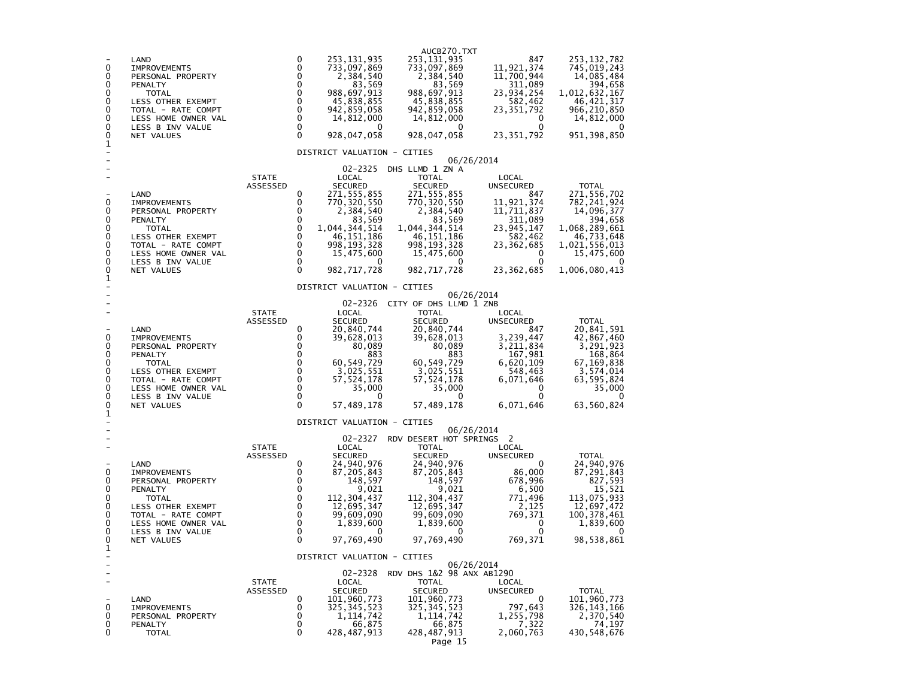| 0<br>0<br>0<br>0<br>0<br>0<br>0<br>0<br>0<br>1            | LAND<br><b>IMPROVEMENTS</b><br>PERSONAL PROPERTY<br>PENALTY<br><b>TOTAL</b><br>LESS OTHER EXEMPT<br>TOTAL - RATE COMPT<br>LESS HOME OWNER VAL<br>LESS B INV VALUE<br>NET VALUES        |                          | 0<br>$\Omega$<br>$\Omega$<br>0<br>$\mathbf{0}$<br>0<br>$\mathbf 0$<br>$\mathbf 0$<br>$\mathbf{0}$<br>$\Omega$     | 253,131,935<br>733,097,869<br>2,384,540<br>83,569<br>988,697,913<br>45,838,855<br>942,859,058<br>14,812,000<br>0<br>928,047,058<br>DISTRICT VALUATION - CITIES            | AUCB270.TXT<br>253, 131, 935<br>733,097,869<br>2,384,540<br>83,569<br>988,697,913<br>45,838,855<br>942,859,058<br>14,812,000<br>0<br>928, 047, 058                                                  | 847<br>11,921,374<br>11,700,944<br>311,089<br>23,934,254<br>582,462<br>23,351,792<br>0<br>0<br>23,351,792                                            | 253, 132, 782<br>745,019,243<br>14,085,484<br>394,658<br>1,012,632,167<br>46, 421, 317<br>966, 210, 850<br>14,812,000<br>951, 398, 850               |
|-----------------------------------------------------------|----------------------------------------------------------------------------------------------------------------------------------------------------------------------------------------|--------------------------|-------------------------------------------------------------------------------------------------------------------|---------------------------------------------------------------------------------------------------------------------------------------------------------------------------|-----------------------------------------------------------------------------------------------------------------------------------------------------------------------------------------------------|------------------------------------------------------------------------------------------------------------------------------------------------------|------------------------------------------------------------------------------------------------------------------------------------------------------|
| 0<br>0<br>0<br>0<br>0<br>0<br>0<br>0<br>0                 | LAND<br><b>IMPROVEMENTS</b><br>PERSONAL PROPERTY<br>PENALTY<br><b>TOTAL</b><br>LESS OTHER EXEMPT<br>TOTAL - RATE COMPT<br>LESS HOME OWNER VAL<br>LESS B INV VALUE<br>NET VALUES        | <b>STATE</b><br>ASSESSED | 0<br>0<br>0<br>$\mathbf 0$<br>$\mathbf 0$<br>$\mathbf 0$<br>$\mathbf 0$<br>$\mathbf 0$<br>$\mathbf 0$<br>$\Omega$ | 02-2325<br>LOCAL<br><b>SECURED</b><br>271,555,855<br>770,320,550<br>2,384,540<br>83,569<br>1,044,344,514<br>46,151,186<br>998,193,328<br>15,475,600<br>0<br>982,717,728   | DHS LLMD 1 ZN A<br><b>TOTAL</b><br><b>SECURED</b><br>271,555,855<br>770, 320, 550<br>2,384,540<br>83,569<br>1,044,344,514<br>46, 151, 186<br>998,193,328<br>15,475,600<br>0<br>982, 717, 728        | 06/26/2014<br>LOCAL<br>UNSECURED<br>847<br>11,921,374<br>11,711,837<br>311,089<br>23,945,147<br>582,462<br>23,362,685<br>0<br>$\Omega$<br>23,362,685 | <b>TOTAL</b><br>271,556,702<br>782, 241, 924<br>14,096,377<br>394,658<br>1,068,289,661<br>46,733,648<br>1,021,556,013<br>15,475,600<br>1,006,080,413 |
| 1                                                         |                                                                                                                                                                                        |                          |                                                                                                                   | DISTRICT VALUATION - CITIES                                                                                                                                               |                                                                                                                                                                                                     |                                                                                                                                                      |                                                                                                                                                      |
| 0<br>0<br>0<br>0<br>0<br>0<br>0<br>0<br>0<br>1            | LAND<br><b>IMPROVEMENTS</b><br>PERSONAL PROPERTY<br>PENALTY<br><b>TOTAL</b><br><b>LESS OTHER EXEMPT</b><br>TOTAL - RATE COMPT<br>LESS HOME OWNER VAL<br>LESS B INV VALUE<br>NET VALUES | <b>STATE</b><br>ASSESSED | 0<br>0<br>0<br>$\mathbf 0$<br>$\mathbf 0$<br>$\mathbf 0$<br>$\mathbf 0$<br>$\mathbf 0$<br>$\mathbf 0$<br>$\Omega$ | LOCAL<br><b>SECURED</b><br>20,840,744<br>39,628,013<br>80,089<br>883<br>60,549,729<br>3,025,551<br>57,524,178<br>35,000<br>0<br>57,489,178<br>DISTRICT VALUATION - CITIES | 02-2326 CITY OF DHS LLMD 1 ZNB<br><b>TOTAL</b><br><b>SECURED</b><br>20,840,744<br>39,628,013<br>80,089<br>883<br>60,549,729<br>3,025,551<br>57, 524, 178<br>35,000<br>0<br>57,489,178<br>06/26/2014 | 06/26/2014<br>LOCAL<br><b>UNSECURED</b><br>847<br>3,239,447<br>3,211,834<br>167,981<br>6,620,109<br>548,463<br>6,071,646<br>0<br>0<br>6,071,646      | <b>TOTAL</b><br>20,841,591<br>42,867,460<br>3,291,923<br>168,864<br>67,169,838<br>3,574,014<br>63,595,824<br>35,000<br>0<br>63,560,824               |
| 0<br>0<br>0<br>0<br>0<br>0<br>0<br>0<br>0<br>$\mathbf{1}$ | LAND<br><b>IMPROVEMENTS</b><br>PERSONAL PROPERTY<br>PENALTY<br><b>TOTAL</b><br>LESS OTHER EXEMPT<br>TOTAL - RATE COMPT<br>LESS HOME OWNER VAL<br>LESS B INV VALUE<br>NET VALUES        | <b>STATE</b><br>ASSESSED | 0<br>0<br>$\Omega$<br>$\Omega$<br>$\Omega$<br>0<br>0<br>0<br>0<br>$\Omega$                                        | 02-2327<br>LOCAL<br><b>SECURED</b><br>24,940,976<br>87,205,843<br>148,597<br>9,021<br>112, 304, 437<br>12,695,347<br>99,609,090<br>1,839,600<br>0<br>97,769,490           | RDV DESERT HOT SPRINGS 2<br>TOTAL<br><b>SECURED</b><br>24,940,976<br>87,205,843<br>148,597<br>9,021<br>112, 304, 437<br>12,695,347<br>99,609,090<br>1,839,600<br>0<br>97,769,490                    | LOCAL<br>UNSECURED<br>0<br>86,000<br>678,996<br>6,500<br>771,496<br>2,125<br>769,371<br>0<br>$\mathbf{0}$<br>769,371                                 | <b>TOTAL</b><br>24,940,976<br>87,291,843<br>827,593<br>15.521<br>113,075,933<br>12,697,472<br>100, 378, 461<br>1,839,600<br>98,538,861               |
| 0<br>0<br>0<br>0                                          | LAND<br><b>IMPROVEMENTS</b><br>PERSONAL PROPERTY<br><b>PENALTY</b><br><b>TOTAL</b>                                                                                                     | <b>STATE</b><br>ASSESSED | 0<br>0<br>0<br>$\Omega$<br>0                                                                                      | DISTRICT VALUATION - CITIES<br>02-2328<br>LOCAL<br><b>SECURED</b><br>101,960,773<br>325,345,523<br>1, 114, 742<br>66,875<br>428,487,913                                   | RDV DHS 1&2 98 ANX AB1290<br><b>TOTAL</b><br><b>SECURED</b><br>101,960,773<br>325, 345, 523<br>1,114,742<br>66,875<br>428,487,913<br>Page 15                                                        | 06/26/2014<br>LOCAL<br><b>UNSECURED</b><br>0<br>797,643<br>1,255,798<br>7,322<br>2,060,763                                                           | TOTAL<br>101,960,773<br>326,143,166<br>2,370,540<br>74,197<br>430,548,676                                                                            |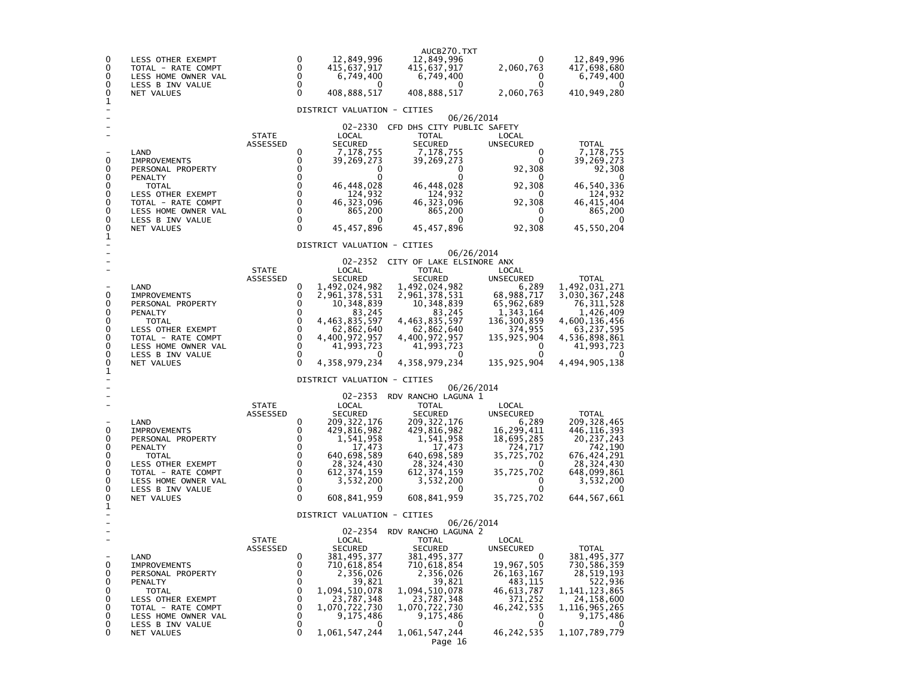| 0<br>0<br>0<br>0<br>0                          | LESS OTHER EXEMPT<br>TOTAL - RATE COMPT<br>LESS HOME OWNER VAL<br>LESS B INV VALUE<br>NET VALUES                                                                                |                                 | 0<br>0<br>0<br>0<br>$\Omega$                                       | 12,849,996<br>415,637,917<br>6,749,400<br>O<br>408,888,517                                                                                                                                                | AUCB270.TXT<br>12,849,996<br>415,637,917<br>6,749,400<br>0<br>408,888,517                                                                                                                                                   | O<br>2,060,763<br>0<br>0<br>2,060,763                                                                                                                       | 12,849,996<br>417,698,680<br>6,749,400<br>0<br>410,949,280                                                                                                    |
|------------------------------------------------|---------------------------------------------------------------------------------------------------------------------------------------------------------------------------------|---------------------------------|--------------------------------------------------------------------|-----------------------------------------------------------------------------------------------------------------------------------------------------------------------------------------------------------|-----------------------------------------------------------------------------------------------------------------------------------------------------------------------------------------------------------------------------|-------------------------------------------------------------------------------------------------------------------------------------------------------------|---------------------------------------------------------------------------------------------------------------------------------------------------------------|
| 1                                              |                                                                                                                                                                                 |                                 |                                                                    | DISTRICT VALUATION - CITIES                                                                                                                                                                               |                                                                                                                                                                                                                             |                                                                                                                                                             |                                                                                                                                                               |
| 0<br>0<br>0<br>0<br>0<br>0<br>0<br>0<br>0<br>1 | LAND<br><b>IMPROVEMENTS</b><br>PERSONAL PROPERTY<br>PENALTY<br>TOTAL<br>LESS OTHER EXEMPT<br>TOTAL - RATE COMPT<br>LESS HOME OWNER VAL<br>LESS B INV VALUE<br>NET VALUES        | <b>STATE</b><br>ASSESSED        | 0<br>0<br>0<br>$\Omega$<br>0<br>0<br>0<br>0<br>0<br>$\Omega$       | $02 - 2330$<br>LOCAL<br><b>SECURED</b><br>7,178,755<br>39,269,273<br>0<br>0<br>46, 448, 028<br>124,932<br>46, 323, 096<br>865,200<br>0<br>45,457,896<br>DISTRICT VALUATION - CITIES                       | CFD DHS CITY PUBLIC SAFETY<br>TOTAL<br><b>SECURED</b><br>7,178,755<br>39,269,273<br>0<br>0<br>46,448,028<br>124,932<br>46,323,096<br>865,200<br>0<br>45,457,896                                                             | 06/26/2014<br>LOCAL<br>UNSECURED<br>$\Omega$<br>0<br>92,308<br>0<br>92,308<br>0<br>92,308<br>0<br>0<br>92,308                                               | <b>TOTAL</b><br>7,178,755<br>39,269,273<br>92,308<br>0<br>46,540,336<br>124,932<br>46,415,404<br>865,200<br>0<br>45,550,204                                   |
| 0<br>0<br>0<br>0<br>0<br>0<br>0<br>0<br>0      | LAND<br><b>IMPROVEMENTS</b><br>PERSONAL PROPERTY<br>PENALTY<br><b>TOTAL</b><br>LESS OTHER EXEMPT<br>TOTAL - RATE COMPT<br>LESS HOME OWNER VAL<br>LESS B INV VALUE<br>NET VALUES | <b>STATE</b><br><b>ASSESSED</b> | 0<br>0<br>0<br>0<br>0<br>0<br>0<br>0<br>$\mathbf 0$<br>$\Omega$    | 02-2352<br>LOCAL<br><b>SECURED</b><br>1,492,024,982<br>2,961,378,531<br>10,348,839<br>83,245<br>4,463,835,597<br>62,862,640<br>4,400,972,957<br>41,993,723<br>$\Omega$<br>4, 358, 979, 234                | CITY OF LAKE ELSINORE ANX<br>TOTAL<br><b>SECURED</b><br>1,492,024,982<br>2,961,378,531<br>10,348,839<br>83,245<br>4,463,835,597<br>62,862,640<br>4,400,972,957<br>41,993,723<br>0<br>4, 358, 979, 234                       | 06/26/2014<br>LOCAL<br><b>UNSECURED</b><br>6,289<br>68,988,717<br>65,962,689<br>1,343,164<br>136,300,859<br>374,955<br>135,925,904<br>0<br>0<br>135,925,904 | TOTAL<br>1,492,031,271<br>3,030,367,248<br>76,311,528<br>1,426,409<br>4,600,136,456<br>63,237,595<br>4,536,898,861<br>41,993,723<br>$\Omega$<br>4,494,905,138 |
| 1<br>0<br>0<br>0<br>0<br>0<br>0<br>0<br>0<br>0 | LAND<br><b>IMPROVEMENTS</b><br>PERSONAL PROPERTY<br>PENALTY<br>TOTAL<br>LESS OTHER EXEMPT<br>TOTAL - RATE COMPT<br>LESS HOME OWNER VAL<br>LESS B INV VALUE<br>NET VALUES        | <b>STATE</b><br>ASSESSED        | 0<br>0<br>0<br>0<br>0<br>0<br>0<br>0<br>0<br>0                     | DISTRICT VALUATION - CITIES<br>02-2353<br>LOCAL<br><b>SECURED</b><br>209, 322, 176<br>429,816,982<br>1,541,958<br>17,473<br>640,698,589<br>28, 324, 430<br>612, 374, 159<br>3,532,200<br>0<br>608,841,959 | RDV RANCHO LAGUNA 1<br>TOTAL<br><b>SECURED</b><br>209, 322, 176<br>429,816,982<br>1,541,958<br>17,473<br>640,698,589<br>28, 324, 430<br>612,374,159<br>3,532,200<br>$\Omega$<br>608,841,959                                 | 06/26/2014<br>LOCAL<br>UNSECURED<br>6,289<br>16,299,411<br>18,695,285<br>724,717<br>35,725,702<br>0<br>35,725,702<br>0<br>0<br>35,725,702                   | TOTAL<br>209,328,465<br>446,116,393<br>20, 237, 243<br>742,190<br>676,424,291<br>28,324,430<br>648,099,861<br>3,532,200<br>$\mathbf{U}$<br>644, 567, 661      |
| 1<br>0<br>0<br>0<br>0<br>0<br>0<br>0<br>0<br>0 | LAND<br><b>IMPROVEMENTS</b><br>PERSONAL PROPERTY<br>PENALTY<br>TOTAL<br>LESS OTHER EXEMPT<br>TOTAL - RATE COMPT<br>LESS HOME OWNER VAL<br>LESS B INV VALUE<br>NET VALUES        | <b>STATE</b><br>ASSESSED        | 0<br>0<br>$\mathbf 0$<br>0<br>$\mathbf 0$<br>0<br>0<br>0<br>0<br>0 | DISTRICT VALUATION -<br>02-2354<br>LOCAL<br><b>SECURED</b><br>381, 495, 377<br>710,618,854<br>2,356,026<br>39,821<br>1,094,510,078<br>23,787,348<br>1,070,722,730<br>9,175,486<br>0<br>1,061,547,244      | <b>CITIES</b><br>RDV RANCHO LAGUNA 2<br><b>TOTAL</b><br><b>SECURED</b><br>381, 495, 377<br>710,618,854<br>2,356,026<br>39,821<br>1,094,510,078<br>23,787,348<br>1,070,722,730<br>9,175,486<br>0<br>1,061,547,244<br>Page 16 | 06/26/2014<br>LOCAL<br>UNSECURED<br>0<br>19,967,505<br>26, 163, 167<br>483,115<br>46, 613, 787<br>371,252<br>46,242,535<br>0<br>0<br>46, 242, 535           | <b>TOTAL</b><br>381, 495, 377<br>730,586,359<br>28,519,193<br>522,936<br>1, 141, 123, 865<br>24,158,600<br>1,116,965,265<br>9,175,486<br>1, 107, 789, 779     |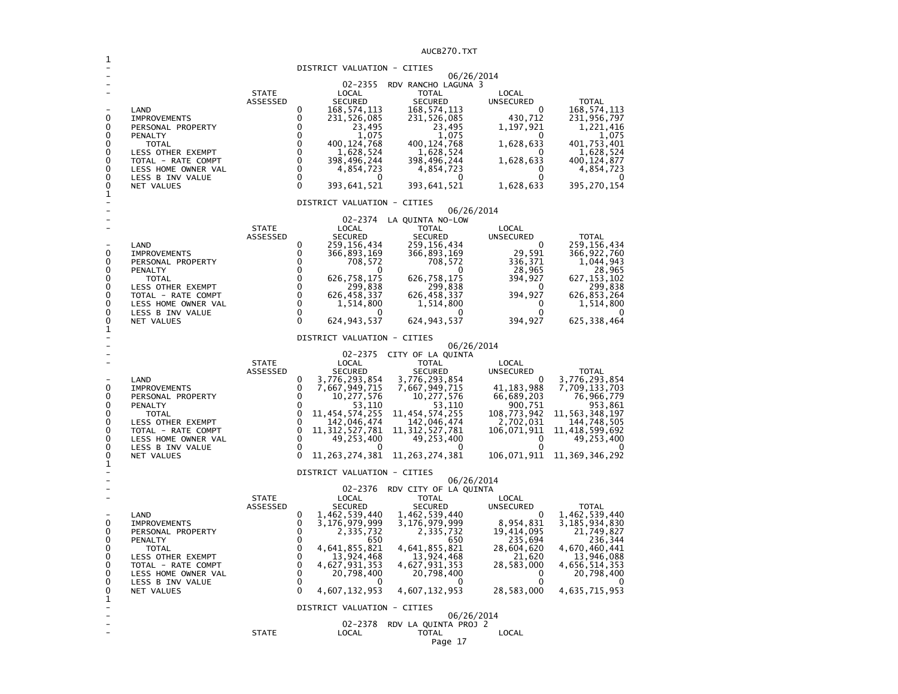AUCB270.TXT

|             |                                                               |                          |                                                                                       | AUCBZ7U.IXI                                                  |                             |                                         |
|-------------|---------------------------------------------------------------|--------------------------|---------------------------------------------------------------------------------------|--------------------------------------------------------------|-----------------------------|-----------------------------------------|
|             |                                                               |                          | DISTRICT VALUATION - CITIES                                                           |                                                              |                             |                                         |
|             |                                                               | <b>STATE</b><br>ASSESSED | 02-2355<br>LOCAL<br><b>SECURED</b>                                                    | 06/26/2014<br>RDV RANCHO LAGUNA 3<br><b>TOTAL</b><br>SECURED | LOCAL<br><b>UNSECURED</b>   | <b>TOTAL</b>                            |
| 0<br>0      | LAND<br><b>IMPROVEMENTS</b><br>PERSONAL PROPERTY              |                          | 0<br>168, 574, 113<br>0<br>231,526,085<br>0<br>23,495                                 | 168, 574, 113<br>231,526,085<br>23,495                       | 0<br>430,712<br>1,197,921   | 168,574,113<br>231,956,797<br>1,221,416 |
| 0<br>0<br>0 | PENALTY<br><b>TOTAL</b><br>LESS OTHER EXEMPT                  |                          | $\Omega$<br>1,075<br>$\Omega$<br>400, 124, 768<br>$\Omega$<br>1,628,524               | 1,075<br>400,124,768<br>1,628,524                            | $^{(1)}$<br>1,628,633       | 1,075<br>401,753,401<br>1,628,524       |
| 0<br>0<br>0 | TOTAL - RATE COMPT<br>LESS HOME OWNER VAL<br>LESS B INV VALUE |                          | $\Omega$<br>398,496,244<br>$\mathbf{0}$<br>4,854,723<br>$\mathbf{0}$<br>0<br>$\Omega$ | 398,496,244<br>4,854,723<br>0                                | 1,628,633<br>0<br>0         | 400,124,877<br>4,854,723<br>0           |
| 0<br>1      | NET VALUES                                                    |                          | 393,641,521<br>DISTRICT VALUATION - CITIES                                            | 393,641,521                                                  | 1,628,633                   | 395, 270, 154                           |
|             |                                                               |                          | 02-2374                                                                               | 06/26/2014<br>LA QUINTA NO-LOW                               |                             |                                         |
|             | LAND                                                          | <b>STATE</b><br>ASSESSED | LOCAL<br><b>SECURED</b><br>0<br>259,156,434                                           | <b>TOTAL</b><br><b>SECURED</b><br>259,156,434                | LOCAL<br>UNSECURED<br>0     | <b>TOTAL</b><br>259,156,434             |
| 0<br>0<br>0 | <b>IMPROVEMENTS</b><br>PERSONAL PROPERTY<br>PENALTY           |                          | 0<br>366,893,169<br>0<br>708,572<br>0                                                 | 366,893,169<br>708,572<br>0                                  | 29,591<br>336,371<br>28,965 | 366, 922, 760<br>1,044,943<br>28,965    |
| 0<br>0<br>0 | TOTAL<br><b>LESS OTHER EXEMPT</b><br>TOTAL - RATE COMPT       |                          | 0<br>626,758,175<br>0<br>299,838<br>0<br>626,458,337                                  | 626,758,175<br>299,838<br>626, 458, 337                      | 394,927<br>0<br>394,927     | 627, 153, 102<br>299,838<br>626,853,264 |
| 0<br>0<br>0 | LESS HOME OWNER VAL<br>LESS B INV VALUE<br>NET VALUES         |                          | 0<br>1,514,800<br>0<br>0<br>$\Omega$<br>624, 943, 537                                 | 1,514,800<br>0<br>624, 943, 537                              | 0<br>0<br>394,927           | 1,514,800<br>0<br>625, 338, 464         |
| 1           |                                                               |                          | DISTRICT VALUATION - CITIES                                                           |                                                              |                             |                                         |
|             |                                                               |                          |                                                                                       | 06/26/2014                                                   |                             |                                         |
|             |                                                               | <b>STATE</b>             | 02-2375<br>LOCAL                                                                      | CITY OF LA QUINTA<br>TOTAL                                   | LOCAL                       |                                         |
|             |                                                               | ASSESSED                 | <b>SECURED</b>                                                                        | <b>SECURED</b>                                               | <b>UNSECURED</b>            | <b>TOTAL</b>                            |
| 0           | LAND<br><b>IMPROVEMENTS</b>                                   |                          | 0<br>3,776,293,854<br>0<br>7,667,949,715                                              | 3,776,293,854<br>7,667,949,715                               | 41, 183, 988                | 3,776,293,854<br>7,709,133,703          |
| 0<br>0      | PERSONAL PROPERTY<br>PENALTY                                  |                          | 10,277,576<br>0<br>0<br>53,110                                                        | 10,277,576<br>53,110                                         | 66,689,203<br>900,751       | 76,966,779<br>953,861                   |
| 0<br>0      | TOTAL<br>LESS OTHER EXEMPT                                    |                          | 0<br>11,454,574,255<br>0<br>142,046,474                                               | 11, 454, 574, 255<br>142,046,474                             | 108,773,942<br>2,702,031    | 11, 563, 348, 197<br>144,748,505        |
| 0<br>0      | TOTAL - RATE COMPT<br>LESS HOME OWNER VAL                     |                          | 0<br>11, 312, 527, 781<br>0<br>49,253,400                                             | 11, 312, 527, 781<br>49,253,400                              | 106,071,911<br>0            | 11,418,599,692<br>49,253,400            |
| 0           | LESS B INV VALUE                                              |                          | 0<br>$\Omega$                                                                         | 0                                                            | 0                           |                                         |
| 0<br>1      | NET VALUES                                                    |                          | 11,263,274,381                                                                        | 11, 263, 274, 381                                            | 106,071,911                 | 11,369,346,292                          |
|             |                                                               |                          | DISTRICT VALUATION - CITIES                                                           | 06/26/2014                                                   |                             |                                         |
|             |                                                               | <b>STATE</b>             | 02-2376<br>LOCAL                                                                      | RDV CITY OF LA QUINTA<br>TOTAL                               | LOCAL                       |                                         |
|             |                                                               | ASSESSED                 | <b>SECURED</b>                                                                        | SECURED                                                      | <b>UNSECURED</b>            | <b>TOTAL</b>                            |
| 0           | LAND<br><b>IMPROVEMENTS</b>                                   |                          | 0<br>1,462,539,440<br>0<br>3,176,979,999                                              | 1,462,539,440<br>3,176,979,999                               | 0<br>8,954,831              | 1,462,539,440<br>3,185,934,830          |
| 0<br>0      | PERSONAL PROPERTY<br>PENALTY                                  |                          | 0<br>2,335,732<br>0<br>650                                                            | 2,335,732<br>650                                             | 19,414,095<br>235,694       | 21,749,827<br>236,344                   |
| 0<br>0      | TOTAL<br>LESS OTHER EXEMPT                                    |                          | $\mathbf 0$<br>4,641,855,821<br>$\Omega$<br>13,924,468                                | 4,641,855,821<br>13,924,468                                  | 28,604,620<br>21,620        | 4,670,460,441<br>13,946,088             |
| 0<br>0      | TOTAL - RATE COMPT                                            |                          | 4,627,931,353<br>0<br>0                                                               | 4,627,931,353                                                | 28,583,000                  | 4,656,514,353                           |
| 0           | LESS HOME OWNER VAL<br>LESS B INV VALUE                       |                          | 20,798,400<br>0                                                                       | 20,798,400<br>$\Omega$                                       | 0<br>0                      | 20,798,400                              |
| 0<br>1      | NET VALUES                                                    |                          | $\Omega$<br>4,607,132,953                                                             | 4,607,132,953                                                | 28,583,000                  | 4,635,715,953                           |
|             |                                                               |                          | DISTRICT VALUATION - CITIES                                                           | 06/26/2014                                                   |                             |                                         |
|             |                                                               | <b>STATE</b>             | 02-2378<br>LOCAL                                                                      | RDV LA QUINTA PROJ 2<br>TOTAL                                | LOCAL                       |                                         |
|             |                                                               |                          |                                                                                       | Page 17                                                      |                             |                                         |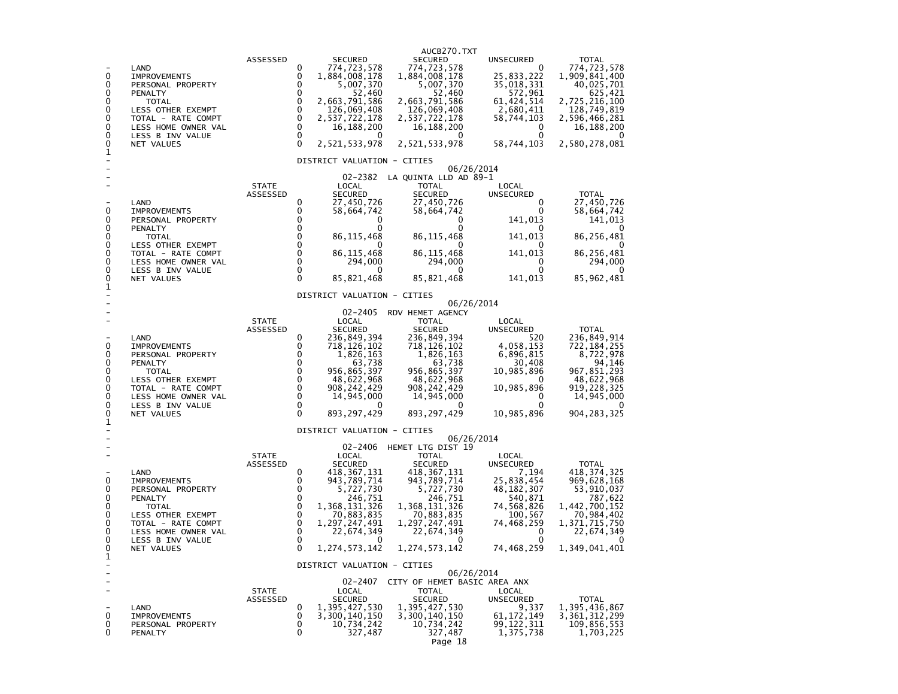| 0<br>0<br>0<br>0<br>0<br>0<br>0<br>0<br>0<br>1<br>0<br>0<br>0<br>0<br>0<br>0<br>0                                 | LAND<br><b>IMPROVEMENTS</b><br>PERSONAL PROPERTY<br>PENALTY<br><b>TOTAL</b><br>LESS OTHER EXEMPT<br>TOTAL - RATE COMPT<br>LESS HOME OWNER VAL<br>LESS B INV VALUE<br>NET VALUES               | ASSESSED                 | 0<br>0<br>0<br>0<br>$\pmb{0}$<br>0<br>$\pmb{0}$<br>$\mathbf 0$<br>0<br>$\Omega$                                            | <b>SECURED</b><br>774,723,578<br>1,884,008,178<br>5,007,370<br>52,460<br>2,663,791,586<br>126,069,408<br>2,537,722,178<br>16, 188, 200<br>2,521,533,978<br>DISTRICT VALUATION - CITIES                            | AUCB270.TXT<br><b>SECURED</b><br>774,723,578<br>1,884,008,178<br>5,007,370<br>52,460<br>2,663,791,586<br>126,069,408<br>2,537,722,178<br>16,188,200<br>2,521,533,978                                         | UNSECURED<br>0<br>25,833,222<br>35,018,331<br>572,961<br>61, 424, 514<br>2,680,411<br>58,744,103<br>0<br>0<br>58,744,103            | <b>TOTAL</b><br>774,723,578<br>1,909,841,400<br>40,025,701<br>625,421<br>2,725,216,100<br>128,749,819<br>2,596,466,281<br>16,188,200<br>2,580,278,081        |
|-------------------------------------------------------------------------------------------------------------------|-----------------------------------------------------------------------------------------------------------------------------------------------------------------------------------------------|--------------------------|----------------------------------------------------------------------------------------------------------------------------|-------------------------------------------------------------------------------------------------------------------------------------------------------------------------------------------------------------------|--------------------------------------------------------------------------------------------------------------------------------------------------------------------------------------------------------------|-------------------------------------------------------------------------------------------------------------------------------------|--------------------------------------------------------------------------------------------------------------------------------------------------------------|
|                                                                                                                   | LAND<br><b>IMPROVEMENTS</b><br>PERSONAL PROPERTY<br>PENALTY<br><b>TOTAL</b><br>LESS OTHER EXEMPT<br>TOTAL - RATE COMPT<br>LESS HOME OWNER VAL<br>LESS B INV VALUE                             | <b>STATE</b><br>ASSESSED | 0<br>0<br>0<br>0<br>$\mathbf 0$<br>0<br>0<br>$\mathbf 0$<br>0                                                              | LOCAL<br><b>SECURED</b><br>27,450,726<br>58,664,742<br>0<br>0<br>86, 115, 468<br>$\mathbf{0}$<br>86, 115, 468<br>294,000<br>0                                                                                     | 06/26/2014<br>02-2382 LA QUINTA LLD AD 89-1<br>TOTAL<br><b>SECURED</b><br>27,450,726<br>58,664,742<br>0<br>0<br>86,115,468<br>0<br>86,115,468<br>294,000<br>0                                                | LOCAL<br>UNSECURED<br>0<br>0<br>141,013<br>0<br>141,013<br>0<br>141,013<br>0<br>0                                                   | <b>TOTAL</b><br>27,450,726<br>58,664,742<br>141,013<br>86,256,481<br>$\Omega$<br>86,256,481<br>294,000<br>$\mathbf{0}$                                       |
| 0<br>0<br>1<br>0<br>0<br>0<br>0<br>0<br>0<br>0<br>0<br>0<br>1<br>0<br>0<br>0<br>0<br>0<br>0<br>0<br>0<br>$\Omega$ | NET VALUES<br>LAND<br><b>IMPROVEMENTS</b><br>PERSONAL PROPERTY<br>PENALTY<br><b>TOTAL</b><br>LESS OTHER EXEMPT<br>TOTAL - RATE COMPT<br>LESS HOME OWNER VAL<br>LESS B INV VALUE<br>NET VALUES | <b>STATE</b><br>ASSESSED | $\Omega$<br>0<br>0<br>0<br>$\mathbf 0$<br>$\Omega$<br>$\mathbf 0$<br>$\mathbf 0$<br>$\mathbf 0$<br>$\mathbf 0$<br>$\Omega$ | 85,821,468<br>DISTRICT VALUATION - CITIES<br>02-2405<br>LOCAL<br><b>SECURED</b><br>236,849,394<br>718,126,102<br>1,826,163<br>63,738<br>956,865,397<br>48,622,968<br>908, 242, 429<br>14,945,000<br>893, 297, 429 | 85,821,468<br>06/26/2014<br>RDV HEMET AGENCY<br><b>TOTAL</b><br>SECURED<br>236,849,394<br>718,126,102<br>1,826,163<br>63,738<br>956,865,397<br>48,622,968<br>908, 242, 429<br>14,945,000<br>893, 297, 429    | 141,013<br>LOCAL<br>UNSECURED<br>520<br>4,058,153<br>6,896,815<br>30,408<br>10,985,896<br>0<br>10,985,896<br>0<br>0<br>10,985,896   | 85, 962, 481<br><b>TOTAL</b><br>236,849,914<br>722,184,255<br>8,722,978<br>94,146<br>967,851,293<br>48,622,968<br>919, 228, 325<br>14,945,000<br>904,283,325 |
|                                                                                                                   | LAND<br><b>IMPROVEMENTS</b><br>PERSONAL PROPERTY<br>PENALTY<br><b>TOTAL</b><br>LESS OTHER EXEMPT<br>TOTAL - RATE COMPT<br>LESS HOME OWNER VAL<br>LESS B INV VALUE<br>NET VALUES               | <b>STATE</b><br>ASSESSED | 0<br>0<br>0<br>0<br>$\ddot{\mathbf{0}}$<br>0<br>0<br>0<br>$\mathbf 0$<br>$\Omega$                                          | DISTRICT VALUATION - CITIES<br>LOCAL<br><b>SECURED</b><br>418,367,131<br>943,789,714<br>5,727,730<br>246,751<br>1,368,131,326<br>70,883,835<br>1,297,247,491<br>22,674,349<br>0<br>1, 274, 573, 142               | 06/26/2014<br>02-2406 HEMET LTG DIST 19<br>TOTAL<br><b>SECURED</b><br>418,367,131<br>943,789,714<br>5,727,730<br>246,751<br>1,368,131,326<br>70,883,835<br>1,297,247,491<br>22,674,349<br>0<br>1.274.573.142 | LOCAL<br>UNSECURED<br>7,194<br>25,838,454<br>48, 182, 307<br>540,871<br>74,568,826<br>100,567<br>74,468,259<br>0<br>0<br>74,468,259 | <b>TOTAL</b><br>418, 374, 325<br>969,628,168<br>53,910,037<br>787,622<br>1,442,700,152<br>70,984,402<br>1,371,715,750<br>22,674,349<br>0<br>1,349,041,401    |
| 1<br>0<br>0<br>0                                                                                                  | LAND<br><b>IMPROVEMENTS</b><br>PERSONAL PROPERTY<br>PENALTY                                                                                                                                   | <b>STATE</b><br>ASSESSED | 0<br>0<br>0<br>0                                                                                                           | DISTRICT VALUATION - CITIES<br>LOCAL<br><b>SECURED</b><br>1,395,427,530<br>3,300,140,150<br>10,734,242<br>327,487                                                                                                 | 06/26/2014<br>02-2407 CITY OF HEMET BASIC AREA ANX<br><b>TOTAL</b><br><b>SECURED</b><br>1,395,427,530<br>3,300,140,150<br>10,734,242<br>327,487<br>Page 18                                                   | LOCAL<br>UNSECURED<br>9,337<br>61, 172, 149<br>99, 122, 311<br>1,375,738                                                            | <b>TOTAL</b><br>1,395,436,867<br>3, 361, 312, 299<br>109,856,553<br>1,703,225                                                                                |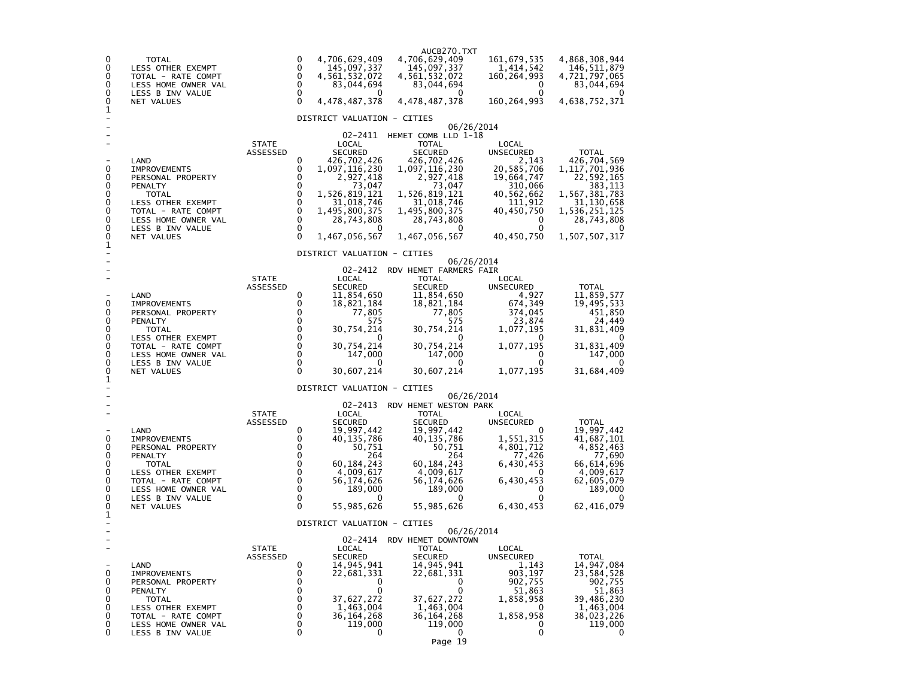| 0<br>0<br>0<br>0<br>0<br>0<br>1                     | TOTAL<br>LESS OTHER EXEMPT<br>TOTAL - RATE COMPT<br>LESS HOME OWNER VAL<br>LESS B INV VALUE<br>NET VALUES                                                                |                                 | 0<br>0<br>0<br>0<br>0<br>$\Omega$                                                             | 4,706,629,409<br>145,097,337<br>4,561,532,072<br>83,044,694<br>0<br>4,478,487,378                                                                                                                                    | AUCB270.TXT<br>4,706,629,409<br>145,097,337<br>4, 561, 532, 072<br>83,044,694<br>0<br>4,478,487,378                                                                                       | 161, 679, 535<br>1,414,542<br>160, 264, 993<br>0<br>0<br>160, 264, 993                                                                                        | 4,868,308,944<br>146,511,879<br>4,721,797,065<br>83,044,694<br>4,638,752,371                                                                                     |
|-----------------------------------------------------|--------------------------------------------------------------------------------------------------------------------------------------------------------------------------|---------------------------------|-----------------------------------------------------------------------------------------------|----------------------------------------------------------------------------------------------------------------------------------------------------------------------------------------------------------------------|-------------------------------------------------------------------------------------------------------------------------------------------------------------------------------------------|---------------------------------------------------------------------------------------------------------------------------------------------------------------|------------------------------------------------------------------------------------------------------------------------------------------------------------------|
| 0<br>0<br>0<br>0<br>0<br>0<br>0<br>0<br>0<br>1      | LAND<br><b>IMPROVEMENTS</b><br>PERSONAL PROPERTY<br>PENALTY<br>TOTAL<br>LESS OTHER EXEMPT<br>TOTAL - RATE COMPT<br>LESS HOME OWNER VAL<br>LESS B INV VALUE<br>NET VALUES | <b>STATE</b><br>ASSESSED        | 0<br>0<br>$\mathbf 0$<br>0<br>0<br>0<br>0<br>0<br>0<br>$\Omega$                               | DISTRICT VALUATION - CITIES<br>02–2411<br>LOCAL<br><b>SECURED</b><br>426,702,426<br>1,097,116,230<br>2,927,418<br>73,047<br>1,526,819,121<br>31,018,746<br>1,495,800,375<br>28,743,808<br>0<br>1,467,056,567         | HEMET COMB LLD 1-18<br>TOTAL<br><b>SECURED</b><br>426,702,426<br>1,097,116,230<br>2,927,418<br>73,047<br>1,526,819,121<br>31,018,746<br>1,495,800,375<br>28,743,808<br>0<br>1,467,056,567 | 06/26/2014<br>LOCAL<br><b>UNSECURED</b><br>2,143<br>20,585,706<br>19,664,747<br>310,066<br>40,562,662<br>111,912<br>40,450,750<br>0<br>$\Omega$<br>40,450,750 | <b>TOTAL</b><br>426,704,569<br>1,117,701,936<br>22,592,165<br>383,113<br>1,567,381,783<br>31,130,658<br>1,536,251,125<br>28,743,808<br>$\Omega$<br>1,507,507,317 |
| 0<br>0<br>0<br>0<br>0<br>0<br>0<br>0<br>0           | LAND<br><b>IMPROVEMENTS</b><br>PERSONAL PROPERTY<br>PENALTY<br>TOTAL<br>LESS OTHER EXEMPT<br>TOTAL - RATE COMPT<br>LESS HOME OWNER VAL<br>LESS B INV VALUE<br>NET VALUES | <b>STATE</b><br>ASSESSED        | 0<br>0<br>0<br>0<br>0<br>$\mathbf 0$<br>$\mathbf 0$<br>$\mathbf 0$<br>$\mathbf 0$<br>$\Omega$ | DISTRICT VALUATION - CITIES<br>02-2412<br>LOCAL<br><b>SECURED</b><br>11,854,650<br>18,821,184<br>77,805<br>575<br>30,754,214<br>$\Omega$<br>30,754,214<br>147,000<br>0<br>30,607,214                                 | RDV HEMET FARMERS FAIR<br>TOTAL<br><b>SECURED</b><br>11,854,650<br>18,821,184<br>77,805<br>575<br>30,754,214<br>30,754,214<br>147,000<br>0<br>30,607,214                                  | 06/26/2014<br>LOCAL<br><b>UNSECURED</b><br>4,927<br>674,349<br>374,045<br>23,874<br>1,077,195<br>O<br>1,077,195<br>0<br>0<br>1,077,195                        | TOTAL<br>11,859,577<br>19,495,533<br>451,850<br>24,449<br>31,831,409<br>31,831,409<br>147,000<br>0<br>31,684,409                                                 |
| 1<br>0<br>0<br>0<br>0<br>0<br>0<br>0<br>0<br>0<br>1 | LAND<br><b>IMPROVEMENTS</b><br>PERSONAL PROPERTY<br>PENALTY<br>TOTAL<br>LESS OTHER EXEMPT<br>TOTAL - RATE COMPT<br>LESS HOME OWNER VAL<br>LESS B INV VALUE<br>NET VALUES | <b>STATE</b><br>ASSESSED        | 0<br>0<br>0<br>0<br>0<br>0<br>0<br>0<br>0<br>0                                                | DISTRICT VALUATION - CITIES<br>02-2413<br>LOCAL<br><b>SECURED</b><br>19,997,442<br>40,135,786<br>50,751<br>264<br>60,184,243<br>4,009,617<br>56,174,626<br>189,000<br>0<br>55,985,626<br>DISTRICT VALUATION - CITIES | RDV HEMET WESTON PARK<br><b>TOTAL</b><br><b>SECURED</b><br>19,997,442<br>40,135,786<br>50,751<br>264<br>60,184,243<br>4,009,617<br>56,174,626<br>189,000<br>0<br>55,985,626               | 06/26/2014<br>LOCAL<br>UNSECURED<br>0<br>1,551,315<br>4,801,712<br>77,426<br>6,430,453<br>0<br>6,430,453<br>0<br>0<br>6,430,453                               | <b>TOTAL</b><br>19,997,442<br>41,687,101<br>4,852,463<br>77,690<br>66,614,696<br>4,009,617<br>62,605,079<br>189,000<br>62,416,079                                |
| $\mathbf 0$<br>0<br>0<br>0<br>0<br>0<br>0<br>0      | LAND<br><b>IMPROVEMENTS</b><br>PERSONAL PROPERTY<br>PENALTY<br><b>TOTAL</b><br>LESS OTHER EXEMPT<br>TOTAL - RATE COMPT<br>LESS HOME OWNER VAL<br>LESS B INV VALUE        | <b>STATE</b><br><b>ASSESSED</b> | 0<br>$\mathbf 0$<br>$\mathbf 0$<br>$\mathbf 0$<br>0<br>0<br>0<br>0<br>0                       | 02-2414<br>LOCAL<br><b>SECURED</b><br>14,945,941<br>22,681,331<br>0<br>0<br>37,627,272<br>1,463,004<br>36,164,268<br>119,000<br>0                                                                                    | RDV HEMET DOWNTOWN<br>TOTAL<br><b>SECURED</b><br>14,945,941<br>22,681,331<br>0<br>0<br>37,627,272<br>1,463,004<br>36,164,268<br>119,000<br>0<br>1 ∩                                       | 06/26/2014<br>LOCAL<br><b>UNSECURED</b><br>1,143<br>903,197<br>902,755<br>51,863<br>1,858,958<br>$\Omega$<br>1,858,958<br>0<br>0                              | TOTAL<br>14,947,084<br>23,584,528<br>902,755<br>51,863<br>39,486,230<br>1,463,004<br>38,023,226<br>119,000<br>0                                                  |

Page 19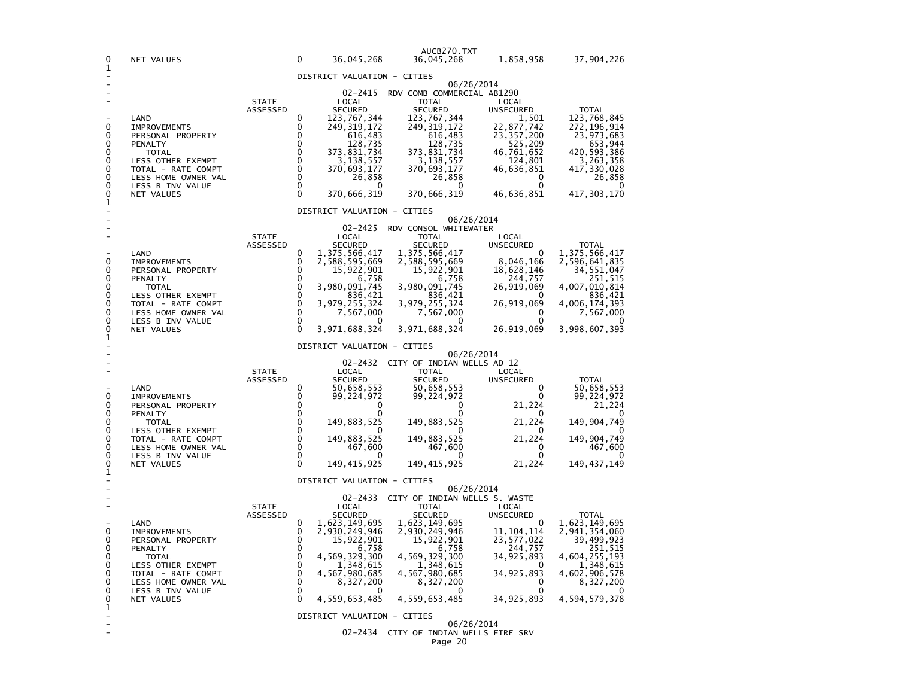| 0                        | NET VALUES                                |                          | 0                       | 36,045,268                     | AUCB270.TXT<br>36,045,268                  | 1,858,958                 | 37,904,226                     |  |  |  |  |
|--------------------------|-------------------------------------------|--------------------------|-------------------------|--------------------------------|--------------------------------------------|---------------------------|--------------------------------|--|--|--|--|
| 1                        |                                           |                          |                         | DISTRICT VALUATION - CITIES    |                                            |                           |                                |  |  |  |  |
|                          |                                           |                          |                         | 02-2415                        | RDV COMB COMMERCIAL AB1290                 | 06/26/2014                |                                |  |  |  |  |
|                          |                                           | <b>STATE</b>             |                         | LOCAL                          | <b>TOTAL</b>                               | LOCAL                     |                                |  |  |  |  |
|                          | LAND                                      | ASSESSED                 | 0                       | <b>SECURED</b><br>123,767,344  | <b>SECURED</b><br>123,767,344              | <b>UNSECURED</b><br>1.501 | <b>TOTAL</b><br>123,768,845    |  |  |  |  |
| 0<br>0                   | <b>IMPROVEMENTS</b>                       |                          | 0<br>0                  | 249, 319, 172                  | 249, 319, 172                              | 22,877,742                | 272, 196, 914                  |  |  |  |  |
| 0                        | PERSONAL PROPERTY<br>PENALTY              |                          | 0                       | 616,483<br>128,735             | 616,483<br>128,735                         | 23, 357, 200<br>525,209   | 23,973,683<br>653,944          |  |  |  |  |
| 0<br>0                   | <b>TOTAL</b><br>LESS OTHER EXEMPT         |                          | 0<br>$\mathbf 0$        | 373,831,734<br>3,138,557       | 373,831,734<br>3,138,557                   | 46,761,652<br>124,801     | 420,593,386<br>3,263,358       |  |  |  |  |
| 0                        | TOTAL - RATE COMPT                        |                          | $\mathbf 0$             | 370,693,177                    | 370,693,177                                | 46,636,851                | 417,330,028                    |  |  |  |  |
| 0<br>0                   | LESS HOME OWNER VAL<br>LESS B INV VALUE   |                          | $\mathbf 0$<br>0        | 26,858<br>0                    | 26,858<br>0                                | 0<br>0                    | 26,858<br>0                    |  |  |  |  |
| 0<br>1                   | NET VALUES                                |                          | 0                       | 370,666,319                    | 370,666,319                                | 46,636,851                | 417,303,170                    |  |  |  |  |
|                          |                                           |                          |                         | DISTRICT VALUATION - CITIES    |                                            |                           |                                |  |  |  |  |
|                          |                                           |                          |                         | $02 - 2425$                    | RDV CONSOL WHITEWATER                      | 06/26/2014                |                                |  |  |  |  |
|                          |                                           | <b>STATE</b><br>ASSESSED |                         | LOCAL<br><b>SECURED</b>        | <b>TOTAL</b><br>SECURED                    | LOCAL<br>UNSECURED        | <b>TOTAL</b>                   |  |  |  |  |
|                          | LAND                                      |                          | 0                       | 1,375,566,417                  | 1, 375, 566, 417                           | $\Omega$                  | 1,375,566,417                  |  |  |  |  |
| 0<br>0                   | <b>IMPROVEMENTS</b><br>PERSONAL PROPERTY  |                          | 0<br>0                  | 2,588,595,669<br>15,922,901    | 2,588,595,669<br>15,922,901                | 8,046,166<br>18,628,146   | 2,596,641,835<br>34,551,047    |  |  |  |  |
| 0<br>0                   | <b>PENALTY</b><br><b>TOTAL</b>            |                          | 0<br>0                  | 6,758<br>3,980,091,745         | 6,758<br>3,980,091,745                     | 244,757<br>26,919,069     | 251,515<br>4,007,010,814       |  |  |  |  |
| 0                        | LESS OTHER EXEMPT                         |                          | $\mathbf 0$             | 836,421                        | 836,421                                    | 0                         | 836,421                        |  |  |  |  |
| 0<br>0                   | TOTAL - RATE COMPT<br>LESS HOME OWNER VAL |                          | 0<br>$\mathbf 0$        | 3,979,255,324<br>7,567,000     | 3,979,255,324<br>7,567,000                 | 26,919,069<br>0           | 4,006,174,393<br>7,567,000     |  |  |  |  |
| 0<br>0                   | LESS B INV VALUE<br>NET VALUES            |                          | $\mathbf 0$<br>$\Omega$ | 0<br>3,971,688,324             | 0<br>3,971,688,324                         | 0<br>26,919,069           | 3,998,607,393                  |  |  |  |  |
| 1                        |                                           |                          |                         | DISTRICT VALUATION - CITIES    |                                            |                           |                                |  |  |  |  |
|                          |                                           |                          |                         |                                |                                            | 06/26/2014                |                                |  |  |  |  |
|                          |                                           | <b>STATE</b>             |                         | 02-2432<br>LOCAL               | CITY OF INDIAN WELLS AD 12<br><b>TOTAL</b> | LOCAL                     |                                |  |  |  |  |
|                          | LAND                                      | ASSESSED                 | 0                       | <b>SECURED</b><br>50,658,553   | <b>SECURED</b><br>50,658,553               | <b>UNSECURED</b><br>0     | <b>TOTAL</b><br>50,658,553     |  |  |  |  |
| 0                        | <b>IMPROVEMENTS</b>                       |                          | 0                       | 99,224,972                     | 99,224,972                                 | 0                         | 99,224,972                     |  |  |  |  |
| 0<br>0                   | PERSONAL PROPERTY<br>PENALTY              |                          | 0<br>0                  | 0<br>0                         | 0<br>0                                     | 21,224                    | 21,224                         |  |  |  |  |
| 0<br>0                   | <b>TOTAL</b><br>LESS OTHER EXEMPT         |                          | 0<br>$\mathbf 0$        | 149,883,525                    | 149,883,525                                | 21,224<br>O               | 149,904,749<br>0               |  |  |  |  |
| 0<br>0                   | TOTAL - RATE COMPT                        |                          | 0<br>$\mathbf 0$        | 149,883,525                    | 149,883,525                                | 21,224<br>0               | 149,904,749                    |  |  |  |  |
| 0                        | LESS HOME OWNER VAL<br>LESS B INV VALUE   |                          | 0                       | 467,600<br>O                   | 467,600<br>0                               | 0                         | 467,600                        |  |  |  |  |
| 0<br>1                   | NET VALUES                                |                          | 0                       | 149, 415, 925                  | 149, 415, 925                              | 21,224                    | 149, 437, 149                  |  |  |  |  |
|                          |                                           |                          |                         | DISTRICT VALUATION - CITIES    |                                            | 06/26/2014                |                                |  |  |  |  |
|                          |                                           |                          |                         | 02-2433                        | CITY OF INDIAN WELLS S. WASTE              |                           |                                |  |  |  |  |
|                          |                                           | <b>STATE</b><br>ASSESSED |                         | LOCAL<br><b>SECURED</b>        | <b>TOTAL</b><br><b>SECURED</b>             | LOCAL<br><b>UNSECURED</b> | <b>TOTAL</b>                   |  |  |  |  |
| 0                        | LAND<br><b>IMPROVEMENTS</b>               |                          | 0<br>0                  | 1,623,149,695<br>2,930,249,946 | 1,623,149,695<br>2,930,249,946             | 0<br>11, 104, 114         | 1,623,149,695<br>2,941,354,060 |  |  |  |  |
| 0                        | PERSONAL PROPERTY                         |                          | 0                       | 15,922,901                     | 15,922,901                                 | 23,577,022                | 39,499,923                     |  |  |  |  |
| 0<br>0                   | PENALTY<br><b>TOTAL</b>                   |                          | 0<br>0                  | 6,758<br>4,569,329,300         | 6,758<br>4,569,329,300                     | 244,757<br>34,925,893     | 251,515<br>4,604,255,193       |  |  |  |  |
| 0<br>0                   | LESS OTHER EXEMPT<br>TOTAL - RATE COMPT   |                          | 0<br>0                  | 1,348,615<br>4,567,980,685     | 1,348,615<br>4,567,980,685                 | 0<br>34, 925, 893         | 1,348,615<br>4,602,906,578     |  |  |  |  |
| 0                        | LESS HOME OWNER VAL                       |                          | 0                       | 8,327,200                      | 8,327,200                                  | 0                         | 8,327,200                      |  |  |  |  |
| 0<br>0                   | LESS B INV VALUE<br>NET VALUES            |                          | 0<br>0                  | $_{0}$<br>4,559,653,485        | $\Omega$<br>4,559,653,485                  | 0<br>34,925,893           | $\mathbf{0}$<br>4,594,579,378  |  |  |  |  |
| 1<br>$\overline{a}$      |                                           |                          |                         | DISTRICT VALUATION - CITIES    |                                            |                           |                                |  |  |  |  |
| $\overline{\phantom{0}}$ |                                           |                          |                         |                                | 02-2434 CITY OF INDIAN WELLS FIRE SRV      | 06/26/2014                |                                |  |  |  |  |
|                          |                                           |                          |                         |                                |                                            |                           |                                |  |  |  |  |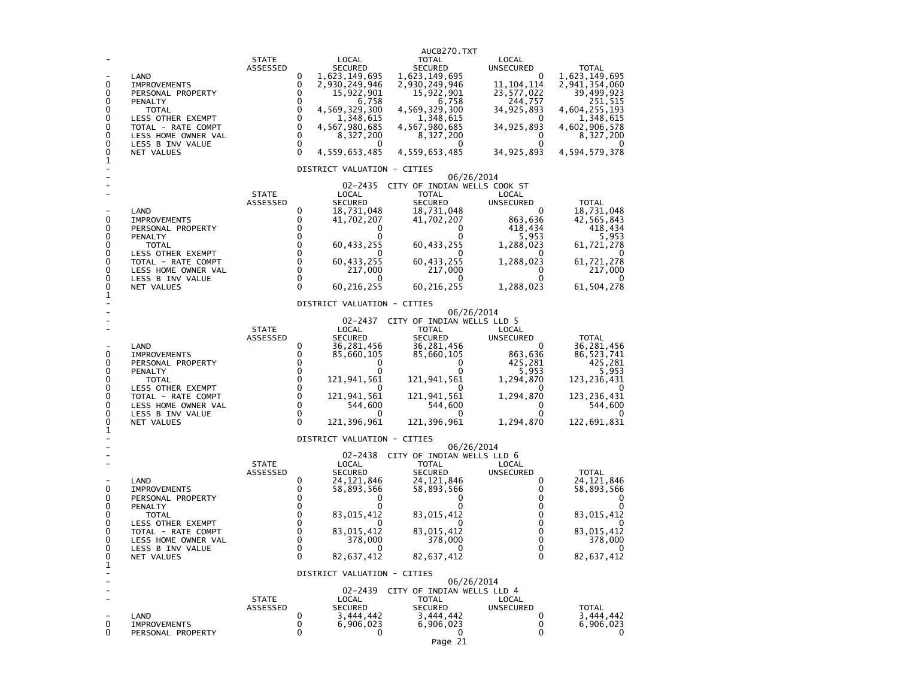| 0<br>0<br>0<br>0<br>0<br>0<br>0<br>0<br>0<br>1 | LAND<br><b>IMPROVEMENTS</b><br>PERSONAL PROPERTY<br>PENALTY<br><b>TOTAL</b><br>LESS OTHER EXEMPT<br>TOTAL - RATE COMPT<br>LESS HOME OWNER VAL<br>LESS B INV VALUE<br>NET VALUES | <b>STATE</b><br>ASSESSED | 0<br>0<br>0<br>0<br>0<br>$\pmb{0}$<br>0<br>$\mathbf 0$<br>$\mathbf 0$<br>$\Omega$ | LOCAL<br><b>SECURED</b><br>1,623,149,695<br>2,930,249,946<br>15,922,901<br>6,758<br>4,569,329,300<br>1,348,615<br>4,567,980,685<br>8,327,200<br>0<br>4,559,653,485<br>DISTRICT VALUATION - CITIES | AUCB270.TXT<br><b>TOTAL</b><br><b>SECURED</b><br>1,623,149,695<br>2,930,249,946<br>15,922,901<br>6,758<br>4,569,329,300<br>1,348,615<br>4,567,980,685<br>8,327,200<br>0<br>4,559,653,485 | LOCAL<br><b>UNSECURED</b><br>0<br>11, 104, 114<br>23,577,022<br>244,757<br>34,925,893<br>0<br>34, 925, 893<br>0<br>0<br>34, 925, 893 | <b>TOTAL</b><br>1,623,149,695<br>2,941,354,060<br>39,499,923<br>251,515<br>4,604,255,193<br>1,348,615<br>4,602,906,578<br>8,327,200<br>4,594,579,378 |
|------------------------------------------------|---------------------------------------------------------------------------------------------------------------------------------------------------------------------------------|--------------------------|-----------------------------------------------------------------------------------|---------------------------------------------------------------------------------------------------------------------------------------------------------------------------------------------------|------------------------------------------------------------------------------------------------------------------------------------------------------------------------------------------|--------------------------------------------------------------------------------------------------------------------------------------|------------------------------------------------------------------------------------------------------------------------------------------------------|
| 0<br>0<br>0<br>0<br>0<br>0<br>0<br>0<br>0<br>1 | LAND<br><b>IMPROVEMENTS</b><br>PERSONAL PROPERTY<br>PENALTY<br>TOTAL<br>LESS OTHER EXEMPT<br>TOTAL - RATE COMPT<br>LESS HOME OWNER VAL<br>LESS B INV VALUE<br><b>NET VALUES</b> | <b>STATE</b><br>ASSESSED | 0<br>0<br>0<br>0<br>0<br>$\mathbf 0$<br>$\mathbf 0$<br>0<br>0<br>$\Omega$         | 02-2435<br>LOCAL<br><b>SECURED</b><br>18,731,048<br>41,702,207<br>0<br>0<br>60,433,255<br>60,433,255<br>217,000<br>0<br>60, 216, 255                                                              | CITY OF INDIAN WELLS COOK ST<br><b>TOTAL</b><br><b>SECURED</b><br>18,731,048<br>41,702,207<br>0<br>0<br>60,433,255<br>$\Omega$<br>60,433,255<br>217,000<br>0<br>60, 216, 255             | 06/26/2014<br>LOCAL<br><b>UNSECURED</b><br>0<br>863,636<br>418,434<br>5,953<br>1,288,023<br>0<br>1,288,023<br>0<br>0<br>1,288,023    | <b>TOTAL</b><br>18,731,048<br>42,565,843<br>418,434<br>5,953<br>61,721,278<br>61,721,278<br>217,000<br>61, 504, 278                                  |
| 0<br>0<br>0<br>0<br>0<br>0<br>0<br>0<br>0<br>1 | LAND<br><b>IMPROVEMENTS</b><br>PERSONAL PROPERTY<br>PENALTY<br><b>TOTAL</b><br>LESS OTHER EXEMPT<br>TOTAL - RATE COMPT<br>LESS HOME OWNER VAL<br>LESS B INV VALUE<br>NET VALUES | <b>STATE</b><br>ASSESSED | 0<br>0<br>0<br>0<br>$\mathbf 0$<br>$\mathbf 0$<br>0<br>0<br>0<br>$\Omega$         | DISTRICT VALUATION - CITIES<br>02-2437<br>LOCAL<br><b>SECURED</b><br>36,281,456<br>85,660,105<br>0<br>121,941,561<br>121,941,561<br>544,600<br>0<br>121,396,961                                   | CITY OF INDIAN WELLS LLD 5<br><b>TOTAL</b><br>SECURED<br>36,281,456<br>85,660,105<br>0<br>0<br>121,941,561<br>121,941,561<br>544,600<br>0<br>121,396,961                                 | 06/26/2014<br>LOCAL<br><b>UNSECURED</b><br>0<br>863,636<br>425,281<br>5,953<br>1,294,870<br>0<br>1,294,870<br>0<br>0<br>1,294,870    | <b>TOTAL</b><br>36,281,456<br>86, 523, 741<br>425.281<br>5,953<br>123,236,431<br>123,236,431<br>544,600<br>0<br>122,691,831                          |
| 0<br>0<br>0<br>0<br>0<br>0<br>0<br>0<br>0<br>1 | LAND<br><b>IMPROVEMENTS</b><br>PERSONAL PROPERTY<br>PENALTY<br><b>TOTAL</b><br>LESS OTHER EXEMPT<br>TOTAL - RATE COMPT<br>LESS HOME OWNER VAL<br>LESS B INV VALUE<br>NET VALUES | <b>STATE</b><br>ASSESSED | 0<br>0<br>0<br>0<br>0<br>0<br>$\mathbf 0$<br>$\mathbf 0$<br>$\Omega$<br>0         | DISTRICT VALUATION - CITIES<br>02-2438<br>LOCAL<br><b>SECURED</b><br>24, 121, 846<br>58,893,566<br>0<br>83,015,412<br>83,015,412<br>378,000<br>0<br>82,637,412                                    | CITY OF INDIAN WELLS LLD 6<br><b>TOTAL</b><br>SECURED<br>24,121,846<br>58,893,566<br>0<br>83,015,412<br>83,015,412<br>378,000<br>0<br>82,637,412                                         | 06/26/2014<br>LOCAL<br><b>UNSECURED</b><br>0<br>0<br>0<br>0<br>0<br>$\mathbf 0$<br>$\mathbf 0$<br>$\mathbf 0$<br>$\Omega$<br>0       | <b>TOTAL</b><br>24, 121, 846<br>58,893,566<br>$\mathbf{U}$<br>83,015,412<br>83,015,412<br>378,000<br>0<br>82,637,412                                 |
| ÷<br>۳<br>÷.<br>0<br>0                         | LAND<br><b>IMPROVEMENTS</b><br>PERSONAL PROPERTY                                                                                                                                | <b>STATE</b><br>ASSESSED | 0<br>0<br>0                                                                       | DISTRICT VALUATION - CITIES<br>02-2439<br>LOCAL<br><b>SECURED</b><br>3,444,442<br>6,906,023<br>0                                                                                                  | CITY OF INDIAN WELLS LLD 4<br><b>TOTAL</b><br>SECURED<br>3,444,442<br>6,906,023<br>0<br>Page 21                                                                                          | 06/26/2014<br>LOCAL<br>UNSECURED<br>0<br>0<br>0                                                                                      | TOTAL<br>3,444,442<br>6,906,023<br>0                                                                                                                 |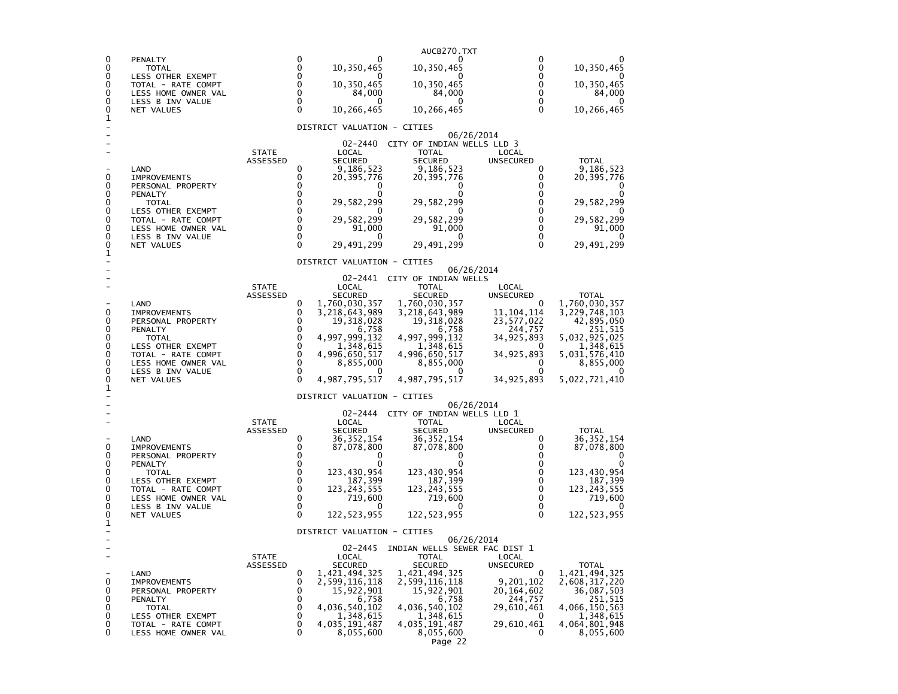|                |                                           |                                 |                      |                                | AUCB270.TXT                    |                           |                             |
|----------------|-------------------------------------------|---------------------------------|----------------------|--------------------------------|--------------------------------|---------------------------|-----------------------------|
| 0<br>0         | PENALTY<br>TOTAL                          |                                 | 0<br>0               | 10,350,465                     | 10,350,465                     | 0<br>0                    | 10,350,465                  |
| 0              | LESS OTHER EXEMPT                         |                                 | 0                    |                                |                                | 0                         | 0                           |
| 0<br>0         | TOTAL - RATE COMPT<br>LESS HOME OWNER VAL |                                 | 0<br>$\mathbf 0$     | 10,350,465<br>84,000           | 10,350,465<br>84,000           | 0<br>0                    | 10,350,465<br>84,000        |
| 0              | LESS B INV VALUE                          |                                 | 0<br>$\Omega$        | 0                              | 0                              | $\Omega$                  | $^{(1)}$                    |
| 0<br>1         | NET VALUES                                |                                 |                      | 10,266,465                     | 10,266,465                     | $\Omega$                  | 10,266,465                  |
|                |                                           |                                 |                      | DISTRICT VALUATION - CITIES    |                                | 06/26/2014                |                             |
|                |                                           |                                 |                      | 02-2440                        | CITY OF INDIAN WELLS LLD 3     |                           |                             |
|                |                                           | <b>STATE</b><br><b>ASSESSED</b> |                      | LOCAL<br><b>SECURED</b>        | <b>TOTAL</b><br><b>SECURED</b> | LOCAL<br><b>UNSECURED</b> | <b>TOTAL</b>                |
| 0              | LAND                                      |                                 | $\Omega$<br>$\Omega$ | 9,186,523                      | 9,186,523                      | 0                         | 9,186,523                   |
| 0              | <b>IMPROVEMENTS</b><br>PERSONAL PROPERTY  |                                 | 0                    | 20, 395, 776                   | 20, 395, 776<br>0              | 0<br>0                    | 20,395,776<br>0             |
| 0<br>0         | PENALTY<br>TOTAL                          |                                 | 0<br>$\Omega$        | 0<br>29,582,299                | o<br>29,582,299                | 0<br>$\Omega$             | 0<br>29,582,299             |
| 0              | LESS OTHER EXEMPT                         |                                 | 0                    |                                | 0                              | $\Omega$                  | O                           |
| 0<br>0         | TOTAL - RATE COMPT<br>LESS HOME OWNER VAL |                                 | 0<br>0               | 29,582,299<br>91,000           | 29,582,299<br>91,000           | 0<br>0                    | 29,582,299<br>91,000        |
| 0<br>0         | LESS B INV VALUE                          |                                 | 0<br>$\Omega$        | 0                              | 0                              | 0<br>$\Omega$             | 0                           |
| 1              | NET VALUES                                |                                 |                      | 29,491,299                     | 29,491,299                     |                           | 29,491,299                  |
|                |                                           |                                 |                      | DISTRICT VALUATION - CITIES    |                                | 06/26/2014                |                             |
|                |                                           |                                 |                      | 02-2441                        | CITY OF INDIAN WELLS           |                           |                             |
|                |                                           | <b>STATE</b><br>ASSESSED        |                      | LOCAL<br><b>SECURED</b>        | <b>TOTAL</b><br><b>SECURED</b> | LOCAL<br>UNSECURED        | <b>TOTAL</b>                |
| 0              | LAND<br><b>IMPROVEMENTS</b>               |                                 | 0<br>0               | 1,760,030,357                  | 1,760,030,357                  | 0<br>11, 104, 114         | 1,760,030,357               |
| 0              | PERSONAL PROPERTY                         |                                 | 0                    | 3,218,643,989<br>19,318,028    | 3,218,643,989<br>19,318,028    | 23, 577, 022              | 3,229,748,103<br>42,895,050 |
| 0<br>0         | PENALTY<br>TOTAL                          |                                 | 0<br>$\mathbf 0$     | 6,758<br>4,997,999,132         | 6,758<br>4,997,999,132         | 244,757<br>34,925,893     | 251,515<br>5,032,925,025    |
| 0              | LESS OTHER EXEMPT                         |                                 | 0                    | 1,348,615                      | 1,348,615                      |                           | 1,348,615                   |
| 0<br>0         | TOTAL - RATE COMPT<br>LESS HOME OWNER VAL |                                 | 0<br>0               | 4,996,650,517<br>8,855,000     | 4,996,650,517<br>8,855,000     | 34,925,893<br>0           | 5,031,576,410<br>8,855,000  |
| 0<br>0         | LESS B INV VALUE                          |                                 | 0<br>$\Omega$        |                                | 0                              | 0                         |                             |
| 1              | NET VALUES                                |                                 |                      | 4,987,795,517                  | 4,987,795,517                  | 34, 925, 893              | 5,022,721,410               |
|                |                                           |                                 |                      | DISTRICT VALUATION - CITIES    |                                | 06/26/2014                |                             |
|                |                                           |                                 |                      | 02-2444                        | CITY OF INDIAN WELLS LLD 1     |                           |                             |
|                |                                           | <b>STATE</b><br>ASSESSED        |                      | LOCAL<br><b>SECURED</b>        | <b>TOTAL</b><br><b>SECURED</b> | LOCAL<br><b>UNSECURED</b> | <b>TOTAL</b>                |
| 0              | LAND                                      |                                 | 0<br>0               | 36,352,154                     | 36, 352, 154                   | 0<br>0                    | 36,352,154                  |
| 0              | <b>IMPROVEMENTS</b><br>PERSONAL PROPERTY  |                                 | 0                    | 87,078,800<br>0                | 87,078,800<br>0                | 0                         | 87,078,800<br>0             |
| 0<br>0         | PENALTY<br>TOTAL                          |                                 | 0<br>0               | 0<br>123,430,954               | 0<br>123,430,954               | 0<br>0                    | 0<br>123,430,954            |
| 0              | LESS OTHER EXEMPT                         |                                 | 0                    | 187,399                        | 187,399                        | 0                         | 187,399                     |
| 0<br>0         | TOTAL - RATE COMPT<br>LESS HOME OWNER VAL |                                 | 0<br>0               | 123,243,555<br>719,600         | 123, 243, 555<br>719,600       | 0<br>0                    | 123, 243, 555<br>719,600    |
| 0              | LESS B INV VALUE                          |                                 | 0<br>$\Omega$        | $\Omega$                       | 0                              | 0<br>$\Omega$             | 0<br>122, 523, 955          |
| 0<br>1         | NET VALUES                                |                                 |                      | 122,523,955                    | 122,523,955                    |                           |                             |
|                |                                           |                                 |                      | DISTRICT VALUATION - CITIES    |                                | 06/26/2014                |                             |
|                |                                           |                                 |                      | $02 - 2445$                    | INDIAN WELLS SEWER FAC DIST 1  |                           |                             |
| $\overline{a}$ |                                           | <b>STATE</b><br>ASSESSED        |                      | LOCAL<br><b>SECURED</b>        | <b>TOTAL</b><br><b>SECURED</b> | LOCAL<br>UNSECURED        | TOTAL                       |
| 0              | LAND<br><b>IMPROVEMENTS</b>               |                                 | 0<br>0               | 1,421,494,325<br>2,599,116,118 | 1,421,494,325                  | 0<br>9,201,102            | 1,421,494,325               |
| 0              | PERSONAL PROPERTY                         |                                 | 0                    | 15,922,901                     | 2,599,116,118<br>15,922,901    | 20,164,602                | 2,608,317,220<br>36,087,503 |
| 0<br>0         | PENALTY<br>TOTAL                          |                                 | 0<br>0               | 6,758<br>4,036,540,102         | 6,758<br>4,036,540,102         | 244,757<br>29,610,461     | 251,515<br>4,066,150,563    |
| 0              | LESS OTHER EXEMPT                         |                                 | 0                    | 1,348,615                      | 1,348,615                      | 0                         | 1,348,615                   |
| 0<br>0         | TOTAL - RATE COMPT<br>LESS HOME OWNER VAL |                                 | 0<br>0               | 4,035,191,487<br>8,055,600     | 4,035,191,487<br>8,055,600     | 29,610,461<br>0           | 4,064,801,948<br>8,055,600  |
|                |                                           |                                 |                      |                                | Page 22                        |                           |                             |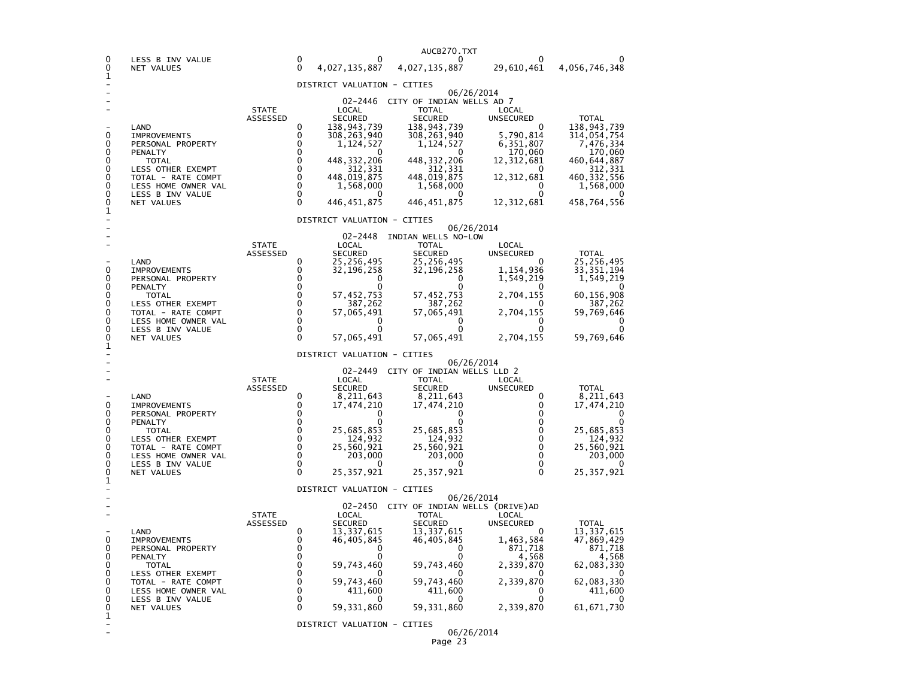|        |                                           |                          |                  |                              | AUCB270.TXT                                       |                              |                            |
|--------|-------------------------------------------|--------------------------|------------------|------------------------------|---------------------------------------------------|------------------------------|----------------------------|
| 0<br>0 | LESS B INV VALUE<br>NET VALUES            |                          | 0<br>$\Omega$    | 4,027,135,887                | 0<br>4,027,135,887                                | 29,610,461                   | 4,056,746,348              |
| 1      |                                           |                          |                  | DISTRICT VALUATION - CITIES  |                                                   |                              |                            |
|        |                                           |                          |                  |                              |                                                   | 06/26/2014                   |                            |
|        |                                           | <b>STATE</b>             |                  | LOCAL                        | 02-2446 CITY OF INDIAN WELLS AD 7<br><b>TOTAL</b> | LOCAL                        |                            |
|        |                                           | ASSESSED                 |                  | <b>SECURED</b>               | <b>SECURED</b>                                    | <b>UNSECURED</b>             | <b>TOTAL</b>               |
| 0      | LAND<br><b>IMPROVEMENTS</b>               |                          | 0<br>0           | 138,943,739<br>308, 263, 940 | 138,943,739<br>308, 263, 940                      | 5,790,814                    | 138,943,739<br>314,054,754 |
| 0<br>0 | PERSONAL PROPERTY<br>PENALTY              |                          | 0<br>0           | 1,124,527<br>$\mathbf{0}$    | 1,124,527<br>0                                    | 6,351,807                    | 7,476,334<br>170,060       |
| 0      | <b>TOTAL</b>                              |                          | 0                | 448, 332, 206                | 448, 332, 206                                     | 170,060<br>12,312,681        | 460,644,887                |
| 0<br>0 | LESS OTHER EXEMPT<br>TOTAL - RATE COMPT   |                          | 0<br>$\Omega$    | 312,331<br>448,019,875       | 312,331<br>448,019,875                            | 12,312,681                   | 312,331<br>460, 332, 556   |
| 0      | LESS HOME OWNER VAL                       |                          | $\Omega$         | 1,568,000                    | 1,568,000                                         | 0                            | 1,568,000                  |
| 0<br>0 | LESS B INV VALUE<br>NET VALUES            |                          | $\mathbf 0$<br>0 | $\Omega$<br>446, 451, 875    | 0<br>446, 451, 875                                | $\Omega$<br>12,312,681       | $\Omega$<br>458,764,556    |
| 1      |                                           |                          |                  | DISTRICT VALUATION - CITIES  |                                                   |                              |                            |
|        |                                           |                          |                  | 02-2448                      | INDIAN WELLS NO-LOW                               | 06/26/2014                   |                            |
|        |                                           | <b>STATE</b>             |                  | LOCAL                        | <b>TOTAL</b>                                      | LOCAL                        |                            |
|        | LAND                                      | ASSESSED                 | 0                | <b>SECURED</b><br>25,256,495 | <b>SECURED</b><br>25,256,495                      | <b>UNSECURED</b><br>$\Omega$ | <b>TOTAL</b><br>25,256,495 |
| 0      | <b>IMPROVEMENTS</b>                       |                          | 0                | 32,196,258                   | 32,196,258                                        | 1,154,936                    | 33, 351, 194               |
| 0<br>0 | PERSONAL PROPERTY<br>PENALTY              |                          | 0<br>0           | $\Omega$<br>Ω                | O<br>O                                            | 1,549,219                    | 1,549,219                  |
| 0<br>0 | <b>TOTAL</b>                              |                          | 0<br>0           | 57, 452, 753                 | 57, 452, 753<br>387, 262                          | 2,704,155<br>0               | 60,156,908                 |
| 0      | LESS OTHER EXEMPT<br>TOTAL - RATE COMPT   |                          | $\Omega$         | 387,262<br>57,065,491        | 57,065,491                                        | 2,704,155                    | 387,262<br>59,769,646      |
| 0<br>0 | LESS HOME OWNER VAL<br>LESS B INV VALUE   |                          | 0<br>0           | 0<br>0                       | 0<br>0                                            | 0<br>O                       | O<br>O                     |
| 0<br>1 | NET VALUES                                |                          | 0                | 57,065,491                   | 57,065,491                                        | 2,704,155                    | 59,769,646                 |
|        |                                           |                          |                  | DISTRICT VALUATION - CITIES  |                                                   | 06/26/2014                   |                            |
|        |                                           |                          |                  |                              | 02-2449 CITY OF INDIAN WELLS LLD 2                |                              |                            |
|        |                                           | <b>STATE</b><br>ASSESSED |                  | LOCAL<br><b>SECURED</b>      | <b>TOTAL</b><br><b>SECURED</b>                    | LOCAL<br><b>UNSECURED</b>    | <b>TOTAL</b>               |
|        | LAND                                      |                          | 0                | 8,211,643                    | 8,211,643                                         | 0                            | 8,211,643                  |
| 0<br>0 | <b>IMPROVEMENTS</b><br>PERSONAL PROPERTY  |                          | 0<br>0           | 17,474,210<br>$\Omega$       | 17,474,210<br>O                                   | 0<br>0                       | 17,474,210<br>O            |
| 0<br>0 | PENALTY                                   |                          | 0<br>0           | $\Omega$                     | $\Omega$                                          | $\mathbf 0$<br>$\Omega$      | 25,685,853                 |
| 0      | <b>TOTAL</b><br>LESS OTHER EXEMPT         |                          | $\Omega$         | 25,685,853<br>124,932        | 25,685,853<br>124,932                             | $\Omega$                     | 124,932                    |
| 0<br>0 | TOTAL - RATE COMPT<br>LESS HOME OWNER VAL |                          | 0<br>0           | 25,560,921<br>203,000        | 25,560,921<br>203,000                             | $\Omega$<br>0                | 25,560,921<br>203,000      |
| 0      | LESS B INV VALUE                          |                          | 0                | O                            | O                                                 | $\mathbf 0$                  | $\Omega$                   |
| 0<br>1 | NET VALUES                                |                          | 0                | 25, 357, 921                 | 25, 357, 921                                      | $\mathbf{0}$                 | 25, 357, 921               |
|        |                                           |                          |                  | DISTRICT VALUATION - CITIES  |                                                   | 06/26/2014                   |                            |
|        |                                           |                          |                  |                              | 02-2450 CITY OF INDIAN WELLS (DRIVE)AD            |                              |                            |
|        |                                           | <b>STATE</b><br>ASSESSED |                  | LOCAL<br>SECURED             | <b>TOTAL</b><br><b>SECURED</b>                    | <b>LOCAL</b><br>UNSECURED    | <b>TOTAL</b>               |
| 0      | LAND                                      |                          | 0<br>0           | 13,337,615                   | 13,337,615                                        | $\Omega$                     | 13,337,615                 |
| 0      | <b>IMPROVEMENTS</b><br>PERSONAL PROPERTY  |                          | 0                | 46,405,845<br>∩              | 46,405,845<br>0                                   | 1,463,584<br>871,718         | 47,869,429<br>871,718      |
| 0<br>0 | PENALTY<br><b>TOTAL</b>                   |                          | 0<br>0           | 59,743,460                   | 0<br>59,743,460                                   | 4,568<br>2,339,870           | 4,568<br>62,083,330        |
| 0      | LESS OTHER EXEMPT                         |                          | $\Omega$         |                              | $\Omega$                                          | $\Omega$                     | $\Omega$                   |
| 0<br>0 | TOTAL - RATE COMPT<br>LESS HOME OWNER VAL |                          | 0<br>$\mathbf 0$ | 59,743,460<br>411,600        | 59,743,460<br>411,600                             | 2,339,870<br>0               | 62,083,330<br>411,600      |
| 0<br>0 | LESS B INV VALUE<br>NET VALUES            |                          | 0<br>0           | 0<br>59,331,860              | 0<br>59, 331, 860                                 | 2,339,870                    | 61, 671, 730               |
| 1      |                                           |                          |                  |                              |                                                   |                              |                            |
|        |                                           |                          |                  | DISTRICT VALUATION - CITIES  |                                                   | 06/26/2014                   |                            |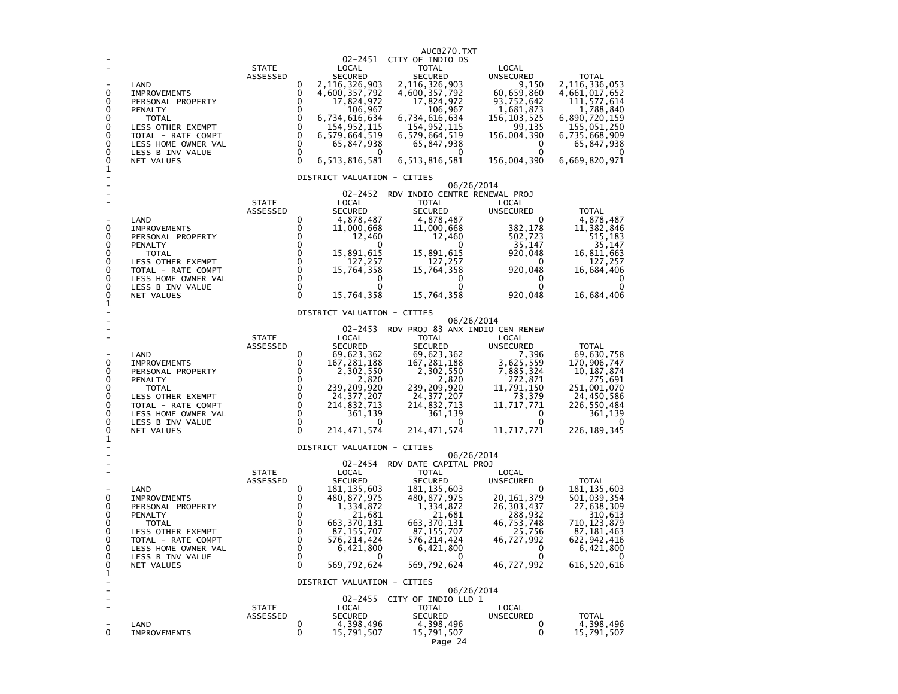| 0<br>0<br>0<br>0<br>0<br>0<br>0<br>0<br>0<br>1 | LAND<br><b>IMPROVEMENTS</b><br>PERSONAL PROPERTY<br>PENALTY<br>TOTAL<br>LESS OTHER EXEMPT<br>TOTAL - RATE COMPT<br>LESS HOME OWNER VAL<br>LESS B INV VALUE<br>NET VALUES        | <b>STATE</b><br>ASSESSED | 0<br>0<br>0<br>0<br>0<br>0<br>$\mathbf 0$<br>$\mathbf 0$<br>0<br>$\Omega$  | LOCAL<br><b>SECURED</b><br>2,116,326,903<br>4,600,357,792<br>17,824,972<br>106,967<br>6,734,616,634<br>154,952,115<br>6,579,664,519<br>65,847,938<br>6,513,816,581                                        | AUCB270.TXT<br>02-2451 CITY OF INDIO DS<br><b>TOTAL</b><br><b>SECURED</b><br>2, 116, 326, 903<br>4,600,357,792<br>17,824,972<br>106,967<br>6,734,616,634<br>154,952,115<br>6,579,664,519<br>65,847,938<br>$\Omega$<br>6,513,816,581 | LOCAL<br><b>UNSECURED</b><br>9,150<br>60,659,860<br>93,752,642<br>1,681,873<br>156, 103, 525<br>99,135<br>156,004,390<br>0<br>$\Omega$<br>156,004,390 | <b>TOTAL</b><br>2,116,336,053<br>4,661,017,652<br>111, 577, 614<br>1,788,840<br>6,890,720,159<br>155,051,250<br>6,735,668,909<br>65,847,938<br>6,669,820,971 |
|------------------------------------------------|---------------------------------------------------------------------------------------------------------------------------------------------------------------------------------|--------------------------|----------------------------------------------------------------------------|-----------------------------------------------------------------------------------------------------------------------------------------------------------------------------------------------------------|-------------------------------------------------------------------------------------------------------------------------------------------------------------------------------------------------------------------------------------|-------------------------------------------------------------------------------------------------------------------------------------------------------|--------------------------------------------------------------------------------------------------------------------------------------------------------------|
| 0<br>0<br>0<br>0<br>0<br>0<br>0<br>0<br>0<br>1 | LAND<br><b>IMPROVEMENTS</b><br>PERSONAL PROPERTY<br>PENALTY<br><b>TOTAL</b><br>LESS OTHER EXEMPT<br>TOTAL - RATE COMPT<br>LESS HOME OWNER VAL<br>LESS B INV VALUE<br>NET VALUES | <b>STATE</b><br>ASSESSED | 0<br>0<br>0<br>0<br>0<br>0<br>0<br>0<br>0<br>$\Omega$                      | DISTRICT VALUATION - CITIES<br>02-2452<br>LOCAL<br><b>SECURED</b><br>4,878,487<br>11,000,668<br>12,460<br>0<br>15,891,615<br>127,257<br>15,764,358<br>0<br>0<br>15,764,358                                | 06/26/2014<br>RDV INDIO CENTRE RENEWAL PROJ<br>TOTAL<br><b>SECURED</b><br>4,878,487<br>11,000,668<br>12,460<br>0<br>15,891,615<br>127,257<br>15,764,358<br>0<br>0<br>15,764,358                                                     | LOCAL<br>UNSECURED<br>$\Omega$<br>382,178<br>502,723<br>35,147<br>920,048<br>0<br>920,048<br>0<br>0<br>920,048                                        | <b>TOTAL</b><br>4,878,487<br>11,382,846<br>515,183<br>35,147<br>16,811,663<br>127,257<br>16,684,406<br>0<br>0<br>16,684,406                                  |
| 0<br>0<br>0<br>0<br>0<br>0<br>0<br>0<br>0<br>1 | LAND<br><b>IMPROVEMENTS</b><br>PERSONAL PROPERTY<br>PENALTY<br><b>TOTAL</b><br>LESS OTHER EXEMPT<br>TOTAL - RATE COMPT<br>LESS HOME OWNER VAL<br>LESS B INV VALUE<br>NET VALUES | <b>STATE</b><br>ASSESSED | 0<br>0<br>$\Omega$<br>$\Omega$<br>$\Omega$<br>0<br>0<br>0<br>0<br>$\Omega$ | DISTRICT VALUATION - CITIES<br>$02 - 2453$<br>LOCAL<br><b>SECURED</b><br>69,623,362<br>167,281,188<br>2,302,550<br>2,820<br>239,209,920<br>24, 377, 207<br>214,832,713<br>361,139<br>0<br>214,471,574     | 06/26/2014<br>RDV PROJ 83 ANX INDIO CEN RENEW<br>TOTAL<br><b>SECURED</b><br>69,623,362<br>167,281,188<br>2,302,550<br>2,820<br>239,209,920<br>24, 377, 207<br>214,832,713<br>361,139<br>0<br>214, 471, 574                          | LOCAL<br>UNSECURED<br>7,396<br>3,625,559<br>7,885,324<br>272,871<br>11,791,150<br>73,379<br>11,717,771<br>0<br>0<br>11,717,771                        | <b>TOTAL</b><br>69,630,758<br>170,906,747<br>10, 187, 874<br>275,691<br>251,001,070<br>24,450,586<br>226,550,484<br>361,139<br>0<br>226, 189, 345            |
| 0<br>0<br>0<br>0<br>0<br>0<br>0<br>0<br>0<br>1 | LAND<br><b>IMPROVEMENTS</b><br>PERSONAL PROPERTY<br>PENALTY<br><b>TOTAL</b><br>LESS OTHER EXEMPT<br>TOTAL - RATE COMPT<br>LESS HOME OWNER VAL<br>LESS B INV VALUE<br>NET VALUES | <b>STATE</b><br>ASSESSED | 0<br>0<br>0<br>0<br>0<br>0<br>0<br>$\Omega$<br>0<br>0                      | DISTRICT VALUATION - CITIES<br>02-2454<br>LOCAL<br><b>SECURED</b><br>181, 135, 603<br>480,877,975<br>1,334,872<br>21,681<br>663, 370, 131<br>87, 155, 707<br>576,214,424<br>6,421,800<br>0<br>569,792,624 | 06/26/2014<br>RDV DATE CAPITAL PROJ<br>TOTAL<br><b>SECURED</b><br>181, 135, 603<br>480,877,975<br>1,334,872<br>21,681<br>663, 370, 131<br>87, 155, 707<br>576, 214, 424<br>6,421,800<br>0<br>569,792,624                            | LOCAL<br>UNSECURED<br>$\Omega$<br>20,161,379<br>26,303,437<br>288,932<br>46,753,748<br>25,756<br>46,727,992<br>0<br>0<br>46,727,992                   | <b>TOTAL</b><br>181, 135, 603<br>501,039,354<br>27,638,309<br>310,613<br>710,123,879<br>87, 181, 463<br>622,942,416<br>6,421,800<br>0<br>616,520,616         |
| -<br>$\overline{\phantom{a}}$<br>۰<br>0        | LAND<br><b>IMPROVEMENTS</b>                                                                                                                                                     | <b>STATE</b><br>ASSESSED | 0<br>0                                                                     | DISTRICT VALUATION - CITIES<br>02-2455<br>LOCAL<br><b>SECURED</b><br>4,398,496<br>15,791,507                                                                                                              | 06/26/2014<br>CITY OF INDIO LLD 1<br><b>TOTAL</b><br><b>SECURED</b><br>4,398,496<br>15,791,507<br>Page 24                                                                                                                           | LOCAL<br>UNSECURED<br>0<br>0                                                                                                                          | <b>TOTAL</b><br>4,398,496<br>15,791,507                                                                                                                      |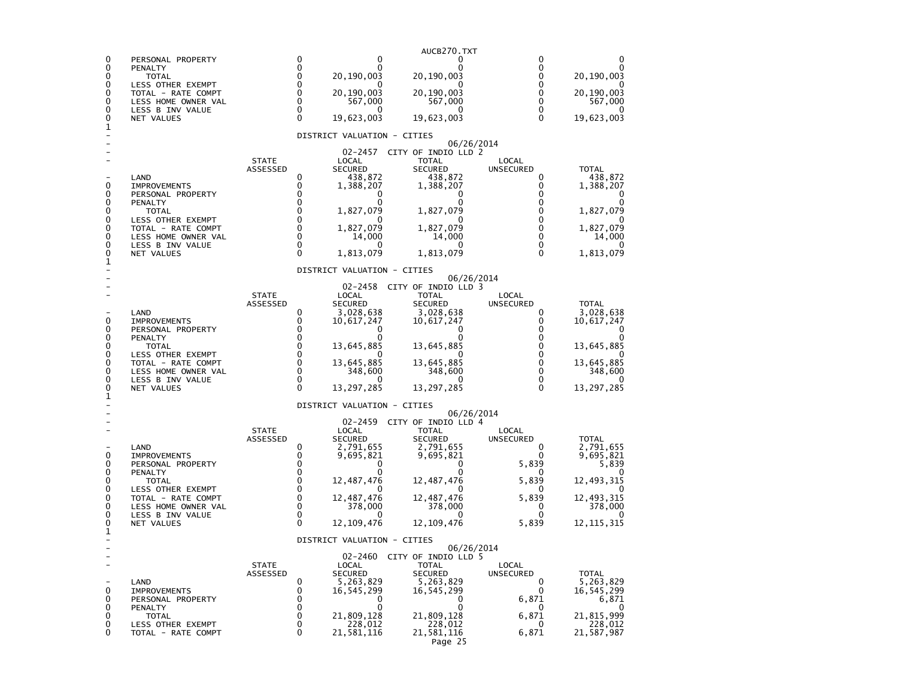|        |                                           |                          |                            |                             | AUCB270.TXT                         |                           |                           |
|--------|-------------------------------------------|--------------------------|----------------------------|-----------------------------|-------------------------------------|---------------------------|---------------------------|
| 0<br>0 | PERSONAL PROPERTY<br>PENALTY              |                          | 0<br>0                     | 0<br>0                      | 0<br>O                              | 0<br>$\Omega$             | 0<br>0                    |
| 0      | <b>TOTAL</b>                              |                          | $\mathbf 0$                | 20,190,003                  | 20,190,003                          | 0                         | 20,190,003                |
| 0<br>0 | LESS OTHER EXEMPT<br>TOTAL - RATE COMPT   |                          | 0<br>$\mathbf 0$           | 20,190,003                  | 20,190,003                          | 0<br>$\mathbf{0}$         | 20,190,003                |
| 0<br>0 | LESS HOME OWNER VAL<br>LESS B INV VALUE   |                          | $\mathbf 0$<br>$\mathbf 0$ | 567,000                     | 567,000                             | 0<br>0                    | 567,000                   |
| 0<br>1 | NET VALUES                                |                          | $\Omega$                   | 19,623,003                  | 19,623,003                          | $\Omega$                  | 19,623,003                |
|        |                                           |                          |                            | DISTRICT VALUATION - CITIES | 06/26/2014                          |                           |                           |
|        |                                           |                          |                            | 02-2457                     | CITY OF INDIO LLD 2                 |                           |                           |
|        |                                           | <b>STATE</b><br>ASSESSED |                            | LOCAL<br><b>SECURED</b>     | <b>TOTAL</b><br><b>SECURED</b>      | LOCAL<br><b>UNSECURED</b> | <b>TOTAL</b>              |
| 0      | LAND                                      |                          | 0<br>0                     | 438,872                     | 438,872                             | 0<br>0                    | 438,872                   |
| 0      | <b>IMPROVEMENTS</b><br>PERSONAL PROPERTY  |                          | 0                          | 1,388,207<br>0              | 1,388,207<br>0                      | 0                         | 1,388,207<br>0            |
| 0<br>0 | PENALTY<br><b>TOTAL</b>                   |                          | 0<br>0                     | 0<br>1,827,079              | 1,827,079                           | 0<br>0                    | 1,827,079                 |
| 0      | LESS OTHER EXEMPT                         |                          | 0                          |                             |                                     | 0                         |                           |
| 0<br>0 | TOTAL - RATE COMPT<br>LESS HOME OWNER VAL |                          | 0<br>0                     | 1,827,079<br>14,000         | 1,827,079<br>14,000                 | $\Omega$<br>0             | 1,827,079<br>14,000       |
| 0<br>0 | LESS B INV VALUE<br>NET VALUES            |                          | 0<br>0                     | $\mathbf{U}$<br>1,813,079   | 1,813,079                           | 0<br>0                    | 1,813,079                 |
| 1      |                                           |                          |                            | DISTRICT VALUATION - CITIES |                                     |                           |                           |
|        |                                           |                          |                            | 02-2458                     | 06/26/2014<br>CITY OF INDIO LLD 3   |                           |                           |
|        |                                           | <b>STATE</b>             |                            | LOCAL                       | <b>TOTAL</b>                        | LOCAL                     |                           |
|        | LAND                                      | ASSESSED                 | 0                          | <b>SECURED</b><br>3,028,638 | <b>SECURED</b><br>3,028,638         | <b>UNSECURED</b><br>0     | <b>TOTAL</b><br>3,028,638 |
| 0<br>0 | <b>IMPROVEMENTS</b><br>PERSONAL PROPERTY  |                          | 0<br>0                     | 10,617,247<br>0             | 10,617,247<br>0                     | 0<br>0                    | 10,617,247<br>0           |
| 0      | PENALTY                                   |                          | 0                          |                             |                                     | 0                         |                           |
| 0<br>0 | <b>TOTAL</b><br>LESS OTHER EXEMPT         |                          | 0<br>$\Omega$              | 13,645,885                  | 13,645,885                          | 0<br>$\Omega$             | 13,645,885                |
| 0<br>0 | TOTAL - RATE COMPT<br>LESS HOME OWNER VAL |                          | $\Omega$<br>$\Omega$       | 13,645,885<br>348,600       | 13,645,885<br>348,600               | $\Omega$<br>0             | 13,645,885<br>348,600     |
| 0      | LESS B INV VALUE                          |                          | $\Omega$                   |                             |                                     | 0                         |                           |
| 0<br>1 | NET VALUES                                |                          | $\Omega$                   | 13,297,285                  | 13,297,285                          | 0                         | 13, 297, 285              |
|        |                                           |                          |                            | DISTRICT VALUATION - CITIES | 06/26/2014                          |                           |                           |
|        |                                           | <b>STATE</b>             |                            | $02 - 2459$<br>LOCAL        | CITY OF INDIO LLD 4<br><b>TOTAL</b> | LOCAL                     |                           |
|        |                                           | ASSESSED                 |                            | <b>SECURED</b>              | <b>SECURED</b>                      | UNSECURED                 | <b>TOTAL</b>              |
| 0      | LAND<br><b>IMPROVEMENTS</b>               |                          | 0<br>0                     | 2,791,655<br>9,695,821      | 2,791,655<br>9,695,821              | 0<br>O                    | 2,791,655<br>9,695,821    |
| 0<br>0 | PERSONAL PROPERTY                         |                          | 0<br>0                     | 0<br>0                      | 0<br>o                              | 5,839<br>0                | 5,839                     |
| 0      | PENALTY<br><b>TOTAL</b>                   |                          | 0<br>$\mathbf 0$           | 12,487,476                  | 12,487,476                          | 5,839                     | 12,493,315                |
| 0<br>0 | LESS OTHER EXEMPT<br>TOTAL - RATE COMPT   |                          | $\mathbf 0$                | 12,487,476                  | 12,487,476                          | O<br>5,839                | 12,493,315                |
| 0<br>0 | LESS HOME OWNER VAL<br>LESS B INV VALUE   |                          | 0<br>$\mathbf 0$           | 378,000                     | 378,000                             | 0<br>0                    | 378,000                   |
| 0<br>1 | NET VALUES                                |                          | 0                          | 12,109,476                  | 12, 109, 476                        | 5,839                     | 12,115,315                |
|        |                                           |                          |                            | DISTRICT VALUATION - CITIES | 06/26/2014                          |                           |                           |
|        |                                           | <b>STATE</b>             |                            | 02-2460<br>LOCAL            | CITY OF INDIO LLD 5<br>TOTAL        | LOCAL                     |                           |
|        |                                           | ASSESSED                 |                            | <b>SECURED</b>              | <b>SECURED</b>                      | <b>UNSECURED</b>          | <b>TOTAL</b>              |
| 0      | LAND<br><b>IMPROVEMENTS</b>               |                          | 0<br>0                     | 5,263,829<br>16,545,299     | 5,263,829<br>16,545,299             | 0<br>0                    | 5,263,829<br>16,545,299   |
| 0<br>0 | PERSONAL PROPERTY                         |                          | 0<br>0                     | 0<br>0                      | 0<br>0                              | 6,871                     | 6,871                     |
| 0      | PENALTY<br>TOTAL                          |                          | $\mathbf 0$                | 21,809,128                  | 21,809,128                          | 0<br>6,871                | 0<br>21,815,999           |
| 0<br>0 | LESS OTHER EXEMPT<br>TOTAL - RATE COMPT   |                          | 0<br>0                     | 228,012<br>21,581,116       | 228,012<br>21,581,116               | 0<br>6,871                | 228,012<br>21,587,987     |
|        |                                           |                          |                            |                             | Page 25                             |                           |                           |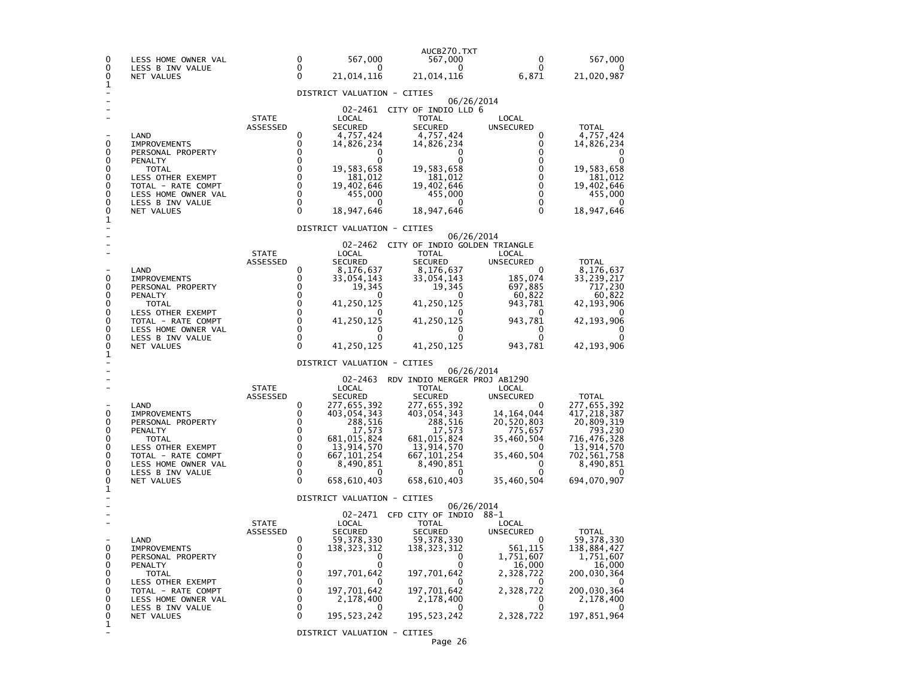| 0<br>$\Omega$                                            | LESS HOME OWNER VAL<br>LESS B INV VALUE                                                                                                                                                |                          | $\Omega$<br>$\Omega$                                                                                   | 567,000<br>0                                                                                                                                             | AUCB270.TXT<br>567,000<br>0                                                                                                                                                      | 0<br>$\Omega$                                                                                                           | 567,000<br>0                                                                                                                                |
|----------------------------------------------------------|----------------------------------------------------------------------------------------------------------------------------------------------------------------------------------------|--------------------------|--------------------------------------------------------------------------------------------------------|----------------------------------------------------------------------------------------------------------------------------------------------------------|----------------------------------------------------------------------------------------------------------------------------------------------------------------------------------|-------------------------------------------------------------------------------------------------------------------------|---------------------------------------------------------------------------------------------------------------------------------------------|
| 0<br>1                                                   | NET VALUES                                                                                                                                                                             |                          | $\Omega$                                                                                               | 21,014,116                                                                                                                                               | 21,014,116                                                                                                                                                                       | 6,871                                                                                                                   | 21,020,987                                                                                                                                  |
|                                                          |                                                                                                                                                                                        |                          |                                                                                                        | DISTRICT VALUATION - CITIES                                                                                                                              |                                                                                                                                                                                  |                                                                                                                         |                                                                                                                                             |
| 0<br>0<br>0<br>0<br>0<br>0<br>0<br>0<br>0                | LAND<br><b>IMPROVEMENTS</b><br>PERSONAL PROPERTY<br>PENALTY<br><b>TOTAL</b><br><b>LESS OTHER EXEMPT</b><br>TOTAL - RATE COMPT<br>LESS HOME OWNER VAL<br>LESS B INV VALUE<br>NET VALUES | <b>STATE</b><br>ASSESSED | 0<br>0<br>$\Omega$<br>0<br>0<br>$\mathbf 0$<br>$\mathbf 0$<br>$\Omega$<br>$\mathbf 0$<br>$\Omega$      | 02-2461<br>LOCAL<br><b>SECURED</b><br>4,757,424<br>14,826,234<br>0<br>0<br>19,583,658<br>181,012<br>19,402,646<br>455,000<br>0<br>18,947,646             | 06/26/2014<br>CITY OF INDIO LLD 6<br><b>TOTAL</b><br><b>SECURED</b><br>4,757,424<br>14,826,234<br>19,583,658<br>181,012<br>19,402,646<br>455,000<br>0<br>18,947,646              | LOCAL<br>UNSECURED<br>0<br>0<br>0<br>0<br>0<br>0<br>$\mathbf 0$<br>$\Omega$<br>0<br>$\Omega$                            | <b>TOTAL</b><br>4,757,424<br>14,826,234<br>0<br>19,583,658<br>181,012<br>19,402,646<br>455,000<br>0<br>18,947,646                           |
| 1                                                        |                                                                                                                                                                                        |                          |                                                                                                        | DISTRICT VALUATION - CITIES                                                                                                                              |                                                                                                                                                                                  |                                                                                                                         |                                                                                                                                             |
| 0<br>0<br>0<br>0<br>0<br>0<br>0<br>0<br>0<br>1           | LAND<br><b>IMPROVEMENTS</b><br>PERSONAL PROPERTY<br>PENALTY<br>TOTAL<br>LESS OTHER EXEMPT<br>TOTAL - RATE COMPT<br>LESS HOME OWNER VAL<br>LESS B INV VALUE<br>NET VALUES               | <b>STATE</b><br>ASSESSED | 0<br>$\Omega$<br>$\Omega$<br>0<br>0<br>0<br>0<br>$\mathbf{0}$<br>$\Omega$<br>$\Omega$                  | 02-2462<br>LOCAL<br>SECURED<br>8,176,637<br>33,054,143<br>19,345<br>O<br>41,250,125<br>41,250,125<br>0<br>0<br>41,250,125<br>DISTRICT VALUATION - CITIES | 06/26/2014<br>CITY OF INDIO GOLDEN TRIANGLE<br><b>TOTAL</b><br><b>SECURED</b><br>8,176,637<br>33,054,143<br>19,345<br>0<br>41,250,125<br>41,250,125<br>0<br>0<br>41,250,125      | LOCAL<br>UNSECURED<br>0<br>185,074<br>697,885<br>60,822<br>943,781<br>0<br>943,781<br>0<br>$\Omega$<br>943,781          | <b>TOTAL</b><br>8,176,637<br>33,239,217<br>717,230<br>60,822<br>42,193,906<br>42,193,906<br>0<br>0<br>42, 193, 906                          |
|                                                          |                                                                                                                                                                                        |                          |                                                                                                        | $02 - 2463$                                                                                                                                              | 06/26/2014<br>RDV INDIO MERGER PROJ AB1290                                                                                                                                       |                                                                                                                         |                                                                                                                                             |
| 0<br>0<br>0<br>0<br>0<br>0<br>$\mathbf 0$<br>0<br>0<br>1 | LAND<br><b>IMPROVEMENTS</b><br>PERSONAL PROPERTY<br>PENALTY<br><b>TOTAL</b><br>LESS OTHER EXEMPT<br>TOTAL - RATE COMPT<br>LESS HOME OWNER VAL<br>LESS B INV VALUE<br>NET VALUES        | <b>STATE</b><br>ASSESSED | 0<br>0<br>0<br>$\Omega$<br>$\Omega$<br>$\Omega$<br>$\mathbf 0$<br>$\Omega$<br>$\mathbf{0}$<br>$\Omega$ | LOCAL<br><b>SECURED</b><br>277,655,392<br>403,054,343<br>288,516<br>17,573<br>681,015,824<br>13,914,570<br>667,101,254<br>8,490,851<br>658,610,403       | TOTAL<br><b>SECURED</b><br>277,655,392<br>403,054,343<br>288,516<br>17,573<br>681,015,824<br>13,914,570<br>667, 101, 254<br>8,490,851<br>0<br>658,610,403                        | LOCAL<br>UNSECURED<br>0<br>14,164,044<br>20,520,803<br>775,657<br>35,460,504<br>0<br>35,460,504<br>0<br>0<br>35,460,504 | <b>TOTAL</b><br>277,655,392<br>417,218,387<br>20,809,319<br>793,230<br>716,476,328<br>13,914,570<br>702,561,758<br>8,490,851<br>694,070,907 |
|                                                          |                                                                                                                                                                                        |                          |                                                                                                        | DISTRICT VALUATION - CITIES                                                                                                                              |                                                                                                                                                                                  |                                                                                                                         |                                                                                                                                             |
| 0<br>0<br>0<br>0<br>0<br>0<br>0<br>0<br>0<br>1           | LAND<br><b>IMPROVEMENTS</b><br>PERSONAL PROPERTY<br>PENALTY<br>TOTAL<br>LESS OTHER EXEMPT<br>TOTAL - RATE COMPT<br>LESS HOME OWNER VAL<br>LESS B INV VALUE<br>NET VALUES               | <b>STATE</b><br>ASSESSED | 0<br>0<br>0<br>0<br>0<br>0<br>$\Omega$<br>$\Omega$<br>0<br>0                                           | LOCAL<br><b>SECURED</b><br>59,378,330<br>138,323,312<br>0<br>197,701,642<br>197,701,642<br>2,178,400<br>195, 523, 242<br>DISTRICT VALUATION - CITIES     | 06/26/2014<br>02-2471 CFD CITY OF INDIO 88-1<br><b>TOTAL</b><br><b>SECURED</b><br>59, 378, 330<br>138, 323, 312<br>0<br>197,701,642<br>197,701,642<br>2,178,400<br>195, 523, 242 | LOCAL<br><b>UNSECURED</b><br>0<br>561,115<br>1,751,607<br>16,000<br>2,328,722<br>2,328,722<br>0<br>0<br>2,328,722       | <b>TOTAL</b><br>59,378,330<br>138,884,427<br>1,751,607<br>16,000<br>200,030,364<br>200,030,364<br>2,178,400<br>197,851,964                  |
|                                                          |                                                                                                                                                                                        |                          |                                                                                                        |                                                                                                                                                          | Page 26                                                                                                                                                                          |                                                                                                                         |                                                                                                                                             |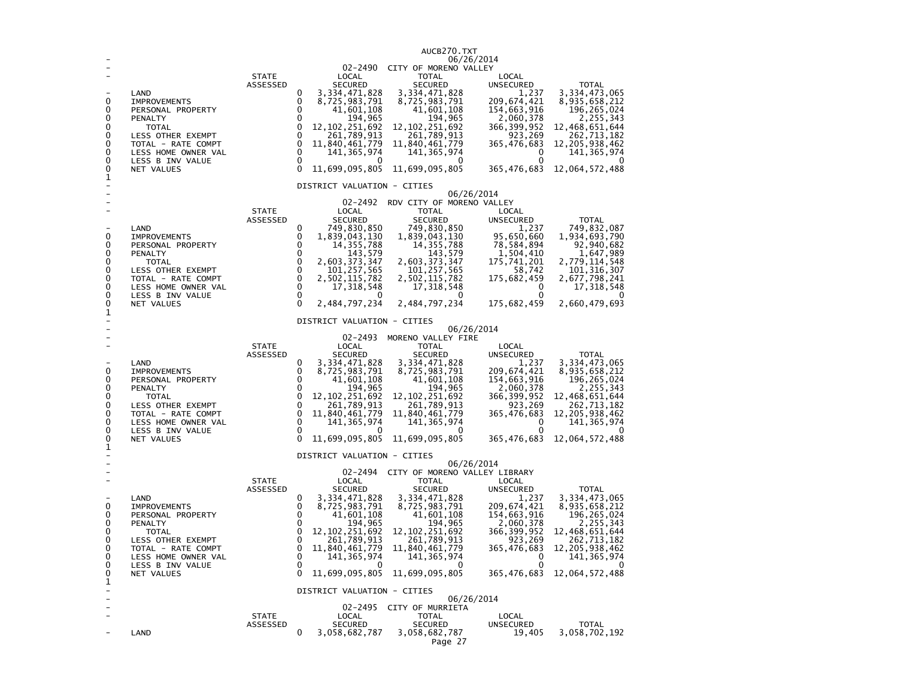|                                                |                                                                                                                                                                                 |                          |                                                              |                                                                                                                                                                                        | AUCB270.TXT                                                                                                                                                                                                                                       |                                                                                                                                                             |                                                                                                                                                                        |
|------------------------------------------------|---------------------------------------------------------------------------------------------------------------------------------------------------------------------------------|--------------------------|--------------------------------------------------------------|----------------------------------------------------------------------------------------------------------------------------------------------------------------------------------------|---------------------------------------------------------------------------------------------------------------------------------------------------------------------------------------------------------------------------------------------------|-------------------------------------------------------------------------------------------------------------------------------------------------------------|------------------------------------------------------------------------------------------------------------------------------------------------------------------------|
|                                                |                                                                                                                                                                                 |                          |                                                              | 02-2490                                                                                                                                                                                | 06/26/2014<br>CITY OF MORENO VALLEY                                                                                                                                                                                                               |                                                                                                                                                             |                                                                                                                                                                        |
| 0<br>0<br>0<br>0                               | LAND<br><b>IMPROVEMENTS</b><br>PERSONAL PROPERTY<br>PENALTY<br>TOTAL                                                                                                            | <b>STATE</b><br>ASSESSED | 0<br>0<br>0<br>0<br>0                                        | LOCAL<br><b>SECURED</b><br>3,334,471,828<br>8,725,983,791<br>41,601,108<br>194,965<br>12, 102, 251, 692                                                                                | <b>TOTAL</b><br>SECURED<br>3, 334, 471, 828<br>8,725,983,791<br>41,601,108<br>194,965<br>12, 102, 251, 692                                                                                                                                        | LOCAL<br>UNSECURED<br>1,237<br>209,674,421<br>154,663,916<br>2,060,378<br>366, 399, 952                                                                     | <b>TOTAL</b><br>3,334,473,065<br>8,935,658,212<br>196,265,024<br>2,255,343<br>12,468,651,644                                                                           |
| 0<br>0<br>0<br>0<br>0                          | LESS OTHER EXEMPT<br>TOTAL - RATE COMPT<br>LESS HOME OWNER VAL<br>LESS B INV VALUE<br>NET VALUES                                                                                |                          | 0<br>$\mathbf 0$<br>$\mathbf 0$<br>$\mathbf 0$<br>$\Omega$   | 261,789,913<br>11,840,461,779<br>141,365,974<br>0<br>11,699,095,805                                                                                                                    | 261,789,913<br>11,840,461,779<br>141, 365, 974<br>0<br>11,699,095,805                                                                                                                                                                             | 923,269<br>365,476,683<br>0<br>0<br>365,476,683                                                                                                             | 262,713,182<br>12, 205, 938, 462<br>141,365,974<br>12,064,572,488                                                                                                      |
| 1                                              |                                                                                                                                                                                 |                          |                                                              | DISTRICT VALUATION - CITIES                                                                                                                                                            |                                                                                                                                                                                                                                                   |                                                                                                                                                             |                                                                                                                                                                        |
|                                                |                                                                                                                                                                                 |                          |                                                              |                                                                                                                                                                                        | 06/26/2014                                                                                                                                                                                                                                        |                                                                                                                                                             |                                                                                                                                                                        |
| 0<br>0<br>0<br>0<br>0<br>0<br>0<br>0<br>0      | LAND<br><b>IMPROVEMENTS</b><br>PERSONAL PROPERTY<br>PENALTY<br><b>TOTAL</b><br>LESS OTHER EXEMPT<br>TOTAL - RATE COMPT<br>LESS HOME OWNER VAL<br>LESS B INV VALUE<br>NET VALUES | <b>STATE</b><br>ASSESSED | 0<br>0<br>0<br>0<br>0<br>0<br>0<br>0<br>0<br>$\Omega$        | 02-2492<br>LOCAL<br><b>SECURED</b><br>749,830,850<br>1,839,043,130<br>14, 355, 788<br>143,579<br>2,603,373,347<br>101, 257, 565<br>2,502,115,782<br>17, 318, 548<br>0<br>2,484,797,234 | RDV CITY OF MORENO VALLEY<br><b>TOTAL</b><br><b>SECURED</b><br>749,830,850<br>1,839,043,130<br>14, 355, 788<br>143,579<br>2,603,373,347<br>101, 257, 565<br>2,502,115,782<br>17,318,548<br>0<br>2,484,797,234                                     | LOCAL<br>UNSECURED<br>1,237<br>95,650,660<br>78,584,894<br>1,504,410<br>175,741,201<br>58,742<br>175,682,459<br>0<br>0<br>175,682,459                       | TOTAL<br>749,832,087<br>1,934,693,790<br>92,940,682<br>1,647,989<br>2,779,114,548<br>101, 316, 307<br>2,677,798,241<br>17,318,548<br>2,660,479,693                     |
| 1                                              |                                                                                                                                                                                 |                          |                                                              | DISTRICT VALUATION - CITIES                                                                                                                                                            |                                                                                                                                                                                                                                                   |                                                                                                                                                             |                                                                                                                                                                        |
|                                                |                                                                                                                                                                                 | <b>STATE</b>             |                                                              | 02-2493<br>LOCAL                                                                                                                                                                       | 06/26/2014<br>MORENO VALLEY FIRE<br><b>TOTAL</b>                                                                                                                                                                                                  | LOCAL                                                                                                                                                       |                                                                                                                                                                        |
| 0<br>0<br>0<br>0<br>0<br>0<br>0<br>0<br>0<br>1 | LAND<br><b>IMPROVEMENTS</b><br>PERSONAL PROPERTY<br>PENALTY<br>TOTAL<br>LESS OTHER EXEMPT<br>TOTAL - RATE COMPT<br>LESS HOME OWNER VAL<br>LESS B INV VALUE<br>NET VALUES        | ASSESSED                 | 0<br>0<br>$\Omega$<br>0<br>0<br>0<br>0<br>0<br>0<br>$\Omega$ | <b>SECURED</b><br>3, 334, 471, 828<br>8,725,983,791<br>41,601,108<br>194,965<br>12, 102, 251, 692<br>261,789,913<br>11,840,461,779<br>141,365,974<br>11,699,095,805                    | <b>SECURED</b><br>3, 334, 471, 828<br>8,725,983,791<br>41,601,108<br>194,965<br>12, 102, 251, 692<br>261,789,913<br>11,840,461,779<br>141, 365, 974<br>O<br>11,699,095,805                                                                        | UNSECURED<br>1,237<br>209,674,421<br>154,663,916<br>2,060,378<br>366, 399, 952<br>923,269<br>365,476,683<br>0<br>0<br>365,476,683                           | <b>TOTAL</b><br>3, 334, 473, 065<br>8,935,658,212<br>196,265,024<br>2,255,343<br>12,468,651,644<br>262,713,182<br>12, 205, 938, 462<br>141, 365, 974<br>12,064,572,488 |
|                                                |                                                                                                                                                                                 |                          |                                                              | DISTRICT VALUATION - CITIES                                                                                                                                                            |                                                                                                                                                                                                                                                   |                                                                                                                                                             |                                                                                                                                                                        |
| 0<br>0<br>0<br>0<br>0<br>0<br>0<br>0<br>0<br>1 | LAND<br><b>IMPROVEMENTS</b><br>PERSONAL PROPERTY<br>PENALTY<br><b>TOTAL</b><br>LESS OTHER EXEMPT<br>TOTAL - RATE COMPT<br>LESS HOME OWNER VAL<br>LESS B INV VALUE<br>NET VALUES | <b>STATE</b><br>ASSESSED | 0<br>0<br>0<br>0<br>0<br>0<br>$\Omega$<br>0<br>0<br>0        | LOCAL<br><b>SECURED</b><br>3, 334, 471, 828<br>8,725,983,791<br>41,601,108<br>194,965<br>12, 102, 251, 692<br>261,789,913<br>11,840,461,779<br>141, 365, 974<br>0<br>11,699,095,805    | 06/26/2014<br>02-2494 CITY OF MORENO VALLEY LIBRARY<br><b>TOTAL</b><br><b>SECURED</b><br>3, 334, 471, 828<br>8,725,983,791<br>41,601,108<br>194,965<br>12, 102, 251, 692<br>261,789,913<br>11,840,461,779<br>141, 365, 974<br>0<br>11,699,095,805 | LOCAL<br><b>UNSECURED</b><br>1,237<br>209,674,421<br>154,663,916<br>2,060,378<br>366, 399, 952<br>923,269<br>365,476,683<br>$\mathbf 0$<br>0<br>365,476,683 | TOTAL<br>3,334,473,065<br>8,935,658,212<br>196,265,024<br>2,255,343<br>12,468,651,644<br>262,713,182<br>12, 205, 938, 462<br>141, 365, 974<br>0<br>12,064,572,488      |
| -                                              |                                                                                                                                                                                 |                          |                                                              | DISTRICT VALUATION - CITIES                                                                                                                                                            | 06/26/2014                                                                                                                                                                                                                                        |                                                                                                                                                             |                                                                                                                                                                        |
| ۰<br>۰                                         | LAND                                                                                                                                                                            | <b>STATE</b><br>ASSESSED | 0                                                            | LOCAL<br><b>SECURED</b><br>3,058,682,787                                                                                                                                               | 02-2495 CITY OF MURRIETA<br><b>TOTAL</b><br>SECURED<br>3,058,682,787<br>Page 27                                                                                                                                                                   | LOCAL<br>UNSECURED<br>19,405                                                                                                                                | <b>TOTAL</b><br>3,058,702,192                                                                                                                                          |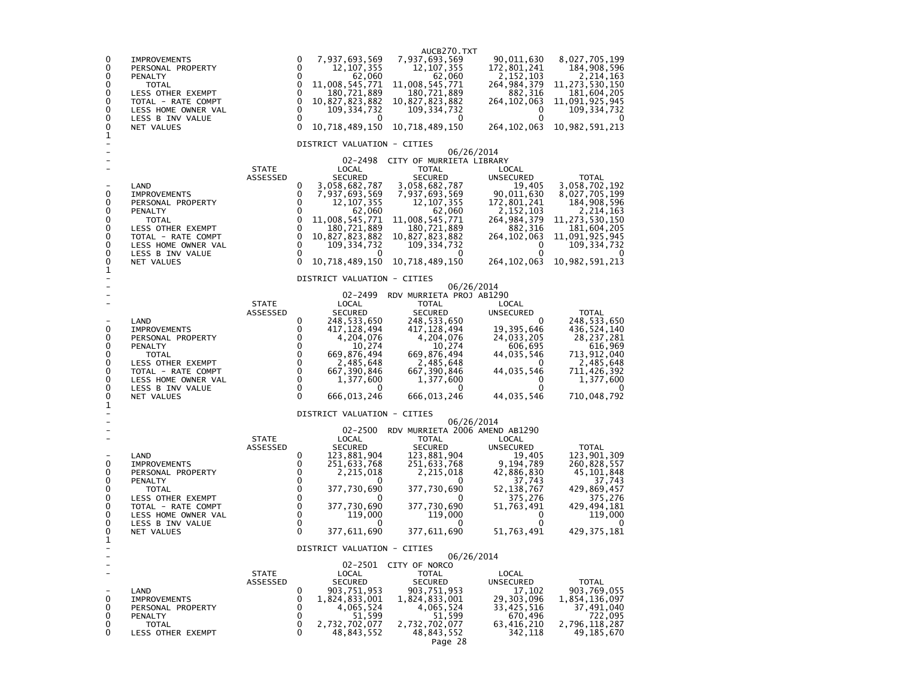| 0<br>7,937,693,569<br>7,937,693,569<br>90,011,630<br>8,027,705,199<br>0<br><b>IMPROVEMENTS</b><br>0<br>0<br>12, 107, 355<br>12, 107, 355<br>172,801,241<br>184,908,596<br>PERSONAL PROPERTY<br>$\mathbf{0}$<br>62,060<br>11,008,545,771<br>62,060<br>11,008,545,771<br>2, 214, 163<br>0<br>2, 152, 103<br>PENALTY<br>264,984,379<br>0<br>0<br>11,273,530,150<br><b>TOTAL</b><br>0<br>0<br>180,721,889<br>180,721,889<br>882,316<br>181,604,205<br>LESS OTHER EXEMPT<br>$\mathbf 0$<br>0<br>10,827,823,882<br>10,827,823,882<br>264,102,063<br>11,091,925,945<br>TOTAL - RATE COMPT<br>0<br>0<br>109, 334, 732<br>109, 334, 732<br>109, 334, 732<br>LESS HOME OWNER VAL<br>0<br>0<br>0<br>0<br>LESS B INV VALUE<br>0<br>0<br>$\Omega$<br>10,718,489,150<br>10,718,489,150<br>10,982,591,213<br>0<br>264, 102, 063<br>NET VALUES<br>1<br>DISTRICT VALUATION - CITIES<br>06/26/2014<br>02-2498<br>CITY OF MURRIETA LIBRARY<br><b>TOTAL</b><br><b>STATE</b><br>LOCAL<br>LOCAL<br>ASSESSED<br><b>SECURED</b><br><b>SECURED</b><br><b>UNSECURED</b><br><b>TOTAL</b><br>3,058,682,787<br>3,058,682,787<br>3,058,702,192<br>LAND<br>0<br>19,405<br>0<br>0<br>7,937,693,569<br>7,937,693,569<br>90,011,630<br>8,027,705,199<br><b>IMPROVEMENTS</b><br>12, 107, 355<br>12, 107, 355<br>172,801,241<br>0<br>0<br>184,908,596<br>PERSONAL PROPERTY<br>62,060<br>62,060<br>0<br>0<br>PENALTY<br>2,152,103<br>2,214,163<br>11,008,545,771<br>11,008,545,771<br>264, 984, 379<br>11, 273, 530, 150<br>0<br>0<br><b>TOTAL</b><br>0<br>0<br>180,721,889<br>180,721,889<br>882,316<br>181,604,205<br>LESS OTHER EXEMPT<br>0<br>10,827,823,882<br>0<br>10,827,823,882<br>264, 102, 063<br>11,091,925,945<br>TOTAL - RATE COMPT<br>0<br>0<br>109, 334, 732<br>109, 334, 732<br>109, 334, 732<br>0<br>LESS HOME OWNER VAL<br>0<br>0<br>0<br>LESS B INV VALUE<br>0<br>0<br>$\Omega$<br>10,718,489,150<br>10,718,489,150<br>264, 102, 063<br>10,982,591,213<br>NET VALUES<br>1<br>DISTRICT VALUATION - CITIES<br>06/26/2014<br>02-2499<br>RDV MURRIETA PROJ AB1290<br><b>STATE</b><br>LOCAL<br>TOTAL<br>LOCAL<br>ASSESSED<br><b>SECURED</b><br><b>SECURED</b><br><b>UNSECURED</b><br><b>TOTAL</b><br>LAND<br>248,533,650<br>248,533,650<br>248,533,650<br>0<br>0<br>417,128,494<br>0<br>0<br>417, 128, 494<br>19,395,646<br>436,524,140<br><b>IMPROVEMENTS</b><br>0<br>0<br>4,204,076<br>4,204,076<br>24,033,205<br>28, 237, 281<br>PERSONAL PROPERTY<br>0<br>$\Omega$<br>616,969<br>10,274<br>10,274<br>PENALTY<br>606,695<br>$\Omega$<br>0<br>669,876,494<br>669,876,494<br>44,035,546<br>713,912,040<br><b>TOTAL</b><br>$\mathbf 0$<br>0<br>2,485,648<br>2,485,648<br>2,485,648<br>LESS OTHER EXEMPT<br>0<br>$\mathbf 0$<br>0<br>44,035,546<br>TOTAL - RATE COMPT<br>667,390,846<br>667,390,846<br>711,426,392<br>$\Omega$<br>0<br>1,377,600<br>LESS HOME OWNER VAL<br>1,377,600<br>0<br>1,377,600<br>$\Omega$<br>0<br>0<br>LESS B INV VALUE<br>0<br>0<br>0<br>$\Omega$<br>666,013,246<br>666,013,246<br>44,035,546<br>710,048,792<br>NET VALUES<br>1<br>DISTRICT VALUATION - CITIES<br>06/26/2014<br>RDV MURRIETA 2006 AMEND AB1290<br>02-2500<br><b>STATE</b><br>LOCAL<br><b>TOTAL</b><br>LOCAL<br>ASSESSED<br><b>SECURED</b><br><b>SECURED</b><br><b>UNSECURED</b><br><b>TOTAL</b><br>LAND<br>0<br>123,881,904<br>123,881,904<br>19,405<br>123,901,309<br>9,194,789<br>0<br>0<br>251,633,768<br>251,633,768<br>260,828,557<br><b>IMPROVEMENTS</b><br>0<br>0<br>2,215,018<br>2,215,018<br>42,886,830<br>45, 101, 848<br>PERSONAL PROPERTY<br>0<br>0<br>37,743<br>37,743<br>PENALTY<br>$\mathbf 0$<br>0<br>429,869,457<br>377,730,690<br>377,730,690<br>52,138,767<br>TOTAL<br>$\mathbf 0$<br>0<br>375,276<br>375,276<br>LESS OTHER EXEMPT<br>0<br>0<br>0<br>377,730,690<br>377,730,690<br>51,763,491<br>429,494,181<br>TOTAL - RATE COMPT<br>$\mathbf 0$<br>0<br>119,000<br>119,000<br>119,000<br>LESS HOME OWNER VAL<br>0<br>0<br>0<br>LESS B INV VALUE<br>0<br>0<br>0<br>$\Omega$<br>377,611,690<br>0<br>377,611,690<br>51,763,491<br>429, 375, 181<br>NET VALUES<br>1<br>DISTRICT VALUATION - CITIES<br>06/26/2014<br>02-2501<br>CITY OF NORCO<br><b>STATE</b><br>LOCAL<br><b>TOTAL</b><br>LOCAL<br>ASSESSED<br><b>SECURED</b><br><b>SECURED</b><br>UNSECURED<br><b>TOTAL</b><br>0<br>903,751,953<br>LAND<br>903,751,953<br>17,102<br>903,769,055<br>0<br>0<br><b>IMPROVEMENTS</b><br>1,824,833,001<br>1,824,833,001<br>29,303,096<br>1,854,136,097<br>0<br>4,065,524<br>4,065,524<br>33,425,516<br>0<br>37,491,040<br>PERSONAL PROPERTY<br>0<br>51,599<br>0<br>51,599<br>670,496<br>722,095<br>PENALTY<br>2,732,702,077<br>2,732,702,077<br>2,796,118,287<br>0<br>63,416,210<br>0<br>TOTAL |   |                   |   |            | AUCB270.TXT |         |              |
|------------------------------------------------------------------------------------------------------------------------------------------------------------------------------------------------------------------------------------------------------------------------------------------------------------------------------------------------------------------------------------------------------------------------------------------------------------------------------------------------------------------------------------------------------------------------------------------------------------------------------------------------------------------------------------------------------------------------------------------------------------------------------------------------------------------------------------------------------------------------------------------------------------------------------------------------------------------------------------------------------------------------------------------------------------------------------------------------------------------------------------------------------------------------------------------------------------------------------------------------------------------------------------------------------------------------------------------------------------------------------------------------------------------------------------------------------------------------------------------------------------------------------------------------------------------------------------------------------------------------------------------------------------------------------------------------------------------------------------------------------------------------------------------------------------------------------------------------------------------------------------------------------------------------------------------------------------------------------------------------------------------------------------------------------------------------------------------------------------------------------------------------------------------------------------------------------------------------------------------------------------------------------------------------------------------------------------------------------------------------------------------------------------------------------------------------------------------------------------------------------------------------------------------------------------------------------------------------------------------------------------------------------------------------------------------------------------------------------------------------------------------------------------------------------------------------------------------------------------------------------------------------------------------------------------------------------------------------------------------------------------------------------------------------------------------------------------------------------------------------------------------------------------------------------------------------------------------------------------------------------------------------------------------------------------------------------------------------------------------------------------------------------------------------------------------------------------------------------------------------------------------------------------------------------------------------------------------------------------------------------------------------------------------------------------------------------------------------------------------------------------------------------------------------------------------------------------------------------------------------------------------------------------------------------------------------------------------------------------------------------------------------------------------------------------------------------------------------------------------------------------------------------------------------------------------------------------------------------------------------------------------------------------------------------------------------------------------------------------------------------------------------------------------------------------------------------------------------------------------------------------------------------------------------------------------------------------------------------------------------------------------------------------------------------|---|-------------------|---|------------|-------------|---------|--------------|
|                                                                                                                                                                                                                                                                                                                                                                                                                                                                                                                                                                                                                                                                                                                                                                                                                                                                                                                                                                                                                                                                                                                                                                                                                                                                                                                                                                                                                                                                                                                                                                                                                                                                                                                                                                                                                                                                                                                                                                                                                                                                                                                                                                                                                                                                                                                                                                                                                                                                                                                                                                                                                                                                                                                                                                                                                                                                                                                                                                                                                                                                                                                                                                                                                                                                                                                                                                                                                                                                                                                                                                                                                                                                                                                                                                                                                                                                                                                                                                                                                                                                                                                                                                                                                                                                                                                                                                                                                                                                                                                                                                                                                                                                              |   |                   |   |            |             |         |              |
|                                                                                                                                                                                                                                                                                                                                                                                                                                                                                                                                                                                                                                                                                                                                                                                                                                                                                                                                                                                                                                                                                                                                                                                                                                                                                                                                                                                                                                                                                                                                                                                                                                                                                                                                                                                                                                                                                                                                                                                                                                                                                                                                                                                                                                                                                                                                                                                                                                                                                                                                                                                                                                                                                                                                                                                                                                                                                                                                                                                                                                                                                                                                                                                                                                                                                                                                                                                                                                                                                                                                                                                                                                                                                                                                                                                                                                                                                                                                                                                                                                                                                                                                                                                                                                                                                                                                                                                                                                                                                                                                                                                                                                                                              |   |                   |   |            |             |         |              |
|                                                                                                                                                                                                                                                                                                                                                                                                                                                                                                                                                                                                                                                                                                                                                                                                                                                                                                                                                                                                                                                                                                                                                                                                                                                                                                                                                                                                                                                                                                                                                                                                                                                                                                                                                                                                                                                                                                                                                                                                                                                                                                                                                                                                                                                                                                                                                                                                                                                                                                                                                                                                                                                                                                                                                                                                                                                                                                                                                                                                                                                                                                                                                                                                                                                                                                                                                                                                                                                                                                                                                                                                                                                                                                                                                                                                                                                                                                                                                                                                                                                                                                                                                                                                                                                                                                                                                                                                                                                                                                                                                                                                                                                                              |   |                   |   |            |             |         |              |
|                                                                                                                                                                                                                                                                                                                                                                                                                                                                                                                                                                                                                                                                                                                                                                                                                                                                                                                                                                                                                                                                                                                                                                                                                                                                                                                                                                                                                                                                                                                                                                                                                                                                                                                                                                                                                                                                                                                                                                                                                                                                                                                                                                                                                                                                                                                                                                                                                                                                                                                                                                                                                                                                                                                                                                                                                                                                                                                                                                                                                                                                                                                                                                                                                                                                                                                                                                                                                                                                                                                                                                                                                                                                                                                                                                                                                                                                                                                                                                                                                                                                                                                                                                                                                                                                                                                                                                                                                                                                                                                                                                                                                                                                              |   |                   |   |            |             |         |              |
|                                                                                                                                                                                                                                                                                                                                                                                                                                                                                                                                                                                                                                                                                                                                                                                                                                                                                                                                                                                                                                                                                                                                                                                                                                                                                                                                                                                                                                                                                                                                                                                                                                                                                                                                                                                                                                                                                                                                                                                                                                                                                                                                                                                                                                                                                                                                                                                                                                                                                                                                                                                                                                                                                                                                                                                                                                                                                                                                                                                                                                                                                                                                                                                                                                                                                                                                                                                                                                                                                                                                                                                                                                                                                                                                                                                                                                                                                                                                                                                                                                                                                                                                                                                                                                                                                                                                                                                                                                                                                                                                                                                                                                                                              |   |                   |   |            |             |         |              |
|                                                                                                                                                                                                                                                                                                                                                                                                                                                                                                                                                                                                                                                                                                                                                                                                                                                                                                                                                                                                                                                                                                                                                                                                                                                                                                                                                                                                                                                                                                                                                                                                                                                                                                                                                                                                                                                                                                                                                                                                                                                                                                                                                                                                                                                                                                                                                                                                                                                                                                                                                                                                                                                                                                                                                                                                                                                                                                                                                                                                                                                                                                                                                                                                                                                                                                                                                                                                                                                                                                                                                                                                                                                                                                                                                                                                                                                                                                                                                                                                                                                                                                                                                                                                                                                                                                                                                                                                                                                                                                                                                                                                                                                                              |   |                   |   |            |             |         |              |
|                                                                                                                                                                                                                                                                                                                                                                                                                                                                                                                                                                                                                                                                                                                                                                                                                                                                                                                                                                                                                                                                                                                                                                                                                                                                                                                                                                                                                                                                                                                                                                                                                                                                                                                                                                                                                                                                                                                                                                                                                                                                                                                                                                                                                                                                                                                                                                                                                                                                                                                                                                                                                                                                                                                                                                                                                                                                                                                                                                                                                                                                                                                                                                                                                                                                                                                                                                                                                                                                                                                                                                                                                                                                                                                                                                                                                                                                                                                                                                                                                                                                                                                                                                                                                                                                                                                                                                                                                                                                                                                                                                                                                                                                              |   |                   |   |            |             |         |              |
|                                                                                                                                                                                                                                                                                                                                                                                                                                                                                                                                                                                                                                                                                                                                                                                                                                                                                                                                                                                                                                                                                                                                                                                                                                                                                                                                                                                                                                                                                                                                                                                                                                                                                                                                                                                                                                                                                                                                                                                                                                                                                                                                                                                                                                                                                                                                                                                                                                                                                                                                                                                                                                                                                                                                                                                                                                                                                                                                                                                                                                                                                                                                                                                                                                                                                                                                                                                                                                                                                                                                                                                                                                                                                                                                                                                                                                                                                                                                                                                                                                                                                                                                                                                                                                                                                                                                                                                                                                                                                                                                                                                                                                                                              |   |                   |   |            |             |         |              |
|                                                                                                                                                                                                                                                                                                                                                                                                                                                                                                                                                                                                                                                                                                                                                                                                                                                                                                                                                                                                                                                                                                                                                                                                                                                                                                                                                                                                                                                                                                                                                                                                                                                                                                                                                                                                                                                                                                                                                                                                                                                                                                                                                                                                                                                                                                                                                                                                                                                                                                                                                                                                                                                                                                                                                                                                                                                                                                                                                                                                                                                                                                                                                                                                                                                                                                                                                                                                                                                                                                                                                                                                                                                                                                                                                                                                                                                                                                                                                                                                                                                                                                                                                                                                                                                                                                                                                                                                                                                                                                                                                                                                                                                                              |   |                   |   |            |             |         |              |
|                                                                                                                                                                                                                                                                                                                                                                                                                                                                                                                                                                                                                                                                                                                                                                                                                                                                                                                                                                                                                                                                                                                                                                                                                                                                                                                                                                                                                                                                                                                                                                                                                                                                                                                                                                                                                                                                                                                                                                                                                                                                                                                                                                                                                                                                                                                                                                                                                                                                                                                                                                                                                                                                                                                                                                                                                                                                                                                                                                                                                                                                                                                                                                                                                                                                                                                                                                                                                                                                                                                                                                                                                                                                                                                                                                                                                                                                                                                                                                                                                                                                                                                                                                                                                                                                                                                                                                                                                                                                                                                                                                                                                                                                              |   |                   |   |            |             |         |              |
|                                                                                                                                                                                                                                                                                                                                                                                                                                                                                                                                                                                                                                                                                                                                                                                                                                                                                                                                                                                                                                                                                                                                                                                                                                                                                                                                                                                                                                                                                                                                                                                                                                                                                                                                                                                                                                                                                                                                                                                                                                                                                                                                                                                                                                                                                                                                                                                                                                                                                                                                                                                                                                                                                                                                                                                                                                                                                                                                                                                                                                                                                                                                                                                                                                                                                                                                                                                                                                                                                                                                                                                                                                                                                                                                                                                                                                                                                                                                                                                                                                                                                                                                                                                                                                                                                                                                                                                                                                                                                                                                                                                                                                                                              |   |                   |   |            |             |         |              |
|                                                                                                                                                                                                                                                                                                                                                                                                                                                                                                                                                                                                                                                                                                                                                                                                                                                                                                                                                                                                                                                                                                                                                                                                                                                                                                                                                                                                                                                                                                                                                                                                                                                                                                                                                                                                                                                                                                                                                                                                                                                                                                                                                                                                                                                                                                                                                                                                                                                                                                                                                                                                                                                                                                                                                                                                                                                                                                                                                                                                                                                                                                                                                                                                                                                                                                                                                                                                                                                                                                                                                                                                                                                                                                                                                                                                                                                                                                                                                                                                                                                                                                                                                                                                                                                                                                                                                                                                                                                                                                                                                                                                                                                                              |   |                   |   |            |             |         |              |
|                                                                                                                                                                                                                                                                                                                                                                                                                                                                                                                                                                                                                                                                                                                                                                                                                                                                                                                                                                                                                                                                                                                                                                                                                                                                                                                                                                                                                                                                                                                                                                                                                                                                                                                                                                                                                                                                                                                                                                                                                                                                                                                                                                                                                                                                                                                                                                                                                                                                                                                                                                                                                                                                                                                                                                                                                                                                                                                                                                                                                                                                                                                                                                                                                                                                                                                                                                                                                                                                                                                                                                                                                                                                                                                                                                                                                                                                                                                                                                                                                                                                                                                                                                                                                                                                                                                                                                                                                                                                                                                                                                                                                                                                              |   |                   |   |            |             |         |              |
|                                                                                                                                                                                                                                                                                                                                                                                                                                                                                                                                                                                                                                                                                                                                                                                                                                                                                                                                                                                                                                                                                                                                                                                                                                                                                                                                                                                                                                                                                                                                                                                                                                                                                                                                                                                                                                                                                                                                                                                                                                                                                                                                                                                                                                                                                                                                                                                                                                                                                                                                                                                                                                                                                                                                                                                                                                                                                                                                                                                                                                                                                                                                                                                                                                                                                                                                                                                                                                                                                                                                                                                                                                                                                                                                                                                                                                                                                                                                                                                                                                                                                                                                                                                                                                                                                                                                                                                                                                                                                                                                                                                                                                                                              |   |                   |   |            |             |         |              |
|                                                                                                                                                                                                                                                                                                                                                                                                                                                                                                                                                                                                                                                                                                                                                                                                                                                                                                                                                                                                                                                                                                                                                                                                                                                                                                                                                                                                                                                                                                                                                                                                                                                                                                                                                                                                                                                                                                                                                                                                                                                                                                                                                                                                                                                                                                                                                                                                                                                                                                                                                                                                                                                                                                                                                                                                                                                                                                                                                                                                                                                                                                                                                                                                                                                                                                                                                                                                                                                                                                                                                                                                                                                                                                                                                                                                                                                                                                                                                                                                                                                                                                                                                                                                                                                                                                                                                                                                                                                                                                                                                                                                                                                                              |   |                   |   |            |             |         |              |
|                                                                                                                                                                                                                                                                                                                                                                                                                                                                                                                                                                                                                                                                                                                                                                                                                                                                                                                                                                                                                                                                                                                                                                                                                                                                                                                                                                                                                                                                                                                                                                                                                                                                                                                                                                                                                                                                                                                                                                                                                                                                                                                                                                                                                                                                                                                                                                                                                                                                                                                                                                                                                                                                                                                                                                                                                                                                                                                                                                                                                                                                                                                                                                                                                                                                                                                                                                                                                                                                                                                                                                                                                                                                                                                                                                                                                                                                                                                                                                                                                                                                                                                                                                                                                                                                                                                                                                                                                                                                                                                                                                                                                                                                              |   |                   |   |            |             |         |              |
|                                                                                                                                                                                                                                                                                                                                                                                                                                                                                                                                                                                                                                                                                                                                                                                                                                                                                                                                                                                                                                                                                                                                                                                                                                                                                                                                                                                                                                                                                                                                                                                                                                                                                                                                                                                                                                                                                                                                                                                                                                                                                                                                                                                                                                                                                                                                                                                                                                                                                                                                                                                                                                                                                                                                                                                                                                                                                                                                                                                                                                                                                                                                                                                                                                                                                                                                                                                                                                                                                                                                                                                                                                                                                                                                                                                                                                                                                                                                                                                                                                                                                                                                                                                                                                                                                                                                                                                                                                                                                                                                                                                                                                                                              |   |                   |   |            |             |         |              |
|                                                                                                                                                                                                                                                                                                                                                                                                                                                                                                                                                                                                                                                                                                                                                                                                                                                                                                                                                                                                                                                                                                                                                                                                                                                                                                                                                                                                                                                                                                                                                                                                                                                                                                                                                                                                                                                                                                                                                                                                                                                                                                                                                                                                                                                                                                                                                                                                                                                                                                                                                                                                                                                                                                                                                                                                                                                                                                                                                                                                                                                                                                                                                                                                                                                                                                                                                                                                                                                                                                                                                                                                                                                                                                                                                                                                                                                                                                                                                                                                                                                                                                                                                                                                                                                                                                                                                                                                                                                                                                                                                                                                                                                                              |   |                   |   |            |             |         |              |
|                                                                                                                                                                                                                                                                                                                                                                                                                                                                                                                                                                                                                                                                                                                                                                                                                                                                                                                                                                                                                                                                                                                                                                                                                                                                                                                                                                                                                                                                                                                                                                                                                                                                                                                                                                                                                                                                                                                                                                                                                                                                                                                                                                                                                                                                                                                                                                                                                                                                                                                                                                                                                                                                                                                                                                                                                                                                                                                                                                                                                                                                                                                                                                                                                                                                                                                                                                                                                                                                                                                                                                                                                                                                                                                                                                                                                                                                                                                                                                                                                                                                                                                                                                                                                                                                                                                                                                                                                                                                                                                                                                                                                                                                              |   |                   |   |            |             |         |              |
|                                                                                                                                                                                                                                                                                                                                                                                                                                                                                                                                                                                                                                                                                                                                                                                                                                                                                                                                                                                                                                                                                                                                                                                                                                                                                                                                                                                                                                                                                                                                                                                                                                                                                                                                                                                                                                                                                                                                                                                                                                                                                                                                                                                                                                                                                                                                                                                                                                                                                                                                                                                                                                                                                                                                                                                                                                                                                                                                                                                                                                                                                                                                                                                                                                                                                                                                                                                                                                                                                                                                                                                                                                                                                                                                                                                                                                                                                                                                                                                                                                                                                                                                                                                                                                                                                                                                                                                                                                                                                                                                                                                                                                                                              |   |                   |   |            |             |         |              |
|                                                                                                                                                                                                                                                                                                                                                                                                                                                                                                                                                                                                                                                                                                                                                                                                                                                                                                                                                                                                                                                                                                                                                                                                                                                                                                                                                                                                                                                                                                                                                                                                                                                                                                                                                                                                                                                                                                                                                                                                                                                                                                                                                                                                                                                                                                                                                                                                                                                                                                                                                                                                                                                                                                                                                                                                                                                                                                                                                                                                                                                                                                                                                                                                                                                                                                                                                                                                                                                                                                                                                                                                                                                                                                                                                                                                                                                                                                                                                                                                                                                                                                                                                                                                                                                                                                                                                                                                                                                                                                                                                                                                                                                                              |   |                   |   |            |             |         |              |
|                                                                                                                                                                                                                                                                                                                                                                                                                                                                                                                                                                                                                                                                                                                                                                                                                                                                                                                                                                                                                                                                                                                                                                                                                                                                                                                                                                                                                                                                                                                                                                                                                                                                                                                                                                                                                                                                                                                                                                                                                                                                                                                                                                                                                                                                                                                                                                                                                                                                                                                                                                                                                                                                                                                                                                                                                                                                                                                                                                                                                                                                                                                                                                                                                                                                                                                                                                                                                                                                                                                                                                                                                                                                                                                                                                                                                                                                                                                                                                                                                                                                                                                                                                                                                                                                                                                                                                                                                                                                                                                                                                                                                                                                              |   |                   |   |            |             |         |              |
|                                                                                                                                                                                                                                                                                                                                                                                                                                                                                                                                                                                                                                                                                                                                                                                                                                                                                                                                                                                                                                                                                                                                                                                                                                                                                                                                                                                                                                                                                                                                                                                                                                                                                                                                                                                                                                                                                                                                                                                                                                                                                                                                                                                                                                                                                                                                                                                                                                                                                                                                                                                                                                                                                                                                                                                                                                                                                                                                                                                                                                                                                                                                                                                                                                                                                                                                                                                                                                                                                                                                                                                                                                                                                                                                                                                                                                                                                                                                                                                                                                                                                                                                                                                                                                                                                                                                                                                                                                                                                                                                                                                                                                                                              |   |                   |   |            |             |         |              |
|                                                                                                                                                                                                                                                                                                                                                                                                                                                                                                                                                                                                                                                                                                                                                                                                                                                                                                                                                                                                                                                                                                                                                                                                                                                                                                                                                                                                                                                                                                                                                                                                                                                                                                                                                                                                                                                                                                                                                                                                                                                                                                                                                                                                                                                                                                                                                                                                                                                                                                                                                                                                                                                                                                                                                                                                                                                                                                                                                                                                                                                                                                                                                                                                                                                                                                                                                                                                                                                                                                                                                                                                                                                                                                                                                                                                                                                                                                                                                                                                                                                                                                                                                                                                                                                                                                                                                                                                                                                                                                                                                                                                                                                                              |   |                   |   |            |             |         |              |
|                                                                                                                                                                                                                                                                                                                                                                                                                                                                                                                                                                                                                                                                                                                                                                                                                                                                                                                                                                                                                                                                                                                                                                                                                                                                                                                                                                                                                                                                                                                                                                                                                                                                                                                                                                                                                                                                                                                                                                                                                                                                                                                                                                                                                                                                                                                                                                                                                                                                                                                                                                                                                                                                                                                                                                                                                                                                                                                                                                                                                                                                                                                                                                                                                                                                                                                                                                                                                                                                                                                                                                                                                                                                                                                                                                                                                                                                                                                                                                                                                                                                                                                                                                                                                                                                                                                                                                                                                                                                                                                                                                                                                                                                              |   |                   |   |            |             |         |              |
|                                                                                                                                                                                                                                                                                                                                                                                                                                                                                                                                                                                                                                                                                                                                                                                                                                                                                                                                                                                                                                                                                                                                                                                                                                                                                                                                                                                                                                                                                                                                                                                                                                                                                                                                                                                                                                                                                                                                                                                                                                                                                                                                                                                                                                                                                                                                                                                                                                                                                                                                                                                                                                                                                                                                                                                                                                                                                                                                                                                                                                                                                                                                                                                                                                                                                                                                                                                                                                                                                                                                                                                                                                                                                                                                                                                                                                                                                                                                                                                                                                                                                                                                                                                                                                                                                                                                                                                                                                                                                                                                                                                                                                                                              |   |                   |   |            |             |         |              |
|                                                                                                                                                                                                                                                                                                                                                                                                                                                                                                                                                                                                                                                                                                                                                                                                                                                                                                                                                                                                                                                                                                                                                                                                                                                                                                                                                                                                                                                                                                                                                                                                                                                                                                                                                                                                                                                                                                                                                                                                                                                                                                                                                                                                                                                                                                                                                                                                                                                                                                                                                                                                                                                                                                                                                                                                                                                                                                                                                                                                                                                                                                                                                                                                                                                                                                                                                                                                                                                                                                                                                                                                                                                                                                                                                                                                                                                                                                                                                                                                                                                                                                                                                                                                                                                                                                                                                                                                                                                                                                                                                                                                                                                                              |   |                   |   |            |             |         |              |
|                                                                                                                                                                                                                                                                                                                                                                                                                                                                                                                                                                                                                                                                                                                                                                                                                                                                                                                                                                                                                                                                                                                                                                                                                                                                                                                                                                                                                                                                                                                                                                                                                                                                                                                                                                                                                                                                                                                                                                                                                                                                                                                                                                                                                                                                                                                                                                                                                                                                                                                                                                                                                                                                                                                                                                                                                                                                                                                                                                                                                                                                                                                                                                                                                                                                                                                                                                                                                                                                                                                                                                                                                                                                                                                                                                                                                                                                                                                                                                                                                                                                                                                                                                                                                                                                                                                                                                                                                                                                                                                                                                                                                                                                              |   |                   |   |            |             |         |              |
|                                                                                                                                                                                                                                                                                                                                                                                                                                                                                                                                                                                                                                                                                                                                                                                                                                                                                                                                                                                                                                                                                                                                                                                                                                                                                                                                                                                                                                                                                                                                                                                                                                                                                                                                                                                                                                                                                                                                                                                                                                                                                                                                                                                                                                                                                                                                                                                                                                                                                                                                                                                                                                                                                                                                                                                                                                                                                                                                                                                                                                                                                                                                                                                                                                                                                                                                                                                                                                                                                                                                                                                                                                                                                                                                                                                                                                                                                                                                                                                                                                                                                                                                                                                                                                                                                                                                                                                                                                                                                                                                                                                                                                                                              |   |                   |   |            |             |         |              |
|                                                                                                                                                                                                                                                                                                                                                                                                                                                                                                                                                                                                                                                                                                                                                                                                                                                                                                                                                                                                                                                                                                                                                                                                                                                                                                                                                                                                                                                                                                                                                                                                                                                                                                                                                                                                                                                                                                                                                                                                                                                                                                                                                                                                                                                                                                                                                                                                                                                                                                                                                                                                                                                                                                                                                                                                                                                                                                                                                                                                                                                                                                                                                                                                                                                                                                                                                                                                                                                                                                                                                                                                                                                                                                                                                                                                                                                                                                                                                                                                                                                                                                                                                                                                                                                                                                                                                                                                                                                                                                                                                                                                                                                                              |   |                   |   |            |             |         |              |
|                                                                                                                                                                                                                                                                                                                                                                                                                                                                                                                                                                                                                                                                                                                                                                                                                                                                                                                                                                                                                                                                                                                                                                                                                                                                                                                                                                                                                                                                                                                                                                                                                                                                                                                                                                                                                                                                                                                                                                                                                                                                                                                                                                                                                                                                                                                                                                                                                                                                                                                                                                                                                                                                                                                                                                                                                                                                                                                                                                                                                                                                                                                                                                                                                                                                                                                                                                                                                                                                                                                                                                                                                                                                                                                                                                                                                                                                                                                                                                                                                                                                                                                                                                                                                                                                                                                                                                                                                                                                                                                                                                                                                                                                              |   |                   |   |            |             |         |              |
|                                                                                                                                                                                                                                                                                                                                                                                                                                                                                                                                                                                                                                                                                                                                                                                                                                                                                                                                                                                                                                                                                                                                                                                                                                                                                                                                                                                                                                                                                                                                                                                                                                                                                                                                                                                                                                                                                                                                                                                                                                                                                                                                                                                                                                                                                                                                                                                                                                                                                                                                                                                                                                                                                                                                                                                                                                                                                                                                                                                                                                                                                                                                                                                                                                                                                                                                                                                                                                                                                                                                                                                                                                                                                                                                                                                                                                                                                                                                                                                                                                                                                                                                                                                                                                                                                                                                                                                                                                                                                                                                                                                                                                                                              |   |                   |   |            |             |         |              |
|                                                                                                                                                                                                                                                                                                                                                                                                                                                                                                                                                                                                                                                                                                                                                                                                                                                                                                                                                                                                                                                                                                                                                                                                                                                                                                                                                                                                                                                                                                                                                                                                                                                                                                                                                                                                                                                                                                                                                                                                                                                                                                                                                                                                                                                                                                                                                                                                                                                                                                                                                                                                                                                                                                                                                                                                                                                                                                                                                                                                                                                                                                                                                                                                                                                                                                                                                                                                                                                                                                                                                                                                                                                                                                                                                                                                                                                                                                                                                                                                                                                                                                                                                                                                                                                                                                                                                                                                                                                                                                                                                                                                                                                                              |   |                   |   |            |             |         |              |
|                                                                                                                                                                                                                                                                                                                                                                                                                                                                                                                                                                                                                                                                                                                                                                                                                                                                                                                                                                                                                                                                                                                                                                                                                                                                                                                                                                                                                                                                                                                                                                                                                                                                                                                                                                                                                                                                                                                                                                                                                                                                                                                                                                                                                                                                                                                                                                                                                                                                                                                                                                                                                                                                                                                                                                                                                                                                                                                                                                                                                                                                                                                                                                                                                                                                                                                                                                                                                                                                                                                                                                                                                                                                                                                                                                                                                                                                                                                                                                                                                                                                                                                                                                                                                                                                                                                                                                                                                                                                                                                                                                                                                                                                              |   |                   |   |            |             |         |              |
|                                                                                                                                                                                                                                                                                                                                                                                                                                                                                                                                                                                                                                                                                                                                                                                                                                                                                                                                                                                                                                                                                                                                                                                                                                                                                                                                                                                                                                                                                                                                                                                                                                                                                                                                                                                                                                                                                                                                                                                                                                                                                                                                                                                                                                                                                                                                                                                                                                                                                                                                                                                                                                                                                                                                                                                                                                                                                                                                                                                                                                                                                                                                                                                                                                                                                                                                                                                                                                                                                                                                                                                                                                                                                                                                                                                                                                                                                                                                                                                                                                                                                                                                                                                                                                                                                                                                                                                                                                                                                                                                                                                                                                                                              |   |                   |   |            |             |         |              |
|                                                                                                                                                                                                                                                                                                                                                                                                                                                                                                                                                                                                                                                                                                                                                                                                                                                                                                                                                                                                                                                                                                                                                                                                                                                                                                                                                                                                                                                                                                                                                                                                                                                                                                                                                                                                                                                                                                                                                                                                                                                                                                                                                                                                                                                                                                                                                                                                                                                                                                                                                                                                                                                                                                                                                                                                                                                                                                                                                                                                                                                                                                                                                                                                                                                                                                                                                                                                                                                                                                                                                                                                                                                                                                                                                                                                                                                                                                                                                                                                                                                                                                                                                                                                                                                                                                                                                                                                                                                                                                                                                                                                                                                                              |   |                   |   |            |             |         |              |
|                                                                                                                                                                                                                                                                                                                                                                                                                                                                                                                                                                                                                                                                                                                                                                                                                                                                                                                                                                                                                                                                                                                                                                                                                                                                                                                                                                                                                                                                                                                                                                                                                                                                                                                                                                                                                                                                                                                                                                                                                                                                                                                                                                                                                                                                                                                                                                                                                                                                                                                                                                                                                                                                                                                                                                                                                                                                                                                                                                                                                                                                                                                                                                                                                                                                                                                                                                                                                                                                                                                                                                                                                                                                                                                                                                                                                                                                                                                                                                                                                                                                                                                                                                                                                                                                                                                                                                                                                                                                                                                                                                                                                                                                              |   |                   |   |            |             |         |              |
|                                                                                                                                                                                                                                                                                                                                                                                                                                                                                                                                                                                                                                                                                                                                                                                                                                                                                                                                                                                                                                                                                                                                                                                                                                                                                                                                                                                                                                                                                                                                                                                                                                                                                                                                                                                                                                                                                                                                                                                                                                                                                                                                                                                                                                                                                                                                                                                                                                                                                                                                                                                                                                                                                                                                                                                                                                                                                                                                                                                                                                                                                                                                                                                                                                                                                                                                                                                                                                                                                                                                                                                                                                                                                                                                                                                                                                                                                                                                                                                                                                                                                                                                                                                                                                                                                                                                                                                                                                                                                                                                                                                                                                                                              |   |                   |   |            |             |         |              |
|                                                                                                                                                                                                                                                                                                                                                                                                                                                                                                                                                                                                                                                                                                                                                                                                                                                                                                                                                                                                                                                                                                                                                                                                                                                                                                                                                                                                                                                                                                                                                                                                                                                                                                                                                                                                                                                                                                                                                                                                                                                                                                                                                                                                                                                                                                                                                                                                                                                                                                                                                                                                                                                                                                                                                                                                                                                                                                                                                                                                                                                                                                                                                                                                                                                                                                                                                                                                                                                                                                                                                                                                                                                                                                                                                                                                                                                                                                                                                                                                                                                                                                                                                                                                                                                                                                                                                                                                                                                                                                                                                                                                                                                                              |   |                   |   |            |             |         |              |
| Page 28                                                                                                                                                                                                                                                                                                                                                                                                                                                                                                                                                                                                                                                                                                                                                                                                                                                                                                                                                                                                                                                                                                                                                                                                                                                                                                                                                                                                                                                                                                                                                                                                                                                                                                                                                                                                                                                                                                                                                                                                                                                                                                                                                                                                                                                                                                                                                                                                                                                                                                                                                                                                                                                                                                                                                                                                                                                                                                                                                                                                                                                                                                                                                                                                                                                                                                                                                                                                                                                                                                                                                                                                                                                                                                                                                                                                                                                                                                                                                                                                                                                                                                                                                                                                                                                                                                                                                                                                                                                                                                                                                                                                                                                                      | 0 | LESS OTHER EXEMPT | 0 | 48,843,552 | 48,843,552  | 342,118 | 49, 185, 670 |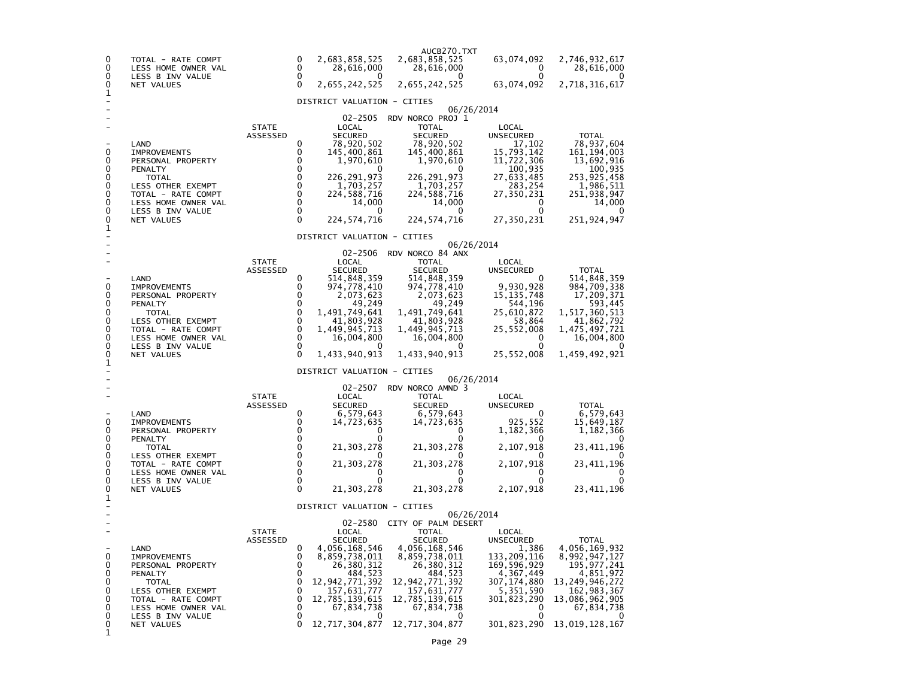| 0<br>0<br>0<br>0                                         | TOTAL - RATE COMPT<br>LESS HOME OWNER VAL<br>LESS B INV VALUE<br>NET VALUES                                                                                              |                          | 0<br>0<br>0<br>$\Omega$                                         | 2,683,858,525<br>28,616,000<br>2,655,242,525                                                                                                                                                          | AUCB270.TXT<br>2,683,858,525<br>28,616,000<br>$\Omega$<br>2,655,242,525                                                                                                                                  | 63,074,092<br>0<br>0<br>63,074,092                                                                                                                          | 2,746,932,617<br>28,616,000<br>2,718,316,617                                                                                                                       |
|----------------------------------------------------------|--------------------------------------------------------------------------------------------------------------------------------------------------------------------------|--------------------------|-----------------------------------------------------------------|-------------------------------------------------------------------------------------------------------------------------------------------------------------------------------------------------------|----------------------------------------------------------------------------------------------------------------------------------------------------------------------------------------------------------|-------------------------------------------------------------------------------------------------------------------------------------------------------------|--------------------------------------------------------------------------------------------------------------------------------------------------------------------|
| 1                                                        |                                                                                                                                                                          |                          |                                                                 | DISTRICT VALUATION - CITIES                                                                                                                                                                           |                                                                                                                                                                                                          |                                                                                                                                                             |                                                                                                                                                                    |
| 0<br>0<br>0<br>0<br>0<br>0<br>0<br>0                     | LAND<br><b>IMPROVEMENTS</b><br>PERSONAL PROPERTY<br>PENALTY<br><b>TOTAL</b><br>LESS OTHER EXEMPT<br>TOTAL - RATE COMPT<br>LESS HOME OWNER VAL<br>LESS B INV VALUE        | <b>STATE</b><br>ASSESSED | 0<br>0<br>0<br>$\Omega$<br>$\Omega$<br>0<br>0<br>0<br>0         | 02-2505<br>LOCAL<br><b>SECURED</b><br>78,920,502<br>145,400,861<br>1,970,610<br>226,291,973<br>1,703,257<br>224,588,716<br>14,000<br>0                                                                | 06/26/2014<br>RDV NORCO PROJ 1<br><b>TOTAL</b><br><b>SECURED</b><br>78,920,502<br>145,400,861<br>1,970,610<br>0<br>226,291,973<br>1,703,257<br>224,588,716<br>14.000<br>0                                | LOCAL<br>UNSECURED<br>17,102<br>15,793,142<br>11,722,306<br>100,935<br>27,633,485<br>283,254<br>27,350,231<br>0<br>$\Omega$                                 | <b>TOTAL</b><br>78,937,604<br>161, 194, 003<br>13,692,916<br>100,935<br>253,925,458<br>1,986,511<br>251,938,947<br>14,000<br>0                                     |
| 0<br>1                                                   | NET VALUES                                                                                                                                                               |                          | 0                                                               | 224,574,716                                                                                                                                                                                           | 224, 574, 716                                                                                                                                                                                            | 27,350,231                                                                                                                                                  | 251,924,947                                                                                                                                                        |
|                                                          |                                                                                                                                                                          |                          |                                                                 | DISTRICT VALUATION - CITIES                                                                                                                                                                           | 06/26/2014                                                                                                                                                                                               |                                                                                                                                                             |                                                                                                                                                                    |
| 0<br>0<br>0<br>0<br>0<br>0<br>0<br>0<br>0<br>1           | LAND<br><b>IMPROVEMENTS</b><br>PERSONAL PROPERTY<br>PENALTY<br>TOTAL<br>LESS OTHER EXEMPT<br>TOTAL - RATE COMPT<br>LESS HOME OWNER VAL<br>LESS B INV VALUE<br>NET VALUES | <b>STATE</b><br>ASSESSED | 0<br>0<br>0<br>0<br>0<br>0<br>$\mathbf 0$<br>0<br>0<br>$\Omega$ | 02-2506<br>LOCAL<br><b>SECURED</b><br>514,848,359<br>974,778,410<br>2,073,623<br>49,249<br>1,491,749,641<br>41,803,928<br>1,449,945,713<br>16,004,800<br>1,433,940,913<br>DISTRICT VALUATION - CITIES | RDV NORCO 84 ANX<br><b>TOTAL</b><br><b>SECURED</b><br>514,848,359<br>974,778,410<br>2,073,623<br>49,249<br>1,491,749,641<br>41,803,928<br>1,449,945,713<br>16,004,800<br>1,433,940,913                   | LOCAL<br>UNSECURED<br>0<br>9,930,928<br>15,135,748<br>544,196<br>25,610,872<br>58,864<br>25,552,008<br>0<br>0<br>25,552,008                                 | <b>TOTAL</b><br>514,848,359<br>984,709,338<br>17,209,371<br>593,445<br>1,517,360,513<br>41,862,792<br>1,475,497,721<br>16,004,800<br>1,459,492,921                 |
|                                                          |                                                                                                                                                                          |                          |                                                                 | 02-2507                                                                                                                                                                                               | 06/26/2014<br>RDV NORCO AMND 3                                                                                                                                                                           |                                                                                                                                                             |                                                                                                                                                                    |
| 0<br>0<br>0<br>0<br>0<br>0<br>0<br>0<br>0<br>1           | LAND<br><b>IMPROVEMENTS</b><br>PERSONAL PROPERTY<br>PENALTY<br>TOTAL<br>LESS OTHER EXEMPT<br>TOTAL - RATE COMPT<br>LESS HOME OWNER VAL<br>LESS B INV VALUE<br>NET VALUES | <b>STATE</b><br>ASSESSED | 0<br>0<br>0<br>0<br>0<br>0<br>$\mathbf 0$<br>0<br>0<br>$\Omega$ | LOCAL<br><b>SECURED</b><br>6,579,643<br>14,723,635<br>0<br>0<br>21,303,278<br>21,303,278<br>0<br>0<br>21,303,278                                                                                      | <b>TOTAL</b><br><b>SECURED</b><br>6,579,643<br>14,723,635<br>0<br>0<br>21,303,278<br>21,303,278<br>0<br>0<br>21,303,278                                                                                  | LOCAL<br>UNSECURED<br>0<br>925,552<br>1,182,366<br>0<br>2,107,918<br>0<br>2,107,918<br>0<br>0<br>2,107,918                                                  | TOTAL<br>6,579,643<br>15,649,187<br>1,182,366<br>O<br>23, 411, 196<br>23,411,196<br>O<br>0<br>23,411,196                                                           |
|                                                          |                                                                                                                                                                          |                          |                                                                 | DISTRICT VALUATION - CITIES                                                                                                                                                                           | 06/26/2014                                                                                                                                                                                               |                                                                                                                                                             |                                                                                                                                                                    |
| $\mathbf 0$<br>0<br>0<br>0<br>0<br>0<br>0<br>0<br>0<br>1 | LAND<br><b>IMPROVEMENTS</b><br>PERSONAL PROPERTY<br>PENALTY<br>TOTAL<br>LESS OTHER EXEMPT<br>TOTAL - RATE COMPT<br>LESS HOME OWNER VAL<br>LESS B INV VALUE<br>NET VALUES | <b>STATE</b><br>ASSESSED | 0<br>0<br>0<br>0<br>0<br>0<br>0<br>0<br>0<br>0                  | 02-2580<br>LOCAL<br><b>SECURED</b><br>4,056,168,546<br>8,859,738,011<br>26,380,312<br>484,523<br>12,942,771,392<br>157,631,777<br>12,785,139,615<br>67,834,738<br>0<br>12,717,304,877                 | CITY OF PALM DESERT<br><b>TOTAL</b><br><b>SECURED</b><br>4,056,168,546<br>8,859,738,011<br>26,380,312<br>484,523<br>12,942,771,392<br>157,631,777<br>12,785,139,615<br>67,834,738<br>0<br>12,717,304,877 | LOCAL<br><b>UNSECURED</b><br>1,386<br>133,209,116<br>169,596,929<br>4,367,449<br>307,174,880<br>5,351,590<br>301,823,290<br>0<br>$\mathbf 0$<br>301,823,290 | <b>TOTAL</b><br>4,056,169,932<br>8,992,947,127<br>195,977,241<br>4,851,972<br>13,249,946,272<br>162,983,367<br>13,086,962,905<br>67,834,738<br>0<br>13,019,128,167 |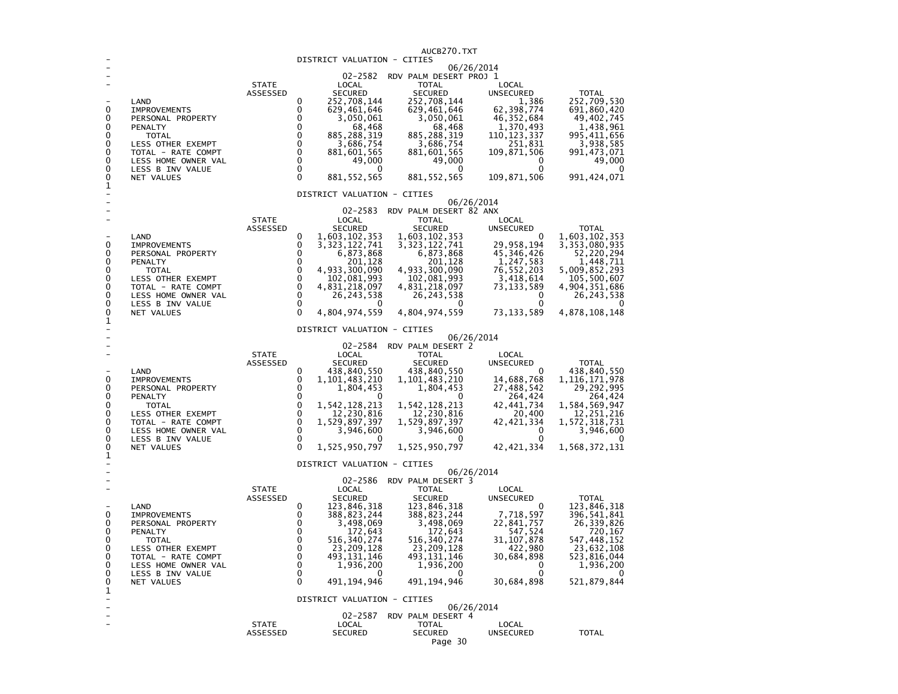| DISTRICT VALUATION - CITIES<br>06/26/2014<br>02-2582<br>RDV PALM DESERT PROJ 1<br><b>STATE</b><br>LOCAL<br>TOTAL<br>LOCAL<br>ASSESSED<br><b>SECURED</b><br><b>SECURED</b><br>UNSECURED<br><b>TOTAL</b><br>252,708,144<br>252,708,144<br>1,386<br>252,709,530<br>0<br>LAND<br>0<br>0<br>62,398,774<br><b>IMPROVEMENTS</b><br>629,461,646<br>629,461,646<br>691,860,420<br>0<br>0<br>46, 352, 684<br>49,402,745<br>3,050,061<br>3,050,061<br>PERSONAL PROPERTY<br>0<br>0<br>68,468<br>68,468<br>1,370,493<br>1,438,961<br>PENALTY<br>0<br>0<br>885, 288, 319<br>885, 288, 319<br>110, 123, 337<br>995,411,656<br><b>TOTAL</b><br>0<br>$\mathbf 0$<br>3,686,754<br>3,686,754<br>251,831<br>3,938,585<br>LESS OTHER EXEMPT<br>$\mathbf 0$<br>0<br>881,601,565<br>881,601,565<br>109,871,506<br>991,473,071<br>TOTAL - RATE COMPT<br>0<br>$\mathbf 0$<br>49,000<br>49,000<br>49,000<br>LESS HOME OWNER VAL<br>0<br>0<br>0<br>0<br>LESS B INV VALUE<br>0<br>0<br>0<br>$\Omega$<br>991,424,071<br>881, 552, 565<br>881, 552, 565<br>109,871,506<br>NET VALUES<br>$\mathbf 1$<br>DISTRICT VALUATION - CITIES<br>06/26/2014<br>02-2583<br>RDV PALM DESERT 82 ANX<br><b>STATE</b><br>LOCAL<br>TOTAL<br>LOCAL<br>ASSESSED<br><b>SECURED</b><br><b>SECURED</b><br>UNSECURED<br><b>TOTAL</b><br>0<br>1,603,102,353<br>1,603,102,353<br>1,603,102,353<br>LAND<br>0<br>0<br>0<br>3, 323, 122, 741<br>29,958,194<br>3, 353, 080, 935<br>IMPROVEMENTS<br>3, 323, 122, 741<br>0<br>0<br>45,346,426<br>6,873,868<br>6,873,868<br>52,220,294<br>PERSONAL PROPERTY<br>0<br>0<br>201,128<br>201,128<br>1,247,583<br>1,448,711<br>PENALTY<br>$\mathbf 0$<br>0<br>4,933,300,090<br>4,933,300,090<br>76,552,203<br>5,009,852,293<br><b>TOTAL</b><br>$\mathbf 0$<br>0<br>105,500,607<br>102,081,993<br>102,081,993<br>3,418,614<br>LESS OTHER EXEMPT<br>$\mathbf 0$<br>0<br>4,831,218,097<br>4,831,218,097<br>4,904,351,686<br>TOTAL - RATE COMPT<br>73, 133, 589<br>0<br>0<br>26, 243, 538<br>0<br>26, 243, 538<br>LESS HOME OWNER VAL<br>26, 243, 538<br>0<br>0<br>LESS B INV VALUE<br>0<br>0<br>0<br>0<br>$\mathbf{0}$<br>4,804,974,559<br>4,804,974,559<br>73, 133, 589<br>4,878,108,148<br>NET VALUES<br>1<br>DISTRICT VALUATION - CITIES<br>06/26/2014<br>02-2584<br>RDV PALM DESERT 2<br><b>STATE</b><br>LOCAL<br><b>TOTAL</b><br>LOCAL<br><b>ASSESSED</b><br><b>SECURED</b><br><b>SECURED</b><br><b>UNSECURED</b><br><b>TOTAL</b><br>0<br>438,840,550<br>438,840,550<br>438,840,550<br>LAND<br>0<br>0<br>0<br>1, 101, 483, 210<br>1, 101, 483, 210<br>14,688,768<br>1, 116, 171, 978<br><b>IMPROVEMENTS</b><br>0<br>0<br>1,804,453<br>1,804,453<br>27,488,542<br>29,292,995<br>PERSONAL PROPERTY<br>0<br>0<br>264,424<br>0<br>264,424<br>PENALTY<br>0<br>0<br>1,542,128,213<br>1,542,128,213<br>42,441,734<br>1,584,569,947<br><b>TOTAL</b><br>$\mathbf 0$<br>0<br>12,230,816<br>12,230,816<br>20,400<br>12,251,216<br>LESS OTHER EXEMPT<br>$\pmb{0}$<br>0<br>1,529,897,397<br>1,529,897,397<br>42, 421, 334<br>1,572,318,731<br>TOTAL - RATE COMPT<br>0<br>0<br>3,946,600<br>3,946,600<br>0<br>3,946,600<br>LESS HOME OWNER VAL<br>0<br>$\mathbf 0$<br>0<br>LESS B INV VALUE<br>$\Omega$<br>0<br>1,525,950,797<br>1,525,950,797<br>42, 421, 334<br>1,568,372,131<br>NET VALUES<br>1<br>DISTRICT VALUATION - CITIES<br>06/26/2014<br>02-2586<br>RDV PALM DESERT 3<br><b>STATE</b><br>LOCAL<br>TOTAL<br>LOCAL<br>ASSESSED<br><b>SECURED</b><br><b>SECURED</b><br>UNSECURED<br><b>TOTAL</b><br>123,846,318<br>0<br>123,846,318<br>123,846,318<br>LAND<br>0<br>7,718,597<br>0<br>0<br>396, 541, 841<br><b>IMPROVEMENTS</b><br>388,823,244<br>388,823,244<br>3,498,069<br>26, 339, 826<br>0<br>0<br>3,498,069<br>22,841,757<br>PERSONAL PROPERTY<br>0<br>0<br>547,524<br>172,643<br>172,643<br>720,167<br>PENALTY<br>0<br>547, 448, 152<br>0<br>516,340,274<br>516, 340, 274<br>31, 107, 878<br>TOTAL<br>0<br>0<br>23,209,128<br>23,209,128<br>422,980<br>23,632,108<br>LESS OTHER EXEMPT<br>493, 131, 146<br>493, 131, 146<br>30,684,898<br>523,816,044<br>0<br>0<br>TOTAL - RATE COMPT<br>0<br>0<br>1,936,200<br>1,936,200<br>0<br>1,936,200<br>LESS HOME OWNER VAL<br>0<br>0<br>0<br>LESS B INV VALUE<br>0<br>0<br>0<br>491, 194, 946<br>491, 194, 946<br>30,684,898<br>521,879,844<br>0<br>NET VALUES<br>1<br>DISTRICT VALUATION - CITIES<br>۰<br>06/26/2014<br>02-2587<br>RDV PALM DESERT 4<br><b>STATE</b><br>LOCAL<br><b>TOTAL</b><br>LOCAL<br><b>SECURED</b><br><b>SECURED</b><br>ASSESSED<br><b>UNSECURED</b><br><b>TOTAL</b> |  |  | AUCB270.TXT |  |
|------------------------------------------------------------------------------------------------------------------------------------------------------------------------------------------------------------------------------------------------------------------------------------------------------------------------------------------------------------------------------------------------------------------------------------------------------------------------------------------------------------------------------------------------------------------------------------------------------------------------------------------------------------------------------------------------------------------------------------------------------------------------------------------------------------------------------------------------------------------------------------------------------------------------------------------------------------------------------------------------------------------------------------------------------------------------------------------------------------------------------------------------------------------------------------------------------------------------------------------------------------------------------------------------------------------------------------------------------------------------------------------------------------------------------------------------------------------------------------------------------------------------------------------------------------------------------------------------------------------------------------------------------------------------------------------------------------------------------------------------------------------------------------------------------------------------------------------------------------------------------------------------------------------------------------------------------------------------------------------------------------------------------------------------------------------------------------------------------------------------------------------------------------------------------------------------------------------------------------------------------------------------------------------------------------------------------------------------------------------------------------------------------------------------------------------------------------------------------------------------------------------------------------------------------------------------------------------------------------------------------------------------------------------------------------------------------------------------------------------------------------------------------------------------------------------------------------------------------------------------------------------------------------------------------------------------------------------------------------------------------------------------------------------------------------------------------------------------------------------------------------------------------------------------------------------------------------------------------------------------------------------------------------------------------------------------------------------------------------------------------------------------------------------------------------------------------------------------------------------------------------------------------------------------------------------------------------------------------------------------------------------------------------------------------------------------------------------------------------------------------------------------------------------------------------------------------------------------------------------------------------------------------------------------------------------------------------------------------------------------------------------------------------------------------------------------------------------------------------------------------------------------------------------------------------------------------------------------------------------------------------------------------------------------------------------------------------------------------------------------------------------------------------------------------------------------------------------------------------------------------------------|--|--|-------------|--|
|                                                                                                                                                                                                                                                                                                                                                                                                                                                                                                                                                                                                                                                                                                                                                                                                                                                                                                                                                                                                                                                                                                                                                                                                                                                                                                                                                                                                                                                                                                                                                                                                                                                                                                                                                                                                                                                                                                                                                                                                                                                                                                                                                                                                                                                                                                                                                                                                                                                                                                                                                                                                                                                                                                                                                                                                                                                                                                                                                                                                                                                                                                                                                                                                                                                                                                                                                                                                                                                                                                                                                                                                                                                                                                                                                                                                                                                                                                                                                                                                                                                                                                                                                                                                                                                                                                                                                                                                                                                                                                                  |  |  |             |  |
|                                                                                                                                                                                                                                                                                                                                                                                                                                                                                                                                                                                                                                                                                                                                                                                                                                                                                                                                                                                                                                                                                                                                                                                                                                                                                                                                                                                                                                                                                                                                                                                                                                                                                                                                                                                                                                                                                                                                                                                                                                                                                                                                                                                                                                                                                                                                                                                                                                                                                                                                                                                                                                                                                                                                                                                                                                                                                                                                                                                                                                                                                                                                                                                                                                                                                                                                                                                                                                                                                                                                                                                                                                                                                                                                                                                                                                                                                                                                                                                                                                                                                                                                                                                                                                                                                                                                                                                                                                                                                                                  |  |  |             |  |
|                                                                                                                                                                                                                                                                                                                                                                                                                                                                                                                                                                                                                                                                                                                                                                                                                                                                                                                                                                                                                                                                                                                                                                                                                                                                                                                                                                                                                                                                                                                                                                                                                                                                                                                                                                                                                                                                                                                                                                                                                                                                                                                                                                                                                                                                                                                                                                                                                                                                                                                                                                                                                                                                                                                                                                                                                                                                                                                                                                                                                                                                                                                                                                                                                                                                                                                                                                                                                                                                                                                                                                                                                                                                                                                                                                                                                                                                                                                                                                                                                                                                                                                                                                                                                                                                                                                                                                                                                                                                                                                  |  |  |             |  |
|                                                                                                                                                                                                                                                                                                                                                                                                                                                                                                                                                                                                                                                                                                                                                                                                                                                                                                                                                                                                                                                                                                                                                                                                                                                                                                                                                                                                                                                                                                                                                                                                                                                                                                                                                                                                                                                                                                                                                                                                                                                                                                                                                                                                                                                                                                                                                                                                                                                                                                                                                                                                                                                                                                                                                                                                                                                                                                                                                                                                                                                                                                                                                                                                                                                                                                                                                                                                                                                                                                                                                                                                                                                                                                                                                                                                                                                                                                                                                                                                                                                                                                                                                                                                                                                                                                                                                                                                                                                                                                                  |  |  |             |  |
|                                                                                                                                                                                                                                                                                                                                                                                                                                                                                                                                                                                                                                                                                                                                                                                                                                                                                                                                                                                                                                                                                                                                                                                                                                                                                                                                                                                                                                                                                                                                                                                                                                                                                                                                                                                                                                                                                                                                                                                                                                                                                                                                                                                                                                                                                                                                                                                                                                                                                                                                                                                                                                                                                                                                                                                                                                                                                                                                                                                                                                                                                                                                                                                                                                                                                                                                                                                                                                                                                                                                                                                                                                                                                                                                                                                                                                                                                                                                                                                                                                                                                                                                                                                                                                                                                                                                                                                                                                                                                                                  |  |  |             |  |
|                                                                                                                                                                                                                                                                                                                                                                                                                                                                                                                                                                                                                                                                                                                                                                                                                                                                                                                                                                                                                                                                                                                                                                                                                                                                                                                                                                                                                                                                                                                                                                                                                                                                                                                                                                                                                                                                                                                                                                                                                                                                                                                                                                                                                                                                                                                                                                                                                                                                                                                                                                                                                                                                                                                                                                                                                                                                                                                                                                                                                                                                                                                                                                                                                                                                                                                                                                                                                                                                                                                                                                                                                                                                                                                                                                                                                                                                                                                                                                                                                                                                                                                                                                                                                                                                                                                                                                                                                                                                                                                  |  |  |             |  |
|                                                                                                                                                                                                                                                                                                                                                                                                                                                                                                                                                                                                                                                                                                                                                                                                                                                                                                                                                                                                                                                                                                                                                                                                                                                                                                                                                                                                                                                                                                                                                                                                                                                                                                                                                                                                                                                                                                                                                                                                                                                                                                                                                                                                                                                                                                                                                                                                                                                                                                                                                                                                                                                                                                                                                                                                                                                                                                                                                                                                                                                                                                                                                                                                                                                                                                                                                                                                                                                                                                                                                                                                                                                                                                                                                                                                                                                                                                                                                                                                                                                                                                                                                                                                                                                                                                                                                                                                                                                                                                                  |  |  |             |  |
|                                                                                                                                                                                                                                                                                                                                                                                                                                                                                                                                                                                                                                                                                                                                                                                                                                                                                                                                                                                                                                                                                                                                                                                                                                                                                                                                                                                                                                                                                                                                                                                                                                                                                                                                                                                                                                                                                                                                                                                                                                                                                                                                                                                                                                                                                                                                                                                                                                                                                                                                                                                                                                                                                                                                                                                                                                                                                                                                                                                                                                                                                                                                                                                                                                                                                                                                                                                                                                                                                                                                                                                                                                                                                                                                                                                                                                                                                                                                                                                                                                                                                                                                                                                                                                                                                                                                                                                                                                                                                                                  |  |  |             |  |
|                                                                                                                                                                                                                                                                                                                                                                                                                                                                                                                                                                                                                                                                                                                                                                                                                                                                                                                                                                                                                                                                                                                                                                                                                                                                                                                                                                                                                                                                                                                                                                                                                                                                                                                                                                                                                                                                                                                                                                                                                                                                                                                                                                                                                                                                                                                                                                                                                                                                                                                                                                                                                                                                                                                                                                                                                                                                                                                                                                                                                                                                                                                                                                                                                                                                                                                                                                                                                                                                                                                                                                                                                                                                                                                                                                                                                                                                                                                                                                                                                                                                                                                                                                                                                                                                                                                                                                                                                                                                                                                  |  |  |             |  |
|                                                                                                                                                                                                                                                                                                                                                                                                                                                                                                                                                                                                                                                                                                                                                                                                                                                                                                                                                                                                                                                                                                                                                                                                                                                                                                                                                                                                                                                                                                                                                                                                                                                                                                                                                                                                                                                                                                                                                                                                                                                                                                                                                                                                                                                                                                                                                                                                                                                                                                                                                                                                                                                                                                                                                                                                                                                                                                                                                                                                                                                                                                                                                                                                                                                                                                                                                                                                                                                                                                                                                                                                                                                                                                                                                                                                                                                                                                                                                                                                                                                                                                                                                                                                                                                                                                                                                                                                                                                                                                                  |  |  |             |  |
|                                                                                                                                                                                                                                                                                                                                                                                                                                                                                                                                                                                                                                                                                                                                                                                                                                                                                                                                                                                                                                                                                                                                                                                                                                                                                                                                                                                                                                                                                                                                                                                                                                                                                                                                                                                                                                                                                                                                                                                                                                                                                                                                                                                                                                                                                                                                                                                                                                                                                                                                                                                                                                                                                                                                                                                                                                                                                                                                                                                                                                                                                                                                                                                                                                                                                                                                                                                                                                                                                                                                                                                                                                                                                                                                                                                                                                                                                                                                                                                                                                                                                                                                                                                                                                                                                                                                                                                                                                                                                                                  |  |  |             |  |
|                                                                                                                                                                                                                                                                                                                                                                                                                                                                                                                                                                                                                                                                                                                                                                                                                                                                                                                                                                                                                                                                                                                                                                                                                                                                                                                                                                                                                                                                                                                                                                                                                                                                                                                                                                                                                                                                                                                                                                                                                                                                                                                                                                                                                                                                                                                                                                                                                                                                                                                                                                                                                                                                                                                                                                                                                                                                                                                                                                                                                                                                                                                                                                                                                                                                                                                                                                                                                                                                                                                                                                                                                                                                                                                                                                                                                                                                                                                                                                                                                                                                                                                                                                                                                                                                                                                                                                                                                                                                                                                  |  |  |             |  |
|                                                                                                                                                                                                                                                                                                                                                                                                                                                                                                                                                                                                                                                                                                                                                                                                                                                                                                                                                                                                                                                                                                                                                                                                                                                                                                                                                                                                                                                                                                                                                                                                                                                                                                                                                                                                                                                                                                                                                                                                                                                                                                                                                                                                                                                                                                                                                                                                                                                                                                                                                                                                                                                                                                                                                                                                                                                                                                                                                                                                                                                                                                                                                                                                                                                                                                                                                                                                                                                                                                                                                                                                                                                                                                                                                                                                                                                                                                                                                                                                                                                                                                                                                                                                                                                                                                                                                                                                                                                                                                                  |  |  |             |  |
|                                                                                                                                                                                                                                                                                                                                                                                                                                                                                                                                                                                                                                                                                                                                                                                                                                                                                                                                                                                                                                                                                                                                                                                                                                                                                                                                                                                                                                                                                                                                                                                                                                                                                                                                                                                                                                                                                                                                                                                                                                                                                                                                                                                                                                                                                                                                                                                                                                                                                                                                                                                                                                                                                                                                                                                                                                                                                                                                                                                                                                                                                                                                                                                                                                                                                                                                                                                                                                                                                                                                                                                                                                                                                                                                                                                                                                                                                                                                                                                                                                                                                                                                                                                                                                                                                                                                                                                                                                                                                                                  |  |  |             |  |
|                                                                                                                                                                                                                                                                                                                                                                                                                                                                                                                                                                                                                                                                                                                                                                                                                                                                                                                                                                                                                                                                                                                                                                                                                                                                                                                                                                                                                                                                                                                                                                                                                                                                                                                                                                                                                                                                                                                                                                                                                                                                                                                                                                                                                                                                                                                                                                                                                                                                                                                                                                                                                                                                                                                                                                                                                                                                                                                                                                                                                                                                                                                                                                                                                                                                                                                                                                                                                                                                                                                                                                                                                                                                                                                                                                                                                                                                                                                                                                                                                                                                                                                                                                                                                                                                                                                                                                                                                                                                                                                  |  |  |             |  |
|                                                                                                                                                                                                                                                                                                                                                                                                                                                                                                                                                                                                                                                                                                                                                                                                                                                                                                                                                                                                                                                                                                                                                                                                                                                                                                                                                                                                                                                                                                                                                                                                                                                                                                                                                                                                                                                                                                                                                                                                                                                                                                                                                                                                                                                                                                                                                                                                                                                                                                                                                                                                                                                                                                                                                                                                                                                                                                                                                                                                                                                                                                                                                                                                                                                                                                                                                                                                                                                                                                                                                                                                                                                                                                                                                                                                                                                                                                                                                                                                                                                                                                                                                                                                                                                                                                                                                                                                                                                                                                                  |  |  |             |  |
|                                                                                                                                                                                                                                                                                                                                                                                                                                                                                                                                                                                                                                                                                                                                                                                                                                                                                                                                                                                                                                                                                                                                                                                                                                                                                                                                                                                                                                                                                                                                                                                                                                                                                                                                                                                                                                                                                                                                                                                                                                                                                                                                                                                                                                                                                                                                                                                                                                                                                                                                                                                                                                                                                                                                                                                                                                                                                                                                                                                                                                                                                                                                                                                                                                                                                                                                                                                                                                                                                                                                                                                                                                                                                                                                                                                                                                                                                                                                                                                                                                                                                                                                                                                                                                                                                                                                                                                                                                                                                                                  |  |  |             |  |
|                                                                                                                                                                                                                                                                                                                                                                                                                                                                                                                                                                                                                                                                                                                                                                                                                                                                                                                                                                                                                                                                                                                                                                                                                                                                                                                                                                                                                                                                                                                                                                                                                                                                                                                                                                                                                                                                                                                                                                                                                                                                                                                                                                                                                                                                                                                                                                                                                                                                                                                                                                                                                                                                                                                                                                                                                                                                                                                                                                                                                                                                                                                                                                                                                                                                                                                                                                                                                                                                                                                                                                                                                                                                                                                                                                                                                                                                                                                                                                                                                                                                                                                                                                                                                                                                                                                                                                                                                                                                                                                  |  |  |             |  |
|                                                                                                                                                                                                                                                                                                                                                                                                                                                                                                                                                                                                                                                                                                                                                                                                                                                                                                                                                                                                                                                                                                                                                                                                                                                                                                                                                                                                                                                                                                                                                                                                                                                                                                                                                                                                                                                                                                                                                                                                                                                                                                                                                                                                                                                                                                                                                                                                                                                                                                                                                                                                                                                                                                                                                                                                                                                                                                                                                                                                                                                                                                                                                                                                                                                                                                                                                                                                                                                                                                                                                                                                                                                                                                                                                                                                                                                                                                                                                                                                                                                                                                                                                                                                                                                                                                                                                                                                                                                                                                                  |  |  |             |  |
|                                                                                                                                                                                                                                                                                                                                                                                                                                                                                                                                                                                                                                                                                                                                                                                                                                                                                                                                                                                                                                                                                                                                                                                                                                                                                                                                                                                                                                                                                                                                                                                                                                                                                                                                                                                                                                                                                                                                                                                                                                                                                                                                                                                                                                                                                                                                                                                                                                                                                                                                                                                                                                                                                                                                                                                                                                                                                                                                                                                                                                                                                                                                                                                                                                                                                                                                                                                                                                                                                                                                                                                                                                                                                                                                                                                                                                                                                                                                                                                                                                                                                                                                                                                                                                                                                                                                                                                                                                                                                                                  |  |  |             |  |
|                                                                                                                                                                                                                                                                                                                                                                                                                                                                                                                                                                                                                                                                                                                                                                                                                                                                                                                                                                                                                                                                                                                                                                                                                                                                                                                                                                                                                                                                                                                                                                                                                                                                                                                                                                                                                                                                                                                                                                                                                                                                                                                                                                                                                                                                                                                                                                                                                                                                                                                                                                                                                                                                                                                                                                                                                                                                                                                                                                                                                                                                                                                                                                                                                                                                                                                                                                                                                                                                                                                                                                                                                                                                                                                                                                                                                                                                                                                                                                                                                                                                                                                                                                                                                                                                                                                                                                                                                                                                                                                  |  |  |             |  |
|                                                                                                                                                                                                                                                                                                                                                                                                                                                                                                                                                                                                                                                                                                                                                                                                                                                                                                                                                                                                                                                                                                                                                                                                                                                                                                                                                                                                                                                                                                                                                                                                                                                                                                                                                                                                                                                                                                                                                                                                                                                                                                                                                                                                                                                                                                                                                                                                                                                                                                                                                                                                                                                                                                                                                                                                                                                                                                                                                                                                                                                                                                                                                                                                                                                                                                                                                                                                                                                                                                                                                                                                                                                                                                                                                                                                                                                                                                                                                                                                                                                                                                                                                                                                                                                                                                                                                                                                                                                                                                                  |  |  |             |  |
|                                                                                                                                                                                                                                                                                                                                                                                                                                                                                                                                                                                                                                                                                                                                                                                                                                                                                                                                                                                                                                                                                                                                                                                                                                                                                                                                                                                                                                                                                                                                                                                                                                                                                                                                                                                                                                                                                                                                                                                                                                                                                                                                                                                                                                                                                                                                                                                                                                                                                                                                                                                                                                                                                                                                                                                                                                                                                                                                                                                                                                                                                                                                                                                                                                                                                                                                                                                                                                                                                                                                                                                                                                                                                                                                                                                                                                                                                                                                                                                                                                                                                                                                                                                                                                                                                                                                                                                                                                                                                                                  |  |  |             |  |
|                                                                                                                                                                                                                                                                                                                                                                                                                                                                                                                                                                                                                                                                                                                                                                                                                                                                                                                                                                                                                                                                                                                                                                                                                                                                                                                                                                                                                                                                                                                                                                                                                                                                                                                                                                                                                                                                                                                                                                                                                                                                                                                                                                                                                                                                                                                                                                                                                                                                                                                                                                                                                                                                                                                                                                                                                                                                                                                                                                                                                                                                                                                                                                                                                                                                                                                                                                                                                                                                                                                                                                                                                                                                                                                                                                                                                                                                                                                                                                                                                                                                                                                                                                                                                                                                                                                                                                                                                                                                                                                  |  |  |             |  |
|                                                                                                                                                                                                                                                                                                                                                                                                                                                                                                                                                                                                                                                                                                                                                                                                                                                                                                                                                                                                                                                                                                                                                                                                                                                                                                                                                                                                                                                                                                                                                                                                                                                                                                                                                                                                                                                                                                                                                                                                                                                                                                                                                                                                                                                                                                                                                                                                                                                                                                                                                                                                                                                                                                                                                                                                                                                                                                                                                                                                                                                                                                                                                                                                                                                                                                                                                                                                                                                                                                                                                                                                                                                                                                                                                                                                                                                                                                                                                                                                                                                                                                                                                                                                                                                                                                                                                                                                                                                                                                                  |  |  |             |  |
|                                                                                                                                                                                                                                                                                                                                                                                                                                                                                                                                                                                                                                                                                                                                                                                                                                                                                                                                                                                                                                                                                                                                                                                                                                                                                                                                                                                                                                                                                                                                                                                                                                                                                                                                                                                                                                                                                                                                                                                                                                                                                                                                                                                                                                                                                                                                                                                                                                                                                                                                                                                                                                                                                                                                                                                                                                                                                                                                                                                                                                                                                                                                                                                                                                                                                                                                                                                                                                                                                                                                                                                                                                                                                                                                                                                                                                                                                                                                                                                                                                                                                                                                                                                                                                                                                                                                                                                                                                                                                                                  |  |  |             |  |
|                                                                                                                                                                                                                                                                                                                                                                                                                                                                                                                                                                                                                                                                                                                                                                                                                                                                                                                                                                                                                                                                                                                                                                                                                                                                                                                                                                                                                                                                                                                                                                                                                                                                                                                                                                                                                                                                                                                                                                                                                                                                                                                                                                                                                                                                                                                                                                                                                                                                                                                                                                                                                                                                                                                                                                                                                                                                                                                                                                                                                                                                                                                                                                                                                                                                                                                                                                                                                                                                                                                                                                                                                                                                                                                                                                                                                                                                                                                                                                                                                                                                                                                                                                                                                                                                                                                                                                                                                                                                                                                  |  |  |             |  |
|                                                                                                                                                                                                                                                                                                                                                                                                                                                                                                                                                                                                                                                                                                                                                                                                                                                                                                                                                                                                                                                                                                                                                                                                                                                                                                                                                                                                                                                                                                                                                                                                                                                                                                                                                                                                                                                                                                                                                                                                                                                                                                                                                                                                                                                                                                                                                                                                                                                                                                                                                                                                                                                                                                                                                                                                                                                                                                                                                                                                                                                                                                                                                                                                                                                                                                                                                                                                                                                                                                                                                                                                                                                                                                                                                                                                                                                                                                                                                                                                                                                                                                                                                                                                                                                                                                                                                                                                                                                                                                                  |  |  |             |  |
|                                                                                                                                                                                                                                                                                                                                                                                                                                                                                                                                                                                                                                                                                                                                                                                                                                                                                                                                                                                                                                                                                                                                                                                                                                                                                                                                                                                                                                                                                                                                                                                                                                                                                                                                                                                                                                                                                                                                                                                                                                                                                                                                                                                                                                                                                                                                                                                                                                                                                                                                                                                                                                                                                                                                                                                                                                                                                                                                                                                                                                                                                                                                                                                                                                                                                                                                                                                                                                                                                                                                                                                                                                                                                                                                                                                                                                                                                                                                                                                                                                                                                                                                                                                                                                                                                                                                                                                                                                                                                                                  |  |  |             |  |
|                                                                                                                                                                                                                                                                                                                                                                                                                                                                                                                                                                                                                                                                                                                                                                                                                                                                                                                                                                                                                                                                                                                                                                                                                                                                                                                                                                                                                                                                                                                                                                                                                                                                                                                                                                                                                                                                                                                                                                                                                                                                                                                                                                                                                                                                                                                                                                                                                                                                                                                                                                                                                                                                                                                                                                                                                                                                                                                                                                                                                                                                                                                                                                                                                                                                                                                                                                                                                                                                                                                                                                                                                                                                                                                                                                                                                                                                                                                                                                                                                                                                                                                                                                                                                                                                                                                                                                                                                                                                                                                  |  |  |             |  |
|                                                                                                                                                                                                                                                                                                                                                                                                                                                                                                                                                                                                                                                                                                                                                                                                                                                                                                                                                                                                                                                                                                                                                                                                                                                                                                                                                                                                                                                                                                                                                                                                                                                                                                                                                                                                                                                                                                                                                                                                                                                                                                                                                                                                                                                                                                                                                                                                                                                                                                                                                                                                                                                                                                                                                                                                                                                                                                                                                                                                                                                                                                                                                                                                                                                                                                                                                                                                                                                                                                                                                                                                                                                                                                                                                                                                                                                                                                                                                                                                                                                                                                                                                                                                                                                                                                                                                                                                                                                                                                                  |  |  |             |  |
|                                                                                                                                                                                                                                                                                                                                                                                                                                                                                                                                                                                                                                                                                                                                                                                                                                                                                                                                                                                                                                                                                                                                                                                                                                                                                                                                                                                                                                                                                                                                                                                                                                                                                                                                                                                                                                                                                                                                                                                                                                                                                                                                                                                                                                                                                                                                                                                                                                                                                                                                                                                                                                                                                                                                                                                                                                                                                                                                                                                                                                                                                                                                                                                                                                                                                                                                                                                                                                                                                                                                                                                                                                                                                                                                                                                                                                                                                                                                                                                                                                                                                                                                                                                                                                                                                                                                                                                                                                                                                                                  |  |  |             |  |
|                                                                                                                                                                                                                                                                                                                                                                                                                                                                                                                                                                                                                                                                                                                                                                                                                                                                                                                                                                                                                                                                                                                                                                                                                                                                                                                                                                                                                                                                                                                                                                                                                                                                                                                                                                                                                                                                                                                                                                                                                                                                                                                                                                                                                                                                                                                                                                                                                                                                                                                                                                                                                                                                                                                                                                                                                                                                                                                                                                                                                                                                                                                                                                                                                                                                                                                                                                                                                                                                                                                                                                                                                                                                                                                                                                                                                                                                                                                                                                                                                                                                                                                                                                                                                                                                                                                                                                                                                                                                                                                  |  |  |             |  |
|                                                                                                                                                                                                                                                                                                                                                                                                                                                                                                                                                                                                                                                                                                                                                                                                                                                                                                                                                                                                                                                                                                                                                                                                                                                                                                                                                                                                                                                                                                                                                                                                                                                                                                                                                                                                                                                                                                                                                                                                                                                                                                                                                                                                                                                                                                                                                                                                                                                                                                                                                                                                                                                                                                                                                                                                                                                                                                                                                                                                                                                                                                                                                                                                                                                                                                                                                                                                                                                                                                                                                                                                                                                                                                                                                                                                                                                                                                                                                                                                                                                                                                                                                                                                                                                                                                                                                                                                                                                                                                                  |  |  |             |  |
|                                                                                                                                                                                                                                                                                                                                                                                                                                                                                                                                                                                                                                                                                                                                                                                                                                                                                                                                                                                                                                                                                                                                                                                                                                                                                                                                                                                                                                                                                                                                                                                                                                                                                                                                                                                                                                                                                                                                                                                                                                                                                                                                                                                                                                                                                                                                                                                                                                                                                                                                                                                                                                                                                                                                                                                                                                                                                                                                                                                                                                                                                                                                                                                                                                                                                                                                                                                                                                                                                                                                                                                                                                                                                                                                                                                                                                                                                                                                                                                                                                                                                                                                                                                                                                                                                                                                                                                                                                                                                                                  |  |  |             |  |
|                                                                                                                                                                                                                                                                                                                                                                                                                                                                                                                                                                                                                                                                                                                                                                                                                                                                                                                                                                                                                                                                                                                                                                                                                                                                                                                                                                                                                                                                                                                                                                                                                                                                                                                                                                                                                                                                                                                                                                                                                                                                                                                                                                                                                                                                                                                                                                                                                                                                                                                                                                                                                                                                                                                                                                                                                                                                                                                                                                                                                                                                                                                                                                                                                                                                                                                                                                                                                                                                                                                                                                                                                                                                                                                                                                                                                                                                                                                                                                                                                                                                                                                                                                                                                                                                                                                                                                                                                                                                                                                  |  |  |             |  |
|                                                                                                                                                                                                                                                                                                                                                                                                                                                                                                                                                                                                                                                                                                                                                                                                                                                                                                                                                                                                                                                                                                                                                                                                                                                                                                                                                                                                                                                                                                                                                                                                                                                                                                                                                                                                                                                                                                                                                                                                                                                                                                                                                                                                                                                                                                                                                                                                                                                                                                                                                                                                                                                                                                                                                                                                                                                                                                                                                                                                                                                                                                                                                                                                                                                                                                                                                                                                                                                                                                                                                                                                                                                                                                                                                                                                                                                                                                                                                                                                                                                                                                                                                                                                                                                                                                                                                                                                                                                                                                                  |  |  |             |  |
|                                                                                                                                                                                                                                                                                                                                                                                                                                                                                                                                                                                                                                                                                                                                                                                                                                                                                                                                                                                                                                                                                                                                                                                                                                                                                                                                                                                                                                                                                                                                                                                                                                                                                                                                                                                                                                                                                                                                                                                                                                                                                                                                                                                                                                                                                                                                                                                                                                                                                                                                                                                                                                                                                                                                                                                                                                                                                                                                                                                                                                                                                                                                                                                                                                                                                                                                                                                                                                                                                                                                                                                                                                                                                                                                                                                                                                                                                                                                                                                                                                                                                                                                                                                                                                                                                                                                                                                                                                                                                                                  |  |  |             |  |
|                                                                                                                                                                                                                                                                                                                                                                                                                                                                                                                                                                                                                                                                                                                                                                                                                                                                                                                                                                                                                                                                                                                                                                                                                                                                                                                                                                                                                                                                                                                                                                                                                                                                                                                                                                                                                                                                                                                                                                                                                                                                                                                                                                                                                                                                                                                                                                                                                                                                                                                                                                                                                                                                                                                                                                                                                                                                                                                                                                                                                                                                                                                                                                                                                                                                                                                                                                                                                                                                                                                                                                                                                                                                                                                                                                                                                                                                                                                                                                                                                                                                                                                                                                                                                                                                                                                                                                                                                                                                                                                  |  |  |             |  |
|                                                                                                                                                                                                                                                                                                                                                                                                                                                                                                                                                                                                                                                                                                                                                                                                                                                                                                                                                                                                                                                                                                                                                                                                                                                                                                                                                                                                                                                                                                                                                                                                                                                                                                                                                                                                                                                                                                                                                                                                                                                                                                                                                                                                                                                                                                                                                                                                                                                                                                                                                                                                                                                                                                                                                                                                                                                                                                                                                                                                                                                                                                                                                                                                                                                                                                                                                                                                                                                                                                                                                                                                                                                                                                                                                                                                                                                                                                                                                                                                                                                                                                                                                                                                                                                                                                                                                                                                                                                                                                                  |  |  |             |  |
|                                                                                                                                                                                                                                                                                                                                                                                                                                                                                                                                                                                                                                                                                                                                                                                                                                                                                                                                                                                                                                                                                                                                                                                                                                                                                                                                                                                                                                                                                                                                                                                                                                                                                                                                                                                                                                                                                                                                                                                                                                                                                                                                                                                                                                                                                                                                                                                                                                                                                                                                                                                                                                                                                                                                                                                                                                                                                                                                                                                                                                                                                                                                                                                                                                                                                                                                                                                                                                                                                                                                                                                                                                                                                                                                                                                                                                                                                                                                                                                                                                                                                                                                                                                                                                                                                                                                                                                                                                                                                                                  |  |  |             |  |
|                                                                                                                                                                                                                                                                                                                                                                                                                                                                                                                                                                                                                                                                                                                                                                                                                                                                                                                                                                                                                                                                                                                                                                                                                                                                                                                                                                                                                                                                                                                                                                                                                                                                                                                                                                                                                                                                                                                                                                                                                                                                                                                                                                                                                                                                                                                                                                                                                                                                                                                                                                                                                                                                                                                                                                                                                                                                                                                                                                                                                                                                                                                                                                                                                                                                                                                                                                                                                                                                                                                                                                                                                                                                                                                                                                                                                                                                                                                                                                                                                                                                                                                                                                                                                                                                                                                                                                                                                                                                                                                  |  |  |             |  |
|                                                                                                                                                                                                                                                                                                                                                                                                                                                                                                                                                                                                                                                                                                                                                                                                                                                                                                                                                                                                                                                                                                                                                                                                                                                                                                                                                                                                                                                                                                                                                                                                                                                                                                                                                                                                                                                                                                                                                                                                                                                                                                                                                                                                                                                                                                                                                                                                                                                                                                                                                                                                                                                                                                                                                                                                                                                                                                                                                                                                                                                                                                                                                                                                                                                                                                                                                                                                                                                                                                                                                                                                                                                                                                                                                                                                                                                                                                                                                                                                                                                                                                                                                                                                                                                                                                                                                                                                                                                                                                                  |  |  |             |  |
|                                                                                                                                                                                                                                                                                                                                                                                                                                                                                                                                                                                                                                                                                                                                                                                                                                                                                                                                                                                                                                                                                                                                                                                                                                                                                                                                                                                                                                                                                                                                                                                                                                                                                                                                                                                                                                                                                                                                                                                                                                                                                                                                                                                                                                                                                                                                                                                                                                                                                                                                                                                                                                                                                                                                                                                                                                                                                                                                                                                                                                                                                                                                                                                                                                                                                                                                                                                                                                                                                                                                                                                                                                                                                                                                                                                                                                                                                                                                                                                                                                                                                                                                                                                                                                                                                                                                                                                                                                                                                                                  |  |  |             |  |
|                                                                                                                                                                                                                                                                                                                                                                                                                                                                                                                                                                                                                                                                                                                                                                                                                                                                                                                                                                                                                                                                                                                                                                                                                                                                                                                                                                                                                                                                                                                                                                                                                                                                                                                                                                                                                                                                                                                                                                                                                                                                                                                                                                                                                                                                                                                                                                                                                                                                                                                                                                                                                                                                                                                                                                                                                                                                                                                                                                                                                                                                                                                                                                                                                                                                                                                                                                                                                                                                                                                                                                                                                                                                                                                                                                                                                                                                                                                                                                                                                                                                                                                                                                                                                                                                                                                                                                                                                                                                                                                  |  |  |             |  |
|                                                                                                                                                                                                                                                                                                                                                                                                                                                                                                                                                                                                                                                                                                                                                                                                                                                                                                                                                                                                                                                                                                                                                                                                                                                                                                                                                                                                                                                                                                                                                                                                                                                                                                                                                                                                                                                                                                                                                                                                                                                                                                                                                                                                                                                                                                                                                                                                                                                                                                                                                                                                                                                                                                                                                                                                                                                                                                                                                                                                                                                                                                                                                                                                                                                                                                                                                                                                                                                                                                                                                                                                                                                                                                                                                                                                                                                                                                                                                                                                                                                                                                                                                                                                                                                                                                                                                                                                                                                                                                                  |  |  |             |  |
|                                                                                                                                                                                                                                                                                                                                                                                                                                                                                                                                                                                                                                                                                                                                                                                                                                                                                                                                                                                                                                                                                                                                                                                                                                                                                                                                                                                                                                                                                                                                                                                                                                                                                                                                                                                                                                                                                                                                                                                                                                                                                                                                                                                                                                                                                                                                                                                                                                                                                                                                                                                                                                                                                                                                                                                                                                                                                                                                                                                                                                                                                                                                                                                                                                                                                                                                                                                                                                                                                                                                                                                                                                                                                                                                                                                                                                                                                                                                                                                                                                                                                                                                                                                                                                                                                                                                                                                                                                                                                                                  |  |  |             |  |
|                                                                                                                                                                                                                                                                                                                                                                                                                                                                                                                                                                                                                                                                                                                                                                                                                                                                                                                                                                                                                                                                                                                                                                                                                                                                                                                                                                                                                                                                                                                                                                                                                                                                                                                                                                                                                                                                                                                                                                                                                                                                                                                                                                                                                                                                                                                                                                                                                                                                                                                                                                                                                                                                                                                                                                                                                                                                                                                                                                                                                                                                                                                                                                                                                                                                                                                                                                                                                                                                                                                                                                                                                                                                                                                                                                                                                                                                                                                                                                                                                                                                                                                                                                                                                                                                                                                                                                                                                                                                                                                  |  |  |             |  |
|                                                                                                                                                                                                                                                                                                                                                                                                                                                                                                                                                                                                                                                                                                                                                                                                                                                                                                                                                                                                                                                                                                                                                                                                                                                                                                                                                                                                                                                                                                                                                                                                                                                                                                                                                                                                                                                                                                                                                                                                                                                                                                                                                                                                                                                                                                                                                                                                                                                                                                                                                                                                                                                                                                                                                                                                                                                                                                                                                                                                                                                                                                                                                                                                                                                                                                                                                                                                                                                                                                                                                                                                                                                                                                                                                                                                                                                                                                                                                                                                                                                                                                                                                                                                                                                                                                                                                                                                                                                                                                                  |  |  |             |  |
|                                                                                                                                                                                                                                                                                                                                                                                                                                                                                                                                                                                                                                                                                                                                                                                                                                                                                                                                                                                                                                                                                                                                                                                                                                                                                                                                                                                                                                                                                                                                                                                                                                                                                                                                                                                                                                                                                                                                                                                                                                                                                                                                                                                                                                                                                                                                                                                                                                                                                                                                                                                                                                                                                                                                                                                                                                                                                                                                                                                                                                                                                                                                                                                                                                                                                                                                                                                                                                                                                                                                                                                                                                                                                                                                                                                                                                                                                                                                                                                                                                                                                                                                                                                                                                                                                                                                                                                                                                                                                                                  |  |  |             |  |
|                                                                                                                                                                                                                                                                                                                                                                                                                                                                                                                                                                                                                                                                                                                                                                                                                                                                                                                                                                                                                                                                                                                                                                                                                                                                                                                                                                                                                                                                                                                                                                                                                                                                                                                                                                                                                                                                                                                                                                                                                                                                                                                                                                                                                                                                                                                                                                                                                                                                                                                                                                                                                                                                                                                                                                                                                                                                                                                                                                                                                                                                                                                                                                                                                                                                                                                                                                                                                                                                                                                                                                                                                                                                                                                                                                                                                                                                                                                                                                                                                                                                                                                                                                                                                                                                                                                                                                                                                                                                                                                  |  |  |             |  |
|                                                                                                                                                                                                                                                                                                                                                                                                                                                                                                                                                                                                                                                                                                                                                                                                                                                                                                                                                                                                                                                                                                                                                                                                                                                                                                                                                                                                                                                                                                                                                                                                                                                                                                                                                                                                                                                                                                                                                                                                                                                                                                                                                                                                                                                                                                                                                                                                                                                                                                                                                                                                                                                                                                                                                                                                                                                                                                                                                                                                                                                                                                                                                                                                                                                                                                                                                                                                                                                                                                                                                                                                                                                                                                                                                                                                                                                                                                                                                                                                                                                                                                                                                                                                                                                                                                                                                                                                                                                                                                                  |  |  |             |  |
|                                                                                                                                                                                                                                                                                                                                                                                                                                                                                                                                                                                                                                                                                                                                                                                                                                                                                                                                                                                                                                                                                                                                                                                                                                                                                                                                                                                                                                                                                                                                                                                                                                                                                                                                                                                                                                                                                                                                                                                                                                                                                                                                                                                                                                                                                                                                                                                                                                                                                                                                                                                                                                                                                                                                                                                                                                                                                                                                                                                                                                                                                                                                                                                                                                                                                                                                                                                                                                                                                                                                                                                                                                                                                                                                                                                                                                                                                                                                                                                                                                                                                                                                                                                                                                                                                                                                                                                                                                                                                                                  |  |  | Page 30     |  |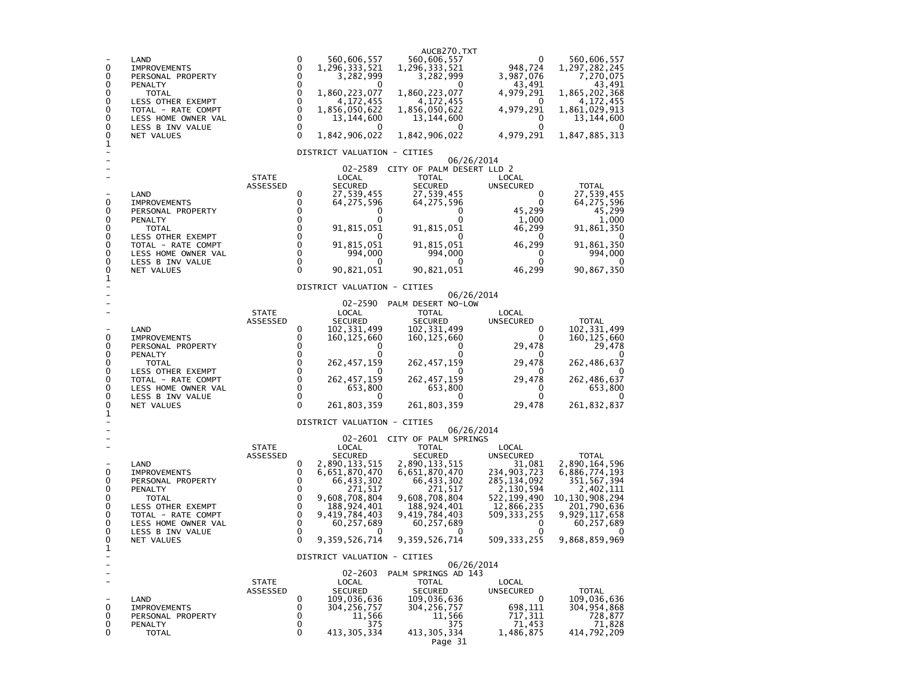| 0<br>0<br>0<br>0<br>0<br>0<br>0<br>0<br>0<br>1                                              | LAND<br><b>IMPROVEMENTS</b><br>PERSONAL PROPERTY<br>PENALTY<br><b>TOTAL</b><br>LESS OTHER EXEMPT<br>TOTAL - RATE COMPT<br>LESS HOME OWNER VAL<br>LESS B INV VALUE<br>NET VALUES |                                 | 0<br>$\mathbf 0$<br>$\mathbf 0$<br>$\mathbf 0$<br>$\mathbf 0$<br>$\mathbf 0$<br>$\mathbf 0$<br>$\mathbf 0$<br>$\mathbf 0$<br>$\Omega$ | 560,606,557<br>1,296,333,521<br>3,282,999<br>1,860,223,077<br>4,172,455<br>1,856,050,622<br>13,144,600<br>1,842,906,022                                              | AUCB270.TXT<br>560,606,557<br>1,296,333,521<br>3,282,999<br>$\Omega$<br>1,860,223,077<br>4,172,455<br>1,856,050,622<br>13,144,600<br>1,842,906,022                                                                      | 0<br>948,724<br>3,987,076<br>43,491<br>4,979,291<br>0<br>4,979,291<br>0<br>0<br>4,979,291                                                        | 560,606,557<br>1,297,282,245<br>7,270,075<br>43,491<br>1,865,202,368<br>4,172,455<br>1,861,029,913<br>13, 144, 600<br>1,847,885,313                  |  |  |
|---------------------------------------------------------------------------------------------|---------------------------------------------------------------------------------------------------------------------------------------------------------------------------------|---------------------------------|---------------------------------------------------------------------------------------------------------------------------------------|----------------------------------------------------------------------------------------------------------------------------------------------------------------------|-------------------------------------------------------------------------------------------------------------------------------------------------------------------------------------------------------------------------|--------------------------------------------------------------------------------------------------------------------------------------------------|------------------------------------------------------------------------------------------------------------------------------------------------------|--|--|
| 0<br>0<br>0<br>0<br>0<br>0<br>0<br>0<br>0                                                   | LAND<br><b>IMPROVEMENTS</b><br>PERSONAL PROPERTY<br>PENALTY<br><b>TOTAL</b><br>LESS OTHER EXEMPT<br>TOTAL - RATE COMPT<br>LESS HOME OWNER VAL<br>LESS B INV VALUE<br>NET VALUES | <b>STATE</b><br><b>ASSESSED</b> | 0<br>0<br>0<br>0<br>0<br>$\Omega$<br>0<br>$\mathbf 0$<br>0<br>$\Omega$                                                                | DISTRICT VALUATION - CITIES<br>02-2589<br>LOCAL<br><b>SECURED</b><br>27,539,455<br>64,275,596<br>0<br>0<br>91,815,051<br>91,815,051<br>994,000<br>0<br>90,821,051    | 06/26/2014<br>CITY OF PALM DESERT LLD 2<br>TOTAL<br><b>SECURED</b><br>27,539,455<br>64,275,596<br>0<br>0<br>91,815,051<br>91,815,051<br>994,000<br>0<br>90,821,051                                                      | LOCAL<br><b>UNSECURED</b><br>0<br>0<br>45,299<br>1,000<br>46,299<br>0<br>46,299<br>0<br>0<br>46,299                                              | <b>TOTAL</b><br>27,539,455<br>64, 275, 596<br>45,299<br>1,000<br>91,861,350<br>91,861,350<br>994,000<br>0<br>90,867,350                              |  |  |
| 1                                                                                           |                                                                                                                                                                                 | <b>STATE</b>                    |                                                                                                                                       | DISTRICT VALUATION - CITIES<br>06/26/2014<br>$02 - 2590$<br>PALM DESERT NO-LOW<br>LOCAL<br><b>TOTAL</b><br>LOCAL                                                     |                                                                                                                                                                                                                         |                                                                                                                                                  |                                                                                                                                                      |  |  |
| 0<br>0<br>0<br>0<br>0<br>0<br>0<br>0<br>0<br>1<br>0<br>0<br>0<br>0<br>0<br>0<br>0<br>0<br>0 | LAND<br><b>IMPROVEMENTS</b><br>PERSONAL PROPERTY<br>PENALTY<br><b>TOTAL</b><br>LESS OTHER EXEMPT<br>TOTAL - RATE COMPT<br>LESS HOME OWNER VAL<br>LESS B INV VALUE<br>NET VALUES | ASSESSED                        | 0<br>0<br>$\Omega$<br>$\Omega$<br>$\Omega$<br>$\Omega$<br>$\Omega$<br>$\Omega$<br>0<br>$\mathbf{0}$                                   | <b>SECURED</b><br>102,331,499<br>160, 125, 660<br>0<br>0<br>262,457,159<br>262,457,159<br>653,800<br>0<br>261,803,359<br>DISTRICT VALUATION - CITIES                 | SECURED<br>102, 331, 499<br>160, 125, 660<br>0<br>0<br>262, 457, 159<br>0<br>262, 457, 159<br>653,800<br>0<br>261,803,359                                                                                               | UNSECURED<br>0<br>0<br>29,478<br>0<br>29,478<br>0<br>29,478<br>0<br>0<br>29,478                                                                  | <b>TOTAL</b><br>102,331,499<br>160, 125, 660<br>29,478<br>262,486,637<br>262,486,637<br>653,800<br>261,832,837                                       |  |  |
|                                                                                             | LAND<br><b>IMPROVEMENTS</b><br>PERSONAL PROPERTY<br>PENALTY<br><b>TOTAL</b><br>LESS OTHER EXEMPT<br>TOTAL - RATE COMPT<br>LESS HOME OWNER VAL<br>LESS B INV VALUE<br>NET VALUES | <b>STATE</b><br>ASSESSED        | 0<br>0<br>0<br>0<br>$\mathbf 0$<br>0<br>$\mathbf 0$<br>$\mathbf 0$<br>0<br>$\Omega$                                                   | LOCAL<br><b>SECURED</b><br>2,890,133,515<br>6,651,870,470<br>66,433,302<br>271,517<br>9,608,708,804<br>188, 924, 401<br>9,419,784,403<br>60,257,689<br>9,359,526,714 | 06/26/2014<br>02-2601 CITY OF PALM SPRINGS<br><b>TOTAL</b><br><b>SECURED</b><br>2,890,133,515<br>6,651,870,470<br>66,433,302<br>271,517<br>9,608,708,804<br>188,924,401<br>9,419,784,403<br>60,257,689<br>9,359,526,714 | LOCAL<br>UNSECURED<br>31,081<br>234,903,723<br>285, 134, 092<br>2,130,594<br>522,199,490<br>12,866,235<br>509,333,255<br>0<br>0<br>509, 333, 255 | TOTAL<br>2,890,164,596<br>6,886,774,193<br>351,567,394<br>2,402,111<br>10,130,908,294<br>201,790,636<br>9,929,117,658<br>60,257,689<br>9,868,859,969 |  |  |
| 1                                                                                           |                                                                                                                                                                                 |                                 |                                                                                                                                       | DISTRICT VALUATION - CITIES<br>$02 - 2603$                                                                                                                           | 06/26/2014<br>PALM SPRINGS AD 143                                                                                                                                                                                       |                                                                                                                                                  |                                                                                                                                                      |  |  |
| 0<br>0<br>0<br>0                                                                            | LAND<br><b>IMPROVEMENTS</b><br>PERSONAL PROPERTY<br>PENALTY<br><b>TOTAL</b>                                                                                                     | <b>STATE</b><br><b>ASSESSED</b> | 0<br>0<br>0<br>0<br>0                                                                                                                 | LOCAL<br><b>SECURED</b><br>109,036,636<br>304,256,757<br>11,566<br>375<br>413, 305, 334                                                                              | <b>TOTAL</b><br><b>SECURED</b><br>109,036,636<br>304,256,757<br>11,566<br>375<br>413, 305, 334<br>Page 31                                                                                                               | LOCAL<br>UNSECURED<br>0<br>698,111<br>717,311<br>71,453<br>1,486,875                                                                             | TOTAL<br>109,036,636<br>304, 954, 868<br>728,877<br>71,828<br>414,792,209                                                                            |  |  |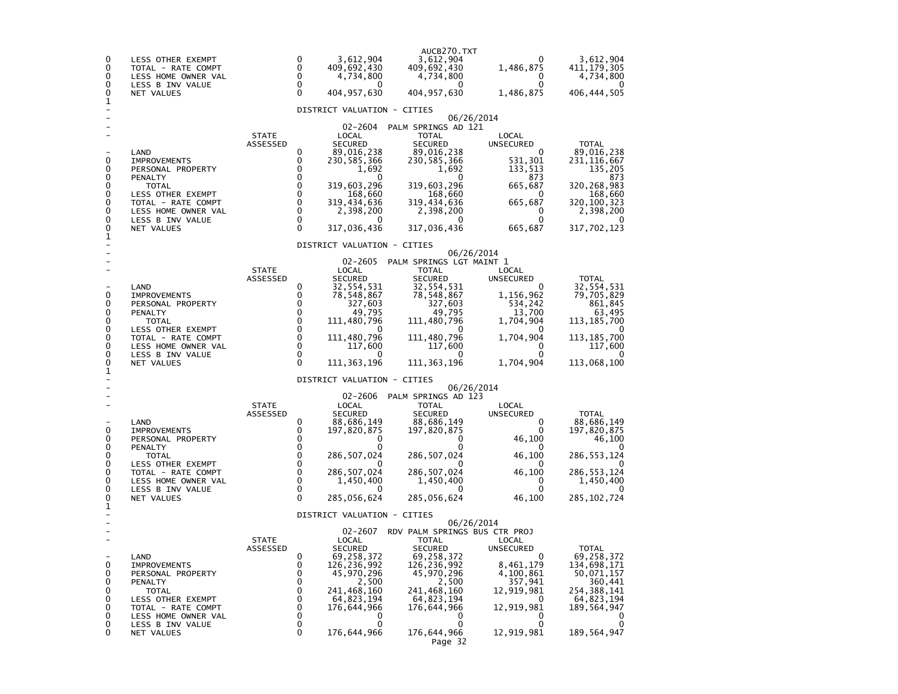| 0<br>0<br>0<br>0<br>0<br>1                     | LESS OTHER EXEMPT<br>TOTAL - RATE COMPT<br>LESS HOME OWNER VAL<br>LESS B INV VALUE<br>NET VALUES                                                                                       |                          | 0<br>0<br>0<br>0<br>$\Omega$                                                                                         | 3,612,904<br>409,692,430<br>4,734,800<br>0<br>404,957,630                                                                                                                                  | AUCB270.TXT<br>3,612,904<br>409,692,430<br>4,734,800<br>$\Omega$<br>404, 957, 630                                                                                                                     | O<br>1,486,875<br>0<br>0<br>1,486,875                                                                                               | 3,612,904<br>411,179,305<br>4,734,800<br>$\mathbf{U}$<br>406,444,505                                                                      |
|------------------------------------------------|----------------------------------------------------------------------------------------------------------------------------------------------------------------------------------------|--------------------------|----------------------------------------------------------------------------------------------------------------------|--------------------------------------------------------------------------------------------------------------------------------------------------------------------------------------------|-------------------------------------------------------------------------------------------------------------------------------------------------------------------------------------------------------|-------------------------------------------------------------------------------------------------------------------------------------|-------------------------------------------------------------------------------------------------------------------------------------------|
|                                                |                                                                                                                                                                                        |                          |                                                                                                                      | DISTRICT VALUATION - CITIES                                                                                                                                                                |                                                                                                                                                                                                       | 06/26/2014                                                                                                                          |                                                                                                                                           |
| 0<br>0<br>0<br>0<br>0<br>0<br>0<br>0<br>0<br>1 | LAND<br><b>IMPROVEMENTS</b><br>PERSONAL PROPERTY<br>PENALTY<br>TOTAL<br><b>LESS OTHER EXEMPT</b><br>TOTAL - RATE COMPT<br>LESS HOME OWNER VAL<br>LESS B INV VALUE<br>NET VALUES        | <b>STATE</b><br>ASSESSED | 0<br>0<br>$\Omega$<br>$\Omega$<br>0<br>0<br>$\mathbf 0$<br>0<br>0<br>$\Omega$                                        | $02 - 2604$<br>LOCAL<br><b>SECURED</b><br>89,016,238<br>230,585,366<br>1,692<br>0<br>319,603,296<br>168,660<br>319,434,636<br>2,398,200<br>0<br>317,036,436<br>DISTRICT VALUATION - CITIES | PALM SPRINGS AD 121<br><b>TOTAL</b><br><b>SECURED</b><br>89,016,238<br>230,585,366<br>1,692<br>0<br>319,603,296<br>168,660<br>319,434,636<br>2,398,200<br>0<br>317,036,436                            | LOCAL<br><b>UNSECURED</b><br>0<br>531,301<br>133,513<br>873<br>665,687<br>0<br>665,687<br>0<br>0<br>665,687                         | <b>TOTAL</b><br>89,016,238<br>231,116,667<br>135,205<br>873<br>320,268,983<br>168,660<br>320,100,323<br>2,398,200<br>0<br>317,702,123     |
|                                                |                                                                                                                                                                                        |                          |                                                                                                                      |                                                                                                                                                                                            |                                                                                                                                                                                                       | 06/26/2014                                                                                                                          |                                                                                                                                           |
| 0<br>0<br>0<br>0<br>0<br>0<br>0<br>0<br>0      | LAND<br><b>IMPROVEMENTS</b><br>PERSONAL PROPERTY<br>PENALTY<br><b>TOTAL</b><br><b>LESS OTHER EXEMPT</b><br>TOTAL - RATE COMPT<br>LESS HOME OWNER VAL<br>LESS B INV VALUE<br>NET VALUES | <b>STATE</b><br>ASSESSED | 0<br>0<br>0<br>0<br>$\mathbf 0$<br>0<br>$\mathbf 0$<br>$\Omega$<br>$\mathbf{0}$<br>$\Omega$                          | $02 - 2605$<br>LOCAL<br><b>SECURED</b><br>32,554,531<br>78,548,867<br>327,603<br>49,795<br>111,480,796<br>0<br>111,480,796<br>117,600<br>0<br>111,363,196                                  | PALM SPRINGS LGT MAINT 1<br><b>TOTAL</b><br><b>SECURED</b><br>32,554,531<br>78,548,867<br>327,603<br>49,795<br>111,480,796<br>0<br>111,480,796<br>117,600<br>0<br>111,363,196                         | LOCAL<br><b>UNSECURED</b><br>0<br>1,156,962<br>534,242<br>13,700<br>1,704,904<br>$\Omega$<br>1,704,904<br>0<br>0<br>1,704,904       | TOTAL<br>32,554,531<br>79,705,829<br>861,845<br>63,495<br>113, 185, 700<br>0<br>113,185,700<br>117,600<br>0<br>113,068,100                |
| 1                                              |                                                                                                                                                                                        |                          |                                                                                                                      | DISTRICT VALUATION - CITIES                                                                                                                                                                |                                                                                                                                                                                                       |                                                                                                                                     |                                                                                                                                           |
| 0<br>0<br>0<br>0<br>0<br>0<br>0<br>0<br>0      | LAND<br><b>IMPROVEMENTS</b><br>PERSONAL PROPERTY<br>PENALTY<br><b>TOTAL</b><br>LESS OTHER EXEMPT<br>TOTAL - RATE COMPT<br>LESS HOME OWNER VAL<br>LESS B INV VALUE<br>NET VALUES        | <b>STATE</b><br>ASSESSED | 0<br>0<br>0<br>0<br>0<br>$\mathbf 0$<br>$\mathbf 0$<br>$\mathbf 0$<br>0<br>$\Omega$                                  | $02 - 2606$<br>LOCAL<br><b>SECURED</b><br>88,686,149<br>197,820,875<br>0<br>0<br>286,507,024<br>0<br>286,507,024<br>1,450,400<br>$\mathbf{0}$<br>285,056,624                               | PALM SPRINGS AD 123<br>TOTAL<br><b>SECURED</b><br>88,686,149<br>197,820,875<br>0<br>0<br>286, 507, 024<br>0<br>286, 507, 024<br>1,450,400<br>0<br>285,056,624                                         | 06/26/2014<br>LOCAL<br>UNSECURED<br>0<br>0<br>46,100<br>46,100<br>$\mathbf{U}$<br>46,100<br>0<br>0<br>46,100                        | TOTAL<br>88,686,149<br>197,820,875<br>46,100<br>286, 553, 124<br>0<br>286, 553, 124<br>1,450,400<br>$\mathbf{0}$<br>285, 102, 724         |
| 1                                              |                                                                                                                                                                                        |                          |                                                                                                                      | DISTRICT VALUATION -                                                                                                                                                                       | <b>CITIES</b>                                                                                                                                                                                         |                                                                                                                                     |                                                                                                                                           |
| ÷<br>0<br>0<br>0<br>0<br>0<br>0<br>0<br>0<br>0 | LAND<br><b>IMPROVEMENTS</b><br>PERSONAL PROPERTY<br>PENALTY<br><b>TOTAL</b><br>LESS OTHER EXEMPT<br>TOTAL - RATE COMPT<br>LESS HOME OWNER VAL<br>LESS B INV VALUE<br>NET VALUES        | <b>STATE</b><br>ASSESSED | $\mathbf 0$<br>$\mathbf 0$<br>$\mathbf 0$<br>$\mathbf 0$<br>$\mathbf 0$<br>$\mathbf 0$<br>0<br>$\mathbf 0$<br>0<br>0 | 02-2607<br>LOCAL<br><b>SECURED</b><br>69,258,372<br>126,236,992<br>45,970,296<br>2,500<br>241,468,160<br>64,823,194<br>176,644,966<br>0<br>0<br>176,644,966                                | RDV PALM SPRINGS BUS CTR PROJ<br><b>TOTAL</b><br><b>SECURED</b><br>69, 258, 372<br>126,236,992<br>45,970,296<br>2,500<br>241,468,160<br>64,823,194<br>176,644,966<br>0<br>0<br>176,644,966<br>Page 32 | 06/26/2014<br>LOCAL<br>UNSECURED<br>0<br>8,461,179<br>4,100,861<br>357,941<br>12,919,981<br>0<br>12,919,981<br>0<br>0<br>12,919,981 | <b>TOTAL</b><br>69,258,372<br>134,698,171<br>50,071,157<br>360,441<br>254,388,141<br>64,823,194<br>189,564,947<br>0<br>0<br>189, 564, 947 |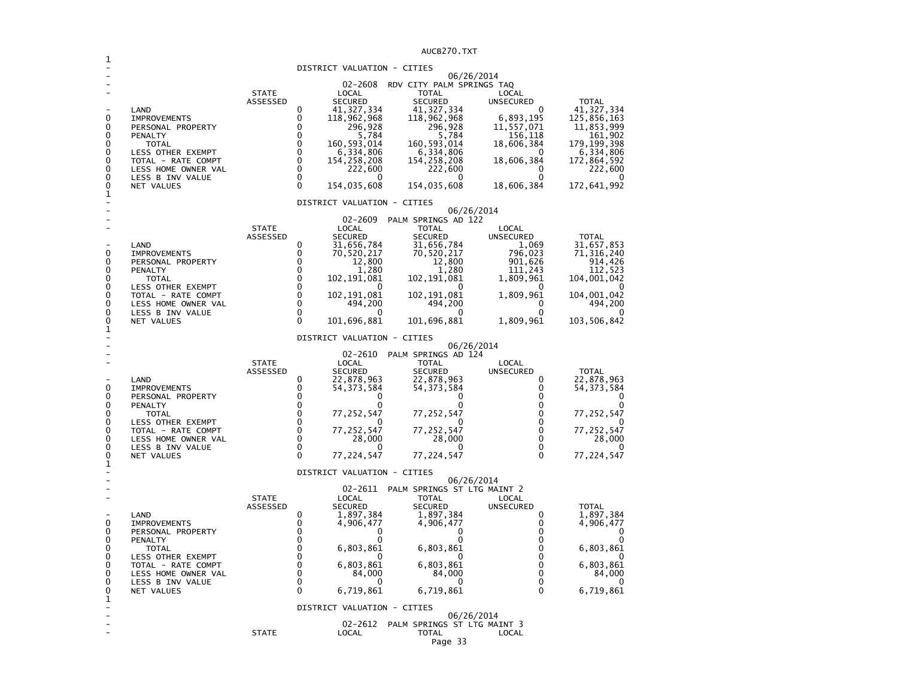AUCB270.TXT

|                                                                            |                                                                                                                                                                                 |                          |                                                                                                 |                                                                                                                                                               | AUCBZ/U.IXI                                                                                                                                                                                 |                                                                                                                                        |                                                                                                                                              |
|----------------------------------------------------------------------------|---------------------------------------------------------------------------------------------------------------------------------------------------------------------------------|--------------------------|-------------------------------------------------------------------------------------------------|---------------------------------------------------------------------------------------------------------------------------------------------------------------|---------------------------------------------------------------------------------------------------------------------------------------------------------------------------------------------|----------------------------------------------------------------------------------------------------------------------------------------|----------------------------------------------------------------------------------------------------------------------------------------------|
|                                                                            |                                                                                                                                                                                 |                          |                                                                                                 |                                                                                                                                                               | DISTRICT VALUATION - CITIES                                                                                                                                                                 |                                                                                                                                        |                                                                                                                                              |
| 0<br>0<br>0<br>0<br>0<br>0<br>0<br>0<br>0<br>1                             | LAND<br><b>IMPROVEMENTS</b><br>PERSONAL PROPERTY<br>PENALTY<br>TOTAL<br>LESS OTHER EXEMPT<br>TOTAL - RATE COMPT<br>LESS HOME OWNER VAL<br>LESS B INV VALUE<br>NET VALUES        | <b>STATE</b><br>ASSESSED | 0<br>0<br>0<br>$\Omega$<br>$\Omega$<br>$\Omega$<br>$\Omega$<br>$\Omega$<br>$\Omega$<br>$\Omega$ | 02-2608<br>LOCAL<br><b>SECURED</b><br>41,327,334<br>118,962,968<br>296,928<br>5,784<br>160,593,014<br>6,334,806<br>154,258,208<br>222,600<br>0<br>154,035,608 | RDV CITY PALM SPRINGS TAQ<br><b>TOTAL</b><br><b>SECURED</b><br>41, 327, 334<br>118,962,968<br>296,928<br>5,784<br>160, 593, 014<br>6,334,806<br>154,258,208<br>222,600<br>0<br>154,035,608  | 06/26/2014<br>LOCAL<br><b>UNSECURED</b><br>0<br>6,893,195<br>11,557,071<br>156,118<br>18,606,384<br>18,606,384<br>0<br>0<br>18,606,384 | <b>TOTAL</b><br>41,327,334<br>125,856,163<br>11,853,999<br>161,902<br>179,199,398<br>6,334,806<br>172,864,592<br>222,600<br>0<br>172,641,992 |
|                                                                            |                                                                                                                                                                                 |                          |                                                                                                 |                                                                                                                                                               | DISTRICT VALUATION - CITIES                                                                                                                                                                 |                                                                                                                                        |                                                                                                                                              |
| 0<br>0<br>0<br>0<br>0<br>0<br>0<br>0<br>0                                  | LAND<br><b>IMPROVEMENTS</b><br>PERSONAL PROPERTY<br>PENALTY<br><b>TOTAL</b><br>LESS OTHER EXEMPT<br>TOTAL - RATE COMPT<br>LESS HOME OWNER VAL<br>LESS B INV VALUE<br>NET VALUES | <b>STATE</b><br>ASSESSED | 0<br>0<br>0<br>0<br>0<br>0<br>0<br>$\mathbf 0$<br>0<br>$\Omega$                                 | 02-2609<br>LOCAL<br><b>SECURED</b><br>31,656,784<br>70,520,217<br>12,800<br>1,280<br>102,191,081<br>0<br>102, 191, 081<br>494,200<br>0<br>101,696,881         | PALM SPRINGS AD 122<br><b>TOTAL</b><br><b>SECURED</b><br>31,656,784<br>70,520,217<br>12,800<br>1,280<br>102, 191, 081<br>0<br>102,191,081<br>494,200<br>0<br>101,696,881                    | 06/26/2014<br>LOCAL<br><b>UNSECURED</b><br>1,069<br>796,023<br>901,626<br>111,243<br>1,809,961<br>1,809,961<br>0<br>0<br>1,809,961     | <b>TOTAL</b><br>31,657,853<br>71,316,240<br>914,426<br>112,523<br>104,001,042<br>104,001,042<br>494,200<br>$\Omega$<br>103,506,842           |
| 1                                                                          |                                                                                                                                                                                 |                          |                                                                                                 |                                                                                                                                                               | DISTRICT VALUATION - CITIES                                                                                                                                                                 |                                                                                                                                        |                                                                                                                                              |
| 0<br>0<br>0<br>0<br>0<br>0<br>0<br>0<br>0<br>1                             | LAND<br><b>IMPROVEMENTS</b><br>PERSONAL PROPERTY<br>PENALTY<br>TOTAL<br>LESS OTHER EXEMPT<br>TOTAL - RATE COMPT<br>LESS HOME OWNER VAL<br>LESS B INV VALUE<br>NET VALUES        | <b>STATE</b><br>ASSESSED | $\Omega$<br>$\Omega$<br>0<br>0<br>0<br>0<br>0<br>0<br>0<br>$\Omega$                             | 02-2610<br>LOCAL<br><b>SECURED</b><br>22,878,963<br>54, 373, 584<br>0<br>0<br>77,252,547<br>O<br>77, 252, 547<br>28,000<br>0<br>77,224,547                    | PALM SPRINGS AD 124<br><b>TOTAL</b><br><b>SECURED</b><br>22,878,963<br>54,373,584<br>0<br>0<br>77,252,547<br>0<br>77, 252, 547<br>28,000<br>0<br>77,224,547                                 | 06/26/2014<br>LOCAL<br><b>UNSECURED</b><br>0<br>0<br>0<br>0<br>0<br>0<br>0<br>0<br>0<br>0                                              | <b>TOTAL</b><br>22,878,963<br>54,373,584<br>0<br>0<br>77,252,547<br>0<br>77, 252, 547<br>28,000<br>77,224,547                                |
|                                                                            |                                                                                                                                                                                 |                          |                                                                                                 |                                                                                                                                                               | DISTRICT VALUATION - CITIES                                                                                                                                                                 |                                                                                                                                        |                                                                                                                                              |
| 0<br>0<br>0<br>0<br>0<br>0<br>0<br>0<br>0<br>1<br>$\overline{\phantom{m}}$ | LAND<br><b>IMPROVEMENTS</b><br>PERSONAL PROPERTY<br>PENALTY<br>TOTAL<br>LESS OTHER EXEMPT<br>TOTAL - RATE COMPT<br>LESS HOME OWNER VAL<br>LESS B INV VALUE<br>NET VALUES        | <b>STATE</b><br>ASSESSED | 0<br>0<br>0<br>0<br>0<br>$\Omega$<br>0<br>0<br>0<br>$\Omega$                                    | 02-2611<br>LOCAL<br><b>SECURED</b><br>1,897,384<br>4,906,477<br>0<br>0<br>6,803,861<br>6,803,861<br>84,000<br>0<br>6,719,861                                  | PALM SPRINGS ST LTG MAINT 2<br><b>TOTAL</b><br><b>SECURED</b><br>1,897,384<br>4,906,477<br>0<br>0<br>6,803,861<br>0<br>6,803,861<br>84,000<br>0<br>6,719,861<br>DISTRICT VALUATION - CITIES | 06/26/2014<br>LOCAL<br><b>UNSECURED</b><br>0<br>0<br>0<br>0<br>0<br>0<br>0<br>0<br>0<br>$\Omega$<br>06/26/2014                         | <b>TOTAL</b><br>1,897,384<br>4,906,477<br>0<br>0<br>6,803,861<br>O<br>6,803,861<br>84,000<br>0<br>6,719,861                                  |
|                                                                            |                                                                                                                                                                                 | <b>STATE</b>             |                                                                                                 | 02-2612<br>LOCAL                                                                                                                                              | PALM SPRINGS ST LTG MAINT 3<br>TOTAL                                                                                                                                                        | LOCAL                                                                                                                                  |                                                                                                                                              |
|                                                                            |                                                                                                                                                                                 |                          |                                                                                                 |                                                                                                                                                               | Page 33                                                                                                                                                                                     |                                                                                                                                        |                                                                                                                                              |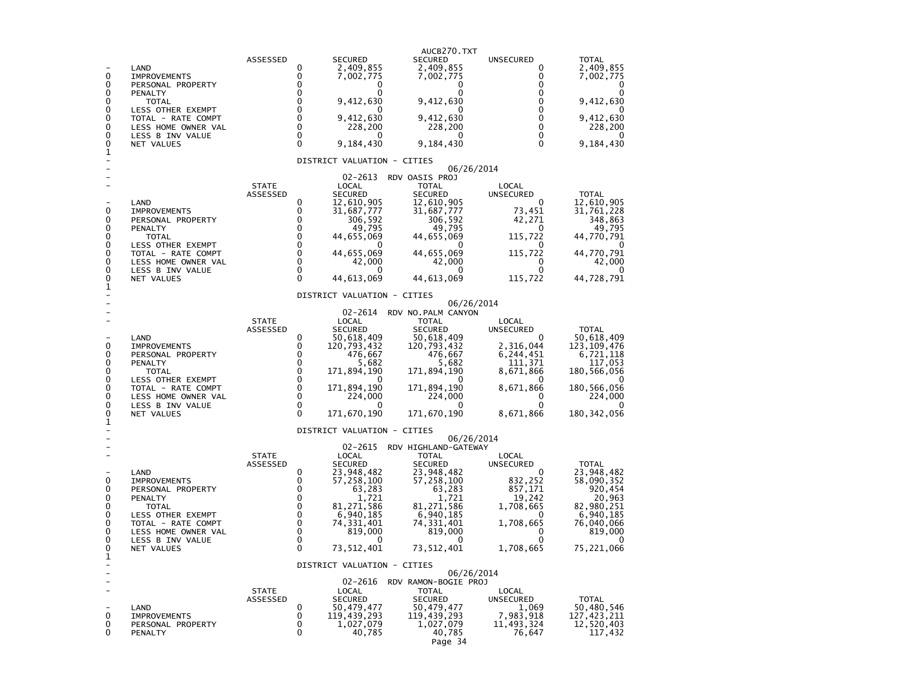| 0<br>0<br>0<br>0<br>0<br>0<br>0<br>0<br>0<br>1        | LAND<br><b>IMPROVEMENTS</b><br>PERSONAL PROPERTY<br>PENALTY<br><b>TOTAL</b><br>LESS OTHER EXEMPT<br>TOTAL - RATE COMPT<br>LESS HOME OWNER VAL<br>LESS B INV VALUE<br>NET VALUES        | ASSESSED                        | <b>SECURED</b><br>0<br>2,409,855<br>0<br>7,002,775<br>0<br>0<br>0<br>O<br>0<br>9,412,630<br>0<br>O<br>0<br>9,412,630<br>0<br>228,200<br>0<br>O<br>0<br>9,184,430<br>DISTRICT VALUATION - CITIES                                           | AUCB270.TXT<br><b>SECURED</b><br>2,409,855<br>7,002,775<br>0<br>0<br>9,412,630<br>$\Omega$<br>9,412,630<br>228,200<br>$\Omega$<br>9,184,430                                                   | UNSECURED<br>0<br>0<br>0<br>0<br>0<br>0<br>0<br>$\Omega$<br>$\Omega$<br>$\Omega$                                            | TOTAL<br>2,409,855<br>7,002,775<br>0<br>9,412,630<br>0<br>9,412,630<br>228,200<br>9,184,430                                                |
|-------------------------------------------------------|----------------------------------------------------------------------------------------------------------------------------------------------------------------------------------------|---------------------------------|-------------------------------------------------------------------------------------------------------------------------------------------------------------------------------------------------------------------------------------------|-----------------------------------------------------------------------------------------------------------------------------------------------------------------------------------------------|-----------------------------------------------------------------------------------------------------------------------------|--------------------------------------------------------------------------------------------------------------------------------------------|
| 0<br>0<br>0<br>0<br>0<br>0<br>0<br>0<br>0<br>1        | LAND<br><b>IMPROVEMENTS</b><br>PERSONAL PROPERTY<br>PENALTY<br><b>TOTAL</b><br>LESS OTHER EXEMPT<br>TOTAL - RATE COMPT<br>LESS HOME OWNER VAL<br>LESS B INV VALUE<br>NET VALUES        | <b>STATE</b><br>ASSESSED        | 02-2613<br>LOCAL<br><b>SECURED</b><br>0<br>12,610,905<br>31,687,777<br>0<br>0<br>306,592<br>0<br>49,795<br>0<br>44,655,069<br>0<br>0<br>44,655,069<br>0<br>42,000<br>0<br>0<br>0<br>44,613,069                                            | 06/26/2014<br>RDV OASIS PROJ<br>TOTAL<br><b>SECURED</b><br>12,610,905<br>31,687,777<br>306,592<br>49,795<br>44,655,069<br>$\Omega$<br>44,655,069<br>42,000<br>$\mathbf{\Omega}$<br>44,613,069 | LOCAL<br>UNSECURED<br>0<br>73,451<br>42,271<br>0<br>115,722<br>0<br>115,722<br>0<br>0<br>115,722                            | TOTAL<br>12,610,905<br>31,761,228<br>348,863<br>49,795<br>44,770,791<br>$\mathbf{U}$<br>44,770,791<br>42,000<br>$\mathbf{U}$<br>44,728,791 |
| 0<br>0<br>0<br>0<br>0<br>0<br>0<br>0<br>0<br>1        | LAND<br><b>IMPROVEMENTS</b><br>PERSONAL PROPERTY<br>PENALTY<br>TOTAL<br>LESS OTHER EXEMPT<br>TOTAL - RATE COMPT<br>LESS HOME OWNER VAL<br>LESS B INV VALUE<br>NET VALUES               | <b>STATE</b><br>ASSESSED        | DISTRICT VALUATION - CITIES<br>02-2614<br>LOCAL<br><b>SECURED</b><br>0<br>50,618,409<br>0<br>120,793,432<br>0<br>476,667<br>0<br>5,682<br>0<br>171,894,190<br>0<br>$\Omega$<br>0<br>171,894,190<br>0<br>224,000<br>0<br>0<br>171,670,190  | 06/26/2014<br>RDV NO. PALM CANYON<br><b>TOTAL</b><br><b>SECURED</b><br>50,618,409<br>120,793,432<br>476,667<br>5,682<br>171,894,190<br>$\Omega$<br>171,894,190<br>224,000<br>171,670,190      | LOCAL<br><b>UNSECURED</b><br>2,316,044<br>6,244,451<br>111,371<br>8,671,866<br>$\Omega$<br>8,671,866<br>0<br>0<br>8,671,866 | <b>TOTAL</b><br>50,618,409<br>123,109,476<br>6,721,118<br>117,053<br>180,566,056<br>180, 566, 056<br>224,000<br>180, 342, 056              |
| 0<br>0<br>0<br>0<br>0<br>0<br>0<br>0<br>$\Omega$<br>1 | LAND<br><b>IMPROVEMENTS</b><br>PERSONAL PROPERTY<br><b>PENALTY</b><br>TOTAL<br>LESS OTHER EXEMPT<br>TOTAL - RATE COMPT<br>LESS HOME OWNER VAL<br>LESS B INV VALUE<br><b>NET VALUES</b> | <b>STATE</b><br><b>ASSESSED</b> | DISTRICT VALUATION - CITIES<br>02-2615<br>LOCAL<br><b>SECURED</b><br>0<br>23,948,482<br>0<br>57,258,100<br>0<br>63,283<br>0<br>1,721<br>0<br>81,271,586<br>0<br>6,940,185<br>0<br>74,331,401<br>0<br>819,000<br>0<br>0<br>0<br>73,512,401 | 06/26/2014<br>RDV HIGHLAND-GATEWAY<br><b>TOTAL</b><br><b>SECURED</b><br>23,948,482<br>57,258,100<br>63,283<br>1,721<br>81,271,586<br>6,940,185<br>74,331,401<br>819,000<br>0<br>73.512.401    | LOCAL<br>UNSECURED<br>0<br>832,252<br>857,171<br>19,242<br>1,708,665<br>1,708,665<br>0<br>0<br>1,708,665                    | <b>TOTAL</b><br>23,948,482<br>58,090,352<br>920,454<br>20,963<br>82,980,251<br>6,940,185<br>76,040,066<br>819,000<br>0<br>75.221.066       |
| 0<br>0<br>0                                           | LAND<br><b>IMPROVEMENTS</b><br>PERSONAL PROPERTY<br>PENALTY                                                                                                                            | <b>STATE</b><br><b>ASSESSED</b> | DISTRICT VALUATION - CITIES<br>LOCAL<br><b>SECURED</b><br>0<br>50,479,477<br>119,439,293<br>0<br>1,027,079<br>0<br>0<br>40,785                                                                                                            | 06/26/2014<br>02-2616 RDV RAMON-BOGIE PROJ<br>TOTAL<br><b>SECURED</b><br>50,479,477<br>119,439,293<br>1,027,079<br>40,785<br>Page 34                                                          | LOCAL<br><b>UNSECURED</b><br>1,069<br>7,983,918<br>11,493,324<br>76,647                                                     | <b>TOTAL</b><br>50,480,546<br>127,423,211<br>12,520,403<br>117,432                                                                         |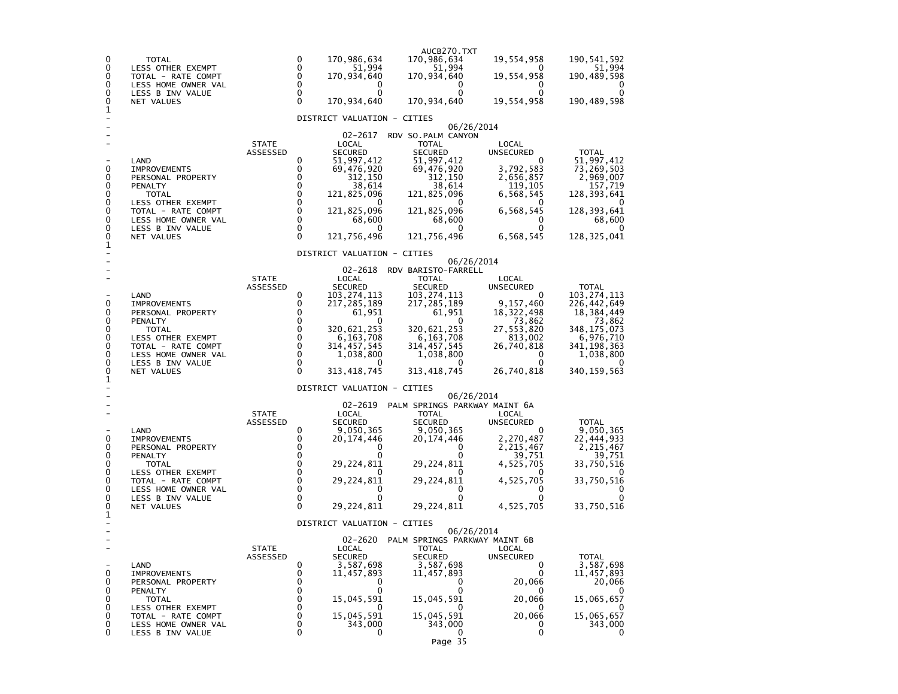| 0<br>0<br>0<br>0<br>0<br>0<br>1                | TOTAL<br>LESS OTHER EXEMPT<br>TOTAL - RATE COMPT<br>LESS HOME OWNER VAL<br>LESS B INV VALUE<br>NET VALUES                                                                       |                          | 0<br>0<br>$\Omega$<br>0<br>0<br>0                                                                                     | 170,986,634<br>51,994<br>170,934,640<br>0<br>0<br>170,934,640                                                                                                                              | AUCB270.TXT<br>170,986,634<br>51,994<br>170,934,640<br>$\Omega$<br>0<br>170,934,640                                                                                                | 19,554,958<br>O<br>19,554,958<br>0<br>19,554,958                                                                                   | 190, 541, 592<br>51,994<br>190,489,598<br>0<br>190,489,598                                                                                    |
|------------------------------------------------|---------------------------------------------------------------------------------------------------------------------------------------------------------------------------------|--------------------------|-----------------------------------------------------------------------------------------------------------------------|--------------------------------------------------------------------------------------------------------------------------------------------------------------------------------------------|------------------------------------------------------------------------------------------------------------------------------------------------------------------------------------|------------------------------------------------------------------------------------------------------------------------------------|-----------------------------------------------------------------------------------------------------------------------------------------------|
|                                                |                                                                                                                                                                                 |                          |                                                                                                                       | DISTRICT VALUATION - CITIES                                                                                                                                                                |                                                                                                                                                                                    |                                                                                                                                    |                                                                                                                                               |
| 0<br>0<br>0<br>0<br>0<br>0<br>0<br>0<br>0<br>1 | LAND<br><b>IMPROVEMENTS</b><br>PERSONAL PROPERTY<br>PENALTY<br><b>TOTAL</b><br>LESS OTHER EXEMPT<br>TOTAL - RATE COMPT<br>LESS HOME OWNER VAL<br>LESS B INV VALUE<br>NET VALUES | <b>STATE</b><br>ASSESSED | 0<br>0<br>0<br>0<br>$\mathbf 0$<br>$\mathbf 0$<br>$\mathbf 0$<br>$\mathbf 0$<br>0<br>0                                | 02-2617<br>LOCAL<br><b>SECURED</b><br>51,997,412<br>69,476,920<br>312,150<br>38,614<br>121,825,096<br>$\Omega$<br>121,825,096<br>68,600<br>0<br>121,756,496<br>DISTRICT VALUATION - CITIES | RDV SO. PALM CANYON<br><b>TOTAL</b><br><b>SECURED</b><br>51,997,412<br>69,476,920<br>312,150<br>38,614<br>121,825,096<br>0<br>121,825,096<br>68,600<br>0<br>121,756,496            | 06/26/2014<br>LOCAL<br>UNSECURED<br>$\Omega$<br>3,792,583<br>2,656,857<br>119,105<br>6,568,545<br>6,568,545<br>0<br>0<br>6,568,545 | <b>TOTAL</b><br>51,997,412<br>73,269,503<br>2,969,007<br>157,719<br>128,393,641<br>0<br>128,393,641<br>68,600<br>0<br>128,325,041             |
|                                                |                                                                                                                                                                                 |                          |                                                                                                                       |                                                                                                                                                                                            |                                                                                                                                                                                    | 06/26/2014                                                                                                                         |                                                                                                                                               |
| 0<br>0<br>0<br>0<br>0<br>0<br>0<br>0<br>0<br>1 | LAND<br><b>IMPROVEMENTS</b><br>PERSONAL PROPERTY<br>PENALTY<br>TOTAL<br>LESS OTHER EXEMPT<br>TOTAL - RATE COMPT<br>LESS HOME OWNER VAL<br>LESS B INV VALUE<br>NET VALUES        | <b>STATE</b><br>ASSESSED | 0<br>0<br>0<br>0<br>0<br>0<br>0<br>0<br>0<br>0                                                                        | 02-2618<br>LOCAL<br><b>SECURED</b><br>103,274,113<br>217,285,189<br>61,951<br>0<br>320,621,253<br>6,163,708<br>314,457,545<br>1,038,800<br>313,418,745                                     | RDV BARISTO-FARRELL<br><b>TOTAL</b><br><b>SECURED</b><br>103,274,113<br>217, 285, 189<br>61,951<br>O<br>320,621,253<br>6,163,708<br>314, 457, 545<br>1,038,800<br>0<br>313,418,745 | LOCAL<br><b>UNSECURED</b><br>O<br>9,157,460<br>18,322,498<br>73,862<br>27,553,820<br>813,002<br>26,740,818<br>0<br>0<br>26,740,818 | <b>TOTAL</b><br>103,274,113<br>226,442,649<br>18,384,449<br>73,862<br>348, 175, 073<br>6,976,710<br>341, 198, 363<br>1,038,800<br>340,159,563 |
|                                                |                                                                                                                                                                                 |                          |                                                                                                                       | DISTRICT VALUATION - CITIES                                                                                                                                                                |                                                                                                                                                                                    | 06/26/2014                                                                                                                         |                                                                                                                                               |
| 0<br>0<br>0<br>0<br>0<br>0<br>0<br>0<br>0<br>1 | LAND<br><b>IMPROVEMENTS</b><br>PERSONAL PROPERTY<br>PENALTY<br>TOTAL<br>LESS OTHER EXEMPT<br>TOTAL - RATE COMPT<br>LESS HOME OWNER VAL<br>LESS B INV VALUE<br>NET VALUES        | <b>STATE</b><br>ASSESSED | 0<br>0<br>0<br>$\mathbf 0$<br>$\mathbf 0$<br>$\mathbf 0$<br>$\mathbf 0$<br>$\mathbf 0$<br>$\mathbf 0$<br>$\mathbf{0}$ | 02-2619<br>LOCAL<br><b>SECURED</b><br>9,050,365<br>20,174,446<br>0<br>29,224,811<br>29,224,811<br>0<br>0<br>29,224,811                                                                     | PALM SPRINGS PARKWAY MAINT 6A<br><b>TOTAL</b><br><b>SECURED</b><br>9,050,365<br>20,174,446<br>0<br>o<br>29,224,811<br>29,224,811<br>0<br>o<br>29,224,811                           | LOCAL<br><b>UNSECURED</b><br>0<br>2,270,487<br>2,215,467<br>39,751<br>4,525,705<br>4,525,705<br>0<br>0<br>4,525,705                | <b>TOTAL</b><br>9,050,365<br>22,444,933<br>2,215,467<br>39,751<br>33,750,516<br>33,750,516<br>0<br>0<br>33,750,516                            |
|                                                |                                                                                                                                                                                 |                          |                                                                                                                       | DISTRICT VALUATION - CITIES                                                                                                                                                                |                                                                                                                                                                                    |                                                                                                                                    |                                                                                                                                               |
| 0<br>0<br>0<br>0<br>0<br>0<br>0<br>0           | LAND<br><b>IMPROVEMENTS</b><br>PERSONAL PROPERTY<br>PENALTY<br><b>TOTAL</b><br>LESS OTHER EXEMPT<br>TOTAL - RATE COMPT<br>LESS HOME OWNER VAL<br>LESS B INV VALUE               | <b>STATE</b><br>ASSESSED | 0<br>0<br>0<br>0<br>0<br>0<br>0<br>0<br>0                                                                             | 02-2620<br>LOCAL<br>SECURED<br>3,587,698<br>11,457,893<br>$\Omega$<br>0<br>15,045,591<br>15,045,591<br>343,000<br>0                                                                        | PALM SPRINGS PARKWAY MAINT 6B<br><b>TOTAL</b><br>SECURED<br>3,587,698<br>11,457,893<br>0<br>0<br>15,045,591<br>15,045,591<br>343,000<br>0<br>Page 35                               | 06/26/2014<br>LOCAL<br><b>UNSECURED</b><br>0<br>0<br>20,066<br>0<br>20,066<br>20,066<br>0<br>0                                     | TOTAL<br>3,587,698<br>11,457,893<br>20,066<br>15,065,657<br>15,065,657<br>343,000<br>0                                                        |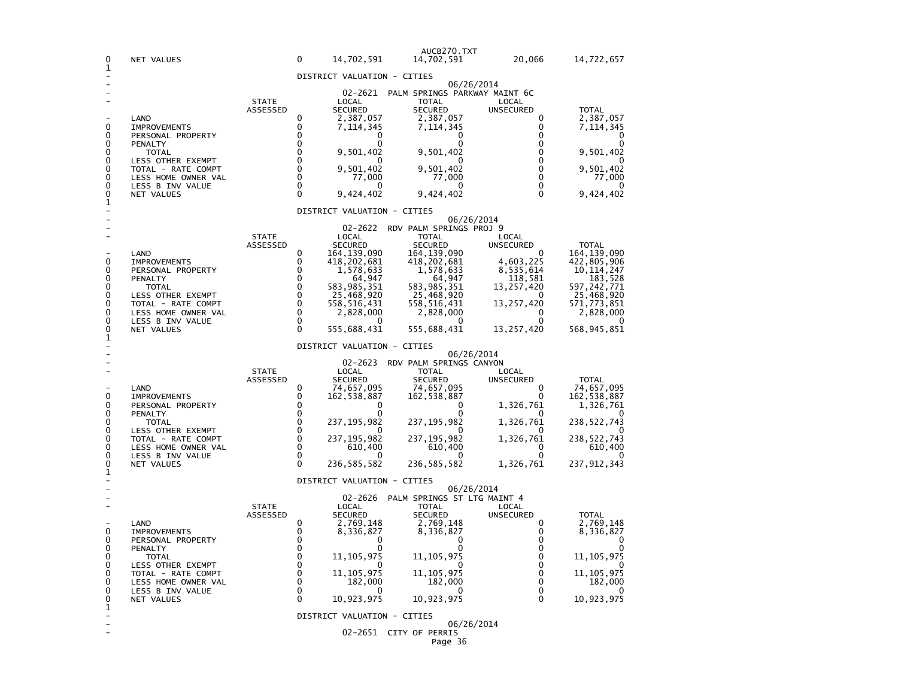| 0<br>1                 | NET VALUES                                                    |                          | 0                                      | 14,702,591                                                   | AUCB270.TXT<br>14,702,591                                                    | 20,066                                            | 14,722,657                             |
|------------------------|---------------------------------------------------------------|--------------------------|----------------------------------------|--------------------------------------------------------------|------------------------------------------------------------------------------|---------------------------------------------------|----------------------------------------|
|                        |                                                               |                          |                                        | DISTRICT VALUATION - CITIES                                  |                                                                              |                                                   |                                        |
| 0                      | LAND<br><b>IMPROVEMENTS</b>                                   | <b>STATE</b><br>ASSESSED | 0<br>0                                 | 02-2621<br>LOCAL<br><b>SECURED</b><br>2,387,057<br>7,114,345 | PALM SPRINGS PARKWAY MAINT 6C<br><b>TOTAL</b><br><b>SECURED</b><br>2,387,057 | 06/26/2014<br>LOCAL<br><b>UNSECURED</b><br>0<br>0 | <b>TOTAL</b><br>2,387,057<br>7,114,345 |
| 0<br>0                 | PERSONAL PROPERTY<br>PENALTY                                  |                          | 0<br>$\Omega$                          | O                                                            | 7,114,345<br>0<br>ŋ                                                          | 0<br>0                                            |                                        |
| 0<br>0                 | TOTAL<br><b>LESS OTHER EXEMPT</b>                             |                          | $\mathbf{0}$<br>$\Omega$               | 9,501,402                                                    | 9,501,402                                                                    | 0<br>0                                            | 9,501,402                              |
| 0<br>0<br>0            | TOTAL - RATE COMPT<br>LESS HOME OWNER VAL<br>LESS B INV VALUE |                          | $\mathbf 0$<br>$\mathbf 0$<br>$\Omega$ | 9,501,402<br>77,000<br>O                                     | 9,501,402<br>77,000<br>$\Omega$                                              | 0<br>0<br>0                                       | 9,501,402<br>77,000                    |
| 0<br>1                 | NET VALUES                                                    |                          | $\Omega$                               | 9,424,402                                                    | 9,424,402                                                                    | $\Omega$                                          | 9,424,402                              |
|                        |                                                               |                          |                                        | DISTRICT VALUATION - CITIES                                  |                                                                              | 06/26/2014                                        |                                        |
|                        |                                                               |                          |                                        | 02-2622                                                      | RDV PALM SPRINGS PROJ 9                                                      |                                                   |                                        |
|                        |                                                               | <b>STATE</b><br>ASSESSED |                                        | LOCAL<br><b>SECURED</b>                                      | <b>TOTAL</b><br><b>SECURED</b>                                               | LOCAL<br>UNSECURED                                | <b>TOTAL</b>                           |
| 0                      | LAND<br><b>IMPROVEMENTS</b>                                   |                          | 0<br>0                                 | 164,139,090                                                  | 164,139,090<br>418,202,681                                                   | 0<br>4,603,225                                    | 164, 139, 090<br>422,805,906           |
| 0                      | PERSONAL PROPERTY                                             |                          | 0                                      | 418,202,681<br>1,578,633                                     | 1,578,633                                                                    | 8,535,614                                         | 10,114,247                             |
| 0<br>0                 | PENALTY<br>TOTAL                                              |                          | $\Omega$<br>$\Omega$                   | 64,947<br>583,985,351                                        | 64,947<br>583,985,351                                                        | 118,581<br>13,257,420                             | 183,528<br>597,242,771                 |
| 0                      | LESS OTHER EXEMPT                                             |                          | $\Omega$                               | 25,468,920                                                   | 25,468,920                                                                   | 0                                                 | 25,468,920                             |
| 0<br>0                 | TOTAL - RATE COMPT<br>LESS HOME OWNER VAL                     |                          | $\Omega$<br>$\Omega$                   | 558,516,431<br>2,828,000                                     | 558,516,431<br>2,828,000                                                     | 13,257,420<br>0                                   | 571,773,851<br>2,828,000               |
| 0<br>0                 | LESS B INV VALUE<br>NET VALUES                                |                          | $\Omega$<br>$\Omega$                   | $\Omega$<br>555,688,431                                      | $\Omega$<br>555,688,431                                                      | 0<br>13,257,420                                   | 568,945,851                            |
| 1                      |                                                               |                          |                                        | DISTRICT VALUATION - CITIES                                  |                                                                              |                                                   |                                        |
|                        |                                                               |                          |                                        |                                                              |                                                                              | 06/26/2014                                        |                                        |
|                        |                                                               | <b>STATE</b>             |                                        | $02 - 2623$<br>LOCAL                                         | RDV PALM SPRINGS CANYON<br><b>TOTAL</b>                                      | LOCAL                                             |                                        |
|                        |                                                               | ASSESSED                 |                                        | <b>SECURED</b>                                               | <b>SECURED</b>                                                               | <b>UNSECURED</b>                                  | <b>TOTAL</b>                           |
| 0                      | LAND<br><b>IMPROVEMENTS</b>                                   |                          | 0<br>0                                 | 74,657,095<br>162,538,887                                    | 74,657,095<br>162,538,887                                                    | 0<br>0                                            | 74,657,095<br>162,538,887              |
| 0                      | PERSONAL PROPERTY                                             |                          | 0<br>$\mathbf{0}$                      | 0                                                            | 0<br>0                                                                       | 1,326,761                                         | 1,326,761                              |
| 0<br>0<br>0            | PENALTY<br><b>TOTAL</b><br>LESS OTHER EXEMPT                  |                          | $\mathbf{0}$<br>$\mathbf{0}$           | 237,195,982                                                  | 237, 195, 982                                                                | 1,326,761                                         | 238,522,743                            |
| 0<br>0                 | TOTAL - RATE COMPT                                            |                          | $\Omega$<br>$\Omega$                   | 237,195,982                                                  | 237, 195, 982                                                                | 1,326,761<br>0                                    | 238,522,743                            |
| 0                      | LESS HOME OWNER VAL<br>LESS B INV VALUE                       |                          | $\Omega$                               | 610,400                                                      | 610,400<br>0                                                                 | 0                                                 | 610,400                                |
| 0<br>1                 | NET VALUES                                                    |                          | $\Omega$                               | 236, 585, 582                                                | 236, 585, 582                                                                | 1,326,761                                         | 237,912,343                            |
|                        |                                                               |                          |                                        | DISTRICT VALUATION - CITIES                                  |                                                                              | 06/26/2014                                        |                                        |
|                        |                                                               | <b>STATE</b>             |                                        | 02-2626<br>LOCAL                                             | PALM SPRINGS ST LTG MAINT 4<br><b>TOTAL</b>                                  | LOCAL                                             |                                        |
|                        |                                                               | ASSESSED                 |                                        | <b>SECURED</b>                                               | <b>SECURED</b>                                                               | UNSECURED                                         | TOTAL                                  |
| 0                      | LAND<br><b>IMPROVEMENTS</b>                                   |                          | 0<br>0                                 | 2,769,148<br>8,336,827                                       | 2,769,148<br>8,336,827                                                       | 0<br>0                                            | 2,769,148<br>8,336,827                 |
| 0                      | PERSONAL PROPERTY                                             |                          | 0                                      | O                                                            | 0                                                                            | 0                                                 | 0                                      |
| 0<br>0                 | PENALTY<br>TOTAL                                              |                          | 0<br>0                                 | 0<br>11, 105, 975                                            | 0<br>11, 105, 975                                                            | $\Omega$<br>0                                     | 0<br>11, 105, 975                      |
| 0<br>0                 | LESS OTHER EXEMPT                                             |                          | 0<br>0                                 | 0                                                            | 0                                                                            | 0<br>0                                            | 0<br>11, 105, 975                      |
| 0                      | TOTAL - RATE COMPT<br>LESS HOME OWNER VAL                     |                          | 0                                      | 11, 105, 975<br>182,000                                      | 11, 105, 975<br>182,000                                                      | 0                                                 | 182,000                                |
| 0<br>0                 | LESS B INV VALUE<br>NET VALUES                                |                          | 0<br>0                                 | U<br>10,923,975                                              | 0<br>10,923,975                                                              | 0<br>0                                            | - 0<br>10,923,975                      |
| 1<br>$\qquad \qquad -$ |                                                               |                          |                                        | DISTRICT VALUATION - CITIES                                  |                                                                              |                                                   |                                        |
|                        |                                                               |                          |                                        |                                                              |                                                                              | 06/26/2014                                        |                                        |
|                        |                                                               |                          |                                        |                                                              | 02-2651 CITY OF PERRIS<br>Page 36                                            |                                                   |                                        |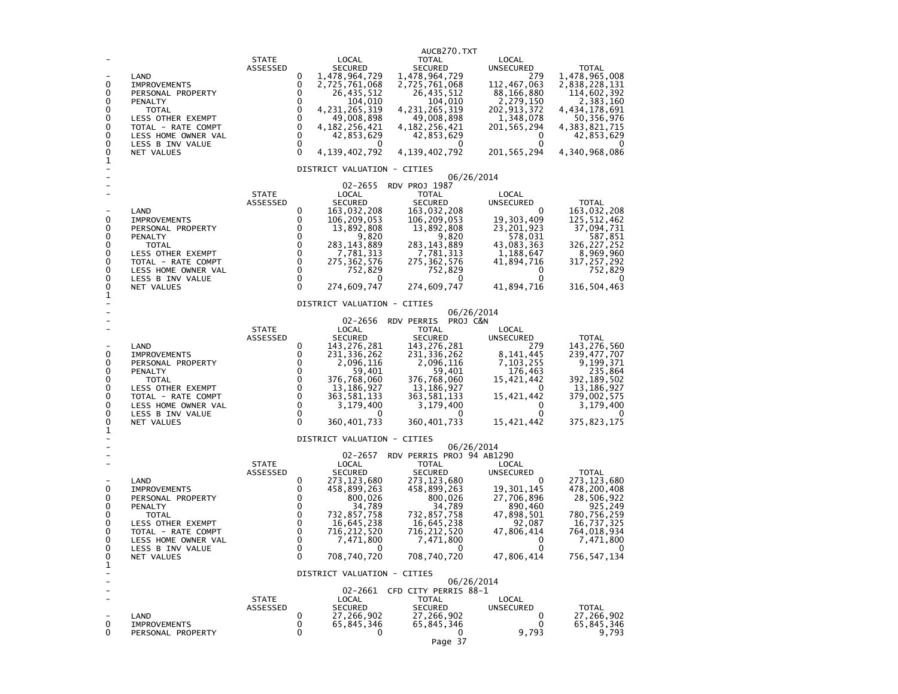| 0<br>0<br>0<br>0<br>0<br>0<br>0<br>0<br>0<br>1             | LAND<br><b>IMPROVEMENTS</b><br>PERSONAL PROPERTY<br>PENALTY<br><b>TOTAL</b><br>LESS OTHER EXEMPT<br>TOTAL - RATE COMPT<br>LESS HOME OWNER VAL<br>LESS B INV VALUE<br>NET VALUES        | <b>STATE</b><br>ASSESSED | 0<br>0<br>0<br>0<br>0<br>0<br>0<br>$\mathbf 0$<br>$\mathbf 0$<br>$\Omega$                      | LOCAL<br><b>SECURED</b><br>1,478,964,729<br>2,725,761,068<br>26,435,512<br>104,010<br>4, 231, 265, 319<br>49,008,898<br>4,182,256,421<br>42,853,629<br>0<br>4,139,402,792<br>DISTRICT VALUATION - CITIES | AUCB270.TXT<br><b>TOTAL</b><br><b>SECURED</b><br>1,478,964,729<br>2,725,761,068<br>26,435,512<br>104,010<br>4, 231, 265, 319<br>49,008,898<br>4, 182, 256, 421<br>42,853,629<br>0<br>4, 139, 402, 792 | LOCAL<br><b>UNSECURED</b><br>279<br>112,467,063<br>88,166,880<br>2,279,150<br>202, 913, 372<br>1,348,078<br>201, 565, 294<br>0<br>0<br>201, 565, 294 | <b>TOTAL</b><br>1,478,965,008<br>2,838,228,131<br>114,602,392<br>2,383,160<br>4,434,178,691<br>50,356,976<br>4,383,821,715<br>42,853,629<br>4,340,968,086 |
|------------------------------------------------------------|----------------------------------------------------------------------------------------------------------------------------------------------------------------------------------------|--------------------------|------------------------------------------------------------------------------------------------|----------------------------------------------------------------------------------------------------------------------------------------------------------------------------------------------------------|-------------------------------------------------------------------------------------------------------------------------------------------------------------------------------------------------------|------------------------------------------------------------------------------------------------------------------------------------------------------|-----------------------------------------------------------------------------------------------------------------------------------------------------------|
| 0<br>0<br>0<br>0<br>0<br>0<br>0<br>0<br>0<br>1             | LAND<br><b>IMPROVEMENTS</b><br>PERSONAL PROPERTY<br>PENALTY<br><b>TOTAL</b><br>LESS OTHER EXEMPT<br>TOTAL - RATE COMPT<br>LESS HOME OWNER VAL<br>LESS B INV VALUE<br><b>NET VALUES</b> | <b>STATE</b><br>ASSESSED | 0<br>0<br>0<br>0<br>0<br>0<br>0<br>$\mathbf 0$<br>$\mathbf 0$<br>$\Omega$                      | 02-2655<br>LOCAL<br><b>SECURED</b><br>163,032,208<br>106,209,053<br>13,892,808<br>9,820<br>283, 143, 889<br>7,781,313<br>275, 362, 576<br>752,829<br>0<br>274,609,747                                    | RDV PROJ 1987<br><b>TOTAL</b><br><b>SECURED</b><br>163,032,208<br>106, 209, 053<br>13,892,808<br>9,820<br>283, 143, 889<br>7,781,313<br>275, 362, 576<br>752,829<br>0<br>274,609,747                  | 06/26/2014<br>LOCAL<br>UNSECURED<br>0<br>19,303,409<br>23, 201, 923<br>578,031<br>43,083,363<br>1,188,647<br>41,894,716<br>0<br>0<br>41,894,716      | <b>TOTAL</b><br>163, 032, 208<br>125,512,462<br>37,094,731<br>587,851<br>326, 227, 252<br>8,969,960<br>317,257,292<br>752,829<br>0<br>316,504,463         |
| 0<br>0<br>0<br>0<br>0<br>0<br>0<br>0<br>0                  | LAND<br><b>IMPROVEMENTS</b><br>PERSONAL PROPERTY<br>PENALTY<br><b>TOTAL</b><br>LESS OTHER EXEMPT<br>TOTAL - RATE COMPT<br>LESS HOME OWNER VAL<br>LESS B INV VALUE<br>NET VALUES        | <b>STATE</b><br>ASSESSED | 0<br>0<br>0<br>$\mathbf{0}$<br>$\mathbf 0$<br>$\mathbf 0$<br>$\mathbf 0$<br>0<br>0<br>$\Omega$ | DISTRICT VALUATION - CITIES<br>02-2656<br>LOCAL<br><b>SECURED</b><br>143, 276, 281<br>231, 336, 262<br>2,096,116<br>59,401<br>376,768,060<br>13,186,927<br>363,581,133<br>3,179,400<br>0<br>360,401,733  | PROJ C&N<br><b>RDV PERRIS</b><br>TOTAL<br>SECURED<br>143, 276, 281<br>231, 336, 262<br>2,096,116<br>59,401<br>376,768,060<br>13,186,927<br>363,581,133<br>3,179,400<br>$\mathbf{0}$<br>360, 401, 733  | 06/26/2014<br>LOCAL<br>UNSECURED<br>279<br>8, 141, 445<br>7,103,255<br>176,463<br>15,421,442<br>0<br>15,421,442<br>0<br>0<br>15,421,442              | <b>TOTAL</b><br>143,276,560<br>239, 477, 707<br>9,199,371<br>235,864<br>392,189,502<br>13, 186, 927<br>379,002,575<br>3,179,400<br>0<br>375,823,175       |
| 1<br>0<br>0<br>0<br>0<br>0<br>0<br>0<br>$\Omega$<br>0<br>1 | LAND<br><b>IMPROVEMENTS</b><br>PERSONAL PROPERTY<br>PENALTY<br><b>TOTAL</b><br>LESS OTHER EXEMPT<br>TOTAL - RATE COMPT<br>LESS HOME OWNER VAL<br>LESS B INV VALUE<br>NET VALUES        | <b>STATE</b><br>ASSESSED | 0<br>0<br>0<br>$\mathbf 0$<br>$\mathbf 0$<br>0<br>0<br>$\mathbf 0$<br>$\Omega$<br>0            | DISTRICT VALUATION - CITIES<br>02-2657<br>LOCAL<br><b>SECURED</b><br>273, 123, 680<br>458,899,263<br>800,026<br>34,789<br>732,857,758<br>16,645,238<br>716,212,520<br>7,471,800<br>0<br>708,740,720      | RDV PERRIS PROJ 94 AB1290<br>TOTAL<br><b>SECURED</b><br>273, 123, 680<br>458,899,263<br>800,026<br>34,789<br>732,857,758<br>16,645,238<br>716, 212, 520<br>7,471,800<br>0<br>708,740,720              | 06/26/2014<br>LOCAL<br>UNSECURED<br>0<br>19,301,145<br>27,706,896<br>890,460<br>47,898,501<br>92,087<br>47,806,414<br>0<br>0<br>47,806,414           | <b>TOTAL</b><br>273,123,680<br>478,200,408<br>28,506,922<br>925,249<br>780,756,259<br>16,737,325<br>764,018,934<br>7,471,800<br>0<br>756,547,134          |
| ÷<br>0<br>0                                                | LAND<br><b>IMPROVEMENTS</b><br>PERSONAL PROPERTY                                                                                                                                       | <b>STATE</b><br>ASSESSED | 0<br>0<br>0                                                                                    | DISTRICT VALUATION - CITIES<br>LOCAL<br><b>SECURED</b><br>27,266,902<br>65,845,346<br>0                                                                                                                  | 02-2661 CFD CITY PERRIS 88-1<br><b>TOTAL</b><br>SECURED<br>27,266,902<br>65,845,346<br>0<br>Page 37                                                                                                   | 06/26/2014<br>LOCAL<br>UNSECURED<br>0<br>0<br>9,793                                                                                                  | <b>TOTAL</b><br>27,266,902<br>65,845,346<br>9,793                                                                                                         |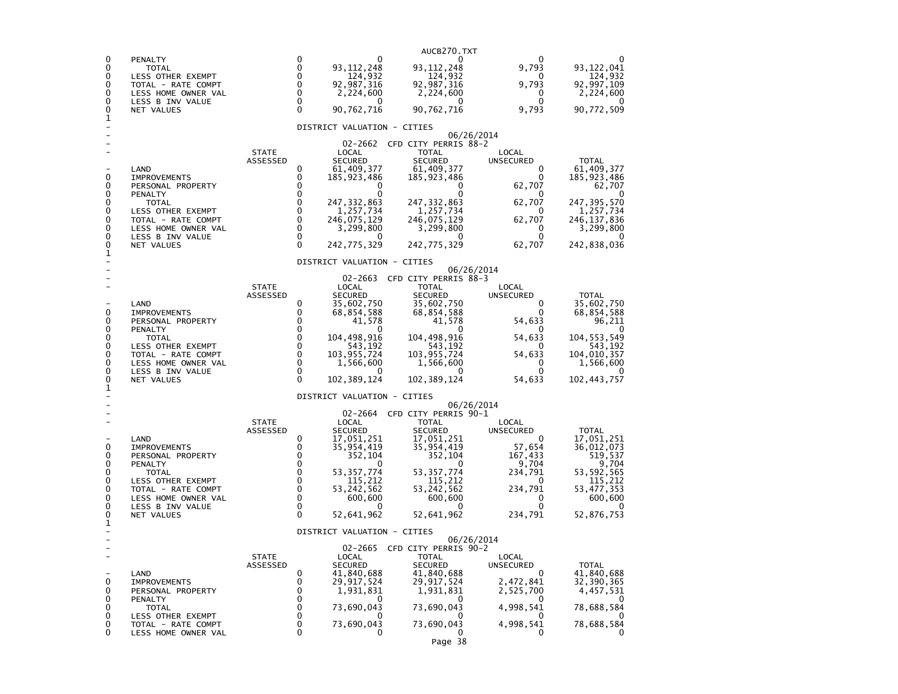|        |                                           |                          |                                             | AUCB270.TXT                          |                           |                            |
|--------|-------------------------------------------|--------------------------|---------------------------------------------|--------------------------------------|---------------------------|----------------------------|
| 0<br>0 | PENALTY<br>TOTAL                          |                          | 0<br>0<br>93, 112, 248                      | 93, 112, 248                         | 9,793                     | 93,122,041                 |
| 0<br>0 | LESS OTHER EXEMPT<br>TOTAL - RATE COMPT   |                          | 0<br>124,932<br>0<br>92,987,316             | 124,932<br>92,987,316                | 0<br>9,793                | 124,932<br>92,997,109      |
| 0<br>0 | LESS HOME OWNER VAL                       |                          | 0<br>2,224,600<br>0<br>$^{\circ}$           | 2,224,600<br>0                       | 0<br>0                    | 2,224,600                  |
| 0      | LESS B INV VALUE<br>NET VALUES            |                          | 0<br>90,762,716                             | 90,762,716                           | 9,793                     | 90,772,509                 |
| 1      |                                           |                          | DISTRICT VALUATION - CITIES                 |                                      |                           |                            |
|        |                                           |                          | 02-2662                                     | CFD CITY PERRIS 88-2                 | 06/26/2014                |                            |
|        |                                           | <b>STATE</b><br>ASSESSED | LOCAL<br><b>SECURED</b>                     | <b>TOTAL</b><br><b>SECURED</b>       | LOCAL<br><b>UNSECURED</b> | <b>TOTAL</b>               |
| 0      | LAND<br><b>IMPROVEMENTS</b>               |                          | 0<br>61,409,377<br>0<br>185,923,486         | 61,409,377<br>185,923,486            | 0<br>0                    | 61,409,377                 |
| 0      | PERSONAL PROPERTY                         |                          | 0                                           | 0                                    | 62,707                    | 185,923,486<br>62,707      |
| 0<br>0 | PENALTY<br>TOTAL                          |                          | 0<br>0<br>0<br>247,332,863                  | 247, 332, 863                        | 0<br>62,707               | $\Omega$<br>247,395,570    |
| 0<br>0 | LESS OTHER EXEMPT<br>TOTAL - RATE COMPT   |                          | $\Omega$<br>1,257,734<br>0<br>246,075,129   | 1,257,734<br>246,075,129             | 0<br>62,707               | 1,257,734<br>246, 137, 836 |
| 0<br>0 | LESS HOME OWNER VAL<br>LESS B INV VALUE   |                          | 0<br>3,299,800<br>0                         | 3,299,800                            | 0<br>0                    | 3,299,800                  |
| 0<br>1 | NET VALUES                                |                          | 0<br>242,775,329                            | 242,775,329                          | 62,707                    | 242,838,036                |
|        |                                           |                          | DISTRICT VALUATION - CITIES                 |                                      | 06/26/2014                |                            |
|        |                                           |                          | 02-2663                                     | CFD CITY PERRIS 88-3                 |                           |                            |
|        |                                           | <b>STATE</b><br>ASSESSED | LOCAL<br><b>SECURED</b>                     | <b>TOTAL</b><br><b>SECURED</b>       | LOCAL<br><b>UNSECURED</b> | <b>TOTAL</b>               |
| 0      | LAND<br><b>IMPROVEMENTS</b>               |                          | 35,602,750<br>0<br>0<br>68,854,588          | 35,602,750<br>68,854,588             | 0<br>O                    | 35,602,750<br>68,854,588   |
| 0<br>0 | PERSONAL PROPERTY<br><b>PENALTY</b>       |                          | 0<br>41,578<br>0<br>$\Omega$                | 41,578<br>0                          | 54,633<br>$\Omega$        | 96,211                     |
| 0<br>0 | TOTAL                                     |                          | 0<br>104,498,916<br>0                       | 104,498,916                          | 54,633                    | 104,553,549                |
| 0      | LESS OTHER EXEMPT<br>TOTAL - RATE COMPT   |                          | 543,192<br>$\Omega$<br>103,955,724          | 543,192<br>103,955,724               | 54,633                    | 543,192<br>104,010,357     |
| 0<br>0 | LESS HOME OWNER VAL<br>LESS B INV VALUE   |                          | $\Omega$<br>1,566,600<br>$\Omega$<br>0      | 1,566,600<br>0                       | 0<br>0                    | 1,566,600                  |
| 0<br>1 | NET VALUES                                |                          | $\Omega$<br>102, 389, 124                   | 102,389,124                          | 54,633                    | 102,443,757                |
|        |                                           |                          | DISTRICT VALUATION - CITIES                 |                                      | 06/26/2014                |                            |
|        |                                           | <b>STATE</b>             | 02-2664<br>LOCAL                            | CFD CITY PERRIS 90-1<br><b>TOTAL</b> | LOCAL                     |                            |
|        |                                           | ASSESSED                 | <b>SECURED</b>                              | <b>SECURED</b>                       | UNSECURED                 | <b>TOTAL</b>               |
| 0      | LAND<br><b>IMPROVEMENTS</b>               |                          | 0<br>17,051,251<br>0<br>35, 954, 419        | 17,051,251<br>35,954,419             | 0<br>57,654               | 17,051,251<br>36,012,073   |
| 0<br>0 | PERSONAL PROPERTY<br>PENALTY              |                          | 0<br>352,104<br>0<br>$\Omega$               | 352,104<br>$^{\circ}$                | 167,433<br>9,704          | 519,537<br>9,704           |
| 0<br>0 | TOTAL<br>LESS OTHER EXEMPT                |                          | $\mathbf 0$<br>53, 357, 774<br>0<br>115,212 | 53, 357, 774<br>115,212              | 234,791<br>0              | 53,592,565<br>115,212      |
| 0<br>0 | TOTAL - RATE COMPT<br>LESS HOME OWNER VAL |                          | 0<br>53,242,562<br>$\mathbf 0$<br>600.600   | 53,242,562<br>600,600                | 234,791<br>0              | 53,477,353<br>600,600      |
| 0      | LESS B INV VALUE                          |                          | 0<br>0<br>$\Omega$                          | 0                                    | 0                         | $\Omega$                   |
| 0<br>1 | NET VALUES                                |                          | 52,641,962                                  | 52,641,962                           | 234,791                   | 52,876,753                 |
|        |                                           |                          | DISTRICT VALUATION - CITIES                 |                                      | 06/26/2014                |                            |
|        |                                           | <b>STATE</b>             | $02 - 2665$<br>LOCAL                        | CFD CITY PERRIS 90-2<br>TOTAL        | LOCAL                     |                            |
|        | LAND                                      | ASSESSED                 | <b>SECURED</b><br>0<br>41,840,688           | SECURED<br>41,840,688                | UNSECURED<br>0            | <b>TOTAL</b><br>41,840,688 |
| 0<br>0 | <b>IMPROVEMENTS</b>                       |                          | 0<br>29,917,524<br>0                        | 29,917,524                           | 2,472,841                 | 32,390,365                 |
| 0      | PERSONAL PROPERTY<br>PENALTY              |                          | 1,931,831<br>0<br>$\Omega$                  | 1,931,831<br>0                       | 2,525,700<br>0            | 4,457,531<br>0             |
| 0<br>0 | TOTAL<br>LESS OTHER EXEMPT                |                          | 0<br>73,690,043<br>0<br>0                   | 73,690,043<br>0                      | 4,998,541<br>0            | 78,688,584<br>0            |
| 0<br>0 | TOTAL - RATE COMPT<br>LESS HOME OWNER VAL |                          | 0<br>73,690,043<br>0<br>0                   | 73,690,043<br>0                      | 4,998,541<br>0            | 78,688,584<br>0            |
|        |                                           |                          |                                             | Page 38                              |                           |                            |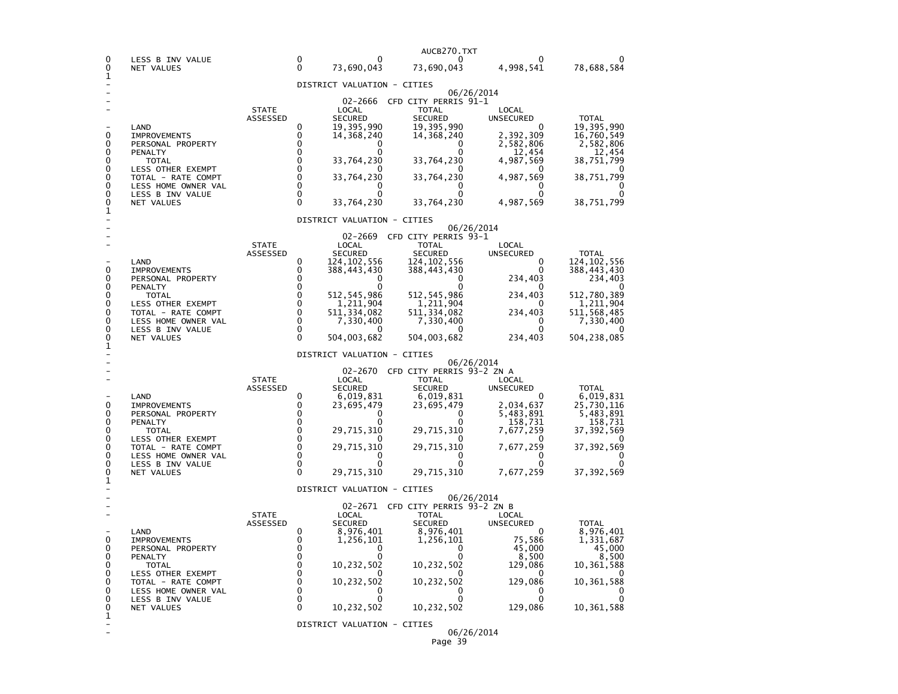| 0<br>0                                         | LESS B INV VALUE<br>NET VALUES                                                                                                                                                  |                          | 0<br>0                                                                            | 0<br>73,690,043                                                                                                                                     | AUCB270.TXT<br>0<br>73,690,043                                                                                                                                     | 4,998,541                                                                                                            | 78,688,584                                                                                                                     |
|------------------------------------------------|---------------------------------------------------------------------------------------------------------------------------------------------------------------------------------|--------------------------|-----------------------------------------------------------------------------------|-----------------------------------------------------------------------------------------------------------------------------------------------------|--------------------------------------------------------------------------------------------------------------------------------------------------------------------|----------------------------------------------------------------------------------------------------------------------|--------------------------------------------------------------------------------------------------------------------------------|
| 1                                              |                                                                                                                                                                                 |                          |                                                                                   |                                                                                                                                                     |                                                                                                                                                                    |                                                                                                                      |                                                                                                                                |
| 0<br>0<br>0<br>0<br>0<br>0<br>0                | LAND<br><b>IMPROVEMENTS</b><br>PERSONAL PROPERTY<br>PENALTY<br><b>TOTAL</b><br>LESS OTHER EXEMPT<br>TOTAL - RATE COMPT<br>LESS HOME OWNER VAL                                   | <b>STATE</b><br>ASSESSED | 0<br>0<br>$\Omega$<br>$\Omega$<br>$\Omega$<br>$\Omega$<br>$\Omega$<br>$\Omega$    | DISTRICT VALUATION - CITIES<br>02-2666<br>LOCAL<br><b>SECURED</b><br>19,395,990<br>14,368,240<br>0<br>33,764,230<br>33,764,230<br>0                 | CFD CITY PERRIS 91-1<br><b>TOTAL</b><br><b>SECURED</b><br>19,395,990<br>14,368,240<br>0<br>$\Omega$<br>33,764,230<br>33,764,230<br>0                               | 06/26/2014<br>LOCAL<br><b>UNSECURED</b><br>2,392,309<br>2,582,806<br>12,454<br>4,987,569<br>4,987,569<br>0           | <b>TOTAL</b><br>19,395,990<br>16,760,549<br>2,582,806<br>12,454<br>38,751,799<br>38,751,799<br>0                               |
| 0<br>0                                         | LESS B INV VALUE<br>NET VALUES                                                                                                                                                  |                          | $\Omega$<br>0                                                                     | 0<br>33,764,230                                                                                                                                     | 0<br>33,764,230                                                                                                                                                    | 0<br>4,987,569                                                                                                       | 0<br>38,751,799                                                                                                                |
| 1                                              |                                                                                                                                                                                 |                          |                                                                                   | DISTRICT VALUATION - CITIES                                                                                                                         |                                                                                                                                                                    |                                                                                                                      |                                                                                                                                |
| 0<br>0<br>0<br>0<br>0<br>0<br>0<br>0<br>0<br>1 | LAND<br><b>IMPROVEMENTS</b><br>PERSONAL PROPERTY<br>PENALTY<br>TOTAL<br>LESS OTHER EXEMPT<br>TOTAL - RATE COMPT<br>LESS HOME OWNER VAL<br>LESS B INV VALUE<br>NET VALUES        | <b>STATE</b><br>ASSESSED | 0<br>0<br>0<br>0<br>$\Omega$<br>$\Omega$<br>0<br>0<br>$\Omega$<br>$\Omega$        | 02-2669<br>LOCAL<br><b>SECURED</b><br>124,102,556<br>388,443,430<br>$\Omega$<br>512,545,986<br>1,211,904<br>511,334,082<br>7,330,400<br>504,003,682 | CFD CITY PERRIS 93-1<br>TOTAL<br><b>SECURED</b><br>124,102,556<br>388,443,430<br>0<br>512,545,986<br>1,211,904<br>511, 334, 082<br>7,330,400<br>0<br>504,003,682   | 06/26/2014<br>LOCAL<br>UNSECURED<br>0<br>0<br>234,403<br>O<br>234,403<br>$\Omega$<br>234,403<br>0<br>0<br>234,403    | <b>TOTAL</b><br>124, 102, 556<br>388,443,430<br>234,403<br>512,780,389<br>1,211,904<br>511,568,485<br>7,330,400<br>504,238,085 |
|                                                |                                                                                                                                                                                 |                          |                                                                                   | DISTRICT VALUATION - CITIES                                                                                                                         |                                                                                                                                                                    | 06/26/2014                                                                                                           |                                                                                                                                |
| 0<br>0<br>0<br>0<br>0<br>0<br>0<br>0<br>0      | LAND<br><b>IMPROVEMENTS</b><br>PERSONAL PROPERTY<br>PENALTY<br><b>TOTAL</b><br>LESS OTHER EXEMPT<br>TOTAL - RATE COMPT<br>LESS HOME OWNER VAL<br>LESS B INV VALUE<br>NET VALUES | <b>STATE</b><br>ASSESSED | 0<br>0<br>0<br>$\Omega$<br>$\Omega$<br>$\Omega$<br>$\Omega$<br>0<br>0<br>$\Omega$ | 02-2670<br>LOCAL<br><b>SECURED</b><br>6,019,831<br>23,695,479<br>0<br>0<br>29,715,310<br>29,715,310<br>$\Omega$<br>n<br>29,715,310                  | CFD CITY PERRIS 93-2 ZN A<br><b>TOTAL</b><br><b>SECURED</b><br>6,019,831<br>23,695,479<br>0<br>0<br>29,715,310<br>29,715,310<br>0<br>$\Omega$<br>29,715,310        | LOCAL<br><b>UNSECURED</b><br>0<br>2,034,637<br>5,483,891<br>158,731<br>7,677,259<br>7,677,259<br>0<br>0<br>7,677,259 | <b>TOTAL</b><br>6,019,831<br>25,730,116<br>5,483,891<br>158,731<br>37,392,569<br>37, 392, 569<br>0<br>0<br>37,392,569          |
| 1                                              |                                                                                                                                                                                 |                          |                                                                                   | DISTRICT VALUATION - CITIES                                                                                                                         |                                                                                                                                                                    |                                                                                                                      |                                                                                                                                |
| 0<br>0<br>0<br>0<br>0<br>0<br>0<br>0<br>0<br>1 | LAND<br><b>IMPROVEMENTS</b><br>PERSONAL PROPERTY<br>PENALTY<br>TOTAL<br>LESS OTHER EXEMPT<br>TOTAL - RATE COMPT<br>LESS HOME OWNER VAL<br>LESS B INV VALUE<br>NET VALUES        | <b>STATE</b><br>ASSESSED | 0<br>0<br>0<br>0<br>0<br>0<br>0<br>0<br>0<br>0                                    | LOCAL<br><b>SECURED</b><br>8,976,401<br>1,256,101<br>0<br>0<br>10,232,502<br>10,232,502<br>10,232,502                                               | 02-2671 CFD CITY PERRIS 93-2 ZN B<br><b>TOTAL</b><br><b>SECURED</b><br>8,976,401<br>1,256,101<br>0<br>0<br>10,232,502<br>10,232,502<br>$\Omega$<br>0<br>10,232,502 | 06/26/2014<br>LOCAL<br><b>UNSECURED</b><br>0<br>75,586<br>45,000<br>8,500<br>129,086<br>129,086<br>0<br>0<br>129,086 | <b>TOTAL</b><br>8,976,401<br>1,331,687<br>45,000<br>8,500<br>10,361,588<br>10,361,588<br>10,361,588                            |
|                                                |                                                                                                                                                                                 |                          |                                                                                   | DISTRICT VALUATION - CITIES                                                                                                                         |                                                                                                                                                                    | 06/26/2014                                                                                                           |                                                                                                                                |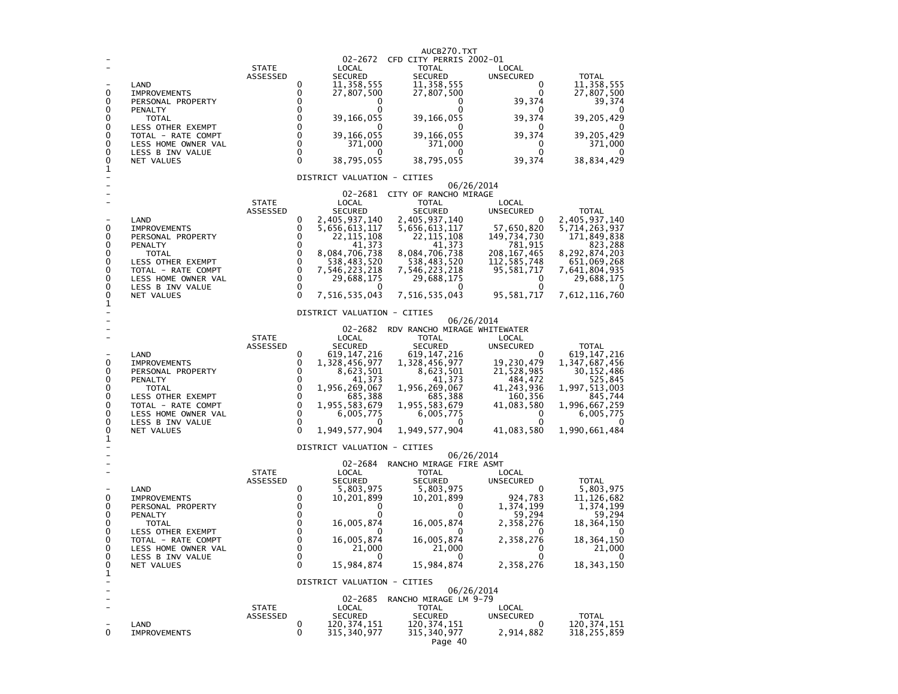| 0<br>0<br>0<br>0<br>0<br>0<br>0<br>0<br>0<br>1 | LAND<br><b>IMPROVEMENTS</b><br>PERSONAL PROPERTY<br>PENALTY<br><b>TOTAL</b><br>LESS OTHER EXEMPT<br>TOTAL - RATE COMPT<br>LESS HOME OWNER VAL<br>LESS B INV VALUE<br>NET VALUES | <b>STATE</b><br>ASSESSED        | 0<br>0<br>0<br>0<br>0<br>$\Omega$<br>$\Omega$<br>$\Omega$<br>0<br>$\Omega$       | 02-2672<br>LOCAL<br><b>SECURED</b><br>11,358,555<br>27,807,500<br>0<br>39,166,055<br>39,166,055<br>371,000<br>$\Omega$<br>38,795,055                                                                                               | AUCB270.TXT<br>CFD CITY PERRIS 2002-01<br><b>TOTAL</b><br><b>SECURED</b><br>11,358,555<br>27,807,500<br>0<br>0<br>39,166,055<br>39,166,055<br>371,000<br>0<br>38,795,055                                                            | LOCAL<br><b>UNSECURED</b><br>0<br>0<br>39,374<br>0<br>39,374<br>$\Omega$<br>39,374<br>0<br>0<br>39,374                                | <b>TOTAL</b><br>11,358,555<br>27,807,500<br>39,374<br>39,205,429<br>39,205,429<br>371,000<br>38,834,429                                                  |
|------------------------------------------------|---------------------------------------------------------------------------------------------------------------------------------------------------------------------------------|---------------------------------|----------------------------------------------------------------------------------|------------------------------------------------------------------------------------------------------------------------------------------------------------------------------------------------------------------------------------|-------------------------------------------------------------------------------------------------------------------------------------------------------------------------------------------------------------------------------------|---------------------------------------------------------------------------------------------------------------------------------------|----------------------------------------------------------------------------------------------------------------------------------------------------------|
| 0<br>0<br>0<br>0<br>0<br>0<br>0<br>0<br>0<br>1 | LAND<br><b>IMPROVEMENTS</b><br>PERSONAL PROPERTY<br>PENALTY<br><b>TOTAL</b><br>LESS OTHER EXEMPT<br>TOTAL - RATE COMPT<br>LESS HOME OWNER VAL<br>LESS B INV VALUE<br>NET VALUES | <b>STATE</b><br>ASSESSED        | 0<br>0<br>0<br>0<br>0<br>0<br>0<br>0<br>0<br>$\Omega$                            | DISTRICT VALUATION - CITIES<br>LOCAL<br><b>SECURED</b><br>2,405,937,140<br>5,656,613,117<br>22, 115, 108<br>41,373<br>8,084,706,738<br>538,483,520<br>7,546,223,218<br>29,688,175<br>$\Omega$<br>7,516,535,043                     | 06/26/2014<br>02-2681 CITY OF RANCHO MIRAGE<br><b>TOTAL</b><br><b>SECURED</b><br>2,405,937,140<br>5,656,613,117<br>22,115,108<br>41,373<br>8,084,706,738<br>538,483,520<br>7,546,223,218<br>29,688,175<br>$\Omega$<br>7,516,535,043 | LOCAL<br>UNSECURED<br>0<br>57,650,820<br>149,734,730<br>781,915<br>208, 167, 465<br>112,585,748<br>95,581,717<br>0<br>O<br>95,581,717 | <b>TOTAL</b><br>2,405,937,140<br>5,714,263,937<br>171,849,838<br>823,288<br>8,292,874,203<br>651,069,268<br>7,641,804,935<br>29,688,175<br>7,612,116,760 |
| 0<br>0<br>0<br>0<br>0<br>0<br>0<br>0<br>0<br>1 | LAND<br><b>IMPROVEMENTS</b><br>PERSONAL PROPERTY<br>PENALTY<br><b>TOTAL</b><br>LESS OTHER EXEMPT<br>TOTAL - RATE COMPT<br>LESS HOME OWNER VAL<br>LESS B INV VALUE<br>NET VALUES | <b>STATE</b><br>ASSESSED        | 0<br>0<br>$\Omega$<br>0<br>$\mathbf 0$<br>0<br>0<br>$\mathbf 0$<br>0<br>$\Omega$ | DISTRICT VALUATION - CITIES<br>02-2682<br>LOCAL<br><b>SECURED</b><br>619,147,216<br>1,328,456,977<br>8,623,501<br>41,373<br>1,956,269,067<br>685,388<br>1,955,583,679<br>6,005,775<br>1,949,577,904<br>DISTRICT VALUATION - CITIES | 06/26/2014<br>RDV RANCHO MIRAGE WHITEWATER<br>TOTAL<br><b>SECURED</b><br>619, 147, 216<br>1,328,456,977<br>8,623,501<br>41,373<br>1,956,269,067<br>685,388<br>1,955,583,679<br>6,005,775<br>0<br>1,949,577,904                      | LOCAL<br>UNSECURED<br>0<br>19,230,479<br>21,528,985<br>484,472<br>41,243,936<br>160,356<br>41,083,580<br>0<br>0<br>41,083,580         | <b>TOTAL</b><br>619, 147, 216<br>1,347,687,456<br>30,152,486<br>525,845<br>1,997,513,003<br>845,744<br>1,996,667,259<br>6,005,775<br>1,990,661,484       |
| 0<br>0<br>0<br>0<br>0<br>0<br>0<br>0<br>0<br>1 | LAND<br><b>IMPROVEMENTS</b><br>PERSONAL PROPERTY<br>PENALTY<br><b>TOTAL</b><br>LESS OTHER EXEMPT<br>TOTAL - RATE COMPT<br>LESS HOME OWNER VAL<br>LESS B INV VALUE<br>NET VALUES | <b>STATE</b><br><b>ASSESSED</b> | 0<br>0<br>0<br>0<br>0<br>0<br>0<br>0<br>0<br>$\Omega$                            | 02-2684<br>LOCAL<br><b>SECURED</b><br>5,803,975<br>10,201,899<br>0<br>16,005,874<br>16,005,874<br>21.000<br>0<br>15,984,874<br>DISTRICT VALUATION - CITIES                                                                         | 06/26/2014<br>RANCHO MIRAGE FIRE ASMT<br><b>TOTAL</b><br><b>SECURED</b><br>5,803,975<br>10,201,899<br>0<br>$\Omega$<br>16,005,874<br>16,005,874<br>21,000<br>$\mathbf 0$<br>15,984,874                                              | LOCAL<br><b>UNSECURED</b><br>0<br>924,783<br>1,374,199<br>59,294<br>2,358,276<br>O<br>2,358,276<br>0<br>0<br>2,358,276                | <b>TOTAL</b><br>5,803,975<br>11, 126, 682<br>1,374,199<br>59,294<br>18,364,150<br>18,364,150<br>21,000<br>0<br>18, 343, 150                              |
| ٠<br>0                                         | LAND<br><b>IMPROVEMENTS</b>                                                                                                                                                     | <b>STATE</b><br>ASSESSED        | 0<br>0                                                                           | 02-2685<br>LOCAL<br><b>SECURED</b><br>120, 374, 151<br>315,340,977                                                                                                                                                                 | 06/26/2014<br>RANCHO MIRAGE LM 9-79<br><b>TOTAL</b><br><b>SECURED</b><br>120,374,151<br>315,340,977<br>Page 40                                                                                                                      | LOCAL<br>UNSECURED<br>0<br>2,914,882                                                                                                  | TOTAL<br>120,374,151<br>318,255,859                                                                                                                      |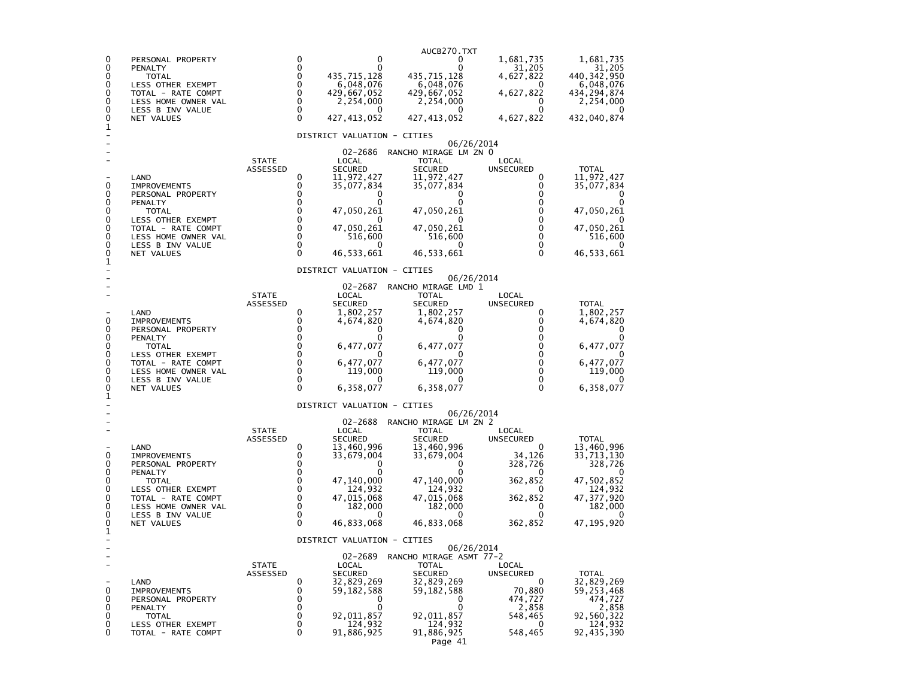|                  |                                                                |                          |                            |                                       | AUCB270.TXT                           |                                              |                                       |
|------------------|----------------------------------------------------------------|--------------------------|----------------------------|---------------------------------------|---------------------------------------|----------------------------------------------|---------------------------------------|
| 0<br>0<br>0<br>0 | PERSONAL PROPERTY<br>PENALTY<br><b>TOTAL</b>                   |                          | 0<br>0<br>0<br>0           | 0<br>0<br>435.715.128                 | 0<br>0<br>435.715.128                 | 1,681,735<br>31,205<br>4,627,822<br>$^{(1)}$ | 1,681,735<br>31,205<br>440,342,950    |
| 0<br>0           | LESS OTHER EXEMPT<br>TOTAL - RATE COMPT<br>LESS HOME OWNER VAL |                          | $\mathbf 0$<br>$\mathbf 0$ | 6,048,076<br>429,667,052<br>2,254,000 | 6,048,076<br>429,667,052<br>2,254,000 | 4,627,822<br>0                               | 6,048,076<br>434,294,874<br>2,254,000 |
| 0<br>0<br>1      | LESS B INV VALUE<br>NET VALUES                                 |                          | 0<br>$\Omega$              | $\mathbf{0}$<br>427, 413, 052         | 427, 413, 052                         | 0<br>4,627,822                               | 432,040,874                           |
|                  |                                                                |                          |                            | DISTRICT VALUATION - CITIES           |                                       | 06/26/2014                                   |                                       |
|                  |                                                                |                          |                            | 02-2686                               | RANCHO MIRAGE LM ZN 0                 |                                              |                                       |
|                  |                                                                | <b>STATE</b><br>ASSESSED |                            | LOCAL<br><b>SECURED</b>               | <b>TOTAL</b><br><b>SECURED</b>        | LOCAL<br><b>UNSECURED</b>                    | <b>TOTAL</b>                          |
| 0                | LAND<br><b>IMPROVEMENTS</b>                                    |                          | 0<br>0<br>0                | 11,972,427<br>35,077,834              | 11,972,427<br>35,077,834              | 0<br>0<br>0                                  | 11,972,427<br>35,077,834              |
| 0<br>0           | PERSONAL PROPERTY<br>PENALTY                                   |                          | 0                          | 0<br>0                                | 0                                     | 0                                            | 0                                     |
| 0<br>0           | <b>TOTAL</b><br>LESS OTHER EXEMPT                              |                          | 0<br>0                     | 47,050,261                            | 47,050,261                            | 0<br>0                                       | 47,050,261                            |
| 0<br>0<br>0      | TOTAL - RATE COMPT<br>LESS HOME OWNER VAL<br>LESS B INV VALUE  |                          | 0<br>0<br>0                | 47,050,261<br>516,600<br>$_{0}$       | 47,050,261<br>516,600<br>0            | $\Omega$<br>0<br>0                           | 47,050,261<br>516,600<br>$\mathbf{0}$ |
| 0<br>1           | NET VALUES                                                     |                          | 0                          | 46,533,661                            | 46,533,661                            | $\Omega$                                     | 46, 533, 661                          |
|                  |                                                                |                          |                            | DISTRICT VALUATION - CITIES           |                                       |                                              |                                       |
|                  |                                                                |                          |                            | 02-2687                               | RANCHO MIRAGE LMD 1                   | 06/26/2014                                   |                                       |
|                  |                                                                | <b>STATE</b><br>ASSESSED |                            | LOCAL<br><b>SECURED</b>               | <b>TOTAL</b><br><b>SECURED</b>        | LOCAL<br>UNSECURED                           | <b>TOTAL</b>                          |
| 0                | LAND<br><b>IMPROVEMENTS</b>                                    |                          | 0<br>0                     | 1,802,257<br>4,674,820                | 1,802,257<br>4,674,820                | 0<br>0                                       | 1,802,257<br>4,674,820                |
| 0<br>0           | PERSONAL PROPERTY<br>PENALTY                                   |                          | 0<br>$\mathbf 0$           | 0                                     | 0                                     | 0<br>0                                       | 0                                     |
| 0<br>0           | <b>TOTAL</b>                                                   |                          | $\mathbf 0$<br>$\mathbf 0$ | 6,477,077<br>$\Omega$                 | 6,477,077                             | 0<br>$\Omega$                                | 6,477,077                             |
| 0                | LESS OTHER EXEMPT<br>TOTAL - RATE COMPT                        |                          | $\mathbf 0$                | 6,477,077                             | 6,477,077                             | $\Omega$                                     | 6,477,077                             |
| 0<br>0           | LESS HOME OWNER VAL<br>LESS B INV VALUE                        |                          | $\mathbf 0$<br>$\Omega$    | 119,000                               | 119,000                               | 0<br>0                                       | 119,000                               |
| 0<br>1           | NET VALUES                                                     |                          | $\Omega$                   | 6,358,077                             | 6,358,077                             | $\Omega$                                     | 6,358,077                             |
|                  |                                                                |                          |                            | DISTRICT VALUATION - CITIES           |                                       | 06/26/2014                                   |                                       |
|                  |                                                                | <b>STATE</b>             |                            | 02-2688<br>LOCAL                      | RANCHO MIRAGE LM ZN 2<br>TOTAL        | LOCAL                                        |                                       |
|                  | LAND                                                           | ASSESSED                 | 0                          | <b>SECURED</b><br>13,460,996          | <b>SECURED</b><br>13,460,996          | UNSECURED<br>0                               | <b>TOTAL</b><br>13,460,996            |
| 0                | <b>IMPROVEMENTS</b>                                            |                          | 0                          | 33,679,004                            | 33,679,004                            | 34,126                                       | 33,713,130                            |
| 0<br>0           | PERSONAL PROPERTY<br>PENALTY                                   |                          | 0<br>0                     | 0<br>0                                | 0                                     | 328,726<br>0                                 | 328,726                               |
| 0<br>0           | TOTAL<br>LESS OTHER EXEMPT                                     |                          | 0<br>$\mathbf 0$           | 47,140,000<br>124,932                 | 47,140,000<br>124,932                 | 362,852<br>$^{(1)}$                          | 47,502,852<br>124,932                 |
| 0<br>0           | TOTAL - RATE COMPT<br>LESS HOME OWNER VAL                      |                          | $\mathbf 0$<br>0           | 47,015,068<br>182,000                 | 47,015,068<br>182,000                 | 362,852<br>0                                 | 47, 377, 920<br>182,000               |
| 0<br>0           | LESS B INV VALUE<br>NET VALUES                                 |                          | 0<br>$\Omega$              | 0<br>46,833,068                       | 46,833,068                            | 0<br>362,852                                 | 47,195,920                            |
| 1                |                                                                |                          |                            | DISTRICT VALUATION - CITIES           |                                       |                                              |                                       |
|                  |                                                                |                          |                            | 02-2689                               | RANCHO MIRAGE ASMT 77-2               | 06/26/2014                                   |                                       |
|                  |                                                                | <b>STATE</b><br>ASSESSED |                            | LOCAL<br><b>SECURED</b>               | TOTAL<br><b>SECURED</b>               | LOCAL<br>UNSECURED                           | <b>TOTAL</b>                          |
|                  | LAND                                                           |                          | 0<br>0                     | 32,829,269                            | 32,829,269                            | 0                                            | 32,829,269                            |
| 0<br>0           | <b>IMPROVEMENTS</b><br>PERSONAL PROPERTY                       |                          | 0                          | 59,182,588<br>0                       | 59,182,588<br>0                       | 70,880<br>474,727                            | 59,253,468<br>474,727                 |
| 0<br>0           | PENALTY<br>TOTAL                                               |                          | 0<br>0                     | 0<br>92,011,857                       | 0<br>92,011,857                       | 2,858<br>548,465                             | 2,858<br>92,560,322                   |
| 0<br>0           | LESS OTHER EXEMPT<br>TOTAL - RATE COMPT                        |                          | 0<br>0                     | 124,932<br>91,886,925                 | 124,932<br>91,886,925                 | 0<br>548,465                                 | 124,932<br>92,435,390                 |
|                  |                                                                |                          |                            |                                       | Page 41                               |                                              |                                       |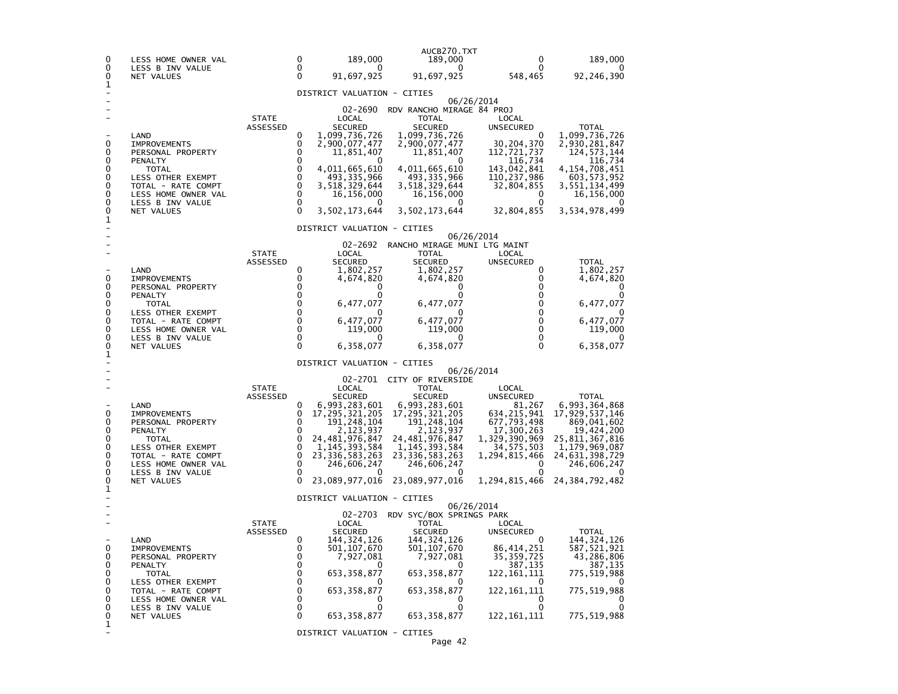| 0<br>0                                    | LESS HOME OWNER VAL<br>LESS B INV VALUE                                                                                                                           |                          | 0<br>$\Omega$                                              | 189,000<br>$\Omega$                                                                                                                                                                                      | AUCB270.TXT<br>189,000<br>0                                                                                                                                                                                 | 0<br>0                                                                                                                                                  | 189,000                                                                                                                                               |
|-------------------------------------------|-------------------------------------------------------------------------------------------------------------------------------------------------------------------|--------------------------|------------------------------------------------------------|----------------------------------------------------------------------------------------------------------------------------------------------------------------------------------------------------------|-------------------------------------------------------------------------------------------------------------------------------------------------------------------------------------------------------------|---------------------------------------------------------------------------------------------------------------------------------------------------------|-------------------------------------------------------------------------------------------------------------------------------------------------------|
| 0<br>1                                    | NET VALUES                                                                                                                                                        |                          | $\Omega$                                                   | 91,697,925                                                                                                                                                                                               | 91,697,925                                                                                                                                                                                                  | 548,465                                                                                                                                                 | 92,246,390                                                                                                                                            |
| 0<br>0<br>0<br>0<br>0<br>0<br>0<br>0      | LAND<br><b>IMPROVEMENTS</b><br>PERSONAL PROPERTY<br>PENALTY<br>TOTAL<br>LESS OTHER EXEMPT<br>TOTAL - RATE COMPT<br>LESS HOME OWNER VAL<br>LESS B INV VALUE        | <b>STATE</b><br>ASSESSED | 0<br>0<br>0<br>0<br>0<br>0<br>0<br>0<br>0<br>0             | DISTRICT VALUATION - CITIES<br>02-2690<br>LOCAL<br><b>SECURED</b><br>1,099,736,726<br>2,900,077,477<br>11,851,407<br>O<br>4,011,665,610<br>493, 335, 966<br>3,518,329,644<br>16,156,000<br>3,502,173,644 | RDV RANCHO MIRAGE 84 PROJ<br><b>TOTAL</b><br>SECURED<br>1,099,736,726<br>2,900,077,477<br>11,851,407<br>0<br>4,011,665,610<br>493, 335, 966<br>3,518,329,644<br>16,156,000<br>3,502,173,644                 | 06/26/2014<br>LOCAL<br><b>UNSECURED</b><br>0<br>30, 204, 370<br>112,721,737<br>116,734<br>143,042,841<br>110, 237, 986<br>32,804,855<br>0<br>32,804,855 | TOTAL<br>1,099,736,726<br>2,930,281,847<br>124, 573, 144<br>116,734<br>4,154,708,451<br>603, 573, 952<br>3,551,134,499<br>16,156,000<br>3,534,978,499 |
| 0<br>1                                    | NET VALUES                                                                                                                                                        |                          |                                                            |                                                                                                                                                                                                          |                                                                                                                                                                                                             |                                                                                                                                                         |                                                                                                                                                       |
| 0<br>0<br>0<br>0                          | LAND<br><b>IMPROVEMENTS</b><br>PERSONAL PROPERTY<br>PENALTY<br>TOTAL                                                                                              | <b>STATE</b><br>ASSESSED | 0<br>0<br>0<br>0<br>0                                      | DISTRICT VALUATION - CITIES<br>02-2692<br>LOCAL<br><b>SECURED</b><br>1,802,257<br>4,674,820<br>0<br>0<br>6,477,077                                                                                       | RANCHO MIRAGE MUNI LTG MAINT<br>TOTAL<br><b>SECURED</b><br>1,802,257<br>4,674,820<br>0<br>$\Omega$<br>6,477,077                                                                                             | 06/26/2014<br>LOCAL<br>UNSECURED<br>0<br>0<br>0<br>0<br>0                                                                                               | <b>TOTAL</b><br>1,802,257<br>4,674,820<br>0<br>6,477,077                                                                                              |
| 0<br>0<br>0<br>0<br>0<br>1                | LESS OTHER EXEMPT<br>TOTAL - RATE COMPT<br>LESS HOME OWNER VAL<br>LESS B INV VALUE<br>NET VALUES                                                                  |                          | 0<br>0<br>0<br>$\Omega$<br>$\Omega$                        | 6,477,077<br>119,000<br>6,358,077                                                                                                                                                                        | 0<br>6,477,077<br>119,000<br>6,358,077                                                                                                                                                                      | $\Omega$<br>0<br>$\Omega$<br>0<br>0                                                                                                                     | 6,477,077<br>119,000<br>6,358,077                                                                                                                     |
|                                           |                                                                                                                                                                   |                          |                                                            | DISTRICT VALUATION - CITIES                                                                                                                                                                              |                                                                                                                                                                                                             | 06/26/2014                                                                                                                                              |                                                                                                                                                       |
| 0<br>0<br>0<br>0<br>0<br>0<br>0<br>0      | LAND<br><b>IMPROVEMENTS</b><br>PERSONAL PROPERTY<br>PENALTY<br>TOTAL<br>LESS OTHER EXEMPT<br>TOTAL - RATE COMPT<br>LESS HOME OWNER VAL<br>LESS B INV VALUE        | <b>STATE</b><br>ASSESSED | 0<br>0<br>0<br>0<br>0<br>0<br>$\mathbf 0$<br>0<br>$\Omega$ | LOCAL<br><b>SECURED</b><br>6,993,283,601<br>17, 295, 321, 205<br>191, 248, 104<br>2,123,937<br>24, 481, 976, 847<br>1, 145, 393, 584<br>23, 336, 583, 263<br>246,606,247                                 | 02-2701 CITY OF RIVERSIDE<br><b>TOTAL</b><br><b>SECURED</b><br>6,993,283,601<br>17, 295, 321, 205<br>191, 248, 104<br>2,123,937<br>24,481,976,847<br>1, 145, 393, 584<br>23,336,583,263<br>246,606,247<br>0 | LOCAL<br>UNSECURED<br>81,267<br>634, 215, 941<br>677,793,498<br>17,300,263<br>1,329,390,969<br>34,575,503<br>1,294,815,466<br>0                         | <b>TOTAL</b><br>6,993,364,868<br>17,929,537,146<br>869,041,602<br>19,424,200<br>25,811,367,816<br>1,179,969,087<br>24,631,398,729<br>246,606,247      |
| 0<br>1                                    | NET VALUES                                                                                                                                                        |                          | $\mathbf{0}$                                               | 23,089,977,016                                                                                                                                                                                           | 23,089,977,016                                                                                                                                                                                              | 1,294,815,466                                                                                                                                           | 24, 384, 792, 482                                                                                                                                     |
| 0<br>0<br>0<br>0<br>0<br>0<br>0<br>0<br>0 | LAND<br>IMPROVEMENTS<br>PERSONAL PROPERTY<br>PENALTY<br>TOTAL<br>LESS OTHER EXEMPT<br>TOTAL - RATE COMPT<br>LESS HOME OWNER VAL<br>LESS B INV VALUE<br>NET VALUES | <b>STATE</b><br>ASSESSED | 0<br>0<br>0<br>0<br>0<br>0<br>0<br>0<br>0<br>0             | DISTRICT VALUATION - CITIES<br>02-2703<br>LOCAL<br><b>SECURED</b><br>144,324,126<br>501,107,670<br>7,927,081<br>653, 358, 877<br>653,358,877<br>O<br>653,358,877                                         | RDV SYC/BOX SPRINGS PARK<br><b>TOTAL</b><br><b>SECURED</b><br>144, 324, 126<br>501, 107, 670<br>7,927,081<br>653, 358, 877<br>653,358,877<br>0<br>0<br>653,358,877                                          | 06/26/2014<br>LOCAL<br><b>UNSECURED</b><br>0<br>86, 414, 251<br>35,359,725<br>387,135<br>122,161,111<br>122,161,111<br>122, 161, 111                    | TOTAL<br>144,324,126<br>587, 521, 921<br>43,286,806<br>387,135<br>775,519,988<br>775,519,988<br>$\Omega$<br>775,519,988                               |
| 1                                         |                                                                                                                                                                   |                          |                                                            | DISTRICT VALUATION - CITIES                                                                                                                                                                              |                                                                                                                                                                                                             |                                                                                                                                                         |                                                                                                                                                       |
|                                           |                                                                                                                                                                   |                          |                                                            |                                                                                                                                                                                                          | Page 42                                                                                                                                                                                                     |                                                                                                                                                         |                                                                                                                                                       |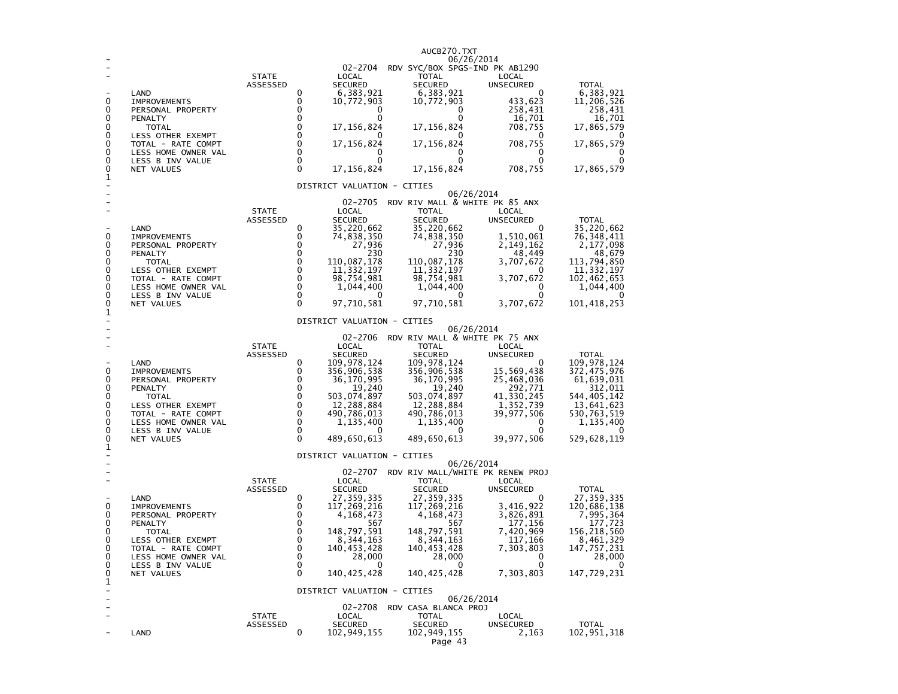| 0<br>0<br>0<br>0<br>0<br>0<br>0<br>0<br>0<br>1 | LAND<br><b>IMPROVEMENTS</b><br>PERSONAL PROPERTY<br>PENALTY<br><b>TOTAL</b><br>LESS OTHER EXEMPT<br>TOTAL - RATE COMPT<br>LESS HOME OWNER VAL<br>LESS B INV VALUE<br>NET VALUES | <b>STATE</b><br>ASSESSED | 0<br>0<br>0<br>0<br>0<br>$\mathbf 0$<br>0<br>$\Omega$<br>$\mathbf{0}$<br>$\mathbf{0}$ | 02-2704<br>LOCAL<br><b>SECURED</b><br>6,383,921<br>10,772,903<br>0<br>0<br>17, 156, 824<br>17,156,824<br>0<br>0<br>17, 156, 824                                                                 | AUCB270.TXT<br>06/26/2014<br>RDV SYC/BOX SPGS-IND PK AB1290<br><b>TOTAL</b><br>SECURED<br>6,383,921<br>10,772,903<br>0<br>0<br>17,156,824<br>0<br>17,156,824<br>0<br>0<br>17,156,824                           | LOCAL<br><b>UNSECURED</b><br>0<br>433,623<br>258,431<br>16,701<br>708,755<br>0<br>708,755<br>0<br>0<br>708,755                         | <b>TOTAL</b><br>6,383,921<br>11,206,526<br>258,431<br>16,701<br>17,865,579<br>17,865,579<br>17,865,579                                            |
|------------------------------------------------|---------------------------------------------------------------------------------------------------------------------------------------------------------------------------------|--------------------------|---------------------------------------------------------------------------------------|-------------------------------------------------------------------------------------------------------------------------------------------------------------------------------------------------|----------------------------------------------------------------------------------------------------------------------------------------------------------------------------------------------------------------|----------------------------------------------------------------------------------------------------------------------------------------|---------------------------------------------------------------------------------------------------------------------------------------------------|
|                                                |                                                                                                                                                                                 |                          |                                                                                       | DISTRICT VALUATION - CITIES                                                                                                                                                                     |                                                                                                                                                                                                                |                                                                                                                                        |                                                                                                                                                   |
| 0<br>0<br>0<br>0<br>0<br>0<br>0<br>0<br>0<br>1 | LAND<br><b>IMPROVEMENTS</b><br>PERSONAL PROPERTY<br>PENALTY<br><b>TOTAL</b><br>LESS OTHER EXEMPT<br>TOTAL - RATE COMPT<br>LESS HOME OWNER VAL<br>LESS B INV VALUE<br>NET VALUES | <b>STATE</b><br>ASSESSED | 0<br>0<br>0<br>0<br>0<br>0<br>0<br>0<br>0<br>$\Omega$                                 | 02-2705<br>LOCAL<br><b>SECURED</b><br>35,220,662<br>74,838,350<br>27,936<br>230<br>110,087,178<br>11, 332, 197<br>98,754,981<br>1,044,400<br>97,710,581<br>DISTRICT VALUATION - CITIES          | 06/26/2014<br>RDV RIV MALL & WHITE PK 85 ANX<br><b>TOTAL</b><br><b>SECURED</b><br>35,220,662<br>74,838,350<br>27,936<br>230<br>110,087,178<br>11, 332, 197<br>98,754,981<br>1,044,400<br>97,710,581            | LOCAL<br><b>UNSECURED</b><br>0<br>1,510,061<br>2,149,162<br>48,449<br>3,707,672<br>0<br>3,707,672<br>0<br>0<br>3,707,672               | <b>TOTAL</b><br>35,220,662<br>76, 348, 411<br>2,177,098<br>48,679<br>113,794,850<br>11, 332, 197<br>102,462,653<br>1,044,400<br>101,418,253       |
| 0<br>0<br>0<br>0<br>0<br>0<br>0<br>0<br>0<br>1 | LAND<br><b>IMPROVEMENTS</b><br>PERSONAL PROPERTY<br>PENALTY<br>TOTAL<br>LESS OTHER EXEMPT<br>TOTAL - RATE COMPT<br>LESS HOME OWNER VAL<br>LESS B INV VALUE<br>NET VALUES        | <b>STATE</b><br>ASSESSED | 0<br>0<br>0<br>$\mathbf{0}$<br>0<br>0<br>0<br>0<br>0<br>0                             | 02-2706<br>LOCAL<br><b>SECURED</b><br>109,978,124<br>356,906,538<br>36,170,995<br>19,240<br>503,074,897<br>12,288,884<br>490,786,013<br>1,135,400<br>489,650,613<br>DISTRICT VALUATION - CITIES | 06/26/2014<br>RDV RIV MALL & WHITE PK 75 ANX<br>TOTAL<br>SECURED<br>109,978,124<br>356,906,538<br>36,170,995<br>19,240<br>503,074,897<br>12,288,884<br>490,786,013<br>1,135,400<br>489,650,613                 | LOCAL<br><b>UNSECURED</b><br>0<br>15,569,438<br>25,468,036<br>292,771<br>41,330,245<br>1,352,739<br>39,977,506<br>0<br>0<br>39,977,506 | <b>TOTAL</b><br>109,978,124<br>372,475,976<br>61,639,031<br>312,011<br>544,405,142<br>13,641,623<br>530,763,519<br>1,135,400<br>529,628,119       |
| 0<br>0<br>0<br>0<br>0<br>0<br>0<br>0<br>0<br>1 | LAND<br><b>IMPROVEMENTS</b><br>PERSONAL PROPERTY<br>PENALTY<br><b>TOTAL</b><br>LESS OTHER EXEMPT<br>TOTAL - RATE COMPT<br>LESS HOME OWNER VAL<br>LESS B INV VALUE<br>NET VALUES | <b>STATE</b><br>ASSESSED | 0<br>0<br>0<br>0<br>0<br>0<br>0<br>0<br>0<br>0                                        | 02-2707<br>LOCAL<br><b>SECURED</b><br>27,359,335<br>117,269,216<br>4,168,473<br>567<br>148,797,591<br>8,344,163<br>140,453,428<br>28,000<br>0<br>140, 425, 428                                  | 06/26/2014<br>RDV RIV MALL/WHITE PK RENEW PROJ<br><b>TOTAL</b><br><b>SECURED</b><br>27, 359, 335<br>117,269,216<br>4,168,473<br>567<br>148,797,591<br>8,344,163<br>140,453,428<br>28,000<br>0<br>140, 425, 428 | LOCAL<br><b>UNSECURED</b><br>0<br>3,416,922<br>3,826,891<br>177,156<br>7,420,969<br>117,166<br>7,303,803<br>0<br>0<br>7,303,803        | <b>TOTAL</b><br>27,359,335<br>120,686,138<br>7,995,364<br>177,723<br>156,218,560<br>8,461,329<br>147,757,231<br>28,000<br>$\Omega$<br>147,729,231 |
| ۳                                              | LAND                                                                                                                                                                            | <b>STATE</b><br>ASSESSED | 0                                                                                     | DISTRICT VALUATION - CITIES<br>LOCAL<br><b>SECURED</b><br>102,949,155                                                                                                                           | 06/26/2014<br>02-2708 RDV CASA BLANCA PROJ<br><b>TOTAL</b><br><b>SECURED</b><br>102,949,155<br>Page 43                                                                                                         | LOCAL<br>UNSECURED<br>2,163                                                                                                            | <b>TOTAL</b><br>102,951,318                                                                                                                       |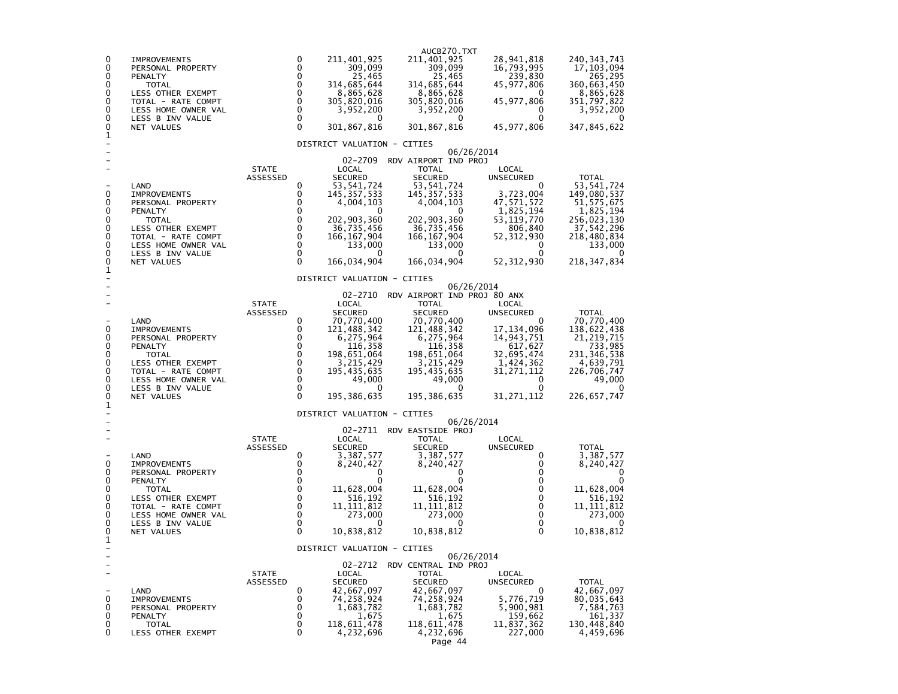| 0<br>211,401,925<br>211,401,925<br>28,941,818<br>240, 343, 743<br>0<br><b>IMPROVEMENTS</b><br>0<br>0<br>309,099<br>309,099<br>16,793,995<br>17, 103, 094<br>PERSONAL PROPERTY<br>0<br>25,465<br>25,465<br>0<br>239,830<br>265,295<br><b>PENALTY</b><br>0<br>0<br>314,685,644<br>314,685,644<br>45,977,806<br>360,663,450<br><b>TOTAL</b><br>$\mathbf 0$<br>0<br>8,865,628<br>8,865,628<br>8,865,628<br>LESS OTHER EXEMPT<br>0<br>$\mathbf 0$<br>0<br>45, 977, 806<br>305,820,016<br>305,820,016<br>351,797,822<br>TOTAL - RATE COMPT<br>0<br>0<br>3,952,200<br>3,952,200<br>3,952,200<br>LESS HOME OWNER VAL<br>0<br>$\mathbf 0$<br>0<br>LESS B INV VALUE<br>0<br>0<br>0<br>0<br>$\Omega$<br>0<br>301,867,816<br>347,845,622<br>301,867,816<br>45,977,806<br>NET VALUES<br>1<br>DISTRICT VALUATION - CITIES<br>06/26/2014<br>02-2709<br>RDV AIRPORT IND PROJ<br><b>STATE</b><br>LOCAL<br><b>TOTAL</b><br>LOCAL<br><b>SECURED</b><br><b>SECURED</b><br><b>TOTAL</b><br>ASSESSED<br><b>UNSECURED</b><br>53, 541, 724<br>53, 541, 724<br>$\Omega$<br>53, 541, 724<br>LAND<br>0<br>3,723,004<br>0<br>0<br>145, 357, 533<br>145, 357, 533<br>149,080,537<br><b>IMPROVEMENTS</b><br>0<br>47,571,572<br>0<br>4,004,103<br>4,004,103<br>51,575,675<br>PERSONAL PROPERTY<br>0<br>0<br>1,825,194<br>1,825,194<br>PENALTY<br>0<br>0<br>0<br>0<br>202,903,360<br>202, 903, 360<br>53, 119, 770<br>256,023,130<br><b>TOTAL</b><br>0<br>0<br>36,735,456<br>36,735,456<br>806,840<br>37,542,296<br>LESS OTHER EXEMPT<br>0<br>0<br>166, 167, 904<br>166, 167, 904<br>218,480,834<br>52,312,930<br>TOTAL - RATE COMPT<br>0<br>0<br>133,000<br>133,000<br>133,000<br>LESS HOME OWNER VAL<br>0<br>$\mathbf 0$<br>0<br>LESS B INV VALUE<br>0<br>0<br>0<br>0<br>0<br>166,034,904<br>166,034,904<br>52, 312, 930<br>218, 347, 834<br>NET VALUES<br>1<br>DISTRICT VALUATION - CITIES<br>06/26/2014<br>02-2710<br>RDV AIRPORT IND PROJ 80 ANX<br><b>STATE</b><br>LOCAL<br><b>TOTAL</b><br>LOCAL<br><b>SECURED</b><br><b>SECURED</b><br><b>TOTAL</b><br>ASSESSED<br><b>UNSECURED</b><br>LAND<br>0<br>70,770,400<br>70,770,400<br>70,770,400<br>0<br>0<br>0<br>121,488,342<br>121,488,342<br>17, 134, 096<br>138,622,438<br><b>IMPROVEMENTS</b><br>0<br>0<br>6,275,964<br>6, 275, 964<br>116, 358<br>14,943,751<br>21, 219, 715<br>PERSONAL PROPERTY<br>0<br>0<br>116,358<br>733,985<br>617,627<br><b>PENALTY</b><br>$\mathbf 0$<br>0<br>198,651,064<br>198,651,064<br>32,695,474<br>231,346,538<br><b>TOTAL</b><br>0<br>$\mathbf 0$<br>3,215,429<br>1,424,362<br>3,215,429<br>4,639,791<br>LESS OTHER EXEMPT<br>0<br>$\mathbf 0$<br>195,435,635<br>195,435,635<br>31,271,112<br>TOTAL - RATE COMPT<br>226,706,747<br>$\Omega$<br>0<br>49,000<br>49,000<br>49,000<br>LESS HOME OWNER VAL<br>0<br>$\Omega$<br>0<br>$\Omega$<br>$\Omega$<br>LESS B INV VALUE<br>0<br>$\Omega$<br>0<br>0<br>195,386,635<br>195, 386, 635<br>31, 271, 112<br>226,657,747<br>NET VALUES<br>1<br>DISTRICT VALUATION - CITIES<br>06/26/2014<br>02-2711<br>RDV EASTSIDE PROJ<br><b>STATE</b><br>LOCAL<br>TOTAL<br>LOCAL<br>ASSESSED<br><b>SECURED</b><br><b>SECURED</b><br>UNSECURED<br><b>TOTAL</b><br>LAND<br>0<br>3,387,577<br>0<br>3,387,577<br>3,387,577<br>0<br>0<br>8,240,427<br>8,240,427<br>0<br>8,240,427<br><b>IMPROVEMENTS</b><br>0<br>0<br>0<br>PERSONAL PROPERTY<br>0<br>0<br>0<br>0<br>0<br>$\Omega$<br>PENALTY<br>0<br>0<br>0<br>$\Omega$<br>11,628,004<br>11,628,004<br>11,628,004<br>TOTAL<br>$\mathbf 0$<br>0<br>516,192<br>$\mathbf 0$<br>516,192<br>516,192<br><b>LESS OTHER EXEMPT</b><br>0<br>0<br>0<br>11,111,812<br>11,111,812<br>11, 111, 812<br>TOTAL - RATE COMPT<br>$\mathbf 0$<br>0<br>0<br>273,000<br>273,000<br>273,000<br>LESS HOME OWNER VAL<br>$\mathbf 0$<br>0<br>LESS B INV VALUE<br>0<br>0<br>0<br>0<br>0<br>10,838,812<br>$\Omega$<br>10,838,812<br>10,838,812<br>NET VALUES<br>1<br>DISTRICT VALUATION - CITIES<br>06/26/2014<br>02-2712<br>RDV CENTRAL IND PROJ<br><b>STATE</b><br>LOCAL<br><b>TOTAL</b><br>LOCAL<br>ASSESSED<br><b>SECURED</b><br><b>SECURED</b><br>UNSECURED<br><b>TOTAL</b><br>0<br>42,667,097<br>LAND<br>42,667,097<br>42,667,097<br>0<br>5,776,719<br>0<br><b>IMPROVEMENTS</b><br>74,258,924<br>74,258,924<br>80,035,643<br>0<br>1,683,782<br>1,683,782<br>5,900,981<br>0<br>7,584,763<br>PERSONAL PROPERTY<br>0<br>0<br>1,675<br>1,675<br>159,662<br>161,337<br>PENALTY<br>0<br>118,611,478<br>0<br>118,611,478<br>11,837,362<br>130,448,840<br>TOTAL<br>0<br>0<br>4,232,696<br>4,232,696<br>227,000<br>4,459,696<br>LESS OTHER EXEMPT |  |  | AUCB270. TXT |  |
|-----------------------------------------------------------------------------------------------------------------------------------------------------------------------------------------------------------------------------------------------------------------------------------------------------------------------------------------------------------------------------------------------------------------------------------------------------------------------------------------------------------------------------------------------------------------------------------------------------------------------------------------------------------------------------------------------------------------------------------------------------------------------------------------------------------------------------------------------------------------------------------------------------------------------------------------------------------------------------------------------------------------------------------------------------------------------------------------------------------------------------------------------------------------------------------------------------------------------------------------------------------------------------------------------------------------------------------------------------------------------------------------------------------------------------------------------------------------------------------------------------------------------------------------------------------------------------------------------------------------------------------------------------------------------------------------------------------------------------------------------------------------------------------------------------------------------------------------------------------------------------------------------------------------------------------------------------------------------------------------------------------------------------------------------------------------------------------------------------------------------------------------------------------------------------------------------------------------------------------------------------------------------------------------------------------------------------------------------------------------------------------------------------------------------------------------------------------------------------------------------------------------------------------------------------------------------------------------------------------------------------------------------------------------------------------------------------------------------------------------------------------------------------------------------------------------------------------------------------------------------------------------------------------------------------------------------------------------------------------------------------------------------------------------------------------------------------------------------------------------------------------------------------------------------------------------------------------------------------------------------------------------------------------------------------------------------------------------------------------------------------------------------------------------------------------------------------------------------------------------------------------------------------------------------------------------------------------------------------------------------------------------------------------------------------------------------------------------------------------------------------------------------------------------------------------------------------------------------------------------------------------------------------------------------------------------------------------------------------------------------------------------------------------------------------------------------------------------------------------------------------------------------------------------------------------------------------------------------------------------------------------------------------------------------------------------------------------------------------------------------------------------------------------------------------------------------------------------------------------------------------------------------------------------------------|--|--|--------------|--|
|                                                                                                                                                                                                                                                                                                                                                                                                                                                                                                                                                                                                                                                                                                                                                                                                                                                                                                                                                                                                                                                                                                                                                                                                                                                                                                                                                                                                                                                                                                                                                                                                                                                                                                                                                                                                                                                                                                                                                                                                                                                                                                                                                                                                                                                                                                                                                                                                                                                                                                                                                                                                                                                                                                                                                                                                                                                                                                                                                                                                                                                                                                                                                                                                                                                                                                                                                                                                                                                                                                                                                                                                                                                                                                                                                                                                                                                                                                                                                                                                                                                                                                                                                                                                                                                                                                                                                                                                                                                                                                                                                     |  |  |              |  |
|                                                                                                                                                                                                                                                                                                                                                                                                                                                                                                                                                                                                                                                                                                                                                                                                                                                                                                                                                                                                                                                                                                                                                                                                                                                                                                                                                                                                                                                                                                                                                                                                                                                                                                                                                                                                                                                                                                                                                                                                                                                                                                                                                                                                                                                                                                                                                                                                                                                                                                                                                                                                                                                                                                                                                                                                                                                                                                                                                                                                                                                                                                                                                                                                                                                                                                                                                                                                                                                                                                                                                                                                                                                                                                                                                                                                                                                                                                                                                                                                                                                                                                                                                                                                                                                                                                                                                                                                                                                                                                                                                     |  |  |              |  |
|                                                                                                                                                                                                                                                                                                                                                                                                                                                                                                                                                                                                                                                                                                                                                                                                                                                                                                                                                                                                                                                                                                                                                                                                                                                                                                                                                                                                                                                                                                                                                                                                                                                                                                                                                                                                                                                                                                                                                                                                                                                                                                                                                                                                                                                                                                                                                                                                                                                                                                                                                                                                                                                                                                                                                                                                                                                                                                                                                                                                                                                                                                                                                                                                                                                                                                                                                                                                                                                                                                                                                                                                                                                                                                                                                                                                                                                                                                                                                                                                                                                                                                                                                                                                                                                                                                                                                                                                                                                                                                                                                     |  |  |              |  |
|                                                                                                                                                                                                                                                                                                                                                                                                                                                                                                                                                                                                                                                                                                                                                                                                                                                                                                                                                                                                                                                                                                                                                                                                                                                                                                                                                                                                                                                                                                                                                                                                                                                                                                                                                                                                                                                                                                                                                                                                                                                                                                                                                                                                                                                                                                                                                                                                                                                                                                                                                                                                                                                                                                                                                                                                                                                                                                                                                                                                                                                                                                                                                                                                                                                                                                                                                                                                                                                                                                                                                                                                                                                                                                                                                                                                                                                                                                                                                                                                                                                                                                                                                                                                                                                                                                                                                                                                                                                                                                                                                     |  |  |              |  |
|                                                                                                                                                                                                                                                                                                                                                                                                                                                                                                                                                                                                                                                                                                                                                                                                                                                                                                                                                                                                                                                                                                                                                                                                                                                                                                                                                                                                                                                                                                                                                                                                                                                                                                                                                                                                                                                                                                                                                                                                                                                                                                                                                                                                                                                                                                                                                                                                                                                                                                                                                                                                                                                                                                                                                                                                                                                                                                                                                                                                                                                                                                                                                                                                                                                                                                                                                                                                                                                                                                                                                                                                                                                                                                                                                                                                                                                                                                                                                                                                                                                                                                                                                                                                                                                                                                                                                                                                                                                                                                                                                     |  |  |              |  |
|                                                                                                                                                                                                                                                                                                                                                                                                                                                                                                                                                                                                                                                                                                                                                                                                                                                                                                                                                                                                                                                                                                                                                                                                                                                                                                                                                                                                                                                                                                                                                                                                                                                                                                                                                                                                                                                                                                                                                                                                                                                                                                                                                                                                                                                                                                                                                                                                                                                                                                                                                                                                                                                                                                                                                                                                                                                                                                                                                                                                                                                                                                                                                                                                                                                                                                                                                                                                                                                                                                                                                                                                                                                                                                                                                                                                                                                                                                                                                                                                                                                                                                                                                                                                                                                                                                                                                                                                                                                                                                                                                     |  |  |              |  |
|                                                                                                                                                                                                                                                                                                                                                                                                                                                                                                                                                                                                                                                                                                                                                                                                                                                                                                                                                                                                                                                                                                                                                                                                                                                                                                                                                                                                                                                                                                                                                                                                                                                                                                                                                                                                                                                                                                                                                                                                                                                                                                                                                                                                                                                                                                                                                                                                                                                                                                                                                                                                                                                                                                                                                                                                                                                                                                                                                                                                                                                                                                                                                                                                                                                                                                                                                                                                                                                                                                                                                                                                                                                                                                                                                                                                                                                                                                                                                                                                                                                                                                                                                                                                                                                                                                                                                                                                                                                                                                                                                     |  |  |              |  |
|                                                                                                                                                                                                                                                                                                                                                                                                                                                                                                                                                                                                                                                                                                                                                                                                                                                                                                                                                                                                                                                                                                                                                                                                                                                                                                                                                                                                                                                                                                                                                                                                                                                                                                                                                                                                                                                                                                                                                                                                                                                                                                                                                                                                                                                                                                                                                                                                                                                                                                                                                                                                                                                                                                                                                                                                                                                                                                                                                                                                                                                                                                                                                                                                                                                                                                                                                                                                                                                                                                                                                                                                                                                                                                                                                                                                                                                                                                                                                                                                                                                                                                                                                                                                                                                                                                                                                                                                                                                                                                                                                     |  |  |              |  |
|                                                                                                                                                                                                                                                                                                                                                                                                                                                                                                                                                                                                                                                                                                                                                                                                                                                                                                                                                                                                                                                                                                                                                                                                                                                                                                                                                                                                                                                                                                                                                                                                                                                                                                                                                                                                                                                                                                                                                                                                                                                                                                                                                                                                                                                                                                                                                                                                                                                                                                                                                                                                                                                                                                                                                                                                                                                                                                                                                                                                                                                                                                                                                                                                                                                                                                                                                                                                                                                                                                                                                                                                                                                                                                                                                                                                                                                                                                                                                                                                                                                                                                                                                                                                                                                                                                                                                                                                                                                                                                                                                     |  |  |              |  |
|                                                                                                                                                                                                                                                                                                                                                                                                                                                                                                                                                                                                                                                                                                                                                                                                                                                                                                                                                                                                                                                                                                                                                                                                                                                                                                                                                                                                                                                                                                                                                                                                                                                                                                                                                                                                                                                                                                                                                                                                                                                                                                                                                                                                                                                                                                                                                                                                                                                                                                                                                                                                                                                                                                                                                                                                                                                                                                                                                                                                                                                                                                                                                                                                                                                                                                                                                                                                                                                                                                                                                                                                                                                                                                                                                                                                                                                                                                                                                                                                                                                                                                                                                                                                                                                                                                                                                                                                                                                                                                                                                     |  |  |              |  |
|                                                                                                                                                                                                                                                                                                                                                                                                                                                                                                                                                                                                                                                                                                                                                                                                                                                                                                                                                                                                                                                                                                                                                                                                                                                                                                                                                                                                                                                                                                                                                                                                                                                                                                                                                                                                                                                                                                                                                                                                                                                                                                                                                                                                                                                                                                                                                                                                                                                                                                                                                                                                                                                                                                                                                                                                                                                                                                                                                                                                                                                                                                                                                                                                                                                                                                                                                                                                                                                                                                                                                                                                                                                                                                                                                                                                                                                                                                                                                                                                                                                                                                                                                                                                                                                                                                                                                                                                                                                                                                                                                     |  |  |              |  |
|                                                                                                                                                                                                                                                                                                                                                                                                                                                                                                                                                                                                                                                                                                                                                                                                                                                                                                                                                                                                                                                                                                                                                                                                                                                                                                                                                                                                                                                                                                                                                                                                                                                                                                                                                                                                                                                                                                                                                                                                                                                                                                                                                                                                                                                                                                                                                                                                                                                                                                                                                                                                                                                                                                                                                                                                                                                                                                                                                                                                                                                                                                                                                                                                                                                                                                                                                                                                                                                                                                                                                                                                                                                                                                                                                                                                                                                                                                                                                                                                                                                                                                                                                                                                                                                                                                                                                                                                                                                                                                                                                     |  |  |              |  |
|                                                                                                                                                                                                                                                                                                                                                                                                                                                                                                                                                                                                                                                                                                                                                                                                                                                                                                                                                                                                                                                                                                                                                                                                                                                                                                                                                                                                                                                                                                                                                                                                                                                                                                                                                                                                                                                                                                                                                                                                                                                                                                                                                                                                                                                                                                                                                                                                                                                                                                                                                                                                                                                                                                                                                                                                                                                                                                                                                                                                                                                                                                                                                                                                                                                                                                                                                                                                                                                                                                                                                                                                                                                                                                                                                                                                                                                                                                                                                                                                                                                                                                                                                                                                                                                                                                                                                                                                                                                                                                                                                     |  |  |              |  |
|                                                                                                                                                                                                                                                                                                                                                                                                                                                                                                                                                                                                                                                                                                                                                                                                                                                                                                                                                                                                                                                                                                                                                                                                                                                                                                                                                                                                                                                                                                                                                                                                                                                                                                                                                                                                                                                                                                                                                                                                                                                                                                                                                                                                                                                                                                                                                                                                                                                                                                                                                                                                                                                                                                                                                                                                                                                                                                                                                                                                                                                                                                                                                                                                                                                                                                                                                                                                                                                                                                                                                                                                                                                                                                                                                                                                                                                                                                                                                                                                                                                                                                                                                                                                                                                                                                                                                                                                                                                                                                                                                     |  |  |              |  |
|                                                                                                                                                                                                                                                                                                                                                                                                                                                                                                                                                                                                                                                                                                                                                                                                                                                                                                                                                                                                                                                                                                                                                                                                                                                                                                                                                                                                                                                                                                                                                                                                                                                                                                                                                                                                                                                                                                                                                                                                                                                                                                                                                                                                                                                                                                                                                                                                                                                                                                                                                                                                                                                                                                                                                                                                                                                                                                                                                                                                                                                                                                                                                                                                                                                                                                                                                                                                                                                                                                                                                                                                                                                                                                                                                                                                                                                                                                                                                                                                                                                                                                                                                                                                                                                                                                                                                                                                                                                                                                                                                     |  |  |              |  |
|                                                                                                                                                                                                                                                                                                                                                                                                                                                                                                                                                                                                                                                                                                                                                                                                                                                                                                                                                                                                                                                                                                                                                                                                                                                                                                                                                                                                                                                                                                                                                                                                                                                                                                                                                                                                                                                                                                                                                                                                                                                                                                                                                                                                                                                                                                                                                                                                                                                                                                                                                                                                                                                                                                                                                                                                                                                                                                                                                                                                                                                                                                                                                                                                                                                                                                                                                                                                                                                                                                                                                                                                                                                                                                                                                                                                                                                                                                                                                                                                                                                                                                                                                                                                                                                                                                                                                                                                                                                                                                                                                     |  |  |              |  |
|                                                                                                                                                                                                                                                                                                                                                                                                                                                                                                                                                                                                                                                                                                                                                                                                                                                                                                                                                                                                                                                                                                                                                                                                                                                                                                                                                                                                                                                                                                                                                                                                                                                                                                                                                                                                                                                                                                                                                                                                                                                                                                                                                                                                                                                                                                                                                                                                                                                                                                                                                                                                                                                                                                                                                                                                                                                                                                                                                                                                                                                                                                                                                                                                                                                                                                                                                                                                                                                                                                                                                                                                                                                                                                                                                                                                                                                                                                                                                                                                                                                                                                                                                                                                                                                                                                                                                                                                                                                                                                                                                     |  |  |              |  |
|                                                                                                                                                                                                                                                                                                                                                                                                                                                                                                                                                                                                                                                                                                                                                                                                                                                                                                                                                                                                                                                                                                                                                                                                                                                                                                                                                                                                                                                                                                                                                                                                                                                                                                                                                                                                                                                                                                                                                                                                                                                                                                                                                                                                                                                                                                                                                                                                                                                                                                                                                                                                                                                                                                                                                                                                                                                                                                                                                                                                                                                                                                                                                                                                                                                                                                                                                                                                                                                                                                                                                                                                                                                                                                                                                                                                                                                                                                                                                                                                                                                                                                                                                                                                                                                                                                                                                                                                                                                                                                                                                     |  |  |              |  |
|                                                                                                                                                                                                                                                                                                                                                                                                                                                                                                                                                                                                                                                                                                                                                                                                                                                                                                                                                                                                                                                                                                                                                                                                                                                                                                                                                                                                                                                                                                                                                                                                                                                                                                                                                                                                                                                                                                                                                                                                                                                                                                                                                                                                                                                                                                                                                                                                                                                                                                                                                                                                                                                                                                                                                                                                                                                                                                                                                                                                                                                                                                                                                                                                                                                                                                                                                                                                                                                                                                                                                                                                                                                                                                                                                                                                                                                                                                                                                                                                                                                                                                                                                                                                                                                                                                                                                                                                                                                                                                                                                     |  |  |              |  |
|                                                                                                                                                                                                                                                                                                                                                                                                                                                                                                                                                                                                                                                                                                                                                                                                                                                                                                                                                                                                                                                                                                                                                                                                                                                                                                                                                                                                                                                                                                                                                                                                                                                                                                                                                                                                                                                                                                                                                                                                                                                                                                                                                                                                                                                                                                                                                                                                                                                                                                                                                                                                                                                                                                                                                                                                                                                                                                                                                                                                                                                                                                                                                                                                                                                                                                                                                                                                                                                                                                                                                                                                                                                                                                                                                                                                                                                                                                                                                                                                                                                                                                                                                                                                                                                                                                                                                                                                                                                                                                                                                     |  |  |              |  |
|                                                                                                                                                                                                                                                                                                                                                                                                                                                                                                                                                                                                                                                                                                                                                                                                                                                                                                                                                                                                                                                                                                                                                                                                                                                                                                                                                                                                                                                                                                                                                                                                                                                                                                                                                                                                                                                                                                                                                                                                                                                                                                                                                                                                                                                                                                                                                                                                                                                                                                                                                                                                                                                                                                                                                                                                                                                                                                                                                                                                                                                                                                                                                                                                                                                                                                                                                                                                                                                                                                                                                                                                                                                                                                                                                                                                                                                                                                                                                                                                                                                                                                                                                                                                                                                                                                                                                                                                                                                                                                                                                     |  |  |              |  |
|                                                                                                                                                                                                                                                                                                                                                                                                                                                                                                                                                                                                                                                                                                                                                                                                                                                                                                                                                                                                                                                                                                                                                                                                                                                                                                                                                                                                                                                                                                                                                                                                                                                                                                                                                                                                                                                                                                                                                                                                                                                                                                                                                                                                                                                                                                                                                                                                                                                                                                                                                                                                                                                                                                                                                                                                                                                                                                                                                                                                                                                                                                                                                                                                                                                                                                                                                                                                                                                                                                                                                                                                                                                                                                                                                                                                                                                                                                                                                                                                                                                                                                                                                                                                                                                                                                                                                                                                                                                                                                                                                     |  |  |              |  |
|                                                                                                                                                                                                                                                                                                                                                                                                                                                                                                                                                                                                                                                                                                                                                                                                                                                                                                                                                                                                                                                                                                                                                                                                                                                                                                                                                                                                                                                                                                                                                                                                                                                                                                                                                                                                                                                                                                                                                                                                                                                                                                                                                                                                                                                                                                                                                                                                                                                                                                                                                                                                                                                                                                                                                                                                                                                                                                                                                                                                                                                                                                                                                                                                                                                                                                                                                                                                                                                                                                                                                                                                                                                                                                                                                                                                                                                                                                                                                                                                                                                                                                                                                                                                                                                                                                                                                                                                                                                                                                                                                     |  |  |              |  |
|                                                                                                                                                                                                                                                                                                                                                                                                                                                                                                                                                                                                                                                                                                                                                                                                                                                                                                                                                                                                                                                                                                                                                                                                                                                                                                                                                                                                                                                                                                                                                                                                                                                                                                                                                                                                                                                                                                                                                                                                                                                                                                                                                                                                                                                                                                                                                                                                                                                                                                                                                                                                                                                                                                                                                                                                                                                                                                                                                                                                                                                                                                                                                                                                                                                                                                                                                                                                                                                                                                                                                                                                                                                                                                                                                                                                                                                                                                                                                                                                                                                                                                                                                                                                                                                                                                                                                                                                                                                                                                                                                     |  |  |              |  |
|                                                                                                                                                                                                                                                                                                                                                                                                                                                                                                                                                                                                                                                                                                                                                                                                                                                                                                                                                                                                                                                                                                                                                                                                                                                                                                                                                                                                                                                                                                                                                                                                                                                                                                                                                                                                                                                                                                                                                                                                                                                                                                                                                                                                                                                                                                                                                                                                                                                                                                                                                                                                                                                                                                                                                                                                                                                                                                                                                                                                                                                                                                                                                                                                                                                                                                                                                                                                                                                                                                                                                                                                                                                                                                                                                                                                                                                                                                                                                                                                                                                                                                                                                                                                                                                                                                                                                                                                                                                                                                                                                     |  |  |              |  |
|                                                                                                                                                                                                                                                                                                                                                                                                                                                                                                                                                                                                                                                                                                                                                                                                                                                                                                                                                                                                                                                                                                                                                                                                                                                                                                                                                                                                                                                                                                                                                                                                                                                                                                                                                                                                                                                                                                                                                                                                                                                                                                                                                                                                                                                                                                                                                                                                                                                                                                                                                                                                                                                                                                                                                                                                                                                                                                                                                                                                                                                                                                                                                                                                                                                                                                                                                                                                                                                                                                                                                                                                                                                                                                                                                                                                                                                                                                                                                                                                                                                                                                                                                                                                                                                                                                                                                                                                                                                                                                                                                     |  |  |              |  |
|                                                                                                                                                                                                                                                                                                                                                                                                                                                                                                                                                                                                                                                                                                                                                                                                                                                                                                                                                                                                                                                                                                                                                                                                                                                                                                                                                                                                                                                                                                                                                                                                                                                                                                                                                                                                                                                                                                                                                                                                                                                                                                                                                                                                                                                                                                                                                                                                                                                                                                                                                                                                                                                                                                                                                                                                                                                                                                                                                                                                                                                                                                                                                                                                                                                                                                                                                                                                                                                                                                                                                                                                                                                                                                                                                                                                                                                                                                                                                                                                                                                                                                                                                                                                                                                                                                                                                                                                                                                                                                                                                     |  |  |              |  |
|                                                                                                                                                                                                                                                                                                                                                                                                                                                                                                                                                                                                                                                                                                                                                                                                                                                                                                                                                                                                                                                                                                                                                                                                                                                                                                                                                                                                                                                                                                                                                                                                                                                                                                                                                                                                                                                                                                                                                                                                                                                                                                                                                                                                                                                                                                                                                                                                                                                                                                                                                                                                                                                                                                                                                                                                                                                                                                                                                                                                                                                                                                                                                                                                                                                                                                                                                                                                                                                                                                                                                                                                                                                                                                                                                                                                                                                                                                                                                                                                                                                                                                                                                                                                                                                                                                                                                                                                                                                                                                                                                     |  |  |              |  |
|                                                                                                                                                                                                                                                                                                                                                                                                                                                                                                                                                                                                                                                                                                                                                                                                                                                                                                                                                                                                                                                                                                                                                                                                                                                                                                                                                                                                                                                                                                                                                                                                                                                                                                                                                                                                                                                                                                                                                                                                                                                                                                                                                                                                                                                                                                                                                                                                                                                                                                                                                                                                                                                                                                                                                                                                                                                                                                                                                                                                                                                                                                                                                                                                                                                                                                                                                                                                                                                                                                                                                                                                                                                                                                                                                                                                                                                                                                                                                                                                                                                                                                                                                                                                                                                                                                                                                                                                                                                                                                                                                     |  |  |              |  |
|                                                                                                                                                                                                                                                                                                                                                                                                                                                                                                                                                                                                                                                                                                                                                                                                                                                                                                                                                                                                                                                                                                                                                                                                                                                                                                                                                                                                                                                                                                                                                                                                                                                                                                                                                                                                                                                                                                                                                                                                                                                                                                                                                                                                                                                                                                                                                                                                                                                                                                                                                                                                                                                                                                                                                                                                                                                                                                                                                                                                                                                                                                                                                                                                                                                                                                                                                                                                                                                                                                                                                                                                                                                                                                                                                                                                                                                                                                                                                                                                                                                                                                                                                                                                                                                                                                                                                                                                                                                                                                                                                     |  |  |              |  |
|                                                                                                                                                                                                                                                                                                                                                                                                                                                                                                                                                                                                                                                                                                                                                                                                                                                                                                                                                                                                                                                                                                                                                                                                                                                                                                                                                                                                                                                                                                                                                                                                                                                                                                                                                                                                                                                                                                                                                                                                                                                                                                                                                                                                                                                                                                                                                                                                                                                                                                                                                                                                                                                                                                                                                                                                                                                                                                                                                                                                                                                                                                                                                                                                                                                                                                                                                                                                                                                                                                                                                                                                                                                                                                                                                                                                                                                                                                                                                                                                                                                                                                                                                                                                                                                                                                                                                                                                                                                                                                                                                     |  |  |              |  |
|                                                                                                                                                                                                                                                                                                                                                                                                                                                                                                                                                                                                                                                                                                                                                                                                                                                                                                                                                                                                                                                                                                                                                                                                                                                                                                                                                                                                                                                                                                                                                                                                                                                                                                                                                                                                                                                                                                                                                                                                                                                                                                                                                                                                                                                                                                                                                                                                                                                                                                                                                                                                                                                                                                                                                                                                                                                                                                                                                                                                                                                                                                                                                                                                                                                                                                                                                                                                                                                                                                                                                                                                                                                                                                                                                                                                                                                                                                                                                                                                                                                                                                                                                                                                                                                                                                                                                                                                                                                                                                                                                     |  |  |              |  |
|                                                                                                                                                                                                                                                                                                                                                                                                                                                                                                                                                                                                                                                                                                                                                                                                                                                                                                                                                                                                                                                                                                                                                                                                                                                                                                                                                                                                                                                                                                                                                                                                                                                                                                                                                                                                                                                                                                                                                                                                                                                                                                                                                                                                                                                                                                                                                                                                                                                                                                                                                                                                                                                                                                                                                                                                                                                                                                                                                                                                                                                                                                                                                                                                                                                                                                                                                                                                                                                                                                                                                                                                                                                                                                                                                                                                                                                                                                                                                                                                                                                                                                                                                                                                                                                                                                                                                                                                                                                                                                                                                     |  |  |              |  |
|                                                                                                                                                                                                                                                                                                                                                                                                                                                                                                                                                                                                                                                                                                                                                                                                                                                                                                                                                                                                                                                                                                                                                                                                                                                                                                                                                                                                                                                                                                                                                                                                                                                                                                                                                                                                                                                                                                                                                                                                                                                                                                                                                                                                                                                                                                                                                                                                                                                                                                                                                                                                                                                                                                                                                                                                                                                                                                                                                                                                                                                                                                                                                                                                                                                                                                                                                                                                                                                                                                                                                                                                                                                                                                                                                                                                                                                                                                                                                                                                                                                                                                                                                                                                                                                                                                                                                                                                                                                                                                                                                     |  |  |              |  |
|                                                                                                                                                                                                                                                                                                                                                                                                                                                                                                                                                                                                                                                                                                                                                                                                                                                                                                                                                                                                                                                                                                                                                                                                                                                                                                                                                                                                                                                                                                                                                                                                                                                                                                                                                                                                                                                                                                                                                                                                                                                                                                                                                                                                                                                                                                                                                                                                                                                                                                                                                                                                                                                                                                                                                                                                                                                                                                                                                                                                                                                                                                                                                                                                                                                                                                                                                                                                                                                                                                                                                                                                                                                                                                                                                                                                                                                                                                                                                                                                                                                                                                                                                                                                                                                                                                                                                                                                                                                                                                                                                     |  |  |              |  |
|                                                                                                                                                                                                                                                                                                                                                                                                                                                                                                                                                                                                                                                                                                                                                                                                                                                                                                                                                                                                                                                                                                                                                                                                                                                                                                                                                                                                                                                                                                                                                                                                                                                                                                                                                                                                                                                                                                                                                                                                                                                                                                                                                                                                                                                                                                                                                                                                                                                                                                                                                                                                                                                                                                                                                                                                                                                                                                                                                                                                                                                                                                                                                                                                                                                                                                                                                                                                                                                                                                                                                                                                                                                                                                                                                                                                                                                                                                                                                                                                                                                                                                                                                                                                                                                                                                                                                                                                                                                                                                                                                     |  |  |              |  |
|                                                                                                                                                                                                                                                                                                                                                                                                                                                                                                                                                                                                                                                                                                                                                                                                                                                                                                                                                                                                                                                                                                                                                                                                                                                                                                                                                                                                                                                                                                                                                                                                                                                                                                                                                                                                                                                                                                                                                                                                                                                                                                                                                                                                                                                                                                                                                                                                                                                                                                                                                                                                                                                                                                                                                                                                                                                                                                                                                                                                                                                                                                                                                                                                                                                                                                                                                                                                                                                                                                                                                                                                                                                                                                                                                                                                                                                                                                                                                                                                                                                                                                                                                                                                                                                                                                                                                                                                                                                                                                                                                     |  |  |              |  |
|                                                                                                                                                                                                                                                                                                                                                                                                                                                                                                                                                                                                                                                                                                                                                                                                                                                                                                                                                                                                                                                                                                                                                                                                                                                                                                                                                                                                                                                                                                                                                                                                                                                                                                                                                                                                                                                                                                                                                                                                                                                                                                                                                                                                                                                                                                                                                                                                                                                                                                                                                                                                                                                                                                                                                                                                                                                                                                                                                                                                                                                                                                                                                                                                                                                                                                                                                                                                                                                                                                                                                                                                                                                                                                                                                                                                                                                                                                                                                                                                                                                                                                                                                                                                                                                                                                                                                                                                                                                                                                                                                     |  |  |              |  |
|                                                                                                                                                                                                                                                                                                                                                                                                                                                                                                                                                                                                                                                                                                                                                                                                                                                                                                                                                                                                                                                                                                                                                                                                                                                                                                                                                                                                                                                                                                                                                                                                                                                                                                                                                                                                                                                                                                                                                                                                                                                                                                                                                                                                                                                                                                                                                                                                                                                                                                                                                                                                                                                                                                                                                                                                                                                                                                                                                                                                                                                                                                                                                                                                                                                                                                                                                                                                                                                                                                                                                                                                                                                                                                                                                                                                                                                                                                                                                                                                                                                                                                                                                                                                                                                                                                                                                                                                                                                                                                                                                     |  |  |              |  |
|                                                                                                                                                                                                                                                                                                                                                                                                                                                                                                                                                                                                                                                                                                                                                                                                                                                                                                                                                                                                                                                                                                                                                                                                                                                                                                                                                                                                                                                                                                                                                                                                                                                                                                                                                                                                                                                                                                                                                                                                                                                                                                                                                                                                                                                                                                                                                                                                                                                                                                                                                                                                                                                                                                                                                                                                                                                                                                                                                                                                                                                                                                                                                                                                                                                                                                                                                                                                                                                                                                                                                                                                                                                                                                                                                                                                                                                                                                                                                                                                                                                                                                                                                                                                                                                                                                                                                                                                                                                                                                                                                     |  |  |              |  |
|                                                                                                                                                                                                                                                                                                                                                                                                                                                                                                                                                                                                                                                                                                                                                                                                                                                                                                                                                                                                                                                                                                                                                                                                                                                                                                                                                                                                                                                                                                                                                                                                                                                                                                                                                                                                                                                                                                                                                                                                                                                                                                                                                                                                                                                                                                                                                                                                                                                                                                                                                                                                                                                                                                                                                                                                                                                                                                                                                                                                                                                                                                                                                                                                                                                                                                                                                                                                                                                                                                                                                                                                                                                                                                                                                                                                                                                                                                                                                                                                                                                                                                                                                                                                                                                                                                                                                                                                                                                                                                                                                     |  |  |              |  |
|                                                                                                                                                                                                                                                                                                                                                                                                                                                                                                                                                                                                                                                                                                                                                                                                                                                                                                                                                                                                                                                                                                                                                                                                                                                                                                                                                                                                                                                                                                                                                                                                                                                                                                                                                                                                                                                                                                                                                                                                                                                                                                                                                                                                                                                                                                                                                                                                                                                                                                                                                                                                                                                                                                                                                                                                                                                                                                                                                                                                                                                                                                                                                                                                                                                                                                                                                                                                                                                                                                                                                                                                                                                                                                                                                                                                                                                                                                                                                                                                                                                                                                                                                                                                                                                                                                                                                                                                                                                                                                                                                     |  |  |              |  |
|                                                                                                                                                                                                                                                                                                                                                                                                                                                                                                                                                                                                                                                                                                                                                                                                                                                                                                                                                                                                                                                                                                                                                                                                                                                                                                                                                                                                                                                                                                                                                                                                                                                                                                                                                                                                                                                                                                                                                                                                                                                                                                                                                                                                                                                                                                                                                                                                                                                                                                                                                                                                                                                                                                                                                                                                                                                                                                                                                                                                                                                                                                                                                                                                                                                                                                                                                                                                                                                                                                                                                                                                                                                                                                                                                                                                                                                                                                                                                                                                                                                                                                                                                                                                                                                                                                                                                                                                                                                                                                                                                     |  |  |              |  |
|                                                                                                                                                                                                                                                                                                                                                                                                                                                                                                                                                                                                                                                                                                                                                                                                                                                                                                                                                                                                                                                                                                                                                                                                                                                                                                                                                                                                                                                                                                                                                                                                                                                                                                                                                                                                                                                                                                                                                                                                                                                                                                                                                                                                                                                                                                                                                                                                                                                                                                                                                                                                                                                                                                                                                                                                                                                                                                                                                                                                                                                                                                                                                                                                                                                                                                                                                                                                                                                                                                                                                                                                                                                                                                                                                                                                                                                                                                                                                                                                                                                                                                                                                                                                                                                                                                                                                                                                                                                                                                                                                     |  |  |              |  |
|                                                                                                                                                                                                                                                                                                                                                                                                                                                                                                                                                                                                                                                                                                                                                                                                                                                                                                                                                                                                                                                                                                                                                                                                                                                                                                                                                                                                                                                                                                                                                                                                                                                                                                                                                                                                                                                                                                                                                                                                                                                                                                                                                                                                                                                                                                                                                                                                                                                                                                                                                                                                                                                                                                                                                                                                                                                                                                                                                                                                                                                                                                                                                                                                                                                                                                                                                                                                                                                                                                                                                                                                                                                                                                                                                                                                                                                                                                                                                                                                                                                                                                                                                                                                                                                                                                                                                                                                                                                                                                                                                     |  |  |              |  |
|                                                                                                                                                                                                                                                                                                                                                                                                                                                                                                                                                                                                                                                                                                                                                                                                                                                                                                                                                                                                                                                                                                                                                                                                                                                                                                                                                                                                                                                                                                                                                                                                                                                                                                                                                                                                                                                                                                                                                                                                                                                                                                                                                                                                                                                                                                                                                                                                                                                                                                                                                                                                                                                                                                                                                                                                                                                                                                                                                                                                                                                                                                                                                                                                                                                                                                                                                                                                                                                                                                                                                                                                                                                                                                                                                                                                                                                                                                                                                                                                                                                                                                                                                                                                                                                                                                                                                                                                                                                                                                                                                     |  |  |              |  |
|                                                                                                                                                                                                                                                                                                                                                                                                                                                                                                                                                                                                                                                                                                                                                                                                                                                                                                                                                                                                                                                                                                                                                                                                                                                                                                                                                                                                                                                                                                                                                                                                                                                                                                                                                                                                                                                                                                                                                                                                                                                                                                                                                                                                                                                                                                                                                                                                                                                                                                                                                                                                                                                                                                                                                                                                                                                                                                                                                                                                                                                                                                                                                                                                                                                                                                                                                                                                                                                                                                                                                                                                                                                                                                                                                                                                                                                                                                                                                                                                                                                                                                                                                                                                                                                                                                                                                                                                                                                                                                                                                     |  |  |              |  |
|                                                                                                                                                                                                                                                                                                                                                                                                                                                                                                                                                                                                                                                                                                                                                                                                                                                                                                                                                                                                                                                                                                                                                                                                                                                                                                                                                                                                                                                                                                                                                                                                                                                                                                                                                                                                                                                                                                                                                                                                                                                                                                                                                                                                                                                                                                                                                                                                                                                                                                                                                                                                                                                                                                                                                                                                                                                                                                                                                                                                                                                                                                                                                                                                                                                                                                                                                                                                                                                                                                                                                                                                                                                                                                                                                                                                                                                                                                                                                                                                                                                                                                                                                                                                                                                                                                                                                                                                                                                                                                                                                     |  |  |              |  |
|                                                                                                                                                                                                                                                                                                                                                                                                                                                                                                                                                                                                                                                                                                                                                                                                                                                                                                                                                                                                                                                                                                                                                                                                                                                                                                                                                                                                                                                                                                                                                                                                                                                                                                                                                                                                                                                                                                                                                                                                                                                                                                                                                                                                                                                                                                                                                                                                                                                                                                                                                                                                                                                                                                                                                                                                                                                                                                                                                                                                                                                                                                                                                                                                                                                                                                                                                                                                                                                                                                                                                                                                                                                                                                                                                                                                                                                                                                                                                                                                                                                                                                                                                                                                                                                                                                                                                                                                                                                                                                                                                     |  |  |              |  |
|                                                                                                                                                                                                                                                                                                                                                                                                                                                                                                                                                                                                                                                                                                                                                                                                                                                                                                                                                                                                                                                                                                                                                                                                                                                                                                                                                                                                                                                                                                                                                                                                                                                                                                                                                                                                                                                                                                                                                                                                                                                                                                                                                                                                                                                                                                                                                                                                                                                                                                                                                                                                                                                                                                                                                                                                                                                                                                                                                                                                                                                                                                                                                                                                                                                                                                                                                                                                                                                                                                                                                                                                                                                                                                                                                                                                                                                                                                                                                                                                                                                                                                                                                                                                                                                                                                                                                                                                                                                                                                                                                     |  |  |              |  |
|                                                                                                                                                                                                                                                                                                                                                                                                                                                                                                                                                                                                                                                                                                                                                                                                                                                                                                                                                                                                                                                                                                                                                                                                                                                                                                                                                                                                                                                                                                                                                                                                                                                                                                                                                                                                                                                                                                                                                                                                                                                                                                                                                                                                                                                                                                                                                                                                                                                                                                                                                                                                                                                                                                                                                                                                                                                                                                                                                                                                                                                                                                                                                                                                                                                                                                                                                                                                                                                                                                                                                                                                                                                                                                                                                                                                                                                                                                                                                                                                                                                                                                                                                                                                                                                                                                                                                                                                                                                                                                                                                     |  |  |              |  |
|                                                                                                                                                                                                                                                                                                                                                                                                                                                                                                                                                                                                                                                                                                                                                                                                                                                                                                                                                                                                                                                                                                                                                                                                                                                                                                                                                                                                                                                                                                                                                                                                                                                                                                                                                                                                                                                                                                                                                                                                                                                                                                                                                                                                                                                                                                                                                                                                                                                                                                                                                                                                                                                                                                                                                                                                                                                                                                                                                                                                                                                                                                                                                                                                                                                                                                                                                                                                                                                                                                                                                                                                                                                                                                                                                                                                                                                                                                                                                                                                                                                                                                                                                                                                                                                                                                                                                                                                                                                                                                                                                     |  |  |              |  |
|                                                                                                                                                                                                                                                                                                                                                                                                                                                                                                                                                                                                                                                                                                                                                                                                                                                                                                                                                                                                                                                                                                                                                                                                                                                                                                                                                                                                                                                                                                                                                                                                                                                                                                                                                                                                                                                                                                                                                                                                                                                                                                                                                                                                                                                                                                                                                                                                                                                                                                                                                                                                                                                                                                                                                                                                                                                                                                                                                                                                                                                                                                                                                                                                                                                                                                                                                                                                                                                                                                                                                                                                                                                                                                                                                                                                                                                                                                                                                                                                                                                                                                                                                                                                                                                                                                                                                                                                                                                                                                                                                     |  |  |              |  |
|                                                                                                                                                                                                                                                                                                                                                                                                                                                                                                                                                                                                                                                                                                                                                                                                                                                                                                                                                                                                                                                                                                                                                                                                                                                                                                                                                                                                                                                                                                                                                                                                                                                                                                                                                                                                                                                                                                                                                                                                                                                                                                                                                                                                                                                                                                                                                                                                                                                                                                                                                                                                                                                                                                                                                                                                                                                                                                                                                                                                                                                                                                                                                                                                                                                                                                                                                                                                                                                                                                                                                                                                                                                                                                                                                                                                                                                                                                                                                                                                                                                                                                                                                                                                                                                                                                                                                                                                                                                                                                                                                     |  |  | Page 44      |  |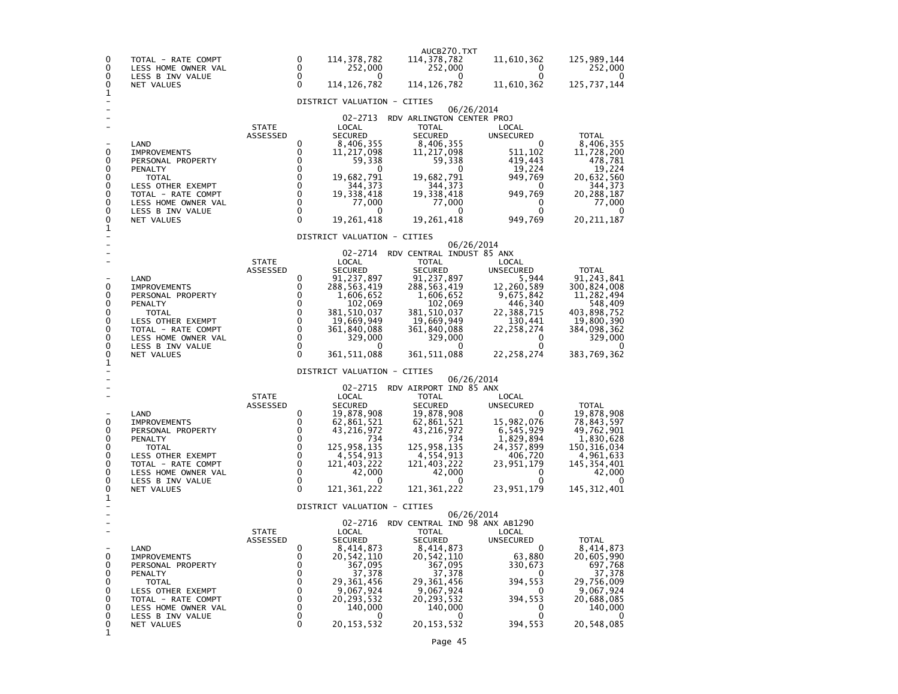| 0<br>0<br>0<br>0<br>1                          | TOTAL - RATE COMPT<br>LESS HOME OWNER VAL<br>LESS B INV VALUE<br><b>NET VALUES</b>                                                                                              |                          | 0<br>$\Omega$<br>$\Omega$<br>$\Omega$                                                                                         | 114, 378, 782<br>252,000<br>0<br>114, 126, 782                                                                                                                                                    | AUCB270.TXT<br>114,378,782<br>252,000<br>0<br>114, 126, 782                                                                                                                                                | 11,610,362<br>0<br>$\Omega$<br>11,610,362                                                                                                                  | 125,989,144<br>252,000<br>0<br>125, 737, 144                                                                                                         |
|------------------------------------------------|---------------------------------------------------------------------------------------------------------------------------------------------------------------------------------|--------------------------|-------------------------------------------------------------------------------------------------------------------------------|---------------------------------------------------------------------------------------------------------------------------------------------------------------------------------------------------|------------------------------------------------------------------------------------------------------------------------------------------------------------------------------------------------------------|------------------------------------------------------------------------------------------------------------------------------------------------------------|------------------------------------------------------------------------------------------------------------------------------------------------------|
|                                                |                                                                                                                                                                                 |                          |                                                                                                                               | DISTRICT VALUATION - CITIES                                                                                                                                                                       |                                                                                                                                                                                                            |                                                                                                                                                            |                                                                                                                                                      |
| 0<br>0<br>0<br>0<br>0<br>0<br>0<br>0<br>0      | LAND<br><b>IMPROVEMENTS</b><br>PERSONAL PROPERTY<br>PENALTY<br><b>TOTAL</b><br>LESS OTHER EXEMPT<br>TOTAL - RATE COMPT<br>LESS HOME OWNER VAL<br>LESS B INV VALUE<br>NET VALUES | <b>STATE</b><br>ASSESSED | 0<br>0<br>0<br>0<br>$\mathbf 0$<br>$\mathbf 0$<br>$\mathbf 0$<br>$\mathbf 0$<br>$\mathbf 0$<br>$\Omega$                       | 02-2713<br>LOCAL<br><b>SECURED</b><br>8,406,355<br>11,217,098<br>59,338<br>0<br>19,682,791<br>344,373<br>19,338,418<br>77,000<br>0<br>19,261,418                                                  | RDV ARLINGTON CENTER PROJ<br><b>TOTAL</b><br><b>SECURED</b><br>8,406,355<br>11,217,098<br>59,338<br>0<br>19,682,791<br>344,373<br>19,338,418<br>77,000<br>$\mathbf{0}$<br>19,261,418                       | 06/26/2014<br>LOCAL<br>UNSECURED<br>0<br>511,102<br>419,443<br>19,224<br>949,769<br>0<br>949,769<br>0<br>$\Omega$<br>949,769                               | <b>TOTAL</b><br>8,406,355<br>11,728,200<br>478,781<br>19,224<br>20,632,560<br>344,373<br>20,288,187<br>77,000<br>0<br>20, 211, 187                   |
| 1                                              |                                                                                                                                                                                 |                          |                                                                                                                               | DISTRICT VALUATION - CITIES                                                                                                                                                                       |                                                                                                                                                                                                            |                                                                                                                                                            |                                                                                                                                                      |
| 0<br>0<br>0<br>0<br>0<br>0<br>0<br>0<br>0<br>1 | LAND<br><b>IMPROVEMENTS</b><br>PERSONAL PROPERTY<br>PENALTY<br>TOTAL<br>LESS OTHER EXEMPT<br>TOTAL - RATE COMPT<br>LESS HOME OWNER VAL<br>LESS B INV VALUE<br><b>NET VALUES</b> | <b>STATE</b><br>ASSESSED | 0<br>0<br>0<br>0<br>$\mathbf 0$<br>$\mathbf 0$<br>$\mathbf 0$<br>$\mathbf 0$<br>0<br>$\mathbf{0}$                             | 02-2714<br>LOCAL<br><b>SECURED</b><br>91,237,897<br>288,563,419<br>1,606,652<br>102,069<br>381,510,037<br>19,669,949<br>361,840,088<br>329,000<br>0<br>361,511,088<br>DISTRICT VALUATION - CITIES | RDV CENTRAL INDUST 85 ANX<br><b>TOTAL</b><br><b>SECURED</b><br>91,237,897<br>288, 563, 419<br>1,606,652<br>102,069<br>381,510,037<br>19,669,949<br>361,840,088<br>329,000<br>$\mathbf{0}$<br>361, 511, 088 | 06/26/2014<br>LOCAL<br>UNSECURED<br>5,944<br>12,260,589<br>9,675,842<br>446,340<br>22,388,715<br>130,441<br>22, 258, 274<br>0<br>$\Omega$<br>22, 258, 274  | <b>TOTAL</b><br>91,243,841<br>300,824,008<br>11,282,494<br>548,409<br>403,898,752<br>19,800,390<br>384,098,362<br>329,000<br>$\Omega$<br>383,769,362 |
| 0<br>0<br>0<br>0<br>0<br>0<br>0<br>0<br>0<br>1 | LAND<br><b>IMPROVEMENTS</b><br>PERSONAL PROPERTY<br>PENALTY<br>TOTAL<br>LESS OTHER EXEMPT<br>TOTAL - RATE COMPT<br>LESS HOME OWNER VAL<br>LESS B INV VALUE<br>NET VALUES        | <b>STATE</b><br>ASSESSED | 0<br>0<br>$\mathbf 0$<br>$\mathbf 0$<br>$\mathbf 0$<br>$\mathbf 0$<br>$\Omega$<br>$\mathbf 0$<br>$\mathbf{0}$<br>$\mathbf{0}$ | 02-2715<br>LOCAL<br><b>SECURED</b><br>19,878,908<br>62,861,521<br>43,216,972<br>734<br>125,958,135<br>4,554,913<br>121,403,222<br>42,000<br>0<br>121,361,222                                      | RDV AIRPORT IND 85 ANX<br><b>TOTAL</b><br><b>SECURED</b><br>19,878,908<br>62,861,521<br>43,216,972<br>734<br>125,958,135<br>4,554,913<br>121,403,222<br>42,000<br>$\mathbf{0}$<br>121, 361, 222            | 06/26/2014<br>LOCAL<br><b>UNSECURED</b><br>0<br>15,982,076<br>6,545,929<br>1,829,894<br>24,357,899<br>406,720<br>23,951,179<br>0<br>$\Omega$<br>23,951,179 | <b>TOTAL</b><br>19,878,908<br>78,843,597<br>49,762,901<br>1,830,628<br>150,316,034<br>4,961,633<br>145,354,401<br>42,000<br>145, 312, 401            |
|                                                |                                                                                                                                                                                 |                          |                                                                                                                               | DISTRICT VALUATION - CITIES                                                                                                                                                                       |                                                                                                                                                                                                            | 06/26/2014                                                                                                                                                 |                                                                                                                                                      |
| 0<br>0<br>0<br>0<br>0<br>0<br>0<br>0<br>0<br>1 | LAND<br><b>IMPROVEMENTS</b><br>PERSONAL PROPERTY<br>PENALTY<br><b>TOTAL</b><br>LESS OTHER EXEMPT<br>TOTAL - RATE COMPT<br>LESS HOME OWNER VAL<br>LESS B INV VALUE<br>NET VALUES | <b>STATE</b><br>ASSESSED | 0<br>0<br>0<br>0<br>0<br>0<br>0<br>$\mathbf 0$<br>0<br>$\mathbf{0}$                                                           | 02-2716<br>LOCAL<br><b>SECURED</b><br>8,414,873<br>20,542,110<br>367,095<br>37,378<br>29,361,456<br>9,067,924<br>20, 293, 532<br>140,000<br>0<br>20, 153, 532                                     | RDV CENTRAL IND 98 ANX AB1290<br><b>TOTAL</b><br><b>SECURED</b><br>8,414,873<br>20, 542, 110<br>367,095<br>37,378<br>29,361,456<br>9,067,924<br>20, 293, 532<br>140,000<br>$\Omega$<br>20, 153, 532        | LOCAL<br>UNSECURED<br>0<br>63,880<br>330,673<br>0<br>394,553<br>0<br>394,553<br>0<br>0<br>394,553                                                          | <b>TOTAL</b><br>8,414,873<br>20,605,990<br>697,768<br>37,378<br>29,756,009<br>9,067,924<br>20,688,085<br>140,000<br>20,548,085                       |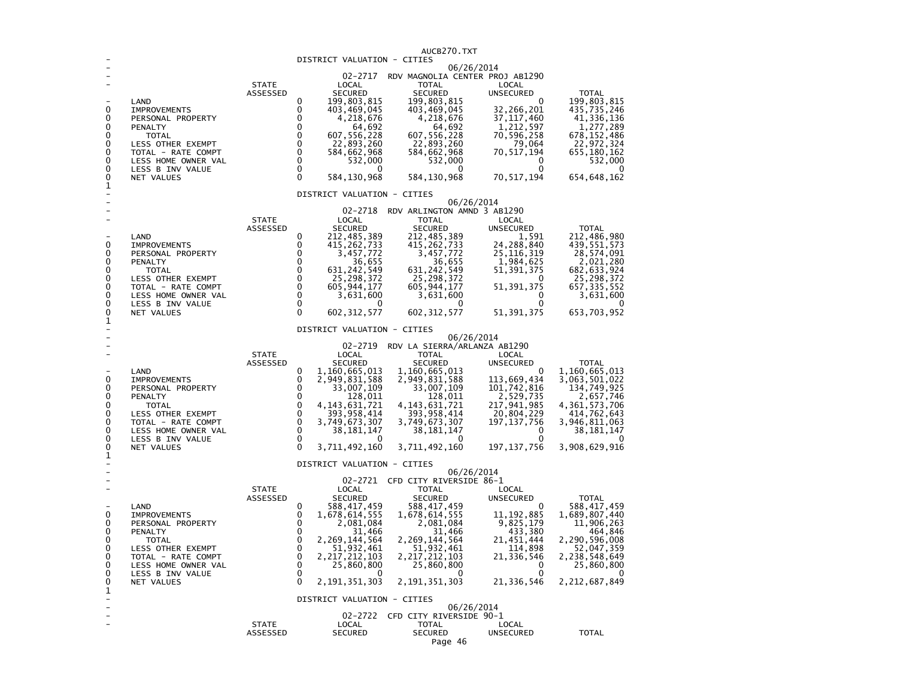|                              |                                         |                 |                                                             |            | AUCB270.TXT                                          |                              |                                |
|------------------------------|-----------------------------------------|-----------------|-------------------------------------------------------------|------------|------------------------------------------------------|------------------------------|--------------------------------|
|                              |                                         |                 | DISTRICT VALUATION - CITIES                                 |            | 06/26/2014                                           |                              |                                |
|                              |                                         |                 |                                                             |            | 02-2717 RDV MAGNOLIA CENTER PROJ AB1290              |                              |                                |
|                              |                                         | <b>STATE</b>    | LOCAL                                                       |            | <b>TOTAL</b>                                         | LOCAL                        |                                |
|                              | LAND                                    | ASSESSED        | <b>SECURED</b><br>$\Omega$                                  |            | <b>SECURED</b>                                       | UNSECURED<br>$\Omega$        | <b>TOTAL</b>                   |
| 0                            | <b>IMPROVEMENTS</b>                     |                 | 199,803,815<br>0<br>403,469,045                             |            | 199,803,815<br>403,469,045                           | 32,266,201                   | 199,803,815<br>435,735,246     |
| 0                            | PERSONAL PROPERTY                       |                 | 0<br>4,218,676                                              |            | 4,218,676                                            | 37, 117, 460                 | 41, 336, 136                   |
| 0                            | PENALTY                                 |                 | $\Omega$                                                    | 64,692     | 64,692                                               | $\frac{1}{2}$ , 212, 597     | 1,277,289                      |
| 0<br>0                       | <b>TOTAL</b>                            |                 | $\Omega$<br>607,556,228<br>$\mathbf 0$<br>22,893,260        |            | 607,556,228                                          | 70,596,258                   | 678, 152, 486                  |
| 0                            | LESS OTHER EXEMPT<br>TOTAL - RATE COMPT |                 | $\mathbf 0$<br>584,662,968                                  |            | 22,893,260<br>584,662,968                            | 79,064<br>70, 517, 194       | 22,972,324<br>655,180,162      |
| 0                            | LESS HOME OWNER VAL                     |                 | $\mathbf 0$                                                 | 532,000    | 532,000                                              | 0                            | 532,000                        |
| 0                            | LESS B INV VALUE                        |                 | 0                                                           | $^{\circ}$ | $^{\circ}$                                           | 0                            |                                |
| 0<br>$\overline{\mathbf{1}}$ | NET VALUES                              |                 | $\Omega$<br>584, 130, 968                                   |            | 584,130,968                                          | 70, 517, 194                 | 654, 648, 162                  |
|                              |                                         |                 | DISTRICT VALUATION - CITIES                                 |            |                                                      |                              |                                |
|                              |                                         |                 |                                                             |            | 06/26/2014                                           |                              |                                |
|                              |                                         |                 |                                                             |            | 02-2718 RDV ARLINGTON AMND 3 AB1290                  |                              |                                |
|                              |                                         | <b>STATE</b>    | LOCAL                                                       |            | <b>TOTAL</b>                                         | LOCAL                        |                                |
|                              | LAND                                    | ASSESSED        | <b>SECURED</b><br>0                                         |            | <b>SECURED</b>                                       | UNSECURED<br>1,591           | <b>TOTAL</b>                   |
| 0                            | IMPROVEMENTS                            |                 | 212, 485, 389<br>415, 262, 733<br>0                         |            | 212, 485, 389<br>415, 262, 733                       | 24,288,840                   | 212, 486, 980<br>439, 551, 573 |
| 0                            | PERSONAL PROPERTY                       |                 | $\Omega$<br>3,457,772                                       |            | 3,457,772                                            | 25, 116, 319                 | 28,574,091                     |
| 0<br>0                       | PENALTY                                 |                 | $\Omega$<br>$\mathbf 0$                                     | 36,655     | 36,655                                               | 1,984,625                    | 2,021,280                      |
| $\mathbf 0$                  | <b>TOTAL</b><br>LESS OTHER EXEMPT       |                 | 631, 242, 549<br>$\mathbf 0$<br>25,298,372                  |            | 631, 242, 549<br>25,298,372                          | 51, 391, 375                 | 682, 633, 924<br>25,298,372    |
| 0                            | TOTAL - RATE COMPT                      |                 | $\mathbf 0$<br>605, 944, 177                                |            | 605, 944, 177                                        | 51, 391, 375                 | 657, 335, 552                  |
| 0                            | LESS HOME OWNER VAL                     |                 | $\mathbf{0}$<br>3,631,600                                   |            | 3,631,600                                            | $\Omega$                     | 3,631,600                      |
| 0<br>0                       | LESS B INV VALUE                        |                 | $\mathbf 0$<br>$\Omega$                                     | 0          | 0<br>602, 312, 577                                   | $\Omega$<br>51, 391, 375     | 653,703,952                    |
| 1                            | NET VALUES                              |                 | 602, 312, 577                                               |            |                                                      |                              |                                |
|                              |                                         |                 | DISTRICT VALUATION - CITIES                                 |            |                                                      |                              |                                |
|                              |                                         |                 |                                                             |            | 06/26/2014                                           |                              |                                |
|                              |                                         | <b>STATE</b>    | LOCAL                                                       |            | 02-2719 RDV LA SIERRA/ARLANZA AB1290<br><b>TOTAL</b> | LOCAL                        |                                |
|                              |                                         | ASSESSED        | SECURED                                                     |            | <b>SECURED</b>                                       | UNSECURED                    | <b>TOTAL</b>                   |
|                              | LAND                                    |                 | 0<br>1,160,665,013                                          |            | 1,160,665,013                                        | 0                            | 1,160,665,013                  |
| 0                            | <b>IMPROVEMENTS</b>                     |                 | $\Omega$<br>2,949,831,588                                   |            | 2,949,831,588                                        | 113,669,434                  | 3,063,501,022                  |
| 0<br>0                       | PERSONAL PROPERTY<br>PENALTY            |                 | $\mathbf 0$<br>33,007,109<br>$\mathbf 0$                    | 128,011    | 33,007,109<br>128,011                                | 101, 742, 816<br>2,529,735   | 134,749,925<br>2,657,746       |
| 0                            | <b>TOTAL</b>                            |                 | $\mathbf 0$<br>4, 143, 631, 721                             |            | 4, 143, 631, 721                                     | 217,941,985                  | 4,361,573,706                  |
| 0                            | LESS OTHER EXEMPT                       |                 | $\mathbf 0$<br>393, 958, 414                                |            | 393, 958, 414                                        | 20,804,229                   | 414,762,643                    |
| 0<br>0                       | TOTAL - RATE COMPT                      |                 | $\mathbf 0$<br>3,749,673,307<br>$\mathbf 0$<br>38, 181, 147 |            | 3,749,673,307                                        | 197, 137, 756<br>$\Omega$    | 3,946,811,063                  |
| 0                            | LESS HOME OWNER VAL<br>LESS B INV VALUE |                 | $\mathbf 0$                                                 |            | 38, 181, 147                                         |                              | 38,181,147                     |
| 0                            | NET VALUES                              |                 | $\Omega$<br>3,711,492,160                                   |            | 3,711,492,160                                        | 197, 137, 756                | 3,908,629,916                  |
| 1                            |                                         |                 |                                                             |            |                                                      |                              |                                |
|                              |                                         |                 | DISTRICT VALUATION - CITIES                                 |            | 06/26/2014                                           |                              |                                |
|                              |                                         |                 |                                                             |            | 02-2721 CFD CITY RIVERSIDE 86-1                      |                              |                                |
|                              |                                         | <b>STATE</b>    | LOCAL                                                       |            | TOTAL                                                | LOCAL                        |                                |
|                              |                                         | <b>ASSESSED</b> | <b>SECURED</b><br>0                                         |            | <b>SECURED</b>                                       | <b>UNSECURED</b><br>$\Omega$ | <b>TOTAL</b>                   |
| 0                            | LAND<br><b>IMPROVEMENTS</b>             |                 | 588,417,459<br>0<br>1,678,614,555                           |            | 588, 417, 459<br>1,678,614,555                       | 11, 192, 885                 | 588, 417, 459<br>1,689,807,440 |
| 0                            | PERSONAL PROPERTY                       |                 | 0<br>2,081,084                                              |            | 2,081,084                                            | 9,825,179                    | 11,906,263                     |
| 0                            | PENALTY                                 |                 | $\mathbf 0$                                                 | 31,466     | 31,466                                               | 433,380                      | 464,846                        |
| 0<br>0                       | <b>TOTAL</b>                            |                 | $\mathbf 0$<br>2,269,144,564<br>$\mathbf 0$                 |            | 2,269,144,564                                        | 21,451,444                   | 2,290,596,008                  |
| 0                            | LESS OTHER EXEMPT<br>TOTAL - RATE COMPT |                 | 51,932,461<br>$\mathbf 0$<br>2, 217, 212, 103               |            | 51,932,461<br>2, 217, 212, 103                       | 114,898<br>21,336,546        | 52,047,359<br>2,238,548,649    |
| 0                            | LESS HOME OWNER VAL                     |                 | $\Omega$<br>25,860,800                                      |            | 25,860,800                                           | 0                            | 25,860,800                     |
| 0                            | LESS B INV VALUE                        |                 | $\Omega$                                                    |            | <sup>0</sup>                                         | $\Omega$                     |                                |
| 0<br>1                       | NET VALUES                              |                 | $\Omega$<br>2, 191, 351, 303                                |            | 2, 191, 351, 303                                     | 21,336,546                   | 2, 212, 687, 849               |
|                              |                                         |                 | DISTRICT VALUATION - CITIES                                 |            |                                                      |                              |                                |
|                              |                                         |                 |                                                             |            | 06/26/2014                                           |                              |                                |
|                              |                                         | <b>STATE</b>    | LOCAL                                                       |            | 02-2722 CFD CITY RIVERSIDE 90-1<br><b>TOTAL</b>      |                              |                                |
|                              |                                         | ASSESSED        | <b>SECURED</b>                                              |            | <b>SECURED</b>                                       | LOCAL<br><b>UNSECURED</b>    | <b>TOTAL</b>                   |
|                              |                                         |                 |                                                             |            | $\overline{ }$                                       |                              |                                |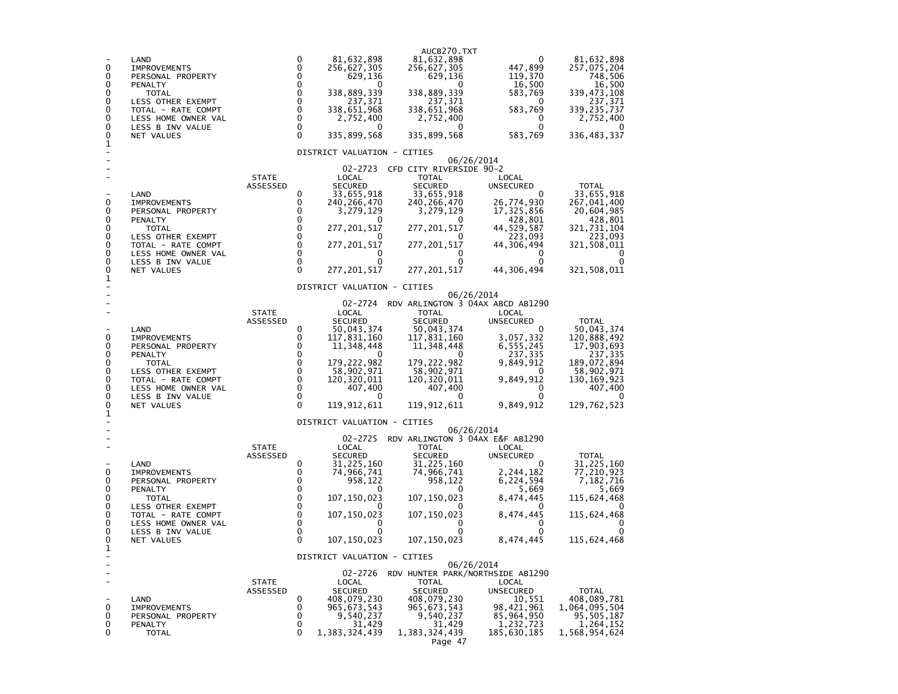| $\mathbf{0}$<br>0<br>0<br>0<br>0<br>0<br>0<br>0<br>0<br>1 | LAND<br><b>IMPROVEMENTS</b><br>PERSONAL PROPERTY<br>PENALTY<br><b>TOTAL</b><br>LESS OTHER EXEMPT<br>TOTAL - RATE COMPT<br>LESS HOME OWNER VAL<br>LESS B INV VALUE<br>NET VALUES |                          | $\mathbf 0$<br>81,632,898<br>$\Omega$<br>256,627,305<br>$\Omega$<br>629,136<br>0<br>$\mathbf 0$<br>338,889,339<br>0<br>237,371<br>$\mathbf 0$<br>338,651,968<br>$\mathbf 0$<br>2,752,400<br>0<br>0<br>$\mathbf{0}$<br>335,899,568<br>DISTRICT VALUATION - CITIES                                                            | AUCB270.TXT<br>81,632,898<br>256,627,305<br>629,136<br>338,889,339<br>237,371<br>338,651,968<br>2,752,400<br>0<br>335,899,568                                                           | 0<br>447,899<br>119,370<br>16,500<br>583,769<br>0<br>583,769<br>0<br>$\Omega$<br>583,769                                                           | 81,632,898<br>257,075,204<br>748,506<br>16,500<br>339,473,108<br>237,371<br>339,235,737<br>2,752,400<br>0<br>336, 483, 337               |
|-----------------------------------------------------------|---------------------------------------------------------------------------------------------------------------------------------------------------------------------------------|--------------------------|-----------------------------------------------------------------------------------------------------------------------------------------------------------------------------------------------------------------------------------------------------------------------------------------------------------------------------|-----------------------------------------------------------------------------------------------------------------------------------------------------------------------------------------|----------------------------------------------------------------------------------------------------------------------------------------------------|------------------------------------------------------------------------------------------------------------------------------------------|
| 0<br>0<br>0<br>0<br>0<br>0<br>0<br>0<br>0                 | LAND<br><b>IMPROVEMENTS</b><br>PERSONAL PROPERTY<br>PENALTY<br><b>TOTAL</b><br>LESS OTHER EXEMPT<br>TOTAL - RATE COMPT<br>LESS HOME OWNER VAL<br>LESS B INV VALUE<br>NET VALUES | <b>STATE</b><br>ASSESSED | 02-2723<br>LOCAL<br><b>SECURED</b><br>0<br>33,655,918<br>0<br>240,266,470<br>0<br>3,279,129<br>$\mathbf 0$<br>$\mathbf 0$<br>277,201,517<br>$\Omega$<br>$\Omega$<br>277,201,517<br>$\Omega$<br>0<br>$\Omega$<br>$\Omega$<br>$\Omega$<br>277,201,517                                                                         | CFD CITY RIVERSIDE 90-2<br>TOTAL<br><b>SECURED</b><br>33,655,918<br>240, 266, 470<br>3,279,129<br>$\Omega$<br>277, 201, 517<br>277,201,517<br>0<br>0<br>277, 201, 517                   | 06/26/2014<br>LOCAL<br>UNSECURED<br>$\Omega$<br>26,774,930<br>17,325,856<br>428,801<br>44,529,587<br>223,093<br>44,306,494<br>0<br>0<br>44,306,494 | <b>TOTAL</b><br>33,655,918<br>267,041,400<br>20,604,985<br>428,801<br>321,731,104<br>223,093<br>321,508,011<br>0<br>0<br>321,508,011     |
| 1                                                         |                                                                                                                                                                                 |                          | DISTRICT VALUATION - CITIES                                                                                                                                                                                                                                                                                                 |                                                                                                                                                                                         | 06/26/2014                                                                                                                                         |                                                                                                                                          |
| 0<br>0<br>0<br>0<br>0<br>0<br>0<br>0<br>0<br>1            | LAND<br><b>IMPROVEMENTS</b><br>PERSONAL PROPERTY<br>PENALTY<br><b>TOTAL</b><br>LESS OTHER EXEMPT<br>TOTAL - RATE COMPT<br>LESS HOME OWNER VAL<br>LESS B INV VALUE<br>NET VALUES | <b>STATE</b><br>ASSESSED | 02-2724<br>LOCAL<br><b>SECURED</b><br>50,043,374<br>0<br>0<br>117,831,160<br>0<br>11,348,448<br>$\Omega$<br>0<br>$\mathbf 0$<br>179,222,982<br>$\mathbf 0$<br>58,902,971<br>$\mathbf 0$<br>120,320,011<br>$\mathbf 0$<br>407,400<br>$\mathbf 0$<br>$^{\circ}$<br>$\mathbf{0}$<br>119,912,611<br>DISTRICT VALUATION - CITIES | RDV ARLINGTON 3 04AX ABCD AB1290<br>TOTAL<br><b>SECURED</b><br>50,043,374<br>117,831,160<br>11, 348, 448<br>0<br>179, 222, 982<br>58,902,971<br>120, 320, 011<br>407,400<br>119,912,611 | LOCAL<br>UNSECURED<br>0<br>3,057,332<br>6,555,245<br>237,335<br>9,849,912<br>0<br>9,849,912<br>0<br>0<br>9,849,912                                 | <b>TOTAL</b><br>50,043,374<br>120,888,492<br>17,903,693<br>237,335<br>189.072.894<br>58,902,971<br>130,169,923<br>407,400<br>129,762,523 |
| 0<br>0<br>0<br>0<br>0<br>0<br>0<br>0<br>0<br>1            | LAND<br>IMPROVEMENTS<br>PERSONAL PROPERTY<br>PENALTY<br><b>TOTAL</b><br>LESS OTHER EXEMPT<br>TOTAL - RATE COMPT<br>LESS HOME OWNER VAL<br>LESS B INV VALUE<br>NET VALUES        | <b>STATE</b><br>ASSESSED | 02-2725<br>LOCAL<br><b>SECURED</b><br>0<br>31,225,160<br>$\Omega$<br>74,966,741<br>0<br>958,122<br>$\Omega$<br>$\Omega$<br>107,150,023<br>0<br>0<br>107,150,023<br>0<br>0<br>0<br>0<br>$\Omega$<br>107, 150, 023                                                                                                            | RDV ARLINGTON 3 04AX E&F AB1290<br>TOTAL<br><b>SECURED</b><br>31, 225, 160<br>74,966,741<br>958,122<br>0<br>107, 150, 023<br>107, 150, 023<br>0<br>107, 150, 023                        | 06/26/2014<br>LOCAL<br><b>UNSECURED</b><br>0<br>2,244,182<br>6,224,594<br>5,669<br>8,474,445<br>0<br>8,474,445<br>0<br>0<br>8,474,445              | TOTAL<br>31,225,160<br>77,210,923<br>7,182,716<br>5,669<br>115,624,468<br>115,624,468<br>0<br>0<br>115,624,468                           |
| ۰<br>$\overline{\phantom{0}}$<br>0<br>0<br>0<br>0         | LAND<br><b>IMPROVEMENTS</b><br>PERSONAL PROPERTY<br>PENALTY<br><b>TOTAL</b>                                                                                                     | <b>STATE</b><br>ASSESSED | DISTRICT VALUATION - CITIES<br>02-2726<br>LOCAL<br><b>SECURED</b><br>0<br>408,079,230<br>0<br>965,673,543<br>0<br>9,540,237<br>0<br>31,429<br>$\Omega$<br>1,383,324,439                                                                                                                                                     | RDV HUNTER PARK/NORTHSIDE AB1290<br><b>TOTAL</b><br><b>SECURED</b><br>408,079,230<br>965, 673, 543<br>9,540,237<br>31,429<br>1,383,324,439<br>Page 47                                   | 06/26/2014<br>LOCAL<br>UNSECURED<br>10,551<br>98,421,961<br>85,964,950<br>1,232,723<br>185,630,185                                                 | <b>TOTAL</b><br>408,089,781<br>1,064,095,504<br>95,505,187<br>1,264,152<br>1,568,954,624                                                 |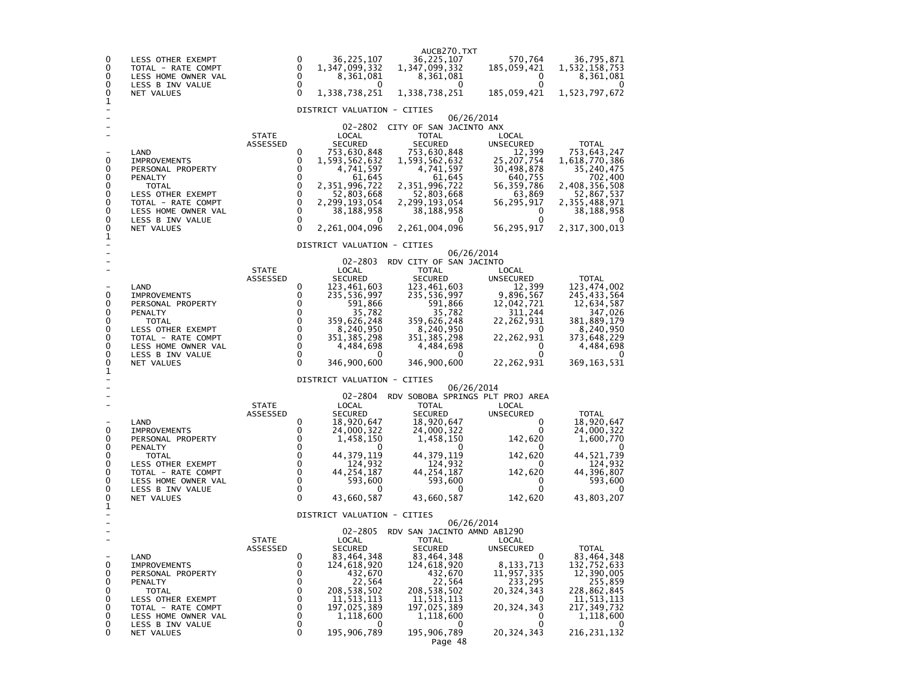| 0<br>0<br>0<br>0<br>0                          | LESS OTHER EXEMPT<br>TOTAL - RATE COMPT<br>LESS HOME OWNER VAL<br>LESS B INV VALUE<br>NET VALUES                                                                                       |                          | 0<br>0<br>0<br>0<br>$\Omega$                                                               | 36,225,107<br>1,347,099,332<br>8,361,081<br>0<br>1,338,738,251                                                                                                                                          | AUCB270.TXT<br>36, 225, 107<br>1,347,099,332<br>8,361,081<br>0<br>1,338,738,251                                                                                                                           | 570,764<br>185,059,421<br>0<br>$\Omega$<br>185,059,421                                                                                          | 36,795,871<br>1,532,158,753<br>8,361,081<br>0<br>1,523,797,672                                                                                       |
|------------------------------------------------|----------------------------------------------------------------------------------------------------------------------------------------------------------------------------------------|--------------------------|--------------------------------------------------------------------------------------------|---------------------------------------------------------------------------------------------------------------------------------------------------------------------------------------------------------|-----------------------------------------------------------------------------------------------------------------------------------------------------------------------------------------------------------|-------------------------------------------------------------------------------------------------------------------------------------------------|------------------------------------------------------------------------------------------------------------------------------------------------------|
| 1                                              |                                                                                                                                                                                        |                          |                                                                                            | DISTRICT VALUATION - CITIES                                                                                                                                                                             |                                                                                                                                                                                                           |                                                                                                                                                 |                                                                                                                                                      |
| 0<br>0<br>0<br>0<br>0<br>0<br>0<br>0<br>0<br>1 | LAND<br><b>IMPROVEMENTS</b><br>PERSONAL PROPERTY<br>PENALTY<br><b>TOTAL</b><br>LESS OTHER EXEMPT<br>TOTAL - RATE COMPT<br>LESS HOME OWNER VAL<br>LESS B INV VALUE<br>NET VALUES        | <b>STATE</b><br>ASSESSED | 0<br>0<br>$\Omega$<br>$\mathbf 0$<br>0<br>$\mathbf 0$<br>0<br>$\mathbf 0$<br>0<br>$\Omega$ | 02-2802<br>LOCAL<br><b>SECURED</b><br>753,630,848<br>1,593,562,632<br>4,741,597<br>61,645<br>2,351,996,722<br>52,803,668<br>2,299,193,054<br>38,188,958<br>2,261,004,096<br>DISTRICT VALUATION - CITIES | CITY OF SAN JACINTO ANX<br><b>TOTAL</b><br><b>SECURED</b><br>753,630,848<br>1,593,562,632<br>4,741,597<br>61,645<br>2,351,996,722<br>52,803,668<br>2,299,193,054<br>38,188,958<br>0<br>2, 261, 004, 096   | 06/26/2014<br>LOCAL<br>UNSECURED<br>12,399<br>25,207,754<br>30,498,878<br>640,755<br>56,359,786<br>63,869<br>56,295,917<br>0<br>0<br>56,295,917 | <b>TOTAL</b><br>753,643,247<br>1,618,770,386<br>35,240,475<br>702,400<br>2,408,356,508<br>52,867,537<br>2,355,488,971<br>38,188,958<br>2,317,300,013 |
|                                                |                                                                                                                                                                                        |                          |                                                                                            |                                                                                                                                                                                                         |                                                                                                                                                                                                           | 06/26/2014                                                                                                                                      |                                                                                                                                                      |
| 0<br>0<br>0<br>0<br>0<br>0<br>0<br>0<br>0<br>1 | LAND<br><b>IMPROVEMENTS</b><br>PERSONAL PROPERTY<br><b>PENALTY</b><br><b>TOTAL</b><br>LESS OTHER EXEMPT<br>TOTAL - RATE COMPT<br>LESS HOME OWNER VAL<br>LESS B INV VALUE<br>NET VALUES | <b>STATE</b><br>ASSESSED | 0<br>0<br>0<br>0<br>0<br>0<br>0<br>$\mathbf 0$<br>$\mathbf 0$<br>$\Omega$                  | 02-2803<br>LOCAL<br><b>SECURED</b><br>123,461,603<br>235,536,997<br>591,866<br>35,782<br>359,626,248<br>8,240,950<br>351,385,298<br>4,484,698<br>0<br>346,900,600                                       | RDV CITY OF SAN JACINTO<br><b>TOTAL</b><br><b>SECURED</b><br>123,461,603<br>235,536,997<br>591,866<br>35,782<br>359,626,248<br>8,240,950<br>351,385,298<br>4,484,698<br>0<br>346,900,600                  | LOCAL<br>UNSECURED<br>12,399<br>9,896,567<br>12,042,721<br>311,244<br>22,262,931<br>0<br>22,262,931<br>0<br>0<br>22,262,931                     | <b>TOTAL</b><br>123,474,002<br>245,433,564<br>12,634,587<br>347,026<br>381,889,179<br>8,240,950<br>373,648,229<br>4,484,698<br>369,163,531           |
|                                                |                                                                                                                                                                                        |                          |                                                                                            | DISTRICT VALUATION - CITIES                                                                                                                                                                             |                                                                                                                                                                                                           | 06/26/2014                                                                                                                                      |                                                                                                                                                      |
| 0<br>0<br>0<br>0<br>0<br>0<br>0<br>0<br>0<br>1 | LAND<br><b>IMPROVEMENTS</b><br>PERSONAL PROPERTY<br>PENALTY<br><b>TOTAL</b><br>LESS OTHER EXEMPT<br>TOTAL - RATE COMPT<br>LESS HOME OWNER VAL<br>LESS B INV VALUE<br>NET VALUES        | <b>STATE</b><br>ASSESSED | 0<br>0<br>0<br>0<br>0<br>$\mathbf 0$<br>0<br>0<br>0<br>$\Omega$                            | 02-2804<br>LOCAL<br><b>SECURED</b><br>18,920,647<br>24,000,322<br>1,458,150<br>44,379,119<br>124,932<br>44,254,187<br>593,600<br>0<br>43,660,587                                                        | RDV SOBOBA SPRINGS PLT PROJ AREA<br>TOTAL<br><b>SECURED</b><br>18,920,647<br>24,000,322<br>1,458,150<br>44, 379, 119<br>124,932<br>44,254,187<br>593,600<br>0<br>43,660,587                               | LOCAL<br>UNSECURED<br>0<br>0<br>142,620<br>O<br>142,620<br>0<br>142,620<br>0<br>0<br>142,620                                                    | <b>TOTAL</b><br>18,920,647<br>24,000,322<br>1,600,770<br>44,521,739<br>124,932<br>44,396,807<br>593,600<br>$\mathbf{U}$<br>43,803,207                |
|                                                |                                                                                                                                                                                        |                          |                                                                                            | DISTRICT VALUATION - CITIES                                                                                                                                                                             |                                                                                                                                                                                                           |                                                                                                                                                 |                                                                                                                                                      |
| ÷<br>0<br>0<br>0<br>0<br>0<br>0<br>0<br>0<br>0 | LAND<br><b>IMPROVEMENTS</b><br>PERSONAL PROPERTY<br>PENALTY<br><b>TOTAL</b><br>LESS OTHER EXEMPT<br>TOTAL - RATE COMPT<br>LESS HOME OWNER VAL<br>LESS B INV VALUE<br>NET VALUES        | <b>STATE</b><br>ASSESSED | 0<br>0<br>0<br>0<br>$\mathbf 0$<br>0<br>0<br>0<br>0<br>0                                   | 02-2805<br>LOCAL<br><b>SECURED</b><br>83,464,348<br>124,618,920<br>432,670<br>22,564<br>208, 538, 502<br>11,513,113<br>197,025,389<br>1,118,600<br>195,906,789                                          | RDV SAN JACINTO AMND AB1290<br><b>TOTAL</b><br><b>SECURED</b><br>83,464,348<br>124,618,920<br>432,670<br>22,564<br>208, 538, 502<br>11,513,113<br>197,025,389<br>1,118,600<br>0<br>195,906,789<br>Page 48 | 06/26/2014<br>LOCAL<br><b>UNSECURED</b><br>0<br>8,133,713<br>11,957,335<br>233,295<br>20,324,343<br>0<br>20, 324, 343<br>0<br>0<br>20, 324, 343 | <b>TOTAL</b><br>83,464,348<br>132,752,633<br>12,390,005<br>255,859<br>228,862,845<br>11,513,113<br>217, 349, 732<br>1,118,600<br>216, 231, 132       |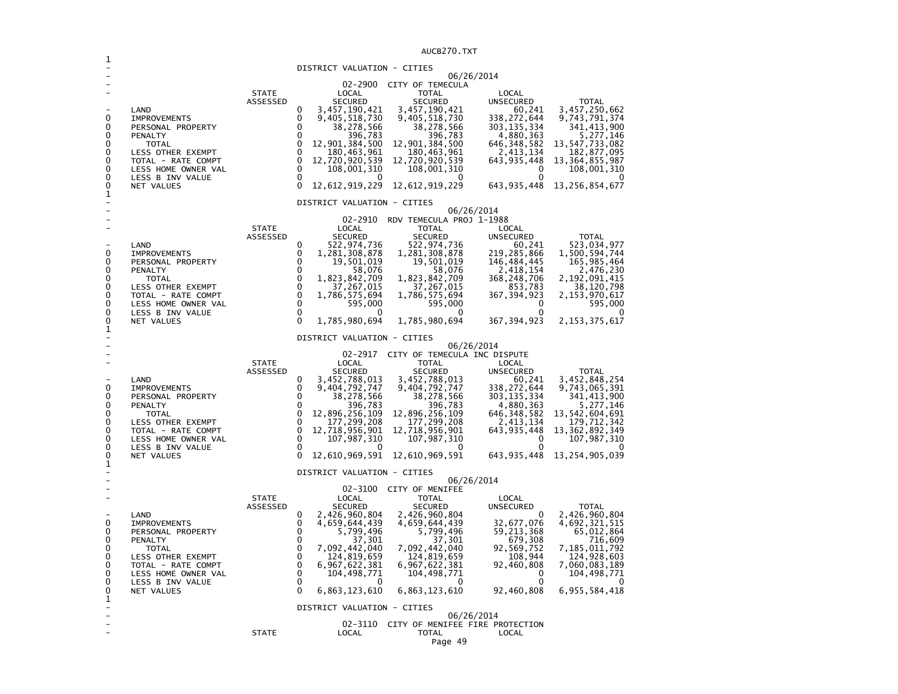|                          |                                           |              |                                                             | AUCBZ7U.IXI                                           |                            |                                    |
|--------------------------|-------------------------------------------|--------------|-------------------------------------------------------------|-------------------------------------------------------|----------------------------|------------------------------------|
|                          |                                           |              | DISTRICT VALUATION - CITIES                                 |                                                       |                            |                                    |
|                          |                                           |              |                                                             | 06/26/2014                                            |                            |                                    |
|                          |                                           | <b>STATE</b> | $02 - 2900$<br>LOCAL                                        | CITY OF TEMECULA<br><b>TOTAL</b>                      | LOCAL                      |                                    |
|                          |                                           | ASSESSED     | <b>SECURED</b>                                              | <b>SECURED</b>                                        | <b>UNSECURED</b>           | <b>TOTAL</b>                       |
|                          | LAND                                      |              | 0<br>3,457,190,421                                          | 3,457,190,421                                         | 60,241                     | 3,457,250,662                      |
| 0                        | <b>IMPROVEMENTS</b>                       |              | 0<br>9,405,518,730                                          | 9,405,518,730                                         | 338,272,644                | 9,743,791,374                      |
| 0<br>0                   | PERSONAL PROPERTY<br>PENALTY              |              | 0<br>38,278,566<br>0<br>396,783                             | 38,278,566<br>396,783                                 | 303, 135, 334<br>4,880,363 | 341, 413, 900<br>5, 277, 146       |
| 0                        | <b>TOTAL</b>                              |              | 0<br>12,901,384,500                                         | 12,901,384,500                                        | 646, 348, 582              | 13,547,733,082                     |
| 0                        | LESS OTHER EXEMPT                         |              | 0<br>180,463,961                                            | 180,463,961                                           | 2,413,134                  | 182,877,095                        |
| 0<br>0                   | TOTAL - RATE COMPT<br>LESS HOME OWNER VAL |              | $\mathbf 0$<br>12,720,920,539<br>$\mathbf 0$<br>108,001,310 | 12,720,920,539<br>108,001,310                         | 643, 935, 448<br>0         | 13, 364, 855, 987<br>108,001,310   |
| 0                        | LESS B INV VALUE                          |              | 0<br>0                                                      | 0                                                     | $\Omega$                   |                                    |
| 0<br>1                   | NET VALUES                                |              | 0<br>12,612,919,229                                         | 12,612,919,229                                        | 643, 935, 448              | 13, 256, 854, 677                  |
|                          |                                           |              | DISTRICT VALUATION - CITIES                                 | 06/26/2014                                            |                            |                                    |
|                          |                                           |              | 02-2910                                                     | RDV TEMECULA PROJ 1-1988                              |                            |                                    |
|                          |                                           | <b>STATE</b> | LOCAL                                                       | <b>TOTAL</b>                                          | LOCAL                      |                                    |
|                          |                                           | ASSESSED     | <b>SECURED</b><br>0                                         | <b>SECURED</b>                                        | <b>UNSECURED</b>           | <b>TOTAL</b>                       |
| 0                        | LAND<br><b>IMPROVEMENTS</b>               |              | 522,974,736<br>1,281,308,878<br>0                           | 522,974,736<br>1,281,308,878                          | 60,241<br>219, 285, 866    | 523,034,977<br>1,500,594,744       |
| 0                        | PERSONAL PROPERTY                         |              | 0<br>19,501,019                                             | 19,501,019                                            | 146,484,445                | 165,985,464                        |
| 0<br>0                   | PENALTY                                   |              | 0<br>58,076<br>0<br>1,823,842,709                           | 58,076                                                | 2,418,154                  | 2,476,230                          |
| 0                        | TOTAL<br><b>LESS OTHER EXEMPT</b>         |              | 0<br>37,267,015                                             | 1,823,842,709<br>37,267,015                           | 368, 248, 706<br>853,783   | 2,192,091,415<br>38,120,798        |
| 0                        | TOTAL - RATE COMPT                        |              | $\mathbf 0$<br>1,786,575,694                                | 1,786,575,694                                         | 367, 394, 923              | 2,153,970,617                      |
| 0<br>0                   | LESS HOME OWNER VAL<br>LESS B INV VALUE   |              | 0<br>595,000<br>0<br>0                                      | 595,000<br>0                                          | 0<br>$\Omega$              | 595,000                            |
| 0<br>1                   | NET VALUES                                |              | $\Omega$<br>1,785,980,694                                   | 1,785,980,694                                         | 367, 394, 923              | 2, 153, 375, 617                   |
|                          |                                           |              | DISTRICT VALUATION - CITIES                                 | 06/26/2014                                            |                            |                                    |
|                          |                                           |              | 02-2917                                                     | CITY OF TEMECULA INC DISPUTE                          |                            |                                    |
|                          |                                           | <b>STATE</b> | LOCAL                                                       | <b>TOTAL</b>                                          | LOCAL                      |                                    |
|                          | LAND                                      | ASSESSED     | <b>SECURED</b><br>0<br>3,452,788,013                        | <b>SECURED</b><br>3,452,788,013                       | <b>UNSECURED</b><br>60,241 | <b>TOTAL</b><br>3,452,848,254      |
| 0                        | <b>IMPROVEMENTS</b>                       |              | 0<br>9,404,792,747                                          | 9,404,792,747                                         | 338, 272, 644              | 9,743,065,391                      |
| 0<br>0                   | PERSONAL PROPERTY                         |              | 0<br>38,278,566<br>0                                        | 38,278,566                                            | 303, 135, 334              | 341,413,900                        |
| 0                        | PENALTY<br>TOTAL                          |              | 396,783<br>0<br>12,896,256,109                              | 396,783<br>12,896,256,109                             | 4,880,363<br>646, 348, 582 | 5,277,146<br>13,542,604,691        |
| 0                        | LESS OTHER EXEMPT                         |              | 0<br>177,299,208                                            | 177,299,208                                           | 2,413,134                  | 179,712,342                        |
| 0<br>0                   | TOTAL - RATE COMPT<br>LESS HOME OWNER VAL |              | 0<br>12,718,956,901<br>0<br>107,987,310                     | 12,718,956,901<br>107,987,310                         | 643, 935, 448<br>0         | 13, 362, 892, 349<br>107, 987, 310 |
| 0                        | LESS B INV VALUE                          |              | 0<br>0                                                      | 0                                                     | 0                          |                                    |
| 0<br>1                   | NET VALUES                                |              | 0<br>12,610,969,591                                         | 12,610,969,591                                        | 643,935,448                | 13, 254, 905, 039                  |
|                          |                                           |              | DISTRICT VALUATION - CITIES                                 |                                                       |                            |                                    |
|                          |                                           |              | 02-3100                                                     | 06/26/2014<br>CITY OF MENIFEE                         |                            |                                    |
|                          |                                           | <b>STATE</b> | LOCAL                                                       | <b>TOTAL</b>                                          | LOCAL                      |                                    |
|                          |                                           | ASSESSED     | <b>SECURED</b>                                              | <b>SECURED</b>                                        | UNSECURED<br>0             | <b>TOTAL</b>                       |
| 0                        | LAND<br><b>IMPROVEMENTS</b>               |              | 0<br>2,426,960,804<br>0<br>4,659,644,439                    | 2,426,960,804<br>4,659,644,439                        | 32,677,076                 | 2,426,960,804<br>4,692,321,515     |
| 0                        | PERSONAL PROPERTY                         |              | 0<br>5,799,496                                              | 5,799,496                                             | 59, 213, 368               | 65,012,864                         |
| 0<br>0                   | PENALTY                                   |              | 0<br>37,301<br>0<br>7,092,442,040                           | 37,301<br>7,092,442,040                               | 679,308<br>92,569,752      | 716,609                            |
| 0                        | TOTAL<br>LESS OTHER EXEMPT                |              | 0<br>124,819,659                                            | 124,819,659                                           | 108,944                    | 7,185,011,792<br>124,928,603       |
| 0                        | TOTAL - RATE COMPT                        |              | 0<br>6,967,622,381                                          | 6,967,622,381                                         | 92,460,808                 | 7,060,083,189                      |
| 0<br>0                   | LESS HOME OWNER VAL<br>LESS B INV VALUE   |              | 0<br>104,498,771<br>0<br>$\Omega$                           | 104,498,771<br>0                                      | 0<br>0                     | 104,498,771                        |
| 0<br>1                   | NET VALUES                                |              | 0<br>6,863,123,610                                          | 6,863,123,610                                         | 92,460,808                 | 6,955,584,418                      |
| $\overline{\phantom{m}}$ |                                           |              | DISTRICT VALUATION - CITIES                                 |                                                       |                            |                                    |
|                          |                                           |              |                                                             | 06/26/2014<br>02-3110 CITY OF MENIFEE FIRE PROTECTION |                            |                                    |
|                          |                                           | <b>STATE</b> | LOCAL                                                       | <b>TOTAL</b>                                          | LOCAL                      |                                    |
|                          |                                           |              |                                                             | Page 49                                               |                            |                                    |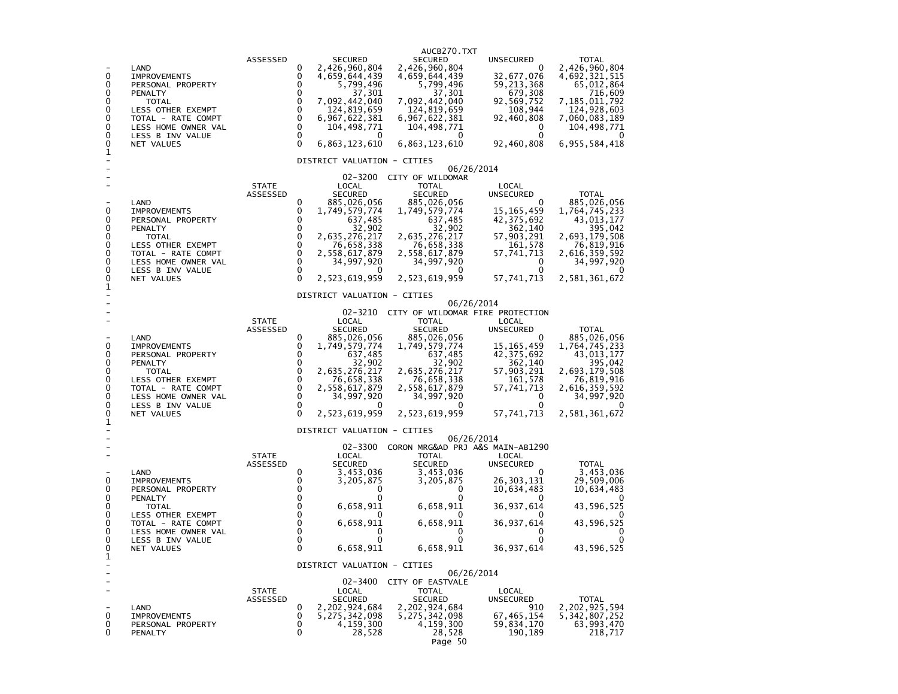| 0<br>0<br>0<br>0<br>0<br>0<br>0<br>0<br>0<br>1      | LAND<br><b>IMPROVEMENTS</b><br>PERSONAL PROPERTY<br>PENALTY<br><b>TOTAL</b><br>LESS OTHER EXEMPT<br>TOTAL - RATE COMPT<br>LESS HOME OWNER VAL<br>LESS B INV VALUE<br>NET VALUES | ASSESSED                 | 0<br>0<br>0<br>0<br>0<br>0<br>0<br>$\mathbf 0$<br>$\Omega$<br>$\Omega$                     | <b>SECURED</b><br>2,426,960,804<br>4,659,644,439<br>5,799,496<br>37,301<br>7,092,442,040<br>124,819,659<br>6,967,622,381<br>104,498,771<br>6,863,123,610<br>DISTRICT VALUATION - CITIES | AUCB270.TXT<br><b>SECURED</b><br>2,426,960,804<br>4,659,644,439<br>5,799,496<br>37,301<br>7,092,442,040<br>124,819,659<br>6,967,622,381<br>104,498,771<br>6,863,123,610                                 | UNSECURED<br>0<br>32,677,076<br>59,213,368<br>679,308<br>92,569,752<br>108,944<br>92,460,808<br>0<br>0<br>92,460,808                                 | <b>TOTAL</b><br>2,426,960,804<br>4,692,321,515<br>65,012,864<br>716,609<br>7,185,011,792<br>124,928,603<br>7,060,083,189<br>104,498,771<br>6,955,584,418             |
|-----------------------------------------------------|---------------------------------------------------------------------------------------------------------------------------------------------------------------------------------|--------------------------|--------------------------------------------------------------------------------------------|-----------------------------------------------------------------------------------------------------------------------------------------------------------------------------------------|---------------------------------------------------------------------------------------------------------------------------------------------------------------------------------------------------------|------------------------------------------------------------------------------------------------------------------------------------------------------|----------------------------------------------------------------------------------------------------------------------------------------------------------------------|
| 0<br>0<br>0<br>0<br>0<br>0<br>0<br>0<br>0           | LAND<br><b>IMPROVEMENTS</b><br>PERSONAL PROPERTY<br>PENALTY<br><b>TOTAL</b><br>LESS OTHER EXEMPT<br>TOTAL - RATE COMPT<br>LESS HOME OWNER VAL<br>LESS B INV VALUE<br>NET VALUES | <b>STATE</b><br>ASSESSED | 0<br>0<br>0<br>0<br>$\mathbf 0$<br>0<br>$\mathbf 0$<br>$\mathbf 0$<br>0<br>$\Omega$        | 02-3200<br>LOCAL<br><b>SECURED</b><br>885,026,056<br>1,749,579,774<br>637,485<br>32,902<br>2,635,276,217<br>76,658,338<br>2,558,617,879<br>34,997,920<br>2,523,619,959                  | CITY OF WILDOMAR<br><b>TOTAL</b><br><b>SECURED</b><br>885,026,056<br>1,749,579,774<br>637,485<br>32,902<br>2,635,276,217<br>76,658,338<br>2,558,617,879<br>34,997,920<br>2,523,619,959                  | 06/26/2014<br>LOCAL<br><b>UNSECURED</b><br>0<br>15, 165, 459<br>42,375,692<br>362,140<br>57,903,291<br>161,578<br>57,741,713<br>0<br>0<br>57,741,713 | <b>TOTAL</b><br>885,026,056<br>1,764,745,233<br>43,013,177<br>395,042<br>2,693,179,508<br>76,819,916<br>2,616,359,592<br>34,997,920<br>$\mathbf{U}$<br>2,581,361,672 |
| 1<br>0<br>0<br>0<br>0<br>0<br>0<br>0<br>0<br>0<br>1 | LAND<br><b>IMPROVEMENTS</b><br>PERSONAL PROPERTY<br>PENALTY<br><b>TOTAL</b><br>LESS OTHER EXEMPT<br>TOTAL - RATE COMPT<br>LESS HOME OWNER VAL<br>LESS B INV VALUE<br>NET VALUES | <b>STATE</b><br>ASSESSED | 0<br>0<br>$\Omega$<br>0<br>$\mathbf 0$<br>$\mathbf 0$<br>$\mathbf 0$<br>0<br>0<br>$\Omega$ | DISTRICT VALUATION - CITIES<br>LOCAL<br>SECURED<br>885,026,056<br>1,749,579,774<br>637,485<br>32,902<br>2,635,276,217<br>76,658,338<br>2,558,617,879<br>34,997,920<br>2,523,619,959     | 02-3210 CITY OF WILDOMAR FIRE PROTECTION<br>TOTAL<br><b>SECURED</b><br>885,026,056<br>1,749,579,774<br>637,485<br>32,902<br>2,635,276,217<br>76,658,338<br>2,558,617,879<br>34,997,920<br>2,523,619,959 | 06/26/2014<br>LOCAL<br>UNSECURED<br>0<br>15, 165, 459<br>42, 375, 692<br>362,140<br>57,903,291<br>161,578<br>57,741,713<br>0<br>0<br>57,741,713      | <b>TOTAL</b><br>885,026,056<br>1,764,745,233<br>43,013,177<br>395,042<br>2,693,179,508<br>76,819,916<br>2,616,359,592<br>34,997,920<br>2,581,361,672                 |
| 0<br>0<br>0<br>0<br>0<br>0<br>0<br>0<br>0<br>1      | LAND<br><b>IMPROVEMENTS</b><br>PERSONAL PROPERTY<br>PENALTY<br><b>TOTAL</b><br>LESS OTHER EXEMPT<br>TOTAL - RATE COMPT<br>LESS HOME OWNER VAL<br>LESS B INV VALUE<br>NET VALUES | <b>STATE</b><br>ASSESSED | 0<br>0<br>0<br>0<br>0<br>0<br>0<br>0<br>$\mathbf 0$<br>$\Omega$                            | DISTRICT VALUATION - CITIES<br>02-3300<br>LOCAL<br><b>SECURED</b><br>3,453,036<br>3,205,875<br>0<br>6,658,911<br>6,658,911<br>U<br>0<br>6,658,911                                       | CORON MRG&AD PRJ A&S MAIN-AB1290<br>TOTAL<br><b>SECURED</b><br>3,453,036<br>3,205,875<br>0<br>n<br>6,658,911<br>6,658,911<br>0<br>0<br>6,658,911                                                        | 06/26/2014<br>LOCAL<br><b>UNSECURED</b><br>0<br>26,303,131<br>10,634,483<br>$\Omega$<br>36, 937, 614<br>36,937,614<br>0<br>0<br>36, 937, 614         | <b>TOTAL</b><br>3,453,036<br>29,509,006<br>10,634,483<br>$\mathbf{O}$<br>43,596,525<br>43,596,525<br>0<br>0<br>43,596,525                                            |
| ۰<br>0<br>0<br>0                                    | LAND<br><b>IMPROVEMENTS</b><br>PERSONAL PROPERTY<br><b>PENALTY</b>                                                                                                              | <b>STATE</b><br>ASSESSED | 0<br>0<br>0<br>0                                                                           | DISTRICT VALUATION - CITIES<br>LOCAL<br><b>SECURED</b><br>2,202,924,684<br>5, 275, 342, 098<br>4,159,300<br>28,528                                                                      | 02-3400 CITY OF EASTVALE<br><b>TOTAL</b><br><b>SECURED</b><br>2,202,924,684<br>5, 275, 342, 098<br>4, 159, 300<br>28,528<br>Page 50                                                                     | 06/26/2014<br>LOCAL<br>UNSECURED<br>910<br>67, 465, 154<br>59,834,170<br>190,189                                                                     | <b>TOTAL</b><br>2,202,925,594<br>5, 342, 807, 252<br>63,993,470<br>218,717                                                                                           |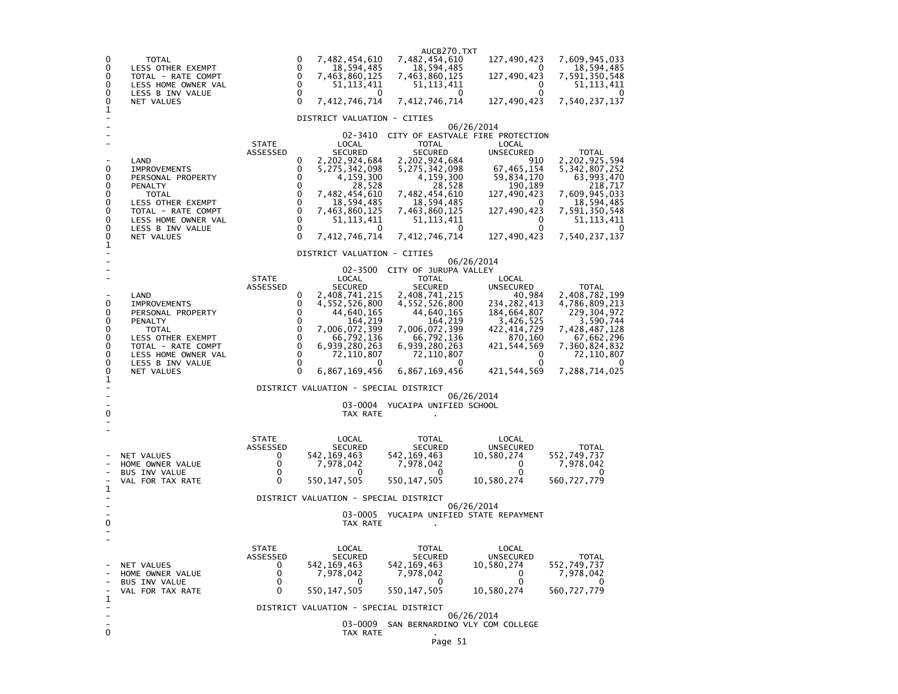| 0<br>0<br>0<br>0<br>0<br>0<br>1                     | <b>TOTAL</b><br>LESS OTHER EXEMPT<br>TOTAL - RATE COMPT<br>LESS HOME OWNER VAL<br>LESS B INV VALUE<br><b>NET VALUES</b>                                                                |                                                                            | $\Omega$<br>7,482,454,610<br>0<br>18,594,485<br>0<br>7,463,860,125<br>0<br>51,113,411<br>$\Omega$<br>$\Omega$<br>0<br>7,412,746,714                                                                                                                                                                                           | AUCB270.TXT<br>7,482,454,610<br>18,594,485<br>7,463,860,125<br>51,113,411<br>O<br>7,412,746,714                                                                                                                                                  | 127,490,423<br>$\mathbf{0}$<br>127,490,423<br>0<br>0<br>127,490,423                                                                                                     | 7,609,945,033<br>18,594,485<br>7,591,350,548<br>51,113,411<br>$\Omega$<br>7,540,237,137                                                                          |
|-----------------------------------------------------|----------------------------------------------------------------------------------------------------------------------------------------------------------------------------------------|----------------------------------------------------------------------------|-------------------------------------------------------------------------------------------------------------------------------------------------------------------------------------------------------------------------------------------------------------------------------------------------------------------------------|--------------------------------------------------------------------------------------------------------------------------------------------------------------------------------------------------------------------------------------------------|-------------------------------------------------------------------------------------------------------------------------------------------------------------------------|------------------------------------------------------------------------------------------------------------------------------------------------------------------|
|                                                     |                                                                                                                                                                                        |                                                                            | DISTRICT VALUATION - CITIES                                                                                                                                                                                                                                                                                                   |                                                                                                                                                                                                                                                  |                                                                                                                                                                         |                                                                                                                                                                  |
| 0<br>0<br>0<br>0<br>0<br>0<br>0<br>0<br>$_1^0$      | LAND<br><b>IMPROVEMENTS</b><br>PERSONAL PROPERTY<br><b>PENALTY</b><br><b>TOTAL</b><br>LESS OTHER EXEMPT<br>TOTAL - RATE COMPT<br>LESS HOME OWNER VAL<br>LESS B INV VALUE<br>NET VALUES | <b>STATE</b><br>ASSESSED                                                   | 02-3410<br>LOCAL<br><b>SECURED</b><br>0<br>2,202,924,684<br>0<br>5, 275, 342, 098<br>0<br>4,159,300<br>0<br>28,528<br>0<br>7,482,454,610<br>0<br>18,594,485<br>$\mathbf 0$<br>7,463,860,125<br>$\mathbf 0$<br>51, 113, 411<br>$\mathbf 0$<br>0<br>$\Omega$<br>7,412,746,714                                                   | CITY OF EASTVALE FIRE PROTECTION<br><b>TOTAL</b><br><b>SECURED</b><br>2,202,924,684<br>5,275,342,098<br>4,159,300<br>28,528<br>7,482,454,610<br>18,594,485<br>7,463,860,125<br>51, 113, 411<br>0<br>7,412,746,714                                | 06/26/2014<br>LOCAL<br>UNSECURED<br>910<br>67, 465, 154<br>59,834,170<br>190,189<br>127,490,423<br>O<br>127,490,423<br>$\Omega$<br>0<br>127,490,423                     | <b>TOTAL</b><br>2,202,925,594<br>5, 342, 807, 252<br>63,993,470<br>218,717<br>7,609,945,033<br>18,594,485<br>7,591,350,548<br>51, 113, 411<br>0<br>7,540,237,137 |
|                                                     |                                                                                                                                                                                        |                                                                            |                                                                                                                                                                                                                                                                                                                               |                                                                                                                                                                                                                                                  |                                                                                                                                                                         |                                                                                                                                                                  |
| 0<br>0<br>0<br>0<br>0<br>0<br>0<br>0<br>0<br>1<br>0 | LAND<br><b>IMPROVEMENTS</b><br>PERSONAL PROPERTY<br>PENALTY<br>TOTAL<br>LESS OTHER EXEMPT<br>TOTAL - RATE COMPT<br>LESS HOME OWNER VAL<br>LESS B INV VALUE<br>NET VALUES               | <b>STATE</b><br>ASSESSED                                                   | DISTRICT VALUATION - CITIES<br>LOCAL<br><b>SECURED</b><br>0<br>2,408,741,215<br>0<br>4,552,526,800<br>0<br>44,640,165<br>0<br>164,219<br>0<br>7,006,072,399<br>0<br>66,792,136<br>$\mathbf 0$<br>6,939,280,263<br>0<br>72,110,807<br>0<br>0<br>$\Omega$<br>6,867,169,456<br>DISTRICT VALUATION - SPECIAL DISTRICT<br>TAX RATE | 02-3500 CITY OF JURUPA VALLEY<br><b>TOTAL</b><br><b>SECURED</b><br>2,408,741,215<br>4,552,526,800<br>44,640,165<br>164,219<br>7,006,072,399<br>66,792,136<br>6,939,280,263<br>72,110,807<br>0<br>6,867,169,456<br>03-0004 YUCAIPA UNIFIED SCHOOL | 06/26/2014<br>LOCAL<br>UNSECURED<br>40,984<br>234,282,413<br>184,664,807<br>3,426,525<br>422,414,729<br>870,160<br>421,544,569<br>0<br>0<br>421, 544, 569<br>06/26/2014 | TOTAL<br>2,408,782,199<br>4,786,809,213<br>229,304,972<br>3,590,744<br>7,428,487,128<br>67,662,296<br>7,360,824,832<br>72,110,807<br>7,288,714,025               |
| 1<br>0                                              | <b>NET VALUES</b><br>HOME OWNER VALUE<br>BUS INV VALUE<br>VAL FOR TAX RATE                                                                                                             | <b>STATE</b><br>ASSESSED<br>0<br>0<br>$\mathbf 0$<br>$\mathbf 0$           | LOCAL<br><b>SECURED</b><br>542, 169, 463<br>7,978,042<br>$\Omega$<br>550, 147, 505<br>DISTRICT VALUATION - SPECIAL DISTRICT<br>03-0005<br>TAX RATE                                                                                                                                                                            | <b>TOTAL</b><br><b>SECURED</b><br>542, 169, 463<br>7,978,042<br>O<br>550, 147, 505<br>YUCAIPA UNIFIED STATE REPAYMENT                                                                                                                            | LOCAL<br><b>UNSECURED</b><br>10,580,274<br>O<br>0<br>10,580,274<br>06/26/2014                                                                                           | <b>TOTAL</b><br>552,749,737<br>7,978,042<br>$\Omega$<br>560, 727, 779                                                                                            |
| $\mathbf 1$<br>0                                    | NET VALUES<br>HOME OWNER VALUE<br><b>BUS INV VALUE</b><br>VAL FOR TAX RATE                                                                                                             | <b>STATE</b><br>ASSESSED<br>0<br>$\mathbf 0$<br>$\mathbf 0$<br>$\mathbf 0$ | LOCAL<br><b>SECURED</b><br>542,169,463<br>7,978,042<br>0<br>550, 147, 505<br>DISTRICT VALUATION - SPECIAL DISTRICT<br>03-0009<br>TAX RATE                                                                                                                                                                                     | <b>TOTAL</b><br><b>SECURED</b><br>542, 169, 463<br>7,978,042<br>0<br>550, 147, 505<br>SAN BERNARDINO VLY COM COLLEGE                                                                                                                             | LOCAL<br><b>UNSECURED</b><br>10,580,274<br>0<br>0<br>10,580,274<br>06/26/2014                                                                                           | <b>TOTAL</b><br>552,749,737<br>7,978,042<br>0<br>560,727,779                                                                                                     |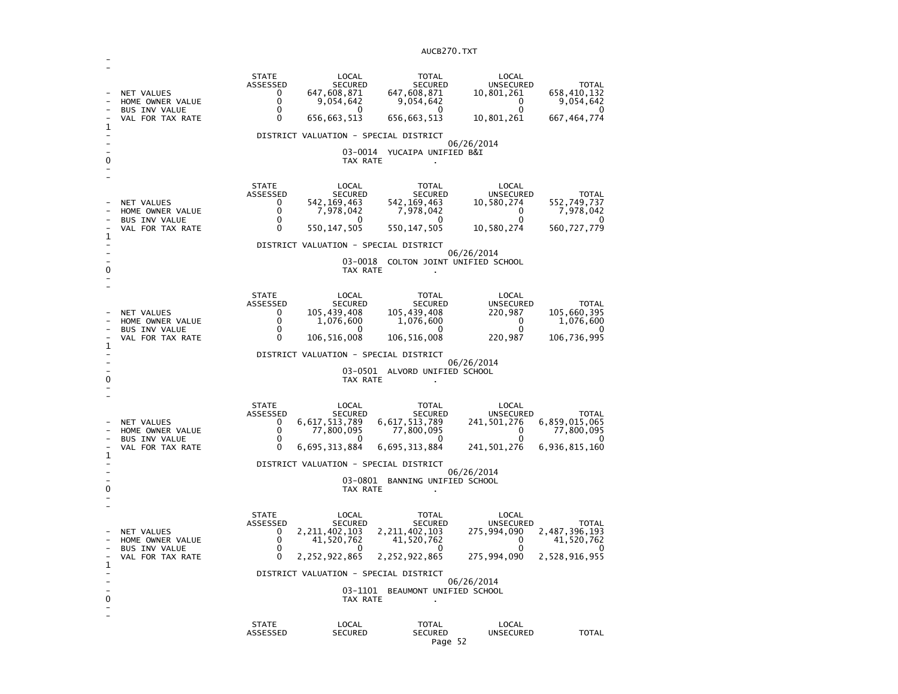| 1<br>0 | NET VALUES<br>HOME OWNER VALUE<br><b>BUS INV VALUE</b><br>VAL FOR TAX RATE        | <b>STATE</b><br>ASSESSED<br>0<br>0<br>0<br>0                             | LOCAL<br><b>SECURED</b><br>647,608,871<br>9,054,642<br>$\mathbf{0}$<br>656,663,513<br>DISTRICT VALUATION - SPECIAL DISTRICT<br>TAX RATE                    | <b>TOTAL</b><br><b>SECURED</b><br>647,608,871<br>9,054,642<br>0<br>656,663,513<br>03-0014 YUCAIPA UNIFIED B&I                                               | LOCAL<br>UNSECURED<br>10,801,261<br>0<br>0<br>10,801,261<br>06/26/2014                                | <b>TOTAL</b><br>658,410,132<br>9,054,642<br>0<br>667, 464, 774               |
|--------|-----------------------------------------------------------------------------------|--------------------------------------------------------------------------|------------------------------------------------------------------------------------------------------------------------------------------------------------|-------------------------------------------------------------------------------------------------------------------------------------------------------------|-------------------------------------------------------------------------------------------------------|------------------------------------------------------------------------------|
| 1      | NET VALUES<br>HOME OWNER VALUE<br><b>BUS INV VALUE</b><br>VAL FOR TAX RATE        | <b>STATE</b><br>ASSESSED<br>0<br>0<br>0<br>0                             | LOCAL<br><b>SECURED</b><br>542, 169, 463<br>7,978,042<br>$^{(1)}$<br>550, 147, 505<br>DISTRICT VALUATION - SPECIAL DISTRICT<br>TAX RATE                    | <b>TOTAL</b><br><b>SECURED</b><br>542, 169, 463<br>7,978,042<br>0<br>550, 147, 505<br>03-0018 COLTON JOINT UNIFIED SCHOOL                                   | LOCAL<br>UNSECURED<br>10,580,274<br>$\Omega$<br>0<br>10,580,274<br>06/26/2014                         | <b>TOTAL</b><br>552,749,737<br>7,978,042<br>$^{(1)}$<br>560,727,779          |
| 1<br>0 | <b>NET VALUES</b><br>HOME OWNER VALUE<br><b>BUS INV VALUE</b><br>VAL FOR TAX RATE | <b>STATE</b><br>ASSESSED<br>0<br>0<br>$\Omega$<br>0                      | LOCAL<br><b>SECURED</b><br>105,439,408<br>1,076,600<br>0<br>106,516,008<br>DISTRICT VALUATION - SPECIAL DISTRICT<br>TAX RATE                               | <b>TOTAL</b><br><b>SECURED</b><br>105,439,408<br>1,076,600<br>0<br>106,516,008<br>03-0501 ALVORD UNIFIED SCHOOL                                             | LOCAL<br><b>UNSECURED</b><br>220,987<br>0<br>$\mathbf{0}$<br>220,987<br>06/26/2014                    | <b>TOTAL</b><br>105,660,395<br>1,076,600<br>$\Omega$<br>106,736,995          |
| 1<br>0 | <b>NET VALUES</b><br>HOME OWNER VALUE<br><b>BUS INV VALUE</b><br>VAL FOR TAX RATE | <b>STATE</b><br>ASSESSED<br>0<br>0<br>0<br>0                             | LOCAL<br><b>SECURED</b><br>6,617,513,789<br>77,800,095<br>0<br>6,695,313,884<br>DISTRICT VALUATION - SPECIAL DISTRICT<br>TAX RATE                          | TOTAL<br><b>SECURED</b><br>6,617,513,789<br>77,800,095<br>0<br>6,695,313,884<br>03-0801 BANNING UNIFIED SCHOOL                                              | LOCAL<br>UNSECURED<br>241,501,276<br>0<br>0<br>241,501,276<br>06/26/2014                              | TOTAL<br>6,859,015,065<br>77,800,095<br>0<br>6,936,815,160                   |
| 1<br>0 | NET VALUES<br>HOME OWNER VALUE<br><b>BUS INV VALUE</b><br>VAL FOR TAX RATE        | <b>STATE</b><br>ASSESSED<br>0<br>0<br>0<br>0<br><b>STATE</b><br>ASSESSED | LOCAL<br><b>SECURED</b><br>2, 211, 402, 103<br>41,520,762<br>2,252,922,865<br>DISTRICT VALUATION - SPECIAL DISTRICT<br>TAX RATE<br>LOCAL<br><b>SECURED</b> | <b>TOTAL</b><br><b>SECURED</b><br>2, 211, 402, 103<br>41,520,762<br>0<br>2,252,922,865<br>03-1101 BEAUMONT UNIFIED SCHOOL<br><b>TOTAL</b><br><b>SECURED</b> | LOCAL<br><b>UNSECURED</b><br>275,994,090<br>0<br>O<br>275,994,090<br>06/26/2014<br>LOCAL<br>UNSECURED | <b>TOTAL</b><br>2,487,396,193<br>41,520,762<br>2,528,916,955<br><b>TOTAL</b> |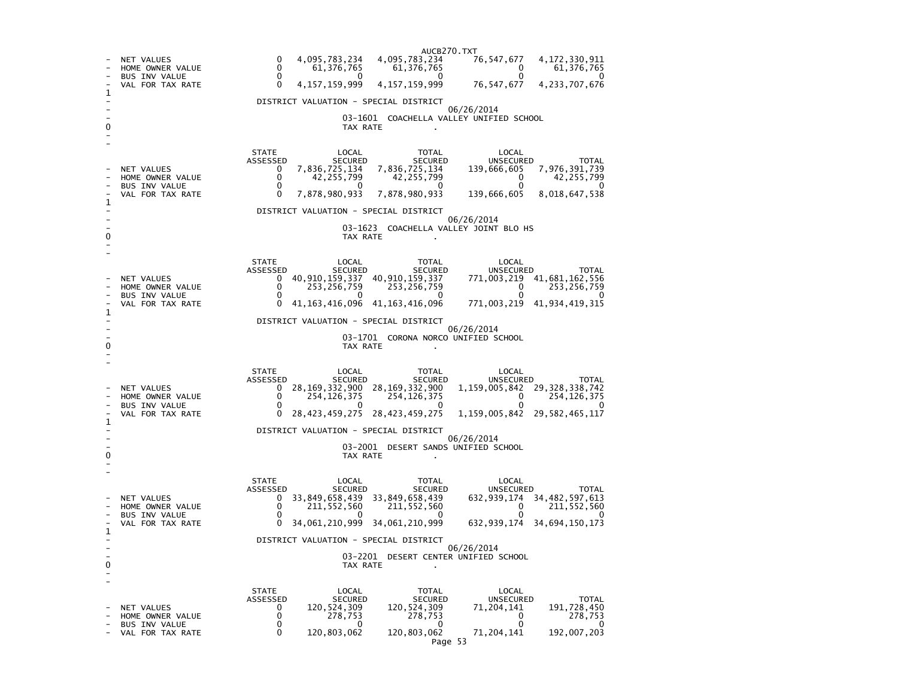AUCB270.TXT76, 547, 677 - NET VALUES 0 4,095,783,234 4,095,783,234 76,547,677 4,172,330,911<br>- HOME OWNER VALUE 0 61,376,765 61,376,765 0 61,376,765 61,376,765 - HOME OWNER VALUE 0 61,376,765 61,376,765 0 61,376,765  $\Omega$ BUS INV VALUE 76, 547, 677 4, 233, 707, 676 VAL FOR TAX RATE 0 4,157,159,999 4,157,159,999 1 - DISTRICT VALUATION - SPECIAL DISTRICT - 06/26/2014 - 03-1601 COACHELLA VALLEY UNIFIED SCHOOL 0 TAX RATE . - - STATE LOCAL TOTAL LOCAL ASSESSED SECURED SECURED UNSECURED TOTAL 139, 666, 605 7, 976, 391, 739 - NET VALUES 0 7,836,725,134 7,836,725,134 139,666,605<br>- HOME OWNER VALUE 0 42,255,799 42,255,799 0  $42, 255, 799$  $\begin{array}{ccc} 0 & 42,255,799 & 42,255,799 \ 0 & 0 & 0 \end{array}$  $\overline{0}$ - BUS INV VALUE 139,666,605 8,018,647,538 VAL FOR TAX RATE 0 7,878,980,933 7,878,980,933 1  $\overline{\phantom{a}}$ - DISTRICT VALUATION - SPECIAL DISTRICT - 06/26/2014 - 03-1623 COACHELLA VALLEY JOINT BLO HS 0 TAX RATE - - STATE LOCAL TOTAL LOCAL ASSESSED SECURED SECURED UNSECURED TOTAL 771,003,219 41,681,162,556 - NET VALUES 0 40,910,159,337 40,910,159,337<br>- HOME OWNER VALUE 0 253.256.759 253.256.759  $0 \t 253,256,759$  $\begin{array}{ccc} 0 & 253,256,759 & 253,256,759 & 0 \ 0 & 0 & 0 & 0 \end{array}$  $\overline{\mathbf{0}}$ BUS INV VALUE  $\begin{array}{cccc} 0 & 0 & 0 \end{array}$ 771,003,219 41,934,419,315 VAL FOR TAX RATE 0 41,163,416,096 41,163,416,096 1 - DISTRICT VALUATION - SPECIAL DISTRICT - 06/26/2014 - 03-1701 CORONA NORCO UNIFIED SCHOOL 0 CONTROL CONTROL CONTROL CONTROL CONTROL CONTROL CONTROL CONTROL CONTROL CONTROL CONTROL CONTROL CONTROL CONTROL CONTROL CONTROL CONTROL CONTROL CONTROL CONTROL CONTROL CONTROL CONTROL CONTROL CONTROL CONTROL CONTROL CONT - - STATE LOCAL TOTAL LOCAL ASSESSED SECURED SECURED UNSECURED TOTAL - NET VALUES 0 28,169,332,900 28,169,332,900 1,159,005,842 29,328,338,742 - BUS INV VALUE 0 0 0 0 0 - HOME OWNER VALUE 0 254,126,375 254,126,375 0 254,126,375 - VAL FOR TAX RATE 0 28,423,459,275 28,423,459,275 1,159,005,842 29,582,465,117 1 - DISTRICT VALUATION - SPECIAL DISTRICT - 06/26/2014 - 03-2001 DESERT SANDS UNIFIED SCHOOL 0 TAX RATE - - STATE LOCAL TOTAL LOCAL ASSESSED SECURED SECURED UNSECURED TOTAL 632, 939, 174 34, 482, 597, 613 - NET VALUES 0 33,849,658,439 33,849,658,439<br>- HOME OWNER VALUE 0 211.552.560 211.552.560  $0 \t211,552,560$  $\begin{array}{ccc} 0 & 211,552,560 & 211,552,560 & 0 \ 0 & 0 & 0 & 0 \end{array}$ - 0 BUS INV VALUE - VAL FOR TAX RATE 0 34,061,210,999 34,061,210,999 632,939,174 34,694,150,173 1  $\overline{\phantom{a}}$ - DISTRICT VALUATION - SPECIAL DISTRICT - 06/26/2014 - 03-2201 DESERT CENTER UNIFIED SCHOOL 0 CONTROL CONTROL CONTROL CONTROL CONTROL CONTROL CONTROL CONTROL CONTROL CONTROL CONTROL CONTROL CONTROL CONTROL CONTROL CONTROL CONTROL CONTROL CONTROL CONTROL CONTROL CONTROL CONTROL CONTROL CONTROL CONTROL CONTROL CONT - - STATE LOCAL TOTAL LOCAL ASSESSED SECURED SECURED UNSECURED TOTAL 191.728.450 - NET VALUES 0 120,524,309 120,524,309 71,204,141<br>- HOME OWNER VALUE 0 278,753 278,753 0 278,753 - HOME OWNER VALUE 0 278,753 278,753 0 278,753 - 0 - BUS INV VALUE 0 0 0 0 0 192,007,203 - VAL FOR TAX RATE 0 120,803,062 120,803,062 71,204,141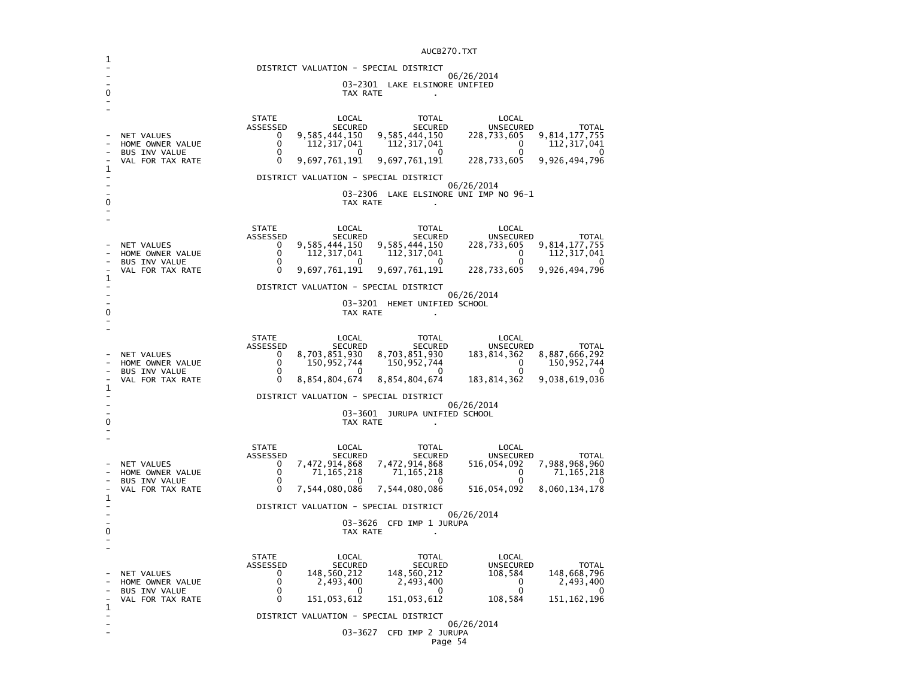|   |                                          |                                 |                                          | AUCB270.TXT                              |                                         |                                |
|---|------------------------------------------|---------------------------------|------------------------------------------|------------------------------------------|-----------------------------------------|--------------------------------|
|   |                                          |                                 |                                          | DISTRICT VALUATION - SPECIAL DISTRICT    |                                         |                                |
|   |                                          |                                 |                                          | 03-2301 LAKE ELSINORE UNIFIED            | 06/26/2014                              |                                |
| 0 |                                          |                                 | TAX RATE                                 |                                          |                                         |                                |
|   |                                          |                                 |                                          |                                          |                                         |                                |
|   |                                          | <b>STATE</b><br><b>ASSESSED</b> | LOCAL<br>SECURED                         | TOTAL<br>SECURED                         | LOCAL<br><b>UNSECURED</b>               | TOTAL                          |
|   | <b>NET VALUES</b><br>HOME OWNER VALUE    | 0<br>$\mathbf{0}$               | 9,585,444,150<br>112,317,041             | 9,585,444,150<br>112,317,041             | 228,733,605<br>$\mathbf{0}$             | 9,814,177,755<br>112,317,041   |
|   | <b>BUS INV VALUE</b><br>VAL FOR TAX RATE | $\mathbf 0$<br>$\Omega$         | $\Omega$<br>9,697,761,191                | $\Omega$<br>9,697,761,191                | 0<br>228,733,605                        | 9,926,494,796                  |
| 1 |                                          |                                 |                                          | DISTRICT VALUATION - SPECIAL DISTRICT    |                                         |                                |
|   |                                          |                                 |                                          |                                          | 06/26/2014                              |                                |
|   |                                          |                                 | TAX RATE                                 | 03-2306 LAKE ELSINORE UNI IMP NO 96-1    |                                         |                                |
|   |                                          |                                 |                                          |                                          |                                         |                                |
|   |                                          | <b>STATE</b><br>ASSESSED        | LOCAL<br>SECURED                         | TOTAL<br>SECURED                         | LOCAL<br><b>UNSECURED</b>               | <b>TOTAL</b>                   |
|   | NET VALUES<br>HOME OWNER VALUE           | 0<br>$\Omega$                   | 9,585,444,150<br>112,317,041             | 9,585,444,150<br>112, 317, 041           | 228,733,605<br>0                        | 9,814,177,755<br>112, 317, 041 |
|   | <b>BUS INV VALUE</b><br>VAL FOR TAX RATE | $\Omega$<br>$\Omega$            | 9,697,761,191                            | 9,697,761,191                            | 0<br>228,733,605                        | 9,926,494,796                  |
| 1 |                                          |                                 |                                          |                                          |                                         |                                |
|   |                                          |                                 |                                          | DISTRICT VALUATION - SPECIAL DISTRICT    | 06/26/2014                              |                                |
| 0 |                                          |                                 | TAX RATE                                 | 03-3201 HEMET UNIFIED SCHOOL             |                                         |                                |
|   |                                          |                                 |                                          |                                          |                                         |                                |
|   |                                          | <b>STATE</b><br>ASSESSED        | LOCAL<br>SECURED                         | TOTAL<br>SECURED                         | LOCAL<br>UNSECURED                      | TOTAL                          |
|   | NET VALUES<br>HOME OWNER VALUE           | $\Omega$<br>$\Omega$            | 8,703,851,930<br>150,952,744             | 8,703,851,930<br>150,952,744             | 183,814,362<br>$\mathbf{0}$             | 8,887,666,292<br>150,952,744   |
|   | <b>BUS INV VALUE</b><br>VAL FOR TAX RATE | $\Omega$<br>$\Omega$            | $\Omega$<br>8,854,804,674                | $\Omega$<br>8,854,804,674                | $\Omega$<br>183,814,362                 | 9,038,619,036                  |
| 1 |                                          |                                 |                                          |                                          |                                         |                                |
|   |                                          |                                 |                                          | DISTRICT VALUATION - SPECIAL DISTRICT    | 06/26/2014                              |                                |
| 0 |                                          |                                 | TAX RATE                                 | 03-3601 JURUPA UNIFIED SCHOOL            |                                         |                                |
|   |                                          |                                 |                                          |                                          |                                         |                                |
|   |                                          | <b>STATE</b><br>ASSESSED        | LOCAL<br>SECURED                         | TOTAL<br><b>SECURED</b>                  | LOCAL<br>UNSECURED                      | <b>TOTAL</b>                   |
|   | <b>NET VALUES</b><br>HOME OWNER VALUE    | 0<br>$\Omega$                   | 7,472,914,868<br>71,165,218              | 7,472,914,868<br>71, 165, 218            | 516,054,092<br>$\overline{\phantom{0}}$ | 7,988,968,960<br>71,165,218    |
|   | <b>BUS INV VALUE</b><br>VAL FOR TAX RATE | $\mathbf 0$<br>$\mathbf 0$      | $\overline{\mathbf{0}}$<br>7,544,080,086 | $\overline{\mathbf{0}}$<br>7,544,080,086 | 0<br>516,054,092                        | - 0<br>8,060,134,178           |
| 1 |                                          |                                 |                                          |                                          |                                         |                                |
|   |                                          |                                 |                                          | DISTRICT VALUATION - SPECIAL DISTRICT    | 06/26/2014                              |                                |
| 0 |                                          |                                 | TAX RATE                                 | 03-3626 CFD IMP 1 JURUPA                 |                                         |                                |
|   |                                          |                                 |                                          |                                          |                                         |                                |
|   |                                          | <b>STATE</b><br>ASSESSED        | LOCAL<br>SECURED                         | TOTAL<br>SECURED                         | LOCAL<br>UNSECURED                      | <b>TOTAL</b>                   |
|   | NET VALUES<br>HOME OWNER VALUE           | 0<br>0                          | 148,560,212<br>2,493,400                 | 148,560,212<br>2,493,400                 | 108,584<br>0                            | 148,668,796<br>2,493,400       |
|   | BUS INV VALUE                            | $\Omega$                        | 0                                        | $\Omega$                                 | $\mathbf{0}$                            |                                |
| 1 | VAL FOR TAX RATE                         | $\mathbf{0}$                    | 151,053,612                              | 151,053,612                              | 108,584                                 | 151, 162, 196                  |
|   |                                          |                                 |                                          | DISTRICT VALUATION - SPECIAL DISTRICT    | 06/26/2014                              |                                |
|   |                                          |                                 |                                          | 03-3627 CFD IMP 2 JURUPA                 |                                         |                                |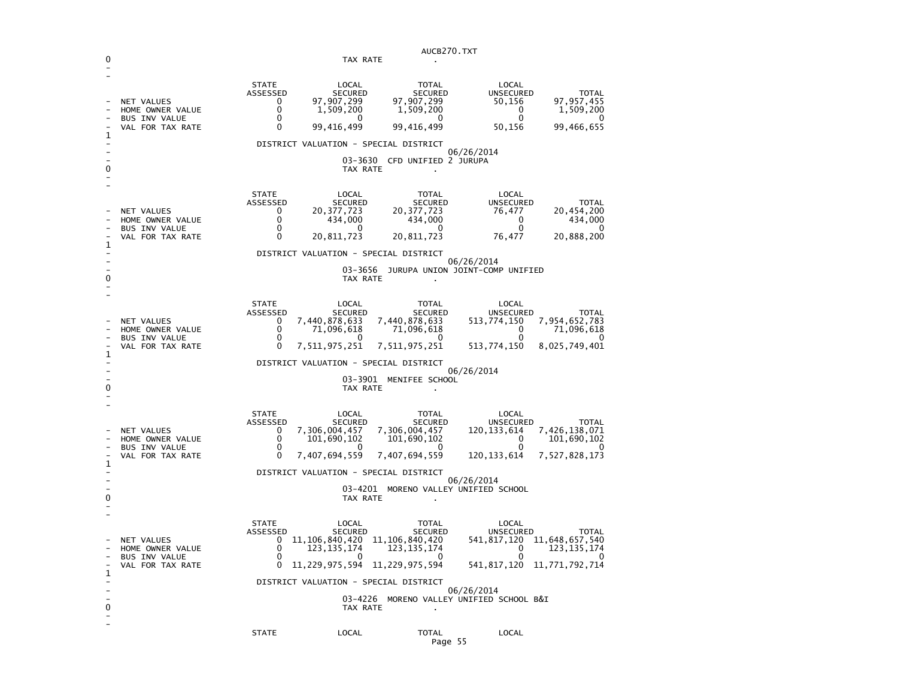|   |                                                                                   |                                                     |                                                                                                                        | AUCB270.TXT                                                                                                       |                                                                                  |                                                              |
|---|-----------------------------------------------------------------------------------|-----------------------------------------------------|------------------------------------------------------------------------------------------------------------------------|-------------------------------------------------------------------------------------------------------------------|----------------------------------------------------------------------------------|--------------------------------------------------------------|
| 0 |                                                                                   |                                                     | TAX RATE                                                                                                               | $\mathbf{r}$                                                                                                      |                                                                                  |                                                              |
| 1 | NET VALUES<br>HOME OWNER VALUE<br><b>BUS INV VALUE</b><br>VAL FOR TAX RATE        | <b>STATE</b><br>ASSESSED<br>0<br>0<br>0<br>0        | LOCAL<br><b>SECURED</b><br>97,907,299<br>1,509,200<br>0<br>99,416,499                                                  | TOTAL<br><b>SECURED</b><br>97,907,299<br>1,509,200<br>0<br>99,416,499                                             | LOCAL<br><b>UNSECURED</b><br>50,156<br>0<br>0<br>50,156                          | <b>TOTAL</b><br>97,957,455<br>1,509,200<br>0<br>99,466,655   |
|   |                                                                                   |                                                     | DISTRICT VALUATION - SPECIAL DISTRICT                                                                                  |                                                                                                                   |                                                                                  |                                                              |
| 0 |                                                                                   |                                                     | TAX RATE                                                                                                               | 03-3630 CFD UNIFIED 2 JURUPA                                                                                      | 06/26/2014                                                                       |                                                              |
| 1 | NET VALUES<br>HOME OWNER VALUE<br><b>BUS INV VALUE</b><br>VAL FOR TAX RATE        | <b>STATE</b><br>ASSESSED<br>0<br>0<br>0<br>0        | LOCAL<br><b>SECURED</b><br>20, 377, 723<br>434,000<br>0<br>20,811,723                                                  | <b>TOTAL</b><br><b>SECURED</b><br>20, 377, 723<br>434,000<br>0<br>20,811,723                                      | LOCAL<br><b>UNSECURED</b><br>76,477<br>0<br>0<br>76,477                          | TOTAL<br>20,454,200<br>434,000<br>0<br>20,888,200            |
|   |                                                                                   |                                                     | DISTRICT VALUATION - SPECIAL DISTRICT                                                                                  |                                                                                                                   | 06/26/2014                                                                       |                                                              |
| 0 |                                                                                   |                                                     | TAX RATE                                                                                                               |                                                                                                                   | 03-3656 JURUPA UNION JOINT-COMP UNIFIED                                          |                                                              |
| 1 | NET VALUES<br>HOME OWNER VALUE<br><b>BUS INV VALUE</b><br>VAL FOR TAX RATE        | <b>STATE</b><br>ASSESSED<br>0<br>0<br>0<br>$\Omega$ | LOCAL<br><b>SECURED</b><br>7,440,878,633<br>71,096,618<br>O<br>7,511,975,251                                           | <b>TOTAL</b><br><b>SECURED</b><br>7,440,878,633<br>71,096,618<br>O<br>7,511,975,251                               | LOCAL<br><b>UNSECURED</b><br>513,774,150<br>0<br>0<br>513,774,150                | <b>TOTAL</b><br>7,954,652,783<br>71,096,618<br>8,025,749,401 |
|   |                                                                                   |                                                     | DISTRICT VALUATION - SPECIAL DISTRICT                                                                                  |                                                                                                                   | 06/26/2014                                                                       |                                                              |
| 0 |                                                                                   |                                                     | TAX RATE                                                                                                               | 03-3901 MENIFEE SCHOOL                                                                                            |                                                                                  |                                                              |
| 1 | NET VALUES<br>HOME OWNER VALUE<br><b>BUS INV VALUE</b><br>VAL FOR TAX RATE        | <b>STATE</b><br>ASSESSED<br>0<br>0<br>0<br>0        | LOCAL<br><b>SECURED</b><br>7,306,004,457<br>101,690,102<br>7,407,694,559                                               | TOTAL<br><b>SECURED</b><br>7,306,004,457<br>101,690,102<br>7,407,694,559                                          | LOCAL<br>UNSECURED<br>120, 133, 614<br>0<br>0<br>120, 133, 614                   | TOTAL<br>7,426,138,071<br>101,690,102<br>7,527,828,173       |
|   |                                                                                   |                                                     | DISTRICT VALUATION - SPECIAL DISTRICT                                                                                  |                                                                                                                   |                                                                                  |                                                              |
| 0 |                                                                                   |                                                     | TAX RATE                                                                                                               | 03-4201 MORENO VALLEY UNIFIED SCHOOL                                                                              | 06/26/2014                                                                       |                                                              |
| 1 | <b>NET VALUES</b><br>HOME OWNER VALUE<br><b>BUS INV VALUE</b><br>VAL FOR TAX RATE | <b>STATE</b><br>ASSESSED<br>0<br>0<br>0<br>0        | LOCAL<br><b>SECURED</b><br>11, 106, 840, 420<br>123, 135, 174<br>$\mathbf{0}$<br>DISTRICT VALUATION - SPECIAL DISTRICT | <b>TOTAL</b><br><b>SECURED</b><br>11, 106, 840, 420<br>123, 135, 174<br>$\sim$ 0<br>11,229,975,594 11,229,975,594 | LOCAL<br><b>UNSECURED</b><br>541,817,120<br>0<br>0<br>541,817,120 11,771,792,714 | TOTAL<br>11,648,657,540<br>123, 135, 174<br>$\Omega$         |
| 0 |                                                                                   |                                                     | TAX RATE                                                                                                               | $\sim$                                                                                                            | 06/26/2014<br>03-4226 MORENO VALLEY UNIFIED SCHOOL B&I                           |                                                              |
|   |                                                                                   | <b>STATE</b>                                        | LOCAL                                                                                                                  | TOTAL<br>Page 55                                                                                                  | LOCAL                                                                            |                                                              |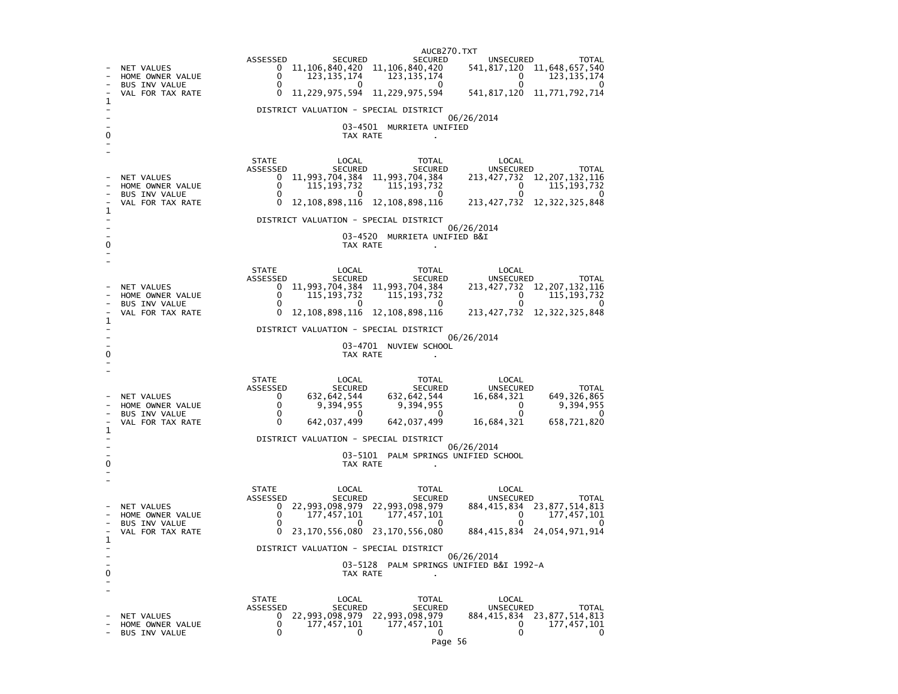AUCB270.TXT<br>SECURED ASSESSED SECURED SECURED UNSECURED TOTAL 541, 817, 120 11, 648, 657, 540 - NET VALUES 0 11,106,840,420 11,106,840,420<br>- HOME OWNER VALUE 0 123.135.174 123.135.174  $0 \qquad 123,135,174$  $\begin{array}{ccc} 0 & 123,135,174 & 123,135,174 & 0 \ 0 & 0 & 0 & 0 \end{array}$ ັ 0 BUS INV VALUE 541, 817, 120 11, 771, 792, 714 VAL FOR TAX RATE 0 11,229,975,594 11,229,975,594 1  $\overline{\phantom{a}}$ - DISTRICT VALUATION - SPECIAL DISTRICT - 06/26/2014 - 03-4501 MURRIETA UNIFIED 0 Decree to the contract of the contract of the contract of the contract of the contract of the contract of the contract of the contract of the contract of the contract of the contract of the contract of the contract of th - - STATE LOCAL TOTAL LOCAL ASSESSED SECURED SECURED UNSECURED TOTAL 213, 427, 732 12, 207, 132, 116 - NET VALUES 0 11,993,704,384 11,993,704,384 213,427,732 12<br>- HOME OWNER VALUE 0 115,193,732 115,193,732 0  $115, 193, 732$  $\begin{array}{ccc} 0 & 115,193,732 & 115,193,732 & 0 \ 0 & 0 & 0 & 0 \end{array}$  $\overline{\mathbf{0}}$ BUS INV VALUE 213, 427, 732 12, 322, 325, 848 VAL FOR TAX RATE 0 12,108,898,116 12,108,898,116 1 - DISTRICT VALUATION - SPECIAL DISTRICT - 06/26/2014 03-4520 MURRIETA UNIFIED B&I 0 CONTROL CONTROL CONTROL CONTROL CONTROL CONTROL CONTROL CONTROL CONTROL CONTROL CONTROL CONTROL CONTROL CONTROL CONTROL CONTROL CONTROL CONTROL CONTROL CONTROL CONTROL CONTROL CONTROL CONTROL CONTROL CONTROL CONTROL CONT - - STATE LOCAL TOTAL LOCAL ASSESSED SECURED SECURED UNSECURED TOTAL 213, 427, 732 12, 207, 132, 116 - NET VALUES 0 11,993,704,384 11,993,704,384 115,193,732 - HOME OWNER VALUE 0 115,193,732 115,193,732 0 115,193,732 - റ BUS INV VALUE - VAL FOR TAX RATE 0 12,108,898,116 12,108,898,116 213,427,732 12,322,325,848 1 - DISTRICT VALUATION - SPECIAL DISTRICT - 06/26/2014 - 2008-03-4701 NUVIEW SCHOOL 0 CONTROL TO TAX RATE THE SET OF TAX RATE AND TAX RATE ASSESSMENT OF TAX RATE AND TAX RATE AND TAX RATE AND TAX RATE AND TAX RATE AND TAX RATE AND TAX RATE AND TAX RATE AND TAX RATE AND TAX RATE AND TAX RATE AND TAX RATE A - - STATE LOCAL TOTAL LOCAL ASSESSED SECURED SECURED UNSECURED TOTAL 649, 326, 865 - NET VALUES 0 632,642,544 632,642,544 16,684,321<br>- HOME OWNER VALUE 0 9,394,955 9,394,955 0 9,394,955 - HOME OWNER VALUE 0 9,394,955 9,394,955 0 9,394,955  $\overline{0}$ - BUS INV VALUE 0 0 0 0 0 658,721,820 - VAL FOR TAX RATE 0 1 - DISTRICT VALUATION - SPECIAL DISTRICT - 06/26/2014 - 03-5101 PALM SPRINGS UNIFIED SCHOOL 0 TAX RATE . - - STATE LOCAL TOTAL LOCAL ASSESSED SECURED SECURED UNSECURED TOTAL 884, 415, 834 23, 877, 514, 813 - NET VALUES 0 22,993,098,979 22,993,098,979 884,415,834<br>- HOME OWNER VALUE 0 27,457.101 177.457.101 177,457,101  $\begin{array}{ccc} 0 & 177,457,101 & 177,457,101 & 0 \\ 0 & 0 & 0 & 0 \end{array}$  $\overline{0}$ - BUS INV VALUE 884.415.834 24.054.971.914 - VAL FOR TAX RATE 0 23,170,556,080 23,170,556,080 1 - DISTRICT VALUATION - SPECIAL DISTRICT - 06/26/2014 - 03-5128 PALM SPRINGS UNIFIED B&I 1992-A 0 CONTROL CONTROL CONTROL CONTROL CONTROL CONTROL CONTROL CONTROL CONTROL CONTROL CONTROL CONTROL CONTROL CONTROL CONTROL CONTROL CONTROL CONTROL CONTROL CONTROL CONTROL CONTROL CONTROL CONTROL CONTROL CONTROL CONTROL CONT - - STATE LOCAL TOTAL LOCAL ASSESSED SECURED SECURED UNSECURED TOTAL 884, 415, 834 23, 877, 514, 813 - NET VALUES 0 22,993,098,979 22,993,098,979 884,415,834<br>- HOME OWNER VALUE 0 177,457,101 177,457,101 177,457,101 - HOME OWNER VALUE 0 177,457,101 177,457,101 0 177,457,101  $\Omega$ - BUS INV VALUE 0 0 0 0 0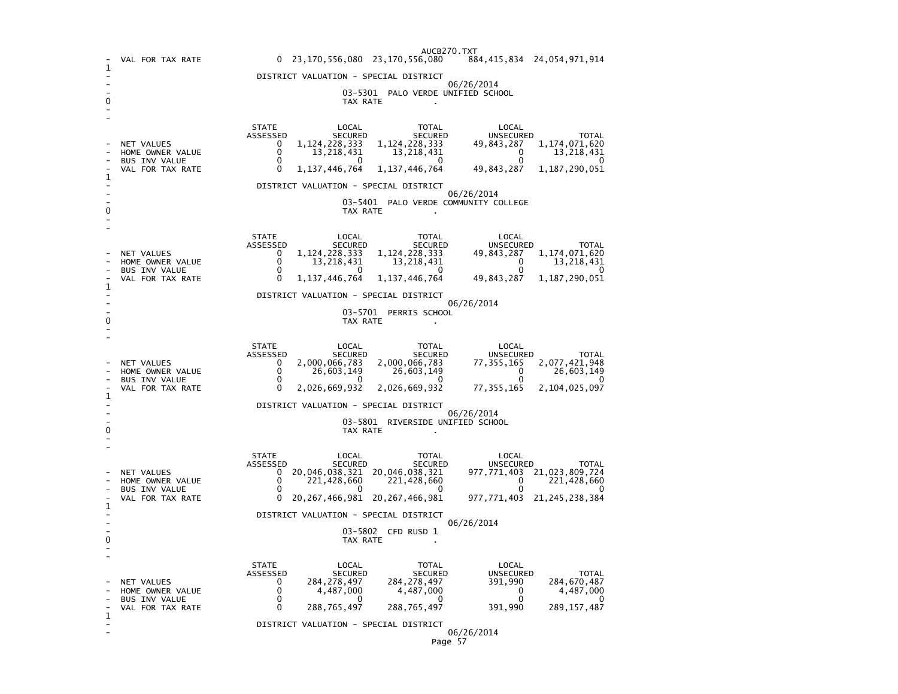|                                       |                                                                            | AUCB270.TXT<br>23, 170, 556, 080 23, 170, 556, 080<br>884,415,834 24,054,971,914<br>$\mathbf{0}$                                                                                                                                                                                                                                                                                                                                       |  |  |  |  |  |  |
|---------------------------------------|----------------------------------------------------------------------------|----------------------------------------------------------------------------------------------------------------------------------------------------------------------------------------------------------------------------------------------------------------------------------------------------------------------------------------------------------------------------------------------------------------------------------------|--|--|--|--|--|--|
| 1                                     | VAL FOR TAX RATE                                                           |                                                                                                                                                                                                                                                                                                                                                                                                                                        |  |  |  |  |  |  |
|                                       |                                                                            | DISTRICT VALUATION - SPECIAL DISTRICT<br>06/26/2014                                                                                                                                                                                                                                                                                                                                                                                    |  |  |  |  |  |  |
| 0                                     |                                                                            | 03-5301 PALO VERDE UNIFIED SCHOOL<br>TAX RATE                                                                                                                                                                                                                                                                                                                                                                                          |  |  |  |  |  |  |
| 1                                     | NET VALUES<br>HOME OWNER VALUE<br><b>BUS INV VALUE</b><br>VAL FOR TAX RATE | <b>STATE</b><br>LOCAL<br>TOTAL<br>LOCAL<br>ASSESSED<br><b>SECURED</b><br><b>SECURED</b><br>UNSECURED<br><b>TOTAL</b><br>1, 124, 228, 333<br>1, 124, 228, 333<br>49,843,287<br>1,174,071,620<br>0<br>0<br>13,218,431<br>13,218,431<br>0<br>13,218,431<br>$\mathbf{0}$<br>0<br>$\Omega$<br>$\mathbf{0}$<br>$\Omega$<br>1, 137, 446, 764<br>1, 137, 446, 764<br>49,843,287<br>1,187,290,051<br>0<br>DISTRICT VALUATION - SPECIAL DISTRICT |  |  |  |  |  |  |
| 0                                     |                                                                            | 06/26/2014<br>03-5401 PALO VERDE COMMUNITY COLLEGE<br>TAX RATE                                                                                                                                                                                                                                                                                                                                                                         |  |  |  |  |  |  |
|                                       | NET VALUES<br>HOME OWNER VALUE<br>BUS INV VALUE<br>VAL FOR TAX RATE        | <b>STATE</b><br>LOCAL<br>TOTAL<br>LOCAL<br>ASSESSED<br><b>SECURED</b><br><b>SECURED</b><br><b>UNSECURED</b><br><b>TOTAL</b><br>1, 124, 228, 333<br>1, 124, 228, 333<br>0<br>49,843,287<br>1,174,071,620<br>$\Omega$<br>13,218,431<br>13, 218, 431<br>$\Omega$<br>13,218,431<br>0<br>$\Omega$<br>0<br>0<br>$\Omega$<br>49,843,287<br>1, 187, 290, 051<br>0<br>1, 137, 446, 764<br>1, 137, 446, 764                                      |  |  |  |  |  |  |
| 1                                     |                                                                            | DISTRICT VALUATION - SPECIAL DISTRICT                                                                                                                                                                                                                                                                                                                                                                                                  |  |  |  |  |  |  |
|                                       | 06/26/2014<br>03-5701 PERRIS SCHOOL<br>TAX RATE                            |                                                                                                                                                                                                                                                                                                                                                                                                                                        |  |  |  |  |  |  |
| 1                                     | NET VALUES<br>HOME OWNER VALUE<br><b>BUS INV VALUE</b><br>VAL FOR TAX RATE | <b>STATE</b><br>LOCAL<br>TOTAL<br>LOCAL<br>ASSESSED<br><b>SECURED</b><br><b>SECURED</b><br>UNSECURED<br><b>TOTAL</b><br>2,000,066,783<br>2,000,066,783<br>2,077,421,948<br>$\Omega$<br>77, 355, 165<br>0<br>26,603,149<br>26,603,149<br>0<br>26,603,149<br>0<br>$\Omega$<br>0<br>0<br>0<br>0<br>2,026,669,932<br>2,026,669,932<br>77, 355, 165<br>2, 104, 025, 097                                                                     |  |  |  |  |  |  |
| DISTRICT VALUATION - SPECIAL DISTRICT |                                                                            |                                                                                                                                                                                                                                                                                                                                                                                                                                        |  |  |  |  |  |  |
| 0                                     | 06/26/2014<br>03-5801 RIVERSIDE UNIFIED SCHOOL<br>TAX RATE                 |                                                                                                                                                                                                                                                                                                                                                                                                                                        |  |  |  |  |  |  |
|                                       | NET VALUES<br>HOME OWNER VALUE<br><b>BUS INV VALUE</b><br>VAL FOR TAX RATE | <b>STATE</b><br>LOCAL<br>TOTAL<br>LOCAL<br>ASSESSED<br>SECURED<br><b>UNSECURED</b><br>SECURED<br><b>TOTAL</b><br>977, 771, 403 21, 023, 809, 724<br>20,046,038,321 20,046,038,321<br>$\mathbf{0}$<br>0<br>221,428,660<br>221,428,660<br>0<br>221,428,660<br>$\Omega$<br>0<br>0<br>0<br>0<br>20, 267, 466, 981 20, 267, 466, 981<br>977, 771, 403 21, 245, 238, 384<br>0                                                                |  |  |  |  |  |  |
| 1                                     |                                                                            | DISTRICT VALUATION - SPECIAL DISTRICT                                                                                                                                                                                                                                                                                                                                                                                                  |  |  |  |  |  |  |
| 0                                     |                                                                            | 06/26/2014<br>03-5802 CFD RUSD 1<br>TAX RATE                                                                                                                                                                                                                                                                                                                                                                                           |  |  |  |  |  |  |
| 1                                     | NET VALUES<br>HOME OWNER VALUE<br>BUS INV VALUE<br>VAL FOR TAX RATE        | <b>STATE</b><br>LOCAL<br><b>TOTAL</b><br>LOCAL<br><b>UNSECURED</b><br>ASSESSED<br><b>SECURED</b><br><b>SECURED</b><br><b>TOTAL</b><br>284, 278, 497<br>284, 278, 497<br>284,670,487<br>0<br>391,990<br>0<br>4,487,000<br>4,487,000<br>0<br>4,487,000<br>0<br>$\Omega$<br>O<br><sup>0</sup><br>$\Omega$<br>$\mathbf{0}$<br>391,990<br>289, 157, 487<br>288,765,497<br>288,765,497<br>DISTRICT VALUATION - SPECIAL DISTRICT              |  |  |  |  |  |  |
|                                       |                                                                            | 06/26/2014                                                                                                                                                                                                                                                                                                                                                                                                                             |  |  |  |  |  |  |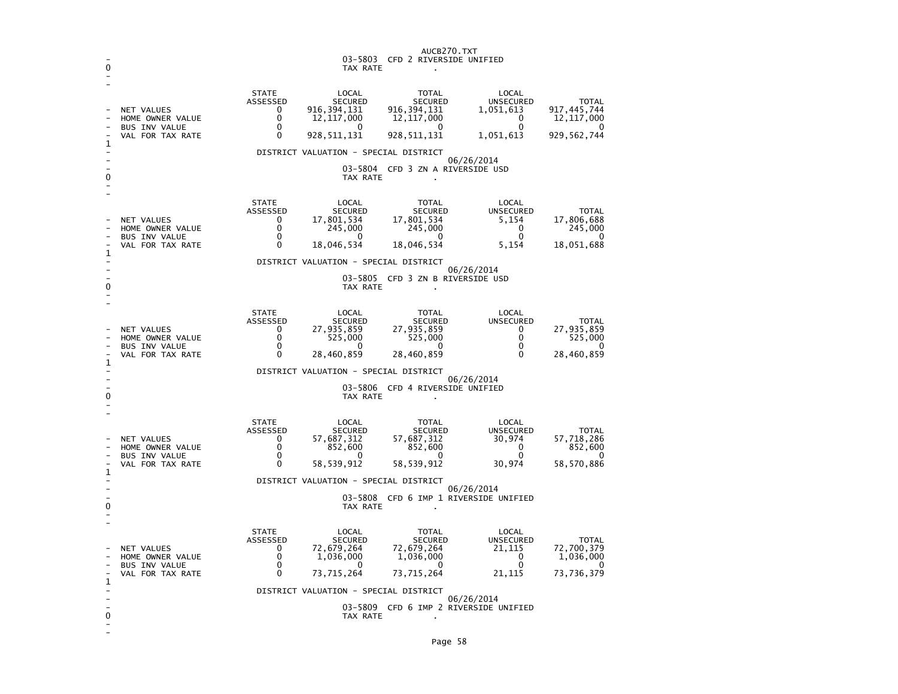| 0       |                                                                                                          |                                                     | 03-5803<br>TAX RATE                                                                                            | AUCB270.TXT<br>CFD 2 RIVERSIDE UNIFIED                                                |                                                                                 |                                                                          |
|---------|----------------------------------------------------------------------------------------------------------|-----------------------------------------------------|----------------------------------------------------------------------------------------------------------------|---------------------------------------------------------------------------------------|---------------------------------------------------------------------------------|--------------------------------------------------------------------------|
| 1       | NET VALUES<br>HOME OWNER VALUE<br><b>BUS INV VALUE</b><br>VAL FOR TAX RATE                               | <b>STATE</b><br>ASSESSED<br>0<br>0<br>0<br>0        | LOCAL<br><b>SECURED</b><br>916, 394, 131<br>12, 117, 000<br>O<br>928,511,131                                   | <b>TOTAL</b><br><b>SECURED</b><br>916, 394, 131<br>12, 117, 000<br>0<br>928, 511, 131 | LOCAL<br><b>UNSECURED</b><br>1,051,613<br>$\mathbf{0}$<br>$\Omega$<br>1,051,613 | <b>TOTAL</b><br>917,445,744<br>12, 117, 000<br>$\Omega$<br>929, 562, 744 |
| 0       |                                                                                                          |                                                     | DISTRICT VALUATION - SPECIAL DISTRICT<br>TAX RATE                                                              | 03-5804 CFD 3 ZN A RIVERSIDE USD                                                      | 06/26/2014                                                                      |                                                                          |
| 1       | <b>NET VALUES</b><br>HOME OWNER VALUE<br><b>BUS INV VALUE</b><br>VAL FOR TAX RATE                        | <b>STATE</b><br>ASSESSED<br>0<br>0<br>0<br>0        | LOCAL<br><b>SECURED</b><br>17,801,534<br>245,000<br>0<br>18,046,534                                            | <b>TOTAL</b><br><b>SECURED</b><br>17,801,534<br>245,000<br>0<br>18,046,534            | LOCAL<br><b>UNSECURED</b><br>5,154<br>$\mathbf{0}$<br>$\Omega$<br>5,154         | <b>TOTAL</b><br>17,806,688<br>245,000<br>0<br>18,051,688                 |
| 0       |                                                                                                          |                                                     | DISTRICT VALUATION - SPECIAL DISTRICT<br>03-5805<br>TAX RATE                                                   | CFD 3 ZN B RIVERSIDE USD                                                              | 06/26/2014                                                                      |                                                                          |
| 1       | <b>NET VALUES</b><br>HOME OWNER VALUE<br><b>BUS INV VALUE</b><br>VAL FOR TAX RATE                        | <b>STATE</b><br>ASSESSED<br>0<br>0<br>0<br>0        | LOCAL<br><b>SECURED</b><br>27,935,859<br>525,000<br>0<br>28,460,859                                            | <b>TOTAL</b><br><b>SECURED</b><br>27,935,859<br>525,000<br>$\mathbf 0$<br>28,460,859  | LOCAL<br><b>UNSECURED</b><br>$\mathbf{0}$<br>0<br>$\Omega$<br>$\mathbf{0}$      | TOTAL<br>27,935,859<br>525,000<br>0<br>28,460,859                        |
| L,<br>0 |                                                                                                          |                                                     | DISTRICT VALUATION - SPECIAL DISTRICT<br>TAX RATE                                                              | 03-5806 CFD 4 RIVERSIDE UNIFIED                                                       | 06/26/2014                                                                      |                                                                          |
|         | NET VALUES<br>HOME OWNER VALUE<br><b>BUS INV VALUE</b><br>VAL FOR TAX RATE                               | <b>STATE</b><br>ASSESSED<br>0<br>0<br>0<br>0        | LOCAL<br><b>SECURED</b><br>57,687,312<br>852,600<br>0<br>58,539,912                                            | TOTAL<br><b>SECURED</b><br>57,687,312<br>852,600<br>$\mathbf{0}$<br>58,539,912        | LOCAL<br><b>UNSECURED</b><br>30,974<br>0<br>$\mathbf{0}$<br>30,974              | <b>TOTAL</b><br>57,718,286<br>852,600<br>0<br>58,570,886                 |
| 1<br>0  | DISTRICT VALUATION - SPECIAL DISTRICT<br>06/26/2014<br>03-5808 CFD 6 IMP 1 RIVERSIDE UNIFIED<br>TAX RATE |                                                     |                                                                                                                |                                                                                       |                                                                                 |                                                                          |
| 1       | NET VALUES<br>HOME OWNER VALUE<br><b>BUS INV VALUE</b><br>VAL FOR TAX RATE                               | <b>STATE</b><br><b>ASSESSED</b><br>0<br>0<br>0<br>0 | LOCAL<br><b>SECURED</b><br>72,679,264<br>1,036,000<br>0<br>73,715,264<br>DISTRICT VALUATION - SPECIAL DISTRICT | TOTAL<br><b>SECURED</b><br>72,679,264<br>1,036,000<br>0<br>73,715,264                 | LOCAL<br><b>UNSECURED</b><br>21,115<br>0<br>0<br>21,115                         | <b>TOTAL</b><br>72,700,379<br>1,036,000<br>0<br>73,736,379               |
| 0       |                                                                                                          |                                                     | TAX RATE                                                                                                       | 03-5809 CFD 6 IMP 2 RIVERSIDE UNIFIED                                                 | 06/26/2014                                                                      |                                                                          |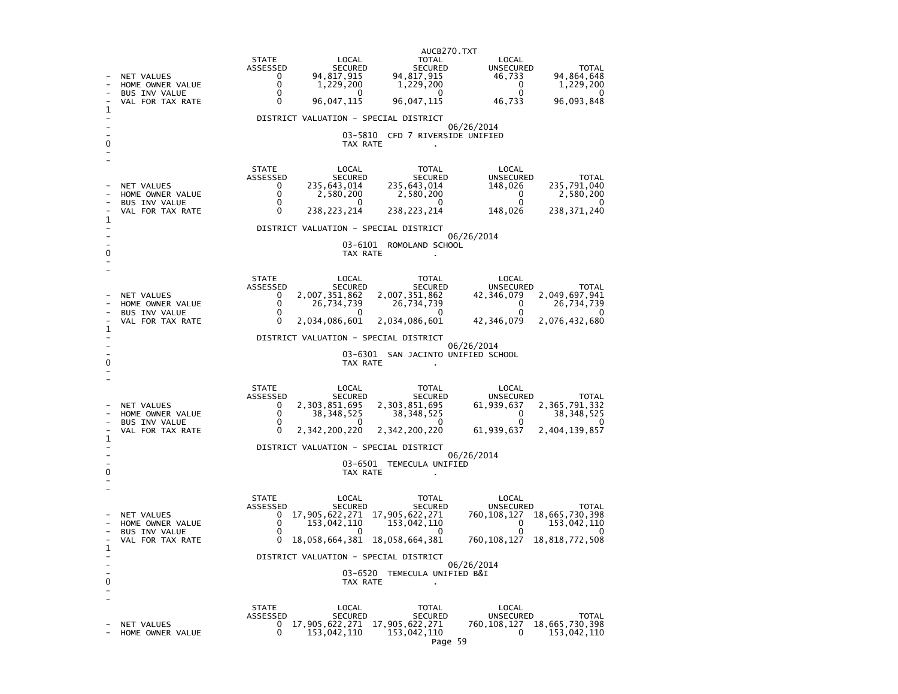|   |                                                                            | AUCB270.TXT                                                                                                                                                                                                                                                                                                                                                                                      |  |  |  |  |  |
|---|----------------------------------------------------------------------------|--------------------------------------------------------------------------------------------------------------------------------------------------------------------------------------------------------------------------------------------------------------------------------------------------------------------------------------------------------------------------------------------------|--|--|--|--|--|
|   | NET VALUES<br>HOME OWNER VALUE<br>BUS INV VALUE<br>VAL FOR TAX RATE        | <b>STATE</b><br>LOCAL<br>TOTAL<br>LOCAL<br>ASSESSED<br><b>SECURED</b><br>SECURED<br>UNSECURED<br><b>TOTAL</b><br>94, 817, 915<br>94,817,915<br>94,864,648<br>$\mathbf{0}$<br>46,733<br>0<br>1,229,200<br>1,229,200<br>$\overline{\mathbf{0}}$<br>1,229,200<br>$\mathbf{0}$<br>$\mathbf{0}$<br><sup>0</sup><br>0<br>0<br>96,047,115<br>96,047,115<br>96,093,848<br>0<br>46,733                    |  |  |  |  |  |
|   |                                                                            | DISTRICT VALUATION - SPECIAL DISTRICT                                                                                                                                                                                                                                                                                                                                                            |  |  |  |  |  |
| 0 |                                                                            | 06/26/2014<br>03-5810 CFD 7 RIVERSIDE UNIFIED<br>TAX RATE                                                                                                                                                                                                                                                                                                                                        |  |  |  |  |  |
| 1 | NET VALUES<br>HOME OWNER VALUE<br><b>BUS INV VALUE</b><br>VAL FOR TAX RATE | <b>STATE</b><br>LOCAL<br>TOTAL<br>LOCAL<br>ASSESSED<br>SECURED<br>SECURED<br><b>UNSECURED</b><br><b>TOTAL</b><br>235,643,014<br>235,791,040<br>235,643,014<br>148,026<br>0<br>0<br>2,580,200<br>2,580,200<br>$\Omega$<br>2,580,200<br>$\mathbf{0}$<br>0<br>$^{\circ}$<br>- 0<br>$\Omega$<br>238, 223, 214<br>0<br>238, 223, 214<br>148,026<br>238, 371, 240                                      |  |  |  |  |  |
|   |                                                                            | DISTRICT VALUATION - SPECIAL DISTRICT                                                                                                                                                                                                                                                                                                                                                            |  |  |  |  |  |
| o |                                                                            | 06/26/2014<br>03-6101<br>ROMOLAND SCHOOL<br>TAX RATE                                                                                                                                                                                                                                                                                                                                             |  |  |  |  |  |
| 1 | NET VALUES<br>HOME OWNER VALUE<br><b>BUS INV VALUE</b><br>VAL FOR TAX RATE | <b>STATE</b><br>LOCAL<br>TOTAL<br>LOCAL<br>ASSESSED<br>SECURED<br>SECURED<br><b>UNSECURED</b><br><b>TOTAL</b><br>2,007,351,862<br>2,007,351,862<br>2,049,697,941<br>0<br>42,346,079<br>$\mathbf{0}$<br>26,734,739<br>26,734,739<br>$\Omega$<br>26,734,739<br>$\mathbf{0}$<br>$\Omega$<br>$\Omega$<br>$^{\circ}$<br>0<br>2,034,086,601<br>2,034,086,601<br>42,346,079<br>2,076,432,680            |  |  |  |  |  |
|   |                                                                            | DISTRICT VALUATION - SPECIAL DISTRICT                                                                                                                                                                                                                                                                                                                                                            |  |  |  |  |  |
|   |                                                                            | 06/26/2014<br>03-6301 SAN JACINTO UNIFIED SCHOOL<br>TAX RATE                                                                                                                                                                                                                                                                                                                                     |  |  |  |  |  |
| 1 | NET VALUES<br>HOME OWNER VALUE<br><b>BUS INV VALUE</b><br>VAL FOR TAX RATE | <b>STATE</b><br>LOCAL<br>TOTAL<br>LOCAL<br>ASSESSED<br>SECURED<br>SECURED<br>UNSECURED<br><b>TOTAL</b><br>2,303,851,695<br>2,365,791,332<br>$\mathbf{0}$<br>2,303,851,695<br>61,939,637<br>0<br>38, 348, 525<br>38,348,525<br>$\Omega$<br>38, 348, 525<br>0<br>$\Omega$<br>0<br>0<br>2,342,200,220<br>2,342,200,220<br>0<br>61,939,637<br>2,404,139,857<br>DISTRICT VALUATION - SPECIAL DISTRICT |  |  |  |  |  |
|   | 06/26/2014<br>03-6501 TEMECULA UNIFIED                                     |                                                                                                                                                                                                                                                                                                                                                                                                  |  |  |  |  |  |
| 0 |                                                                            | TAX RATE                                                                                                                                                                                                                                                                                                                                                                                         |  |  |  |  |  |
| 1 | NET VALUES<br>HOME OWNER VALUE<br><b>BUS INV VALUE</b><br>VAL FOR TAX RATE | <b>STATE</b><br>LOCAL<br>LOCAL<br>TOTAL<br>ASSESSED<br>SECURED<br>SECURED<br>UNSECURED<br><b>TOTAL</b><br>17,905,622,271 17,905,622,271<br>760, 108, 127 18, 665, 730, 398<br>$\mathbf{0}$<br>$\Omega$<br>153,042,110<br>153,042,110<br>$\mathbf{0}$<br>153,042,110<br>$\Omega$<br>$\Omega$<br>0<br>18,058,664,381 18,058,664,381<br>0<br>760,108,127<br>18,818,772,508                          |  |  |  |  |  |
|   |                                                                            | DISTRICT VALUATION - SPECIAL DISTRICT<br>06/26/2014                                                                                                                                                                                                                                                                                                                                              |  |  |  |  |  |
| 0 |                                                                            | 03-6520 TEMECULA UNIFIED B&I<br>TAX RATE                                                                                                                                                                                                                                                                                                                                                         |  |  |  |  |  |
|   | NET VALUES<br>HOME OWNER VALUE                                             | <b>STATE</b><br>LOCAL<br>LOCAL<br>TOTAL<br>ASSESSED<br><b>SECURED</b><br><b>SECURED</b><br>UNSECURED<br>TOTAL<br>760, 108, 127 18, 665, 730, 398<br>17, 905, 622, 271 17, 905, 622, 271<br>0<br>0<br>153,042,110<br>153,042,110<br>153,042,110<br>0<br>$ \sim$                                                                                                                                   |  |  |  |  |  |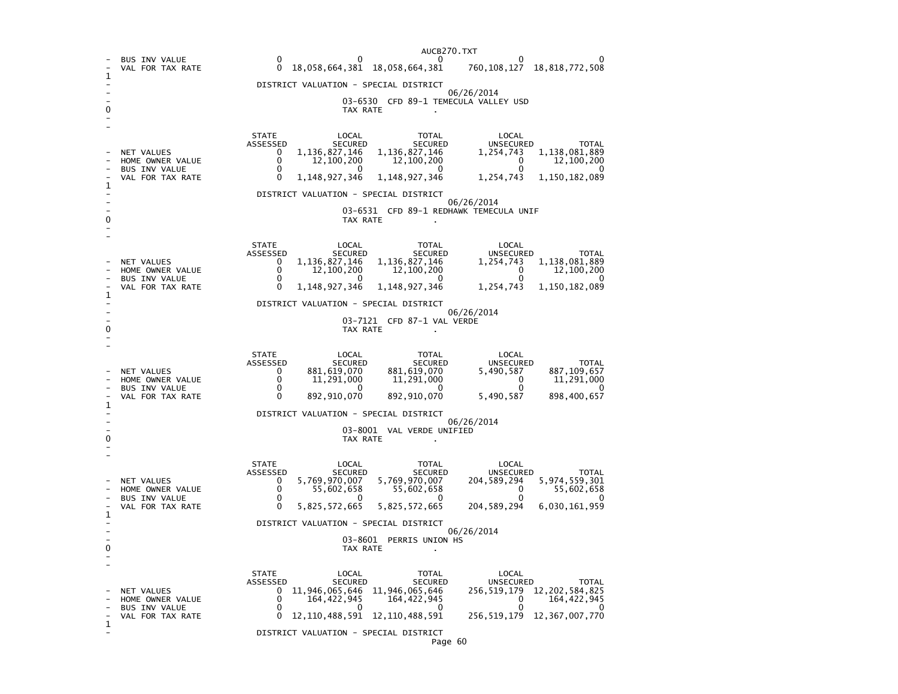|   |                                                                            | AUCB270.TXT                                                                                                                                                                                                                                                                                                                                                                         |  |  |  |  |  |
|---|----------------------------------------------------------------------------|-------------------------------------------------------------------------------------------------------------------------------------------------------------------------------------------------------------------------------------------------------------------------------------------------------------------------------------------------------------------------------------|--|--|--|--|--|
| 1 | <b>BUS INV VALUE</b><br>VAL FOR TAX RATE                                   | $\mathbf{0}$<br>0<br>0<br>$\Omega$<br>18,058,664,381 18,058,664,381<br>760, 108, 127 18, 818, 772, 508                                                                                                                                                                                                                                                                              |  |  |  |  |  |
|   |                                                                            | DISTRICT VALUATION - SPECIAL DISTRICT                                                                                                                                                                                                                                                                                                                                               |  |  |  |  |  |
| 0 |                                                                            | 06/26/2014<br>03-6530 CFD 89-1 TEMECULA VALLEY USD<br>TAX RATE                                                                                                                                                                                                                                                                                                                      |  |  |  |  |  |
|   | NET VALUES                                                                 | <b>STATE</b><br>LOCAL<br>LOCAL<br>TOTAL<br>ASSESSED<br>SECURED<br><b>UNSECURED</b><br>SECURED<br>TOTAL<br>1, 136, 827, 146<br>1,138,081,889<br>$\mathbf{0}$<br>1,136,827,146<br>1,254,743                                                                                                                                                                                           |  |  |  |  |  |
|   | HOME OWNER VALUE<br>BUS INV VALUE                                          | 0<br>12,100,200<br>12,100,200<br>$\mathbf 0$<br>12,100,200<br>$\Omega$<br>$\overline{0}$<br>$\mathbf{0}$<br>$\Omega$<br>$\Omega$                                                                                                                                                                                                                                                    |  |  |  |  |  |
| 1 | VAL FOR TAX RATE                                                           | 1,148,927,346<br>1, 148, 927, 346<br>0<br>1,254,743<br>1,150,182,089                                                                                                                                                                                                                                                                                                                |  |  |  |  |  |
|   |                                                                            | DISTRICT VALUATION - SPECIAL DISTRICT                                                                                                                                                                                                                                                                                                                                               |  |  |  |  |  |
| 0 |                                                                            | 06/26/2014<br>03-6531 CFD 89-1 REDHAWK TEMECULA UNIF<br>TAX RATE                                                                                                                                                                                                                                                                                                                    |  |  |  |  |  |
|   | NET VALUES<br>HOME OWNER VALUE                                             | <b>STATE</b><br>LOCAL<br>LOCAL<br>TOTAL<br>ASSESSED<br>SECURED<br>SECURED<br>UNSECURED<br>TOTAL<br>1, 136, 827, 146<br>1, 136, 827, 146<br>$\mathbf{0}$<br>1,254,743<br>1,138,081,889<br>$\mathbf{0}$<br>12,100,200<br>12,100,200<br>$\overline{\phantom{0}}$<br>12,100,200                                                                                                         |  |  |  |  |  |
|   | BUS INV VALUE<br>VAL FOR TAX RATE                                          | $\mathbf 0$<br>$\mathbf{0}$<br>$\overline{0}$<br>$\mathbf{0}$<br>$\Omega$<br>$\Omega$<br>1, 148, 927, 346<br>1, 148, 927, 346<br>1,254,743<br>1,150,182,089                                                                                                                                                                                                                         |  |  |  |  |  |
| 1 |                                                                            | DISTRICT VALUATION - SPECIAL DISTRICT                                                                                                                                                                                                                                                                                                                                               |  |  |  |  |  |
| 0 |                                                                            | 06/26/2014<br>03-7121 CFD 87-1 VAL VERDE<br>TAX RATE                                                                                                                                                                                                                                                                                                                                |  |  |  |  |  |
|   | NET VALUES<br>HOME OWNER VALUE<br><b>BUS INV VALUE</b><br>VAL FOR TAX RATE | <b>STATE</b><br>LOCAL<br>TOTAL<br>LOCAL<br>SECURED<br>ASSESSED<br>SECURED<br>UNSECURED<br><b>TOTAL</b><br>881, 619, 070<br>887, 109, 657<br>881,619,070<br>5,490,587<br>$\mathbf{0}$<br>0<br>11,291,000<br>11,291,000<br>11,291,000<br>$\mathbf 0$<br>0<br>$\Omega$<br>0<br>0<br>892,910,070<br>892,910,070<br>5,490,587<br>898,400,657<br>0                                        |  |  |  |  |  |
| 1 |                                                                            | DISTRICT VALUATION - SPECIAL DISTRICT                                                                                                                                                                                                                                                                                                                                               |  |  |  |  |  |
| 0 | 06/26/2014<br>03-8001 VAL VERDE UNIFIED<br>TAX RATE                        |                                                                                                                                                                                                                                                                                                                                                                                     |  |  |  |  |  |
| 1 | NET VALUES<br>HOME OWNER VALUE<br><b>BUS INV VALUE</b><br>VAL FOR TAX RATE | <b>STATE</b><br>LOCAL<br>TOTAL<br>LOCAL<br>ASSESSED<br>SECURED<br><b>UNSECURED</b><br>SECURED<br><b>TOTAL</b><br>5,769,970,007<br>5,769,970,007<br>5,974,559,301<br>204,589,294<br>$\mathbf{0}$<br>0<br>55,602,658<br>55,602,658<br>$\Omega$<br>55,602,658<br>0<br>0<br>$\Omega$<br>$\mathbf{0}$<br>0<br>5,825,572,665<br>5,825,572,665<br>204,589,294<br>6,030,161,959<br>0        |  |  |  |  |  |
|   |                                                                            | DISTRICT VALUATION - SPECIAL DISTRICT                                                                                                                                                                                                                                                                                                                                               |  |  |  |  |  |
| 0 |                                                                            | 06/26/2014<br>03-8601 PERRIS UNION HS<br>TAX RATE                                                                                                                                                                                                                                                                                                                                   |  |  |  |  |  |
| 1 | <b>NET VALUES</b><br>HOME OWNER VALUE<br>BUS INV VALUE<br>VAL FOR TAX RATE | <b>STATE</b><br>LOCAL<br>LOCAL<br>TOTAL<br><b>ASSESSED</b><br>SECURED<br>UNSECURED<br>SECURED<br>TOTAL<br>11, 946, 065, 646<br>164, 422, 945<br>164, 422, 945<br>256, 519, 179 12, 202, 584, 825<br>0<br>$\Omega$<br>$\Omega$<br>164,422,945<br>$\Omega$<br>$\Omega$<br>$\overline{0}$<br>$\Omega$<br>O<br>12, 110, 488, 591 12, 110, 488, 591 256, 519, 179 12, 367, 007, 770<br>0 |  |  |  |  |  |
|   |                                                                            | DISTRICT VALUATION - SPECIAL DISTRICT<br>Dage 60                                                                                                                                                                                                                                                                                                                                    |  |  |  |  |  |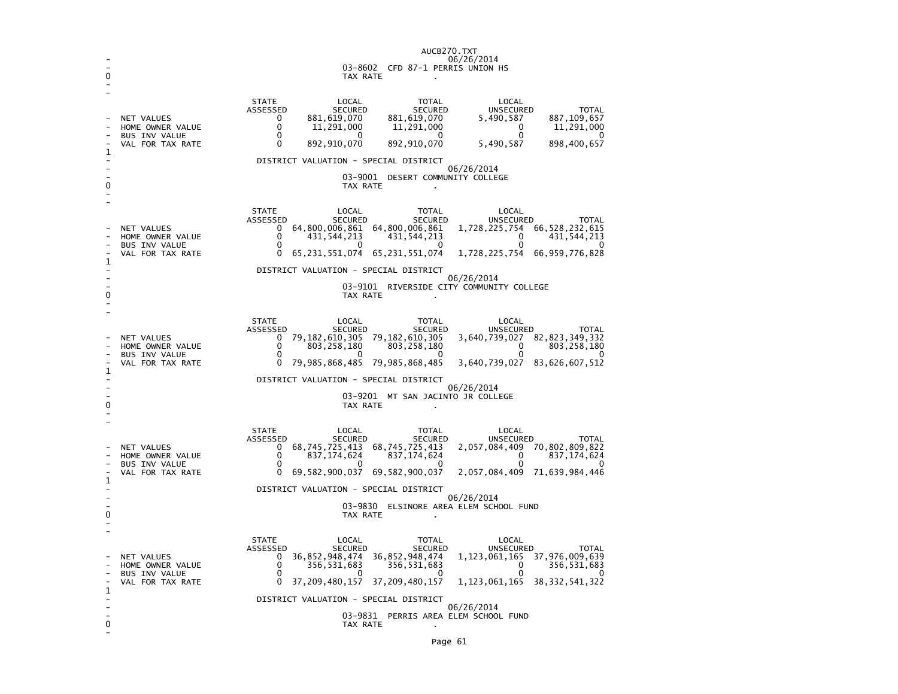|        |                                                                                   | AUCB270.TXT<br>06/26/2014                                                                                                                                                                                                                                                                                                                                                                                                                                                                                                     |
|--------|-----------------------------------------------------------------------------------|-------------------------------------------------------------------------------------------------------------------------------------------------------------------------------------------------------------------------------------------------------------------------------------------------------------------------------------------------------------------------------------------------------------------------------------------------------------------------------------------------------------------------------|
|        |                                                                                   | 03-8602 CFD 87-1 PERRIS UNION HS<br>TAX RATE                                                                                                                                                                                                                                                                                                                                                                                                                                                                                  |
|        | <b>NET VALUES</b><br>HOME OWNER VALUE<br><b>BUS INV VALUE</b><br>VAL FOR TAX RATE | <b>STATE</b><br>LOCAL<br>TOTAL<br>LOCAL<br>ASSESSED<br><b>SECURED</b><br>SECURED<br>UNSECURED<br><b>TOTAL</b><br>887, 109, 657<br>881,619,070<br>881,619,070<br>5,490,587<br>0<br>$\Omega$<br>11,291,000<br>11,291,000<br>11,291,000<br>0<br>$\mathbf{0}$<br>$\Omega$<br>- 0<br>$\mathbf{0}$<br>0<br>892,910,070<br>892,910,070<br>5,490,587<br>898,400,657<br>DISTRICT VALUATION - SPECIAL DISTRICT<br>06/26/2014<br>03-9001 DESERT COMMUNITY COLLEGE<br>TAX RATE                                                            |
| 1      | NET VALUES<br>HOME OWNER VALUE<br>BUS INV VALUE<br>VAL FOR TAX RATE               | <b>STATE</b><br>LOCAL<br>LOCAL<br>TOTAL<br>ASSESSED<br>SECURED<br>SECURED<br><b>UNSECURED</b><br>TOTAL<br>64,800,006,861 64,800,006,861<br>1,728,225,754 66,528,232,615<br>$\Omega$<br>0<br>431,544,213<br>431, 544, 213<br>0<br>431,544,213<br>0<br>0<br>0<br>0<br>65, 231, 551, 074 65, 231, 551, 074<br>1,728,225,754 66,959,776,828<br>0<br>DISTRICT VALUATION - SPECIAL DISTRICT<br>06/26/2014<br>03-9101<br>RIVERSIDE CITY COMMUNITY COLLEGE                                                                            |
| 1<br>0 | NET VALUES<br>HOME OWNER VALUE<br><b>BUS INV VALUE</b><br>VAL FOR TAX RATE        | TAX RATE<br><b>STATE</b><br>LOCAL<br>LOCAL<br>TOTAL<br>ASSESSED<br>SECURED<br>SECURED<br>UNSECURED<br>TOTAL<br>79, 182, 610, 305 79, 182, 610, 305<br>3,640,739,027 82,823,349,332<br>0<br>$\Omega$<br>803,258,180<br>803, 258, 180<br>803,258,180<br>$\Omega$<br>$\mathbf{0}$<br>$\mathbf{0}$<br>$\Omega$<br>O<br>79, 985, 868, 485 79, 985, 868, 485<br>3,640,739,027 83,626,607,512<br>0<br>DISTRICT VALUATION - SPECIAL DISTRICT<br>06/26/2014<br>03-9201 MT SAN JACINTO JR COLLEGE<br>TAX RATE                           |
| 1      | <b>NET VALUES</b><br>HOME OWNER VALUE<br><b>BUS INV VALUE</b><br>VAL FOR TAX RATE | <b>STATE</b><br>LOCAL<br><b>TOTAL</b><br>LOCAL<br>ASSESSED<br>SECURED<br>SECURED<br>UNSECURED<br><b>TOTAL</b><br>68, 745, 725, 413<br>68,745,725,413<br>837,174,624<br>2,057,084,409 70,802,809,822<br>$\Omega$<br>837, 174, 624<br>0<br>837, 174, 624<br>$\overline{\phantom{0}}$<br>$\Omega$<br>$\Omega$<br>$\Omega$<br>$\Omega$<br>∩<br>69,582,900,037<br>69,582,900,037<br>0<br>2,057,084,409 71,639,984,446<br>DISTRICT VALUATION - SPECIAL DISTRICT<br>06/26/2014<br>03-9830 ELSINORE AREA ELEM SCHOOL FUND<br>TAX RATE |
| 1<br>0 | NET VALUES<br>HOME OWNER VALUE<br>BUS INV VALUE<br>VAL FOR TAX RATE               | <b>STATE</b><br>LOCAL<br>LOCAL<br>TOTAL<br>SECURED<br>SECURED<br>UNSECURED<br>ASSESSED<br>TOTAL<br>36,852,948,474<br>36,852,948,474<br>1, 123, 061, 165 37, 976, 009, 639<br>0<br>356,531,683<br>0<br>356, 531, 683<br>356, 531, 683<br>0<br>$\Omega$<br>$\Omega$<br>$\Omega$<br>0<br>$\Omega$<br>37, 209, 480, 157 37, 209, 480, 157<br>1, 123, 061, 165 38, 332, 541, 322<br>DISTRICT VALUATION - SPECIAL DISTRICT<br>06/26/2014<br>03-9831 PERRIS AREA ELEM SCHOOL FUND<br>TAX RATE                                        |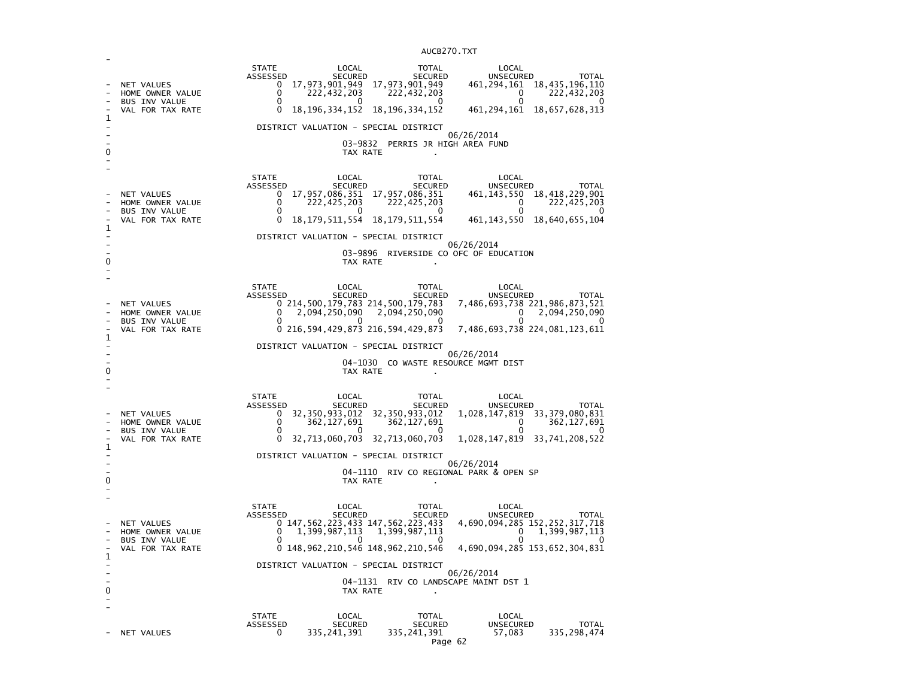| 1      | NET VALUES<br>HOME OWNER VALUE<br>BUS INV VALUE<br>VAL FOR TAX RATE        | <b>STATE</b><br>LOCAL<br><b>TOTAL</b><br>LOCAL<br>ASSESSED<br>SECURED<br><b>SECURED</b><br>UNSECURED<br><b>TOTAL</b><br>17,973,901,949 17,973,901,949<br>461, 294, 161 18, 435, 196, 110<br>0<br>222, 432, 203<br>0<br>222,432,203<br>222,432,203<br>0<br>0<br><sup>0</sup><br>0<br>0<br><sup>0</sup><br>18, 196, 334, 152<br>18, 196, 334, 152<br>461, 294, 161<br>18,657,628,313<br>0<br>DISTRICT VALUATION - SPECIAL DISTRICT<br>06/26/2014<br>03-9832 PERRIS JR HIGH AREA FUND<br>TAX RATE           |
|--------|----------------------------------------------------------------------------|----------------------------------------------------------------------------------------------------------------------------------------------------------------------------------------------------------------------------------------------------------------------------------------------------------------------------------------------------------------------------------------------------------------------------------------------------------------------------------------------------------|
| 1<br>0 | NET VALUES<br>HOME OWNER VALUE<br>BUS INV VALUE<br>VAL FOR TAX RATE        | <b>STATE</b><br>LOCAL<br><b>TOTAL</b><br>LOCAL<br>ASSESSED<br>SECURED<br><b>SECURED</b><br>UNSECURED<br><b>TOTAL</b><br>17,957,086,351 17,957,086,351<br>461, 143, 550 18, 418, 229, 901<br>$\mathbf{0}$<br>222,425,203<br>222,425,203<br>0<br>222,425,203<br>0<br>0<br>$\mathbf{0}$<br>$\Omega$<br>n<br>0<br>461, 143, 550 18, 640, 655, 104<br>18, 179, 511, 554<br>18, 179, 511, 554<br>0<br>DISTRICT VALUATION - SPECIAL DISTRICT<br>06/26/2014<br>03-9896 RIVERSIDE CO OFC OF EDUCATION<br>TAX RATE |
| 1<br>0 | NET VALUES<br>HOME OWNER VALUE<br>BUS INV VALUE<br>VAL FOR TAX RATE        | <b>STATE</b><br>LOCAL<br>TOTAL<br>LOCAL<br>ASSESSED<br>SECURED<br>UNSECURED<br>SECURED<br>TOTAL<br>7,486,693,738 221,986,873,521<br>0 214,500,179,783 214,500,179,783<br>0<br>2,094,250,090<br>2,094,250,090<br>2,094,250,090<br>0<br>0<br>O<br>O<br>$^{\circ}$<br>0 216,594,429,873 216,594,429,873<br>7,486,693,738 224,081,123,611<br>DISTRICT VALUATION - SPECIAL DISTRICT<br>06/26/2014<br>04-1030 CO WASTE RESOURCE MGMT DIST<br>TAX RATE                                                          |
| 1<br>0 | NET VALUES<br>HOME OWNER VALUE<br><b>BUS INV VALUE</b><br>VAL FOR TAX RATE | <b>STATE</b><br>LOCAL<br>TOTAL<br>LOCAL<br>ASSESSED<br>SECURED<br>SECURED<br><b>UNSECURED</b><br><b>TOTAL</b><br>32, 350, 933, 012 32, 350, 933, 012<br>1,028,147,819 33,379,080,831<br>0<br>$\Omega$<br>362, 127, 691<br>362, 127, 691<br>362,127,691<br>0<br>0<br>$\Omega$<br>0<br>$^{\circ}$<br>$\Omega$<br>32,713,060,703 32,713,060,703<br>1,028,147,819 33,741,208,522<br>0<br>DISTRICT VALUATION - SPECIAL DISTRICT<br>06/26/2014<br>04-1110 RIV CO REGIONAL PARK & OPEN SP<br>TAX RATE           |
| 1<br>0 | <b>NET VALUES</b><br>HOME OWNER VALUE<br>BUS INV VALUE<br>VAL FOR TAX RATE | <b>STATE</b><br>LOCAL<br>LOCAL<br>TOTAL<br>UNSECURED<br>ASSESSED<br>SECURED<br>SECURED<br>TOTAL<br>4,690,094,285 152,252,317,718<br>0 147,562,223,433 147,562,223,433<br>1,399,987,113<br>0<br>1,399,987,113<br>1,399,987,113<br>0<br>$\Omega$<br>0<br><sup>0</sup><br><sup>0</sup><br>$\Omega$<br>0 148, 962, 210, 546 148, 962, 210, 546<br>4,690,094,285 153,652,304,831<br>DISTRICT VALUATION - SPECIAL DISTRICT<br>06/26/2014<br>04-1131 RIV CO LANDSCAPE MAINT DST 1<br>TAX RATE                   |
|        | NET VALUES                                                                 | <b>STATE</b><br>LOCAL<br>LOCAL<br>TOTAL<br>ASSESSED<br><b>SECURED</b><br><b>UNSECURED</b><br><b>TOTAL</b><br><b>SECURED</b><br>335, 241, 391<br>335, 241, 391<br>335, 298, 474<br>0<br>57,083                                                                                                                                                                                                                                                                                                            |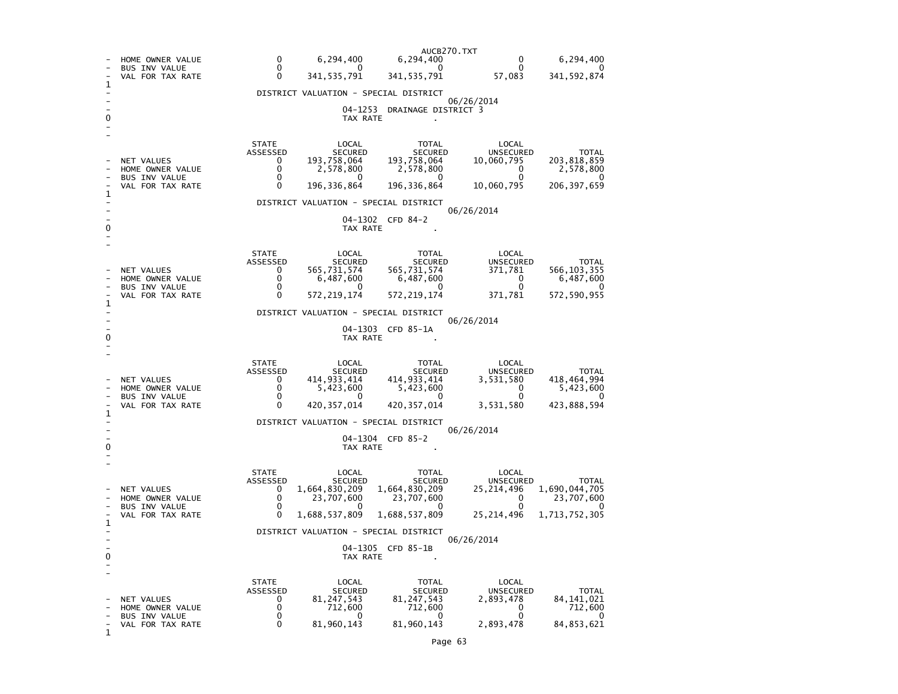|                                    | HOME OWNER VALUE                                                           | $\Omega$                                                 | 6,294,400                                                                                                                                    | AUCB270.TXT<br>6,294,400                                                                        | 0                                                                             | 6,294,400                                                             |  |  |  |
|------------------------------------|----------------------------------------------------------------------------|----------------------------------------------------------|----------------------------------------------------------------------------------------------------------------------------------------------|-------------------------------------------------------------------------------------------------|-------------------------------------------------------------------------------|-----------------------------------------------------------------------|--|--|--|
|                                    | <b>BUS INV VALUE</b><br>VAL FOR TAX RATE                                   | 0<br>0                                                   | 0<br>341, 535, 791                                                                                                                           | 0<br>341, 535, 791                                                                              | $\mathbf{0}$<br>57,083                                                        | 0<br>341,592,874                                                      |  |  |  |
| ı                                  |                                                                            |                                                          | DISTRICT VALUATION - SPECIAL DISTRICT                                                                                                        |                                                                                                 |                                                                               |                                                                       |  |  |  |
| 0                                  |                                                                            | 06/26/2014<br>04-1253<br>DRAINAGE DISTRICT 3<br>TAX RATE |                                                                                                                                              |                                                                                                 |                                                                               |                                                                       |  |  |  |
| 1<br>0                             | NET VALUES<br>HOME OWNER VALUE<br><b>BUS INV VALUE</b><br>VAL FOR TAX RATE | <b>STATE</b><br>ASSESSED<br>0<br>0<br>0<br>0             | LOCAL<br><b>SECURED</b><br>193,758,064<br>2,578,800<br>0<br>196,336,864<br>DISTRICT VALUATION - SPECIAL DISTRICT<br>TAX RATE                 | TOTAL<br><b>SECURED</b><br>193,758,064<br>2,578,800<br>0<br>196, 336, 864<br>04-1302 CFD 84-2   | LOCAL<br><b>UNSECURED</b><br>10,060,795<br>0<br>0<br>10,060,795<br>06/26/2014 | <b>TOTAL</b><br>203,818,859<br>2,578,800<br>$\Omega$<br>206, 397, 659 |  |  |  |
| 1<br>0                             | NET VALUES<br>HOME OWNER VALUE<br><b>BUS INV VALUE</b><br>VAL FOR TAX RATE | <b>STATE</b><br>ASSESSED<br>0<br>0<br>0<br>0             | LOCAL<br><b>SECURED</b><br>565,731,574<br>6,487,600<br>0<br>572, 219, 174<br>DISTRICT VALUATION - SPECIAL DISTRICT<br>TAX RATE               | TOTAL<br><b>SECURED</b><br>565,731,574<br>6,487,600<br>0<br>572, 219, 174<br>04-1303 CFD 85-1A  | LOCAL<br>UNSECURED<br>371,781<br>0<br>$\Omega$<br>371,781<br>06/26/2014       | <b>TOTAL</b><br>566, 103, 355<br>6,487,600<br>$\Omega$<br>572,590,955 |  |  |  |
| 1<br>o                             | NET VALUES<br>HOME OWNER VALUE<br><b>BUS INV VALUE</b><br>VAL FOR TAX RATE | <b>STATE</b><br>ASSESSED<br>0<br>0<br>0<br>$\Omega$      | LOCAL<br><b>SECURED</b><br>414,933,414<br>5,423,600<br>$^{\circ}$<br>420, 357, 014<br>DISTRICT VALUATION - SPECIAL DISTRICT<br>TAX RATE      | TOTAL<br><b>SECURED</b><br>414, 933, 414<br>5,423,600<br>0<br>420, 357, 014<br>04-1304 CFD 85-2 | LOCAL<br>UNSECURED<br>3,531,580<br>0<br>0<br>3,531,580<br>06/26/2014          | TOTAL<br>418,464,994<br>5,423,600<br>0<br>423,888,594                 |  |  |  |
| 1<br>0<br>$\overline{\phantom{0}}$ | NET VALUES<br>HOME OWNER VALUE<br><b>BUS INV VALUE</b><br>VAL FOR TAX RATE | <b>STATE</b><br>ASSESSED<br>0<br>0<br>0<br>$\Omega$      | LOCAL<br><b>SECURED</b><br>1,664,830,209<br>23,707,600<br>0<br>1,688,537,809<br>DISTRICT VALUATION - SPECIAL DISTRICT<br>04-1305<br>TAX RATE | TOTAL<br><b>SECURED</b><br>1,664,830,209<br>23,707,600<br>0<br>1,688,537,809<br>CFD 85-1B       | LOCAL<br><b>UNSECURED</b><br>25,214,496<br>0<br>0<br>25,214,496<br>06/26/2014 | <b>TOTAL</b><br>1,690,044,705<br>23,707,600<br>0<br>1,713,752,305     |  |  |  |
| 1                                  | NET VALUES<br>HOME OWNER VALUE<br><b>BUS INV VALUE</b><br>VAL FOR TAX RATE | <b>STATE</b><br>ASSESSED<br>0<br>0<br>0<br>0             | LOCAL<br><b>SECURED</b><br>81, 247, 543<br>712,600<br>0<br>81,960,143                                                                        | <b>TOTAL</b><br><b>SECURED</b><br>81, 247, 543<br>712,600<br>0<br>81,960,143                    | LOCAL<br><b>UNSECURED</b><br>2,893,478<br>0<br>0<br>2,893,478                 | <b>TOTAL</b><br>84,141,021<br>712,600<br>0<br>84, 853, 621            |  |  |  |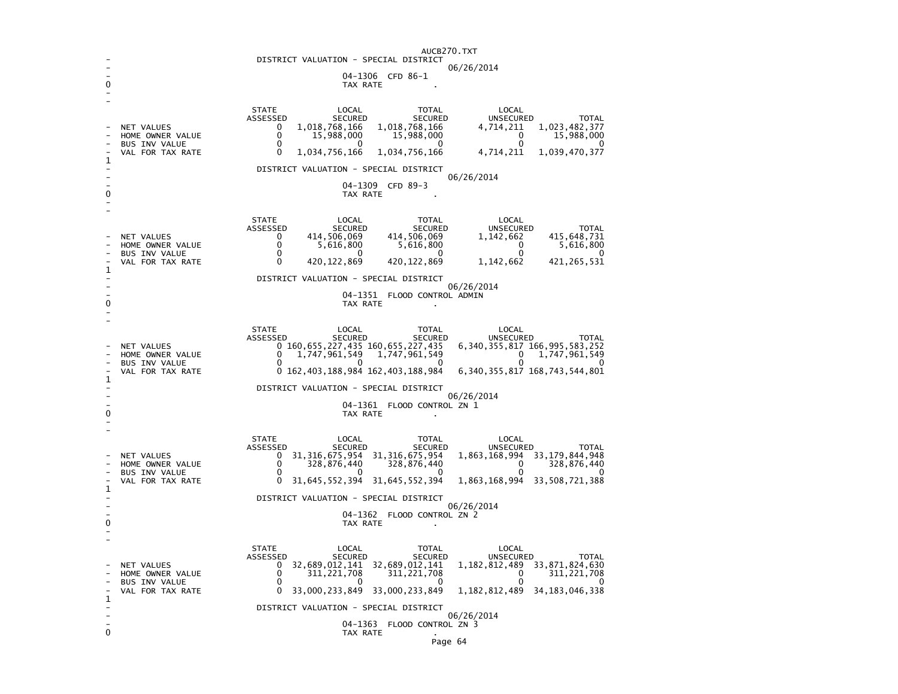|                                            | AUCB270.TXT<br>DISTRICT VALUATION - SPECIAL DISTRICT |                                                                                                                                                       |  |  |  |  |  |
|--------------------------------------------|------------------------------------------------------|-------------------------------------------------------------------------------------------------------------------------------------------------------|--|--|--|--|--|
|                                            | 06/26/2014                                           |                                                                                                                                                       |  |  |  |  |  |
|                                            |                                                      | 04-1306 CFD 86-1<br>TAX RATE                                                                                                                          |  |  |  |  |  |
|                                            |                                                      |                                                                                                                                                       |  |  |  |  |  |
|                                            |                                                      | <b>STATE</b><br>LOCAL<br><b>TOTAL</b><br>LOCAL                                                                                                        |  |  |  |  |  |
|                                            | NET VALUES                                           | ASSESSED<br><b>SECURED</b><br><b>UNSECURED</b><br><b>TOTAL</b><br><b>SECURED</b><br>1,018,768,166<br>1,018,768,166<br>1,023,482,377<br>0<br>4,714,211 |  |  |  |  |  |
|                                            | HOME OWNER VALUE                                     | 0<br>15,988,000<br>15,988,000<br>15,988,000<br>0                                                                                                      |  |  |  |  |  |
| 1                                          | <b>BUS INV VALUE</b><br>VAL FOR TAX RATE             | 0<br>0<br>0<br>$^{(1)}$<br>1,034,756,166<br>1,039,470,377<br>0<br>1,034,756,166<br>4,714,211                                                          |  |  |  |  |  |
|                                            |                                                      | DISTRICT VALUATION - SPECIAL DISTRICT                                                                                                                 |  |  |  |  |  |
|                                            |                                                      | 06/26/2014<br>04-1309<br>CFD 89-3                                                                                                                     |  |  |  |  |  |
| 0                                          |                                                      | TAX RATE                                                                                                                                              |  |  |  |  |  |
|                                            |                                                      |                                                                                                                                                       |  |  |  |  |  |
|                                            |                                                      | <b>STATE</b><br>LOCAL<br><b>TOTAL</b><br>LOCAL<br>ASSESSED<br><b>SECURED</b><br><b>SECURED</b><br><b>UNSECURED</b><br><b>TOTAL</b>                    |  |  |  |  |  |
|                                            | NET VALUES                                           | 414,506,069<br>414,506,069<br>415,648,731<br>0<br>1,142,662                                                                                           |  |  |  |  |  |
|                                            | HOME OWNER VALUE<br>BUS INV VALUE                    | 0<br>5,616,800<br>5,616,800<br>0<br>5,616,800<br>0<br>0<br>0<br>0<br>O                                                                                |  |  |  |  |  |
| 1                                          | VAL FOR TAX RATE                                     | 0<br>420,122,869<br>420,122,869<br>1,142,662<br>421,265,531                                                                                           |  |  |  |  |  |
|                                            |                                                      | DISTRICT VALUATION - SPECIAL DISTRICT                                                                                                                 |  |  |  |  |  |
|                                            | 06/26/2014<br>04-1351<br>FLOOD CONTROL ADMIN         |                                                                                                                                                       |  |  |  |  |  |
| 0                                          |                                                      | TAX RATE                                                                                                                                              |  |  |  |  |  |
|                                            |                                                      |                                                                                                                                                       |  |  |  |  |  |
|                                            |                                                      | <b>STATE</b><br>LOCAL<br>TOTAL<br>LOCAL<br>ASSESSED<br><b>SECURED</b><br><b>SECURED</b><br><b>UNSECURED</b><br><b>TOTAL</b>                           |  |  |  |  |  |
|                                            | NET VALUES                                           | 0 160,655,227,435 160,655,227,435<br>6, 340, 355, 817 166, 995, 583, 252                                                                              |  |  |  |  |  |
|                                            | HOME OWNER VALUE<br><b>BUS INV VALUE</b>             | 1,747,961,549<br>1,747,961,549<br>1,747,961,549<br>0<br>0<br>0<br>O<br>0<br>O<br>0                                                                    |  |  |  |  |  |
|                                            | VAL FOR TAX RATE                                     | 0 162, 403, 188, 984 162, 403, 188, 984<br>6, 340, 355, 817 168, 743, 544, 801                                                                        |  |  |  |  |  |
| 1<br>DISTRICT VALUATION - SPECIAL DISTRICT |                                                      |                                                                                                                                                       |  |  |  |  |  |
|                                            |                                                      | 06/26/2014<br>04-1361 FLOOD CONTROL ZN 1                                                                                                              |  |  |  |  |  |
| 0                                          |                                                      | TAX RATE                                                                                                                                              |  |  |  |  |  |
|                                            |                                                      |                                                                                                                                                       |  |  |  |  |  |
|                                            |                                                      | <b>STATE</b><br>LOCAL<br><b>TOTAL</b><br>LOCAL<br>ASSESSED<br><b>SECURED</b><br><b>SECURED</b><br><b>UNSECURED</b><br><b>TOTAL</b>                    |  |  |  |  |  |
|                                            | NET VALUES                                           | 33, 179, 844, 948<br>31, 316, 675, 954<br>31, 316, 675, 954<br>1,863,168,994<br>0                                                                     |  |  |  |  |  |
|                                            | HOME OWNER VALUE<br><b>BUS INV VALUE</b>             | 0<br>328,876,440<br>328,876,440<br>$\Omega$<br>328,876,440<br>0<br>$\Omega$<br>O<br>O<br>∩                                                            |  |  |  |  |  |
| 1                                          | VAL FOR TAX RATE                                     | 1,863,168,994<br>0<br>31,645,552,394<br>31,645,552,394<br>33,508,721,388                                                                              |  |  |  |  |  |
|                                            | DISTRICT VALUATION - SPECIAL DISTRICT                |                                                                                                                                                       |  |  |  |  |  |
|                                            |                                                      | 06/26/2014<br>04-1362<br>FLOOD CONTROL ZN 2                                                                                                           |  |  |  |  |  |
| 0                                          |                                                      | TAX RATE                                                                                                                                              |  |  |  |  |  |
|                                            |                                                      |                                                                                                                                                       |  |  |  |  |  |
|                                            |                                                      | <b>STATE</b><br>LOCAL<br><b>TOTAL</b><br>LOCAL<br>ASSESSED<br><b>SECURED</b><br><b>SECURED</b><br>UNSECURED<br><b>TOTAL</b>                           |  |  |  |  |  |
|                                            | NET VALUES                                           | 32,689,012,141<br>32,689,012,141<br>1, 182, 812, 489<br>33,871,824,630<br>0                                                                           |  |  |  |  |  |
|                                            | HOME OWNER VALUE<br>BUS INV VALUE                    | 0<br>311,221,708<br>311, 221, 708<br>0<br>311, 221, 708<br>0<br>O<br>0<br>O<br>$\Omega$                                                               |  |  |  |  |  |
| 1                                          | VAL FOR TAX RATE                                     | 33,000,233,849<br>33,000,233,849<br>1, 182, 812, 489<br>34, 183, 046, 338<br>0                                                                        |  |  |  |  |  |
|                                            |                                                      | DISTRICT VALUATION - SPECIAL DISTRICT                                                                                                                 |  |  |  |  |  |
|                                            |                                                      | 06/26/2014<br>04-1363<br>FLOOD CONTROL ZN 3                                                                                                           |  |  |  |  |  |
| $\mathbf 0$                                |                                                      | TAX RATE                                                                                                                                              |  |  |  |  |  |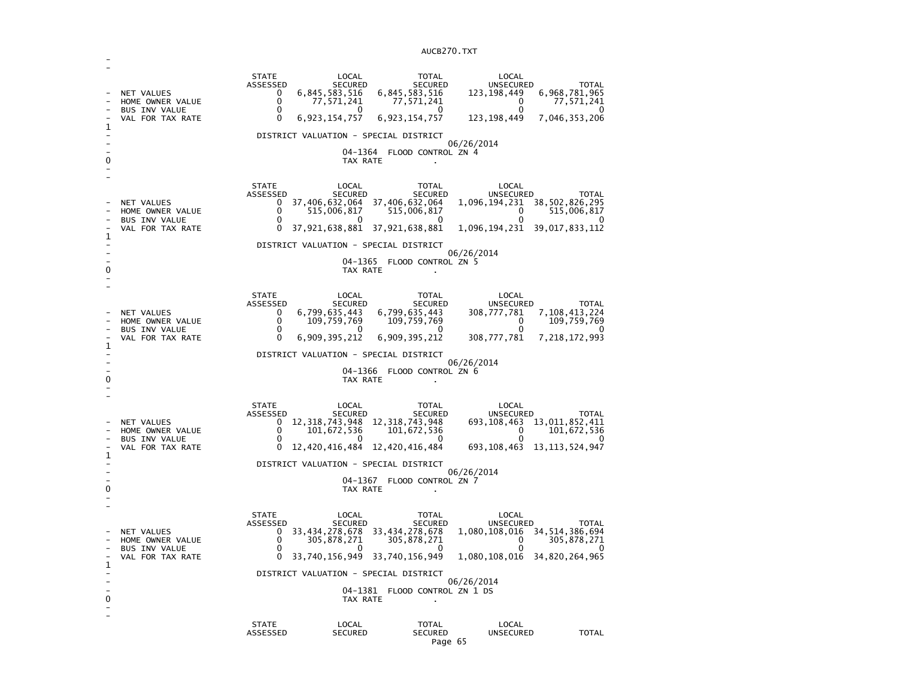| 1<br>0 | NET VALUES<br>HOME OWNER VALUE<br><b>BUS INV VALUE</b><br>VAL FOR TAX RATE | <b>STATE</b><br>ASSESSED<br>0<br>0<br>0<br>0                                               | LOCAL<br><b>SECURED</b><br>6,845,583,516<br>77,571,241<br>$^{\circ}$<br>6,923,154,757<br>04-1364<br>TAX RATE | <b>TOTAL</b><br>SECURED<br>6,845,583,516<br>77,571,241<br>$\Omega$<br>6, 923, 154, 757<br>DISTRICT VALUATION - SPECIAL DISTRICT<br>FLOOD CONTROL ZN 4                                                             | LOCAL<br>UNSECURED<br>123, 198, 449<br>0<br>0<br>123, 198, 449<br>06/26/2014                                                       | <b>TOTAL</b><br>6,968,781,965<br>77,571,241<br>0<br>7,046,353,206     |
|--------|----------------------------------------------------------------------------|--------------------------------------------------------------------------------------------|--------------------------------------------------------------------------------------------------------------|-------------------------------------------------------------------------------------------------------------------------------------------------------------------------------------------------------------------|------------------------------------------------------------------------------------------------------------------------------------|-----------------------------------------------------------------------|
| 1<br>0 | NET VALUES<br>HOME OWNER VALUE<br><b>BUS INV VALUE</b><br>VAL FOR TAX RATE | <b>STATE</b><br>ASSESSED<br>0<br>0<br>0<br>$\Omega$                                        | LOCAL<br><b>SECURED</b><br>515,006,817<br>0<br>TAX RATE                                                      | <b>TOTAL</b><br><b>SECURED</b><br>37,406,632,064 37,406,632,064<br>515,006,817<br>0<br>37,921,638,881 37,921,638,881<br>DISTRICT VALUATION - SPECIAL DISTRICT<br>04-1365 FLOOD CONTROL ZN 5                       | LOCAL<br>UNSECURED<br>1,096,194,231 38,502,826,295<br>0<br>0<br>1,096,194,231 39,017,833,112<br>06/26/2014                         | <b>TOTAL</b><br>515,006,817<br>0                                      |
| 1<br>0 | NET VALUES<br>HOME OWNER VALUE<br><b>BUS INV VALUE</b><br>VAL FOR TAX RATE | <b>STATE</b><br>ASSESSED<br>0<br>0<br>$\Omega$<br>0                                        | LOCAL<br>SECURED<br>6,799,635,443<br>109,759,769<br>$\Omega$<br>6,909,395,212<br>TAX RATE                    | <b>TOTAL</b><br><b>SECURED</b><br>6,799,635,443<br>109,759,769<br>$\Omega$<br>6,909,395,212<br>DISTRICT VALUATION - SPECIAL DISTRICT<br>04-1366 FLOOD CONTROL ZN 6                                                | LOCAL<br><b>UNSECURED</b><br>308,777,781<br>0<br>$\Omega$<br>308,777,781<br>06/26/2014                                             | <b>TOTAL</b><br>7,108,413,224<br>109,759,769<br>O<br>7, 218, 172, 993 |
| 1<br>0 | NET VALUES<br>HOME OWNER VALUE<br><b>BUS INV VALUE</b><br>VAL FOR TAX RATE | <b>STATE</b><br>ASSESSED<br>0<br>$\Omega$<br>0<br>0                                        | LOCAL<br>SECURED<br>101,672,536<br>$\Omega$<br>TAX RATE                                                      | TOTAL<br>SECURED<br>12, 318, 743, 948 12, 318, 743, 948<br>101,672,536<br>0<br>12, 420, 416, 484 12, 420, 416, 484<br>DISTRICT VALUATION - SPECIAL DISTRICT<br>04-1367 FLOOD CONTROL ZN 7                         | LOCAL<br>UNSECURED<br>693, 108, 463 13, 011, 852, 411<br>$\mathbf{0}$<br>0<br>693,108,463<br>06/26/2014                            | <b>TOTAL</b><br>101,672,536<br>$\Omega$<br>13,113,524,947             |
| 1<br>0 | NET VALUES<br>HOME OWNER VALUE<br>BUS INV VALUE<br>VAL FOR TAX RATE        | <b>STATE</b><br>ASSESSED<br>$\Omega$<br>0<br>0<br>$\mathbf{0}$<br><b>STATE</b><br>ASSESSED | LOCAL<br><b>SECURED</b><br>305,878,271<br>33,740,156,949<br>TAX RATE<br>LOCAL<br><b>SECURED</b>              | <b>TOTAL</b><br><b>SECURED</b><br>33,434,278,678 33,434,278,678<br>305,878,271<br>0<br>33,740,156,949<br>DISTRICT VALUATION - SPECIAL DISTRICT<br>04-1381 FLOOD CONTROL ZN 1 DS<br><b>TOTAL</b><br><b>SECURED</b> | LOCAL<br>UNSECURED<br>1,080,108,016 34,514,386,694<br>0<br>1,080,108,016 34,820,264,965<br>06/26/2014<br>LOCAL<br><b>UNSECURED</b> | TOTAL<br>305,878,271<br><b>TOTAL</b>                                  |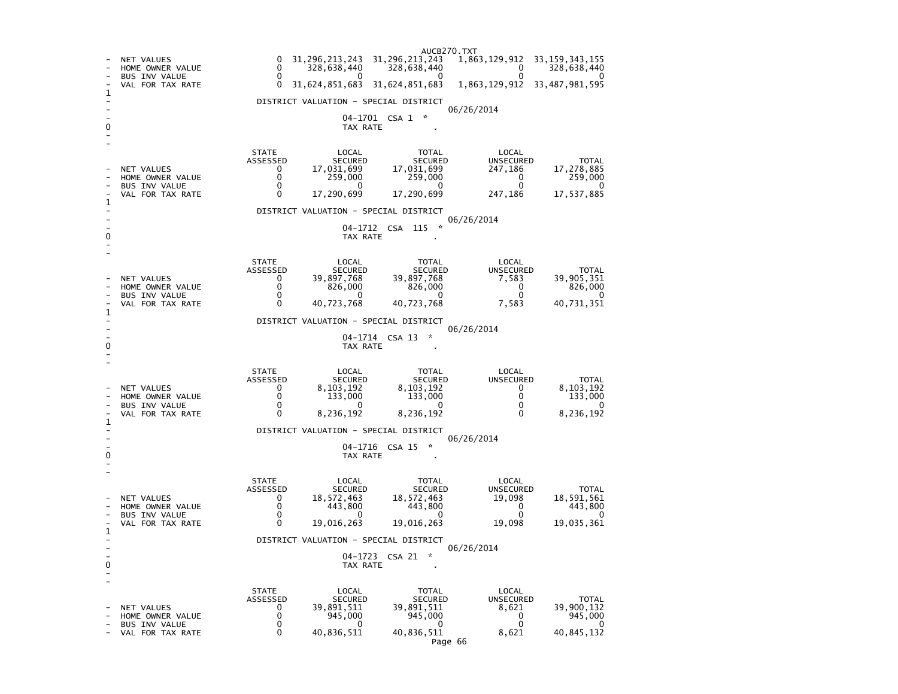AUCB270.TXT - NET VALUES 0 31,296,213,243 31,296,213,243 1,863,129,912 33,159,343,155 - HOME OWNER VALUE 0 328,638,440 328,638,440 0 328,638,440  $\overline{0}$ - BUS INV VALUE  $\begin{array}{ccccccccccc} 0 & 0 & 0 & 0 & 0 \end{array}$ 1,863,129,912 33,487,981,595 - VAL FOR TAX RATE 0 31,624,851,683 31,624,851,683 1 - DISTRICT VALUATION - SPECIAL DISTRICT - 06/26/2014 04-1701 CSA 1 \* 0 TAX RATE - - STATE LOCAL TOTAL LOCAL **UNSECURED**  ASSESSED SECURED SECURED UNSECURED TOTAL 17,278,885 - NET VALUES 0 17,031,699 17,031,699 247,186 17,278,885 259,000 - HOME OWNER VALUE 0 259,000 259,000 0 259,000  $\overline{0}$ - BUS INV VALUE 17,537,885 VAL FOR TAX RATE 0 17,290,699 17,290,699 247,186 1  $\sim$ - DISTRICT VALUATION - SPECIAL DISTRICT - 06/26/2014 - 04-1712 CSA 115 \* 0 TAX RATE - - STATE LOCAL TOTAL LOCAL **UNSECURED**  ASSESSED SECURED SECURED UNSECURED TOTAL 39.905,351 - NET VALUES 0 39,897,768 39,897,768 7,583 39,905,351  $826,000$ - HOME OWNER VALUE 0 826,000 826,000 0 826,000  $\overline{\phantom{0}}$ - BUS INV VALUE 0 0 0 0 0 40,731,351 VAL FOR TAX RATE 0 1 - DISTRICT VALUATION - SPECIAL DISTRICT - 06/26/2014 04-1714 CSA 13 \*  $\sim$ 0 TAX RATE - - STATE LOCAL TOTAL LOCAL UNSECURED ASSESSED SECURED SECURED UNSECURED TOTAL 8,103,192 - NET VALUES 0 8,103,192 8,103,192 0 8,103,192 133,000 - HOME OWNER VALUE 0 133,000 133,000 0 133,000  $\overline{\mathbf{0}}$ BUS INV VALUE 8.236.192 - VAL FOR TAX RATE 0 8,236,192 8,236,192 0 8,236,192 1 - DISTRICT VALUATION - SPECIAL DISTRICT - 06/26/2014 04-1716 CSA 15 \*  $\sim$ 0 TAX RATE - - STATE LOCAL TOTAL LOCAL **UNSECURED**  ASSESSED SECURED SECURED UNSECURED TOTAL 18,591,561 - NET VALUES 0 18,572,463 18,572,463 19,098<br>- HOME OWNER VALUE 0 443,800 443,800 0  $443,800$ - HOME OWNER VALUE 0 443,800 443,800 0 443,800  $\sim$ - BUS INV VALUE 0 0 0 0 0 19,035,361 - VAL FOR TAX RATE  $0$  19,016,263 19,016,263 19,098 1  $\sim$ - DISTRICT VALUATION - SPECIAL DISTRICT - 06/26/2014 04-1723 CSA 21 \*  $\sim$ 0 TAX RATE - - STATE LOCAL TOTAL LOCAL **UNSECURED**  ASSESSED SECURED SECURED UNSECURED TOTAL - NET VALUES 0 39,891,511 39,891,511 8,621 39,900,132 945,000 - HOME OWNER VALUE  $0$  945,000 945,000 945,000 945,000 945,000 945,000 945,000 9  $\overline{\mathbf{0}}$ - BUS INV VALUE 0 0 0 0 0 40,845,132 - VAL FOR TAX RATE 0 40,836,511 40,836,511 8,621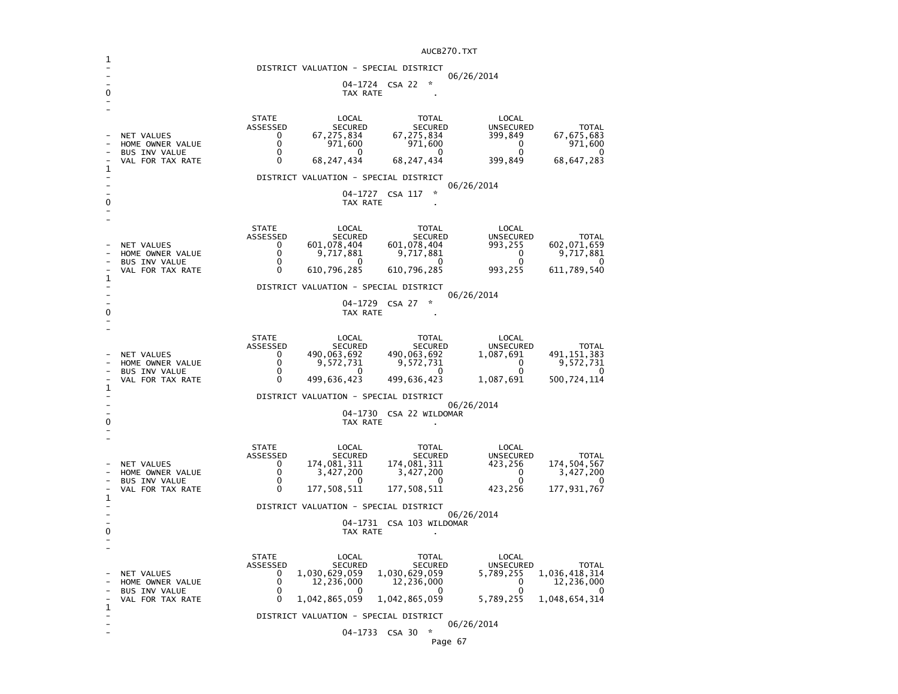|                                         |                                                                                   |                                                                | DISTRICT VALUATION - SPECIAL DISTRICT<br>TAX RATE                                   | 04-1724 CSA 22                                                                 | 06/26/2014                                                               |                                                                          |  |  |
|-----------------------------------------|-----------------------------------------------------------------------------------|----------------------------------------------------------------|-------------------------------------------------------------------------------------|--------------------------------------------------------------------------------|--------------------------------------------------------------------------|--------------------------------------------------------------------------|--|--|
|                                         | NET VALUES<br>HOME OWNER VALUE<br><b>BUS INV VALUE</b><br>VAL FOR TAX RATE        | <b>STATE</b><br>ASSESSED<br>0<br>0<br>0<br>$\Omega$            | LOCAL<br><b>SECURED</b><br>67,275,834<br>971,600<br>0<br>68,247,434                 | TOTAL<br><b>SECURED</b><br>67,275,834<br>971,600<br>0<br>68,247,434            | LOCAL<br><b>UNSECURED</b><br>399,849<br>$\mathbf{0}$<br>0<br>399,849     | <b>TOTAL</b><br>67, 675, 683<br>971,600<br>0<br>68, 647, 283             |  |  |
| 1                                       |                                                                                   |                                                                | DISTRICT VALUATION - SPECIAL DISTRICT                                               |                                                                                | 06/26/2014                                                               |                                                                          |  |  |
| 0                                       |                                                                                   |                                                                | 04-1727<br>TAX RATE                                                                 | ÷<br>CSA 117                                                                   |                                                                          |                                                                          |  |  |
|                                         | NET VALUES<br>HOME OWNER VALUE<br><b>BUS INV VALUE</b><br>VAL FOR TAX RATE        | <b>STATE</b><br>ASSESSED<br>0<br>$\mathbf 0$<br>0<br>$\Omega$  | LOCAL<br><b>SECURED</b><br>601,078,404<br>9,717,881<br>0<br>610,796,285             | TOTAL<br>SECURED<br>601,078,404<br>9,717,881<br>0<br>610,796,285               | LOCAL<br>UNSECURED<br>993,255<br>0<br>0<br>993,255                       | <b>TOTAL</b><br>602,071,659<br>9,717,881<br>O<br>611,789,540             |  |  |
| 1                                       |                                                                                   |                                                                | DISTRICT VALUATION - SPECIAL DISTRICT                                               |                                                                                |                                                                          |                                                                          |  |  |
|                                         | 06/26/2014<br>04-1729 CSA 27<br>TAX RATE                                          |                                                                |                                                                                     |                                                                                |                                                                          |                                                                          |  |  |
|                                         | NET VALUES<br>HOME OWNER VALUE<br><b>BUS INV VALUE</b><br>VAL FOR TAX RATE        | <b>STATE</b><br>ASSESSED<br>0<br>$\mathbf{0}$<br>0<br>$\Omega$ | LOCAL<br>SECURED<br>490,063,692<br>9,572,731<br>0<br>499,636,423                    | <b>TOTAL</b><br>SECURED<br>490,063,692<br>9,572,731<br>$\Omega$<br>499,636,423 | LOCAL<br>UNSECURED<br>1,087,691<br>$\mathbf{0}$<br>$\Omega$<br>1,087,691 | <b>TOTAL</b><br>491, 151, 383<br>9,572,731<br>0<br>500,724,114           |  |  |
| 1                                       |                                                                                   |                                                                | DISTRICT VALUATION - SPECIAL DISTRICT                                               |                                                                                |                                                                          |                                                                          |  |  |
| 0                                       | 06/26/2014<br>04-1730 CSA 22 WILDOMAR<br>TAX RATE                                 |                                                                |                                                                                     |                                                                                |                                                                          |                                                                          |  |  |
| 1                                       | <b>NET VALUES</b><br>HOME OWNER VALUE<br><b>BUS INV VALUE</b><br>VAL FOR TAX RATE | <b>STATE</b><br>ASSESSED<br>0<br>0<br>0<br>0                   | LOCAL<br>SECURED<br>174,081,311<br>3,427,200<br>0<br>177,508,511                    | TOTAL<br>SECURED<br>174,081,311<br>3,427,200<br>0<br>177,508,511               | LOCAL<br><b>UNSECURED</b><br>423,256<br>0<br>$\Omega$<br>423,256         | <b>TOTAL</b><br>174,504,567<br>3,427,200<br>0<br>177,931,767             |  |  |
|                                         | DISTRICT VALUATION - SPECIAL DISTRICT<br>06/26/2014                               |                                                                |                                                                                     |                                                                                |                                                                          |                                                                          |  |  |
| 0                                       |                                                                                   |                                                                | TAX RATE                                                                            | 04-1731 CSA 103 WILDOMAR                                                       |                                                                          |                                                                          |  |  |
|                                         | NET VALUES<br>HOME OWNER VALUE<br><b>BUS INV VALUE</b><br>VAL FOR TAX RATE        | <b>STATE</b><br>ASSESSED<br>0<br>0<br>0<br>0                   | LOCAL<br><b>SECURED</b><br>1,030,629,059<br>12,236,000<br>$\Omega$<br>1,042,865,059 | TOTAL<br><b>SECURED</b><br>1,030,629,059<br>12,236,000<br>0<br>1,042,865,059   | LOCAL<br>UNSECURED<br>5,789,255<br>0<br>$\Omega$<br>5,789,255            | <b>TOTAL</b><br>1,036,418,314<br>12,236,000<br>$\Omega$<br>1,048,654,314 |  |  |
| $\mathbf{1}$                            |                                                                                   |                                                                | DISTRICT VALUATION - SPECIAL DISTRICT                                               |                                                                                |                                                                          |                                                                          |  |  |
| 06/26/2014<br>$\star$<br>04-1733 CSA 30 |                                                                                   |                                                                |                                                                                     |                                                                                |                                                                          |                                                                          |  |  |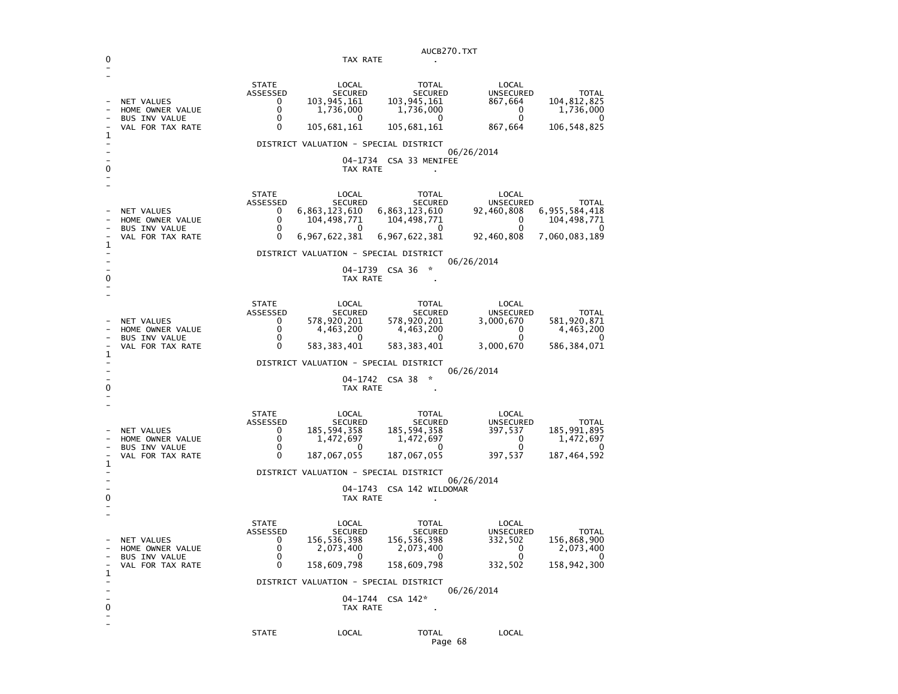|   | AUCB270.TXT                                                                       |                                                                       |                                                                                                                         |                                                                                         |                                                                   |                                                                       |
|---|-----------------------------------------------------------------------------------|-----------------------------------------------------------------------|-------------------------------------------------------------------------------------------------------------------------|-----------------------------------------------------------------------------------------|-------------------------------------------------------------------|-----------------------------------------------------------------------|
|   | TAX RATE<br>$\mathbf{r}$                                                          |                                                                       |                                                                                                                         |                                                                                         |                                                                   |                                                                       |
| 1 | <b>NET VALUES</b><br>HOME OWNER VALUE<br><b>BUS INV VALUE</b><br>VAL FOR TAX RATE | <b>STATE</b><br>ASSESSED<br>0<br>0<br>0<br>$\Omega$                   | LOCAL<br><b>SECURED</b><br>103,945,161<br>1,736,000<br>$\Omega$<br>105,681,161<br>DISTRICT VALUATION - SPECIAL DISTRICT | <b>TOTAL</b><br><b>SECURED</b><br>103, 945, 161<br>1,736,000<br>$^{(1)}$<br>105,681,161 | LOCAL<br>UNSECURED<br>867,664<br>$\mathbf{0}$<br>0<br>867,664     | <b>TOTAL</b><br>104,812,825<br>1,736,000<br>106,548,825               |
|   |                                                                                   |                                                                       |                                                                                                                         |                                                                                         | 06/26/2014                                                        |                                                                       |
| 0 |                                                                                   |                                                                       | TAX RATE                                                                                                                | 04-1734 CSA 33 MENIFEE                                                                  |                                                                   |                                                                       |
| 1 | NET VALUES<br>HOME OWNER VALUE<br><b>BUS INV VALUE</b><br>VAL FOR TAX RATE        | <b>STATE</b><br>ASSESSED<br>$\Omega$<br>0<br>$\Omega$<br>$\mathbf{0}$ | LOCAL<br><b>SECURED</b><br>6,863,123,610<br>104,498,771<br>- 0<br>6,967,622,381                                         | TOTAL<br>SECURED<br>6,863,123,610<br>104,498,771<br>- 0<br>6,967,622,381                | LOCAL<br>UNSECURED<br>92,460,808<br>0<br>$\Omega$<br>92,460,808   | <b>TOTAL</b><br>6,955,584,418<br>104,498,771<br>0<br>7,060,083,189    |
|   |                                                                                   |                                                                       | DISTRICT VALUATION - SPECIAL DISTRICT                                                                                   |                                                                                         |                                                                   |                                                                       |
| 0 |                                                                                   |                                                                       | TAX RATE                                                                                                                | 04-1739 CSA 36<br>×,                                                                    | 06/26/2014                                                        |                                                                       |
| 1 | NET VALUES<br>HOME OWNER VALUE<br>BUS INV VALUE<br>VAL FOR TAX RATE               | <b>STATE</b><br>ASSESSED<br>0<br>$\mathbf{0}$<br>$\Omega$<br>0        | LOCAL<br>SECURED<br>578,920,201<br>4,463,200<br>$\Omega$<br>583, 383, 401                                               | TOTAL<br><b>SECURED</b><br>578,920,201<br>4,463,200<br>$\mathbf{0}$<br>583, 383, 401    | LOCAL<br>UNSECURED<br>3,000,670<br>0<br>$\mathbf{0}$<br>3,000,670 | <b>TOTAL</b><br>581,920,871<br>4,463,200<br>$\Omega$<br>586, 384, 071 |
|   |                                                                                   |                                                                       | DISTRICT VALUATION - SPECIAL DISTRICT                                                                                   |                                                                                         |                                                                   |                                                                       |
| 0 |                                                                                   |                                                                       | TAX RATE                                                                                                                | 04-1742 CSA 38<br>☆                                                                     | 06/26/2014                                                        |                                                                       |
| 1 | NET VALUES<br>HOME OWNER VALUE<br><b>BUS INV VALUE</b><br>VAL FOR TAX RATE        | <b>STATE</b><br>ASSESSED<br>0<br>$\Omega$<br>$\mathbf 0$<br>0         | LOCAL<br><b>SECURED</b><br>185,594,358<br>1,472,697<br>$\mathbf{0}$<br>187,067,055                                      | TOTAL<br><b>SECURED</b><br>185, 594, 358<br>1,472,697<br><sup>0</sup><br>187,067,055    | LOCAL<br>UNSECURED<br>397,537<br>$\Omega$<br>$\Omega$<br>397,537  | <b>TOTAL</b><br>185,991,895<br>1,472,697<br>187, 464, 592             |
|   | DISTRICT VALUATION - SPECIAL DISTRICT<br>06/26/2014                               |                                                                       |                                                                                                                         |                                                                                         |                                                                   |                                                                       |
| 0 |                                                                                   |                                                                       | TAX RATE                                                                                                                | 04-1743 CSA 142 WILDOMAR                                                                |                                                                   |                                                                       |
| 1 | <b>NET VALUES</b><br>HOME OWNER VALUE<br><b>BUS INV VALUE</b><br>VAL FOR TAX RATE | <b>STATE</b><br>ASSESSED<br>0<br>$\Omega$<br>0<br>0                   | LOCAL<br>SECURED<br>156,536,398<br>2,073,400<br>$\Omega$<br>158,609,798                                                 | TOTAL<br><b>SECURED</b><br>156,536,398<br>2,073,400<br>$\Omega$<br>158,609,798          | LOCAL<br>UNSECURED<br>332,502<br>- 0<br>0<br>332,502              | <b>TOTAL</b><br>156,868,900<br>2,073,400<br>$\Omega$<br>158,942,300   |
|   |                                                                                   |                                                                       | DISTRICT VALUATION - SPECIAL DISTRICT                                                                                   |                                                                                         | 06/26/2014                                                        |                                                                       |
|   |                                                                                   |                                                                       | TAX RATE                                                                                                                | 04-1744 CSA 142*                                                                        |                                                                   |                                                                       |
|   |                                                                                   | <b>STATE</b>                                                          | LOCAL                                                                                                                   | <b>TOTAL</b>                                                                            | LOCAL                                                             |                                                                       |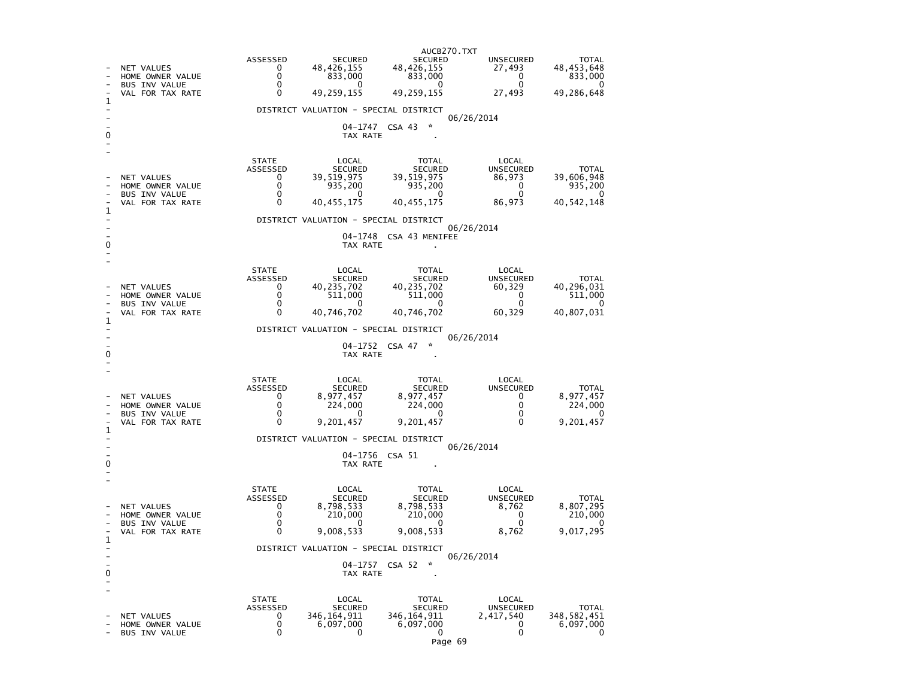| 1                                                   | NET VALUES<br>HOME OWNER VALUE<br><b>BUS INV VALUE</b><br>VAL FOR TAX RATE | ASSESSED<br>0<br>0<br>0<br>0                 | <b>SECURED</b><br>48,426,155<br>833,000<br>$^{\circ}$<br>49,259,155<br>DISTRICT VALUATION - SPECIAL DISTRICT | AUCB270.TXT<br><b>SECURED</b><br>48,426,155<br>833,000<br>0<br>49,259,155  | <b>UNSECURED</b><br>27,493<br>0<br>$\mathbf{0}$<br>27,493 | TOTAL<br>48,453,648<br>833,000<br>0<br>49,286,648          |  |
|-----------------------------------------------------|----------------------------------------------------------------------------|----------------------------------------------|--------------------------------------------------------------------------------------------------------------|----------------------------------------------------------------------------|-----------------------------------------------------------|------------------------------------------------------------|--|
|                                                     |                                                                            |                                              | TAX RATE                                                                                                     | 04-1747 CSA 43<br>÷                                                        | 06/26/2014                                                |                                                            |  |
| 1                                                   | NET VALUES<br>HOME OWNER VALUE<br><b>BUS INV VALUE</b><br>VAL FOR TAX RATE | <b>STATE</b><br>ASSESSED<br>0<br>0<br>0<br>0 | LOCAL<br><b>SECURED</b><br>39,519,975<br>935,200<br>0<br>40,455,175                                          | <b>TOTAL</b><br><b>SECURED</b><br>39,519,975<br>935,200<br>0<br>40,455,175 | LOCAL<br><b>UNSECURED</b><br>86,973<br>0<br>0<br>86,973   | <b>TOTAL</b><br>39,606,948<br>935,200<br>0<br>40, 542, 148 |  |
|                                                     |                                                                            |                                              | DISTRICT VALUATION - SPECIAL DISTRICT                                                                        |                                                                            | 06/26/2014                                                |                                                            |  |
| 0                                                   |                                                                            |                                              | TAX RATE                                                                                                     | 04-1748 CSA 43 MENIFEE                                                     |                                                           |                                                            |  |
| 1                                                   | NET VALUES<br>HOME OWNER VALUE<br><b>BUS INV VALUE</b><br>VAL FOR TAX RATE | <b>STATE</b><br>ASSESSED<br>0<br>0<br>0<br>0 | LOCAL<br><b>SECURED</b><br>40,235,702<br>511,000<br>0<br>40,746,702                                          | TOTAL<br><b>SECURED</b><br>40,235,702<br>511,000<br>0<br>40,746,702        | LOCAL<br><b>UNSECURED</b><br>60,329<br>0<br>0<br>60,329   | TOTAL<br>40,296,031<br>511,000<br>0<br>40,807,031          |  |
|                                                     |                                                                            |                                              | DISTRICT VALUATION - SPECIAL DISTRICT                                                                        | *                                                                          | 06/26/2014                                                |                                                            |  |
| 0                                                   |                                                                            |                                              | 04-1752 CSA 47<br>TAX RATE                                                                                   |                                                                            |                                                           |                                                            |  |
| ı                                                   | NET VALUES<br>HOME OWNER VALUE<br><b>BUS INV VALUE</b><br>VAL FOR TAX RATE | <b>STATE</b><br>ASSESSED<br>0<br>0<br>0<br>0 | LOCAL<br><b>SECURED</b><br>8,977,457<br>224,000<br>0<br>9,201,457                                            | TOTAL<br><b>SECURED</b><br>8,977,457<br>224,000<br>0<br>9,201,457          | LOCAL<br><b>UNSECURED</b><br>0<br>0<br>0<br>$\Omega$      | <b>TOTAL</b><br>8,977,457<br>224,000<br>0<br>9,201,457     |  |
|                                                     | DISTRICT VALUATION - SPECIAL DISTRICT<br>06/26/2014                        |                                              |                                                                                                              |                                                                            |                                                           |                                                            |  |
| 0                                                   | 04-1756 CSA 51<br>TAX RATE                                                 |                                              |                                                                                                              |                                                                            |                                                           |                                                            |  |
| 1                                                   | NET VALUES<br>HOME OWNER VALUE<br><b>BUS INV VALUE</b><br>VAL FOR TAX RATE | <b>STATE</b><br>ASSESSED<br>0<br>0<br>0<br>0 | LOCAL<br><b>SECURED</b><br>8,798,533<br>210,000<br>0<br>9,008,533                                            | TOTAL<br><b>SECURED</b><br>8,798,533<br>210,000<br>0<br>9,008,533          | LOCAL<br><b>UNSECURED</b><br>8,762<br>0<br>0<br>8,762     | TOTAL<br>8,807,295<br>210,000<br>0<br>9,017,295            |  |
| DISTRICT VALUATION - SPECIAL DISTRICT<br>06/26/2014 |                                                                            |                                              |                                                                                                              |                                                                            |                                                           |                                                            |  |
| 0                                                   |                                                                            |                                              | 04-1757<br>TAX RATE                                                                                          | $\mathcal{R}$<br>CSA 52                                                    |                                                           |                                                            |  |
|                                                     | <b>NET VALUES</b><br>HOME OWNER VALUE<br>BUS INV VALUE                     | <b>STATE</b><br>ASSESSED<br>0<br>0<br>0      | LOCAL<br><b>SECURED</b><br>346,164,911<br>6,097,000<br>0                                                     | <b>TOTAL</b><br><b>SECURED</b><br>346,164,911<br>6,097,000<br>0            | LOCAL<br><b>UNSECURED</b><br>2,417,540<br>0<br>0          | <b>TOTAL</b><br>348, 582, 451<br>6,097,000<br>0            |  |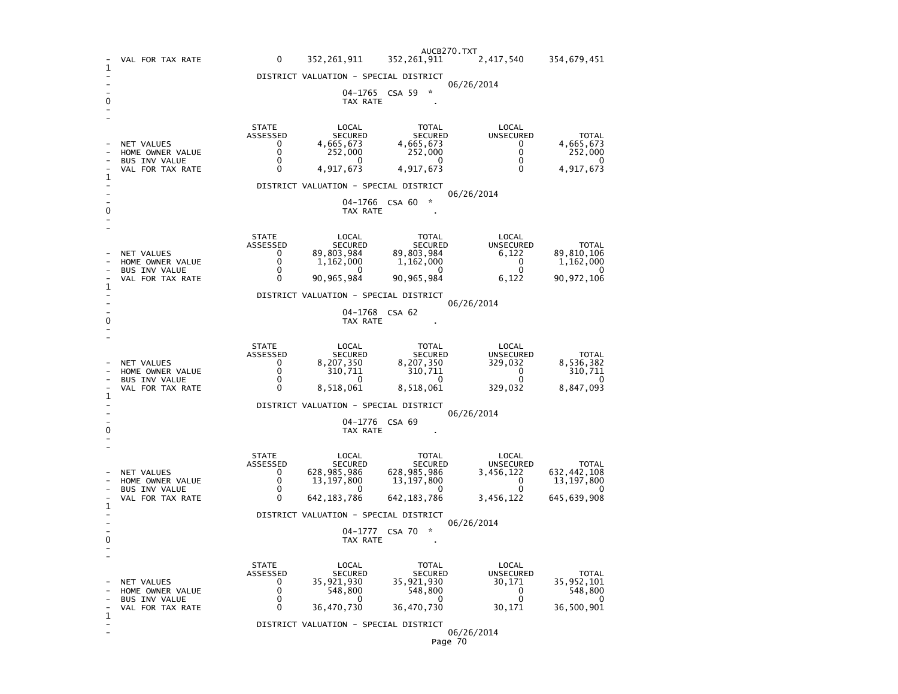|              | VAL FOR TAX RATE                                                                  | 0                                                   | 352, 261, 911                                                         | AUCB270.TXT<br>352,261,911                                            | 2,417,540                                                        | 354,679,451                                                              |  |  |
|--------------|-----------------------------------------------------------------------------------|-----------------------------------------------------|-----------------------------------------------------------------------|-----------------------------------------------------------------------|------------------------------------------------------------------|--------------------------------------------------------------------------|--|--|
| 1            |                                                                                   |                                                     | DISTRICT VALUATION - SPECIAL DISTRICT                                 |                                                                       |                                                                  |                                                                          |  |  |
|              |                                                                                   |                                                     |                                                                       |                                                                       | 06/26/2014                                                       |                                                                          |  |  |
| 0            |                                                                                   | 04-1765 CSA 59<br>TAX RATE                          |                                                                       |                                                                       |                                                                  |                                                                          |  |  |
|              | NET VALUES                                                                        | <b>STATE</b><br>ASSESSED<br>0                       | LOCAL<br><b>SECURED</b><br>4,665,673                                  | <b>TOTAL</b><br><b>SECURED</b><br>4,665,673                           | LOCAL<br><b>UNSECURED</b><br>0                                   | <b>TOTAL</b><br>4,665,673                                                |  |  |
|              | HOME OWNER VALUE<br><b>BUS INV VALUE</b>                                          | 0<br>0                                              | 252,000<br>$\Omega$                                                   | 252,000<br>$\Omega$                                                   | 0<br>0                                                           | 252,000<br>0                                                             |  |  |
| 1            | VAL FOR TAX RATE                                                                  | 0                                                   | 4,917,673                                                             | 4,917,673                                                             | $\Omega$                                                         | 4,917,673                                                                |  |  |
|              |                                                                                   |                                                     | DISTRICT VALUATION - SPECIAL DISTRICT                                 |                                                                       | 06/26/2014                                                       |                                                                          |  |  |
| 0            |                                                                                   |                                                     | TAX RATE                                                              | $\mathcal{R}$<br>04-1766 CSA 60                                       |                                                                  |                                                                          |  |  |
|              | NET VALUES                                                                        | <b>STATE</b><br>ASSESSED<br>0                       | LOCAL<br><b>SECURED</b><br>89,803,984                                 | TOTAL<br><b>SECURED</b><br>89,803,984                                 | LOCAL<br>UNSECURED<br>6,122                                      | <b>TOTAL</b><br>89,810,106                                               |  |  |
|              | HOME OWNER VALUE                                                                  | $\mathbf 0$<br>0                                    | 1,162,000<br>0                                                        | 1,162,000<br>0                                                        | 0<br>$\mathbf 0$                                                 | 1,162,000                                                                |  |  |
|              | <b>BUS INV VALUE</b><br>VAL FOR TAX RATE                                          | 0                                                   | 90,965,984                                                            | 90, 965, 984                                                          | 6,122                                                            | 0<br>90, 972, 106                                                        |  |  |
| 1            |                                                                                   |                                                     | DISTRICT VALUATION - SPECIAL DISTRICT                                 |                                                                       |                                                                  |                                                                          |  |  |
| 0            | 06/26/2014<br>04-1768 CSA 62<br>TAX RATE                                          |                                                     |                                                                       |                                                                       |                                                                  |                                                                          |  |  |
|              | NET VALUES<br>HOME OWNER VALUE<br><b>BUS INV VALUE</b><br>VAL FOR TAX RATE        | <b>STATE</b><br>ASSESSED<br>0<br>0<br>$\Omega$<br>0 | LOCAL<br>SECURED<br>8,207,350<br>310,711<br>0<br>8,518,061            | TOTAL<br>SECURED<br>8,207,350<br>310,711<br>$\mathbf{0}$<br>8,518,061 | LOCAL<br><b>UNSECURED</b><br>329,032<br>0<br>$\Omega$<br>329,032 | <b>TOTAL</b><br>8,536,382<br>310,711<br>0<br>8,847,093                   |  |  |
| 1            |                                                                                   |                                                     | DISTRICT VALUATION - SPECIAL DISTRICT                                 |                                                                       |                                                                  |                                                                          |  |  |
| 0            |                                                                                   | 06/26/2014<br>04-1776 CSA 69<br>TAX RATE            |                                                                       |                                                                       |                                                                  |                                                                          |  |  |
|              | <b>NET VALUES</b><br>HOME OWNER VALUE<br><b>BUS INV VALUE</b><br>VAL FOR TAX RATE | <b>STATE</b><br>ASSESSED<br>0<br>0<br>0<br>0        | LOCAL<br>SECURED<br>628,985,986<br>13, 197, 800<br>0<br>642, 183, 786 | TOTAL<br>SECURED<br>628,985,986<br>13, 197, 800<br>0<br>642, 183, 786 | LOCAL<br>UNSECURED<br>3,456,122<br>0<br>0<br>3,456,122           | <b>TOTAL</b><br>632, 442, 108<br>13, 197, 800<br>$\Omega$<br>645,639,908 |  |  |
| $\mathbf{1}$ |                                                                                   | DISTRICT VALUATION - SPECIAL DISTRICT               |                                                                       |                                                                       |                                                                  |                                                                          |  |  |
| 0            |                                                                                   | 06/26/2014<br>CSA 70<br>☆<br>04-1777<br>TAX RATE    |                                                                       |                                                                       |                                                                  |                                                                          |  |  |
|              | NET VALUES<br>HOME OWNER VALUE<br><b>BUS INV VALUE</b>                            | <b>STATE</b><br>ASSESSED<br>0<br>0<br>0             | LOCAL<br><b>SECURED</b><br>35,921,930<br>548,800<br>0                 | TOTAL<br><b>SECURED</b><br>35,921,930<br>548,800<br>0                 | LOCAL<br><b>UNSECURED</b><br>30,171<br>0<br>0                    | <b>TOTAL</b><br>35, 952, 101<br>548,800<br>0                             |  |  |
| $\mathbf 1$  | VAL FOR TAX RATE                                                                  | $\Omega$                                            | 36,470,730                                                            | 36,470,730                                                            | 30,171                                                           | 36,500,901                                                               |  |  |
|              |                                                                                   |                                                     | DISTRICT VALUATION - SPECIAL DISTRICT                                 |                                                                       | 06/26/2014                                                       |                                                                          |  |  |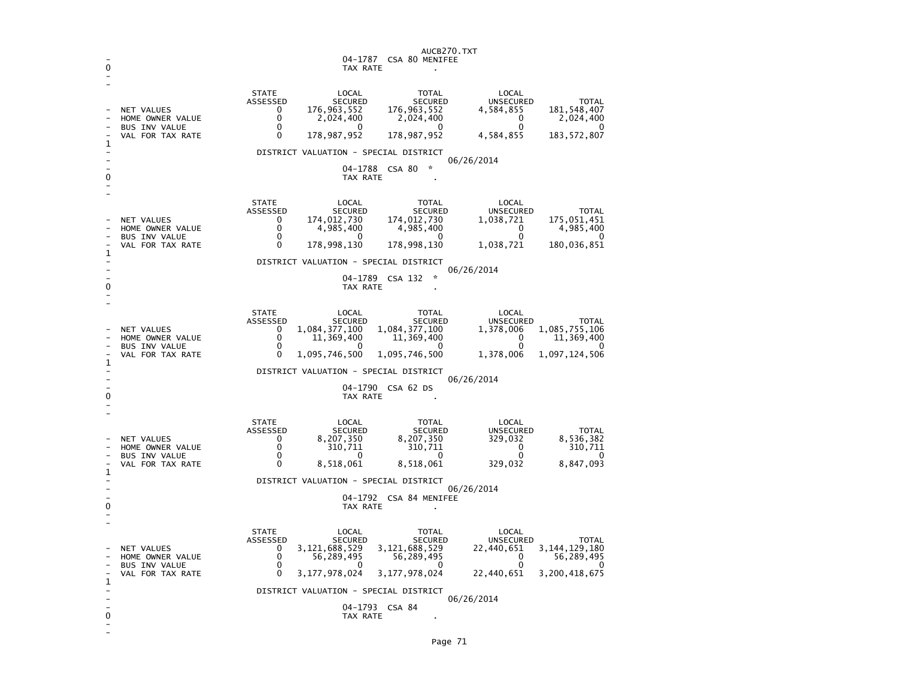| 0      |                                                                                   | AUCB270.TXT                                                                                                                               |                                                                                                   |                                                                      |                                                                      |  |  |  |
|--------|-----------------------------------------------------------------------------------|-------------------------------------------------------------------------------------------------------------------------------------------|---------------------------------------------------------------------------------------------------|----------------------------------------------------------------------|----------------------------------------------------------------------|--|--|--|
|        | NET VALUES<br>HOME OWNER VALUE<br><b>BUS INV VALUE</b><br>VAL FOR TAX RATE        | <b>STATE</b><br>LOCAL<br>ASSESSED<br><b>SECURED</b><br>176,963,552<br>0<br>0<br>2,024,400<br>0<br>0<br>178,987,952<br>0                   | TOTAL<br><b>SECURED</b><br>176,963,552<br>2,024,400<br>$\mathbf{0}$<br>178,987,952                | LOCAL<br><b>UNSECURED</b><br>4,584,855<br>0<br>0<br>4,584,855        | <b>TOTAL</b><br>181, 548, 407<br>2,024,400<br>∩<br>183, 572, 807     |  |  |  |
| 1<br>0 | DISTRICT VALUATION - SPECIAL DISTRICT<br>06/26/2014<br>04-1788 CSA 80<br>TAX RATE |                                                                                                                                           |                                                                                                   |                                                                      |                                                                      |  |  |  |
| 1      | <b>NET VALUES</b><br>HOME OWNER VALUE<br>BUS INV VALUE<br>VAL FOR TAX RATE        | <b>STATE</b><br>LOCAL<br>ASSESSED<br><b>SECURED</b><br>174,012,730<br>0<br>0<br>4,985,400<br>0<br><sup>0</sup><br>178,998,130<br>0        | <b>TOTAL</b><br><b>SECURED</b><br>174,012,730<br>4,985,400<br>$\Omega$<br>178,998,130             | LOCAL<br><b>UNSECURED</b><br>1,038,721<br>0<br>$\Omega$<br>1,038,721 | <b>TOTAL</b><br>175,051,451<br>4,985,400<br>$\Omega$<br>180,036,851  |  |  |  |
| 0      |                                                                                   | DISTRICT VALUATION - SPECIAL DISTRICT<br>06/26/2014<br>$\star$<br>04-1789 CSA 132<br>TAX RATE                                             |                                                                                                   |                                                                      |                                                                      |  |  |  |
| 1      | <b>NET VALUES</b><br>HOME OWNER VALUE<br><b>BUS INV VALUE</b><br>VAL FOR TAX RATE | <b>STATE</b><br>LOCAL<br>ASSESSED<br><b>SECURED</b><br>1,084,377,100<br>0<br>0<br>11,369,400<br>0<br>$\mathbf{0}$<br>1,095,746,500<br>0   | TOTAL<br><b>SECURED</b><br>1,084,377,100<br>11,369,400<br>$\Omega$<br>1,095,746,500               | LOCAL<br>UNSECURED<br>1,378,006<br>0<br>$\Omega$<br>1,378,006        | <b>TOTAL</b><br>1,085,755,106<br>11,369,400<br>0<br>1,097,124,506    |  |  |  |
| 0      |                                                                                   | DISTRICT VALUATION - SPECIAL DISTRICT<br>06/26/2014<br>04-1790 CSA 62 DS<br>TAX RATE                                                      |                                                                                                   |                                                                      |                                                                      |  |  |  |
| 1      | NET VALUES<br>HOME OWNER VALUE<br><b>BUS INV VALUE</b><br>VAL FOR TAX RATE        | <b>STATE</b><br>LOCAL<br>ASSESSED<br><b>SECURED</b><br>8,207,350<br>0<br>0<br>310,711<br>0<br>0<br>0<br>8,518,061                         | TOTAL<br><b>SECURED</b><br>8,207,350<br>310,711<br>$\mathbf{0}$<br>8,518,061                      | LOCAL<br>UNSECURED<br>329,032<br>0<br>0<br>329,032                   | <b>TOTAL</b><br>8,536,382<br>310,711<br>0<br>8,847,093               |  |  |  |
| 0      |                                                                                   | DISTRICT VALUATION - SPECIAL DISTRICT<br>06/26/2014<br>04-1792 CSA 84 MENIFEE<br>TAX RATE                                                 |                                                                                                   |                                                                      |                                                                      |  |  |  |
| 1      | NET VALUES<br>HOME OWNER VALUE<br><b>BUS INV VALUE</b><br>VAL FOR TAX RATE        | <b>STATE</b><br>LOCAL<br>ASSESSED<br><b>SECURED</b><br>3, 121, 688, 529<br>0<br>0<br>56,289,495<br>0<br>$\Omega$<br>3, 177, 978, 024<br>0 | <b>TOTAL</b><br><b>SECURED</b><br>3,121,688,529<br>56,289,495<br>$\mathbf{0}$<br>3, 177, 978, 024 | LOCAL<br><b>UNSECURED</b><br>22,440,651<br>0<br>0<br>22,440,651      | <b>TOTAL</b><br>3, 144, 129, 180<br>56,289,495<br>∩<br>3,200,418,675 |  |  |  |
| 0      |                                                                                   | DISTRICT VALUATION - SPECIAL DISTRICT<br>TAX RATE                                                                                         | 04-1793 CSA 84                                                                                    | 06/26/2014                                                           |                                                                      |  |  |  |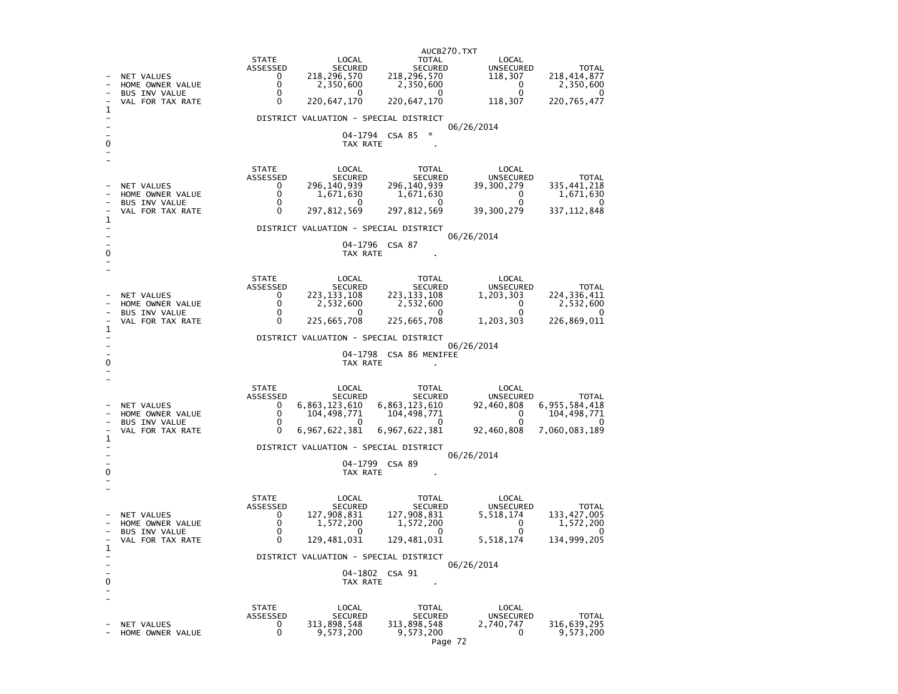|              |                                                                            |                                                                               |                                                                  | AUCB270.TXT                                                               |                                                                  |                                                                         |  |
|--------------|----------------------------------------------------------------------------|-------------------------------------------------------------------------------|------------------------------------------------------------------|---------------------------------------------------------------------------|------------------------------------------------------------------|-------------------------------------------------------------------------|--|
|              | NET VALUES<br>HOME OWNER VALUE<br><b>BUS INV VALUE</b><br>VAL FOR TAX RATE | <b>STATE</b><br>ASSESSED<br>$\mathbf{0}$<br>$\mathbf{0}$<br>$\mathbf{0}$<br>0 | LOCAL<br>SECURED<br>218,296,570<br>2,350,600<br>0<br>220,647,170 | TOTAL<br>SECURED<br>218, 296, 570<br>2,350,600<br>$\Omega$<br>220,647,170 | LOCAL<br><b>UNSECURED</b><br>118,307<br>0<br>$\Omega$<br>118,307 | <b>TOTAL</b><br>218, 414, 877<br>2,350,600<br>$\Omega$<br>220, 765, 477 |  |
| 1            |                                                                            |                                                                               | DISTRICT VALUATION - SPECIAL DISTRICT                            |                                                                           |                                                                  |                                                                         |  |
|              |                                                                            |                                                                               |                                                                  | 04-1794 CSA 85 *                                                          | 06/26/2014                                                       |                                                                         |  |
| 0            |                                                                            |                                                                               | TAX RATE                                                         |                                                                           |                                                                  |                                                                         |  |
|              |                                                                            | <b>STATE</b><br>ASSESSED                                                      | LOCAL<br>SECURED                                                 | TOTAL<br>SECURED                                                          | LOCAL<br>UNSECURED                                               | <b>TOTAL</b>                                                            |  |
|              | <b>NET VALUES</b><br>HOME OWNER VALUE                                      | $\mathbf{0}$<br>$\mathbf 0$                                                   | 296,140,939<br>1,671,630                                         | 296,140,939<br>1,671,630                                                  | 39,300,279<br>$\overline{0}$                                     | 335, 441, 218<br>1,671,630                                              |  |
|              | <b>BUS INV VALUE</b>                                                       | 0                                                                             | 0                                                                | $^{\circ}$                                                                | 0                                                                | $\Omega$                                                                |  |
| $\mathbf{1}$ | VAL FOR TAX RATE                                                           | $\Omega$                                                                      | 297,812,569                                                      | 297, 812, 569                                                             | 39,300,279                                                       | 337, 112, 848                                                           |  |
|              |                                                                            |                                                                               | DISTRICT VALUATION - SPECIAL DISTRICT                            |                                                                           | 06/26/2014                                                       |                                                                         |  |
| 0            |                                                                            |                                                                               | TAX RATE                                                         | 04-1796 CSA 87                                                            |                                                                  |                                                                         |  |
|              |                                                                            |                                                                               |                                                                  |                                                                           |                                                                  |                                                                         |  |
|              |                                                                            | <b>STATE</b>                                                                  | LOCAL                                                            | TOTAL                                                                     | LOCAL                                                            |                                                                         |  |
|              | NET VALUES                                                                 | ASSESSED<br>0                                                                 | SECURED<br>223, 133, 108                                         | SECURED<br>223, 133, 108                                                  | <b>UNSECURED</b><br>1,203,303                                    | <b>TOTAL</b><br>224, 336, 411                                           |  |
|              | HOME OWNER VALUE<br><b>BUS INV VALUE</b>                                   | $\mathbf{0}$<br>0                                                             | 2,532,600<br>$^{\circ}$                                          | 2,532,600                                                                 | $\overline{0}$<br>$\mathbf{0}$                                   | 2,532,600<br>$\Omega$                                                   |  |
| $\mathbf{1}$ | VAL FOR TAX RATE                                                           | 0                                                                             | 225,665,708                                                      | 225,665,708                                                               | 1,203,303                                                        | 226,869,011                                                             |  |
|              |                                                                            |                                                                               | DISTRICT VALUATION - SPECIAL DISTRICT                            |                                                                           |                                                                  |                                                                         |  |
|              |                                                                            |                                                                               |                                                                  | 04-1798 CSA 86 MENIFEE                                                    | 06/26/2014                                                       |                                                                         |  |
| 0            |                                                                            |                                                                               | TAX RATE                                                         |                                                                           |                                                                  |                                                                         |  |
|              |                                                                            | <b>STATE</b>                                                                  | LOCAL                                                            | TOTAL                                                                     | LOCAL                                                            |                                                                         |  |
|              | NET VALUES                                                                 | ASSESSED<br>$\mathbf{0}$                                                      | SECURED<br>6,863,123,610                                         | SECURED<br>6,863,123,610                                                  | UNSECURED<br>92,460,808                                          | <b>TOTAL</b><br>6,955,584,418                                           |  |
|              | HOME OWNER VALUE                                                           | $\mathbf 0$                                                                   | 104,498,771                                                      | 104,498,771                                                               | $\mathbf 0$                                                      | 104,498,771                                                             |  |
|              | <b>BUS INV VALUE</b><br>VAL FOR TAX RATE                                   | $\mathbf{0}$<br>$\Omega$                                                      | 6,967,622,381                                                    | 6,967,622,381                                                             | <sup>0</sup><br>92,460,808                                       | 7,060,083,189                                                           |  |
| 1            |                                                                            |                                                                               | DISTRICT VALUATION - SPECIAL DISTRICT                            |                                                                           |                                                                  |                                                                         |  |
|              | 06/26/2014<br>04-1799 CSA 89                                               |                                                                               |                                                                  |                                                                           |                                                                  |                                                                         |  |
| 0            |                                                                            |                                                                               | TAX RATE                                                         |                                                                           |                                                                  |                                                                         |  |
|              |                                                                            |                                                                               |                                                                  |                                                                           |                                                                  |                                                                         |  |
|              |                                                                            | <b>STATE</b><br>ASSESSED                                                      | LOCAL<br>SECURED                                                 | TOTAL<br>SECURED                                                          | LOCAL<br>UNSECURED                                               | <b>TOTAL</b>                                                            |  |
|              | NET VALUES<br>HOME OWNER VALUE                                             | $\Omega$<br>0                                                                 | 127,908,831<br>1,572,200                                         | 127,908,831<br>1,572,200                                                  | 5,518,174<br>$\Omega$                                            | 133, 427, 005<br>1,572,200                                              |  |
|              | <b>BUS INV VALUE</b><br>VAL FOR TAX RATE                                   | 0<br>0                                                                        | <sup>n</sup><br>129,481,031                                      | 129,481,031                                                               | 0<br>5,518,174                                                   | 134,999,205                                                             |  |
| $\mathbf{1}$ |                                                                            |                                                                               | DISTRICT VALUATION - SPECIAL DISTRICT                            |                                                                           |                                                                  |                                                                         |  |
|              |                                                                            |                                                                               |                                                                  |                                                                           | 06/26/2014                                                       |                                                                         |  |
| 0            |                                                                            |                                                                               | TAX RATE                                                         | 04-1802 CSA 91                                                            |                                                                  |                                                                         |  |
|              |                                                                            | <b>STATE</b>                                                                  | LOCAL                                                            | TOTAL                                                                     | LOCAL                                                            |                                                                         |  |
|              | NET VALUES                                                                 | ASSESSED<br>$\mathbf{0}$                                                      | SECURED<br>313,898,548                                           | SECURED<br>313,898,548                                                    | UNSECURED<br>2,740,747                                           | <b>TOTAL</b><br>316,639,295                                             |  |
|              | HOME OWNER VALUE                                                           | $\mathbf 0$                                                                   | 9,573,200                                                        | 9,573,200                                                                 | 0                                                                | 9,573,200                                                               |  |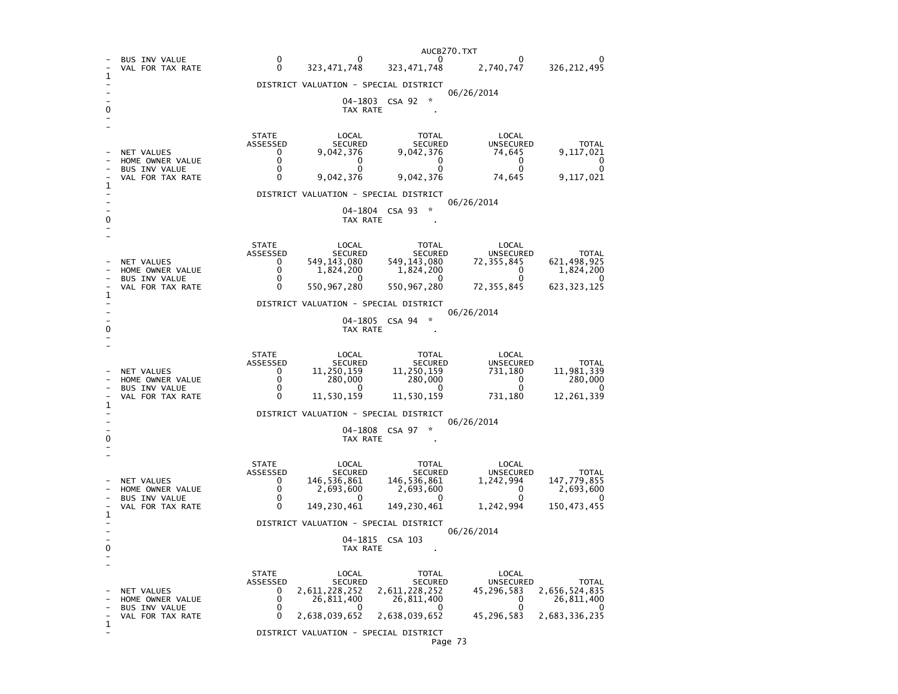|   |                                                                                   | AUCB270.TXT                                                                                                                                                                                                                                                                                                                                                                                                                |  |  |  |  |  |
|---|-----------------------------------------------------------------------------------|----------------------------------------------------------------------------------------------------------------------------------------------------------------------------------------------------------------------------------------------------------------------------------------------------------------------------------------------------------------------------------------------------------------------------|--|--|--|--|--|
| 1 | <b>BUS INV VALUE</b><br>VAL FOR TAX RATE                                          | $\Omega$<br>$\Omega$<br>0<br>$\mathbf{0}$<br>O<br>323, 471, 748<br>2,740,747<br>$\mathbf{0}$<br>323,471,748<br>326, 212, 495                                                                                                                                                                                                                                                                                               |  |  |  |  |  |
|   |                                                                                   | DISTRICT VALUATION - SPECIAL DISTRICT                                                                                                                                                                                                                                                                                                                                                                                      |  |  |  |  |  |
|   |                                                                                   | 06/26/2014<br>04-1803 CSA 92<br>÷.<br>TAX RATE                                                                                                                                                                                                                                                                                                                                                                             |  |  |  |  |  |
| 1 | NET VALUES<br>HOME OWNER VALUE<br>BUS INV VALUE<br>VAL FOR TAX RATE               | <b>STATE</b><br>LOCAL<br><b>TOTAL</b><br>LOCAL<br>ASSESSED<br>SECURED<br>SECURED<br><b>UNSECURED</b><br><b>TOTAL</b><br>9,042,376<br>$\mathbf{0}$<br>9,042,376<br>74,645<br>9,117,021<br>0<br>0<br>0<br>0<br>0<br>0<br>0<br>0<br>0<br>0<br>$\Omega$<br>9,042,376<br>9,042,376<br>74,645<br>9,117,021                                                                                                                       |  |  |  |  |  |
|   |                                                                                   | DISTRICT VALUATION - SPECIAL DISTRICT                                                                                                                                                                                                                                                                                                                                                                                      |  |  |  |  |  |
| 0 |                                                                                   | 06/26/2014<br>04-1804 CSA 93<br>TAX RATE                                                                                                                                                                                                                                                                                                                                                                                   |  |  |  |  |  |
| 1 | <b>NET VALUES</b><br>HOME OWNER VALUE<br><b>BUS INV VALUE</b><br>VAL FOR TAX RATE | <b>STATE</b><br>LOCAL<br>TOTAL<br>LOCAL<br>ASSESSED<br>SECURED<br>SECURED<br>UNSECURED<br><b>TOTAL</b><br>549,143,080<br>549, 143, 080<br>621,498,925<br>$\mathbf{0}$<br>72,355,845<br>$\mathbf{0}$<br>1,824,200<br>1,824,200<br>1,824,200<br>$\Omega$<br>0<br>$\Omega$<br>0<br>0<br>$\Omega$<br>550,967,280<br>550, 967, 280<br>72, 355, 845<br>623, 323, 125<br>0<br>DISTRICT VALUATION - SPECIAL DISTRICT<br>06/26/2014 |  |  |  |  |  |
| 0 |                                                                                   | 04-1805 CSA 94<br>TAX RATE                                                                                                                                                                                                                                                                                                                                                                                                 |  |  |  |  |  |
|   |                                                                                   |                                                                                                                                                                                                                                                                                                                                                                                                                            |  |  |  |  |  |
|   | NET VALUES<br>HOME OWNER VALUE<br><b>BUS INV VALUE</b><br>VAL FOR TAX RATE        | <b>STATE</b><br>LOCAL<br>TOTAL<br>LOCAL<br>ASSESSED<br>SECURED<br>SECURED<br>UNSECURED<br><b>TOTAL</b><br>11,981,339<br>$\Omega$<br>11,250,159<br>11,250,159<br>731,180<br>$\Omega$<br>280,000<br>280,000<br>$\overline{\mathbf{0}}$<br>280,000<br>$\mathbf{0}$<br>$\mathbf{0}$<br>$\Omega$<br>$\Omega$<br>11,530,159<br>11,530,159<br>731,180<br>12,261,339<br>0                                                          |  |  |  |  |  |
| 1 |                                                                                   | DISTRICT VALUATION - SPECIAL DISTRICT                                                                                                                                                                                                                                                                                                                                                                                      |  |  |  |  |  |
| ŋ | 06/26/2014<br>04-1808 CSA 97<br>TAX RATE                                          |                                                                                                                                                                                                                                                                                                                                                                                                                            |  |  |  |  |  |
| 1 | NET VALUES<br>HOME OWNER VALUE<br>BUS INV VALUE<br>VAL FOR TAX RATE               | <b>STATE</b><br>LOCAL<br>TOTAL<br>LOCAL<br>ASSESSED<br>SECURED<br>SECURED<br>UNSECURED<br><b>TOTAL</b><br>146,536,861<br>146,536,861<br>147,779,855<br>1,242,994<br>$\mathbf{0}$<br>0<br>2,693,600<br>2,693,600<br>$\Omega$<br>2,693,600<br>$\mathbf{0}$<br>0<br>$^{\circ}$<br>149,230,461<br>149,230,461<br>$\Omega$<br>1,242,994<br>150, 473, 455<br>DISTRICT VALUATION - SPECIAL DISTRICT                               |  |  |  |  |  |
|   | 06/26/2014<br>04-1815 CSA 103<br>TAX RATE                                         |                                                                                                                                                                                                                                                                                                                                                                                                                            |  |  |  |  |  |
| 1 | NET VALUES<br>HOME OWNER VALUE<br><b>BUS INV VALUE</b><br>VAL FOR TAX RATE        | <b>STATE</b><br>LOCAL<br>LOCAL<br>TOTAL<br>ASSESSED<br>SECURED<br><b>SECURED</b><br>UNSECURED<br>TOTAL<br>2,611,228,252<br>2,611,228,252<br>2,656,524,835<br>$\Omega$<br>45,296,583<br>0<br>26,811,400<br>26,811,400<br>$\Omega$<br>26,811,400<br>0<br>∩<br>n<br>0<br>2,638,039,652<br>2,638,039,652<br>45,296,583<br>2,683,336,235                                                                                        |  |  |  |  |  |
|   |                                                                                   | DISTRICT VALUATION - SPECIAL DISTRICT                                                                                                                                                                                                                                                                                                                                                                                      |  |  |  |  |  |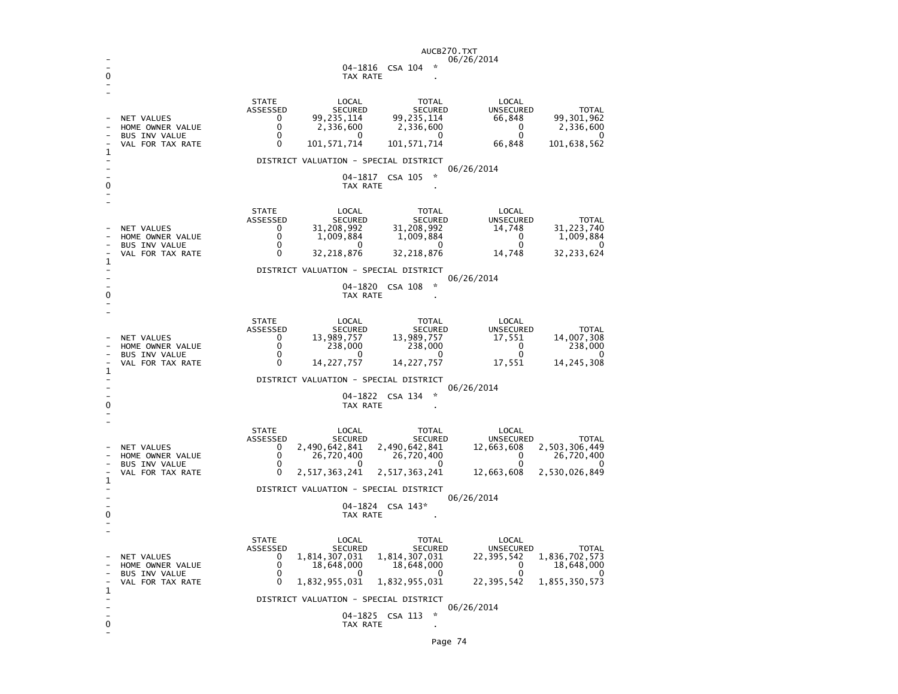|              |                                                                            | AUCB270.TXT<br>06/26/2014                                                                                                                                                                                                                                                                                                                                                                                                                                                 |  |  |  |  |  |  |
|--------------|----------------------------------------------------------------------------|---------------------------------------------------------------------------------------------------------------------------------------------------------------------------------------------------------------------------------------------------------------------------------------------------------------------------------------------------------------------------------------------------------------------------------------------------------------------------|--|--|--|--|--|--|
|              |                                                                            | 04-1816 CSA 104<br>TAX RATE                                                                                                                                                                                                                                                                                                                                                                                                                                               |  |  |  |  |  |  |
|              |                                                                            |                                                                                                                                                                                                                                                                                                                                                                                                                                                                           |  |  |  |  |  |  |
| 1            | <b>NET VALUES</b><br>HOME OWNER VALUE<br>BUS INV VALUE<br>VAL FOR TAX RATE | <b>STATE</b><br>LOCAL<br><b>TOTAL</b><br>LOCAL<br>ASSESSED<br><b>SECURED</b><br><b>SECURED</b><br>UNSECURED<br><b>TOTAL</b><br>99,235,114<br>99, 235, 114<br>66,848<br>99, 301, 962<br>$\Omega$<br>$\Omega$<br>2,336,600<br>2,336,600<br>$\Omega$<br>2,336,600<br>0<br>$\Omega$<br>$^{\circ}$<br>$\Omega$<br>O<br>$\Omega$<br>101, 571, 714<br>101, 571, 714<br>66,848<br>101,638,562                                                                                     |  |  |  |  |  |  |
|              |                                                                            | DISTRICT VALUATION - SPECIAL DISTRICT<br>06/26/2014                                                                                                                                                                                                                                                                                                                                                                                                                       |  |  |  |  |  |  |
|              |                                                                            | $\mathbf{x}$<br>04-1817<br>CSA 105<br>TAX RATE                                                                                                                                                                                                                                                                                                                                                                                                                            |  |  |  |  |  |  |
| 1            | NET VALUES<br>HOME OWNER VALUE<br>BUS INV VALUE<br>VAL FOR TAX RATE        | <b>STATE</b><br>LOCAL<br>TOTAL<br>LOCAL<br>UNSECURED<br>ASSESSED<br>SECURED<br>SECURED<br><b>TOTAL</b><br>31,208,992<br>31, 223, 740<br>31,208,992<br>$\mathbf{0}$<br>14,748<br>0<br>1,009,884<br>1,009,884<br>$\Omega$<br>1,009,884<br>$\Omega$<br>$\Omega$<br>$\Omega$<br>$\Omega$<br>32,218,876<br>32, 218, 876<br>14,748<br>32,233,624                                                                                                                                |  |  |  |  |  |  |
|              |                                                                            | DISTRICT VALUATION - SPECIAL DISTRICT                                                                                                                                                                                                                                                                                                                                                                                                                                     |  |  |  |  |  |  |
| 0            | 06/26/2014<br>04-1820<br>CSA 108<br>TAX RATE                               |                                                                                                                                                                                                                                                                                                                                                                                                                                                                           |  |  |  |  |  |  |
| 1            | <b>NET VALUES</b><br>HOME OWNER VALUE<br>BUS INV VALUE<br>VAL FOR TAX RATE | <b>STATE</b><br>LOCAL<br>TOTAL<br>LOCAL<br>ASSESSED<br><b>SECURED</b><br>SECURED<br><b>UNSECURED</b><br><b>TOTAL</b><br>13,989,757<br>13,989,757<br>14,007,308<br>$\Omega$<br>17,551<br>$\mathbf 0$<br>238,000<br>238,000<br>$\mathbf 0$<br>238,000<br>0<br>$\Omega$<br>$^{\circ}$<br>$\Omega$<br>O<br>$\Omega$<br>14,227,757<br>14, 227, 757<br>17,551<br>14,245,308                                                                                                     |  |  |  |  |  |  |
|              |                                                                            | DISTRICT VALUATION - SPECIAL DISTRICT<br>06/26/2014                                                                                                                                                                                                                                                                                                                                                                                                                       |  |  |  |  |  |  |
| 0            | $\mathbf{x}$<br>04-1822 CSA 134<br>TAX RATE                                |                                                                                                                                                                                                                                                                                                                                                                                                                                                                           |  |  |  |  |  |  |
|              | NET VALUES<br>HOME OWNER VALUE<br>BUS INV VALUE<br>VAL FOR TAX RATE        | <b>STATE</b><br>LOCAL<br>TOTAL<br>LOCAL<br>ASSESSED<br><b>SECURED</b><br><b>SECURED</b><br>UNSECURED<br><b>TOTAL</b><br>2,503,306,449<br>2,490,642,841<br>2,490,642,841<br>$\mathbf{0}$<br>12,663,608<br>$\Omega$<br>26,720,400<br>26,720,400<br>$\mathbf{0}$<br>26,720,400<br>$\Omega$<br>$\Omega$<br>O<br>$\Omega$<br>$\Omega$<br>2,517,363,241<br>2,517,363,241<br>2,530,026,849<br>12,663,608                                                                         |  |  |  |  |  |  |
| $\mathbf{1}$ |                                                                            | DISTRICT VALUATION - SPECIAL DISTRICT                                                                                                                                                                                                                                                                                                                                                                                                                                     |  |  |  |  |  |  |
| 0            | 06/26/2014<br>04-1824 CSA 143*<br>TAX RATE                                 |                                                                                                                                                                                                                                                                                                                                                                                                                                                                           |  |  |  |  |  |  |
| 1            | NET VALUES<br>HOME OWNER VALUE<br><b>BUS INV VALUE</b><br>VAL FOR TAX RATE | <b>STATE</b><br>LOCAL<br><b>TOTAL</b><br>LOCAL<br>ASSESSED<br><b>SECURED</b><br><b>SECURED</b><br><b>UNSECURED</b><br><b>TOTAL</b><br>1,836,702,573<br>1,814,307,031<br>1,814,307,031<br>0<br>22,395,542<br>18,648,000<br>18,648,000<br>$\Omega$<br>18,648,000<br>$\Omega$<br>$\mathbf 0$<br>O<br>n<br>$\Omega$<br>O<br>0<br>1,832,955,031<br>1,832,955,031<br>22,395,542<br>1,855,350,573<br>DISTRICT VALUATION - SPECIAL DISTRICT<br>06/26/2014<br>☆<br>04-1825 CSA 113 |  |  |  |  |  |  |
| 0            |                                                                            | TAX RATE                                                                                                                                                                                                                                                                                                                                                                                                                                                                  |  |  |  |  |  |  |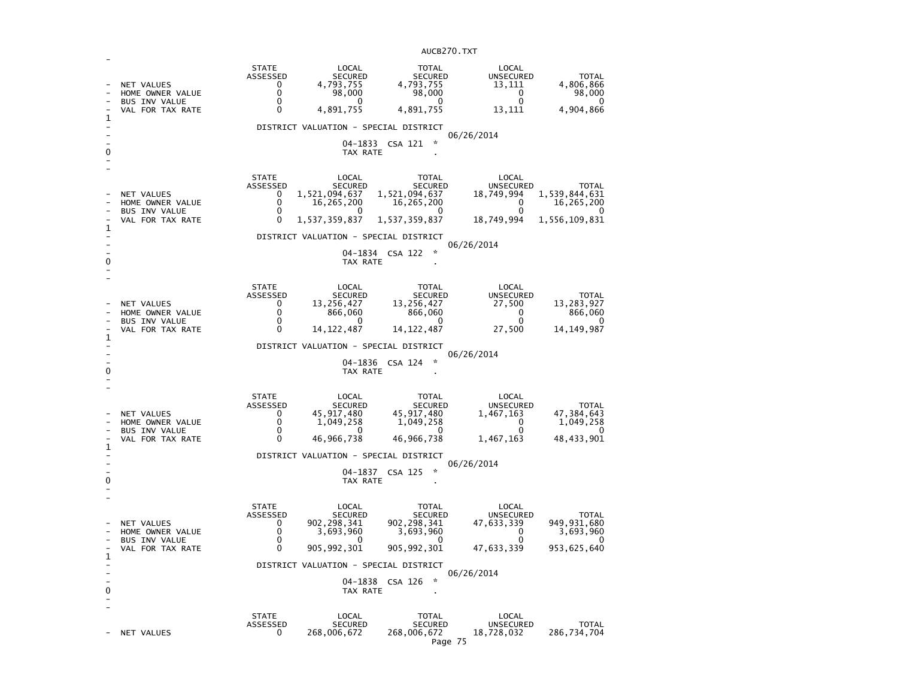| 1<br>0 | NET VALUES<br>HOME OWNER VALUE<br><b>BUS INV VALUE</b><br>VAL FOR TAX RATE | <b>STATE</b><br>ASSESSED<br>0<br>0<br>0<br>0               | LOCAL<br><b>SECURED</b><br>4,793,755<br>98,000<br><sup>0</sup><br>4,891,755<br>DISTRICT VALUATION - SPECIAL DISTRICT<br>04-1833<br>TAX RATE | <b>TOTAL</b><br><b>SECURED</b><br>4,793,755<br>98,000<br>0<br>4,891,755<br>÷<br>CSA 121                       | LOCAL<br><b>UNSECURED</b><br>13,111<br>$\mathbf{0}$<br>$\mathbf{0}$<br>13,111<br>06/26/2014 | <b>TOTAL</b><br>4,806,866<br>98,000<br>0<br>4,904,866        |
|--------|----------------------------------------------------------------------------|------------------------------------------------------------|---------------------------------------------------------------------------------------------------------------------------------------------|---------------------------------------------------------------------------------------------------------------|---------------------------------------------------------------------------------------------|--------------------------------------------------------------|
| 1<br>0 | NET VALUES<br>HOME OWNER VALUE<br><b>BUS INV VALUE</b><br>VAL FOR TAX RATE | <b>STATE</b><br><b>ASSESSED</b><br>0<br>0<br>0<br>$\Omega$ | LOCAL<br><b>SECURED</b><br>1,521,094,637<br>16,265,200<br>1,537,359,837<br>DISTRICT VALUATION - SPECIAL DISTRICT<br>TAX RATE                | <b>TOTAL</b><br><b>SECURED</b><br>1,521,094,637<br>16, 265, 200<br>O<br>1,537,359,837<br>04-1834 CSA 122<br>☆ | LOCAL<br><b>UNSECURED</b><br>18,749,994<br>0<br>0<br>18,749,994<br>06/26/2014               | TOTAL<br>1,539,844,631<br>16,265,200<br>1,556,109,831        |
| 1<br>0 | NET VALUES<br>HOME OWNER VALUE<br>BUS INV VALUE<br>VAL FOR TAX RATE        | <b>STATE</b><br>ASSESSED<br>0<br>0<br>0<br>$\Omega$        | LOCAL<br><b>SECURED</b><br>13,256,427<br>866,060<br>0<br>14, 122, 487<br>DISTRICT VALUATION - SPECIAL DISTRICT<br>TAX RATE                  | <b>TOTAL</b><br><b>SECURED</b><br>13,256,427<br>866,060<br>0<br>14, 122, 487<br>$\star$<br>04-1836 CSA 124    | LOCAL<br><b>UNSECURED</b><br>27,500<br>0<br>$\Omega$<br>27,500<br>06/26/2014                | <b>TOTAL</b><br>13, 283, 927<br>866,060<br>0<br>14, 149, 987 |
| 1<br>0 | NET VALUES<br>HOME OWNER VALUE<br><b>BUS INV VALUE</b><br>VAL FOR TAX RATE | <b>STATE</b><br>ASSESSED<br>0<br>0<br>0<br>0               | LOCAL<br><b>SECURED</b><br>45, 917, 480<br>1,049,258<br>$\Omega$<br>46,966,738<br>DISTRICT VALUATION - SPECIAL DISTRICT<br>TAX RATE         | TOTAL<br><b>SECURED</b><br>45, 917, 480<br>1,049,258<br>0<br>46,966,738<br>04-1837 CSA 125<br>☆               | LOCAL<br>UNSECURED<br>1,467,163<br>$\Omega$<br>$\Omega$<br>1,467,163<br>06/26/2014          | <b>TOTAL</b><br>47,384,643<br>1,049,258<br>0<br>48,433,901   |
| 1<br>0 | NET VALUES<br>HOME OWNER VALUE<br><b>BUS INV VALUE</b><br>VAL FOR TAX RATE | <b>STATE</b><br><b>ASSESSED</b><br>0<br>0<br>0<br>$\Omega$ | LOCAL<br><b>SECURED</b><br>902, 298, 341<br>3,693,960<br>O<br>905, 992, 301<br>DISTRICT VALUATION - SPECIAL DISTRICT<br>TAX RATE            | TOTAL<br><b>SECURED</b><br>902, 298, 341<br>3,693,960<br>O<br>905, 992, 301<br>☆<br>04-1838 CSA 126           | LOCAL<br><b>UNSECURED</b><br>47,633,339<br>0<br>$\mathbf 0$<br>47,633,339<br>06/26/2014     | TOTAL<br>949, 931, 680<br>3,693,960<br>0<br>953, 625, 640    |
|        | NET VALUES                                                                 | <b>STATE</b><br><b>ASSESSED</b><br>0                       | LOCAL<br><b>SECURED</b><br>268,006,672                                                                                                      | <b>TOTAL</b><br><b>SECURED</b><br>268,006,672                                                                 | LOCAL<br><b>UNSECURED</b><br>18,728,032                                                     | <b>TOTAL</b><br>286,734,704                                  |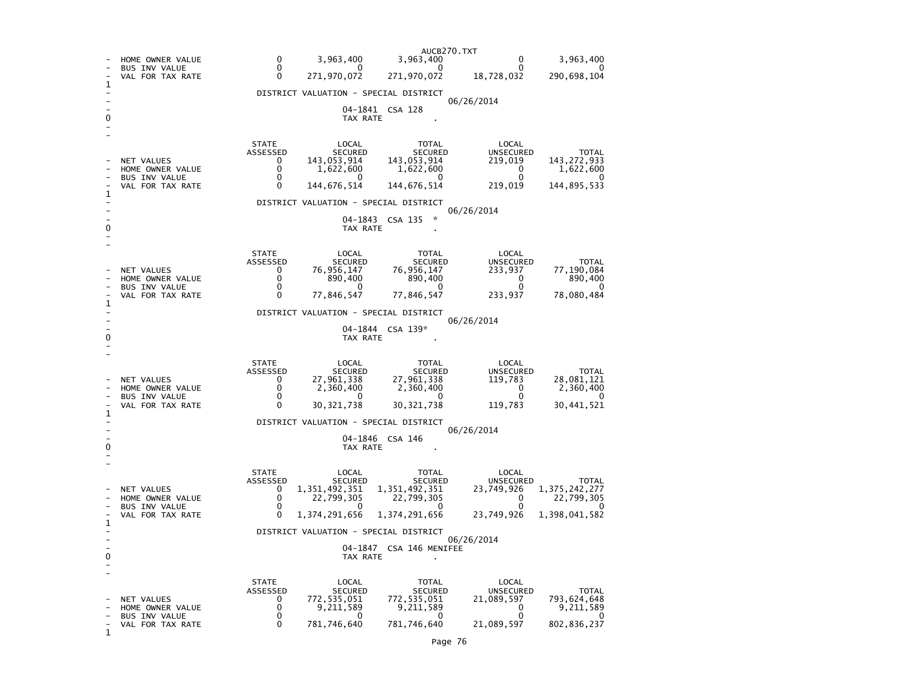|        | HOME OWNER VALUE                                                                         | AUCB270.TXT<br>0<br>3,963,400<br>3,963,400<br>0<br>$^{\circ}$                                                                                                                                                                                             | 0<br>0                                                                    | 3,963,400                                                      |  |  |  |
|--------|------------------------------------------------------------------------------------------|-----------------------------------------------------------------------------------------------------------------------------------------------------------------------------------------------------------------------------------------------------------|---------------------------------------------------------------------------|----------------------------------------------------------------|--|--|--|
|        | <b>BUS INV VALUE</b><br>VAL FOR TAX RATE                                                 | 0<br>0<br>271,970,072<br>271,970,072                                                                                                                                                                                                                      | 18,728,032                                                                | 0<br>290,698,104                                               |  |  |  |
| ı      |                                                                                          | DISTRICT VALUATION - SPECIAL DISTRICT                                                                                                                                                                                                                     |                                                                           |                                                                |  |  |  |
| 0      |                                                                                          | 06/26/2014<br>04–1841<br>CSA 128<br>TAX RATE                                                                                                                                                                                                              |                                                                           |                                                                |  |  |  |
| 1      | NET VALUES<br>HOME OWNER VALUE<br><b>BUS INV VALUE</b><br>VAL FOR TAX RATE               | <b>STATE</b><br>LOCAL<br><b>TOTAL</b><br>ASSESSED<br><b>SECURED</b><br>SECURED<br>143,053,914<br>143,053,914<br>0<br>0<br>1,622,600<br>1,622,600<br>0<br>0<br>0<br>0<br>144,676,514<br>144,676,514<br>DISTRICT VALUATION - SPECIAL DISTRICT<br>06/26/2014 | LOCAL<br><b>UNSECURED</b><br>219,019<br>0<br>0<br>219,019                 | TOTAL<br>143, 272, 933<br>1,622,600<br>144,895,533             |  |  |  |
| 0      |                                                                                          | 04-1843<br>CSA 135<br>÷<br>TAX RATE                                                                                                                                                                                                                       |                                                                           |                                                                |  |  |  |
| 1      | NET VALUES<br>HOME OWNER VALUE<br><b>BUS INV VALUE</b><br>VAL FOR TAX RATE               | <b>STATE</b><br>LOCAL<br><b>TOTAL</b><br>ASSESSED<br>SECURED<br><b>SECURED</b><br>0<br>76,956,147<br>76,956,147<br>0<br>890,400<br>890,400<br>0<br>0<br>0<br>77,846,547<br>77,846,547                                                                     | LOCAL<br>UNSECURED<br>233,937<br>0<br>0<br>233,937                        | TOTAL<br>77,190,084<br>890,400<br>0<br>78,080,484              |  |  |  |
| 0      | DISTRICT VALUATION - SPECIAL DISTRICT<br>06/26/2014<br>04-1844<br>$CSA$ 139*<br>TAX RATE |                                                                                                                                                                                                                                                           |                                                                           |                                                                |  |  |  |
| 1      | NET VALUES<br>HOME OWNER VALUE<br><b>BUS INV VALUE</b><br>VAL FOR TAX RATE               | <b>STATE</b><br>LOCAL<br><b>TOTAL</b><br>ASSESSED<br>SECURED<br>SECURED<br>27,961,338<br>27,961,338<br>0<br>0<br>2,360,400<br>2,360,400<br>0<br>0<br>0<br>0<br>30,321,738<br>30,321,738                                                                   | LOCAL<br>UNSECURED<br>119,783<br>0<br>0<br>119,783                        | TOTAL<br>28,081,121<br>2,360,400<br>$\Omega$<br>30,441,521     |  |  |  |
|        |                                                                                          | DISTRICT VALUATION - SPECIAL DISTRICT<br>06/26/2014                                                                                                                                                                                                       |                                                                           |                                                                |  |  |  |
| 0      | 04-1846 CSA 146<br>TAX RATE                                                              |                                                                                                                                                                                                                                                           |                                                                           |                                                                |  |  |  |
| 1      | NET VALUES<br>HOME OWNER VALUE<br><b>BUS INV VALUE</b><br>VAL FOR TAX RATE               | <b>STATE</b><br>LOCAL<br><b>TOTAL</b><br>ASSESSED<br><b>SECURED</b><br><b>SECURED</b><br>1,351,492,351<br>1,351,492,351<br>0<br>0<br>22,799,305<br>22,799,305<br>0<br>0<br>0<br>0<br>1,374,291,656<br>1,374,291,656                                       | LOCAL<br><b>UNSECURED</b><br>23,749,926<br>0<br>$\Omega$<br>23,749,926    | TOTAL<br>1, 375, 242, 277<br>22,799,305<br>0<br>1,398,041,582  |  |  |  |
|        |                                                                                          | DISTRICT VALUATION - SPECIAL DISTRICT<br>06/26/2014                                                                                                                                                                                                       |                                                                           |                                                                |  |  |  |
| 0<br>۰ |                                                                                          | 04-1847<br>CSA 146 MENIFEE<br>TAX RATE                                                                                                                                                                                                                    |                                                                           |                                                                |  |  |  |
| 1      | NET VALUES<br>HOME OWNER VALUE<br><b>BUS INV VALUE</b><br>VAL FOR TAX RATE               | <b>STATE</b><br>LOCAL<br><b>TOTAL</b><br><b>ASSESSED</b><br><b>SECURED</b><br><b>SECURED</b><br>772, 535, 051<br>772, 535, 051<br>0<br>0<br>9,211,589<br>9,211,589<br>0<br>0<br>0<br>0<br>781,746,640<br>781,746,640                                      | LOCAL<br><b>UNSECURED</b><br>21,089,597<br>0<br>$\mathbf 0$<br>21,089,597 | <b>TOTAL</b><br>793, 624, 648<br>9,211,589<br>0<br>802,836,237 |  |  |  |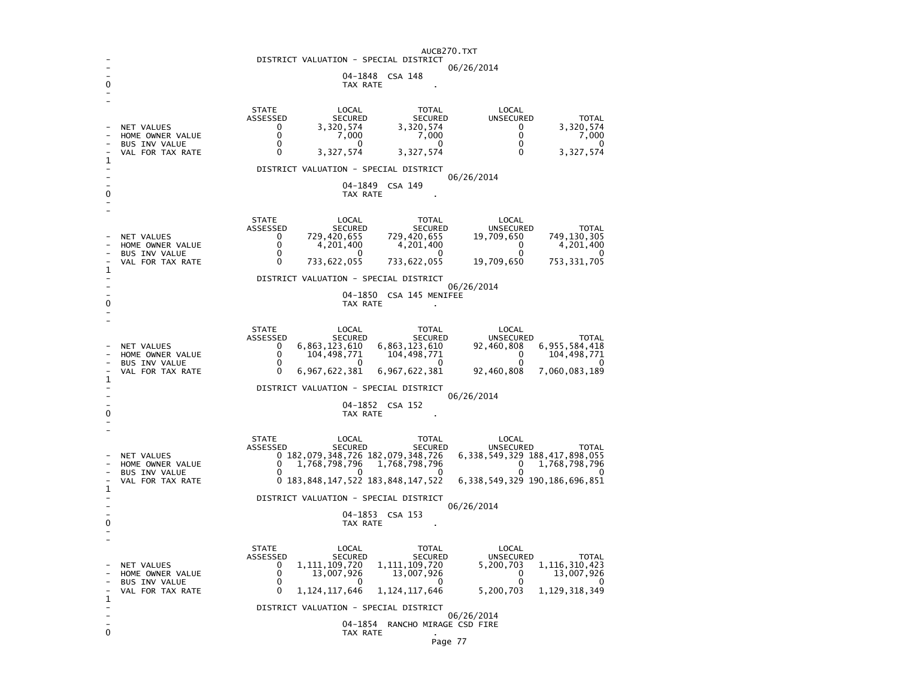|             | AUCB270.TXT                                         |                                                                                                                                                              |  |  |  |  |  |  |
|-------------|-----------------------------------------------------|--------------------------------------------------------------------------------------------------------------------------------------------------------------|--|--|--|--|--|--|
|             | DISTRICT VALUATION - SPECIAL DISTRICT<br>06/26/2014 |                                                                                                                                                              |  |  |  |  |  |  |
| 0           |                                                     | 04-1848<br>CSA 148<br>TAX RATE                                                                                                                               |  |  |  |  |  |  |
|             |                                                     |                                                                                                                                                              |  |  |  |  |  |  |
|             |                                                     | <b>STATE</b><br>LOCAL<br>LOCAL<br><b>TOTAL</b>                                                                                                               |  |  |  |  |  |  |
|             | NET VALUES                                          | ASSESSED<br><b>SECURED</b><br>UNSECURED<br><b>TOTAL</b><br><b>SECURED</b><br>3,320,574<br>0<br>3,320,574<br>0<br>3,320,574                                   |  |  |  |  |  |  |
|             | HOME OWNER VALUE<br><b>BUS INV VALUE</b>            | 0<br>0<br>7,000<br>7,000<br>7,000<br>0<br>0<br>0<br>0<br>$\Omega$                                                                                            |  |  |  |  |  |  |
| 1           | VAL FOR TAX RATE                                    | $\Omega$<br>3,327,574<br>0<br>3,327,574<br>3,327,574                                                                                                         |  |  |  |  |  |  |
|             |                                                     | DISTRICT VALUATION - SPECIAL DISTRICT                                                                                                                        |  |  |  |  |  |  |
|             |                                                     | 06/26/2014<br>04-1849<br>CSA 149                                                                                                                             |  |  |  |  |  |  |
| 0           |                                                     | TAX RATE                                                                                                                                                     |  |  |  |  |  |  |
|             |                                                     | <b>STATE</b><br>LOCAL<br><b>TOTAL</b><br>LOCAL                                                                                                               |  |  |  |  |  |  |
|             |                                                     | ASSESSED<br><b>UNSECURED</b><br><b>SECURED</b><br><b>SECURED</b><br>TOTAL                                                                                    |  |  |  |  |  |  |
|             | <b>NET VALUES</b><br>HOME OWNER VALUE               | 729,420,655<br>749,130,305<br>0<br>729,420,655<br>19,709,650<br>0<br>4,201,400<br>0<br>4,201,400<br>4,201,400                                                |  |  |  |  |  |  |
|             | <b>BUS INV VALUE</b><br>VAL FOR TAX RATE            | 0<br>0<br>O<br>0<br>O<br>733,622,055<br>733,622,055<br>19,709,650<br>753, 331, 705<br>0                                                                      |  |  |  |  |  |  |
| 1           |                                                     |                                                                                                                                                              |  |  |  |  |  |  |
|             | DISTRICT VALUATION - SPECIAL DISTRICT<br>06/26/2014 |                                                                                                                                                              |  |  |  |  |  |  |
| 0           |                                                     | 04-1850 CSA 145 MENIFEE<br>TAX RATE                                                                                                                          |  |  |  |  |  |  |
|             |                                                     |                                                                                                                                                              |  |  |  |  |  |  |
|             |                                                     | <b>STATE</b><br>LOCAL<br><b>TOTAL</b><br>LOCAL<br>ASSESSED<br><b>SECURED</b><br><b>SECURED</b><br><b>UNSECURED</b><br><b>TOTAL</b>                           |  |  |  |  |  |  |
|             | <b>NET VALUES</b>                                   | 6, 863, 123, 610<br>6, 955, 584, 418<br>6,863,123,610<br>$\mathbf{0}$<br>92,460,808                                                                          |  |  |  |  |  |  |
|             | HOME OWNER VALUE<br><b>BUS INV VALUE</b>            | 0<br>104, 498, 771<br>104,498,771<br>0<br>104,498,771<br>0<br>0<br>0<br>0<br>0                                                                               |  |  |  |  |  |  |
| 1           | VAL FOR TAX RATE                                    | 0<br>6,967,622,381<br>6,967,622,381<br>92,460,808<br>7,060,083,189                                                                                           |  |  |  |  |  |  |
|             | DISTRICT VALUATION - SPECIAL DISTRICT<br>06/26/2014 |                                                                                                                                                              |  |  |  |  |  |  |
| 0           |                                                     | 04-1852 CSA 152<br>TAX RATE                                                                                                                                  |  |  |  |  |  |  |
|             |                                                     |                                                                                                                                                              |  |  |  |  |  |  |
|             |                                                     | <b>STATE</b><br>LOCAL<br>LOCAL<br><b>TOTAL</b>                                                                                                               |  |  |  |  |  |  |
|             | NET VALUES                                          | <b>SECURED</b><br><b>UNSECURED</b><br>ASSESSED<br><b>SECURED</b><br><b>TOTAL</b><br>0 182,079,348,726 182,079,348,726<br>6, 338, 549, 329 188, 417, 898, 055 |  |  |  |  |  |  |
|             | HOME OWNER VALUE<br>BUS INV VALUE                   | 0<br>0<br>1,768,798,796<br>1,768,798,796<br>1,768,798,796<br>$\Omega$<br>$\Omega$<br>n<br>0<br>$\Omega$                                                      |  |  |  |  |  |  |
| 1           | VAL FOR TAX RATE                                    | 0 183,848,147,522 183,848,147,522<br>6, 338, 549, 329 190, 186, 696, 851                                                                                     |  |  |  |  |  |  |
|             |                                                     | DISTRICT VALUATION - SPECIAL DISTRICT                                                                                                                        |  |  |  |  |  |  |
|             |                                                     | 06/26/2014<br>04-1853 CSA 153                                                                                                                                |  |  |  |  |  |  |
| 0           |                                                     | TAX RATE                                                                                                                                                     |  |  |  |  |  |  |
|             |                                                     | <b>STATE</b><br>LOCAL<br><b>TOTAL</b><br>LOCAL                                                                                                               |  |  |  |  |  |  |
|             | <b>NET VALUES</b>                                   | ASSESSED<br><b>SECURED</b><br><b>SECURED</b><br>UNSECURED<br>TOTAL<br>0                                                                                      |  |  |  |  |  |  |
|             | HOME OWNER VALUE                                    | 1, 116, 310, 423<br>1, 111, 109, 720<br>1,111,109,720<br>5,200,703<br>0<br>13,007,926<br>13,007,926<br>0<br>13,007,926                                       |  |  |  |  |  |  |
|             | <b>BUS INV VALUE</b><br>VAL FOR TAX RATE            | 0<br>0<br>O<br>0<br>$\Omega$<br>1, 129, 318, 349<br>1, 124, 117, 646<br>1, 124, 117, 646<br>5,200,703<br>0                                                   |  |  |  |  |  |  |
| 1           |                                                     | DISTRICT VALUATION - SPECIAL DISTRICT                                                                                                                        |  |  |  |  |  |  |
|             |                                                     | 06/26/2014<br>04-1854<br>RANCHO MIRAGE CSD FIRE                                                                                                              |  |  |  |  |  |  |
| $\mathbf 0$ |                                                     | TAX RATE                                                                                                                                                     |  |  |  |  |  |  |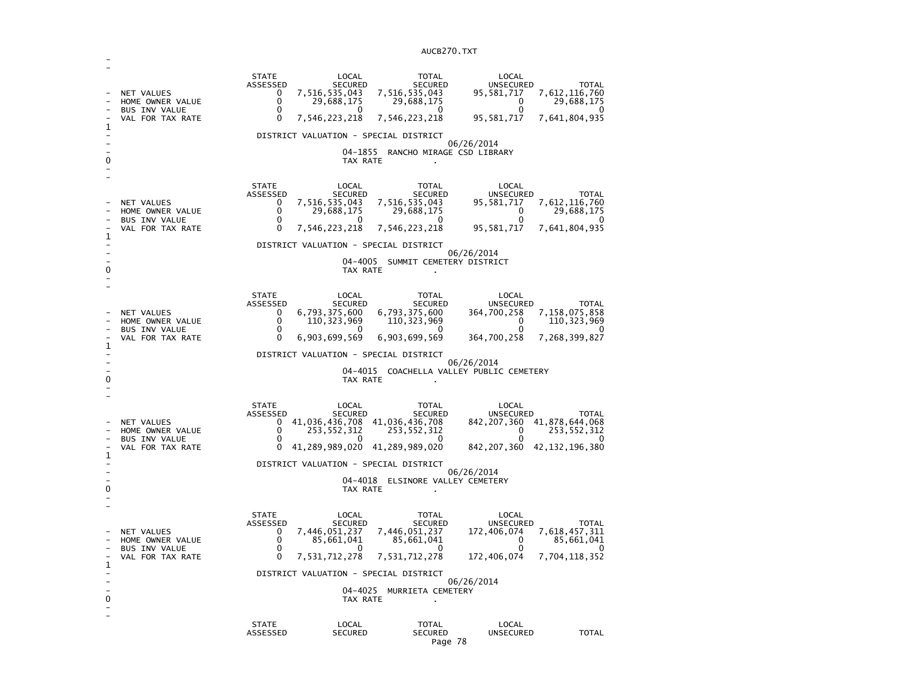| 1<br>0 | NET VALUES<br>HOME OWNER VALUE<br>BUS INV VALUE<br>VAL FOR TAX RATE               | <b>STATE</b><br>ASSESSED<br>0<br>0<br>0<br>$\Omega$                                        | LOCAL<br><b>SECURED</b><br>7,516,535,043<br>29,688,175<br><sup>0</sup><br>7,546,223,218<br>DISTRICT VALUATION - SPECIAL DISTRICT<br>TAX RATE            | TOTAL<br><b>SECURED</b><br>7,516,535,043<br>29,688,175<br>0<br>7,546,223,218<br>04-1855 RANCHO MIRAGE CSD LIBRARY                    | LOCAL<br><b>UNSECURED</b><br>95,581,717<br>0<br>0<br>95,581,717<br>06/26/2014                                                      | <b>TOTAL</b><br>7,612,116,760<br>29,688,175<br>O<br>7,641,804,935            |
|--------|-----------------------------------------------------------------------------------|--------------------------------------------------------------------------------------------|---------------------------------------------------------------------------------------------------------------------------------------------------------|--------------------------------------------------------------------------------------------------------------------------------------|------------------------------------------------------------------------------------------------------------------------------------|------------------------------------------------------------------------------|
| 1<br>0 | NET VALUES<br>HOME OWNER VALUE<br>BUS INV VALUE<br>VAL FOR TAX RATE               | <b>STATE</b><br>ASSESSED<br>0<br>0<br>$\Omega$<br>0                                        | LOCAL<br><b>SECURED</b><br>7,516,535,043<br>29,688,175<br>$\Omega$<br>7,546,223,218<br>DISTRICT VALUATION - SPECIAL DISTRICT<br>04-4005<br>TAX RATE     | <b>TOTAL</b><br><b>SECURED</b><br>7,516,535,043<br>29,688,175<br>$\Omega$<br>7,546,223,218<br>SUMMIT CEMETERY DISTRICT               | LOCAL<br>UNSECURED<br>95,581,717<br>0<br>$\Omega$<br>95,581,717<br>06/26/2014                                                      | <b>TOTAL</b><br>7,612,116,760<br>29,688,175<br>O<br>7,641,804,935            |
| 1<br>0 | NET VALUES<br>HOME OWNER VALUE<br><b>BUS INV VALUE</b><br>VAL FOR TAX RATE        | <b>STATE</b><br>ASSESSED<br>0<br>0<br>$\Omega$<br>0                                        | LOCAL<br>SECURED<br>6,793,375,600<br>110, 323, 969<br>$\mathbf{0}$<br>6,903,699,569<br>DISTRICT VALUATION - SPECIAL DISTRICT<br>TAX RATE                | TOTAL<br><b>SECURED</b><br>6,793,375,600<br>110, 323, 969<br>$\Omega$<br>6,903,699,569                                               | LOCAL<br>UNSECURED<br>364,700,258<br>$\Omega$<br>$\Omega$<br>364,700,258<br>06/26/2014<br>04-4015 COACHELLA VALLEY PUBLIC CEMETERY | <b>TOTAL</b><br>7,158,075,858<br>110, 323, 969<br>$\Omega$<br>7,268,399,827  |
| 1<br>0 | <b>NET VALUES</b><br>HOME OWNER VALUE<br><b>BUS INV VALUE</b><br>VAL FOR TAX RATE | <b>STATE</b><br>ASSESSED<br>0<br>0<br>0<br>0                                               | LOCAL<br>SECURED<br>253,552,312<br>0<br>41, 289, 989, 020 41, 289, 989, 020<br>DISTRICT VALUATION - SPECIAL DISTRICT<br>TAX RATE                        | TOTAL<br>SECURED<br>41,036,436,708 41,036,436,708<br>253,552,312<br>0<br>04-4018 ELSINORE VALLEY CEMETERY                            | LOCAL<br>UNSECURED<br>842, 207, 360 41, 878, 644, 068<br>0<br>$\mathbf{0}$<br>842, 207, 360 42, 132, 196, 380<br>06/26/2014        | <b>TOTAL</b><br>253,552,312<br>0                                             |
| 1<br>0 | NET VALUES<br>HOME OWNER VALUE<br><b>BUS INV VALUE</b><br>VAL FOR TAX RATE        | <b>STATE</b><br>ASSESSED<br>0<br>0<br>$\mathbf{0}$<br>$\Omega$<br><b>STATE</b><br>ASSESSED | LOCAL<br><b>SECURED</b><br>7,446,051,237<br>85,661,041<br>7,531,712,278<br>DISTRICT VALUATION - SPECIAL DISTRICT<br>TAX RATE<br>LOCAL<br><b>SECURED</b> | TOTAL<br><b>SECURED</b><br>7,446,051,237<br>85,661,041<br>0<br>7,531,712,278<br>04-4025 MURRIETA CEMETERY<br>TOTAL<br><b>SECURED</b> | LOCAL<br>UNSECURED<br>172,406,074<br>0<br>172,406,074<br>06/26/2014<br>LOCAL<br><b>UNSECURED</b>                                   | <b>TOTAL</b><br>7,618,457,311<br>85,661,041<br>7,704,118,352<br><b>TOTAL</b> |

-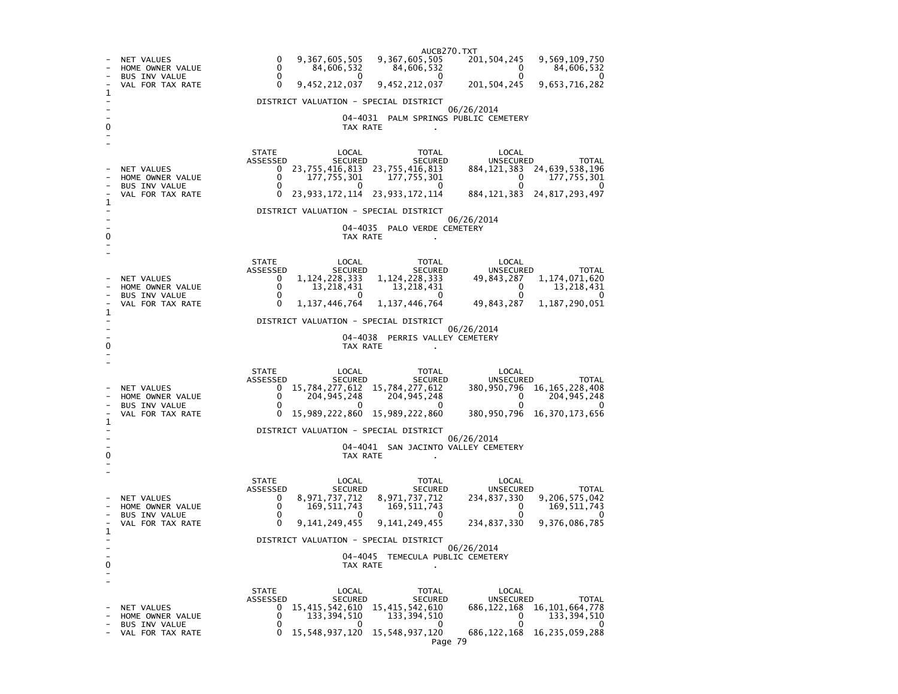AUCB270.TXT201, 504, 245 9, 569, 109, 750 - NET VALUES 0 9,367,605,505 9,367,605,505 201,504,245<br>- HOME OWNER VALUE 0 84,606,532 84,606,532 0 84,606,532  $\begin{array}{ccc} 0 & 84,606,532 & 84,606,532 & 0 \ 0 & 0 & 0 & 0 \end{array}$  $\Omega$ - BUS INV VALUE 0 0 0 0 0 201, 504, 245 9, 653, 716, 282 VAL FOR TAX RATE 0 9,452,212,037 9,452,212,037 1 - DISTRICT VALUATION - SPECIAL DISTRICT - 06/26/2014 - 04-4031 PALM SPRINGS PUBLIC CEMETERY 0 TAX RATE . - - STATE LOCAL TOTAL LOCAL **UNSECURED** ASSESSED SECURED SECURED UNSECURED TOTAL 884, 121, 383 24, 639, 538, 196 - NET VALUES 0 23,755,416,813 23,755,416,813<br>- HOME OWNER VALUE 0 177.755.301 177.755.301  $\overline{0}$  177, 755, 301  $\begin{array}{ccc} 0 & 177,755,301 & 177,755,301 & 0 \\ 0 & 0 & 0 & 0 \end{array}$  $\overline{0}$ - BUS INV VALUE 884, 121, 383 24, 817, 293, 497 VAL FOR TAX RATE 0 23,933,172,114 23,933,172,114 1  $\sim$ - DISTRICT VALUATION - SPECIAL DISTRICT - 06/26/2014 - 04-4035 PALO VERDE CEMETERY 0 TAX RATE - - STATE LOCAL TOTAL LOCAL ASSESSED SECURED SECURED UNSECURED TOTAL **UNSECURED** 49,843,287 1,174,071,620 - NET VALUES 0 1,124,228,333 1,124,228,333<br>- HOME OWNER VALUE 0 13.218.431 13.218.431 - BUS INV VALUE 0 0 0 0 0  $0 \t 13,218,431 \t 13,218,431$ 49,843,287 1,187,290,051 VAL FOR TAX RATE 0 1,137,446,764 1,137,446,764 1 - DISTRICT VALUATION - SPECIAL DISTRICT - 06/26/2014 - 04-4038 PERRIS VALLEY CEMETERY 0 CONTROL TO TAX RATE THE SET OF TAX RATE AND TAX RATE ASSESSMENT OF TAX RATE AND TAX RATE AND TAX RATE AND TAX RATE AND TAX RATE AND TAX RATE AND TAX RATE AND TAX RATE AND TAX RATE AND TAX RATE AND TAX RATE AND TAX RATE A - - STATE LOCAL TOTAL LOCAL **UNSECURED** ASSESSED SECURED SECURED SECURED SECURED UNSECURED UNE TOTAL<br>NET VALUES SO 15 784 277 612 15 784 277 612 380 950 796 16 165 228 408 – NET VALUES 0 15,784,277,612 15,784,277,612 - BUS INV VALUE 0 0 0 0 0 - HOME OWNER VALUE  $0$  204,945,248 204,945,248<br>- BUS INV VALUE 0 0 0 380, 950, 796 16, 370, 173, 656 - VAL FOR TAX RATE 0 15,989,222,860 15,989,222,860 1 - DISTRICT VALUATION - SPECIAL DISTRICT - 06/26/2014 - 04-4041 SAN JACINTO VALLEY CEMETERY 0 TAX RATE - - STATE LOCAL TOTAL LOCAL ASSESSED SECURED SECURED UNSECURED TOTAL **UNSECURED**  - NET VALUES 0 8,971,737,712 8,971,737,712 234,837,330 9,206,575,042  $0 \t169,511,743$ - HOME OWNER VALUE 0 169,511,743 169,511,743<br>- RIIS TNV VALUE 0 0 0 0 0 0 0 0 0  $\sim$ - BUS INV VALUE - VAL FOR TAX RATE 0 9,141,249,455 9,141,249,455 234,837,330 9,376,086,785 1  $\sim$ - DISTRICT VALUATION - SPECIAL DISTRICT - 06/26/2014 - 04-4045 TEMECULA PUBLIC CEMETERY 0 TAX RATE . - - STATE LOCAL TOTAL LOCAL ASSESSED SECURED SECURED UNSECURED TOTAL **UNSECURED** 686, 122, 168 16, 101, 664, 778 - NET VALUES 0 15,415,542,610 15,415,542,610<br>- HOME OWNER VALUE 0 133.394.510 133.394.510  $\frac{1}{2}$  0  $\frac{1}{133}, \frac{394}{510}$  $\begin{array}{ccc} 0 & 133,394,510 & 133,394,510 & 0 \ 0 & 0 & 0 & 0 \end{array}$ - 0 - BUS INV VALUE 0 0 0 0 0 - VAL FOR TAX RATE 0 15,548,937,120 15,548,937,120 686,122,168 16,235,059,288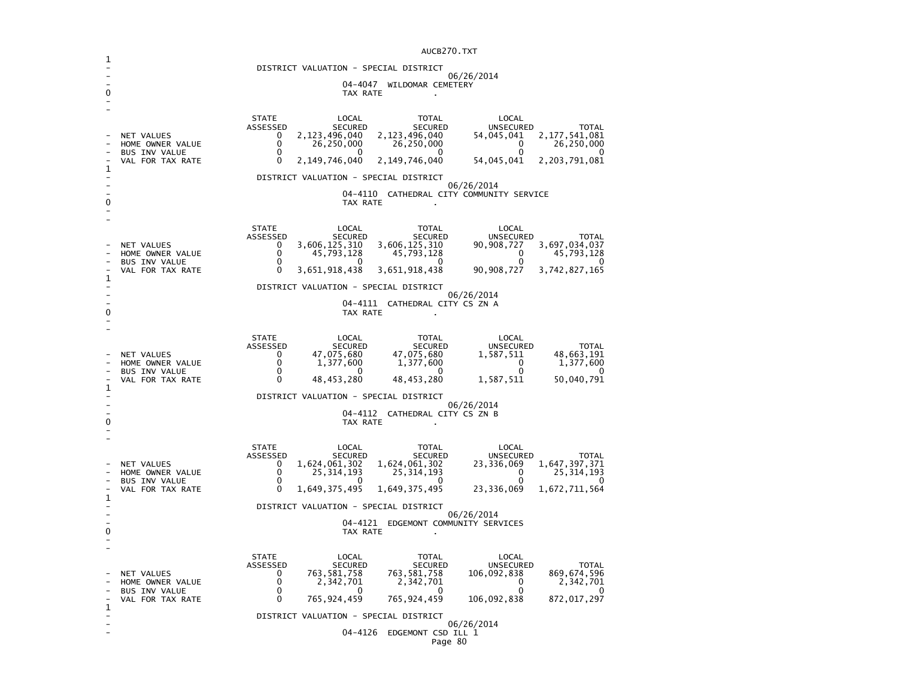|                                       | AUCB270.TXT                                         |                             |                                       |                                     |                                                                        |                         |  |
|---------------------------------------|-----------------------------------------------------|-----------------------------|---------------------------------------|-------------------------------------|------------------------------------------------------------------------|-------------------------|--|
|                                       | DISTRICT VALUATION - SPECIAL DISTRICT               |                             |                                       |                                     |                                                                        |                         |  |
|                                       | 06/26/2014<br>04-4047<br>WILDOMAR CEMETERY          |                             |                                       |                                     |                                                                        |                         |  |
| 0                                     |                                                     |                             | TAX RATE                              |                                     |                                                                        |                         |  |
|                                       |                                                     |                             |                                       |                                     |                                                                        |                         |  |
|                                       |                                                     | <b>STATE</b><br>ASSESSED    | LOCAL<br>SECURED                      | TOTAL<br>SECURED                    | LOCAL<br>UNSECURED                                                     | TOTAL                   |  |
|                                       | <b>NET VALUES</b><br>HOME OWNER VALUE               | $\Omega$<br>0               | 2,123,496,040<br>26,250,000           | 2,123,496,040<br>26,250,000         | 54, 045, 041 2, 177, 541, 081<br>26,250,000<br>$\overline{\mathbf{0}}$ |                         |  |
|                                       | <b>BUS INV VALUE</b><br>VAL FOR TAX RATE            | 0<br>$\Omega$               | 0<br>2,149,746,040                    | - 0<br>2,149,746,040                | 0<br>54,045,041<br>2,203,791,081                                       |                         |  |
| 1                                     |                                                     |                             |                                       |                                     |                                                                        |                         |  |
|                                       |                                                     |                             | DISTRICT VALUATION - SPECIAL DISTRICT |                                     | 06/26/2014                                                             |                         |  |
| 0                                     |                                                     |                             | TAX RATE                              |                                     | 04-4110 CATHEDRAL CITY COMMUNITY SERVICE                               |                         |  |
|                                       |                                                     |                             |                                       |                                     |                                                                        |                         |  |
|                                       |                                                     | <b>STATE</b><br>ASSESSED    | LOCAL<br>SECURED                      | TOTAL<br>SECURED                    | LOCAL<br>UNSECURED                                                     | <b>TOTAL</b>            |  |
|                                       | NET VALUES<br>HOME OWNER VALUE                      | 0<br>0                      | 3,606,125,310<br>45,793,128           | 3,606,125,310<br>45,793,128         | 3,697,034,037<br>90,908,727<br>45,793,128                              |                         |  |
|                                       | BUS INV VALUE                                       | $\mathbf{0}$                | - 0                                   | $\Omega$                            | $\overline{a}$<br>0                                                    |                         |  |
| 1                                     | VAL FOR TAX RATE                                    | 0                           | 3,651,918,438                         | 3,651,918,438                       | 90,908,727<br>3,742,827,165                                            |                         |  |
|                                       | DISTRICT VALUATION - SPECIAL DISTRICT<br>06/26/2014 |                             |                                       |                                     |                                                                        |                         |  |
| 0                                     |                                                     |                             | TAX RATE                              | 04-4111 CATHEDRAL CITY CS ZN A      |                                                                        |                         |  |
|                                       |                                                     |                             |                                       |                                     |                                                                        |                         |  |
|                                       |                                                     | <b>STATE</b><br>ASSESSED    | LOCAL<br>SECURED                      | TOTAL<br>SECURED                    | LOCAL<br>UNSECURED                                                     | <b>TOTAL</b>            |  |
|                                       | NET VALUES<br>HOME OWNER VALUE                      | $\mathbf{0}$<br>0           | 47,075,680<br>1,377,600               | 47,075,680<br>1,377,600             | 1,587,511<br>$\overline{\mathbf{0}}$                                   | 48,663,191<br>1,377,600 |  |
|                                       | <b>BUS INV VALUE</b>                                | $\mathbf{0}$                | 0                                     | $\Omega$                            | 0                                                                      |                         |  |
| 1                                     | VAL FOR TAX RATE                                    | $\Omega$                    | 48, 453, 280                          | 48,453,280                          | 1,587,511                                                              | 50,040,791              |  |
|                                       |                                                     |                             | DISTRICT VALUATION - SPECIAL DISTRICT |                                     | 06/26/2014                                                             |                         |  |
| 0                                     |                                                     |                             | TAX RATE                              | 04-4112 CATHEDRAL CITY CS ZN B      |                                                                        |                         |  |
|                                       |                                                     |                             |                                       |                                     |                                                                        |                         |  |
|                                       |                                                     | <b>STATE</b><br>ASSESSED    | LOCAL<br>SECURED                      | TOTAL<br>SECURED                    | LOCAL<br><b>UNSECURED</b>                                              | TOTAL                   |  |
|                                       | <b>NET VALUES</b><br>HOME OWNER VALUE               | $\mathbf{0}$<br>$\Omega$    | 1,624,061,302<br>25,314,193           | 1,624,061,302<br>25,314,193         | 23,336,069<br>1,647,397,371<br>$\overline{0}$<br>25,314,193            |                         |  |
|                                       | <b>BUS INV VALUE</b><br>VAL FOR TAX RATE            | 0<br>0                      | <sup>n</sup><br>1,649,375,495         | $\Omega$<br>1,649,375,495           | 0<br>1,672,711,564<br>23,336,069                                       | $\Omega$                |  |
| 1                                     |                                                     |                             |                                       |                                     |                                                                        |                         |  |
| DISTRICT VALUATION - SPECIAL DISTRICT |                                                     |                             |                                       |                                     | 06/26/2014                                                             |                         |  |
| 0                                     |                                                     |                             | TAX RATE                              | 04-4121 EDGEMONT COMMUNITY SERVICES |                                                                        |                         |  |
|                                       |                                                     |                             |                                       |                                     |                                                                        |                         |  |
|                                       |                                                     | <b>STATE</b><br>ASSESSED    | LOCAL<br>SECURED                      | TOTAL<br>SECURED                    | LOCAL<br>UNSECURED                                                     | TOTAL                   |  |
|                                       | NET VALUES<br>HOME OWNER VALUE                      | $\mathbf{0}$<br>$\mathbf 0$ | 763,581,758<br>2,342,701              | 763, 581, 758<br>2,342,701          | 869,674,596<br>106,092,838<br>$\overline{0}$<br>2,342,701              |                         |  |
|                                       | <b>BUS INV VALUE</b><br>VAL FOR TAX RATE            | 0<br>$\Omega$               | 0<br>765,924,459                      | $\Omega$<br>765,924,459             | 0<br>106,092,838<br>872,017,297                                        | ∩                       |  |
| 1                                     |                                                     |                             | DISTRICT VALUATION - SPECIAL DISTRICT |                                     |                                                                        |                         |  |
|                                       |                                                     |                             | 04-4126                               | EDGEMONT CSD ILL 1                  | 06/26/2014                                                             |                         |  |
|                                       |                                                     |                             |                                       |                                     |                                                                        |                         |  |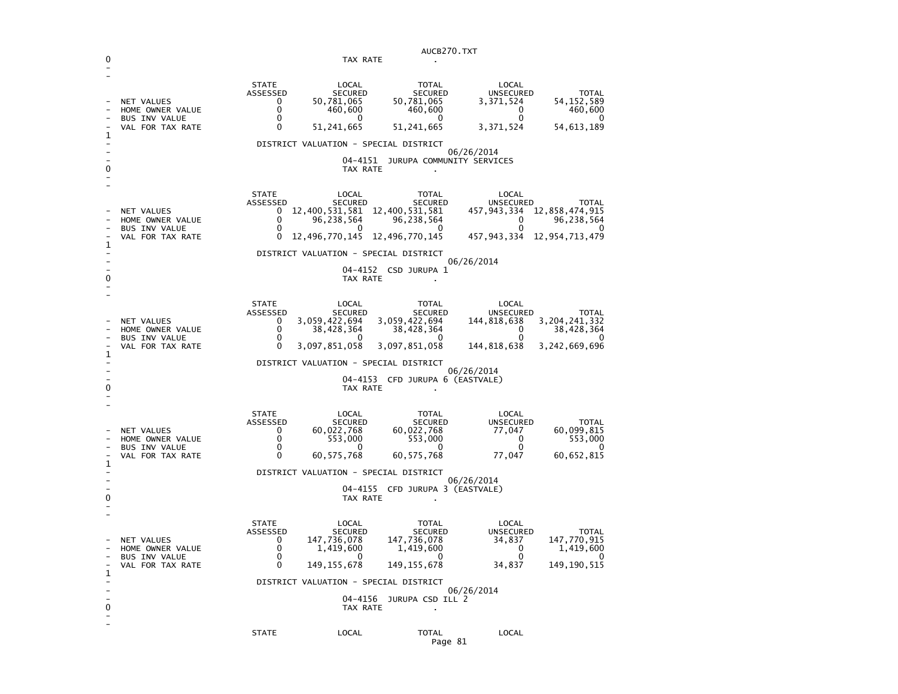|                                                                |                                                                                   |                                                               |                                                                                                                                   | AUCB270.TXT                                                                                                                                                        |                                                                             |                                                                                      |
|----------------------------------------------------------------|-----------------------------------------------------------------------------------|---------------------------------------------------------------|-----------------------------------------------------------------------------------------------------------------------------------|--------------------------------------------------------------------------------------------------------------------------------------------------------------------|-----------------------------------------------------------------------------|--------------------------------------------------------------------------------------|
| 0                                                              |                                                                                   |                                                               | TAX RATE                                                                                                                          |                                                                                                                                                                    |                                                                             |                                                                                      |
| 1                                                              | <b>NET VALUES</b><br>HOME OWNER VALUE<br><b>BUS INV VALUE</b><br>VAL FOR TAX RATE | <b>STATE</b><br>ASSESSED<br>0<br>0<br>0<br>0                  | LOCAL<br><b>SECURED</b><br>50,781,065<br>460,600<br>0<br>51,241,665<br>DISTRICT VALUATION - SPECIAL DISTRICT                      | <b>TOTAL</b><br><b>SECURED</b><br>50,781,065<br>460,600<br>0<br>51,241,665                                                                                         | LOCAL<br><b>UNSECURED</b><br>3,371,524<br>0<br>0<br>3,371,524               | <b>TOTAL</b><br>54,152,589<br>460,600<br>0<br>54,613,189                             |
|                                                                |                                                                                   |                                                               | 04-4151                                                                                                                           | JURUPA COMMUNITY SERVICES                                                                                                                                          | 06/26/2014                                                                  |                                                                                      |
| 0                                                              |                                                                                   |                                                               | TAX RATE                                                                                                                          |                                                                                                                                                                    |                                                                             |                                                                                      |
| 1                                                              | NET VALUES<br>HOME OWNER VALUE<br><b>BUS INV VALUE</b><br>VAL FOR TAX RATE        | <b>STATE</b><br>ASSESSED<br>0<br>0<br>0<br>0                  | LOCAL<br><b>SECURED</b><br>96,238,564<br>0<br>12,496,770,145<br>DISTRICT VALUATION - SPECIAL DISTRICT                             | TOTAL<br><b>SECURED</b><br>12,400,531,581 12,400,531,581<br>96,238,564<br>0<br>12,496,770,145                                                                      | LOCAL<br>UNSECURED<br>0<br>0<br>457,943,334                                 | <b>TOTAL</b><br>457, 943, 334 12, 858, 474, 915<br>96,238,564<br>0<br>12,954,713,479 |
|                                                                |                                                                                   |                                                               |                                                                                                                                   | 04-4152 CSD JURUPA 1                                                                                                                                               | 06/26/2014                                                                  |                                                                                      |
| 0                                                              |                                                                                   |                                                               | TAX RATE                                                                                                                          |                                                                                                                                                                    |                                                                             |                                                                                      |
| 1<br>0                                                         | NET VALUES<br>HOME OWNER VALUE<br><b>BUS INV VALUE</b><br>VAL FOR TAX RATE        | <b>STATE</b><br><b>ASSESSED</b><br>0<br>0<br>0<br>$\mathbf 0$ | LOCAL<br><b>SECURED</b><br>3,059,422,694<br>38,428,364<br>0<br>3,097,851,058<br>DISTRICT VALUATION - SPECIAL DISTRICT<br>TAX RATE | <b>TOTAL</b><br><b>SECURED</b><br>3,059,422,694<br>38,428,364<br>0<br>3,097,851,058<br>04-4153 CFD JURUPA 6 (EASTVALE)                                             | LOCAL<br>UNSECURED<br>144,818,638<br>0<br>0<br>144,818,638<br>06/26/2014    | TOTAL<br>3, 204, 241, 332<br>38,428,364<br>0<br>3,242,669,696                        |
| 1<br>0                                                         | NET VALUES<br>HOME OWNER VALUE<br><b>BUS INV VALUE</b><br>VAL FOR TAX RATE        | <b>STATE</b><br>ASSESSED<br>0<br>0<br>0<br>0                  | LOCAL<br><b>SECURED</b><br>60,022,768<br>553,000<br>0<br>60,575,768<br>DISTRICT VALUATION - SPECIAL DISTRICT<br>TAX RATE          | <b>TOTAL</b><br><b>SECURED</b><br>60,022,768<br>553,000<br>0<br>60, 575, 768<br>04-4155 CFD JURUPA 3 (EASTVALE)                                                    | LOCAL<br>UNSECURED<br>77,047<br>0<br>0<br>77,047<br>06/26/2014              | <b>TOTAL</b><br>60,099,815<br>553,000<br>60,652,815                                  |
| 1<br>$\overline{\phantom{0}}$<br>0<br>$\overline{\phantom{a}}$ | NET VALUES<br>HOME OWNER VALUE<br><b>BUS INV VALUE</b><br>VAL FOR TAX RATE        | <b>STATE</b><br>ASSESSED<br>0<br>0<br>0<br>0                  | LOCAL<br><b>SECURED</b><br>147,736,078<br>1,419,600<br>$\sim$ 0<br>149, 155, 678<br>TAX RATE                                      | TOTAL<br><b>SECURED</b><br>147,736,078<br>1,419,600<br>$\sim$ 0<br>149, 155, 678<br>DISTRICT VALUATION - SPECIAL DISTRICT<br>04-4156 JURUPA CSD ILL 2<br>$\bullet$ | LOCAL<br>UNSECURED<br>34,837<br>0<br>$\overline{0}$<br>34,837<br>06/26/2014 | TOTAL<br>147,770,915<br>1,419,600<br>$\sim$ 0<br>149, 190, 515                       |
|                                                                |                                                                                   | <b>STATE</b>                                                  | LOCAL                                                                                                                             | TOTAL                                                                                                                                                              | LOCAL                                                                       |                                                                                      |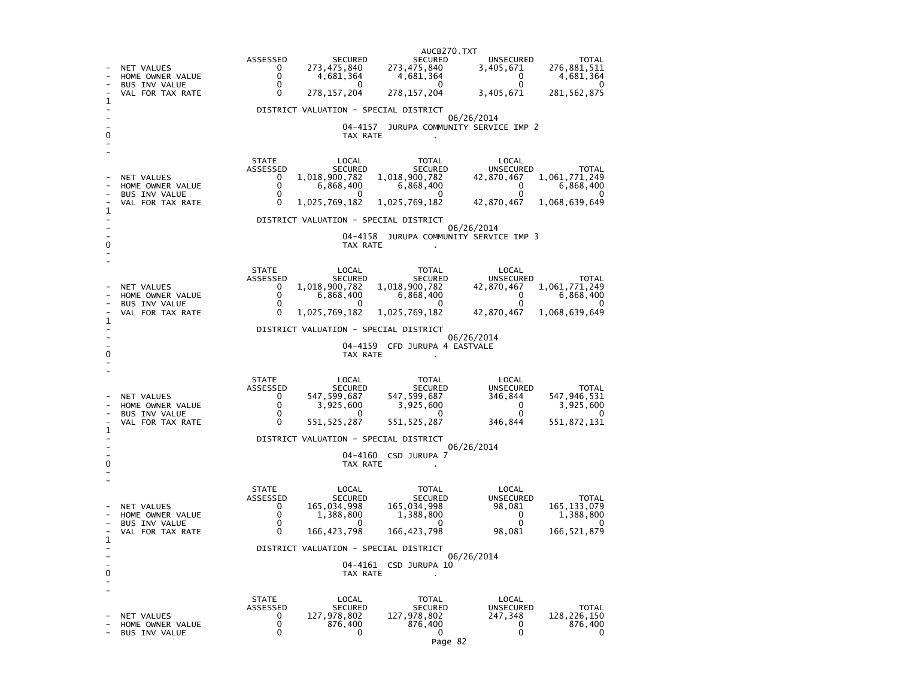|   |                                          |                                                                         | AUCB270.TXT                         |                                               |                                          |
|---|------------------------------------------|-------------------------------------------------------------------------|-------------------------------------|-----------------------------------------------|------------------------------------------|
|   | NET VALUES<br>HOME OWNER VALUE           | ASSESSED<br><b>SECURED</b><br>0<br>273,475,840<br>$\Omega$<br>4,681,364 | SECURED<br>273,475,840<br>4,681,364 | <b>UNSECURED</b><br>3,405,671<br>$\mathbf{0}$ | <b>TOTAL</b><br>276,881,511<br>4,681,364 |
|   | <b>BUS INV VALUE</b><br>VAL FOR TAX RATE | 0<br>$\mathbf{0}$<br>0<br>278, 157, 204                                 | $\Omega$<br>278, 157, 204           | $\Omega$<br>3,405,671                         | 0<br>281, 562, 875                       |
| 1 |                                          | DISTRICT VALUATION - SPECIAL DISTRICT                                   |                                     |                                               |                                          |
|   |                                          | 04-4157                                                                 | JURUPA COMMUNITY SERVICE IMP 2      | 06/26/2014                                    |                                          |
| 0 |                                          | TAX RATE                                                                |                                     |                                               |                                          |
|   |                                          | <b>STATE</b><br>LOCAL<br><b>SECURED</b><br>ASSESSED                     | TOTAL<br>SECURED                    | LOCAL<br>UNSECURED                            | <b>TOTAL</b>                             |
|   | NET VALUES                               | 1,018,900,782<br>0<br>0                                                 | 1,018,900,782                       | 42,870,467<br>0                               | 1,061,771,249                            |
|   | HOME OWNER VALUE<br><b>BUS INV VALUE</b> | 6,868,400<br>0<br>0                                                     | 6,868,400<br>$\mathbf{0}$           | $\Omega$                                      | 6,868,400<br>0                           |
| 1 | VAL FOR TAX RATE                         | 1,025,769,182<br>0                                                      | 1,025,769,182                       | 42,870,467                                    | 1,068,639,649                            |
|   |                                          | DISTRICT VALUATION - SPECIAL DISTRICT                                   |                                     | 06/26/2014                                    |                                          |
| 0 |                                          | 04-4158<br>TAX RATE                                                     | JURUPA COMMUNITY SERVICE IMP 3      |                                               |                                          |
|   |                                          | <b>STATE</b><br>LOCAL                                                   | TOTAL                               | LOCAL                                         |                                          |
|   | <b>NET VALUES</b>                        | ASSESSED<br><b>SECURED</b><br>1,018,900,782<br>0                        | SECURED<br>1,018,900,782            | UNSECURED<br>42,870,467                       | <b>TOTAL</b><br>1,061,771,249            |
|   | HOME OWNER VALUE<br><b>BUS INV VALUE</b> | 0<br>6,868,400<br>0<br>0                                                | 6,868,400<br>0                      | 0<br>0                                        | 6,868,400<br>0                           |
| 1 | VAL FOR TAX RATE                         | 1,025,769,182<br>0                                                      | 1,025,769,182                       | 42,870,467                                    | 1,068,639,649                            |
|   |                                          | DISTRICT VALUATION - SPECIAL DISTRICT                                   |                                     | 06/26/2014                                    |                                          |
|   |                                          |                                                                         | 04-4159 CFD JURUPA 4 EASTVALE       |                                               |                                          |
| 0 |                                          | TAX RATE                                                                |                                     |                                               |                                          |
|   |                                          | <b>STATE</b><br>LOCAL                                                   | TOTAL                               | LOCAL                                         |                                          |
|   | NET VALUES                               | ASSESSED<br>SECURED<br>547, 599, 687<br>0                               | SECURED<br>547,599,687              | UNSECURED<br>346,844                          | TOTAL<br>547,946,531                     |
|   | HOME OWNER VALUE<br>BUS INV VALUE        | 0<br>3,925,600<br>0<br>$\mathbf{0}$                                     | 3,925,600<br>$\mathbf{0}$           | 0<br>0                                        | 3,925,600<br>O                           |
| 1 | VAL FOR TAX RATE                         | 0<br>551, 525, 287                                                      | 551, 525, 287                       | 346,844                                       | 551, 872, 131                            |
|   |                                          | DISTRICT VALUATION - SPECIAL DISTRICT                                   |                                     | 06/26/2014                                    |                                          |
| 0 |                                          | TAX RATE                                                                | 04-4160 CSD JURUPA 7                |                                               |                                          |
|   |                                          |                                                                         |                                     |                                               |                                          |
|   |                                          | <b>STATE</b><br>LOCAL                                                   | TOTAL                               | LOCAL                                         |                                          |
|   | <b>NET VALUES</b>                        | ASSESSED<br><b>SECURED</b><br>165,034,998<br>0                          | <b>SECURED</b><br>165,034,998       | <b>UNSECURED</b><br>98,081                    | <b>TOTAL</b><br>165, 133, 079            |
|   | HOME OWNER VALUE<br><b>BUS INV VALUE</b> | 0<br>1,388,800<br>0<br>0                                                | 1,388,800<br>0                      | $\mathbf{0}$<br>0                             | 1,388,800<br>0                           |
| 1 | VAL FOR TAX RATE                         | 0<br>166, 423, 798                                                      | 166, 423, 798                       | 98,081                                        | 166, 521, 879                            |
|   |                                          | DISTRICT VALUATION - SPECIAL DISTRICT                                   |                                     | 06/26/2014                                    |                                          |
| 0 |                                          | TAX RATE                                                                | 04-4161 CSD JURUPA 10               |                                               |                                          |
|   |                                          |                                                                         |                                     |                                               |                                          |
|   |                                          | <b>STATE</b><br>LOCAL                                                   | <b>TOTAL</b>                        | LOCAL                                         |                                          |
|   | NET VALUES                               | ASSESSED<br><b>SECURED</b><br>127,978,802<br>0                          | <b>SECURED</b><br>127,978,802       | <b>UNSECURED</b><br>247,348                   | <b>TOTAL</b><br>128, 226, 150            |
|   | HOME OWNER VALUE<br><b>BUS INV VALUE</b> | 0<br>876,400<br>$\mathbf{0}$<br>0                                       | 876,400<br>0                        | 0<br>0                                        | 876,400<br>$\Omega$                      |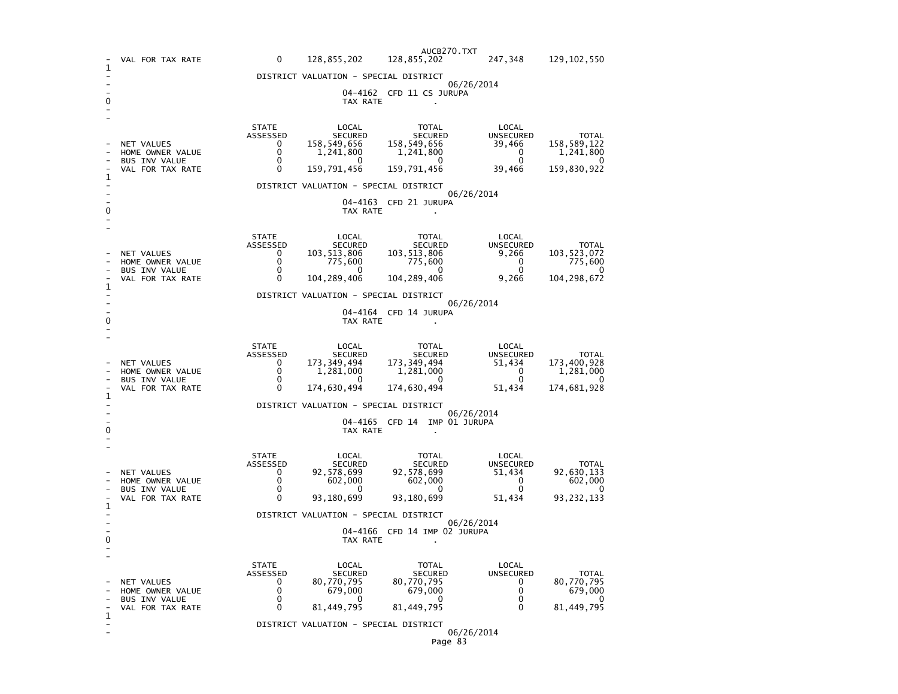|             | VAL FOR TAX RATE                                                                    | 0                        | 128,855,202                           | AUCB270.TXT<br>128,855,202      | 247,348                   | 129, 102, 550               |  |  |
|-------------|-------------------------------------------------------------------------------------|--------------------------|---------------------------------------|---------------------------------|---------------------------|-----------------------------|--|--|
| 1           |                                                                                     |                          | DISTRICT VALUATION - SPECIAL DISTRICT |                                 |                           |                             |  |  |
|             |                                                                                     |                          |                                       | 04-4162 CFD 11 CS JURUPA        | 06/26/2014                |                             |  |  |
| 0           |                                                                                     |                          | TAX RATE                              |                                 |                           |                             |  |  |
|             |                                                                                     | <b>STATE</b><br>ASSESSED | LOCAL<br><b>SECURED</b>               | TOTAL<br><b>SECURED</b>         | LOCAL<br>UNSECURED        | <b>TOTAL</b>                |  |  |
|             | <b>NET VALUES</b><br>HOME OWNER VALUE                                               | 0<br>$\mathbf{0}$        | 158,549,656<br>1,241,800              | 158,549,656<br>1,241,800        | 39,466<br>0               | 158,589,122<br>1,241,800    |  |  |
|             | <b>BUS INV VALUE</b><br>VAL FOR TAX RATE                                            | 0<br>0                   | $\Omega$<br>159,791,456               | $\mathbf{0}$<br>159,791,456     | $\mathbf 0$<br>39,466     | 0<br>159,830,922            |  |  |
| 1           |                                                                                     |                          | DISTRICT VALUATION - SPECIAL DISTRICT |                                 |                           |                             |  |  |
|             |                                                                                     |                          |                                       | 04-4163 CFD 21 JURUPA           | 06/26/2014                |                             |  |  |
| 0           |                                                                                     |                          | TAX RATE                              |                                 |                           |                             |  |  |
|             |                                                                                     | <b>STATE</b><br>ASSESSED | LOCAL<br><b>SECURED</b>               | TOTAL<br><b>SECURED</b>         | LOCAL<br><b>UNSECURED</b> | <b>TOTAL</b>                |  |  |
|             | NET VALUES<br>HOME OWNER VALUE                                                      | $\Omega$<br>0            | 103,513,806<br>775,600                | 103,513,806<br>775,600          | 9,266<br>0                | 103, 523, 072<br>775,600    |  |  |
|             | <b>BUS INV VALUE</b><br>VAL FOR TAX RATE                                            | 0<br>0                   | 0<br>104, 289, 406                    | 0<br>104, 289, 406              | 0<br>9,266                | 0<br>104, 298, 672          |  |  |
| 1           |                                                                                     |                          | DISTRICT VALUATION - SPECIAL DISTRICT |                                 |                           |                             |  |  |
|             | 06/26/2014<br>04-4164 CFD 14 JURUPA                                                 |                          |                                       |                                 |                           |                             |  |  |
| 0           | TAX RATE                                                                            |                          |                                       |                                 |                           |                             |  |  |
|             |                                                                                     | <b>STATE</b>             | LOCAL                                 | TOTAL                           | LOCAL                     |                             |  |  |
|             | NET VALUES                                                                          | ASSESSED<br>0            | <b>SECURED</b><br>173,349,494         | <b>SECURED</b><br>173, 349, 494 | UNSECURED<br>51,434       | <b>TOTAL</b><br>173,400,928 |  |  |
|             | HOME OWNER VALUE<br>BUS INV VALUE                                                   | 0<br>$\Omega$            | 1,281,000<br>$\Omega$                 | 1,281,000<br>$\Omega$           | 0<br>$\Omega$             | 1,281,000<br>$\Omega$       |  |  |
| 1           | VAL FOR TAX RATE                                                                    | 0                        | 174,630,494                           | 174,630,494                     | 51,434                    | 174,681,928                 |  |  |
|             | DISTRICT VALUATION - SPECIAL DISTRICT<br>06/26/2014                                 |                          |                                       |                                 |                           |                             |  |  |
| 0           | 04-4165 CFD 14<br>IMP 01 JURUPA<br>TAX RATE<br>$\cdot$                              |                          |                                       |                                 |                           |                             |  |  |
|             |                                                                                     | STATE<br>ASSESSED        | LOCAL<br><b>SECURED</b>               | TOTAL<br>SECURED                | LOCAL<br><b>UNSECURED</b> | <b>TOTAL</b>                |  |  |
|             | NET VALUES<br>HOME OWNER VALUE                                                      | $\Omega$<br>$\mathbf{0}$ | 92,578,699<br>602,000                 | 92,578,699<br>602,000           | 51,434<br>0               | 92,630,133<br>602,000       |  |  |
|             | <b>BUS INV VALUE</b><br>VAL FOR TAX RATE                                            | 0<br>0                   | $\mathbf{0}$<br>93,180,699            | 0<br>93,180,699                 | 0<br>51,434               | 0<br>93, 232, 133           |  |  |
| 1           |                                                                                     |                          |                                       |                                 |                           |                             |  |  |
|             | DISTRICT VALUATION - SPECIAL DISTRICT<br>06/26/2014<br>04-4166 CFD 14 IMP 02 JURUPA |                          |                                       |                                 |                           |                             |  |  |
| 0           |                                                                                     |                          | TAX RATE                              |                                 |                           |                             |  |  |
|             |                                                                                     | <b>STATE</b><br>ASSESSED | LOCAL<br><b>SECURED</b>               | TOTAL<br><b>SECURED</b>         | LOCAL<br>UNSECURED        | <b>TOTAL</b>                |  |  |
|             | NET VALUES<br>HOME OWNER VALUE                                                      | 0<br>0                   | 80,770,795<br>679,000                 | 80,770,795<br>679,000           | 0<br>0                    | 80,770,795<br>679,000       |  |  |
|             | <b>BUS INV VALUE</b><br>VAL FOR TAX RATE                                            | 0<br>0                   | 0<br>81,449,795                       | 0<br>81,449,795                 | 0<br>$\Omega$             | 0<br>81, 449, 795           |  |  |
| $\mathbf 1$ |                                                                                     |                          | DISTRICT VALUATION - SPECIAL DISTRICT |                                 |                           |                             |  |  |
|             |                                                                                     |                          |                                       |                                 | 06/26/2014                |                             |  |  |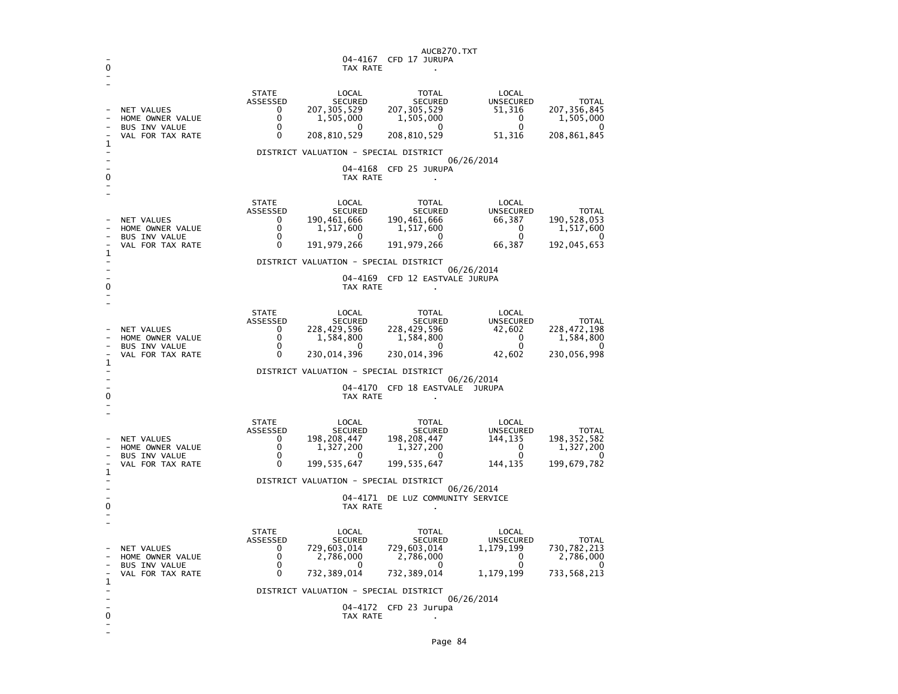| 0 |                                                                            |                                                          | 04-4167<br>TAX RATE                                                                                                | AUCB270.TXT<br>CFD 17 JURUPA                                                           |                                                                      |                                                                  |  |  |
|---|----------------------------------------------------------------------------|----------------------------------------------------------|--------------------------------------------------------------------------------------------------------------------|----------------------------------------------------------------------------------------|----------------------------------------------------------------------|------------------------------------------------------------------|--|--|
|   | NET VALUES<br>HOME OWNER VALUE<br><b>BUS INV VALUE</b><br>VAL FOR TAX RATE | <b>STATE</b><br>ASSESSED<br>0<br>0<br>0<br>0             | LOCAL<br><b>SECURED</b><br>207,305,529<br>1,505,000<br>0<br>208,810,529                                            | TOTAL<br><b>SECURED</b><br>207, 305, 529<br>1,505,000<br>$\mathbf{0}$<br>208, 810, 529 | LOCAL<br><b>UNSECURED</b><br>51,316<br>0<br>$\Omega$<br>51,316       | <b>TOTAL</b><br>207, 356, 845<br>1,505,000<br>0<br>208,861,845   |  |  |
| 1 |                                                                            |                                                          | DISTRICT VALUATION - SPECIAL DISTRICT                                                                              |                                                                                        |                                                                      |                                                                  |  |  |
| 0 |                                                                            |                                                          | TAX RATE                                                                                                           | 04-4168 CFD 25 JURUPA                                                                  | 06/26/2014                                                           |                                                                  |  |  |
| 1 | NET VALUES<br>HOME OWNER VALUE<br><b>BUS INV VALUE</b><br>VAL FOR TAX RATE | <b>STATE</b><br>ASSESSED<br>0<br>0<br>0<br>$\Omega$      | LOCAL<br><b>SECURED</b><br>190,461,666<br>1,517,600<br><sup>0</sup><br>191, 979, 266                               | TOTAL<br><b>SECURED</b><br>190,461,666<br>1,517,600<br>$\mathbf{0}$<br>191, 979, 266   | LOCAL<br><b>UNSECURED</b><br>66,387<br>0<br>$\Omega$<br>66,387       | <b>TOTAL</b><br>190, 528, 053<br>1,517,600<br>O<br>192,045,653   |  |  |
|   |                                                                            |                                                          | DISTRICT VALUATION - SPECIAL DISTRICT                                                                              |                                                                                        |                                                                      |                                                                  |  |  |
| 0 |                                                                            |                                                          | TAX RATE                                                                                                           | 04-4169 CFD 12 EASTVALE JURUPA                                                         | 06/26/2014                                                           |                                                                  |  |  |
| 1 | NET VALUES<br>HOME OWNER VALUE<br><b>BUS INV VALUE</b><br>VAL FOR TAX RATE | <b>STATE</b><br>ASSESSED<br>0<br>0<br>0<br>0             | LOCAL<br><b>SECURED</b><br>228,429,596<br>1,584,800<br>0<br>230,014,396                                            | TOTAL<br><b>SECURED</b><br>228,429,596<br>1,584,800<br>0<br>230,014,396                | LOCAL<br><b>UNSECURED</b><br>42,602<br>0<br>$\mathbf 0$<br>42,602    | <b>TOTAL</b><br>228,472,198<br>1,584,800<br>0<br>230,056,998     |  |  |
|   |                                                                            |                                                          | DISTRICT VALUATION - SPECIAL DISTRICT                                                                              |                                                                                        |                                                                      |                                                                  |  |  |
| 0 |                                                                            | 06/26/2014<br>04-4170 CFD 18 EASTVALE JURUPA<br>TAX RATE |                                                                                                                    |                                                                                        |                                                                      |                                                                  |  |  |
|   | NET VALUES<br>HOME OWNER VALUE<br>BUS INV VALUE<br>VAL FOR TAX RATE        | <b>STATE</b><br>ASSESSED<br>0<br>0<br>0<br>0             | LOCAL<br><b>SECURED</b><br>198,208,447<br>1,327,200<br>O<br>199, 535, 647                                          | TOTAL<br><b>SECURED</b><br>198,208,447<br>1,327,200<br>0<br>199, 535, 647              | LOCAL<br><b>UNSECURED</b><br>144,135<br>0<br>$\Omega$<br>144,135     | <b>TOTAL</b><br>198, 352, 582<br>1,327,200<br>0<br>199,679,782   |  |  |
| 1 |                                                                            |                                                          | DISTRICT VALUATION - SPECIAL DISTRICT                                                                              |                                                                                        |                                                                      |                                                                  |  |  |
| 0 | 06/26/2014<br>04-4171 DE LUZ COMMUNITY SERVICE<br>TAX RATE                 |                                                          |                                                                                                                    |                                                                                        |                                                                      |                                                                  |  |  |
| 1 | NET VALUES<br>HOME OWNER VALUE<br><b>BUS INV VALUE</b><br>VAL FOR TAX RATE | <b>STATE</b><br>ASSESSED<br>0<br>0<br>0<br>0             | LOCAL<br><b>SECURED</b><br>729,603,014<br>2,786,000<br>0<br>732, 389, 014<br>DISTRICT VALUATION - SPECIAL DISTRICT | TOTAL<br><b>SECURED</b><br>729,603,014<br>2,786,000<br>0<br>732,389,014                | LOCAL<br><b>UNSECURED</b><br>1,179,199<br>0<br>$\Omega$<br>1,179,199 | <b>TOTAL</b><br>730, 782, 213<br>2,786,000<br>0<br>733, 568, 213 |  |  |
|   |                                                                            |                                                          |                                                                                                                    | 04-4172 CFD 23 Jurupa                                                                  | 06/26/2014                                                           |                                                                  |  |  |
| 0 |                                                                            |                                                          | TAX RATE                                                                                                           |                                                                                        |                                                                      |                                                                  |  |  |

-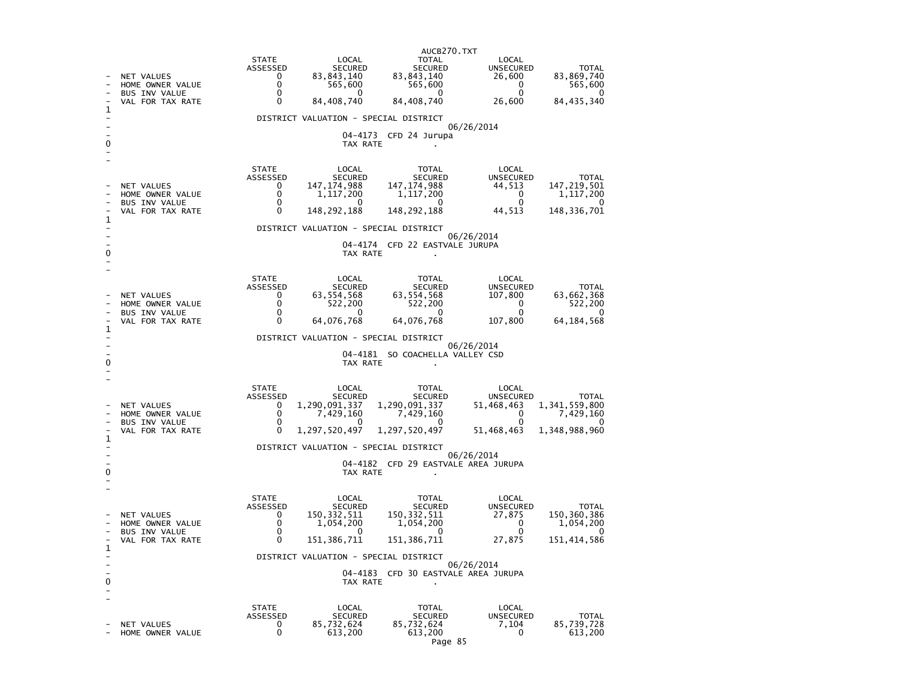|              |                                                                     |                                                                                                   |                                            | AUCB270.TXT                                                                                                                                                                                                                                              |                                                                                     |                                                                                      |  |
|--------------|---------------------------------------------------------------------|---------------------------------------------------------------------------------------------------|--------------------------------------------|----------------------------------------------------------------------------------------------------------------------------------------------------------------------------------------------------------------------------------------------------------|-------------------------------------------------------------------------------------|--------------------------------------------------------------------------------------|--|
|              | NET VALUES<br>HOME OWNER VALUE<br>BUS INV VALUE<br>VAL FOR TAX RATE | STATE<br>$\Omega$<br>$\Omega$<br>0                                                                | LOCAL<br>565,600<br>$\Omega$<br>84,408,740 | <b>TOTAL</b><br>ASSESSED<br>0 83, 843, 140<br>0 83, 843, 140<br>0 83, 843, 140<br>565,600<br>$\overline{0}$<br>84,408,740                                                                                                                                | LOCAL<br>LOCAL<br>UNSECURED                                                         | <b>TOTAL</b><br>$26,600$ $83,869,740$<br>$26,600$<br>$0$<br>$26,600$<br>$84,435,340$ |  |
| 1            |                                                                     |                                                                                                   | DISTRICT VALUATION - SPECIAL DISTRICT      |                                                                                                                                                                                                                                                          |                                                                                     |                                                                                      |  |
|              |                                                                     |                                                                                                   |                                            | 04-4173 CFD 24 Jurupa                                                                                                                                                                                                                                    | 06/26/2014                                                                          |                                                                                      |  |
|              |                                                                     |                                                                                                   | TAX RATE                                   |                                                                                                                                                                                                                                                          |                                                                                     |                                                                                      |  |
|              |                                                                     | <b>STATE</b>                                                                                      | LOCAL                                      | TOTAL                                                                                                                                                                                                                                                    | LOCAL                                                                               |                                                                                      |  |
|              | NET VALUES<br>HOME OWNER VALUE                                      | $\begin{array}{r}\n\widetilde{\text{ASSE}} & \text{SED} \\ 0 & 0 \\ 0 & 0 \\ 0 & 0\n\end{array}$  |                                            | LOCAL<br>LOCAL SECURED<br>147,174,988 147,174,988<br>1,117,200 1,117,200                                                                                                                                                                                 |                                                                                     |                                                                                      |  |
|              | BUS INV VALUE                                                       |                                                                                                   | $\overline{0}$                             | $\overline{\mathbf{0}}$                                                                                                                                                                                                                                  |                                                                                     |                                                                                      |  |
| 1            | VAL FOR TAX RATE                                                    |                                                                                                   |                                            | 148, 292, 188 148, 292, 188                                                                                                                                                                                                                              | LOCAL<br>UNSECURED TOTAL<br>44,513 147,219,501<br>0 1,117,200<br>44,513 148,336,701 |                                                                                      |  |
|              |                                                                     |                                                                                                   | DISTRICT VALUATION - SPECIAL DISTRICT      |                                                                                                                                                                                                                                                          | 06/26/2014                                                                          |                                                                                      |  |
|              |                                                                     |                                                                                                   |                                            | 04-4174 CFD 22 EASTVALE JURUPA<br>TAX RATE                                                                                                                                                                                                               |                                                                                     |                                                                                      |  |
|              |                                                                     |                                                                                                   |                                            |                                                                                                                                                                                                                                                          |                                                                                     |                                                                                      |  |
|              |                                                                     | STATE                                                                                             | LOCAL                                      | TOTAL                                                                                                                                                                                                                                                    | LOCAL                                                                               |                                                                                      |  |
|              | NET VALUES                                                          |                                                                                                   |                                            |                                                                                                                                                                                                                                                          |                                                                                     |                                                                                      |  |
|              | HOME OWNER VALUE<br>BUS INV VALUE                                   | $\begin{array}{ccc}\n 0.1116 \\  0 & 6\n\end{array}$<br>$\begin{array}{ccc}\n 0 & 6\n\end{array}$ |                                            | 10CAL TOTAL LOCAL TOTAL<br>552, 200 522, 200 522, 200 64, 076, 768 64, 076, 768 64, 076, 768 64, 076, 768 64, 076, 768 107, 800 64, 184, 568                                                                                                             |                                                                                     |                                                                                      |  |
| $\mathbf{1}$ | VAL FOR TAX RATE                                                    |                                                                                                   |                                            |                                                                                                                                                                                                                                                          |                                                                                     |                                                                                      |  |
|              |                                                                     |                                                                                                   | DISTRICT VALUATION - SPECIAL DISTRICT      |                                                                                                                                                                                                                                                          | 06/26/2014                                                                          |                                                                                      |  |
|              |                                                                     |                                                                                                   |                                            | 04-4181 SO COACHELLA VALLEY CSD                                                                                                                                                                                                                          |                                                                                     |                                                                                      |  |
|              |                                                                     |                                                                                                   | TAX RATE                                   |                                                                                                                                                                                                                                                          |                                                                                     |                                                                                      |  |
|              |                                                                     | STATE                                                                                             |                                            |                                                                                                                                                                                                                                                          |                                                                                     |                                                                                      |  |
|              | NET VALUES                                                          | ASSESSED                                                                                          |                                            |                                                                                                                                                                                                                                                          |                                                                                     |                                                                                      |  |
|              | HOME OWNER VALUE<br>BUS INV VALUE                                   | $\begin{matrix}0\\0\\0\\0\\0\end{matrix}$                                                         |                                            | 1,290,091,337 1,290,091,337 1,429,160<br>TOTAL SECURED SECURED UNSECURED TOTAL<br>1,290,091,337 1,290,091,337 51,468,463 1,341,559,800<br>7,429,160 7,429,160 0 7,429,160<br>0 7,429,160 1 1,248,960                                                     |                                                                                     |                                                                                      |  |
|              | VAL FOR TAX RATE                                                    |                                                                                                   |                                            | $1,297,520,497$ $1,297,520,497$ $51,468,463$                                                                                                                                                                                                             |                                                                                     | 1,348,988,960                                                                        |  |
| $\mathbf{1}$ |                                                                     | DISTRICT VALUATION - SPECIAL DISTRICT                                                             |                                            |                                                                                                                                                                                                                                                          |                                                                                     |                                                                                      |  |
|              |                                                                     |                                                                                                   |                                            | 04-4182 CFD 29 EASTVALE AREA JURUPA                                                                                                                                                                                                                      | 06/26/2014                                                                          |                                                                                      |  |
| 0            |                                                                     |                                                                                                   |                                            | TAX RATE                                                                                                                                                                                                                                                 |                                                                                     |                                                                                      |  |
|              |                                                                     | STATE                                                                                             |                                            |                                                                                                                                                                                                                                                          |                                                                                     |                                                                                      |  |
|              | <b>NET VALUES</b>                                                   | ASSESSED                                                                                          |                                            |                                                                                                                                                                                                                                                          |                                                                                     |                                                                                      |  |
|              | HOME OWNER VALUE                                                    |                                                                                                   |                                            | 1974.<br>1974.<br>1978.<br>1978.<br>1978.<br>1978.<br>1978.<br>1978.<br>1978.<br>1978.<br>1978.<br>1979.<br>1979.<br>1979.<br>1979.<br>1979.<br>1979.<br>1979.<br>1979.<br>1979.<br>1979.<br>1979.<br>1979.<br>1979.<br>1979.<br>1979.<br>1979.<br>1979. |                                                                                     |                                                                                      |  |
|              | BUS INV VALUE<br>VAL FOR TAX RATE                                   | $\begin{bmatrix} 0 \\ 0 \\ 0 \\ 0 \\ 0 \end{bmatrix}$                                             |                                            | 151, 386, 711 151, 386, 711 27, 875                                                                                                                                                                                                                      |                                                                                     | 151, 414, 586                                                                        |  |
| 1            |                                                                     |                                                                                                   | DISTRICT VALUATION - SPECIAL DISTRICT      |                                                                                                                                                                                                                                                          |                                                                                     |                                                                                      |  |
|              |                                                                     |                                                                                                   |                                            | 04-4183 CFD 30 EASTVALE AREA JURUPA                                                                                                                                                                                                                      | 06/26/2014                                                                          |                                                                                      |  |
| 0            |                                                                     |                                                                                                   | TAX RATE                                   |                                                                                                                                                                                                                                                          |                                                                                     |                                                                                      |  |
|              |                                                                     | STATE                                                                                             | LOCAL                                      | TOTAL                                                                                                                                                                                                                                                    | LOCAL                                                                               |                                                                                      |  |
|              | NET VALUES                                                          | ASSESSED<br>$\overline{0}$                                                                        |                                            | SECURED SECURED<br>85,732,624 85,732,624<br>613,200 613,200                                                                                                                                                                                              | UNSECURED<br>7,104                                                                  | <b>TOTAL</b><br>85,739,728                                                           |  |
|              | HOME OWNER VALUE                                                    |                                                                                                   | 613,200                                    | 613,200                                                                                                                                                                                                                                                  | $\overline{0}$                                                                      | 613,200                                                                              |  |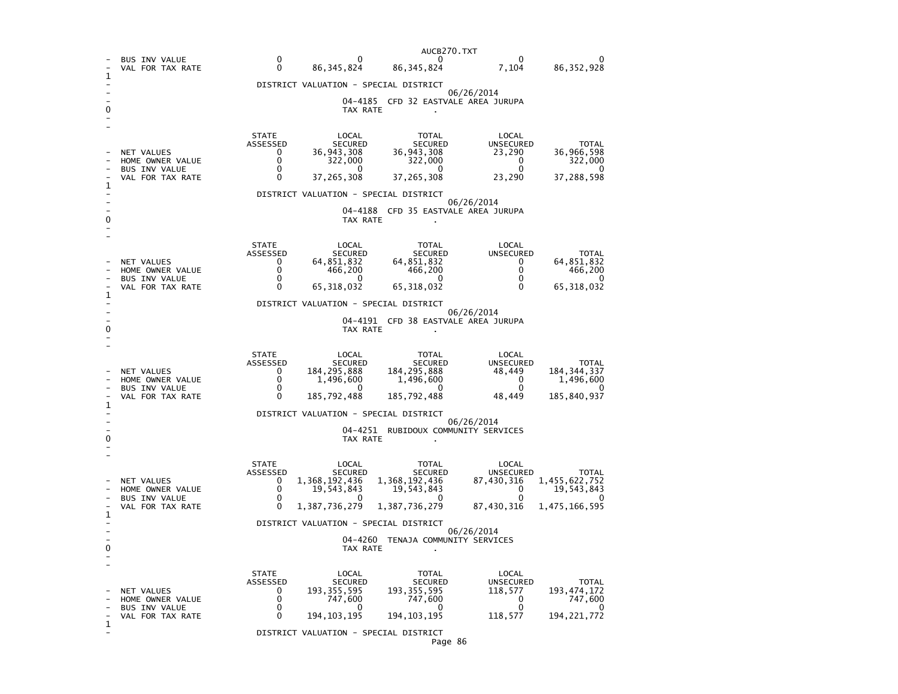|   |                                          |              |                                       | AUCB270.TXT                                                                                                                                                                                                                                   |                                                              |  |
|---|------------------------------------------|--------------|---------------------------------------|-----------------------------------------------------------------------------------------------------------------------------------------------------------------------------------------------------------------------------------------------|--------------------------------------------------------------|--|
|   | <b>BUS INV VALUE</b><br>VAL FOR TAX RATE |              |                                       | $\begin{matrix}0&&&&&0&\ 0&&&&&0&\ 0&&&&86\,,345\,,824&&&86\,,345\,,824&&&7\,,104&&&86\,,352\,,928\end{matrix}$                                                                                                                               |                                                              |  |
|   |                                          |              | DISTRICT VALUATION - SPECIAL DISTRICT |                                                                                                                                                                                                                                               |                                                              |  |
|   |                                          |              |                                       |                                                                                                                                                                                                                                               | 06/26/2014                                                   |  |
|   |                                          |              |                                       | 04-4185 CFD 32 EASTVALE AREA JURUPA<br>TAX RATE                                                                                                                                                                                               |                                                              |  |
|   |                                          |              |                                       |                                                                                                                                                                                                                                               |                                                              |  |
|   | NET VALUES<br>HOME OWNER VALUE           |              |                                       | STATE LOCAL TOTAL LOCAL<br>ASSESSED SECURED SECURED UNSECURED TOTAL<br>0 36,943,308 36,998,943,308 23,290 36,966,598<br>0 37,265,308 37,265,308 23,290 37,288,598                                                                             |                                                              |  |
|   | <b>BUS INV VALUE</b><br>VAL FOR TAX RATE |              |                                       |                                                                                                                                                                                                                                               |                                                              |  |
|   |                                          |              | DISTRICT VALUATION - SPECIAL DISTRICT |                                                                                                                                                                                                                                               | 06/26/2014                                                   |  |
|   |                                          |              |                                       | 04-4188 CFD 35 EASTVALE AREA JURUPA<br>TAX RATE                                                                                                                                                                                               |                                                              |  |
|   |                                          |              |                                       | STATE LOCAL TOTAL<br>ASSESSED SECURED SECURED<br>0 64,851,832 64,851,832<br>0 466,200 466,200<br>0 65,318,032 67                                                                                                                              | LOCAL                                                        |  |
|   | NET VALUES                               |              |                                       |                                                                                                                                                                                                                                               |                                                              |  |
|   | HOME OWNER VALUE<br>BUS INV VALUE        |              |                                       |                                                                                                                                                                                                                                               |                                                              |  |
|   | VAL FOR TAX RATE                         |              |                                       | $65,318,032$ $65,318,032$                                                                                                                                                                                                                     | UNSECURED TOTAL<br>0 64,851,832<br>0 466,200<br>0 65,318,032 |  |
|   |                                          |              | DISTRICT VALUATION - SPECIAL DISTRICT |                                                                                                                                                                                                                                               |                                                              |  |
|   |                                          |              |                                       | 04-4191 CFD 38 EASTVALE AREA JURUPA                                                                                                                                                                                                           | 06/26/2014                                                   |  |
|   |                                          |              |                                       | TAX RATE                                                                                                                                                                                                                                      |                                                              |  |
|   |                                          | <b>STATE</b> | LOCAL                                 | TOTAL<br>STATE LOCAL TOTAL LOCAL TOTAL LOCAL TOTAL LOCAL TOTAL LOCAL TOTAL SECURED SECURED SERVED TOTAL UNSECURED TOTAL<br>ASSESSED 184,295,888 184,295,888 48,449 184,344,337<br>0 1,496,600 1,496,600 1,496,600 0 1,496,600<br>0 185,792,48 | LOCAL                                                        |  |
|   | NET VALUES                               |              |                                       |                                                                                                                                                                                                                                               |                                                              |  |
|   | HOME OWNER VALUE<br>BUS INV VALUE        |              |                                       |                                                                                                                                                                                                                                               |                                                              |  |
|   | VAL FOR TAX RATE                         |              |                                       |                                                                                                                                                                                                                                               |                                                              |  |
|   |                                          |              | DISTRICT VALUATION - SPECIAL DISTRICT |                                                                                                                                                                                                                                               | 06/26/2014                                                   |  |
|   |                                          |              |                                       | 04-4251 RUBIDOUX COMMUNITY SERVICES                                                                                                                                                                                                           |                                                              |  |
|   |                                          |              |                                       | TAX RATE                                                                                                                                                                                                                                      |                                                              |  |
|   |                                          |              |                                       | STATE LOCAL TOTAL LOCAL TOTAL LOCAL TOTAL SECURED SECURED SECURED SECURED TOTAL TOTAL TOTAL TOTAL TOTAL TOTAL TOTAL TOTAL TOTAL TOTAL SECURED SECURED SECURED SECURED SECURED SECURED SECURED SECURED SECURED SECURED SECURED                 |                                                              |  |
|   | NET VALUES                               |              |                                       |                                                                                                                                                                                                                                               |                                                              |  |
|   | HOME OWNER VALUE<br>BUS INV VALUE        |              |                                       |                                                                                                                                                                                                                                               |                                                              |  |
|   | VAL FOR TAX RATE                         |              |                                       |                                                                                                                                                                                                                                               |                                                              |  |
|   |                                          |              | DISTRICT VALUATION - SPECIAL DISTRICT |                                                                                                                                                                                                                                               |                                                              |  |
|   |                                          |              |                                       | 04-4260 TENAJA COMMUNITY SERVICES                                                                                                                                                                                                             | 06/26/2014                                                   |  |
|   |                                          |              | TAX RATE                              |                                                                                                                                                                                                                                               |                                                              |  |
|   |                                          | STATE        | LOCAL                                 | TOTAL                                                                                                                                                                                                                                         | LOCAL                                                        |  |
|   | NET VALUES                               |              |                                       |                                                                                                                                                                                                                                               |                                                              |  |
|   | HOME OWNER VALUE                         |              |                                       |                                                                                                                                                                                                                                               |                                                              |  |
|   | BUS INV VALUE<br>VAL FOR TAX RATE        |              |                                       | 57ATE LOCAL TOTAL LOCAL<br>ASSESSED SECURED SECURED UNSECURED TOTAL<br>0 193,355,595 193,355,595 193,355,595 193,355,595 193,355,595 118,577 193,474,172<br>0 747,600 0 0 747,600<br>0 194,103,195 194,103,195 118,577 194,221,772            |                                                              |  |
| 1 |                                          |              | DISTRICT VALUATION - SPECIAL DISTRICT |                                                                                                                                                                                                                                               |                                                              |  |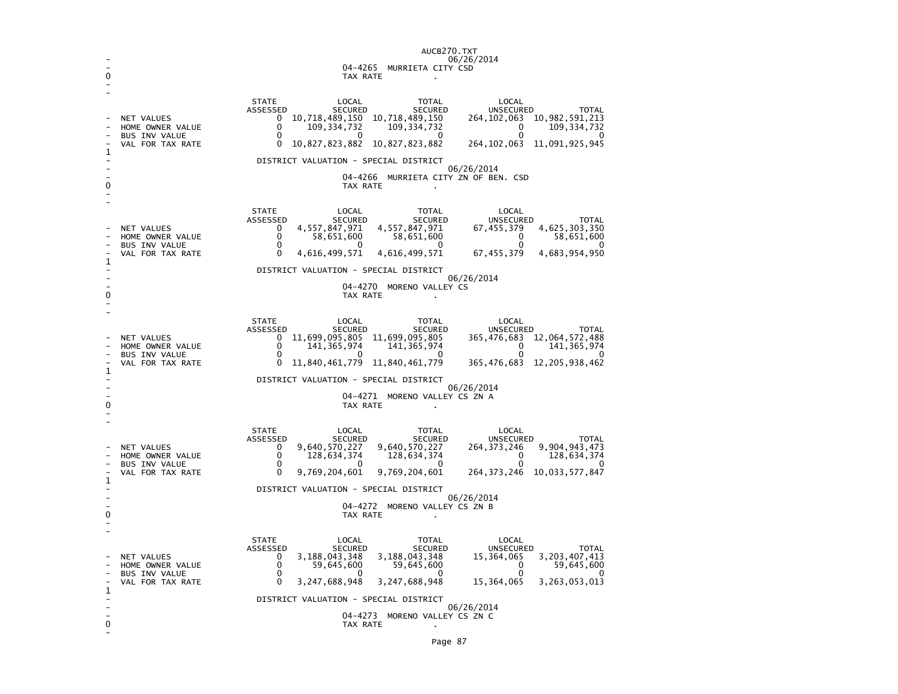|          | AUCB270.TXT                                                                                                                                                                                                                                                                                                                                                                                                                                                                                                                                                         |  |  |  |  |
|----------|---------------------------------------------------------------------------------------------------------------------------------------------------------------------------------------------------------------------------------------------------------------------------------------------------------------------------------------------------------------------------------------------------------------------------------------------------------------------------------------------------------------------------------------------------------------------|--|--|--|--|
| 0        | 06/26/2014<br>04-4265 MURRIETA CITY CSD                                                                                                                                                                                                                                                                                                                                                                                                                                                                                                                             |  |  |  |  |
| TAX RATE |                                                                                                                                                                                                                                                                                                                                                                                                                                                                                                                                                                     |  |  |  |  |
| 1<br>0   | <b>STATE</b><br>LOCAL<br>LOCAL<br>TOTAL<br>ASSESSED<br>SECURED<br>SECURED<br><b>UNSECURED</b><br><b>TOTAL</b><br>264, 102, 063 10, 982, 591, 213<br>10,718,489,150 10,718,489,150<br>NET VALUES<br>$^{\circ}$<br>0<br>109, 334, 732<br>109, 334, 732<br>$\mathbf 0$<br>109, 334, 732<br>HOME OWNER VALUE<br>0<br>0<br><b>BUS INV VALUE</b><br>0<br>0<br>O<br>10,827,823,882 10,827,823,882<br>264, 102, 063 11, 091, 925, 945<br>VAL FOR TAX RATE<br>0<br>DISTRICT VALUATION - SPECIAL DISTRICT<br>06/26/2014<br>04-4266 MURRIETA CITY ZN OF BEN. CSD<br>TAX RATE   |  |  |  |  |
| 1        | <b>STATE</b><br>LOCAL<br>LOCAL<br>TOTAL<br>ASSESSED<br>SECURED<br>SECURED<br>UNSECURED<br>TOTAL<br>4,557,847,971<br>4,557,847,971<br>4,625,303,350<br>0<br>67,455,379<br>NET VALUES<br>0<br>58,651,600<br>58,651,600<br>$\mathbf{0}$<br>HOME OWNER VALUE<br>58,651,600<br>0<br>BUS INV VALUE<br>$\Omega$<br>- 0<br>0<br>$\Omega$<br>4,616,499,571<br>4,616,499,571<br>67,455,379<br>4,683,954,950<br>VAL FOR TAX RATE<br>DISTRICT VALUATION - SPECIAL DISTRICT<br>06/26/2014                                                                                        |  |  |  |  |
| 0        | 04-4270 MORENO VALLEY CS<br>TAX RATE                                                                                                                                                                                                                                                                                                                                                                                                                                                                                                                                |  |  |  |  |
| 1<br>0   | <b>STATE</b><br>LOCAL<br>LOCAL<br>TOTAL<br>ASSESSED<br>SECURED<br>SECURED<br>UNSECURED<br><b>TOTAL</b><br>11,699,095,805 11,699,095,805<br>365, 476, 683 12, 064, 572, 488<br><b>NET VALUES</b><br>0<br>0<br>141, 365, 974<br>141, 365, 974<br>$\mathbf 0$<br>141, 365, 974<br>HOME OWNER VALUE<br>BUS INV VALUE<br>$\Omega$<br>റ<br><sup>0</sup><br>O<br>11,840,461,779 11,840,461,779<br>365,476,683<br>12, 205, 938, 462<br>VAL FOR TAX RATE<br>0<br>DISTRICT VALUATION - SPECIAL DISTRICT<br>06/26/2014<br>04-4271 MORENO VALLEY CS ZN A<br>TAX RATE            |  |  |  |  |
| 1<br>0   | <b>STATE</b><br>LOCAL<br>TOTAL<br>LOCAL<br>ASSESSED<br>SECURED<br>SECURED<br>UNSECURED<br><b>TOTAL</b><br>9,640,570,227<br>9,640,570,227<br>9,904,943,473<br>NET VALUES<br>0<br>264,373,246<br>0<br>128,634,374<br>128,634,374<br>$\Omega$<br>128,634,374<br>HOME OWNER VALUE<br>$\mathbf 0$<br>$\Omega$<br>$\Omega$<br>$\mathbf{0}$<br>BUS INV VALUE<br>$\Omega$<br>0<br>9,769,204,601<br>9,769,204,601<br>VAL FOR TAX RATE<br>264, 373, 246 10, 033, 577, 847<br>DISTRICT VALUATION - SPECIAL DISTRICT<br>06/26/2014<br>04-4272 MORENO VALLEY CS ZN B<br>TAX RATE |  |  |  |  |
| 1<br>0   | <b>STATE</b><br>LOCAL<br>TOTAL<br>LOCAL<br>ASSESSED<br>SECURED<br>SECURED<br><b>UNSECURED</b><br><b>TOTAL</b><br>3, 188, 043, 348<br>3, 188, 043, 348<br>3, 203, 407, 413<br>15,364,065<br>NET VALUES<br>$\mathbf{0}$<br>0<br>59,645,600<br>59,645,600<br>59,645,600<br>0<br>HOME OWNER VALUE<br>$\mathbf 0$<br>BUS INV VALUE<br>0<br>0<br>$\Omega$<br>$\Omega$<br>3,247,688,948<br>3,247,688,948<br>15,364,065<br>3, 263, 053, 013<br>VAL FOR TAX RATE<br>DISTRICT VALUATION - SPECIAL DISTRICT<br>06/26/2014<br>04-4273 MORENO VALLEY CS ZN C<br>TAX RATE         |  |  |  |  |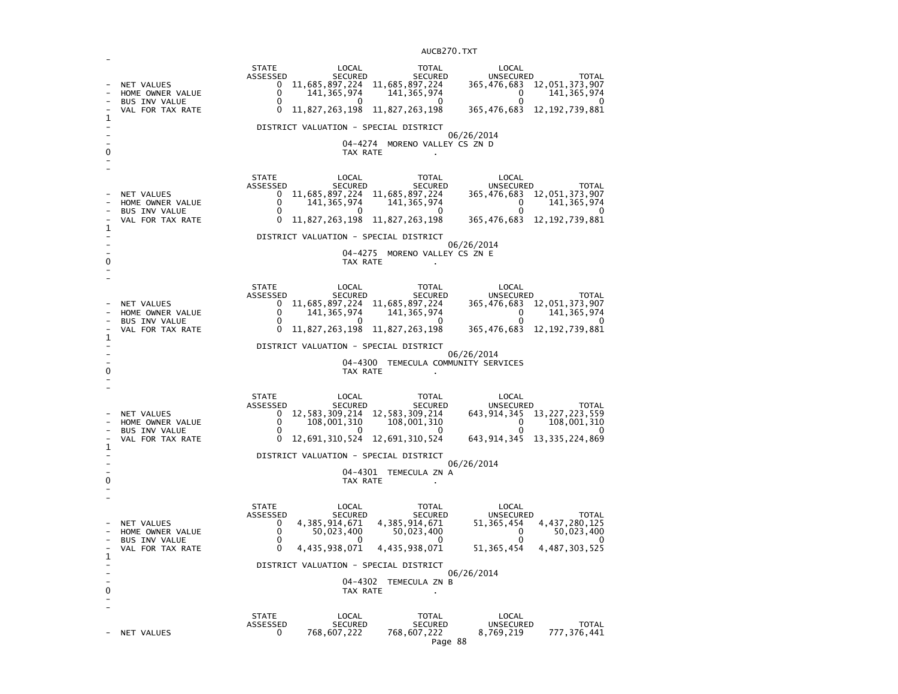| $\mathbf{1}$ | NET VALUES<br>HOME OWNER VALUE<br><b>BUS INV VALUE</b><br>VAL FOR TAX RATE | <b>STATE</b><br>LOCAL<br>ASSESSED<br><b>SECURED</b><br>11,685,897,224<br>$\mathbf{0}$<br>0<br>141, 365, 974<br>0<br>O<br>0<br>DISTRICT VALUATION - SPECIAL DISTRICT | <b>TOTAL</b><br>SECURED<br>11,685,897,224<br>141, 365, 974<br>O<br>11,827,263,198 11,827,263,198                | LOCAL<br>UNSECURED<br><b>TOTAL</b><br>365, 476, 683 12, 051, 373, 907<br>141, 365, 974<br>0<br>0<br>365,476,683<br>12, 192, 739, 881                  |
|--------------|----------------------------------------------------------------------------|---------------------------------------------------------------------------------------------------------------------------------------------------------------------|-----------------------------------------------------------------------------------------------------------------|-------------------------------------------------------------------------------------------------------------------------------------------------------|
|              |                                                                            |                                                                                                                                                                     |                                                                                                                 | 06/26/2014                                                                                                                                            |
|              |                                                                            |                                                                                                                                                                     | 04-4274 MORENO VALLEY CS ZN D<br>TAX RATE                                                                       |                                                                                                                                                       |
| 1            | NET VALUES<br>HOME OWNER VALUE<br><b>BUS INV VALUE</b><br>VAL FOR TAX RATE | <b>STATE</b><br>LOCAL<br>ASSESSED<br><b>SECURED</b><br>11,685,897,224<br>0<br>0<br>141, 365, 974<br>0<br>0<br>$\Omega$                                              | TOTAL<br><b>SECURED</b><br>11,685,897,224<br>141, 365, 974<br>0<br>11,827,263,198 11,827,263,198                | LOCAL<br>UNSECURED<br><b>TOTAL</b><br>12,051,373,907<br>365,476,683<br>$\mathbf{0}$<br>141, 365, 974<br>0<br>365,476,683<br>12, 192, 739, 881         |
|              |                                                                            | DISTRICT VALUATION - SPECIAL DISTRICT                                                                                                                               |                                                                                                                 |                                                                                                                                                       |
| 0            |                                                                            |                                                                                                                                                                     | 04-4275<br>MORENO VALLEY CS ZN E<br>TAX RATE                                                                    | 06/26/2014                                                                                                                                            |
| 1            | NET VALUES<br>HOME OWNER VALUE<br>BUS INV VALUE<br>VAL FOR TAX RATE        | <b>STATE</b><br>LOCAL<br>ASSESSED<br>SECURED<br>$\mathbf{0}$<br>0<br>141, 365, 974<br>0<br>$^{(1)}$<br>0                                                            | TOTAL<br><b>SECURED</b><br>11,685,897,224 11,685,897,224<br>141, 365, 974<br>0<br>11,827,263,198 11,827,263,198 | LOCAL<br>UNSECURED<br><b>TOTAL</b><br>365,476,683 12,051,373,907<br>0<br>141, 365, 974<br>0<br>12, 192, 739, 881<br>365,476,683                       |
| 0            |                                                                            | DISTRICT VALUATION - SPECIAL DISTRICT                                                                                                                               | 04-4300 TEMECULA COMMUNITY SERVICES<br>TAX RATE                                                                 | 06/26/2014                                                                                                                                            |
| $\mathbf 1$  | NET VALUES<br>HOME OWNER VALUE<br><b>BUS INV VALUE</b><br>VAL FOR TAX RATE | <b>STATE</b><br>LOCAL<br>ASSESSED<br><b>SECURED</b><br>0<br>0<br>108,001,310<br>$\Omega$<br>$\mathbf{0}$<br>12,691,310,524<br>0                                     | TOTAL<br><b>SECURED</b><br>12, 583, 309, 214 12, 583, 309, 214<br>108,001,310<br>$\mathbf{0}$<br>12,691,310,524 | LOCAL<br><b>UNSECURED</b><br><b>TOTAL</b><br>13, 227, 223, 559<br>643,914,345<br>0<br>108,001,310<br>0<br>$\Omega$<br>643, 914, 345 13, 335, 224, 869 |
|              |                                                                            | DISTRICT VALUATION - SPECIAL DISTRICT                                                                                                                               |                                                                                                                 |                                                                                                                                                       |
| 0            |                                                                            |                                                                                                                                                                     | 04-4301 TEMECULA ZN A<br>TAX RATE                                                                               | 06/26/2014                                                                                                                                            |
| $\mathbf 1$  | NET VALUES<br>HOME OWNER VALUE<br><b>BUS INV VALUE</b><br>VAL FOR TAX RATE | <b>STATE</b><br>LOCAL<br>ASSESSED<br><b>SECURED</b><br>4, 385, 914, 671<br>$\Omega$<br>0<br>50,023,400<br>$\Omega$<br>0<br>4,435,938,071<br>0                       | TOTAL<br><b>SECURED</b><br>4, 385, 914, 671<br>50,023,400<br>0<br>4,435,938,071                                 | LOCAL<br>UNSECURED<br><b>TOTAL</b><br>4, 437, 280, 125<br>51,365,454<br>0<br>50,023,400<br>$\Omega$<br>0<br>51, 365, 454<br>4, 487, 303, 525          |
|              |                                                                            | DISTRICT VALUATION - SPECIAL DISTRICT                                                                                                                               |                                                                                                                 |                                                                                                                                                       |
| 0            |                                                                            |                                                                                                                                                                     | 04-4302 TEMECULA ZN B<br>TAX RATE                                                                               | 06/26/2014                                                                                                                                            |
|              | NET VALUES                                                                 | <b>STATE</b><br>LOCAL<br>ASSESSED<br><b>SECURED</b><br>768,607,222<br>0                                                                                             | TOTAL<br><b>SECURED</b><br>768,607,222                                                                          | LOCAL<br><b>UNSECURED</b><br><b>TOTAL</b><br>777,376,441<br>8,769,219                                                                                 |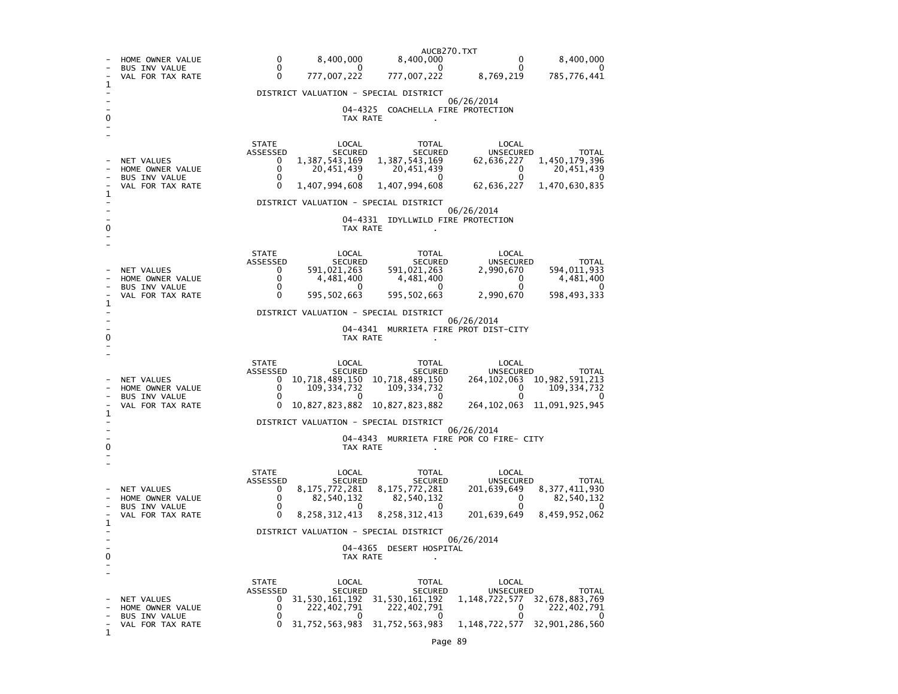|   |                                          | AUCB270.TXT                                                                                                                                       |
|---|------------------------------------------|---------------------------------------------------------------------------------------------------------------------------------------------------|
|   | HOME OWNER VALUE<br><b>BUS INV VALUE</b> | 0<br>8,400,000<br>8,400,000<br>8,400,000<br>0<br>0<br>0<br>0<br>0<br>0                                                                            |
| ı | VAL FOR TAX RATE                         | 0<br>777,007,222<br>777,007,222<br>8,769,219<br>785,776,441                                                                                       |
|   |                                          | DISTRICT VALUATION - SPECIAL DISTRICT                                                                                                             |
|   |                                          | 06/26/2014<br>04-4325 COACHELLA FIRE PROTECTION                                                                                                   |
|   |                                          | TAX RATE                                                                                                                                          |
|   |                                          |                                                                                                                                                   |
|   |                                          | <b>STATE</b><br>LOCAL<br>LOCAL<br>TOTAL<br>ASSESSED<br>SECURED<br>SECURED<br>UNSECURED<br><b>TOTAL</b>                                            |
|   | NET VALUES<br>HOME OWNER VALUE           | 1,387,543,169<br>1, 387, 543, 169<br>1,450,179,396<br>0<br>62,636,227<br>0<br>20,451,439<br>20,451,439<br>0<br>20,451,439                         |
|   | <b>BUS INV VALUE</b>                     | $\Omega$<br>$\Omega$<br>0<br>0<br>0<br>0                                                                                                          |
| 1 | VAL FOR TAX RATE                         | 1,407,994,608<br>1,407,994,608<br>62,636,227<br>1,470,630,835                                                                                     |
|   |                                          | DISTRICT VALUATION - SPECIAL DISTRICT<br>06/26/2014                                                                                               |
|   |                                          | 04-4331 IDYLLWILD FIRE PROTECTION                                                                                                                 |
|   |                                          | TAX RATE                                                                                                                                          |
|   |                                          | <b>STATE</b><br>LOCAL<br>TOTAL<br>LOCAL                                                                                                           |
|   | NET VALUES                               | ASSESSED<br>SECURED<br>SECURED<br>UNSECURED<br>TOTAL<br>591,021,263<br>591,021,263<br>2,990,670<br>594,011,933<br>0                               |
|   | HOME OWNER VALUE                         | 0<br>4,481,400<br>4,481,400<br>0<br>4,481,400                                                                                                     |
|   | <b>BUS INV VALUE</b><br>VAL FOR TAX RATE | 0<br>0<br>0<br>0<br>595,502,663<br>595, 502, 663<br>598,493,333<br>0<br>2,990,670                                                                 |
| 1 |                                          | DISTRICT VALUATION - SPECIAL DISTRICT                                                                                                             |
|   |                                          | 06/26/2014                                                                                                                                        |
| 0 |                                          | 04-4341 MURRIETA FIRE PROT DIST-CITY<br>TAX RATE                                                                                                  |
|   |                                          |                                                                                                                                                   |
|   |                                          | <b>STATE</b><br>LOCAL<br>TOTAL<br>LOCAL<br>ASSESSED<br>SECURED<br><b>SECURED</b><br>UNSECURED<br>TOTAL                                            |
|   | NET VALUES                               | 10,718,489,150 10,718,489,150<br>10,982,591,213<br>264, 102, 063<br>0                                                                             |
|   | HOME OWNER VALUE<br>BUS INV VALUE        | 0<br>109, 334, 732<br>$\Omega$<br>109, 334, 732<br>109, 334, 732<br>0<br>0<br>0<br>0                                                              |
| 1 | VAL FOR TAX RATE                         | 10, 827, 823, 882 10, 827, 823, 882<br>264, 102, 063 11, 091, 925, 945<br>0                                                                       |
|   |                                          | DISTRICT VALUATION - SPECIAL DISTRICT                                                                                                             |
|   |                                          | 06/26/2014<br>04-4343 MURRIETA FIRE POR CO FIRE- CITY                                                                                             |
|   |                                          | TAX RATE                                                                                                                                          |
|   |                                          | <b>STATE</b><br>LOCAL<br>TOTAL<br>LOCAL                                                                                                           |
|   |                                          | ASSESSED<br>SECURED<br><b>SECURED</b><br>UNSECURED<br>TOTAL                                                                                       |
|   | NET VALUES<br>HOME OWNER VALUE           | 8,175,772,281<br>8,175,772,281<br>201,639,649<br>8, 377, 411, 930<br>0<br>0<br>82,540,132<br>82,540,132<br>82,540,132<br>0                        |
|   | BUS INV VALUE<br>VAL FOR TAX RATE        | 0<br>0<br>$\mathbf{0}$<br>0<br>0<br>0<br>8, 258, 312, 413<br>8, 258, 312, 413<br>201,639,649<br>8,459,952,062                                     |
| 1 |                                          | DISTRICT VALUATION - SPECIAL DISTRICT                                                                                                             |
|   |                                          | 06/26/2014                                                                                                                                        |
| 0 |                                          | 04-4365<br><b>DESERT HOSPITAL</b><br>TAX RATE                                                                                                     |
|   |                                          |                                                                                                                                                   |
|   |                                          | STATE<br>LOCAL<br>TOTAL<br>LOCAL                                                                                                                  |
|   | NET VALUES                               | ASSESSED<br>SECURED<br><b>SECURED</b><br>UNSECURED<br><b>TOTAL</b><br>31, 530, 161, 192 31, 530, 161, 192<br>32,678,883,769<br>0<br>1,148,722,577 |
|   | HOME OWNER VALUE<br><b>BUS INV VALUE</b> | 0<br>222,402,791<br>222,402,791<br>0<br>222,402,791<br>0<br>0<br>- 0<br>$\alpha$<br>- 0                                                           |
| 1 | VAL FOR TAX RATE                         | 31,752,563,983 31,752,563,983<br>0<br>1,148,722,577<br>32,901,286,560                                                                             |
|   |                                          |                                                                                                                                                   |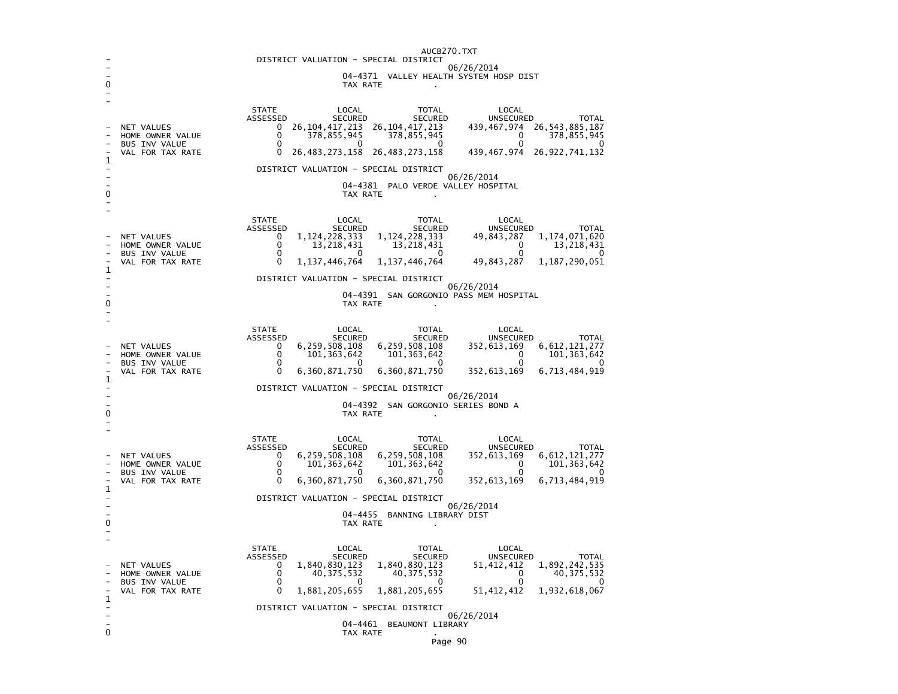| AUCB270.TXT                                         |                                          |                                                                                                                                                                    |  |  |  |  |  |  |
|-----------------------------------------------------|------------------------------------------|--------------------------------------------------------------------------------------------------------------------------------------------------------------------|--|--|--|--|--|--|
| DISTRICT VALUATION - SPECIAL DISTRICT<br>06/26/2014 |                                          |                                                                                                                                                                    |  |  |  |  |  |  |
|                                                     |                                          | 04-4371 VALLEY HEALTH SYSTEM HOSP DIST<br>TAX RATE                                                                                                                 |  |  |  |  |  |  |
|                                                     |                                          |                                                                                                                                                                    |  |  |  |  |  |  |
|                                                     |                                          | <b>STATE</b><br>LOCAL<br>TOTAL<br>LOCAL                                                                                                                            |  |  |  |  |  |  |
|                                                     | NET VALUES                               | ASSESSED<br><b>SECURED</b><br><b>UNSECURED</b><br><b>SECURED</b><br><b>TOTAL</b><br>439, 467, 974 26, 543, 885, 187<br>26, 104, 417, 213<br>26, 104, 417, 213<br>0 |  |  |  |  |  |  |
|                                                     | HOME OWNER VALUE                         | 0<br>378,855,945<br>378,855,945<br>0<br>378,855,945<br>0<br>0<br>0<br>0                                                                                            |  |  |  |  |  |  |
|                                                     | <b>BUS INV VALUE</b><br>VAL FOR TAX RATE | 26, 922, 741, 132<br>0<br>26, 483, 273, 158<br>26, 483, 273, 158<br>439,467,974                                                                                    |  |  |  |  |  |  |
| 1                                                   |                                          | DISTRICT VALUATION - SPECIAL DISTRICT                                                                                                                              |  |  |  |  |  |  |
|                                                     |                                          | 06/26/2014<br>04–4381<br>PALO VERDE VALLEY HOSPITAL                                                                                                                |  |  |  |  |  |  |
| 0                                                   |                                          | TAX RATE<br>$\blacksquare$                                                                                                                                         |  |  |  |  |  |  |
|                                                     |                                          |                                                                                                                                                                    |  |  |  |  |  |  |
|                                                     |                                          | <b>STATE</b><br>LOCAL<br>TOTAL<br>LOCAL<br>ASSESSED<br><b>SECURED</b><br><b>SECURED</b><br><b>UNSECURED</b><br><b>TOTAL</b>                                        |  |  |  |  |  |  |
|                                                     | NET VALUES<br>HOME OWNER VALUE           | 0<br>1, 124, 228, 333<br>1, 124, 228, 333<br>49,843,287<br>1, 174, 071, 620<br>$\Omega$<br>13,218,431<br>13, 218, 431<br>$\Omega$<br>13,218,431                    |  |  |  |  |  |  |
|                                                     | <b>BUS INV VALUE</b>                     | 0<br>0<br>0<br>0<br>O                                                                                                                                              |  |  |  |  |  |  |
| 1                                                   | VAL FOR TAX RATE                         | 1, 187, 290, 051<br>0<br>1,137,446,764<br>1, 137, 446, 764<br>49,843,287                                                                                           |  |  |  |  |  |  |
|                                                     |                                          | DISTRICT VALUATION - SPECIAL DISTRICT<br>06/26/2014                                                                                                                |  |  |  |  |  |  |
| 0                                                   |                                          | 04-4391 SAN GORGONIO PASS MEM HOSPITAL<br>TAX RATE                                                                                                                 |  |  |  |  |  |  |
|                                                     |                                          |                                                                                                                                                                    |  |  |  |  |  |  |
|                                                     |                                          | <b>STATE</b><br>LOCAL<br><b>TOTAL</b><br>LOCAL                                                                                                                     |  |  |  |  |  |  |
|                                                     | NET VALUES                               | ASSESSED<br><b>SECURED</b><br><b>SECURED</b><br>UNSECURED<br><b>TOTAL</b><br>6,259,508,108<br>6,259,508,108<br>6, 612, 121, 277<br>0<br>352,613,169                |  |  |  |  |  |  |
|                                                     | HOME OWNER VALUE<br><b>BUS INV VALUE</b> | 0<br>101, 363, 642<br>101, 363, 642<br>0<br>101, 363, 642<br>0<br>0<br>0<br>0<br>0                                                                                 |  |  |  |  |  |  |
|                                                     | VAL FOR TAX RATE                         | 6,360,871,750<br>6,713,484,919<br>0<br>6,360,871,750<br>352,613,169                                                                                                |  |  |  |  |  |  |
| 1                                                   |                                          | DISTRICT VALUATION - SPECIAL DISTRICT                                                                                                                              |  |  |  |  |  |  |
|                                                     |                                          | 06/26/2014<br>04-4392 SAN GORGONIO SERIES BOND A                                                                                                                   |  |  |  |  |  |  |
| 0                                                   |                                          | TAX RATE                                                                                                                                                           |  |  |  |  |  |  |
|                                                     |                                          |                                                                                                                                                                    |  |  |  |  |  |  |
|                                                     |                                          | <b>STATE</b><br>LOCAL<br><b>TOTAL</b><br>LOCAL<br>ASSESSED<br><b>SECURED</b><br><b>SECURED</b><br><b>UNSECURED</b><br><b>TOTAL</b>                                 |  |  |  |  |  |  |
|                                                     | NET VALUES<br>HOME OWNER VALUE           | 6,259,508,108<br>6, 259, 508, 108<br>6, 612, 121, 277<br>0<br>352,613,169<br>$\Omega$<br>101, 363, 642<br>101, 363, 642<br>101, 363, 642<br>0                      |  |  |  |  |  |  |
|                                                     | <b>BUS INV VALUE</b>                     | $\Omega$<br>0<br>n<br>0<br>0                                                                                                                                       |  |  |  |  |  |  |
| 1                                                   | VAL FOR TAX RATE                         | 0<br>6,360,871,750<br>6,713,484,919<br>6,360,871,750<br>352,613,169                                                                                                |  |  |  |  |  |  |
|                                                     |                                          | DISTRICT VALUATION - SPECIAL DISTRICT<br>06/26/2014                                                                                                                |  |  |  |  |  |  |
| 0                                                   |                                          | 04-4455<br>BANNING LIBRARY DIST<br>TAX RATE                                                                                                                        |  |  |  |  |  |  |
|                                                     |                                          |                                                                                                                                                                    |  |  |  |  |  |  |
|                                                     |                                          | <b>STATE</b><br>LOCAL<br>LOCAL<br><b>TOTAL</b>                                                                                                                     |  |  |  |  |  |  |
|                                                     | NET VALUES                               | ASSESSED<br><b>UNSECURED</b><br><b>SECURED</b><br><b>SECURED</b><br><b>TOTAL</b><br>1,892,242,535<br>0<br>1,840,830,123<br>1,840,830,123<br>51,412,412             |  |  |  |  |  |  |
|                                                     | HOME OWNER VALUE                         | 0<br>40, 375, 532<br>40, 375, 532<br>40, 375, 532<br>0                                                                                                             |  |  |  |  |  |  |
|                                                     | <b>BUS INV VALUE</b><br>VAL FOR TAX RATE | 0<br>0<br>0<br>0<br>$\Omega$<br>1,881,205,655<br>1,881,205,655<br>51, 412, 412<br>1,932,618,067                                                                    |  |  |  |  |  |  |
| 1                                                   |                                          | DISTRICT VALUATION - SPECIAL DISTRICT                                                                                                                              |  |  |  |  |  |  |
|                                                     |                                          | 06/26/2014<br>04-4461<br>BEAUMONT LIBRARY                                                                                                                          |  |  |  |  |  |  |
| 0                                                   |                                          | TAX RATE                                                                                                                                                           |  |  |  |  |  |  |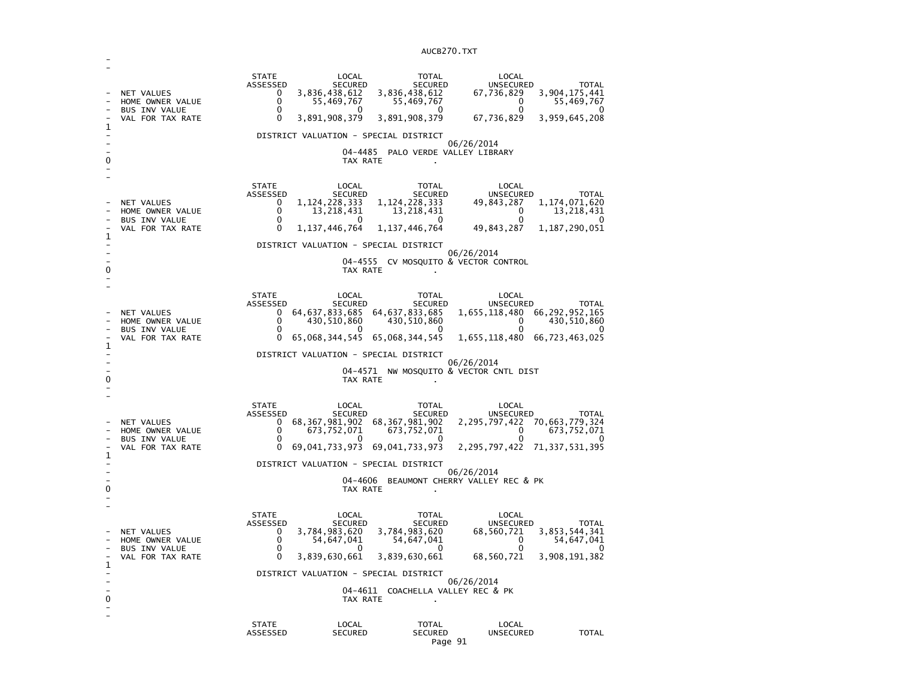| 1<br>0 | NET VALUES<br>HOME OWNER VALUE<br><b>BUS INV VALUE</b><br>VAL FOR TAX RATE | <b>STATE</b><br>ASSESSED<br>0<br>0<br>0<br>0                                    | LOCAL<br><b>SECURED</b><br>3,836,438,612<br>55,469,767<br>$\Omega$<br>3,891,908,379<br>TAX RATE                     | <b>TOTAL</b><br>SECURED<br>3,836,438,612<br>55,469,767<br>0<br>3,891,908,379<br>DISTRICT VALUATION - SPECIAL DISTRICT<br>04-4485 PALO VERDE VALLEY LIBRARY                            | LOCAL<br>UNSECURED<br>67,736,829<br>0<br>0<br>67,736,829<br>06/26/2014                                                                                                      | <b>TOTAL</b><br>3,904,175,441<br>55,469,767<br>$\Omega$<br>3,959,645,208 |
|--------|----------------------------------------------------------------------------|---------------------------------------------------------------------------------|---------------------------------------------------------------------------------------------------------------------|---------------------------------------------------------------------------------------------------------------------------------------------------------------------------------------|-----------------------------------------------------------------------------------------------------------------------------------------------------------------------------|--------------------------------------------------------------------------|
| 1<br>0 | NET VALUES<br>HOME OWNER VALUE<br><b>BUS INV VALUE</b><br>VAL FOR TAX RATE | <b>STATE</b><br>ASSESSED<br>0<br>0<br>0<br>0                                    | LOCAL<br><b>SECURED</b><br>1, 124, 228, 333<br>13,218,431<br>0<br>1, 137, 446, 764<br>TAX RATE                      | TOTAL<br><b>SECURED</b><br>1, 124, 228, 333<br>13,218,431<br>0<br>1, 137, 446, 764<br>DISTRICT VALUATION - SPECIAL DISTRICT<br>04-4555 CV MOSQUITO & VECTOR CONTROL                   | LOCAL<br>UNSECURED<br>49,843,287<br>0<br>0<br>49,843,287<br>06/26/2014                                                                                                      | TOTAL<br>1,174,071,620<br>13,218,431<br>0<br>1, 187, 290, 051            |
| 1<br>0 | NET VALUES<br>HOME OWNER VALUE<br><b>BUS INV VALUE</b><br>VAL FOR TAX RATE | <b>STATE</b><br>ASSESSED<br>0<br>0<br>$\Omega$<br>0                             | LOCAL<br>SECURED<br>430,510,860<br>$\Omega$<br>TAX RATE                                                             | TOTAL<br>SECURED<br>64, 637, 833, 685 64, 637, 833, 685<br>430,510,860<br>$\overline{0}$<br>65,068,344,545 65,068,344,545<br>DISTRICT VALUATION - SPECIAL DISTRICT                    | LOCAL<br><b>UNSECURED</b><br>1,655, 118, 480 66, 292, 952, 165<br>0<br>$\Omega$<br>1,655,118,480 66,723,463,025<br>06/26/2014<br>04-4571 NW MOSQUITO & VECTOR CNTL DIST     | <b>TOTAL</b><br>430,510,860<br>∩                                         |
| 1<br>0 | NET VALUES<br>HOME OWNER VALUE<br><b>BUS INV VALUE</b><br>VAL FOR TAX RATE | <b>STATE</b><br>ASSESSED<br>0<br>0<br>0<br>0                                    | LOCAL<br>SECURED<br>673,752,071<br>$\Omega$<br>TAX RATE                                                             | TOTAL<br>SECURED<br>68, 367, 981, 902 68, 367, 981, 902<br>673,752,071<br>0<br>69, 041, 733, 973 69, 041, 733, 973<br>DISTRICT VALUATION - SPECIAL DISTRICT                           | LOCAL<br>UNSECURED<br>2, 295, 797, 422 70, 663, 779, 324<br>$\mathbf 0$<br>0<br>2, 295, 797, 422 71, 337, 531, 395<br>06/26/2014<br>04-4606 BEAUMONT CHERRY VALLEY REC & PK | <b>TOTAL</b><br>673,752,071                                              |
| 1<br>0 | NET VALUES<br>HOME OWNER VALUE<br><b>BUS INV VALUE</b><br>VAL FOR TAX RATE | <b>STATE</b><br>ASSESSED<br>0<br>0<br>0<br>$\Omega$<br><b>STATE</b><br>ASSESSED | LOCAL<br><b>SECURED</b><br>3,784,983,620<br>54,647,041<br>0<br>3,839,630,661<br>TAX RATE<br>LOCAL<br><b>SECURED</b> | TOTAL<br><b>SECURED</b><br>3,784,983,620<br>54,647,041<br>0<br>3,839,630,661<br>DISTRICT VALUATION - SPECIAL DISTRICT<br>04-4611 COACHELLA VALLEY REC & PK<br>TOTAL<br><b>SECURED</b> | LOCAL<br>UNSECURED<br>68,560,721<br>0<br>0<br>68,560,721<br>06/26/2014<br>LOCAL<br>UNSECURED                                                                                | TOTAL<br>3,853,544,341<br>54,647,041<br>3,908,191,382<br><b>TOTAL</b>    |

-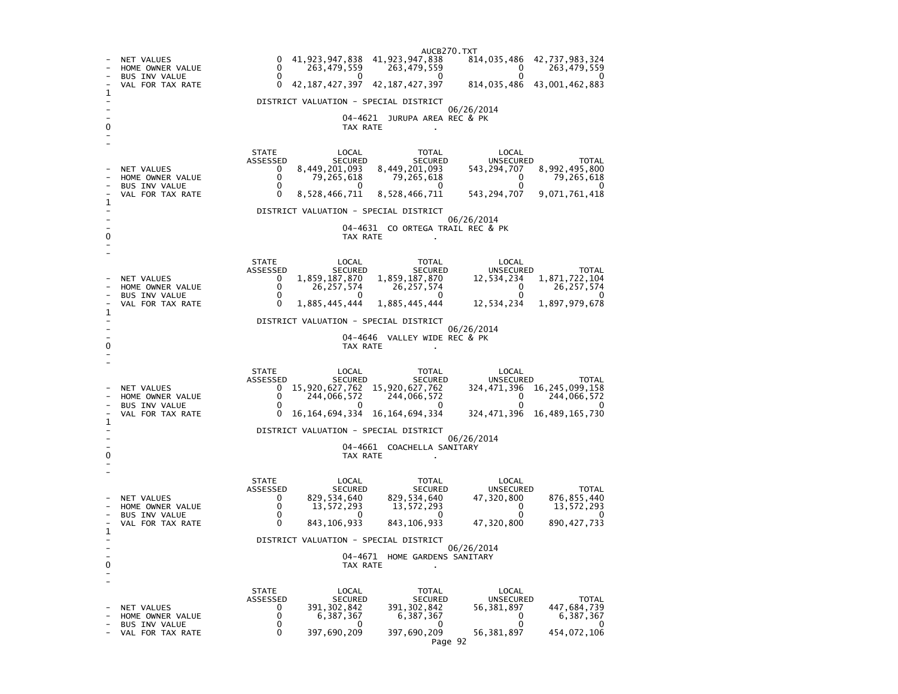AUCB270.TXT- NET VALUES 0 41,923,947,838 41,923,947,838<br>- HOME OWNER VALUE 0 263,479,559 263,479,559 814,035,486 42,737,983,324 - HOME OWNER VALUE 0 263,479,559 263,479,559 0 263,479,559 - BUS INV VALUE  $\begin{array}{ccccccccccc} 0 & 0 & 0 & 0 & 0 & 0 \end{array}$  $\Omega$ VAL FOR TAX RATE 0 42,187,427,397 42,187,427,397 814, 035, 486 43, 001, 462, 883 1 - DISTRICT VALUATION - SPECIAL DISTRICT - 06/26/2014 04-4621 JURUPA AREA REC & PK 0 TAX RATE . - - STATE LOCAL TOTAL LOCAL ASSESSED SECURED SECURED UNSECURED TOTAL - NET VALUES 0 8,449,201,093 8,449,201,093 543,294,707<br>- HOME OWNER VALUE 0 79,265,618 79,265,618 0 543, 294, 707 8, 992, 495, 800  $\begin{bmatrix} 0 & 79,265,618 & 79,265,618 & 0 \ 0 & 0 & 0 & 0 \end{bmatrix}$  $79,265,618$ - BUS INV VALUE  $\overline{0}$ 543, 294, 707 9, 071, 761, 418 VAL FOR TAX RATE 0 8,528,466,711 8,528,466,711 1 - DISTRICT VALUATION - SPECIAL DISTRICT  $\sim$  - 06/26/2014 - 04-4631 CO ORTEGA TRAIL REC & PK 0 TAX RATE . - - STATE LOCAL TOTAL LOCAL ASSESSED SECURED SECURED UNSECURED TOTAL **UNSECURED** - NET VALUES 0 1,859,187,870 1,859,187,870<br>- HOME OWNER VALUE 0 26.257.574 26.257.574 12,534,234 1,871,722,104  $\begin{array}{ccc} 26,257,574 & 26,257,574 & 0 \ 0 & 0 & 0 \end{array}$  $0$  26,257,574 - BUS INV VALUE  $\begin{array}{ccc} 0 & 0 & 0 \end{array}$  $\overline{\phantom{0}}$ VAL FOR TAX RATE 0 1,885,445,444 1,885,445,444 12,534,234 1,897,979,678 1 - DISTRICT VALUATION - SPECIAL DISTRICT - 06/26/2014 04-4646 VALLEY WIDE REC & PK 0 CONTROL CONTROL CONTROL CONTROL CONTROL CONTROL CONTROL CONTROL CONTROL CONTROL CONTROL CONTROL CONTROL CONTROL CONTROL CONTROL CONTROL CONTROL CONTROL CONTROL CONTROL CONTROL CONTROL CONTROL CONTROL CONTROL CONTROL CONT - - STATE LOCAL TOTAL LOCAL ASSESSED SECURED SECURED UNSECURED TOTAL NET VALUES 0 15,920,627,762 15,920,627,762 324, 471, 396 16, 245, 099, 158  $0 \overline{0}$   $744,066,572$ - HOME OWNER VALUE  $0$  244,066,572 244,066,572 0 244,066,572 0 244,066,0572 0 244,066,0572 0 244,066,0572 0 244,066,0572 0 244,066,0572 0 244,066,0572 0 244,066,0572 0 244,066,0572 0 244,066,0572 0 244,066,0572 0 244,066,0 BUS INV VALUE  $\Omega$  - VAL FOR TAX RATE 0 16,164,694,334 16,164,694,334 324,471,396 16,489,165,730 1 - DISTRICT VALUATION - SPECIAL DISTRICT - 06/26/2014 04-4661 COACHELLA SANITARY 0 CONTROL TO TAX RATE THE SET OF TAX RATE AND TAX RATE ASSESSMENT OF TAX RATE AND TAX RATE AND TAX RATE AND TAX RATE AND TAX RATE AND TAX RATE AND TAX RATE AND TAX RATE AND TAX RATE AND TAX RATE AND TAX RATE AND TAX RATE A - - STATE LOCAL TOTAL LOCAL ASSESSED SECURED SECURED UNSECURED TOTAL **UNSECURED** - NET VALUES 0 829,534,640 829,534,640 47,320,800<br>- HOME OWNER VALUE 0 13,572,293 13,572,293 0 876, 855, 440 - HOME OWNER VALUE 0 13,572,293 13,572,293 0 13,572,293 13,572,293 - BUS INV VALUE 0 0 0 0 0 - റ - VAL FOR TAX RATE 0 843,106,933 843,106,933 47,320,800 890, 427, 733 1 - DISTRICT VALUATION - SPECIAL DISTRICT  $\sim$  - 06/26/2014 04-4671 HOME GARDENS SANITARY 0 TAX RATE . - - STATE LOCAL TOTAL LOCAL ASSESSED SECURED SECURED UNSECURED TOTAL - NET VALUES 0 391,302,842 391,302,842 56,381,897<br>- HOME OWNER VALUE 0 6,387,367 6,387,367 0 447,684,739 - HOME OWNER VALUE 0 6,387,367 6,387,367 0 6,387,367  $6,387,367$ - BUS INV VALUE  $\Omega$ - VAL FOR TAX RATE 0 397,690,209 397,690,209 56,381,897 454,072,106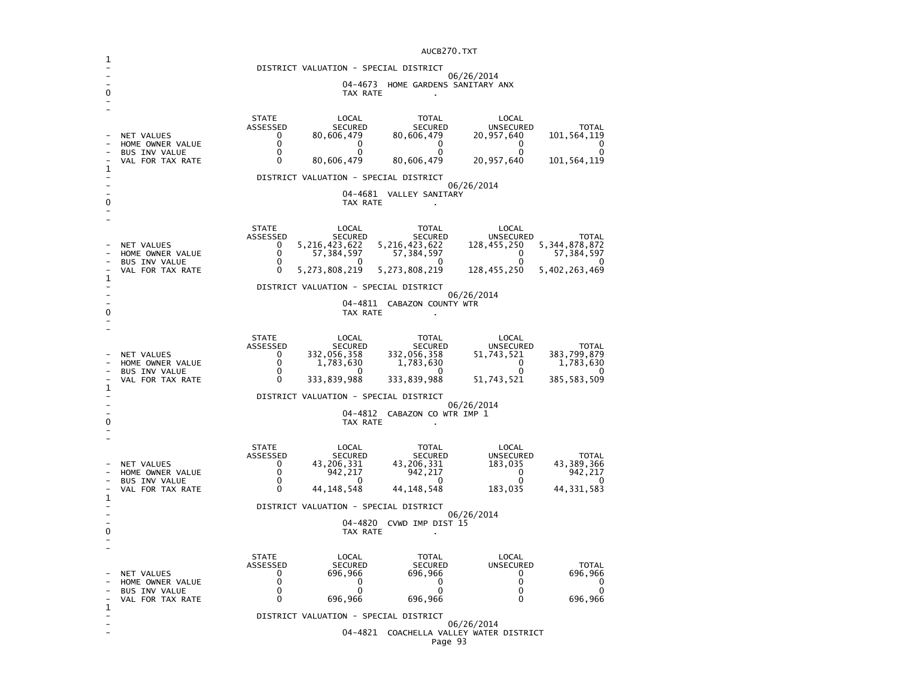|   |                                               |                          |                               | DISTRICT VALUATION - SPECIAL DISTRICT |                                               |                                |
|---|-----------------------------------------------|--------------------------|-------------------------------|---------------------------------------|-----------------------------------------------|--------------------------------|
|   |                                               |                          |                               |                                       | 06/26/2014                                    |                                |
|   | 04-4673 HOME GARDENS SANITARY ANX<br>TAX RATE |                          |                               |                                       |                                               |                                |
|   |                                               |                          |                               |                                       |                                               |                                |
|   |                                               | <b>STATE</b><br>ASSESSED | LOCAL<br><b>SECURED</b>       | <b>TOTAL</b><br><b>SECURED</b>        | LOCAL<br><b>UNSECURED</b>                     | <b>TOTAL</b>                   |
|   | NET VALUES<br>HOME OWNER VALUE                | 0<br>0                   | 80,606,479<br>0               | 80,606,479<br>0                       | 20,957,640<br>0                               | 101,564,119<br>0               |
|   | <b>BUS INV VALUE</b><br>VAL FOR TAX RATE      | $\Omega$<br>0            | $\Omega$<br>80,606,479        | $\Omega$<br>80,606,479                | 0<br>20,957,640                               | $\Omega$<br>101,564,119        |
| 1 |                                               |                          |                               | DISTRICT VALUATION - SPECIAL DISTRICT |                                               |                                |
|   |                                               |                          |                               | 04-4681 VALLEY SANITARY               | 06/26/2014                                    |                                |
| ŋ |                                               |                          | TAX RATE                      | $\mathbf{r}$                          |                                               |                                |
|   |                                               | <b>STATE</b>             | LOCAL                         | <b>TOTAL</b>                          | LOCAL                                         |                                |
|   |                                               | ASSESSED                 | <b>SECURED</b>                | <b>SECURED</b>                        | <b>UNSECURED</b>                              | <b>TOTAL</b>                   |
|   | NET VALUES<br>HOME OWNER VALUE                | 0<br>0                   | 5,216,423,622<br>57, 384, 597 | 5,216,423,622<br>57, 384, 597         | 128,455,250<br>0                              | 5, 344, 878, 872<br>57,384,597 |
|   | <b>BUS INV VALUE</b><br>VAL FOR TAX RATE      | 0<br>0                   | 0<br>5, 273, 808, 219         | 0<br>5, 273, 808, 219                 | 0<br>128,455,250                              | 0<br>5,402,263,469             |
| 1 |                                               |                          |                               | DISTRICT VALUATION - SPECIAL DISTRICT |                                               |                                |
|   |                                               |                          |                               | 04-4811 CABAZON COUNTY WTR            | 06/26/2014                                    |                                |
| 0 |                                               |                          | TAX RATE                      |                                       |                                               |                                |
|   |                                               | <b>STATE</b>             | LOCAL                         | TOTAL                                 | LOCAL                                         |                                |
|   | NET VALUES                                    | ASSESSED<br>0            | <b>SECURED</b><br>332,056,358 | <b>SECURED</b><br>332,056,358         | <b>UNSECURED</b><br>51,743,521                | <b>TOTAL</b><br>383,799,879    |
|   | HOME OWNER VALUE<br><b>BUS INV VALUE</b>      | 0<br>$\Omega$            | 1,783,630<br>0                | 1,783,630<br>0                        | $\Omega$<br>$\Omega$                          | 1,783,630<br>0                 |
|   | VAL FOR TAX RATE                              | 0                        | 333,839,988                   | 333,839,988                           | 51,743,521                                    | 385,583,509                    |
| 1 |                                               |                          |                               | DISTRICT VALUATION - SPECIAL DISTRICT |                                               |                                |
|   |                                               |                          |                               | 04-4812 CABAZON CO WTR IMP 1          | 06/26/2014                                    |                                |
| 0 |                                               |                          | TAX RATE                      |                                       |                                               |                                |
|   |                                               | <b>STATE</b>             | LOCAL                         | <b>TOTAL</b>                          | LOCAL                                         |                                |
|   | NET VALUES                                    | ASSESSED<br>0            | <b>SECURED</b><br>43,206,331  | <b>SECURED</b><br>43,206,331          | <b>UNSECURED</b><br>183,035                   | <b>TOTAL</b><br>43,389,366     |
|   | HOME OWNER VALUE                              | 0<br>0                   | 942,217<br>$\Omega$           | 942,217<br>0                          | $\Omega$<br>$\Omega$                          | 942,217<br>0                   |
|   | <b>BUS INV VALUE</b><br>VAL FOR TAX RATE      | 0                        | 44, 148, 548                  | 44, 148, 548                          | 183,035                                       | 44,331,583                     |
| 1 |                                               |                          |                               | DISTRICT VALUATION - SPECIAL DISTRICT |                                               |                                |
|   |                                               |                          |                               | 04-4820 CVWD IMP DIST 15              | 06/26/2014                                    |                                |
| 0 |                                               |                          | TAX RATE                      |                                       |                                               |                                |
|   |                                               | <b>STATE</b>             | LOCAL                         | <b>TOTAL</b>                          | LOCAL                                         |                                |
|   | NET VALUES                                    | ASSESSED<br>0            | <b>SECURED</b><br>696,966     | <b>SECURED</b><br>696,966             | <b>UNSECURED</b><br>0                         | <b>TOTAL</b><br>696,966        |
|   | HOME OWNER VALUE                              | 0<br>$\Omega$            | 0<br>$\Omega$                 | 0<br>$\mathbf{0}$                     | 0<br>$\Omega$                                 | 0<br>$\Omega$                  |
|   | BUS INV VALUE<br>VAL FOR TAX RATE             | 0                        | 696,966                       | 696,966                               | $\Omega$                                      | 696,966                        |
| 1 |                                               |                          |                               | DISTRICT VALUATION - SPECIAL DISTRICT |                                               |                                |
|   |                                               |                          | 04-4821                       |                                       | 06/26/2014<br>COACHELLA VALLEY WATER DISTRICT |                                |
|   |                                               |                          |                               | Page 93                               |                                               |                                |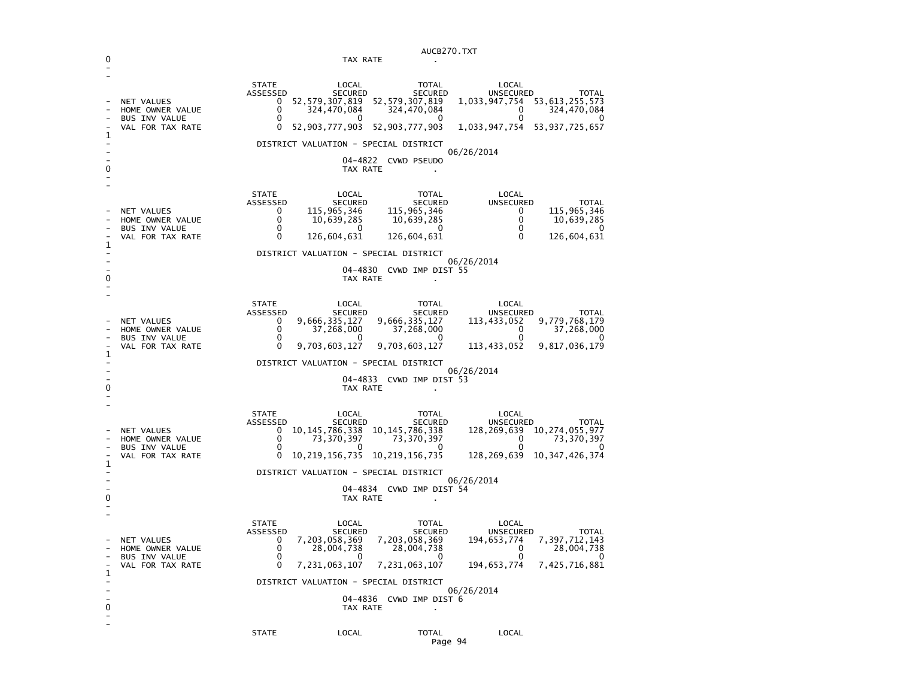|              | AUCB270.TXT                                                                       |                                                                                                                                                                                                                                                                                                                                                                                                                                                                                      |  |  |
|--------------|-----------------------------------------------------------------------------------|--------------------------------------------------------------------------------------------------------------------------------------------------------------------------------------------------------------------------------------------------------------------------------------------------------------------------------------------------------------------------------------------------------------------------------------------------------------------------------------|--|--|
| 0            |                                                                                   | TAX RATE                                                                                                                                                                                                                                                                                                                                                                                                                                                                             |  |  |
| 1            | <b>NET VALUES</b><br>HOME OWNER VALUE<br><b>BUS INV VALUE</b><br>VAL FOR TAX RATE | <b>STATE</b><br>LOCAL<br>TOTAL<br>LOCAL<br><b>SECURED</b><br>SECURED<br><b>UNSECURED</b><br><b>TOTAL</b><br>ASSESSED<br>52,579,307,819<br>52, 579, 307, 819<br>1,033,947,754<br>53,613,255,573<br>0<br>0<br>324,470,084<br>324,470,084<br>0<br>324,470,084<br>0<br>0<br>0<br>0<br>0<br>0<br>52,903,777,903<br>52,903,777,903<br>1,033,947,754<br>53,937,725,657<br>DISTRICT VALUATION - SPECIAL DISTRICT<br>06/26/2014                                                               |  |  |
| 0            |                                                                                   | 04-4822<br>CVWD PSEUDO<br>TAX RATE                                                                                                                                                                                                                                                                                                                                                                                                                                                   |  |  |
|              | NET VALUES<br>HOME OWNER VALUE<br><b>BUS INV VALUE</b>                            | <b>STATE</b><br>LOCAL<br>TOTAL<br>LOCAL<br>ASSESSED<br><b>SECURED</b><br><b>SECURED</b><br>UNSECURED<br><b>TOTAL</b><br>115,965,346<br>115,965,346<br>115,965,346<br>0<br>0<br>0<br>0<br>10,639,285<br>10,639,285<br>10,639,285<br>0<br>0<br>0<br>0<br>0                                                                                                                                                                                                                             |  |  |
| $\mathbf{1}$ | VAL FOR TAX RATE                                                                  | 0<br>126,604,631<br>126,604,631<br>0<br>126,604,631                                                                                                                                                                                                                                                                                                                                                                                                                                  |  |  |
|              |                                                                                   | DISTRICT VALUATION - SPECIAL DISTRICT                                                                                                                                                                                                                                                                                                                                                                                                                                                |  |  |
|              |                                                                                   | 06/26/2014<br>04-4830 CVWD IMP DIST 55                                                                                                                                                                                                                                                                                                                                                                                                                                               |  |  |
| 0            |                                                                                   | TAX RATE                                                                                                                                                                                                                                                                                                                                                                                                                                                                             |  |  |
| 1            | NET VALUES<br>HOME OWNER VALUE<br><b>BUS INV VALUE</b><br>VAL FOR TAX RATE        | <b>STATE</b><br>LOCAL<br>TOTAL<br>LOCAL<br>ASSESSED<br><b>SECURED</b><br>SECURED<br>UNSECURED<br>TOTAL<br>9,666,335,127<br>9,666,335,127<br>9,779,768,179<br>0<br>113,433,052<br>0<br>37,268,000<br>37,268,000<br>37,268,000<br>0<br>0<br>0<br>0<br>0<br>0<br>9,703,603,127<br>9,703,603,127<br>113,433,052<br>9,817,036,179<br>DISTRICT VALUATION - SPECIAL DISTRICT<br>06/26/2014                                                                                                  |  |  |
| 0            |                                                                                   | 04-4833 CVWD IMP DIST 53<br>TAX RATE                                                                                                                                                                                                                                                                                                                                                                                                                                                 |  |  |
| 1<br>0       | NET VALUES<br>HOME OWNER VALUE<br><b>BUS INV VALUE</b><br>VAL FOR TAX RATE        | <b>STATE</b><br>LOCAL<br>LOCAL<br>TOTAL<br>ASSESSED<br><b>SECURED</b><br><b>SECURED</b><br><b>UNSECURED</b><br><b>TOTAL</b><br>10, 145, 786, 338<br>10, 145, 786, 338<br>128, 269, 639 10, 274, 055, 977<br>0<br>0<br>73,370,397<br>73,370,397<br>0<br>73,370,397<br>0<br>0<br>0<br>10, 219, 156, 735<br>10, 219, 156, 735<br>10, 347, 426, 374<br>128,269,639<br>DISTRICT VALUATION - SPECIAL DISTRICT<br>06/26/2014<br>04-4834 CVWD IMP DIST 54<br>TAX RATE                        |  |  |
| 1<br>0       | NET VALUES<br>HOME OWNER VALUE<br><b>BUS INV VALUE</b><br>VAL FOR TAX RATE        | <b>STATE</b><br>LOCAL<br>TOTAL<br>LOCAL<br>ASSESSED<br><b>SECURED</b><br><b>SECURED</b><br>UNSECURED<br>TOTAL<br>7,203,058,369<br>7,203,058,369<br>7, 397, 712, 143<br>0<br>194,653,774<br>0<br>28,004,738<br>28,004,738<br>0<br>28,004,738<br>0<br>$\sim$ 0<br>$\sim$ 0<br>$\sim$ 0<br>$\sim$ 0<br>7, 231, 063, 107 7, 231, 063, 107 194, 653, 774 7, 425, 716, 881<br>0<br>DISTRICT VALUATION - SPECIAL DISTRICT<br>06/26/2014<br>04-4836 CVWD IMP DIST 6<br>TAX RATE<br>$\bullet$ |  |  |
|              |                                                                                   | <b>STATE</b><br>LOCAL<br>LOCAL<br><b>TOTAL</b>                                                                                                                                                                                                                                                                                                                                                                                                                                       |  |  |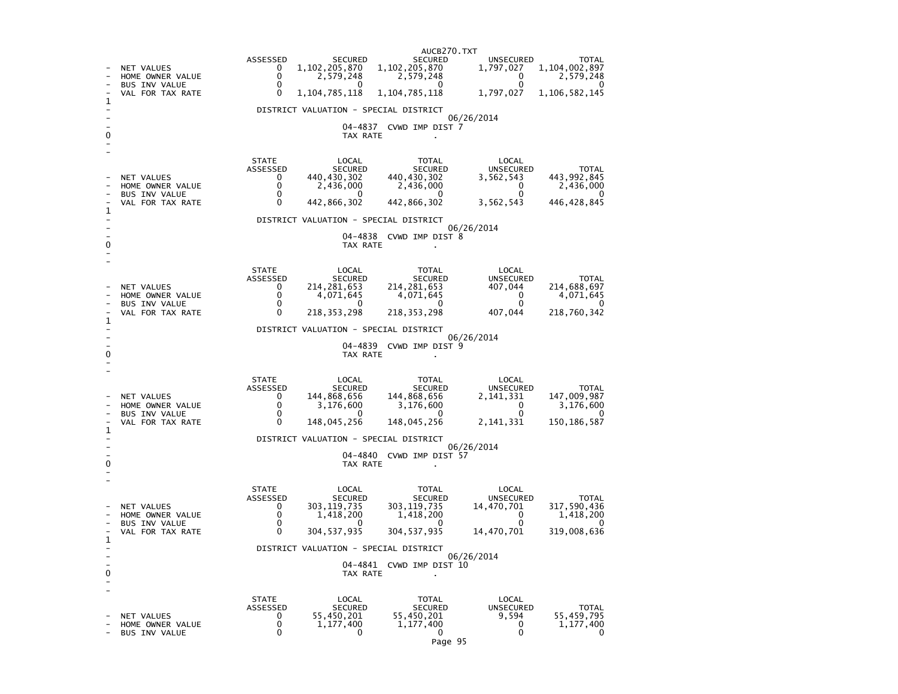AUCB270.TXTASSESSED SECURED SECURED UNSECURED TOTAL 1,797,027 1,104,002,897 - NET VALUES 0 1,102,205,870 1,102,205,870<br>- HOME OWNER VALUE 0 2.579.248 2.579.248 - BUS INV VALUE 0 0 0 0 0 - HOME OWNER VALUE 0 2,579,248 2,579,248 0 2,579,248 1,797,027 1,106,582,145 VAL FOR TAX RATE 0 1,104,785,118 1,104,785,118 1  $\sim$ - DISTRICT VALUATION - SPECIAL DISTRICT - 06/26/2014 - 04-4837 CVWD IMP DIST 7 0 TAX RATE . - - STATE LOCAL TOTAL LOCAL ASSESSED SECURED SECURED UNSECURED TOTAL 443.992,845 - NET VALUES  $\overline{0}$  440,430,302 440,430,302 3,562,543<br>- HOME ON REAL 2,436,000 2,436,000 2,436,000 0<br>- PILS TNY VALUE 0 2,436,000 2,436,000 0 2,436,000 - HOME OWNER VALUE 0 2,436,000 2,436,000 0 2,436,000  $\overline{\phantom{0}}$ - BUS INV VALUE 0 0 0 0 0 446, 428, 845 - VAL FOR TAX RATE  $\qquad \qquad 0$ 1 - DISTRICT VALUATION - SPECIAL DISTRICT - 06/26/2014 - 04-4838 CVWD IMP DIST 8 0 TAX RATE . - - STATE LOCAL TOTAL LOCAL **UNSECURED**  ASSESSED SECURED SECURED UNSECURED TOTAL 214.688.697 - NET VALUES 0 214,281,653 214,281,653 407,044 214,688,697 4,071,645 - HOME OWNER VALUE 0 4,071,645 4,071,645 0 4,071,645  $\overline{\phantom{a}}$ - BUS INV VALUE 218,760,342 VAL FOR TAX RATE 0 218.353.298 218.353.298 407.044 1 - DISTRICT VALUATION - SPECIAL DISTRICT - 06/26/2014 - 04-4839 CVWD IMP DIST 9 0 CONTROL CONTROL CONTROL CONTROL CONTROL CONTROL CONTROL CONTROL CONTROL CONTROL CONTROL CONTROL CONTROL CONTROL CONTROL CONTROL CONTROL CONTROL CONTROL CONTROL CONTROL CONTROL CONTROL CONTROL CONTROL CONTROL CONTROL CONT - - STATE LOCAL TOTAL LOCAL ASSESSED SECURED SECURED UNSECURED TOTAL 147,009,987 - NET VALUES 2,141,868,656 144,868,656 144,868,656 144,868,656 2,141,331 3,176,600 - HOME OWNER VALUE 0 3,176,600 3,176,600 0 3,176,600  $\overline{\mathbf{0}}$ - BUS INV VALUE 0 0 0 0 0 150, 186, 587 - VAL FOR TAX RATE 0 148,045,256 148,045,256 1  $\sim$ - DISTRICT VALUATION - SPECIAL DISTRICT - 06/26/2014 04-4840 CVWD IMP DIST 57 0 TAX RATE . - - STATE LOCAL TOTAL LOCAL ASSESSED SECURED SECURED UNSECURED TOTAL 317.590.436 - NET VALUES<br>- HOME OWNER VALUE  $0$  303,119,735 303,119,735 14,470,701<br>0 303,119,735 303,119,735 14,470,701 1,418,200 - HOME OWNER VALUE 0 1,418,200 1,418,200 0 1,418,200  $\overline{0}$ - BUS INV VALUE 0 0 0 0 0 - VAL FOR TAX RATE 0 304,537,935 304,537,935 14,470,701 319,008,636 319,008,636 1  $\sim$ - DISTRICT VALUATION - SPECIAL DISTRICT - 06/26/2014 - 04-4841 CVWD IMP DIST 10 0 CONTROL CONTROL CONTROL CONTROL CONTROL CONTROL CONTROL CONTROL CONTROL CONTROL CONTROL CONTROL CONTROL CONTROL CONTROL CONTROL CONTROL CONTROL CONTROL CONTROL CONTROL CONTROL CONTROL CONTROL CONTROL CONTROL CONTROL CONT - - STATE LOCAL TOTAL LOCAL **UNSECURED**  ASSESSED SECURED SECURED UNSECURED TOTAL 55.459.795 - NET VALUES 0 55,450,201 55,450,201 9,594 55,459,795 1,177,400 - HOME OWNER VALUE  $\begin{array}{cccc} 0 & 1,177,400 & 1,177,400 & 0 \ 0 & 0 & 0 & 0 \end{array}$  $\Omega$ - BUS INV VALUE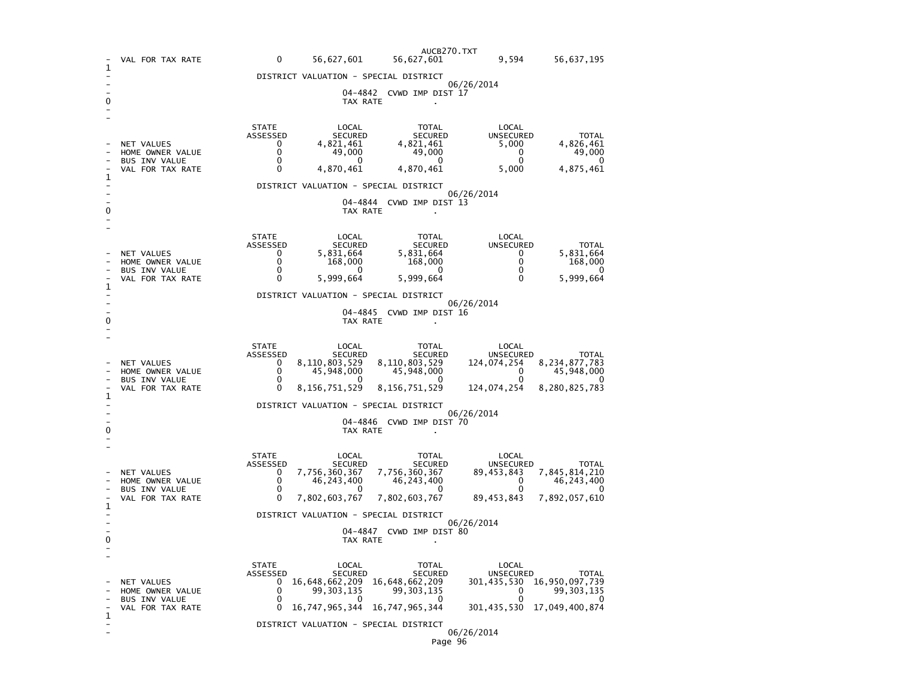|   | VAL FOR TAX RATE                                                           | 0<br>56,627,601                                                                                                                                                       | AUCB270.TXT<br>56,627,601                                                        | 9,594                                                               | 56,637,195                                                           |  |  |  |
|---|----------------------------------------------------------------------------|-----------------------------------------------------------------------------------------------------------------------------------------------------------------------|----------------------------------------------------------------------------------|---------------------------------------------------------------------|----------------------------------------------------------------------|--|--|--|
| 1 |                                                                            | DISTRICT VALUATION - SPECIAL DISTRICT                                                                                                                                 |                                                                                  |                                                                     |                                                                      |  |  |  |
|   | 06/26/2014<br>04–4842<br>CVWD IMP DIST 17<br>TAX RATE                      |                                                                                                                                                                       |                                                                                  |                                                                     |                                                                      |  |  |  |
| 1 | NET VALUES<br>HOME OWNER VALUE<br><b>BUS INV VALUE</b><br>VAL FOR TAX RATE | <b>STATE</b><br>LOCAL<br>ASSESSED<br><b>SECURED</b><br>4,821,461<br>0<br>0<br>49,000<br>0<br>0<br>0<br>4,870,461                                                      | TOTAL<br><b>SECURED</b><br>4,821,461<br>49,000<br>0<br>4,870,461                 | LOCAL<br><b>UNSECURED</b><br>5,000<br>0<br>0<br>5,000               | <b>TOTAL</b><br>4,826,461<br>49,000<br>0<br>4,875,461                |  |  |  |
|   |                                                                            | DISTRICT VALUATION - SPECIAL DISTRICT                                                                                                                                 |                                                                                  | 06/26/2014                                                          |                                                                      |  |  |  |
| 0 |                                                                            | 04–4844<br>TAX RATE                                                                                                                                                   | CVWD IMP DIST 13                                                                 |                                                                     |                                                                      |  |  |  |
|   | NET VALUES<br>HOME OWNER VALUE<br><b>BUS INV VALUE</b><br>VAL FOR TAX RATE | <b>STATE</b><br>LOCAL<br>ASSESSED<br><b>SECURED</b><br>0<br>5,831,664<br>$\Omega$<br>168,000<br>$\Omega$<br>0<br>5,999,664<br>0                                       | TOTAL<br><b>SECURED</b><br>5,831,664<br>168,000<br>$\Omega$<br>5,999,664         | LOCAL<br><b>UNSECURED</b><br>0<br>0<br>0<br>0                       | <b>TOTAL</b><br>5,831,664<br>168,000<br>0<br>5,999,664               |  |  |  |
| 1 |                                                                            | DISTRICT VALUATION - SPECIAL DISTRICT                                                                                                                                 |                                                                                  |                                                                     |                                                                      |  |  |  |
| 0 |                                                                            | 04–4845<br>TAX RATE                                                                                                                                                   | CVWD IMP DIST 16                                                                 | 06/26/2014                                                          |                                                                      |  |  |  |
| 1 | NET VALUES<br>HOME OWNER VALUE<br><b>BUS INV VALUE</b><br>VAL FOR TAX RATE | <b>STATE</b><br>LOCAL<br>ASSESSED<br><b>SECURED</b><br>0<br>8,110,803,529<br>0<br>45,948,000<br>0<br>0<br>8,156,751,529<br>0<br>DISTRICT VALUATION - SPECIAL DISTRICT | TOTAL<br><b>SECURED</b><br>8,110,803,529<br>45,948,000<br>0<br>8, 156, 751, 529  | LOCAL<br><b>UNSECURED</b><br>124,074,254<br>0<br>0<br>124,074,254   | <b>TOTAL</b><br>8, 234, 877, 783<br>45,948,000<br>0<br>8,280,825,783 |  |  |  |
| 0 | 06/26/2014<br>04-4846 CVWD IMP DIST 70<br>TAX RATE                         |                                                                                                                                                                       |                                                                                  |                                                                     |                                                                      |  |  |  |
| 1 | NET VALUES<br>HOME OWNER VALUE<br><b>BUS INV VALUE</b><br>VAL FOR TAX RATE | <b>STATE</b><br>LOCAL<br>ASSESSED<br><b>SECURED</b><br>7,756,360,367<br>0<br>0<br>46,243,400<br>0<br>0<br>7,802,603,767                                               | TOTAL<br><b>SECURED</b><br>7,756,360,367<br>46, 243, 400<br>0<br>7,802,603,767   | LOCAL<br>UNSECURED<br>89,453,843<br>0<br>$\mathbf{0}$<br>89,453,843 | TOTAL<br>7,845,814,210<br>46,243,400<br>7,892,057,610                |  |  |  |
|   |                                                                            |                                                                                                                                                                       |                                                                                  |                                                                     |                                                                      |  |  |  |
| 0 | 06/26/2014<br>CVWD IMP DIST 80<br>04-4847<br>TAX RATE                      |                                                                                                                                                                       |                                                                                  |                                                                     |                                                                      |  |  |  |
|   | NET VALUES<br>HOME OWNER VALUE<br><b>BUS INV VALUE</b><br>VAL FOR TAX RATE | <b>STATE</b><br>LOCAL<br>ASSESSED<br><b>SECURED</b><br>16,648,662,209<br>U<br>0<br>99, 303, 135<br>0<br>U<br>16,747,965,344<br>0                                      | TOTAL<br><b>SECURED</b><br>16,648,662,209<br>99, 303, 135<br>0<br>16,747,965,344 | LOCAL<br>UNSECURED<br>301,435,530<br>0<br>0<br>301,435,530          | TOTAL<br>16,950,097,739<br>99,303,135<br>U<br>17,049,400,874         |  |  |  |
| 1 |                                                                            | DISTRICT VALUATION - SPECIAL DISTRICT                                                                                                                                 |                                                                                  |                                                                     |                                                                      |  |  |  |
|   |                                                                            |                                                                                                                                                                       | Page 96                                                                          | 06/26/2014                                                          |                                                                      |  |  |  |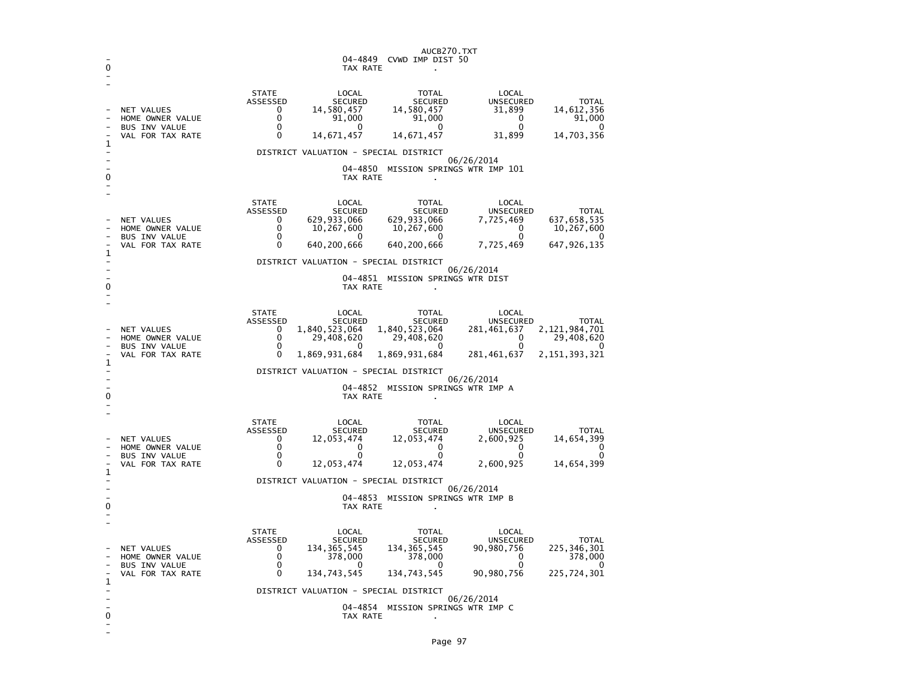| 0      |                                                                                                         | AUCB270.TXT<br>04-4849<br>CVWD IMP DIST 50<br>TAX RATE                                                                                                                                                                                                                                                                                                                                                                                                           |  |  |  |  |  |
|--------|---------------------------------------------------------------------------------------------------------|------------------------------------------------------------------------------------------------------------------------------------------------------------------------------------------------------------------------------------------------------------------------------------------------------------------------------------------------------------------------------------------------------------------------------------------------------------------|--|--|--|--|--|
| 1      | NET VALUES<br>HOME OWNER VALUE<br><b>BUS INV VALUE</b><br>VAL FOR TAX RATE                              | <b>STATE</b><br>LOCAL<br><b>TOTAL</b><br>LOCAL<br>ASSESSED<br><b>SECURED</b><br><b>SECURED</b><br><b>UNSECURED</b><br><b>TOTAL</b><br>31,899<br>0<br>14,580,457<br>14,580,457<br>14,612,356<br>0<br>91,000<br>91,000<br>91,000<br>0<br>$\Omega$<br>$\Omega$<br>0<br>$\mathbf{0}$<br>0<br>14,671,457<br>14,671,457<br>31,899<br>14,703,356<br>0                                                                                                                   |  |  |  |  |  |
| 0      |                                                                                                         | DISTRICT VALUATION - SPECIAL DISTRICT<br>06/26/2014<br>04-4850<br>MISSION SPRINGS WTR IMP 101<br>TAX RATE                                                                                                                                                                                                                                                                                                                                                        |  |  |  |  |  |
| 1      | NET VALUES<br>HOME OWNER VALUE<br><b>BUS INV VALUE</b><br>VAL FOR TAX RATE                              | <b>STATE</b><br>LOCAL<br>TOTAL<br>LOCAL<br>ASSESSED<br><b>SECURED</b><br><b>SECURED</b><br><b>UNSECURED</b><br><b>TOTAL</b><br>629,933,066<br>629,933,066<br>7,725,469<br>637,658,535<br>0<br>0<br>10,267,600<br>10,267,600<br>0<br>10,267,600<br>0<br>0<br>0<br><sup>0</sup><br>0<br>640, 200, 666<br>647,926,135<br>$\Omega$<br>640,200,666<br>7,725,469                                                                                                       |  |  |  |  |  |
| 0      |                                                                                                         | DISTRICT VALUATION - SPECIAL DISTRICT<br>06/26/2014<br>04-4851 MISSION SPRINGS WTR DIST<br>TAX RATE                                                                                                                                                                                                                                                                                                                                                              |  |  |  |  |  |
| 1      | NET VALUES<br>HOME OWNER VALUE<br><b>BUS INV VALUE</b><br>VAL FOR TAX RATE                              | <b>STATE</b><br>LOCAL<br>TOTAL<br>LOCAL<br><b>ASSESSED</b><br><b>SECURED</b><br><b>SECURED</b><br><b>UNSECURED</b><br><b>TOTAL</b><br>1,840,523,064<br>1,840,523,064<br>2, 121, 984, 701<br>0<br>281,461,637<br>$\mathbf 0$<br>29,408,620<br>29,408,620<br>29,408,620<br>0<br>0<br>0<br>0<br>0<br>0<br>$\mathbf{0}$<br>1,869,931,684<br>1,869,931,684<br>281,461,637<br>2, 151, 393, 321<br>DISTRICT VALUATION - SPECIAL DISTRICT                                |  |  |  |  |  |
| 0      | 06/26/2014<br>04-4852<br>MISSION SPRINGS WTR IMP A<br>TAX RATE                                          |                                                                                                                                                                                                                                                                                                                                                                                                                                                                  |  |  |  |  |  |
| 1      | <b>NET VALUES</b><br>HOME OWNER VALUE<br><b>BUS INV VALUE</b><br>VAL FOR TAX RATE                       | <b>STATE</b><br>LOCAL<br><b>TOTAL</b><br>LOCAL<br>ASSESSED<br><b>SECURED</b><br><b>SECURED</b><br>UNSECURED<br><b>TOTAL</b><br>12,053,474<br>12,053,474<br>2,600,925<br>14,654,399<br>0<br>0<br>0<br>0<br>0<br>0<br>$\mathbf 0$<br>$\mathbf 0$<br>$\mathbf 0$<br>$\Omega$<br>$\Omega$<br>0<br>2,600,925<br>12,053,474<br>12,053,474<br>14,654,399                                                                                                                |  |  |  |  |  |
| 0      | DISTRICT VALUATION - SPECIAL DISTRICT<br>06/26/2014<br>04-4853<br>MISSION SPRINGS WTR IMP B<br>TAX RATE |                                                                                                                                                                                                                                                                                                                                                                                                                                                                  |  |  |  |  |  |
| 1<br>0 | <b>NET VALUES</b><br>HOME OWNER VALUE<br><b>BUS INV VALUE</b><br>VAL FOR TAX RATE                       | <b>STATE</b><br>LOCAL<br>LOCAL<br>TOTAL<br>ASSESSED<br><b>SECURED</b><br><b>SECURED</b><br><b>UNSECURED</b><br><b>TOTAL</b><br>225, 346, 301<br>134, 365, 545<br>0<br>134,365,545<br>90,980,756<br>$\Omega$<br>378,000<br>378,000<br>$\mathbf{0}$<br>378,000<br>0<br>0<br>0<br>O<br>0<br>0<br>134,743,545<br>134,743,545<br>225,724,301<br>90,980,756<br>DISTRICT VALUATION - SPECIAL DISTRICT<br>06/26/2014<br>04-4854<br>MISSION SPRINGS WTR IMP C<br>TAX RATE |  |  |  |  |  |

-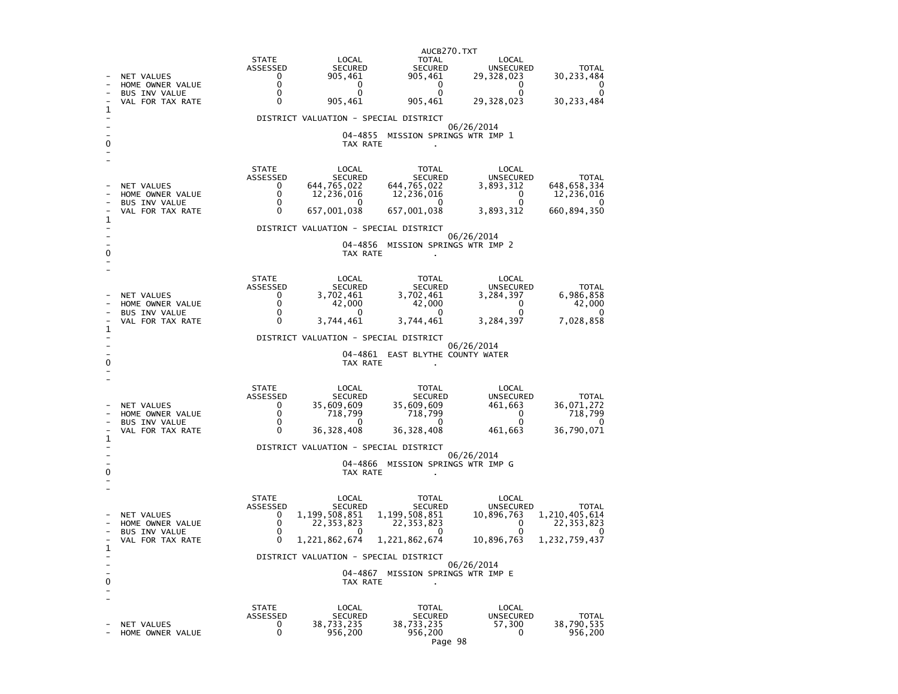|   |                                          |                              |                                       | AUCB270.TXT                       |                                       |                               |
|---|------------------------------------------|------------------------------|---------------------------------------|-----------------------------------|---------------------------------------|-------------------------------|
|   |                                          | <b>STATE</b><br>ASSESSED     | LOCAL<br>SECURED                      | TOTAL<br>SECURED                  | LOCAL<br><b>UNSECURED</b>             | <b>TOTAL</b>                  |
|   | NET VALUES<br>HOME OWNER VALUE           | 0<br>$\Omega$                | 905,461<br>0                          | 905,461<br>$\overline{0}$         | 29,328,023<br>0                       | 30, 233, 484<br>0             |
|   | <b>BUS INV VALUE</b><br>VAL FOR TAX RATE | $\mathbf{0}$<br>0            | $\Omega$<br>905,461                   | $\Omega$<br>905,461               | 0<br>29,328,023                       | 0<br>30,233,484               |
| 1 |                                          |                              |                                       |                                   |                                       |                               |
|   |                                          |                              | DISTRICT VALUATION - SPECIAL DISTRICT |                                   | 06/26/2014                            |                               |
| 0 |                                          |                              | 04–4855<br>TAX RATE                   | MISSION SPRINGS WTR IMP 1         |                                       |                               |
|   |                                          | <b>STATE</b><br>ASSESSED     | LOCAL<br>SECURED                      | TOTAL<br>SECURED                  | LOCAL<br>UNSECURED                    | <b>TOTAL</b>                  |
|   | NET VALUES                               | $\Omega$<br>0                | 644,765,022                           | 644,765,022                       | 3,893,312<br>$\overline{\phantom{0}}$ | 648, 658, 334                 |
|   | HOME OWNER VALUE<br><b>BUS INV VALUE</b> | $\mathbf{0}$                 | 12,236,016<br>0                       | 12,236,016<br>- 0                 | 0                                     | 12,236,016                    |
| 1 | VAL FOR TAX RATE                         | $\Omega$                     | 657,001,038                           | 657,001,038                       | 3,893,312                             | 660,894,350                   |
|   |                                          |                              | DISTRICT VALUATION - SPECIAL DISTRICT |                                   | 06/26/2014                            |                               |
| 0 |                                          |                              | TAX RATE                              | 04-4856 MISSION SPRINGS WTR IMP 2 |                                       |                               |
|   |                                          | <b>STATE</b>                 | LOCAL                                 | TOTAL                             | LOCAL                                 |                               |
|   | <b>NET VALUES</b>                        | ASSESSED<br>$^{\circ}$       | SECURED<br>3,702,461                  | SECURED<br>3,702,461              | UNSECURED<br>3,284,397                | <b>TOTAL</b><br>6,986,858     |
|   | HOME OWNER VALUE<br><b>BUS INV VALUE</b> | $\mathbf{0}$<br>0            | 42,000<br>- 0                         | 42,000<br>- 0                     | $\overline{0}$<br>0                   | 42,000                        |
|   | VAL FOR TAX RATE                         | $\Omega$                     | 3,744,461                             | 3,744,461                         | 3,284,397                             | 7,028,858                     |
| 1 |                                          |                              | DISTRICT VALUATION - SPECIAL DISTRICT |                                   |                                       |                               |
|   |                                          |                              |                                       | 04-4861 EAST BLYTHE COUNTY WATER  | 06/26/2014                            |                               |
|   |                                          |                              | TAX RATE                              |                                   |                                       |                               |
|   |                                          | <b>STATE</b>                 | LOCAL                                 | <b>TOTAL</b>                      | LOCAL                                 |                               |
|   | NET VALUES                               | ASSESSED<br>$\mathbf{0}$     | SECURED<br>35,609,609                 | SECURED<br>35,609,609             | <b>UNSECURED</b><br>461,663           | <b>TOTAL</b><br>36,071,272    |
|   | HOME OWNER VALUE                         | $\mathbf{0}$<br>$\mathbf{0}$ | 718,799<br>$\Omega$                   | 718,799<br>$\mathbf{0}$           | $\overline{0}$<br>0                   | 718,799                       |
|   | <b>BUS INV VALUE</b><br>VAL FOR TAX RATE | 0                            | 36, 328, 408                          | 36, 328, 408                      | 461,663                               | $\Omega$<br>36,790,071        |
| 1 |                                          |                              | DISTRICT VALUATION - SPECIAL DISTRICT |                                   |                                       |                               |
|   |                                          |                              |                                       | 04-4866 MISSION SPRINGS WTR IMP G | 06/26/2014                            |                               |
|   |                                          |                              | TAX RATE                              |                                   |                                       |                               |
|   |                                          | <b>STATE</b>                 | LOCAL                                 | TOTAL                             | LOCAL                                 |                               |
|   | NET VALUES                               | ASSESSED<br>$\mathbf{0}$     | SECURED<br>1,199,508,851              | SECURED<br>1,199,508,851          | <b>UNSECURED</b><br>10,896,763        | <b>TOTAL</b><br>1,210,405,614 |
|   | HOME OWNER VALUE<br><b>BUS INV VALUE</b> | 0<br>0                       | 22, 353, 823                          | 22,353,823<br>0                   | $\overline{0}$                        | 22, 353, 823                  |
| 1 | VAL FOR TAX RATE                         | $\Omega$                     | 1,221,862,674                         | 1,221,862,674                     | 10,896,763                            | 1,232,759,437                 |
|   |                                          |                              | DISTRICT VALUATION - SPECIAL DISTRICT |                                   | 06/26/2014                            |                               |
| 0 |                                          |                              | TAX RATE                              | 04-4867 MISSION SPRINGS WTR IMP E |                                       |                               |
|   |                                          |                              |                                       |                                   |                                       |                               |
|   |                                          | <b>STATE</b>                 | LOCAL                                 | TOTAL                             | LOCAL                                 |                               |
|   | <b>NET VALUES</b>                        | ASSESSED<br>$\mathbf{0}$     | SECURED<br>38,733,235                 | <b>SECURED</b><br>38,733,235      | <b>UNSECURED</b><br>57,300            | TOTAL<br>38,790,535           |
|   | HOME OWNER VALUE                         | $\mathbf{0}$                 | 956,200                               | 956,200                           | $\mathbf{0}$                          | 956,200                       |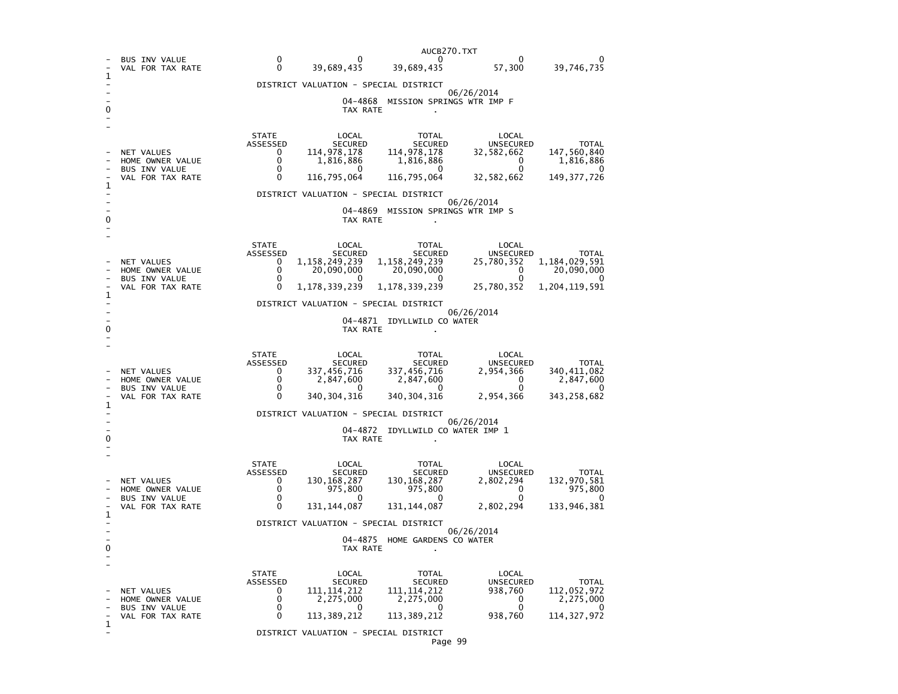|   |                                          |                                                       |                                       | AUCB270.TXT                                                                                                                                                                              |                           |                            |  |  |
|---|------------------------------------------|-------------------------------------------------------|---------------------------------------|------------------------------------------------------------------------------------------------------------------------------------------------------------------------------------------|---------------------------|----------------------------|--|--|
|   | <b>BUS INV VALUE</b><br>VAL FOR TAX RATE | $\Omega$<br>0                                         |                                       | $0$ 0 0<br>39,689,435 39,689,435 57,300                                                                                                                                                  |                           | 39,746,735                 |  |  |
|   |                                          |                                                       | DISTRICT VALUATION - SPECIAL DISTRICT |                                                                                                                                                                                          |                           |                            |  |  |
|   |                                          |                                                       |                                       | 04-4868 MISSION SPRINGS WTR IMP F                                                                                                                                                        | 06/26/2014                |                            |  |  |
|   |                                          |                                                       |                                       | TAX RATE                                                                                                                                                                                 |                           |                            |  |  |
|   |                                          | STATE                                                 | LOCAL                                 | TOTAL                                                                                                                                                                                    | LOCAL                     |                            |  |  |
|   | NET VALUES                               | ASSESSED<br>$\overline{\mathbf{0}}$                   |                                       |                                                                                                                                                                                          |                           |                            |  |  |
|   | HOME OWNER VALUE                         | $\overline{0}$                                        |                                       |                                                                                                                                                                                          |                           |                            |  |  |
|   | BUS INV VALUE<br>VAL FOR TAX RATE        | $\overline{0}$<br>$\sim$ 0                            |                                       | 10CAL TOTAL LOCAL TOTAL LOCAL TOTAL SECURED TOTAL<br>114,978,178 114,978,178 32,582,662 147,560,840<br>1,816,886 1,816,886 0 1,816,886<br>116,795,064 116,795,064 32,582,662 149,377,726 |                           |                            |  |  |
| 1 |                                          |                                                       |                                       |                                                                                                                                                                                          |                           |                            |  |  |
|   |                                          |                                                       | DISTRICT VALUATION - SPECIAL DISTRICT |                                                                                                                                                                                          | 06/26/2014                |                            |  |  |
| 0 |                                          |                                                       |                                       | 04-4869 MISSION SPRINGS WTR IMP S<br>TAX RATE                                                                                                                                            |                           |                            |  |  |
|   |                                          | <b>STATE</b>                                          |                                       |                                                                                                                                                                                          |                           |                            |  |  |
|   |                                          | ASSESSED                                              |                                       |                                                                                                                                                                                          |                           |                            |  |  |
|   | NET VALUES<br>HOME OWNER VALUE           | $\overline{0}$<br>$\Omega$                            |                                       |                                                                                                                                                                                          |                           |                            |  |  |
|   | BUS INV VALUE                            | $\overline{0}$<br>$\sim$ 0                            |                                       | 1,178,339,239 1,178,339,239 25,780,352 1,204,119,591                                                                                                                                     |                           |                            |  |  |
| 1 | VAL FOR TAX RATE                         |                                                       |                                       |                                                                                                                                                                                          |                           |                            |  |  |
|   |                                          | DISTRICT VALUATION - SPECIAL DISTRICT<br>06/26/2014   |                                       |                                                                                                                                                                                          |                           |                            |  |  |
|   |                                          |                                                       |                                       | 04-4871 IDYLLWILD CO WATER                                                                                                                                                               |                           |                            |  |  |
| 0 |                                          |                                                       | TAX RATE                              |                                                                                                                                                                                          |                           |                            |  |  |
|   |                                          | <b>STATE</b>                                          | LOCAL                                 | TOTAL                                                                                                                                                                                    | LOCAL                     |                            |  |  |
|   |                                          | ASSESSED<br>0                                         |                                       | 20021 1994<br>ECURED SECURED UNSECURED<br>337,456,716 337,456,716 2,954,366<br>2,847,600 2,847,600 0<br>200201.000 0<br>200201.000 0                                                     |                           | TOTAL                      |  |  |
|   | NET VALUES<br>HOME OWNER VALUE           |                                                       |                                       |                                                                                                                                                                                          |                           | 340, 411, 082<br>2,847,600 |  |  |
|   | BUS INV VALUE<br>VAL FOR TAX RATE        | $\begin{matrix}0\\0\\0\end{matrix}$                   |                                       | $340, 304, 316$ $340, 304, 316$ 2,954,366                                                                                                                                                |                           | 343, 258, 682              |  |  |
| 1 |                                          |                                                       |                                       |                                                                                                                                                                                          |                           |                            |  |  |
|   |                                          |                                                       | DISTRICT VALUATION - SPECIAL DISTRICT |                                                                                                                                                                                          | 06/26/2014                |                            |  |  |
| 0 |                                          |                                                       | TAX RATE                              | 04-4872 IDYLLWILD CO WATER IMP 1                                                                                                                                                         |                           |                            |  |  |
|   |                                          |                                                       |                                       |                                                                                                                                                                                          |                           |                            |  |  |
|   |                                          | STATE                                                 |                                       |                                                                                                                                                                                          |                           |                            |  |  |
|   |                                          | ASSESSED                                              |                                       |                                                                                                                                                                                          |                           | TOTAL                      |  |  |
|   | NET VALUES<br>HOME OWNER VALUE           | $\begin{bmatrix} 0 \\ 0 \\ 0 \\ 0 \\ 0 \end{bmatrix}$ |                                       |                                                                                                                                                                                          |                           | 132,970,581<br>975,800     |  |  |
|   | BUS INV VALUE<br>VAL FOR TAX RATE        |                                                       |                                       | $131, 144, 087$ $131, 144, 087$ $2, 802, 294$ $133, 946, 381$                                                                                                                            |                           | - 0                        |  |  |
| 1 |                                          |                                                       |                                       |                                                                                                                                                                                          |                           |                            |  |  |
|   |                                          |                                                       |                                       | DISTRICT VALUATION - SPECIAL DISTRICT                                                                                                                                                    | 06/26/2014                |                            |  |  |
| 0 |                                          |                                                       | TAX RATE                              | 04-4875 HOME GARDENS CO WATER                                                                                                                                                            |                           |                            |  |  |
|   |                                          |                                                       |                                       |                                                                                                                                                                                          |                           |                            |  |  |
|   |                                          | <b>STATE</b>                                          | LOCAL                                 | TOTAL                                                                                                                                                                                    | LOCAL                     |                            |  |  |
|   |                                          |                                                       |                                       |                                                                                                                                                                                          |                           | TOTAL                      |  |  |
|   | NET VALUES<br>HOME OWNER VALUE           |                                                       |                                       |                                                                                                                                                                                          | UNSECURED<br>938,760<br>0 | 112,052,972<br>2,275,000   |  |  |
|   | <b>BUS INV VALUE</b><br>VAL FOR TAX RATE |                                                       |                                       | ASSESSED<br>0 111, 114, 212 111, 114, 212<br>0 2, 275, 000 2, 275, 000<br>0 113, 389, 212 113, 389, 212<br>113, 389, 212 113, 389, 212 938, 760 114, 327, 972                            | $\overline{0}$            |                            |  |  |
| 1 |                                          |                                                       |                                       |                                                                                                                                                                                          |                           |                            |  |  |
|   |                                          |                                                       | DISTRICT VALUATION - SPECIAL DISTRICT |                                                                                                                                                                                          |                           |                            |  |  |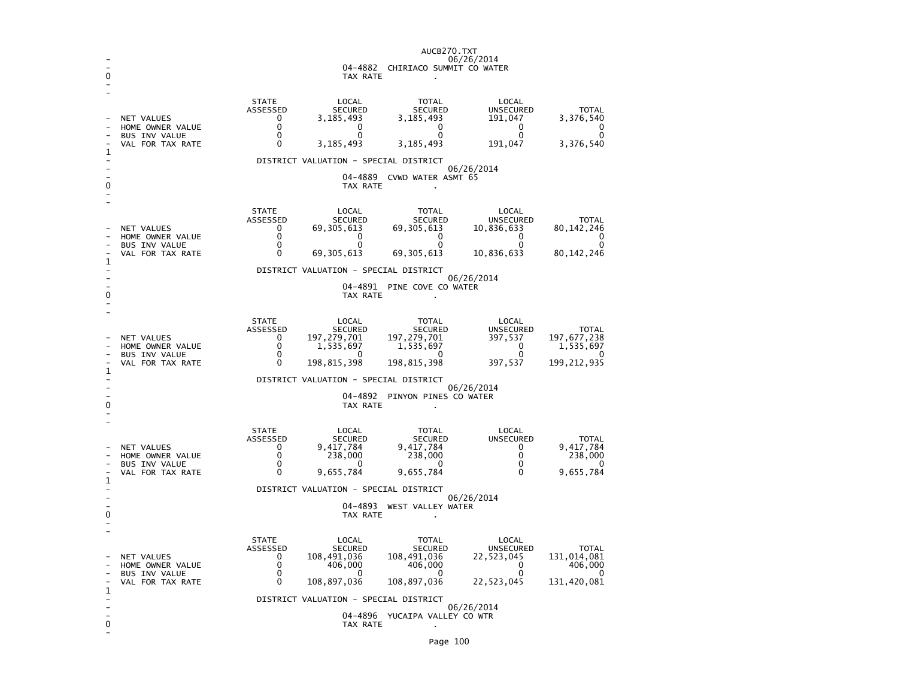| AUCB270.TXT |                                             |                                                |                                       |                                     |                             |                            |  |  |
|-------------|---------------------------------------------|------------------------------------------------|---------------------------------------|-------------------------------------|-----------------------------|----------------------------|--|--|
|             |                                             | 06/26/2014<br>04-4882 CHIRIACO SUMMIT CO WATER |                                       |                                     |                             |                            |  |  |
|             |                                             |                                                | TAX RATE                              |                                     |                             |                            |  |  |
|             |                                             |                                                |                                       |                                     |                             |                            |  |  |
|             |                                             | <b>STATE</b>                                   | LOCAL                                 | <b>TOTAL</b>                        | LOCAL                       |                            |  |  |
|             | NET VALUES                                  | ASSESSED<br>0                                  | <b>SECURED</b><br>3,185,493           | <b>SECURED</b><br>3,185,493         | <b>UNSECURED</b><br>191,047 | <b>TOTAL</b><br>3,376,540  |  |  |
|             | HOME OWNER VALUE                            | $\mathbf 0$                                    | $\Omega$                              | $\mathbf 0$                         | 0                           | 0                          |  |  |
|             | <b>BUS INV VALUE</b><br>VAL FOR TAX RATE    | $\mathbf 0$<br>$\Omega$                        | $\Omega$<br>3,185,493                 | $\mathbf{0}$<br>3,185,493           | 0<br>191,047                | 0<br>3,376,540             |  |  |
| ı           |                                             |                                                |                                       |                                     |                             |                            |  |  |
|             |                                             |                                                | DISTRICT VALUATION - SPECIAL DISTRICT |                                     | 06/26/2014                  |                            |  |  |
| $\Gamma$    |                                             |                                                | TAX RATE                              | 04-4889 CVWD WATER ASMT 65          |                             |                            |  |  |
|             |                                             |                                                |                                       |                                     |                             |                            |  |  |
|             |                                             | <b>STATE</b>                                   | LOCAL                                 | TOTAL                               | LOCAL                       |                            |  |  |
|             |                                             | ASSESSED                                       | <b>SECURED</b>                        | <b>SECURED</b>                      | UNSECURED                   | TOTAL                      |  |  |
|             | NET VALUES<br>HOME OWNER VALUE              | $\Omega$<br>0                                  | 69,305,613<br>0                       | 69,305,613<br>$\mathbf 0$           | 10,836,633<br>0             | 80, 142, 246<br>0          |  |  |
|             | <b>BUS INV VALUE</b>                        | $\mathbf 0$                                    | $\mathbf{0}$                          | $\mathbf{0}$                        | $\Omega$                    | $\mathbf 0$                |  |  |
| 1           | VAL FOR TAX RATE                            | 0                                              | 69, 305, 613                          | 69, 305, 613                        | 10,836,633                  | 80, 142, 246               |  |  |
|             |                                             |                                                | DISTRICT VALUATION - SPECIAL DISTRICT |                                     | 06/26/2014                  |                            |  |  |
|             |                                             |                                                |                                       | 04-4891 PINE COVE CO WATER          |                             |                            |  |  |
| 0           |                                             |                                                | TAX RATE                              |                                     |                             |                            |  |  |
|             |                                             | <b>STATE</b>                                   |                                       |                                     | LOCAL                       |                            |  |  |
|             |                                             | ASSESSED                                       | LOCAL<br><b>SECURED</b>               | TOTAL                               | UNSECURED                   | <b>TOTAL</b>               |  |  |
|             | NET VALUES<br>HOME OWNER VALUE              | $\mathbf{0}$<br>$\mathbf{0}$                   | 197,279,701<br>1,535,697              | SECURED<br>197,279,701<br>1,535,697 | 397,537<br>$\Omega$         | 197, 677, 238<br>1,535,697 |  |  |
|             | BUS INV VALUE                               | $\Omega$                                       | $\Omega$                              | $\overline{0}$                      | $\Omega$                    | 0                          |  |  |
| 1           | VAL FOR TAX RATE                            | $\Omega$                                       | 198,815,398                           | 198,815,398                         | 397,537                     | 199, 212, 935              |  |  |
|             | DISTRICT VALUATION - SPECIAL DISTRICT       |                                                |                                       |                                     |                             |                            |  |  |
|             | 06/26/2014<br>04-4892 PINYON PINES CO WATER |                                                |                                       |                                     |                             |                            |  |  |
|             | TAX RATE                                    |                                                |                                       |                                     |                             |                            |  |  |
|             |                                             | <b>STATE</b>                                   | LOCAL                                 | TOTAL                               | LOCAL                       |                            |  |  |
|             |                                             | ASSESSED                                       | <b>SECURED</b>                        | <b>SECURED</b>                      | UNSECURED                   | <b>TOTAL</b>               |  |  |
|             | NET VALUES<br>HOME OWNER VALUE              | 0<br>$\mathbf{0}$                              | 9,417,784<br>238,000                  | 9,417,784<br>238,000                | $\mathbf{0}$<br>$\Omega$    | 9,417,784<br>238,000       |  |  |
|             | <b>BUS INV VALUE</b>                        | 0                                              | $\mathbf 0$                           | - റ                                 | 0                           | 0                          |  |  |
| 1           | VAL FOR TAX RATE                            | 0                                              | 9,655,784                             | 9,655,784                           | 0                           | 9,655,784                  |  |  |
|             |                                             |                                                | DISTRICT VALUATION - SPECIAL DISTRICT |                                     | 06/26/2014                  |                            |  |  |
|             |                                             |                                                |                                       | 04-4893 WEST VALLEY WATER           |                             |                            |  |  |
|             |                                             |                                                | TAX RATE                              |                                     |                             |                            |  |  |
|             |                                             | <b>STATE</b>                                   | LOCAL                                 | TOTAL                               | LOCAL                       |                            |  |  |
|             |                                             | ASSESSED                                       | <b>SECURED</b>                        | <b>SECURED</b>                      | <b>UNSECURED</b>            | <b>TOTAL</b>               |  |  |
|             | NET VALUES<br>HOME OWNER VALUE              | 0<br>$\mathbf{0}$                              | 108,491,036<br>406,000                | 108,491,036<br>406,000              | 22,523,045<br>$\mathbf{0}$  | 131,014,081<br>406,000     |  |  |
|             | <b>BUS INV VALUE</b>                        | $\Omega$                                       | $\Omega$                              | $\Omega$                            | $\Omega$                    | 0                          |  |  |
| 1           | VAL FOR TAX RATE                            | 0                                              | 108,897,036                           | 108,897,036                         | 22,523,045                  | 131,420,081                |  |  |
|             |                                             |                                                | DISTRICT VALUATION - SPECIAL DISTRICT |                                     | 06/26/2014                  |                            |  |  |
|             |                                             |                                                |                                       | 04-4896 YUCAIPA VALLEY CO WTR       |                             |                            |  |  |
| 0           | TAX RATE                                    |                                                |                                       |                                     |                             |                            |  |  |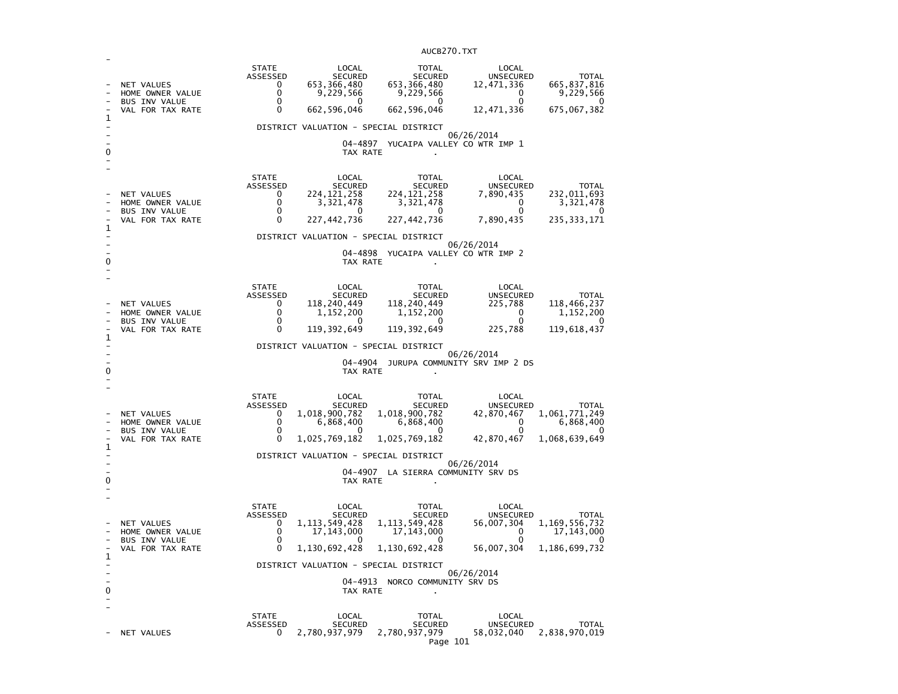| 1<br>O | NET VALUES<br>HOME OWNER VALUE<br><b>BUS INV VALUE</b><br>VAL FOR TAX RATE | <b>STATE</b><br>ASSESSED<br>$\Omega$<br>$\mathbf{0}$<br>$\mathbf 0$<br>$\Omega$ | LOCAL<br>SECURED<br>653, 366, 480<br>9,229,566<br>0<br>662,596,046<br>DISTRICT VALUATION - SPECIAL DISTRICT<br>TAX RATE            | TOTAL<br>SECURED<br>653, 366, 480<br>9,229,566<br>0<br>662,596,046<br>04-4897 YUCAIPA VALLEY CO WTR IMP 1                             | LOCAL<br>UNSECURED<br>12,471,336<br>$\overline{\mathbf{0}}$<br>$\overline{0}$<br>12,471,336<br>06/26/2014 | <b>TOTAL</b><br>665, 837, 816<br>9,229,566<br>0<br>675,067,382        |
|--------|----------------------------------------------------------------------------|---------------------------------------------------------------------------------|------------------------------------------------------------------------------------------------------------------------------------|---------------------------------------------------------------------------------------------------------------------------------------|-----------------------------------------------------------------------------------------------------------|-----------------------------------------------------------------------|
| 1      | NET VALUES<br>HOME OWNER VALUE<br>BUS INV VALUE<br>VAL FOR TAX RATE        | STATE<br>ASSESSED<br>$^{\circ}$<br>$\Omega$<br>$\mathbf 0$<br>0                 | LOCAL<br>SECURED<br>224,121,258<br>3,321,478<br>$\overline{0}$<br>227,442,736<br>DISTRICT VALUATION - SPECIAL DISTRICT<br>TAX RATE | TOTAL<br>SECURED<br>224, 121, 258<br>3, 321, 478<br>$\overline{0}$<br>04-4898 YUCAIPA VALLEY CO WTR IMP 2                             | LOCAL<br>UNSECURED<br>7,890,435<br>$\frac{1}{2}$<br>$\overline{0}$<br>227,442,736 7,890,435<br>06/26/2014 | <b>TOTAL</b><br>232,011,693<br>3,321,478<br>$\Omega$<br>235, 333, 171 |
| 1      | NET VALUES<br>HOME OWNER VALUE<br>BUS INV VALUE<br>VAL FOR TAX RATE        | <b>STATE</b><br>ASSESSED<br>$\Omega$<br>$\Omega$<br>$\mathbf 0$<br>0            | LOCAL<br>SECURED<br>118, 240, 449<br>1,152,200<br>- 0<br>119,392,649<br>DISTRICT VALUATION - SPECIAL DISTRICT<br>TAX RATE          | TOTAL<br>SECURED<br>118, 240, 449<br>1, 152, 200<br>$\overline{\mathbf{0}}$<br>119, 392, 649<br>04-4904 JURUPA COMMUNITY SRV IMP 2 DS | LOCAL<br>UNSECURED<br>225,788<br>$\overline{a}$<br>$\overline{0}$<br>225,788<br>06/26/2014                | <b>TOTAL</b><br>118,466,237<br>1,152,200<br>- 0<br>119,618,437        |
| 1      | NET VALUES<br>HOME OWNER VALUE<br>BUS INV VALUE<br>VAL FOR TAX RATE        | <b>STATE</b><br>ASSESSED<br>$^{\circ}$<br>$\mathbf 0$<br>$\Omega$<br>0          | LOCAL<br>SECURED<br>1,018,900,782<br>6,868,400<br>1,025,769,182<br>DISTRICT VALUATION - SPECIAL DISTRICT                           | TOTAL<br>SECURED<br>1,018,900,782<br>6,868,400<br>$\Omega$<br>1,025,769,182<br>04-4907 LA SIERRA COMMUNITY SRV DS<br>TAX RATE         | LOCAL<br>UNSECURED<br>42,870,467<br>$\frac{1}{2}$<br>$\Omega$<br>42,870,467<br>06/26/2014                 | TOTAL<br>1,061,771,249<br>6,868,400<br>1,068,639,649                  |
| 1      | NET VALUES<br>HOME OWNER VALUE<br><b>BUS INV VALUE</b><br>VAL FOR TAX RATE | <b>STATE</b><br>ASSESSED<br>$\mathbf{0}$<br>$\Omega$<br>$\Omega$<br>0           | LOCAL<br>SECURED<br>1,113,549,428<br>17, 143, 000<br>1,130,692,428<br>DISTRICT VALUATION - SPECIAL DISTRICT<br>TAX RATE            | TOTAL<br>SECURED<br>1, 113, 549, 428<br>17, 143, 000<br>$\Omega$<br>1,130,692,428<br>04-4913 NORCO COMMUNITY SRV DS                   | LOCAL<br>UNSECURED<br>56,007,304<br>$\overline{\phantom{a}}$ 0<br>$\Omega$<br>56,007,304<br>06/26/2014    | <b>TOTAL</b><br>1, 169, 556, 732<br>17, 143, 000<br>1,186,699,732     |
|        | NET VALUES                                                                 | <b>STATE</b><br>ASSESSED<br>$\mathbf{0}$                                        | LOCAL<br>SECURED<br>2,780,937,979                                                                                                  | TOTAL<br><b>SECURED</b><br>2,780,937,979<br>Page 101                                                                                  | LOCAL<br>UNSECURED<br>58,032,040 2,838,970,019                                                            | <b>TOTAL</b>                                                          |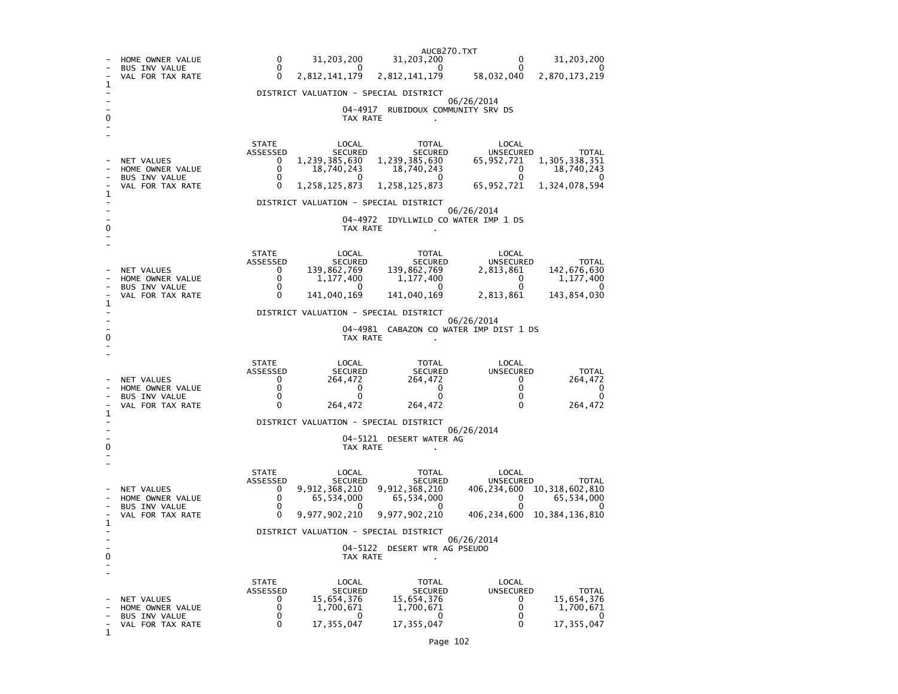|                                                       | HOME OWNER VALUE                                                           | AUCB270.TXT<br>$\Omega$<br>31,203,200<br>31,203,200<br>31,203,200<br>0<br>0                                                                                                                                                                                                                                                                                                                                                                        |  |  |  |  |  |  |
|-------------------------------------------------------|----------------------------------------------------------------------------|----------------------------------------------------------------------------------------------------------------------------------------------------------------------------------------------------------------------------------------------------------------------------------------------------------------------------------------------------------------------------------------------------------------------------------------------------|--|--|--|--|--|--|
|                                                       | <b>BUS INV VALUE</b><br>VAL FOR TAX RATE                                   | 0<br>0<br>2,812,141,179<br>58,032,040<br>$\mathbf{0}$<br>2,812,141,179<br>2,870,173,219                                                                                                                                                                                                                                                                                                                                                            |  |  |  |  |  |  |
| ı                                                     |                                                                            | DISTRICT VALUATION - SPECIAL DISTRICT                                                                                                                                                                                                                                                                                                                                                                                                              |  |  |  |  |  |  |
|                                                       |                                                                            | 06/26/2014<br>04–4917<br>RUBIDOUX COMMUNITY SRV DS<br>TAX RATE                                                                                                                                                                                                                                                                                                                                                                                     |  |  |  |  |  |  |
| 1<br>0                                                | NET VALUES<br>HOME OWNER VALUE<br><b>BUS INV VALUE</b><br>VAL FOR TAX RATE | <b>STATE</b><br>LOCAL<br>TOTAL<br>LOCAL<br>ASSESSED<br><b>SECURED</b><br><b>SECURED</b><br><b>UNSECURED</b><br>TOTAL<br>1,239,385,630<br>1,305,338,351<br>1,239,385,630<br>0<br>65,952,721<br>0<br>18,740,243<br>18,740,243<br>18,740,243<br>0<br>0<br>0<br>0<br>U<br>1,258,125,873<br>0<br>1,258,125,873<br>65,952,721<br>1,324,078,594<br>DISTRICT VALUATION - SPECIAL DISTRICT<br>06/26/2014<br>04-4972 IDYLLWILD CO WATER IMP 1 DS<br>TAX RATE |  |  |  |  |  |  |
| 1                                                     | NET VALUES<br>HOME OWNER VALUE<br><b>BUS INV VALUE</b><br>VAL FOR TAX RATE | <b>STATE</b><br>LOCAL<br>TOTAL<br>LOCAL<br>ASSESSED<br><b>SECURED</b><br><b>SECURED</b><br><b>UNSECURED</b><br><b>TOTAL</b><br>139,862,769<br>139,862,769<br>142,676,630<br>0<br>2,813,861<br>0<br>1,177,400<br>1,177,400<br>0<br>1,177,400<br>0<br>0<br>0<br>141,040,169<br>143,854,030<br>0<br>141,040,169<br>2,813,861<br>DISTRICT VALUATION - SPECIAL DISTRICT<br>06/26/2014<br>04-4981 CABAZON CO WATER IMP DIST 1 DS                         |  |  |  |  |  |  |
|                                                       |                                                                            | TAX RATE                                                                                                                                                                                                                                                                                                                                                                                                                                           |  |  |  |  |  |  |
| 1                                                     | NET VALUES<br>HOME OWNER VALUE<br>BUS INV VALUE<br>VAL FOR TAX RATE        | <b>STATE</b><br>LOCAL<br>LOCAL<br>TOTAL<br>ASSESSED<br><b>SECURED</b><br><b>SECURED</b><br><b>UNSECURED</b><br><b>TOTAL</b><br>264,472<br>264,472<br>264,472<br>0<br>0<br>0<br>0<br>0<br>0<br>0<br>0<br>0<br>0<br>0<br>0<br>$\Omega$<br>0<br>264,472<br>264,472<br>264,472                                                                                                                                                                         |  |  |  |  |  |  |
|                                                       |                                                                            | DISTRICT VALUATION - SPECIAL DISTRICT<br>06/26/2014                                                                                                                                                                                                                                                                                                                                                                                                |  |  |  |  |  |  |
| o                                                     |                                                                            | 04-5121 DESERT WATER AG<br>TAX RATE                                                                                                                                                                                                                                                                                                                                                                                                                |  |  |  |  |  |  |
|                                                       | NET VALUES<br>HOME OWNER VALUE<br><b>BUS INV VALUE</b><br>VAL FOR TAX RATE | <b>STATE</b><br>LOCAL<br>LOCAL<br>TOTAL<br>ASSESSED<br><b>SECURED</b><br><b>SECURED</b><br><b>UNSECURED</b><br><b>TOTAL</b><br>9,912,368,210<br>9,912,368,210<br>406,234,600<br>10, 318, 602, 810<br>0<br>0<br>65,534,000<br>65,534,000<br>0<br>65,534,000<br>$\Omega$<br>0<br>0<br>0<br>0<br>9,977,902,210<br>0<br>9,977,902,210<br>406,234,600<br>10, 384, 136, 810                                                                              |  |  |  |  |  |  |
|                                                       |                                                                            | DISTRICT VALUATION - SPECIAL DISTRICT<br>06/26/2014                                                                                                                                                                                                                                                                                                                                                                                                |  |  |  |  |  |  |
| 04-5122<br>DESERT WTR AG PSEUDO<br>0<br>TAX RATE<br>۰ |                                                                            |                                                                                                                                                                                                                                                                                                                                                                                                                                                    |  |  |  |  |  |  |
| 1                                                     | NET VALUES<br>HOME OWNER VALUE<br>BUS INV VALUE<br>VAL FOR TAX RATE        | LOCAL<br>LOCAL<br><b>STATE</b><br>TOTAL<br><b>ASSESSED</b><br>UNSECURED<br><b>SECURED</b><br><b>SECURED</b><br>TOTAL<br>15,654,376<br>15,654,376<br>15,654,376<br>0<br>0<br>0<br>0<br>1,700,671<br>1,700,671<br>1,700,671<br>0<br>0<br>0<br>0<br>0<br>17, 355, 047<br>17,355,047<br>17, 355, 047<br>0<br>0                                                                                                                                         |  |  |  |  |  |  |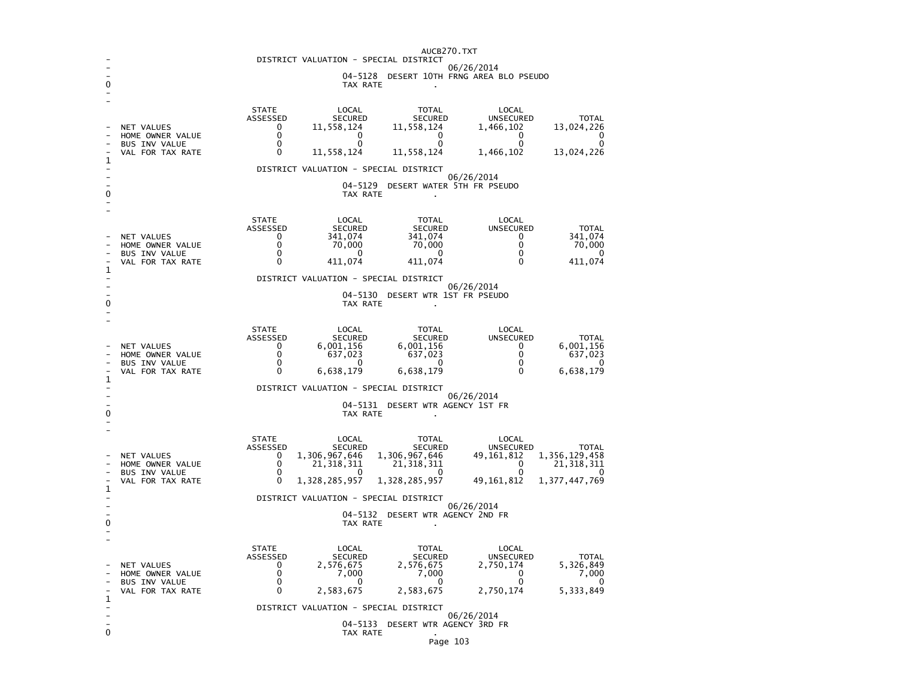|                                                              | AUCB270.TXT                                         |                          |                             |                                       |                           |                             |  |
|--------------------------------------------------------------|-----------------------------------------------------|--------------------------|-----------------------------|---------------------------------------|---------------------------|-----------------------------|--|
|                                                              | DISTRICT VALUATION - SPECIAL DISTRICT<br>06/26/2014 |                          |                             |                                       |                           |                             |  |
| 04-5128<br>DESERT 10TH FRNG AREA BLO PSEUDO<br>0<br>TAX RATE |                                                     |                          |                             |                                       |                           |                             |  |
|                                                              |                                                     |                          |                             |                                       |                           |                             |  |
|                                                              |                                                     | <b>STATE</b><br>ASSESSED | LOCAL<br><b>SECURED</b>     | <b>TOTAL</b><br><b>SECURED</b>        | LOCAL<br><b>UNSECURED</b> | TOTAL                       |  |
|                                                              | NET VALUES                                          | 0                        | 11,558,124                  | 11,558,124                            | 1,466,102                 | 13,024,226                  |  |
|                                                              | HOME OWNER VALUE<br><b>BUS INV VALUE</b>            | 0<br>0                   | 0<br>0                      | 0<br>0                                | U<br>0                    | U<br>0                      |  |
| 1                                                            | VAL FOR TAX RATE                                    | 0                        | 11,558,124                  | 11,558,124                            | 1,466,102                 | 13,024,226                  |  |
|                                                              |                                                     |                          |                             | DISTRICT VALUATION - SPECIAL DISTRICT |                           |                             |  |
|                                                              |                                                     |                          | $04 - 5129$                 | DESERT WATER 5TH FR PSEUDO            | 06/26/2014                |                             |  |
| 0                                                            |                                                     |                          | TAX RATE                    |                                       |                           |                             |  |
|                                                              |                                                     | <b>STATE</b>             | LOCAL                       | <b>TOTAL</b>                          | LOCAL                     |                             |  |
|                                                              |                                                     | ASSESSED                 | <b>SECURED</b>              | <b>SECURED</b>                        | <b>UNSECURED</b>          | <b>TOTAL</b>                |  |
|                                                              | NET VALUES<br>HOME OWNER VALUE                      | 0<br>0                   | 341,074<br>70,000           | 341,074<br>70,000                     | 0<br>0                    | 341,074<br>70,000           |  |
|                                                              | <b>BUS INV VALUE</b><br>VAL FOR TAX RATE            | $\mathbf 0$<br>0         | 0<br>411,074                | 0<br>411,074                          | 0<br>0                    | 0<br>411,074                |  |
| 1                                                            |                                                     |                          |                             | DISTRICT VALUATION - SPECIAL DISTRICT |                           |                             |  |
|                                                              |                                                     |                          |                             |                                       | 06/26/2014                |                             |  |
| 0                                                            |                                                     |                          | 04-5130<br>TAX RATE         | DESERT WTR 1ST FR PSEUDO              |                           |                             |  |
|                                                              |                                                     |                          |                             |                                       |                           |                             |  |
|                                                              |                                                     | <b>STATE</b>             | LOCAL                       | <b>TOTAL</b>                          | LOCAL                     |                             |  |
|                                                              | NET VALUES                                          | ASSESSED<br>0            | <b>SECURED</b><br>6,001,156 | <b>SECURED</b><br>6,001,156           | UNSECURED<br>0            | TOTAL<br>6,001,156          |  |
|                                                              | HOME OWNER VALUE<br><b>BUS INV VALUE</b>            | 0<br>0                   | 637,023<br>0                | 637,023<br>0                          | 0<br>0                    | 637,023<br>0                |  |
| 1                                                            | VAL FOR TAX RATE                                    | 0                        | 6,638,179                   | 6,638,179                             | 0                         | 6,638,179                   |  |
|                                                              |                                                     |                          |                             | DISTRICT VALUATION - SPECIAL DISTRICT |                           |                             |  |
|                                                              |                                                     |                          | 04-5131                     | DESERT WTR AGENCY 1ST FR              | 06/26/2014                |                             |  |
| 0                                                            |                                                     |                          | TAX RATE                    |                                       |                           |                             |  |
|                                                              |                                                     | <b>STATE</b>             | LOCAL                       | TOTAL                                 | LOCAL                     |                             |  |
|                                                              |                                                     | ASSESSED                 | <b>SECURED</b>              | SECURED                               | UNSECURED                 | TOTAL                       |  |
|                                                              | NET VALUES<br>HOME OWNER VALUE                      | 0<br>$\mathbf 0$         | 1,306,967,646<br>21,318,311 | 1,306,967,646<br>21,318,311           | 49,161,812<br>0           | 1,356,129,458<br>21,318,311 |  |
|                                                              | <b>BUS INV VALUE</b><br>VAL FOR TAX RATE            | 0<br>0                   | $\Omega$<br>1,328,285,957   | 0<br>1,328,285,957                    | $\Omega$<br>49,161,812    | 0<br>1, 377, 447, 769       |  |
| 1                                                            |                                                     |                          |                             | DISTRICT VALUATION - SPECIAL DISTRICT |                           |                             |  |
|                                                              |                                                     |                          | 04-5132                     |                                       | 06/26/2014                |                             |  |
| 0                                                            |                                                     |                          | TAX RATE                    | DESERT WTR AGENCY 2ND FR              |                           |                             |  |
|                                                              |                                                     |                          |                             |                                       |                           |                             |  |
|                                                              |                                                     | <b>STATE</b><br>ASSESSED | LOCAL<br><b>SECURED</b>     | <b>TOTAL</b><br><b>SECURED</b>        | LOCAL<br>UNSECURED        | TOTAL                       |  |
|                                                              | NET VALUES                                          | 0<br>0                   | 2,576,675                   | 2,576,675                             | 2,750,174                 | 5,326,849                   |  |
|                                                              | HOME OWNER VALUE<br><b>BUS INV VALUE</b>            | 0                        | 7,000<br>0                  | 7,000<br>0                            | 0<br>0                    | 7,000<br>0                  |  |
| 1                                                            | VAL FOR TAX RATE                                    | 0                        | 2,583,675                   | 2,583,675                             | 2,750,174                 | 5,333,849                   |  |
|                                                              | DISTRICT VALUATION - SPECIAL DISTRICT<br>06/26/2014 |                          |                             |                                       |                           |                             |  |
| 0                                                            |                                                     |                          |                             | 04-5133 DESERT WTR AGENCY 3RD FR      |                           |                             |  |
|                                                              |                                                     |                          | TAX RATE                    |                                       |                           |                             |  |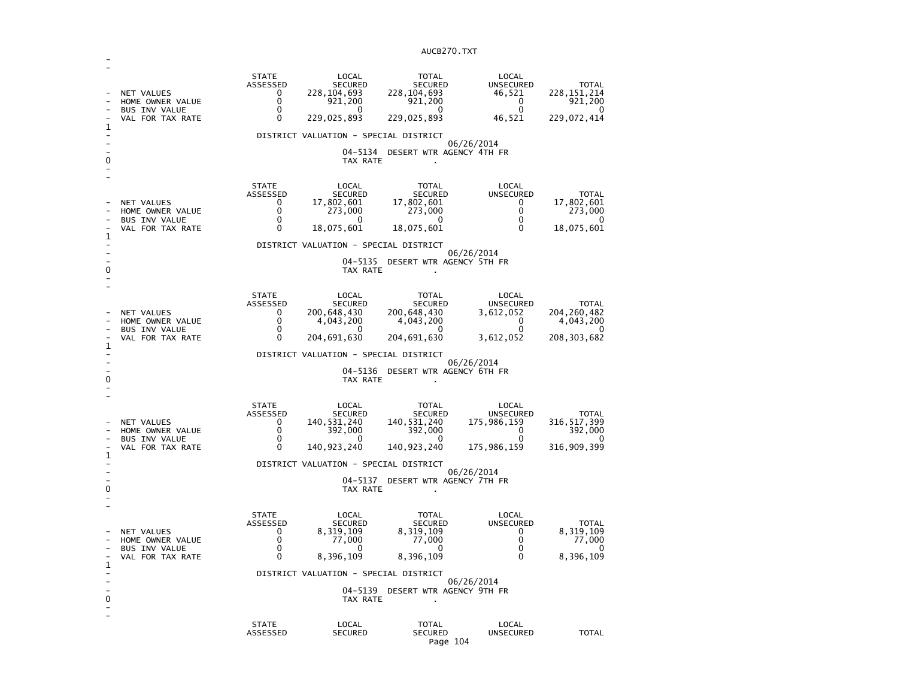| 1<br>0            | NET VALUES<br>HOME OWNER VALUE<br><b>BUS INV VALUE</b><br>VAL FOR TAX RATE        | <b>STATE</b><br>ASSESSED<br>0<br>0<br>0<br>0           | LOCAL<br><b>SECURED</b><br>228,104,693<br>921,200<br>$\Omega$<br>229,025,893<br>DISTRICT VALUATION - SPECIAL DISTRICT<br>TAX RATE       | <b>TOTAL</b><br><b>SECURED</b><br>228, 104, 693<br>921,200<br>0<br>229,025,893<br>04-5134 DESERT WTR AGENCY 4TH FR    | LOCAL<br><b>UNSECURED</b><br>46,521<br>0<br>0<br>46,521<br>06/26/2014                     | <b>TOTAL</b><br>228, 151, 214<br>921,200<br>0<br>229,072,414        |
|-------------------|-----------------------------------------------------------------------------------|--------------------------------------------------------|-----------------------------------------------------------------------------------------------------------------------------------------|-----------------------------------------------------------------------------------------------------------------------|-------------------------------------------------------------------------------------------|---------------------------------------------------------------------|
| 1<br>0            | NET VALUES<br>HOME OWNER VALUE<br>BUS INV VALUE<br>VAL FOR TAX RATE               | <b>STATE</b><br>ASSESSED<br>0<br>0<br>$\mathbf 0$<br>0 | LOCAL<br><b>SECURED</b><br>17,802,601<br>273,000<br>0<br>18,075,601<br>DISTRICT VALUATION - SPECIAL DISTRICT<br>TAX RATE                | <b>TOTAL</b><br><b>SECURED</b><br>17,802,601<br>273,000<br>0<br>18,075,601<br>04-5135 DESERT WTR AGENCY 5TH FR        | LOCAL<br><b>UNSECURED</b><br>0<br>0<br>0<br>$\Omega$<br>06/26/2014                        | <b>TOTAL</b><br>17,802,601<br>273,000<br>0<br>18,075,601            |
| 1<br>0            | <b>NET VALUES</b><br>HOME OWNER VALUE<br><b>BUS INV VALUE</b><br>VAL FOR TAX RATE | <b>STATE</b><br>ASSESSED<br>0<br>0<br>$\Omega$<br>0    | LOCAL<br><b>SECURED</b><br>200,648,430<br>4,043,200<br>0<br>204,691,630<br>DISTRICT VALUATION - SPECIAL DISTRICT<br>04-5136<br>TAX RATE | <b>TOTAL</b><br><b>SECURED</b><br>200,648,430<br>4,043,200<br>$\mathbf{0}$<br>204,691,630<br>DESERT WTR AGENCY 6TH FR | LOCAL<br><b>UNSECURED</b><br>3,612,052<br>0<br>$\Omega$<br>3,612,052<br>06/26/2014        | <b>TOTAL</b><br>204, 260, 482<br>4,043,200<br>0<br>208, 303, 682    |
| 1<br>0            | NET VALUES<br>HOME OWNER VALUE<br><b>BUS INV VALUE</b><br>VAL FOR TAX RATE        | <b>STATE</b><br>ASSESSED<br>0<br>0<br>0<br>0           | LOCAL<br><b>SECURED</b><br>140,531,240<br>392,000<br>$\Omega$<br>140, 923, 240<br>DISTRICT VALUATION - SPECIAL DISTRICT<br>TAX RATE     | TOTAL<br><b>SECURED</b><br>140, 531, 240<br>392,000<br>0<br>140, 923, 240<br>04-5137 DESERT WTR AGENCY 7TH FR         | LOCAL<br><b>UNSECURED</b><br>175,986,159<br>0<br>$\mathbf 0$<br>175,986,159<br>06/26/2014 | <b>TOTAL</b><br>316, 517, 399<br>392,000<br>$\Omega$<br>316,909,399 |
| $\mathbf{1}$<br>0 | NET VALUES<br>HOME OWNER VALUE<br><b>BUS INV VALUE</b><br>VAL FOR TAX RATE        | <b>STATE</b><br>ASSESSED<br>0<br>0<br>0<br>0           | LOCAL<br><b>SECURED</b><br>8,319,109<br>77,000<br>0<br>8,396,109<br>DISTRICT VALUATION - SPECIAL DISTRICT<br>04-5139<br>TAX RATE        | <b>TOTAL</b><br><b>SECURED</b><br>8,319,109<br>77,000<br>0<br>8,396,109<br>DESERT WTR AGENCY 9TH FR                   | LOCAL<br>UNSECURED<br>0<br>0<br>0<br>0<br>06/26/2014                                      | <b>TOTAL</b><br>8,319,109<br>77,000<br>O<br>8,396,109               |
|                   |                                                                                   | <b>STATE</b><br>ASSESSED                               | LOCAL<br><b>SECURED</b>                                                                                                                 | <b>TOTAL</b><br><b>SECURED</b>                                                                                        | LOCAL<br>UNSECURED                                                                        | <b>TOTAL</b>                                                        |

-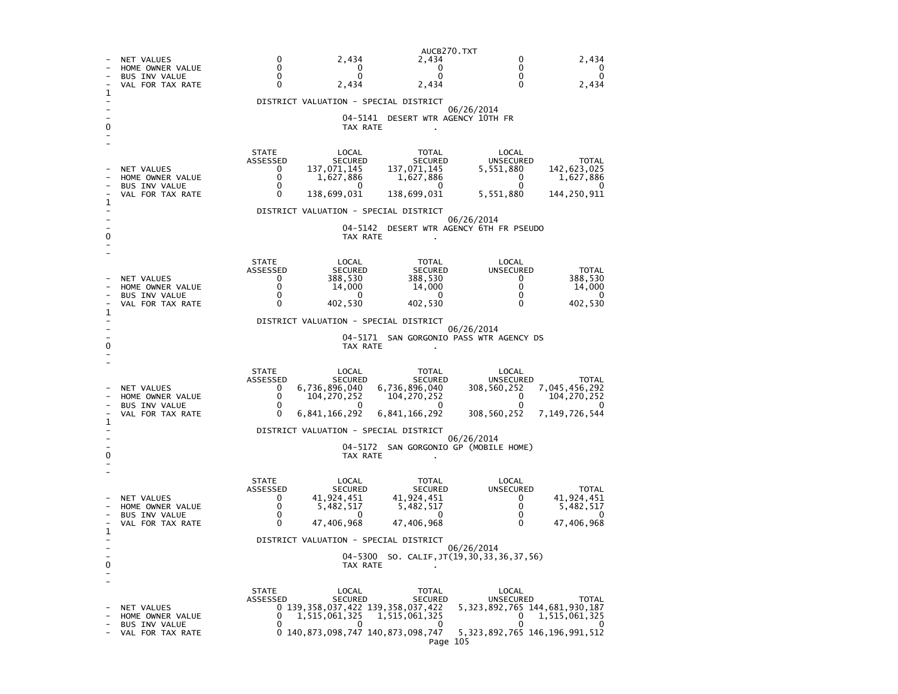AUCB270.TXT- NET VALUES 0 2,434 2,434 0 2,434<br>- HOME OWNER VALUE 0 0 0 0 0 0 0 - HOME OWNER VALUE  $\overline{0}$ - BUS INV VALUE  $\begin{array}{ccc} 0 & 0 & 0 \end{array}$  $\Omega$ VAL FOR TAX RATE  $0$  2,434 2,434 0 2,434 1 - DISTRICT VALUATION - SPECIAL DISTRICT - 06/26/2014 - 04-5141 DESERT WTR AGENCY 10TH FR 0 TAX RATE . - - STATE LOCAL TOTAL LOCAL ASSESSED SECURED SECURED UNSECURED TOTAL NET VALUES<br>
HOME OWNER VALUE  $\begin{array}{cccc} 0 & 137,07\overline{1},145 & 137,07\overline{1},145 & 5,551,880 \\ 0 & 1,627,886 & 1,627,886 \end{array}$ 142.623.025 - HOME OWNER VALUE 0 1,627,886 1,627,886 0 1,627,886 1,627,886 - BUS INV VALUE  $\overline{0}$ VAL FOR TAX RATE 0 138,699,031 138,699,031 5,551,880 144.250.911 1 - DISTRICT VALUATION - SPECIAL DISTRICT  $\sim$  - 06/26/2014 - 04-5142 DESERT WTR AGENCY 6TH FR PSEUDO 0 TAX RATE . - - STATE LOCAL TOTAL LOCAL **UNSECURED**  ASSESSED SECURED SECURED UNSECURED TOTAL - NET VALUES 0 388,530 388,530 0 388,530 388.530 - HOME OWNER VALUE 0 14,000 14,000 0 14,000 14,000 - BUS INV VALUE 0 0 0 0 0  $\overline{\phantom{0}}$ - VAL FOR TAX RATE 0 402,530 402,530 0 402,530 402,530 1 - DISTRICT VALUATION - SPECIAL DISTRICT - 06/26/2014 - 04-5171 SAN GORGONIO PASS WTR AGENCY DS 0 CONTROL TO TAX RATE THE SET OF TAX RATE AND TAX RATE ASSESSMENT OF TAX RATE AND TAX RATE AND TAX RATE AND TAX RATE AND TAX RATE AND TAX RATE AND TAX RATE AND TAX RATE AND TAX RATE AND TAX RATE AND TAX RATE AND TAX RATE A - - STATE LOCAL TOTAL LOCAL ASSESSED SECURED SECURED UNSECURED TOTAL **UNSECURED** 308,560,252 7,045,456,292 - NET VALUES 0 6,736,896,040 6,736,896,040 308,560,252 7,045,456,292 - HOME OWNER VALUE 0 104,270,252 104,270,252 0 104,270,252  $\overline{0}$   $\overline{104}$ , 270, 252 - BUS INV VALUE 0 0 0 0 0  $\Omega$ - VAL FOR TAX RATE 0 6,841,166,292 6,841,166,292 308.560.252 7.149.726.544 1 - DISTRICT VALUATION - SPECIAL DISTRICT - 06/26/2014 - 04-5172 SAN GORGONIO GP (MOBILE HOME) 0 CONTROL TO TAX RATE THE SET OF TAX RATE AND TAX RATE ASSESSMENT OF TAX RATE AND TAX RATE AND TAX RATE AND TAX RATE AND TAX RATE AND TAX RATE AND TAX RATE AND TAX RATE AND TAX RATE AND TAX RATE AND TAX RATE AND TAX RATE A - - STATE LOCAL TOTAL LOCAL ASSESSED SECURED SECURED UNSECURED TOTAL **UNSECURED** - NET VALUES 0 41,924,451 41,924,451 0 41,924,451 0 41,924,451 0 41,924,451 0 41,924,451 0 41,924,451 0 41,924 41,924,451  $5,482,517$ - HOME OWNER VALUE 0 5,482,517 5,482,517 0 5,482,517 - BUS INV VALUE 0 0 0 0 0  $\sim$ 47,406,968 - VAL FOR TAX RATE 0 47,406,968 47,406,968 0 47,406,968 1 - DISTRICT VALUATION - SPECIAL DISTRICT  $\sim$  - 06/26/2014 - 04-5300 SO. CALIF,JT(19,30,33,36,37,56) 0 TAX RATE . - - STATE LOCAL TOTAL LOCAL ASSESSED SECURED SECURED UNSECURED TOTAL - NET VALUES 0 139,358,037,422 139,358,037,422 5,323,892,765 144,681,930,187  $0 \t 1,515,061,325$ - HOME OWNER VALUE 0 1,515,061,325 1,515,061,325 0 1,515,061,325 - BUS INV VALUE 0 0 0 0 0  $\Omega$  - VAL FOR TAX RATE 0 140,873,098,747 140,873,098,747 5,323,892,765 146,196,991,512 Page 105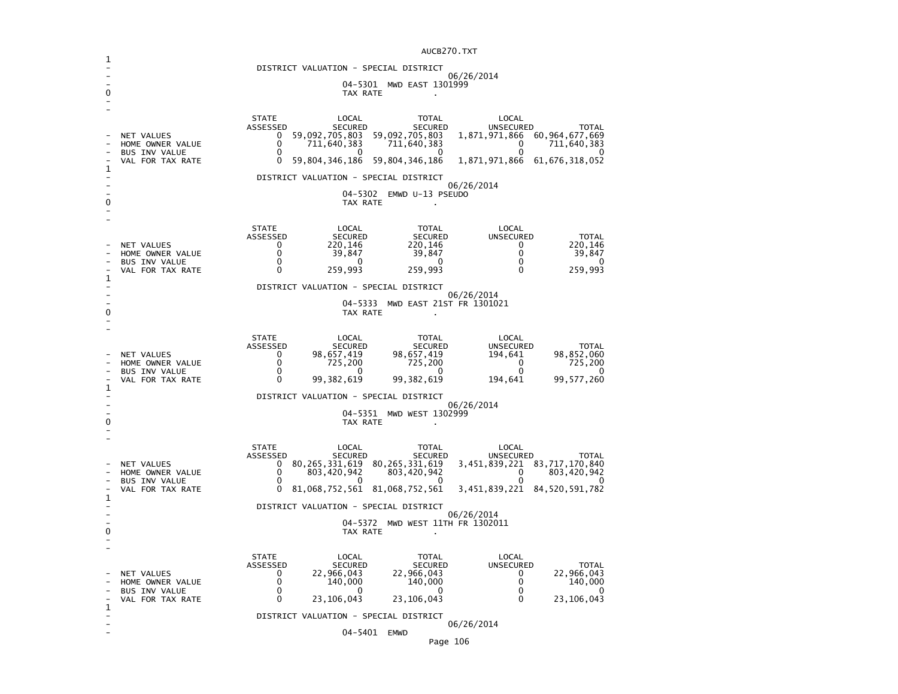| ı |                                                                            | AULDZIU.IAI                                                                                                                                                                                                                                                                                                                                                                                                      |  |  |  |  |  |  |
|---|----------------------------------------------------------------------------|------------------------------------------------------------------------------------------------------------------------------------------------------------------------------------------------------------------------------------------------------------------------------------------------------------------------------------------------------------------------------------------------------------------|--|--|--|--|--|--|
|   |                                                                            | DISTRICT VALUATION - SPECIAL DISTRICT<br>06/26/2014                                                                                                                                                                                                                                                                                                                                                              |  |  |  |  |  |  |
| 0 | 04-5301 MWD EAST 1301999<br>TAX RATE                                       |                                                                                                                                                                                                                                                                                                                                                                                                                  |  |  |  |  |  |  |
| 1 | NET VALUES<br>HOME OWNER VALUE<br>BUS INV VALUE<br>VAL FOR TAX RATE        | <b>STATE</b><br>LOCAL<br><b>TOTAL</b><br>LOCAL<br>ASSESSED<br><b>SECURED</b><br><b>UNSECURED</b><br><b>SECURED</b><br><b>TOTAL</b><br>59,092,705,803<br>59,092,705,803<br>60, 964, 677, 669<br>1,871,971,866<br>0<br>0<br>711,640,383<br>711,640,383<br>711,640,383<br>0<br>0<br>0<br>0<br>0<br>0<br>59,804,346,186<br>59,804,346,186<br>1,871,971,866<br>61,676,318,052<br>0                                    |  |  |  |  |  |  |
|   |                                                                            | DISTRICT VALUATION - SPECIAL DISTRICT                                                                                                                                                                                                                                                                                                                                                                            |  |  |  |  |  |  |
| 0 |                                                                            | 06/26/2014<br>04-5302 EMWD U-13 PSEUDO<br>TAX RATE                                                                                                                                                                                                                                                                                                                                                               |  |  |  |  |  |  |
| 1 | NET VALUES<br>HOME OWNER VALUE<br>BUS INV VALUE<br>VAL FOR TAX RATE        | <b>STATE</b><br>LOCAL<br><b>TOTAL</b><br>LOCAL<br>ASSESSED<br><b>SECURED</b><br><b>SECURED</b><br>UNSECURED<br><b>TOTAL</b><br>220,146<br>220,146<br>0<br>220,146<br>0<br>0<br>0<br>39,847<br>39,847<br>39,847<br>$\Omega$<br>$\Omega$<br>O<br>0<br>$\Omega$<br>259,993<br>259,993<br>0<br>259,993<br>0                                                                                                          |  |  |  |  |  |  |
|   |                                                                            | DISTRICT VALUATION - SPECIAL DISTRICT<br>06/26/2014                                                                                                                                                                                                                                                                                                                                                              |  |  |  |  |  |  |
| 0 | 04-5333<br>MWD EAST 21ST FR 1301021<br>TAX RATE<br>ä.                      |                                                                                                                                                                                                                                                                                                                                                                                                                  |  |  |  |  |  |  |
|   | NET VALUES<br>HOME OWNER VALUE<br><b>BUS INV VALUE</b><br>VAL FOR TAX RATE | <b>STATE</b><br>LOCAL<br><b>TOTAL</b><br>LOCAL<br>ASSESSED<br><b>SECURED</b><br><b>SECURED</b><br><b>UNSECURED</b><br><b>TOTAL</b><br>0<br>98,657,419<br>98,657,419<br>194,641<br>98,852,060<br>0<br>725,200<br>725,200<br>$\Omega$<br>725,200<br>0<br>0<br>0<br>0<br>0<br>99,382,619<br>99,577,260<br>0<br>99,382,619<br>194,641                                                                                |  |  |  |  |  |  |
| 1 |                                                                            | DISTRICT VALUATION - SPECIAL DISTRICT                                                                                                                                                                                                                                                                                                                                                                            |  |  |  |  |  |  |
| 0 | 06/26/2014<br>MWD WEST 1302999<br>04-5351<br>TAX RATE                      |                                                                                                                                                                                                                                                                                                                                                                                                                  |  |  |  |  |  |  |
| 1 | NET VALUES<br>HOME OWNER VALUE<br><b>BUS INV VALUE</b><br>VAL FOR TAX RATE | <b>STATE</b><br>LOCAL<br><b>TOTAL</b><br>LOCAL<br>ASSESSED<br><b>SECURED</b><br><b>SECURED</b><br><b>UNSECURED</b><br><b>TOTAL</b><br>80, 265, 331, 619 80, 265, 331, 619<br>0<br>3,451,839,221 83,717,170,840<br>0<br>803,420,942<br>803,420,942<br>0<br>803,420,942<br>0<br>0<br>0<br>0<br>0<br>3,451,839,221 84,520,591,782<br>0<br>81,068,752,561<br>81,068,752,561<br>DISTRICT VALUATION - SPECIAL DISTRICT |  |  |  |  |  |  |
| 0 | 06/26/2014<br>04–5372<br>MWD WEST 11TH FR 1302011<br>TAX RATE              |                                                                                                                                                                                                                                                                                                                                                                                                                  |  |  |  |  |  |  |
| 1 | NET VALUES<br>HOME OWNER VALUE<br><b>BUS INV VALUE</b><br>VAL FOR TAX RATE | <b>STATE</b><br>LOCAL<br><b>TOTAL</b><br>LOCAL<br>UNSECURED<br>ASSESSED<br><b>SECURED</b><br><b>SECURED</b><br><b>TOTAL</b><br>22,966,043<br>22,966,043<br>22,966,043<br>0<br>0<br>0<br>140,000<br>140,000<br>0<br>140,000<br>0<br>$\Omega$<br>0<br>0<br>0<br>23,106,043<br>0<br>23,106,043<br>23,106,043<br>0                                                                                                   |  |  |  |  |  |  |
|   |                                                                            | DISTRICT VALUATION - SPECIAL DISTRICT<br>06/26/2014                                                                                                                                                                                                                                                                                                                                                              |  |  |  |  |  |  |
|   |                                                                            | 04-5401<br><b>EMWD</b><br>Page 106                                                                                                                                                                                                                                                                                                                                                                               |  |  |  |  |  |  |
|   |                                                                            |                                                                                                                                                                                                                                                                                                                                                                                                                  |  |  |  |  |  |  |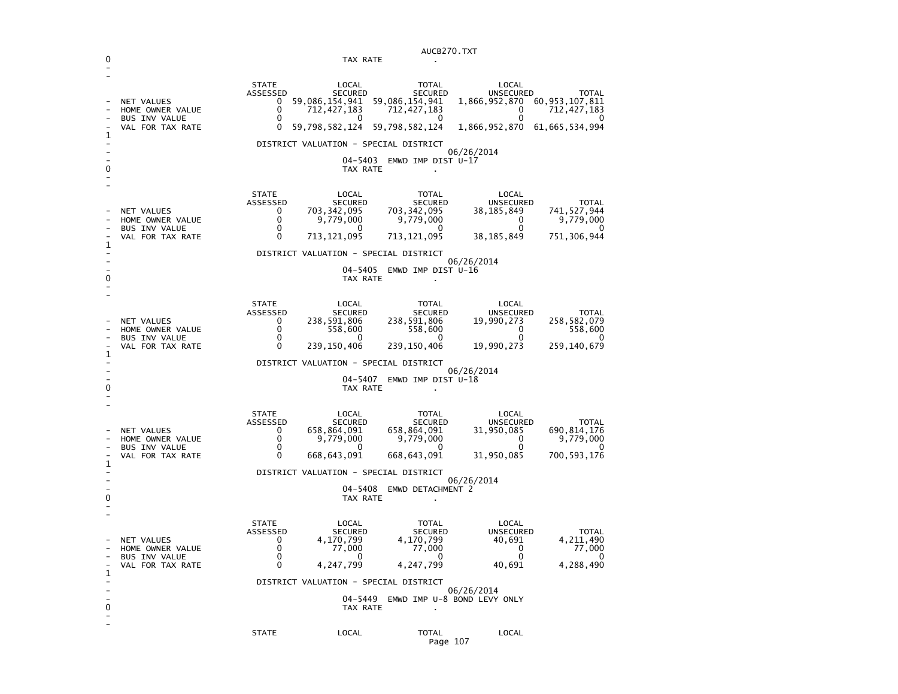|   |                                                                                                  | AUCB270.TXT                                                                  |                                                                                    |                                                                                         |                                                                 |                                                                             |  |
|---|--------------------------------------------------------------------------------------------------|------------------------------------------------------------------------------|------------------------------------------------------------------------------------|-----------------------------------------------------------------------------------------|-----------------------------------------------------------------|-----------------------------------------------------------------------------|--|
|   | TAX RATE<br>$\mathbf{r}$                                                                         |                                                                              |                                                                                    |                                                                                         |                                                                 |                                                                             |  |
|   | <b>NET VALUES</b><br>HOME OWNER VALUE<br><b>BUS INV VALUE</b>                                    | <b>STATE</b><br>ASSESSED<br>0<br>$\mathbf 0$<br>0                            | LOCAL<br><b>SECURED</b><br>59,086,154,941<br>712,427,183<br>0                      | <b>TOTAL</b><br><b>SECURED</b><br>59,086,154,941<br>712,427,183<br>0                    | LOCAL<br><b>UNSECURED</b><br>1,866,952,870<br>0<br><sup>0</sup> | <b>TOTAL</b><br>60, 953, 107, 811<br>712, 427, 183<br>$\Omega$              |  |
| 1 | VAL FOR TAX RATE                                                                                 | 0                                                                            | 59,798,582,124                                                                     | 59,798,582,124                                                                          | 1,866,952,870                                                   | 61, 665, 534, 994                                                           |  |
| 0 | DISTRICT VALUATION - SPECIAL DISTRICT<br>06/26/2014<br>04-5403<br>EMWD IMP DIST U-17<br>TAX RATE |                                                                              |                                                                                    |                                                                                         |                                                                 |                                                                             |  |
|   | NET VALUES<br>HOME OWNER VALUE<br><b>BUS INV VALUE</b><br>VAL FOR TAX RATE                       | <b>STATE</b><br>ASSESSED<br>0<br>$\mathbf 0$<br>$\mathbf{0}$<br>$\mathbf{0}$ | LOCAL<br><b>SECURED</b><br>703, 342, 095<br>9,779,000<br>0<br>713, 121, 095        | <b>TOTAL</b><br><b>SECURED</b><br>703, 342, 095<br>9,779,000<br>0<br>713, 121, 095      | LOCAL<br>UNSECURED<br>38, 185, 849<br>0<br>0<br>38, 185, 849    | <b>TOTAL</b><br>741,527,944<br>9,779,000<br>$\Omega$<br>751, 306, 944       |  |
| 1 |                                                                                                  |                                                                              | DISTRICT VALUATION - SPECIAL DISTRICT                                              |                                                                                         |                                                                 |                                                                             |  |
| 0 |                                                                                                  |                                                                              | TAX RATE                                                                           | 04-5405 EMWD IMP DIST U-16                                                              | 06/26/2014                                                      |                                                                             |  |
| 1 | NET VALUES<br>HOME OWNER VALUE<br><b>BUS INV VALUE</b><br>VAL FOR TAX RATE                       | <b>STATE</b><br>ASSESSED<br>0<br>0<br>$\mathbf{0}$<br>0                      | LOCAL<br><b>SECURED</b><br>238,591,806<br>558,600<br>$\Omega$<br>239, 150, 406     | <b>TOTAL</b><br><b>SECURED</b><br>238,591,806<br>558,600<br>$\mathbf{0}$<br>239,150,406 | LOCAL<br>UNSECURED<br>19,990,273<br>0<br>$\Omega$<br>19,990,273 | TOTAL<br>258, 582, 079<br>558,600<br>$\Omega$<br>259,140,679                |  |
|   |                                                                                                  |                                                                              | DISTRICT VALUATION - SPECIAL DISTRICT                                              |                                                                                         |                                                                 |                                                                             |  |
| 0 |                                                                                                  | 06/26/2014<br>04-5407 EMWD IMP DIST U-18<br>TAX RATE                         |                                                                                    |                                                                                         |                                                                 |                                                                             |  |
| 1 | NET VALUES<br>HOME OWNER VALUE<br><b>BUS INV VALUE</b><br>VAL FOR TAX RATE                       | <b>STATE</b><br>ASSESSED<br>0<br>$\Omega$<br>0<br>0                          | LOCAL<br><b>SECURED</b><br>658,864,091<br>9,779,000<br>$\mathbf{0}$<br>668,643,091 | TOTAL<br><b>SECURED</b><br>658,864,091<br>9,779,000<br>0<br>668,643,091                 | LOCAL<br>UNSECURED<br>31,950,085<br>$\Omega$<br>O<br>31,950,085 | <b>TOTAL</b><br>690, 814, 176<br>9,779,000<br>$\mathbf{U}$<br>700, 593, 176 |  |
|   | DISTRICT VALUATION - SPECIAL DISTRICT                                                            |                                                                              |                                                                                    |                                                                                         |                                                                 |                                                                             |  |
| 0 | 06/26/2014<br>04-5408 EMWD DETACHMENT 2<br>TAX RATE                                              |                                                                              |                                                                                    |                                                                                         |                                                                 |                                                                             |  |
| 1 | <b>NET VALUES</b><br>HOME OWNER VALUE<br><b>BUS INV VALUE</b><br>VAL FOR TAX RATE                | <b>STATE</b><br>ASSESSED<br>$\mathbf{0}$<br>0<br>0<br>0                      | LOCAL<br><b>SECURED</b><br>4,170,799<br>77,000<br>$\Omega$<br>4,247,799            | TOTAL<br><b>SECURED</b><br>4,170,799<br>77,000<br>0<br>4,247,799                        | LOCAL<br><b>UNSECURED</b><br>40,691<br>0<br>0<br>40,691         | <b>TOTAL</b><br>4, 211, 490<br>77,000<br>$\Omega$<br>4,288,490              |  |
|   |                                                                                                  |                                                                              | DISTRICT VALUATION - SPECIAL DISTRICT<br>TAX RATE                                  | 04-5449 EMWD IMP U-8 BOND LEVY ONLY                                                     | 06/26/2014                                                      |                                                                             |  |
|   |                                                                                                  | <b>STATE</b>                                                                 | LOCAL                                                                              | <b>TOTAL</b>                                                                            | LOCAL                                                           |                                                                             |  |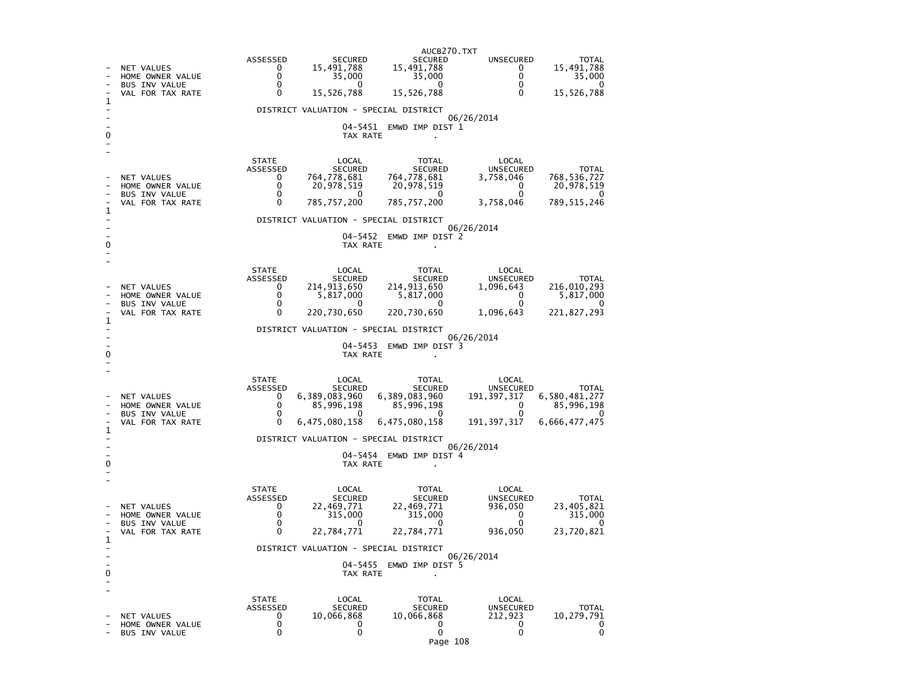|   |                                                     | AUCB270.TXT              |                                       |                                |                               |                             |  |
|---|-----------------------------------------------------|--------------------------|---------------------------------------|--------------------------------|-------------------------------|-----------------------------|--|
|   |                                                     | ASSESSED                 | <b>SECURED</b>                        | <b>SECURED</b>                 | <b>UNSECURED</b>              | TOTAL                       |  |
|   | NET VALUES<br>HOME OWNER VALUE                      | 0<br>0                   | 15,491,788<br>35,000                  | 15,491,788<br>35,000           | 0<br>0                        | 15,491,788<br>35,000        |  |
|   | <b>BUS INV VALUE</b>                                | 0                        | 0                                     | 0                              | 0                             | 0                           |  |
| 1 | VAL FOR TAX RATE                                    | $\Omega$                 | 15,526,788                            | 15,526,788                     | $\Omega$                      | 15,526,788                  |  |
|   |                                                     |                          | DISTRICT VALUATION - SPECIAL DISTRICT |                                |                               |                             |  |
|   |                                                     |                          | 04–5451                               | EMWD IMP DIST 1                | 06/26/2014                    |                             |  |
|   |                                                     |                          | TAX RATE                              |                                |                               |                             |  |
|   |                                                     |                          |                                       |                                |                               |                             |  |
|   |                                                     | <b>STATE</b>             | LOCAL                                 | <b>TOTAL</b>                   | LOCAL                         |                             |  |
|   | NET VALUES                                          | ASSESSED<br>0            | <b>SECURED</b><br>764,778,681         | <b>SECURED</b><br>764,778,681  | <b>UNSECURED</b><br>3,758,046 | <b>TOTAL</b><br>768,536,727 |  |
|   | HOME OWNER VALUE                                    | 0                        | 20,978,519                            | 20,978,519                     | 0                             | 20,978,519                  |  |
|   | <b>BUS INV VALUE</b><br>VAL FOR TAX RATE            | 0<br>$\Omega$            | 0<br>785,757,200                      | 0<br>785,757,200               | 0<br>3,758,046                | 0<br>789,515,246            |  |
| ı |                                                     |                          | DISTRICT VALUATION - SPECIAL DISTRICT |                                |                               |                             |  |
|   |                                                     |                          |                                       |                                | 06/26/2014                    |                             |  |
| 0 |                                                     |                          | 04–5452<br>TAX RATE                   | EMWD IMP DIST 2                |                               |                             |  |
|   |                                                     |                          |                                       |                                |                               |                             |  |
|   |                                                     | <b>STATE</b>             | LOCAL                                 | <b>TOTAL</b>                   | LOCAL                         |                             |  |
|   |                                                     | ASSESSED<br>0            | <b>SECURED</b>                        | <b>SECURED</b>                 | UNSECURED                     | <b>TOTAL</b><br>216,010,293 |  |
|   | NET VALUES<br>HOME OWNER VALUE                      | 0                        | 214,913,650<br>5,817,000              | 214,913,650<br>5,817,000       | 1,096,643<br>0                | 5,817,000                   |  |
|   | <b>BUS INV VALUE</b><br>VAL FOR TAX RATE            | 0<br>0                   | 0<br>220,730,650                      | 0<br>220,730,650               | 0<br>1,096,643                | 0<br>221,827,293            |  |
| 1 |                                                     |                          |                                       |                                |                               |                             |  |
|   |                                                     |                          | DISTRICT VALUATION - SPECIAL DISTRICT |                                | 06/26/2014                    |                             |  |
| 0 |                                                     |                          | 04–5453<br>TAX RATE                   | EMWD IMP DIST 3                |                               |                             |  |
|   |                                                     |                          |                                       |                                |                               |                             |  |
|   |                                                     | <b>STATE</b>             | LOCAL                                 | TOTAL                          | LOCAL                         |                             |  |
|   |                                                     | ASSESSED                 | <b>SECURED</b>                        | <b>SECURED</b>                 | <b>UNSECURED</b>              | <b>TOTAL</b>                |  |
|   | NET VALUES<br>HOME OWNER VALUE                      | 0<br>0                   | 6,389,083,960<br>85,996,198           | 6,389,083,960<br>85,996,198    | 191, 397, 317<br>0            | 6,580,481,277<br>85,996,198 |  |
|   | <b>BUS INV VALUE</b>                                | 0                        | 0                                     | 0                              | 0                             | 0                           |  |
| 1 | VAL FOR TAX RATE                                    | 0                        | 6,475,080,158                         | 6,475,080,158                  | 191, 397, 317                 | 6,666,477,475               |  |
|   | DISTRICT VALUATION - SPECIAL DISTRICT<br>06/26/2014 |                          |                                       |                                |                               |                             |  |
|   |                                                     |                          | 04–5454                               | EMWD IMP DIST 4                |                               |                             |  |
| 0 |                                                     |                          | TAX RATE                              |                                |                               |                             |  |
|   |                                                     |                          |                                       |                                |                               |                             |  |
|   |                                                     | <b>STATE</b><br>ASSESSED | LOCAL<br><b>SECURED</b>               | TOTAL<br><b>SECURED</b>        | LOCAL<br><b>UNSECURED</b>     | <b>TOTAL</b>                |  |
|   | NET VALUES                                          | 0                        | 22,469,771                            | 22,469,771                     | 936,050                       | 23,405,821                  |  |
|   | HOME OWNER VALUE<br><b>BUS INV VALUE</b>            | 0<br>0                   | 315,000<br>0                          | 315,000<br>0                   | 0<br>0                        | 315,000<br>0                |  |
| 1 | VAL FOR TAX RATE                                    | 0                        | 22,784,771                            | 22,784,771                     | 936,050                       | 23,720,821                  |  |
|   |                                                     |                          | DISTRICT VALUATION - SPECIAL DISTRICT |                                |                               |                             |  |
|   |                                                     |                          | 04–5455                               | EMWD IMP DIST 5                | 06/26/2014                    |                             |  |
| 0 |                                                     |                          | TAX RATE                              |                                |                               |                             |  |
|   |                                                     |                          |                                       |                                |                               |                             |  |
|   |                                                     | STATE<br>ASSESSED        | LOCAL<br><b>SECURED</b>               | <b>TOTAL</b><br><b>SECURED</b> | LOCAL<br><b>UNSECURED</b>     | <b>TOTAL</b>                |  |
|   | NET VALUES                                          | 0                        | 10,066,868                            | 10,066,868                     | 212,923                       | 10,279,791                  |  |
|   | HOME OWNER VALUE<br><b>BUS INV VALUE</b>            | 0<br>0                   | 0<br>0                                | 0<br>$\mathbf 0$               | 0<br>0                        | 0<br>0                      |  |
|   |                                                     |                          |                                       | Page 108                       |                               |                             |  |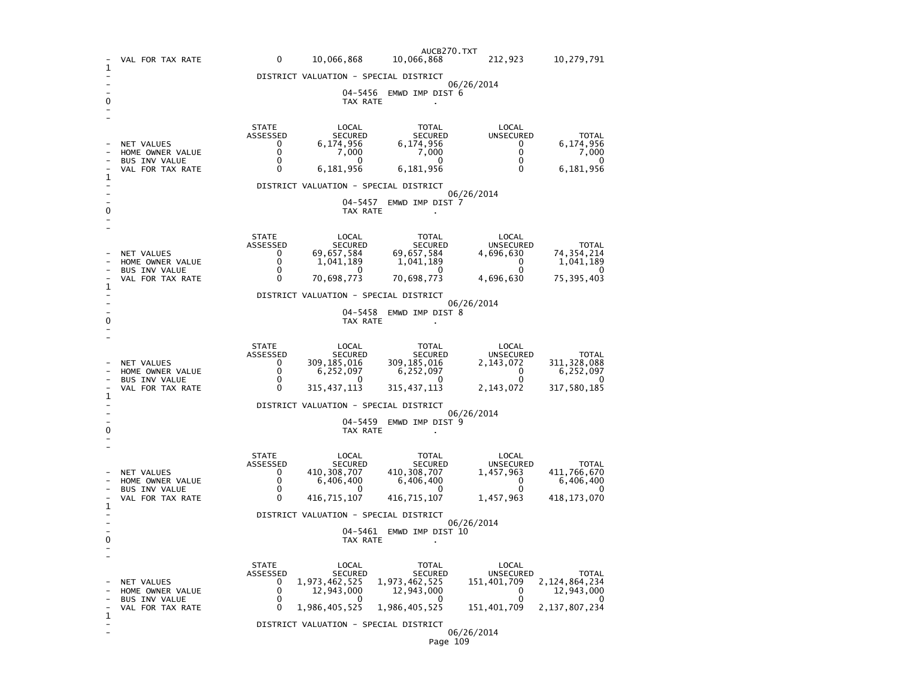|              | VAL FOR TAX RATE                                                           | 0                                                                      | 10,066,868                                                                   | AUCB270.TXT<br>10,066,868                                                           | 212,923                                                                      | 10,279,791                                                              |  |  |  |
|--------------|----------------------------------------------------------------------------|------------------------------------------------------------------------|------------------------------------------------------------------------------|-------------------------------------------------------------------------------------|------------------------------------------------------------------------------|-------------------------------------------------------------------------|--|--|--|
| 1            | DISTRICT VALUATION - SPECIAL DISTRICT                                      |                                                                        |                                                                              |                                                                                     |                                                                              |                                                                         |  |  |  |
| 0            |                                                                            | 06/26/2014<br>04-5456<br>EMWD IMP DIST 6<br>TAX RATE<br>$\blacksquare$ |                                                                              |                                                                                     |                                                                              |                                                                         |  |  |  |
| 1            | <b>NET VALUES</b><br>HOME OWNER VALUE<br>BUS INV VALUE<br>VAL FOR TAX RATE | <b>STATE</b><br>ASSESSED<br>0<br>0<br>0<br>0                           | LOCAL<br><b>SECURED</b><br>6,174,956<br>7,000<br>$\Omega$<br>6,181,956       | <b>TOTAL</b><br>SECURED<br>6,174,956<br>7,000<br>0<br>6,181,956                     | LOCAL<br><b>UNSECURED</b><br>0<br>0<br>0<br>$\Omega$                         | <b>TOTAL</b><br>6,174,956<br>7,000<br>0<br>6,181,956                    |  |  |  |
|              |                                                                            |                                                                        | DISTRICT VALUATION - SPECIAL DISTRICT                                        |                                                                                     | 06/26/2014                                                                   |                                                                         |  |  |  |
| 0            |                                                                            |                                                                        | 04-5457<br>TAX RATE                                                          | EMWD IMP DIST 7                                                                     |                                                                              |                                                                         |  |  |  |
|              | NET VALUES<br>HOME OWNER VALUE<br><b>BUS INV VALUE</b><br>VAL FOR TAX RATE | <b>STATE</b><br>ASSESSED<br>0<br>0<br>0<br>0                           | LOCAL<br>SECURED<br>69,657,584<br>1,041,189<br><sup>0</sup><br>70,698,773    | TOTAL<br><b>SECURED</b><br>69,657,584<br>1,041,189<br>0<br>70,698,773               | LOCAL<br><b>UNSECURED</b><br>4,696,630<br>0<br>$\Omega$<br>4,696,630         | <b>TOTAL</b><br>74, 354, 214<br>1,041,189<br>0<br>75, 395, 403          |  |  |  |
| 1            |                                                                            |                                                                        | DISTRICT VALUATION - SPECIAL DISTRICT                                        |                                                                                     |                                                                              |                                                                         |  |  |  |
| 0            | 06/26/2014<br>$04 - 5458$<br>EMWD IMP DIST 8<br>TAX RATE                   |                                                                        |                                                                              |                                                                                     |                                                                              |                                                                         |  |  |  |
| 1            | NET VALUES<br>HOME OWNER VALUE<br>BUS INV VALUE<br>VAL FOR TAX RATE        | <b>STATE</b><br>ASSESSED<br>0<br>0<br>$\Omega$<br>0                    | LOCAL<br><b>SECURED</b><br>309,185,016<br>6,252,097<br>0<br>315,437,113      | TOTAL<br><b>SECURED</b><br>309,185,016<br>6,252,097<br>0<br>315, 437, 113           | LOCAL<br>UNSECURED<br>2,143,072<br>0<br>$\Omega$<br>2,143,072                | <b>TOTAL</b><br>311, 328, 088<br>6,252,097<br>0<br>317,580,185          |  |  |  |
|              |                                                                            | DISTRICT VALUATION - SPECIAL DISTRICT<br>06/26/2014                    |                                                                              |                                                                                     |                                                                              |                                                                         |  |  |  |
| 0            |                                                                            | 04-5459<br>EMWD IMP DIST 9<br>TAX RATE                                 |                                                                              |                                                                                     |                                                                              |                                                                         |  |  |  |
| $\mathbf{1}$ | NET VALUES<br>HOME OWNER VALUE<br>BUS INV VALUE<br>VAL FOR TAX RATE        | <b>STATE</b><br>ASSESSED<br>0<br>0<br>0<br>$\Omega$                    | LOCAL<br><b>SECURED</b><br>410, 308, 707<br>6,406,400<br>O<br>416,715,107    | TOTAL<br>SECURED<br>410, 308, 707<br>6,406,400<br>0<br>416,715,107                  | LOCAL<br><b>UNSECURED</b><br>1,457,963<br>0<br>0<br>1,457,963                | <b>TOTAL</b><br>411,766,670<br>6,406,400<br>0<br>418, 173, 070          |  |  |  |
|              |                                                                            | DISTRICT VALUATION - SPECIAL DISTRICT                                  |                                                                              |                                                                                     |                                                                              |                                                                         |  |  |  |
| 0            |                                                                            | 06/26/2014<br>04-5461<br>EMWD IMP DIST 10<br>TAX RATE                  |                                                                              |                                                                                     |                                                                              |                                                                         |  |  |  |
| $\mathbf 1$  | NET VALUES<br>HOME OWNER VALUE<br><b>BUS INV VALUE</b><br>VAL FOR TAX RATE | <b>STATE</b><br>ASSESSED<br>0<br>0<br>0<br>0                           | LOCAL<br><b>SECURED</b><br>1,973,462,525<br>12,943,000<br>O<br>1,986,405,525 | <b>TOTAL</b><br><b>SECURED</b><br>1,973,462,525<br>12,943,000<br>O<br>1,986,405,525 | LOCAL<br><b>UNSECURED</b><br>151,401,709<br>0<br>$\mathbf{0}$<br>151,401,709 | <b>TOTAL</b><br>2, 124, 864, 234<br>12,943,000<br>0<br>2, 137, 807, 234 |  |  |  |
|              |                                                                            |                                                                        | DISTRICT VALUATION - SPECIAL DISTRICT                                        |                                                                                     | 06/26/2014                                                                   |                                                                         |  |  |  |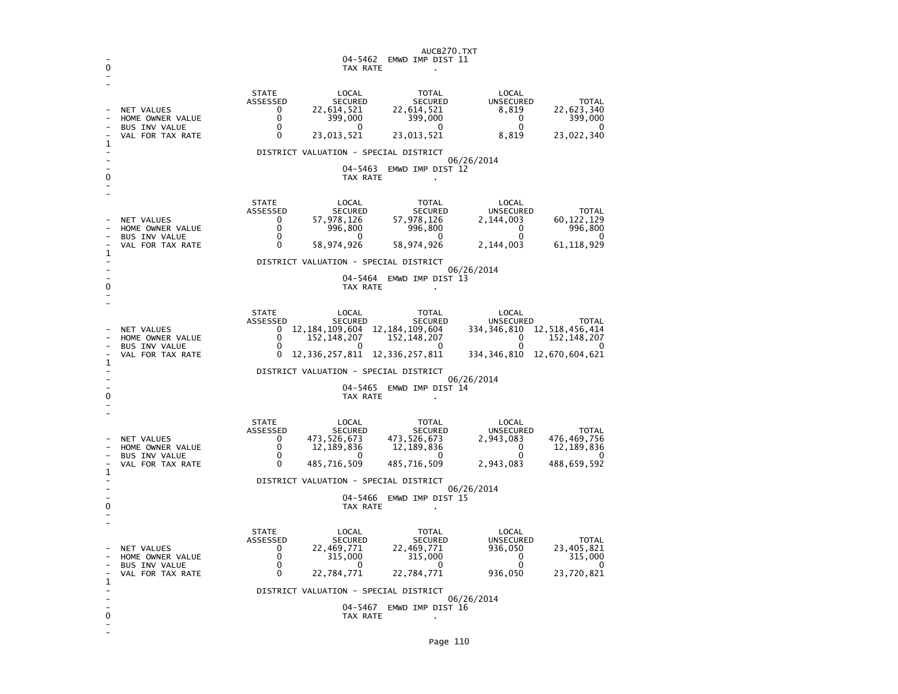| 0           |                                                                                   | AUCB270.TXT<br>04-5462<br>EMWD IMP DIST 11<br>TAX RATE                                                                                                                                                                                                                                                                                                                                                                                                                                       |  |  |  |  |
|-------------|-----------------------------------------------------------------------------------|----------------------------------------------------------------------------------------------------------------------------------------------------------------------------------------------------------------------------------------------------------------------------------------------------------------------------------------------------------------------------------------------------------------------------------------------------------------------------------------------|--|--|--|--|
| 1           | <b>NET VALUES</b><br>HOME OWNER VALUE<br><b>BUS INV VALUE</b><br>VAL FOR TAX RATE | <b>STATE</b><br>LOCAL<br>LOCAL<br><b>TOTAL</b><br>UNSECURED<br>ASSESSED<br><b>SECURED</b><br><b>SECURED</b><br><b>TOTAL</b><br>22,614,521<br>22,623,340<br>0<br>22,614,521<br>8,819<br>$\Omega$<br>399,000<br>399,000<br>399,000<br>$\Omega$<br>0<br>0<br>0<br>0<br>$\Omega$<br>0<br>23,013,521<br>23,013,521<br>8,819<br>23,022,340                                                                                                                                                         |  |  |  |  |
| 0           |                                                                                   | DISTRICT VALUATION - SPECIAL DISTRICT<br>06/26/2014<br>04-5463<br>EMWD IMP DIST 12<br>TAX RATE<br>$\bullet$                                                                                                                                                                                                                                                                                                                                                                                  |  |  |  |  |
| 1           | NET VALUES<br>HOME OWNER VALUE<br><b>BUS INV VALUE</b><br>VAL FOR TAX RATE        | <b>STATE</b><br>LOCAL<br><b>TOTAL</b><br>LOCAL<br>ASSESSED<br><b>UNSECURED</b><br><b>SECURED</b><br><b>SECURED</b><br><b>TOTAL</b><br>57,978,126<br>0<br>57,978,126<br>2,144,003<br>60,122,129<br>0<br>996,800<br>996,800<br>0<br>996,800<br>0<br>0<br>0<br>0<br>0<br>58,974,926<br>61, 118, 929<br>$\Omega$<br>58,974,926<br>2,144,003                                                                                                                                                      |  |  |  |  |
| 0           |                                                                                   | DISTRICT VALUATION - SPECIAL DISTRICT<br>06/26/2014<br>04–5464<br>EMWD IMP DIST 13<br>TAX RATE<br>×                                                                                                                                                                                                                                                                                                                                                                                          |  |  |  |  |
| 1           | <b>NET VALUES</b><br>HOME OWNER VALUE<br>BUS INV VALUE<br>VAL FOR TAX RATE        | <b>STATE</b><br>LOCAL<br>LOCAL<br><b>TOTAL</b><br>ASSESSED<br><b>SECURED</b><br><b>SECURED</b><br>UNSECURED<br>TOTAL<br>12, 518, 456, 414<br>12, 184, 109, 604<br>0<br>12,184,109,604<br>334,346,810<br>$\Omega$<br>152,148,207<br>152, 148, 207<br>0<br>152, 148, 207<br>0<br>$\Omega$<br>$\Omega$<br><sup>0</sup><br>∩<br>12,336,257,811<br>12,336,257,811<br>334,346,810<br>12,670,604,621<br>0<br>DISTRICT VALUATION - SPECIAL DISTRICT<br>06/26/2014<br>$04 - 5465$<br>EMWD IMP DIST 14 |  |  |  |  |
| 0<br>1      | NET VALUES<br>HOME OWNER VALUE<br><b>BUS INV VALUE</b><br>VAL FOR TAX RATE        | TAX RATE<br><b>STATE</b><br>LOCAL<br><b>TOTAL</b><br>LOCAL<br>ASSESSED<br><b>SECURED</b><br><b>SECURED</b><br><b>UNSECURED</b><br><b>TOTAL</b><br>473, 526, 673<br>473,526,673<br>2,943,083<br>476,469,756<br>0<br>0<br>12,189,836<br>0<br>12,189,836<br>12,189,836<br>$\mathbf{0}$<br>0<br>O<br>0<br>0<br>$\Omega$<br>485,716,509<br>485,716,509<br>2,943,083<br>488,659,592<br>DISTRICT VALUATION - SPECIAL DISTRICT<br>06/26/2014<br>04-5466<br>EMWD IMP DIST 15                          |  |  |  |  |
| 0<br>1<br>0 | <b>NET VALUES</b><br>HOME OWNER VALUE<br>BUS INV VALUE<br>VAL FOR TAX RATE        | TAX RATE<br><b>STATE</b><br>LOCAL<br>LOCAL<br><b>TOTAL</b><br>ASSESSED<br><b>SECURED</b><br><b>UNSECURED</b><br><b>SECURED</b><br><b>TOTAL</b><br>23,405,821<br>0<br>22,469,771<br>22,469,771<br>936,050<br>0<br>315,000<br>315,000<br>0<br>315,000<br>$\Omega$<br>$\Omega$<br>$\Omega$<br>n<br>0<br>0<br>936,050<br>23,720,821<br>22,784,771<br>22,784,771<br>DISTRICT VALUATION - SPECIAL DISTRICT<br>06/26/2014<br>04-5467<br>EMWD IMP DIST 16<br>TAX RATE                                |  |  |  |  |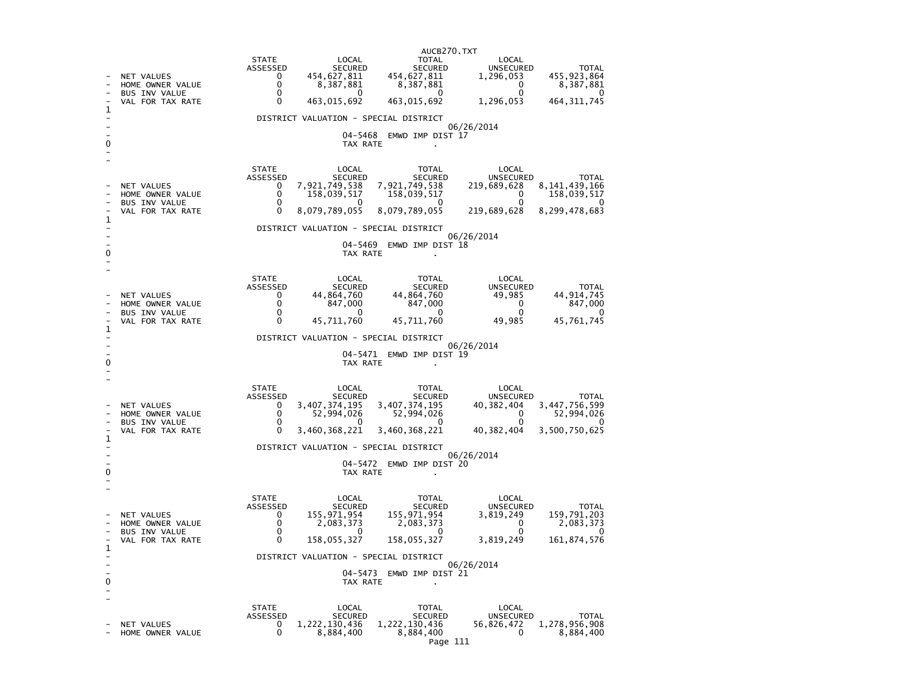|                                                       |                                                                                   | AUCB270.TXT                                                                                                                                                                                                                                                                                                                                                                                        |  |  |  |  |  |
|-------------------------------------------------------|-----------------------------------------------------------------------------------|----------------------------------------------------------------------------------------------------------------------------------------------------------------------------------------------------------------------------------------------------------------------------------------------------------------------------------------------------------------------------------------------------|--|--|--|--|--|
|                                                       | NET VALUES<br>HOME OWNER VALUE<br><b>BUS INV VALUE</b><br>VAL FOR TAX RATE        | <b>STATE</b><br>LOCAL<br>TOTAL<br>LOCAL<br>ASSESSED<br>SECURED<br><b>SECURED</b><br><b>UNSECURED</b><br><b>TOTAL</b><br>454, 627, 811<br>455, 923, 864<br>454,627,811<br>$\mathbf{0}$<br>1,296,053<br>0<br>8,387,881<br>8,387,881<br>0<br>8,387,881<br>$\mathbf{0}$<br>$\mathbf{0}$<br>$\mathbf{0}$<br>$\Omega$<br>0<br>463,015,692<br>463,015,692<br>464, 311, 745<br>$\Omega$<br>1,296,053       |  |  |  |  |  |
| 1                                                     |                                                                                   | DISTRICT VALUATION - SPECIAL DISTRICT                                                                                                                                                                                                                                                                                                                                                              |  |  |  |  |  |
| 0                                                     |                                                                                   | 06/26/2014<br>04-5468<br>EMWD IMP DIST 17<br>TAX RATE                                                                                                                                                                                                                                                                                                                                              |  |  |  |  |  |
| $\mathbf{1}$                                          | <b>NET VALUES</b><br>HOME OWNER VALUE<br><b>BUS INV VALUE</b><br>VAL FOR TAX RATE | <b>STATE</b><br>LOCAL<br>TOTAL<br>LOCAL<br>ASSESSED<br><b>SECURED</b><br>SECURED<br><b>UNSECURED</b><br><b>TOTAL</b><br>7,921,749,538<br>7,921,749,538<br>219,689,628<br>8, 141, 439, 166<br>$\Omega$<br>$\Omega$<br>158,039,517<br>158,039,517<br>158,039,517<br>$\Omega$<br>0<br>0<br>$\Omega$<br>$\Omega$<br>0<br>8,079,789,055<br>8,079,789,055<br>8,299,478,683<br>0<br>219,689,628           |  |  |  |  |  |
|                                                       |                                                                                   | DISTRICT VALUATION - SPECIAL DISTRICT                                                                                                                                                                                                                                                                                                                                                              |  |  |  |  |  |
| 0                                                     |                                                                                   | 06/26/2014<br>04-5469 EMWD IMP DIST 18<br>TAX RATE                                                                                                                                                                                                                                                                                                                                                 |  |  |  |  |  |
|                                                       | NET VALUES<br>HOME OWNER VALUE<br>BUS INV VALUE<br>VAL FOR TAX RATE               | <b>STATE</b><br>LOCAL<br>LOCAL<br>TOTAL<br>ASSESSED<br>SECURED<br>SECURED<br>UNSECURED<br><b>TOTAL</b><br>44,864,760<br>44,864,760<br>44, 914, 745<br>49,985<br>0<br>0<br>847,000<br>847,000<br>0<br>847,000<br>$\Omega$<br>$\Omega$<br>$\Omega$<br>$\Omega$<br>$\Omega$<br>45,711,760<br>49,985<br>0<br>45,711,760<br>45,761,745                                                                  |  |  |  |  |  |
| $\mathbf{1}$<br>DISTRICT VALUATION - SPECIAL DISTRICT |                                                                                   |                                                                                                                                                                                                                                                                                                                                                                                                    |  |  |  |  |  |
|                                                       |                                                                                   | 06/26/2014<br>04-5471<br>EMWD IMP DIST 19                                                                                                                                                                                                                                                                                                                                                          |  |  |  |  |  |
|                                                       |                                                                                   | TAX RATE                                                                                                                                                                                                                                                                                                                                                                                           |  |  |  |  |  |
| $\mathbf{1}$                                          | NET VALUES<br>HOME OWNER VALUE<br><b>BUS INV VALUE</b><br>VAL FOR TAX RATE        | <b>STATE</b><br>TOTAL<br>LOCAL<br>LOCAL<br>ASSESSED<br>SECURED<br>SECURED<br>UNSECURED<br><b>TOTAL</b><br>3,407,374,195<br>3,407,374,195<br>3,447,756,599<br>$\Omega$<br>40,382,404<br>$\mathbf 0$<br>52,994,026<br>52,994,026<br>$\mathbf{0}$<br>52,994,026<br>$\mathbf{0}$<br>0<br>3,460,368,221<br>3,460,368,221<br>40, 382, 404<br>3,500,750,625<br>0<br>DISTRICT VALUATION - SPECIAL DISTRICT |  |  |  |  |  |
| 0                                                     |                                                                                   | 06/26/2014<br>04-5472 EMWD IMP DIST 20<br>TAX RATE                                                                                                                                                                                                                                                                                                                                                 |  |  |  |  |  |
| 1                                                     | <b>NET VALUES</b><br>HOME OWNER VALUE<br><b>BUS INV VALUE</b><br>VAL FOR TAX RATE | <b>STATE</b><br>LOCAL<br>TOTAL<br>LOCAL<br>ASSESSED<br>SECURED<br>SECURED<br>UNSECURED<br><b>TOTAL</b><br>155,971,954<br>155,971,954<br>159,791,203<br>0<br>3,819,249<br>$\mathbf{0}$<br>2,083,373<br>2,083,373<br>$\mathbf{0}$<br>2,083,373<br>0<br>$\Omega$<br><sup>n</sup><br><sup>n</sup><br>0<br>158,055,327<br>158,055,327<br>$\Omega$<br>3,819,249<br>161,874,576                           |  |  |  |  |  |
|                                                       | DISTRICT VALUATION - SPECIAL DISTRICT<br>06/26/2014                               |                                                                                                                                                                                                                                                                                                                                                                                                    |  |  |  |  |  |
| 0                                                     |                                                                                   | 04-5473 EMWD IMP DIST 21<br>TAX RATE                                                                                                                                                                                                                                                                                                                                                               |  |  |  |  |  |
|                                                       | NET VALUES<br>HOME OWNER VALUE                                                    | <b>STATE</b><br><b>TOTAL</b><br>LOCAL<br>LOCAL<br>ASSESSED<br>SECURED<br>SECURED<br><b>UNSECURED</b><br><b>TOTAL</b><br>1,278,956,908<br>$\mathbf{0}$<br>1,222,130,436<br>1,222,130,436<br>56,826,472<br>$\Omega$<br>8,884,400<br>8,884,400<br>8,884,400<br>0                                                                                                                                      |  |  |  |  |  |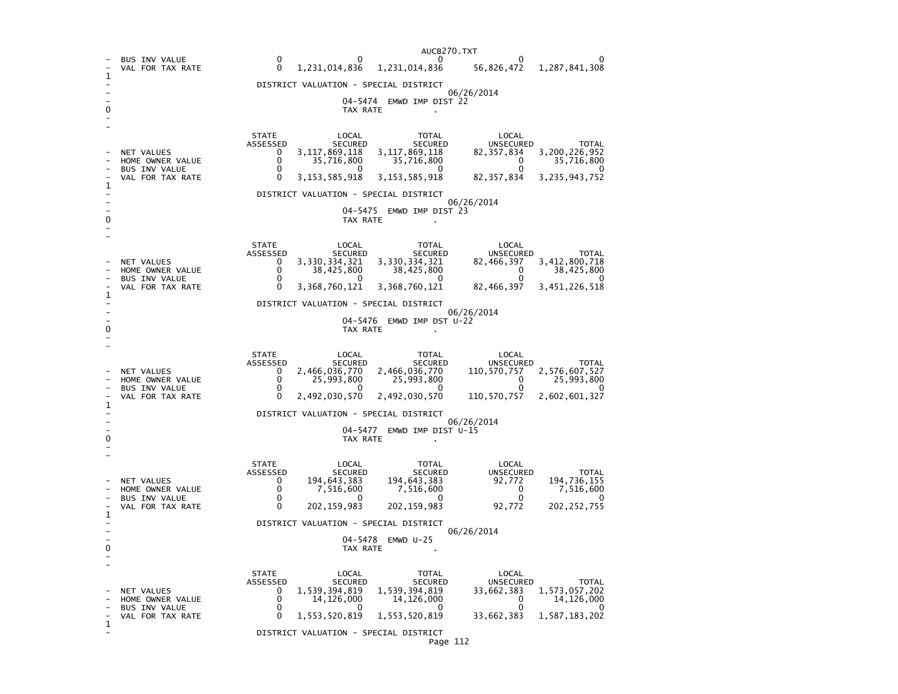|   |                                          | AUCB270.TXT                                                                                                                                                           |  |  |  |  |  |  |  |
|---|------------------------------------------|-----------------------------------------------------------------------------------------------------------------------------------------------------------------------|--|--|--|--|--|--|--|
|   | <b>BUS INV VALUE</b><br>VAL FOR TAX RATE | 0<br>O<br>∩<br>$\Omega$<br>1,231,014,836<br>56,826,472<br>$\mathbf{0}$<br>1,287,841,308<br>1,231,014,836                                                              |  |  |  |  |  |  |  |
| 1 |                                          | DISTRICT VALUATION - SPECIAL DISTRICT                                                                                                                                 |  |  |  |  |  |  |  |
|   |                                          | 06/26/2014<br>04–5474<br>EMWD IMP DIST 22                                                                                                                             |  |  |  |  |  |  |  |
|   |                                          | TAX RATE                                                                                                                                                              |  |  |  |  |  |  |  |
|   |                                          | <b>STATE</b><br>LOCAL<br><b>TOTAL</b><br>LOCAL                                                                                                                        |  |  |  |  |  |  |  |
|   | NET VALUES                               | ASSESSED<br><b>SECURED</b><br><b>SECURED</b><br><b>UNSECURED</b><br><b>TOTAL</b><br>3,200,226,952<br>3, 117, 869, 118<br>3,117,869,118<br>82, 357, 834<br>0<br>0<br>0 |  |  |  |  |  |  |  |
|   | HOME OWNER VALUE<br><b>BUS INV VALUE</b> | 35,716,800<br>35,716,800<br>35,716,800<br>$\Omega$<br>0<br>0<br>0                                                                                                     |  |  |  |  |  |  |  |
| 1 | VAL FOR TAX RATE                         | 3, 153, 585, 918<br>3, 153, 585, 918<br>82, 357, 834<br>3, 235, 943, 752<br>DISTRICT VALUATION - SPECIAL DISTRICT                                                     |  |  |  |  |  |  |  |
|   |                                          | 06/26/2014<br>04-5475<br>EMWD IMP DIST 23                                                                                                                             |  |  |  |  |  |  |  |
| 0 |                                          | TAX RATE                                                                                                                                                              |  |  |  |  |  |  |  |
|   |                                          | <b>STATE</b><br>LOCAL<br>TOTAL<br>LOCAL                                                                                                                               |  |  |  |  |  |  |  |
|   | <b>NET VALUES</b>                        | ASSESSED<br><b>SECURED</b><br><b>SECURED</b><br>UNSECURED<br><b>TOTAL</b><br>3,330,334,321<br>3,330,334,321<br>82,466,397<br>3,412,800,718<br>0                       |  |  |  |  |  |  |  |
|   | HOME OWNER VALUE<br>BUS INV VALUE        | 0<br>38,425,800<br>38,425,800<br>$\Omega$<br>38,425,800<br>$\Omega$<br>0<br>$\Omega$<br>0<br>$\Omega$                                                                 |  |  |  |  |  |  |  |
| 1 | VAL FOR TAX RATE                         | 3,368,760,121<br>3,368,760,121<br>82,466,397<br>3,451,226,518<br>0                                                                                                    |  |  |  |  |  |  |  |
|   |                                          | DISTRICT VALUATION - SPECIAL DISTRICT<br>06/26/2014                                                                                                                   |  |  |  |  |  |  |  |
|   |                                          | 04-5476<br>EMWD IMP DST U-22<br>TAX RATE                                                                                                                              |  |  |  |  |  |  |  |
|   |                                          |                                                                                                                                                                       |  |  |  |  |  |  |  |
|   |                                          | <b>STATE</b><br>LOCAL<br>TOTAL<br>LOCAL<br>ASSESSED<br><b>SECURED</b><br><b>SECURED</b><br>UNSECURED<br><b>TOTAL</b>                                                  |  |  |  |  |  |  |  |
|   | <b>NET VALUES</b><br>HOME OWNER VALUE    | 2,466,036,770<br>2,466,036,770<br>2,576,607,527<br>0<br>110,570,757<br>$\mathbf{0}$<br>25,993,800<br>25,993,800<br>0<br>25,993,800                                    |  |  |  |  |  |  |  |
|   | <b>BUS INV VALUE</b><br>VAL FOR TAX RATE | 0<br>$\Omega$<br>2,492,030,570<br>2,492,030,570<br>2,602,601,327<br>0<br>110,570,757                                                                                  |  |  |  |  |  |  |  |
| 1 |                                          | DISTRICT VALUATION - SPECIAL DISTRICT                                                                                                                                 |  |  |  |  |  |  |  |
|   |                                          | 06/26/2014<br>04-5477<br>EMWD IMP DIST U-15                                                                                                                           |  |  |  |  |  |  |  |
|   | TAX RATE                                 |                                                                                                                                                                       |  |  |  |  |  |  |  |
|   |                                          | <b>STATE</b><br>LOCAL<br><b>TOTAL</b><br>LOCAL                                                                                                                        |  |  |  |  |  |  |  |
|   | NET VALUES                               | <b>ASSESSED</b><br><b>SECURED</b><br><b>SECURED</b><br><b>UNSECURED</b><br><b>TOTAL</b><br>194,643,383<br>194,736,155<br>$\mathbf{0}$<br>194,643,383<br>92,772        |  |  |  |  |  |  |  |
|   | HOME OWNER VALUE<br><b>BUS INV VALUE</b> | 0<br>$\mathbf 0$<br>7,516,600<br>7,516,600<br>7,516,600<br>0<br>0<br>$^{\circ}$                                                                                       |  |  |  |  |  |  |  |
| 1 | VAL FOR TAX RATE                         | 202, 159, 983<br>$\Omega$<br>202, 159, 983<br>92,772<br>202, 252, 755                                                                                                 |  |  |  |  |  |  |  |
|   |                                          | DISTRICT VALUATION - SPECIAL DISTRICT<br>06/26/2014                                                                                                                   |  |  |  |  |  |  |  |
| 0 |                                          | 04-5478 EMWD U-25<br>TAX RATE                                                                                                                                         |  |  |  |  |  |  |  |
|   |                                          |                                                                                                                                                                       |  |  |  |  |  |  |  |
|   |                                          | <b>STATE</b><br>LOCAL<br>TOTAL<br>LOCAL<br>ASSESSED<br>SECURED<br><b>SECURED</b><br>UNSECURED<br><b>TOTAL</b>                                                         |  |  |  |  |  |  |  |
|   | NET VALUES<br>HOME OWNER VALUE           | 0<br>1,539,394,819<br>1,539,394,819<br>1,573,057,202<br>33,662,383<br>0<br>0<br>14,126,000<br>14,126,000<br>14,126,000<br>0<br>O                                      |  |  |  |  |  |  |  |
| 1 | <b>BUS INV VALUE</b><br>VAL FOR TAX RATE | 0<br>$\Omega$<br>$\Omega$<br>1,553,520,819<br>1,553,520,819<br>33,662,383<br>1,587,183,202                                                                            |  |  |  |  |  |  |  |
|   |                                          | DISTRICT VALUATION - SPECIAL DISTRICT                                                                                                                                 |  |  |  |  |  |  |  |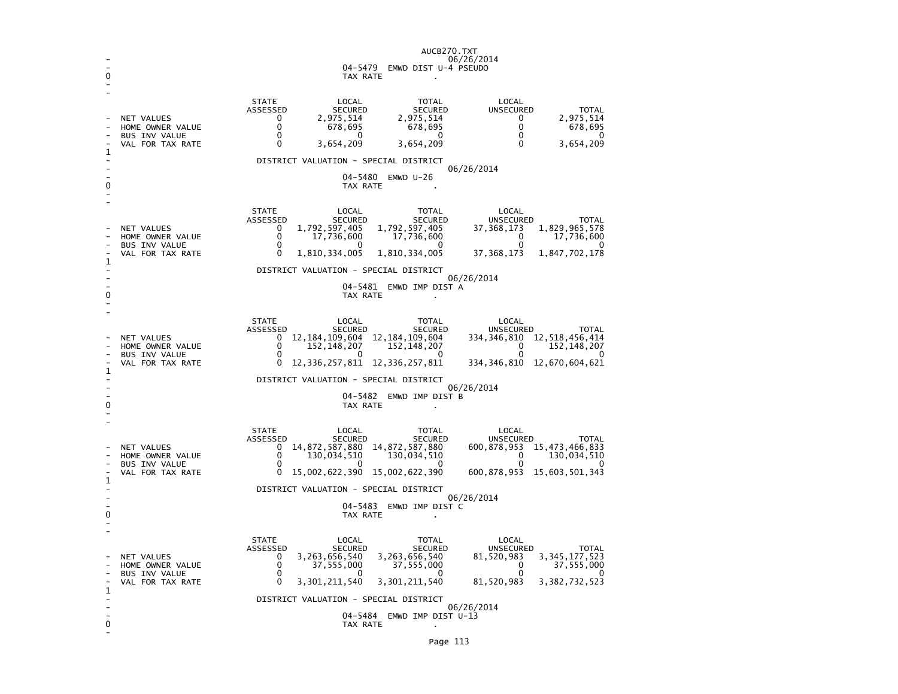|   |                                                                                            | AUCB270.TXT<br>06/26/2014<br>04-5479 EMWD DIST U-4 PSEUDO<br>TAX RATE                                                                                                                                                                                                                                                                                                                                                                                                                     |  |  |  |  |  |
|---|--------------------------------------------------------------------------------------------|-------------------------------------------------------------------------------------------------------------------------------------------------------------------------------------------------------------------------------------------------------------------------------------------------------------------------------------------------------------------------------------------------------------------------------------------------------------------------------------------|--|--|--|--|--|
| 1 | NET VALUES<br>HOME OWNER VALUE<br><b>BUS INV VALUE</b><br>VAL FOR TAX RATE                 | <b>STATE</b><br>LOCAL<br><b>TOTAL</b><br>LOCAL<br>ASSESSED<br>SECURED<br><b>UNSECURED</b><br><b>TOTAL</b><br><b>SECURED</b><br>2,975,514<br>$\mathbf{0}$<br>2,975,514<br>$\mathbf 0$<br>2,975,514<br>$\Omega$<br>678,695<br>678,695<br>$\Omega$<br>678,695<br>0<br>$\Omega$<br>0<br>$\Omega$<br>0<br>3,654,209<br>3,654,209<br>3,654,209<br>0<br>0                                                                                                                                        |  |  |  |  |  |
| O |                                                                                            | DISTRICT VALUATION - SPECIAL DISTRICT<br>06/26/2014<br>04-5480 EMWD U-26<br>TAX RATE                                                                                                                                                                                                                                                                                                                                                                                                      |  |  |  |  |  |
| 1 | NET VALUES<br>HOME OWNER VALUE<br>BUS INV VALUE<br>VAL FOR TAX RATE                        | <b>STATE</b><br>LOCAL<br>TOTAL<br>LOCAL<br>ASSESSED<br>SECURED<br><b>SECURED</b><br>UNSECURED<br><b>TOTAL</b><br>1,792,597,405<br>1,792,597,405<br>1,829,965,578<br>0<br>37, 368, 173<br>$\mathbf{0}$<br>17,736,600<br>17,736,600<br>$\mathbf{0}$<br>17,736,600<br>$\mathbf{0}$<br>$\Omega$<br>$\Omega$<br>$\Omega$<br>0<br>1,810,334,005<br>1,810,334,005<br>37, 368, 173<br>1,847,702,178<br>DISTRICT VALUATION - SPECIAL DISTRICT                                                      |  |  |  |  |  |
|   | 06/26/2014<br>04-5481 EMWD IMP DIST A<br>TAX RATE                                          |                                                                                                                                                                                                                                                                                                                                                                                                                                                                                           |  |  |  |  |  |
| 1 | NET VALUES<br>HOME OWNER VALUE<br><b>BUS INV VALUE</b><br>VAL FOR TAX RATE                 | <b>STATE</b><br>LOCAL<br>LOCAL<br>TOTAL<br>ASSESSED<br>SECURED<br>SECURED<br>UNSECURED<br>TOTAL<br>12, 184, 109, 604 12, 184, 109, 604<br>334, 346, 810 12, 518, 456, 414<br>$^{\circ}$<br>0<br>152, 148, 207<br>152,148,207<br>0<br>152, 148, 207<br>0<br>0<br>0<br>12, 336, 257, 811 12, 336, 257, 811<br>334, 346, 810 12, 670, 604, 621<br>0                                                                                                                                          |  |  |  |  |  |
| ŋ | DISTRICT VALUATION - SPECIAL DISTRICT<br>06/26/2014<br>04-5482 EMWD IMP DIST B<br>TAX RATE |                                                                                                                                                                                                                                                                                                                                                                                                                                                                                           |  |  |  |  |  |
| 1 | <b>NET VALUES</b><br>HOME OWNER VALUE<br><b>BUS INV VALUE</b><br>VAL FOR TAX RATE          | <b>STATE</b><br>LOCAL<br>LOCAL<br>TOTAL<br>ASSESSED<br>SECURED<br>SECURED<br>UNSECURED<br>TOTAL<br>14,872,587,880 14,872,587,880<br>$\mathbf{0}$<br>600, 878, 953 15, 473, 466, 833<br>0<br>130,034,510<br>130,034,510<br>0<br>130,034,510<br>0<br>$\Omega$<br>$\Omega$<br>∩<br>0<br>15,002,622,390 15,002,622,390<br>600,878,953 15,603,501,343                                                                                                                                          |  |  |  |  |  |
| 0 | DISTRICT VALUATION - SPECIAL DISTRICT<br>06/26/2014<br>04-5483 EMWD IMP DIST C<br>TAX RATE |                                                                                                                                                                                                                                                                                                                                                                                                                                                                                           |  |  |  |  |  |
| 1 | NET VALUES<br>HOME OWNER VALUE<br><b>BUS INV VALUE</b><br>VAL FOR TAX RATE                 | <b>STATE</b><br>LOCAL<br>TOTAL<br>LOCAL<br>ASSESSED<br>SECURED<br><b>SECURED</b><br>UNSECURED<br><b>TOTAL</b><br>3, 345, 177, 523<br>3,263,656,540<br>3,263,656,540<br>$\Omega$<br>81,520,983<br>0<br>37,555,000<br>37,555,000<br>$\mathbf{0}$<br>37,555,000<br>$\mathbf 0$<br>$\Omega$<br>$\mathbf{0}$<br>0<br>$\Omega$<br>0<br>3,301,211,540<br>3, 301, 211, 540<br>81,520,983<br>3, 382, 732, 523<br>DISTRICT VALUATION - SPECIAL DISTRICT<br>06/26/2014<br>04-5484 EMWD IMP DIST U-13 |  |  |  |  |  |
| 0 |                                                                                            | TAX RATE                                                                                                                                                                                                                                                                                                                                                                                                                                                                                  |  |  |  |  |  |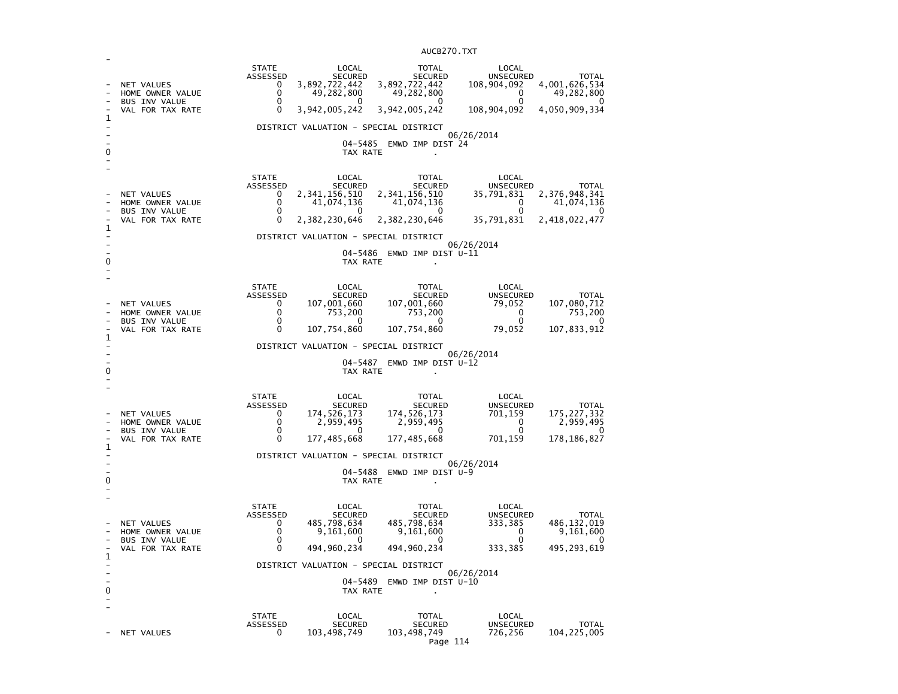| 1<br>0 | NET VALUES<br>HOME OWNER VALUE<br><b>BUS INV VALUE</b><br>VAL FOR TAX RATE        | <b>STATE</b><br><b>ASSESSED</b><br>0<br>0<br>0<br>0        | LOCAL<br><b>SECURED</b><br>3,892,722,442<br>49,282,800<br>$\Omega$<br>3,942,005,242<br>DISTRICT VALUATION - SPECIAL DISTRICT<br>04-5485<br>TAX RATE | TOTAL<br><b>SECURED</b><br>3,892,722,442<br>49,282,800<br>$\Omega$<br>3,942,005,242<br>EMWD IMP DIST 24             | LOCAL<br><b>UNSECURED</b><br>108,904,092<br>0<br>0<br>108,904,092<br>06/26/2014 | <b>TOTAL</b><br>4,001,626,534<br>49,282,800<br>$\Omega$<br>4,050,909,334 |
|--------|-----------------------------------------------------------------------------------|------------------------------------------------------------|-----------------------------------------------------------------------------------------------------------------------------------------------------|---------------------------------------------------------------------------------------------------------------------|---------------------------------------------------------------------------------|--------------------------------------------------------------------------|
| 1<br>0 | NET VALUES<br>HOME OWNER VALUE<br>BUS INV VALUE<br>VAL FOR TAX RATE               | <b>STATE</b><br>ASSESSED<br>0<br>0<br>0<br>0               | LOCAL<br><b>SECURED</b><br>2,341,156,510<br>41,074,136<br>$\Omega$<br>2,382,230,646<br>DISTRICT VALUATION - SPECIAL DISTRICT<br>04–5486<br>TAX RATE | <b>TOTAL</b><br><b>SECURED</b><br>2,341,156,510<br>41,074,136<br>0<br>2,382,230,646<br>EMWD IMP DIST U-11           | LOCAL<br><b>UNSECURED</b><br>35,791,831<br>0<br>0<br>35,791,831<br>06/26/2014   | <b>TOTAL</b><br>2,376,948,341<br>41,074,136<br>2,418,022,477             |
| 1<br>0 | NET VALUES<br>HOME OWNER VALUE<br><b>BUS INV VALUE</b><br>VAL FOR TAX RATE        | <b>STATE</b><br>ASSESSED<br>0<br>0<br>0<br>$\Omega$        | LOCAL<br>SECURED<br>107,001,660<br>753,200<br>0<br>107,754,860<br>DISTRICT VALUATION - SPECIAL DISTRICT<br>04-5487<br>TAX RATE                      | <b>TOTAL</b><br><b>SECURED</b><br>107,001,660<br>753,200<br>0<br>107,754,860<br>EMWD IMP DIST U-12                  | LOCAL<br><b>UNSECURED</b><br>79,052<br>0<br>0<br>79,052<br>06/26/2014           | TOTAL<br>107,080,712<br>753,200<br>0<br>107,833,912                      |
| 1<br>0 | NET VALUES<br>HOME OWNER VALUE<br><b>BUS INV VALUE</b><br>VAL FOR TAX RATE        | <b>STATE</b><br>ASSESSED<br>0<br>0<br>$\Omega$<br>$\Omega$ | LOCAL<br><b>SECURED</b><br>174,526,173<br>2,959,495<br>0<br>177,485,668<br>DISTRICT VALUATION - SPECIAL DISTRICT<br>$04 - 5488$<br>TAX RATE         | <b>TOTAL</b><br><b>SECURED</b><br>174, 526, 173<br>2,959,495<br>0<br>177,485,668<br>EMWD IMP DIST U-9               | LOCAL<br><b>UNSECURED</b><br>701,159<br>0<br>0<br>701,159<br>06/26/2014         | <b>TOTAL</b><br>175, 227, 332<br>2,959,495<br>0<br>178, 186, 827         |
| 1<br>0 | <b>NET VALUES</b><br>HOME OWNER VALUE<br><b>BUS INV VALUE</b><br>VAL FOR TAX RATE | <b>STATE</b><br>ASSESSED<br>0<br>0<br>0<br>0               | LOCAL<br><b>SECURED</b><br>485,798,634<br>9,161,600<br>0<br>494,960,234<br>DISTRICT VALUATION - SPECIAL DISTRICT<br>TAX RATE                        | <b>TOTAL</b><br><b>SECURED</b><br>485,798,634<br>9,161,600<br>$\Omega$<br>494,960,234<br>04-5489 EMWD IMP DIST U-10 | LOCAL<br><b>UNSECURED</b><br>333,385<br>$\Omega$<br>0<br>333,385<br>06/26/2014  | <b>TOTAL</b><br>486, 132, 019<br>9,161,600<br>$\Omega$<br>495, 293, 619  |
|        | NET VALUES                                                                        | <b>STATE</b><br><b>ASSESSED</b><br>0                       | LOCAL<br><b>SECURED</b><br>103,498,749                                                                                                              | TOTAL<br><b>SECURED</b><br>103,498,749                                                                              | LOCAL<br><b>UNSECURED</b><br>726,256                                            | <b>TOTAL</b><br>104, 225, 005                                            |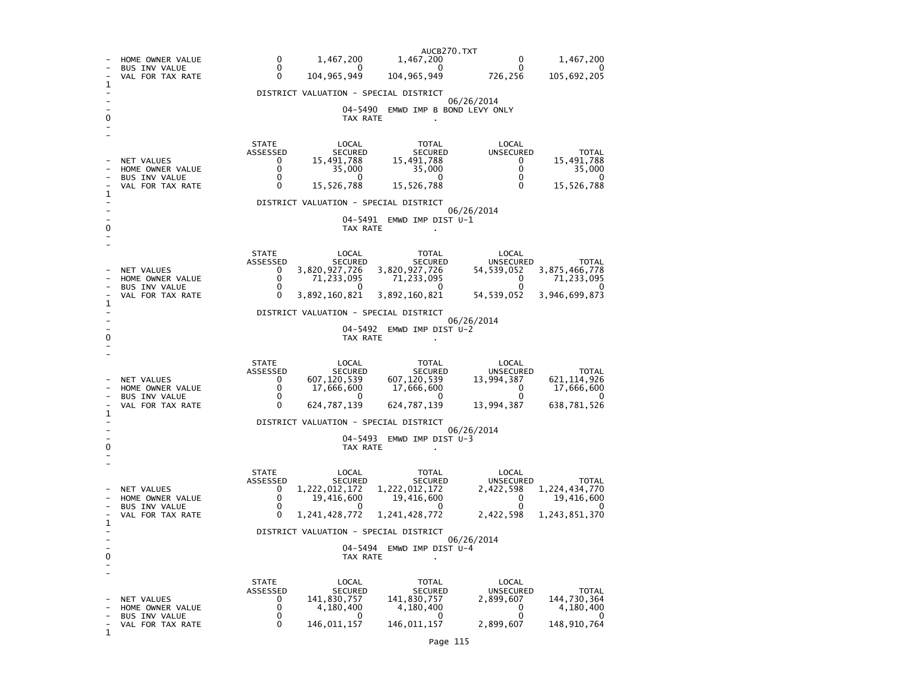|                     | HOME OWNER VALUE<br><b>BUS INV VALUE</b><br>VAL FOR TAX RATE               | AUCB270.TXT<br>0<br>1,467,200<br>1,467,200<br>1,467,200<br>0<br>$\Omega$<br>$\mathbf{0}$<br>0<br>0<br>0<br>104, 965, 949<br>104, 965, 949<br>105,692,205<br>0<br>726,256                                                                                                                                                                                                                                                                                          |  |  |  |  |  |  |  |
|---------------------|----------------------------------------------------------------------------|-------------------------------------------------------------------------------------------------------------------------------------------------------------------------------------------------------------------------------------------------------------------------------------------------------------------------------------------------------------------------------------------------------------------------------------------------------------------|--|--|--|--|--|--|--|
| 1                   |                                                                            | DISTRICT VALUATION - SPECIAL DISTRICT                                                                                                                                                                                                                                                                                                                                                                                                                             |  |  |  |  |  |  |  |
|                     |                                                                            | 06/26/2014<br>04–5490<br>EMWD IMP B BOND LEVY ONLY<br>TAX RATE                                                                                                                                                                                                                                                                                                                                                                                                    |  |  |  |  |  |  |  |
| 1<br>0              | NET VALUES<br>HOME OWNER VALUE<br><b>BUS INV VALUE</b><br>VAL FOR TAX RATE | <b>STATE</b><br>LOCAL<br>LOCAL<br>TOTAL<br>ASSESSED<br><b>SECURED</b><br><b>SECURED</b><br><b>UNSECURED</b><br><b>TOTAL</b><br>15,491,788<br>0<br>15,491,788<br>15,491,788<br>0<br>0<br>35,000<br>35,000<br>0<br>35,000<br>0<br>0<br>0<br>$^{(1)}$<br>$\Omega$<br>15,526,788<br>15,526,788<br>0<br>15,526,788<br>$\mathbf{0}$<br>DISTRICT VALUATION - SPECIAL DISTRICT<br>06/26/2014<br>04–5491<br>EMWD IMP DIST U-1<br>TAX RATE                                  |  |  |  |  |  |  |  |
| 1                   | NET VALUES<br>HOME OWNER VALUE<br><b>BUS INV VALUE</b><br>VAL FOR TAX RATE | <b>STATE</b><br>LOCAL<br>TOTAL<br>LOCAL<br>ASSESSED<br><b>SECURED</b><br><b>SECURED</b><br>UNSECURED<br><b>TOTAL</b><br>3,875,466,778<br>3,820,927,726<br>3,820,927,726<br>0<br>54,539,052<br>0<br>71,233,095<br>71,233,095<br>0<br>71,233,095<br>$\Omega$<br>0<br>0<br>$^{\circ}$<br>0<br>0<br>3,892,160,821<br>3,892,160,821<br>54,539,052<br>3,946,699,873<br>DISTRICT VALUATION - SPECIAL DISTRICT<br>06/26/2014<br>04-5492<br>EMWD IMP DIST U-2<br>TAX RATE  |  |  |  |  |  |  |  |
| 1<br>0              | NET VALUES<br>HOME OWNER VALUE<br>BUS INV VALUE<br>VAL FOR TAX RATE        | <b>STATE</b><br>LOCAL<br><b>TOTAL</b><br>LOCAL<br>ASSESSED<br><b>SECURED</b><br><b>SECURED</b><br>UNSECURED<br>TOTAL<br>607,120,539<br>607,120,539<br>621, 114, 926<br>0<br>13,994,387<br>0<br>17,666,600<br>17,666,600<br>0<br>17,666,600<br>0<br>$\mathbf{0}$<br>0<br>$^{\circ}$<br>0<br>$\Omega$<br>624,787,139<br>624,787,139<br>13,994,387<br>638,781,526<br>DISTRICT VALUATION - SPECIAL DISTRICT<br>06/26/2014<br>04–5493<br>EMWD IMP DIST U-3<br>TAX RATE |  |  |  |  |  |  |  |
| 1<br>0              | NET VALUES<br>HOME OWNER VALUE<br><b>BUS INV VALUE</b><br>VAL FOR TAX RATE | <b>STATE</b><br>LOCAL<br>LOCAL<br>TOTAL<br>ASSESSED<br><b>SECURED</b><br>SECURED<br>UNSECURED<br><b>TOTAL</b><br>1, 222, 012, 172<br>1,222,012,172<br>2,422,598<br>1,224,434,770<br>0<br>$\Omega$<br>19,416,600<br>19,416,600<br>0<br>19,416,600<br>0<br>$\Omega$<br>0<br>0<br>0<br>$\Omega$<br>1,241,428,772<br>1,241,428,772<br>2,422,598<br>1,243,851,370<br>DISTRICT VALUATION - SPECIAL DISTRICT<br>06/26/2014<br>04-5494<br>EMWD IMP DIST U-4<br>TAX RATE   |  |  |  |  |  |  |  |
| $\overline{a}$<br>1 | NET VALUES<br>HOME OWNER VALUE<br><b>BUS INV VALUE</b><br>VAL FOR TAX RATE | TOTAL<br><b>STATE</b><br>LOCAL<br>LOCAL<br>ASSESSED<br>UNSECURED<br><b>SECURED</b><br><b>SECURED</b><br><b>TOTAL</b><br>144,730,364<br>0<br>141,830,757<br>141,830,757<br>2,899,607<br>0<br>0<br>4,180,400<br>4,180,400<br>4,180,400<br>0<br>0<br>0<br>0<br>0<br>0<br>146,011,157<br>146,011,157<br>2,899,607<br>148,910,764                                                                                                                                      |  |  |  |  |  |  |  |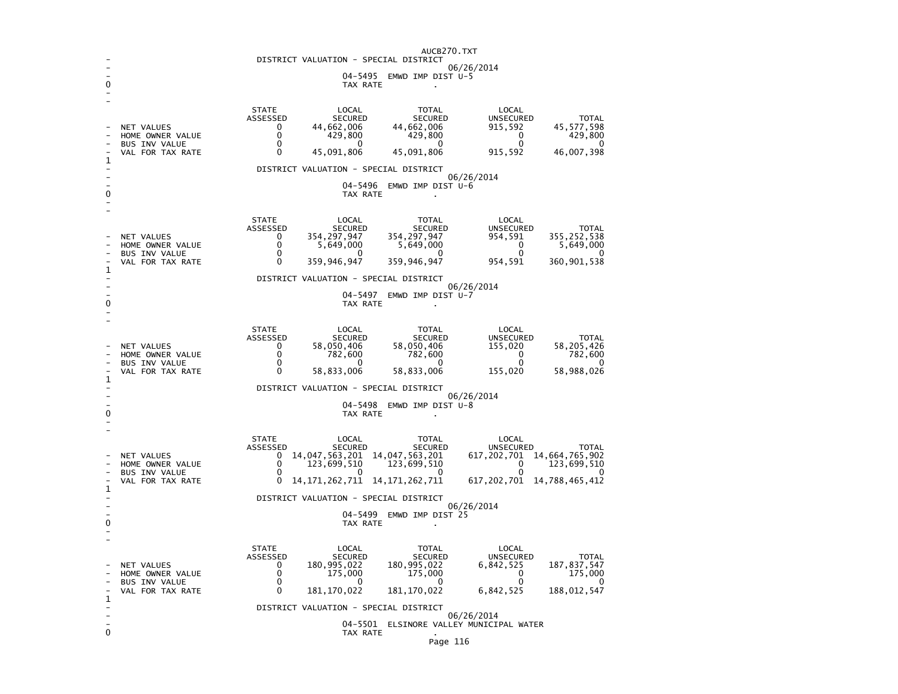|                                                                 | AUCB270.TXT<br>DISTRICT VALUATION - SPECIAL DISTRICT |                                         |                                                           |                                                   |                     |  |  |
|-----------------------------------------------------------------|------------------------------------------------------|-----------------------------------------|-----------------------------------------------------------|---------------------------------------------------|---------------------|--|--|
| 06/26/2014                                                      |                                                      |                                         |                                                           |                                                   |                     |  |  |
| 04-5495<br>EMWD IMP DIST $U-5$<br>0<br>TAX RATE<br>$\mathbf{r}$ |                                                      |                                         |                                                           |                                                   |                     |  |  |
|                                                                 |                                                      |                                         |                                                           |                                                   |                     |  |  |
|                                                                 |                                                      | <b>STATE</b><br>ASSESSED                | LOCAL<br><b>TOTAL</b><br><b>SECURED</b><br><b>SECURED</b> | LOCAL<br><b>UNSECURED</b>                         | <b>TOTAL</b>        |  |  |
|                                                                 | NET VALUES                                           | 0<br>44,662,006                         | 44,662,006                                                | 45,577,598<br>915,592                             |                     |  |  |
|                                                                 | HOME OWNER VALUE<br><b>BUS INV VALUE</b>             | 0<br>429,800<br>0                       | 429,800<br>0<br>0                                         | 0<br>0                                            | 429,800<br>0        |  |  |
| 1                                                               | VAL FOR TAX RATE                                     | 0<br>45,091,806                         | 45,091,806                                                | 46,007,398<br>915,592                             |                     |  |  |
|                                                                 |                                                      |                                         | DISTRICT VALUATION - SPECIAL DISTRICT                     | 06/26/2014                                        |                     |  |  |
| 0                                                               |                                                      |                                         | $04 - 5496$<br>EMWD IMP DIST U-6<br>TAX RATE              |                                                   |                     |  |  |
|                                                                 |                                                      |                                         |                                                           |                                                   |                     |  |  |
|                                                                 |                                                      | <b>STATE</b>                            | LOCAL<br><b>TOTAL</b>                                     | LOCAL                                             |                     |  |  |
|                                                                 | NET VALUES                                           | ASSESSED<br>354,297,947<br>0            | <b>SECURED</b><br><b>SECURED</b><br>354, 297, 947         | <b>UNSECURED</b><br>355,252,538<br>954,591        | <b>TOTAL</b>        |  |  |
|                                                                 | HOME OWNER VALUE<br><b>BUS INV VALUE</b>             | 0<br>5,649,000<br>$\Omega$              | 5,649,000<br>∩<br>0                                       | 0<br>$\Omega$                                     | 5,649,000<br>0      |  |  |
|                                                                 | VAL FOR TAX RATE                                     | $\Omega$<br>359,946,947                 | 359,946,947                                               | 954,591<br>360,901,538                            |                     |  |  |
| 1                                                               |                                                      |                                         | DISTRICT VALUATION - SPECIAL DISTRICT                     |                                                   |                     |  |  |
|                                                                 |                                                      |                                         | 04-5497<br>EMWD IMP DIST U-7                              | 06/26/2014                                        |                     |  |  |
| 0                                                               |                                                      |                                         | TAX RATE                                                  |                                                   |                     |  |  |
|                                                                 |                                                      | <b>STATE</b>                            |                                                           |                                                   |                     |  |  |
|                                                                 |                                                      | ASSESSED                                | LOCAL<br>TOTAL<br><b>SECURED</b><br><b>SECURED</b>        | LOCAL<br><b>UNSECURED</b>                         | <b>TOTAL</b>        |  |  |
|                                                                 | <b>NET VALUES</b><br>HOME OWNER VALUE                | 58,050,406<br>0<br>$\Omega$<br>782,600  | 58,050,406<br>782,600                                     | 58,205,426<br>155,020<br>0                        | 782,600             |  |  |
|                                                                 | <b>BUS INV VALUE</b><br>VAL FOR TAX RATE             | 0<br>0<br>58,833,006                    | 0<br>0<br>58,833,006                                      | 0<br>58,988,026<br>155,020                        | 0                   |  |  |
| 1                                                               |                                                      |                                         |                                                           |                                                   |                     |  |  |
|                                                                 | DISTRICT VALUATION - SPECIAL DISTRICT<br>06/26/2014  |                                         |                                                           |                                                   |                     |  |  |
| 0                                                               |                                                      |                                         | 04-5498<br>EMWD IMP DIST U-8<br>TAX RATE                  |                                                   |                     |  |  |
|                                                                 |                                                      |                                         |                                                           |                                                   |                     |  |  |
|                                                                 |                                                      | <b>STATE</b><br>ASSESSED                | LOCAL<br><b>TOTAL</b><br>SECURED<br><b>SECURED</b>        | LOCAL<br><b>UNSECURED</b>                         | <b>TOTAL</b>        |  |  |
|                                                                 | NET VALUES<br>HOME OWNER VALUE                       | 14,047,563,201<br>0<br>0<br>123,699,510 | 14,047,563,201<br>123,699,510                             | 14,664,765,902<br>617,202,701<br>0<br>123,699,510 |                     |  |  |
|                                                                 | <b>BUS INV VALUE</b>                                 | $\Omega$                                | $\Omega$<br>$\Omega$                                      | 0                                                 | $\Omega$            |  |  |
| 1                                                               | VAL FOR TAX RATE                                     | 14, 171, 262, 711<br>0                  | 14, 171, 262, 711                                         | 617, 202, 701<br>14,788,465,412                   |                     |  |  |
|                                                                 | DISTRICT VALUATION - SPECIAL DISTRICT<br>06/26/2014  |                                         |                                                           |                                                   |                     |  |  |
| 0                                                               |                                                      |                                         | 04-5499<br>EMWD IMP DIST 25<br>TAX RATE                   |                                                   |                     |  |  |
|                                                                 |                                                      |                                         |                                                           |                                                   |                     |  |  |
|                                                                 |                                                      | <b>STATE</b>                            | LOCAL<br><b>TOTAL</b>                                     | LOCAL                                             |                     |  |  |
|                                                                 | NET VALUES                                           | <b>ASSESSED</b><br>180, 995, 022<br>0   | <b>SECURED</b><br><b>SECURED</b><br>180,995,022           | <b>UNSECURED</b><br>187,837,547<br>6,842,525      | <b>TOTAL</b>        |  |  |
|                                                                 | HOME OWNER VALUE<br><b>BUS INV VALUE</b>             | 0<br>175,000<br>0                       | 175,000<br>O<br>O                                         | 0<br>$\Omega$                                     | 175,000<br>$\Omega$ |  |  |
| 1                                                               | VAL FOR TAX RATE                                     | 0<br>181, 170, 022                      | 181, 170, 022                                             | 188,012,547<br>6,842,525                          |                     |  |  |
|                                                                 |                                                      |                                         | DISTRICT VALUATION - SPECIAL DISTRICT                     | 06/26/2014                                        |                     |  |  |
|                                                                 |                                                      |                                         | 04-5501                                                   | ELSINORE VALLEY MUNICIPAL WATER                   |                     |  |  |
| 0                                                               |                                                      |                                         | TAX RATE                                                  |                                                   |                     |  |  |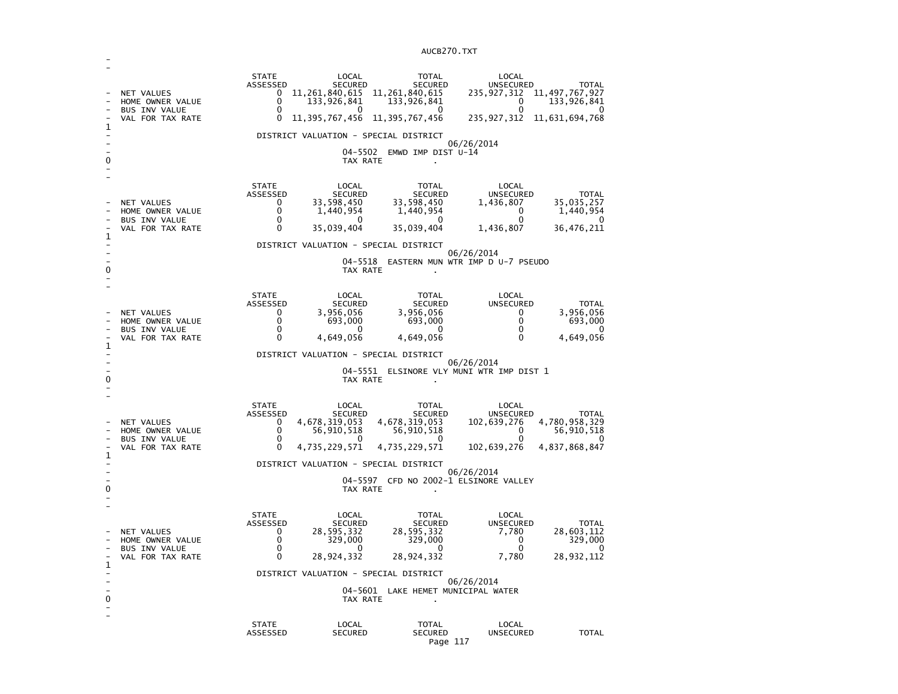| 1<br>0 | NET VALUES<br>HOME OWNER VALUE<br><b>BUS INV VALUE</b><br>VAL FOR TAX RATE        | <b>STATE</b><br>ASSESSED<br>0<br>0<br>$\mathbf{0}$<br>0      | LOCAL<br>SECURED<br>11, 261, 840, 615 11, 261, 840, 615<br>133,926,841<br>$^{(1)}$<br>11, 395, 767, 456<br>DISTRICT VALUATION - SPECIAL DISTRICT<br>TAX RATE | <b>TOTAL</b><br><b>SECURED</b><br>133,926,841<br>0<br>11,395,767,456<br>04-5502 EMWD IMP DIST U-14                               | LOCAL<br><b>UNSECURED</b><br>235,927,312<br>0<br>$\Omega$<br>235, 927, 312 11, 631, 694, 768<br>06/26/2014 | <b>TOTAL</b><br>11, 497, 767, 927<br>133,926,841<br>0        |
|--------|-----------------------------------------------------------------------------------|--------------------------------------------------------------|--------------------------------------------------------------------------------------------------------------------------------------------------------------|----------------------------------------------------------------------------------------------------------------------------------|------------------------------------------------------------------------------------------------------------|--------------------------------------------------------------|
| 1<br>0 | NET VALUES<br>HOME OWNER VALUE<br><b>BUS INV VALUE</b><br>VAL FOR TAX RATE        | <b>STATE</b><br>ASSESSED<br>0<br>0<br>0<br>0                 | LOCAL<br>SECURED<br>33,598,450<br>1,440,954<br>0<br>35,039,404<br>DISTRICT VALUATION - SPECIAL DISTRICT<br>04-5518<br>TAX RATE                               | <b>TOTAL</b><br>SECURED<br>33,598,450<br>1,440,954<br>0<br>35,039,404<br>EASTERN MUN WTR IMP D U-7 PSEUDO                        | LOCAL<br>UNSECURED<br>1,436,807<br>0<br>0<br>1,436,807<br>06/26/2014                                       | <b>TOTAL</b><br>35,035,257<br>1,440,954<br>0<br>36,476,211   |
| 1<br>0 | <b>NET VALUES</b><br>HOME OWNER VALUE<br><b>BUS INV VALUE</b><br>VAL FOR TAX RATE | <b>STATE</b><br>ASSESSED<br>0<br>$\Omega$<br>0<br>0          | LOCAL<br><b>SECURED</b><br>3,956,056<br>693,000<br>0<br>4,649,056<br>DISTRICT VALUATION - SPECIAL DISTRICT<br>TAX RATE                                       | <b>TOTAL</b><br><b>SECURED</b><br>3,956,056<br>693,000<br>0<br>4,649,056<br>04-5551 ELSINORE VLY MUNI WTR IMP DIST 1             | LOCAL<br><b>UNSECURED</b><br>0<br>$\mathbf{0}$<br>$\mathbf 0$<br>$\Omega$<br>06/26/2014                    | <b>TOTAL</b><br>3,956,056<br>693,000<br>0<br>4,649,056       |
| 1<br>0 | <b>NET VALUES</b><br>HOME OWNER VALUE<br><b>BUS INV VALUE</b><br>VAL FOR TAX RATE | <b>STATE</b><br>ASSESSED<br>0<br>0<br>0<br>0                 | LOCAL<br>SECURED<br>4,678,319,053<br>56,910,518<br>0<br>4,735,229,571<br>DISTRICT VALUATION - SPECIAL DISTRICT<br>TAX RATE                                   | TOTAL<br><b>SECURED</b><br>4,678,319,053<br>56,910,518<br>0<br>4,735,229,571<br>04-5597 CFD NO 2002-1 ELSINORE VALLEY            | LOCAL<br>UNSECURED<br>102,639,276<br>$\mathbf{0}$<br>$\Omega$<br>102,639,276<br>06/26/2014                 | <b>TOTAL</b><br>4,780,958,329<br>56,910,518<br>4,837,868,847 |
| 1<br>0 | <b>NET VALUES</b><br>HOME OWNER VALUE<br><b>BUS INV VALUE</b><br>VAL FOR TAX RATE | <b>STATE</b><br>ASSESSED<br>0<br>0<br>0<br>0<br><b>STATE</b> | LOCAL<br><b>SECURED</b><br>28, 595, 332<br>329,000<br>28,924,332<br>DISTRICT VALUATION - SPECIAL DISTRICT<br>TAX RATE<br>LOCAL                               | <b>TOTAL</b><br><b>SECURED</b><br>28,595,332<br>329,000<br>0<br>28,924,332<br>04-5601 LAKE HEMET MUNICIPAL WATER<br><b>TOTAL</b> | LOCAL<br>UNSECURED<br>7,780<br>0<br>$\Omega$<br>7,780<br>06/26/2014<br>LOCAL                               | TOTAL<br>28,603,112<br>329,000<br>28,932,112                 |
|        |                                                                                   | ASSESSED                                                     | <b>SECURED</b>                                                                                                                                               | <b>SECURED</b>                                                                                                                   | <b>UNSECURED</b>                                                                                           | <b>TOTAL</b>                                                 |

-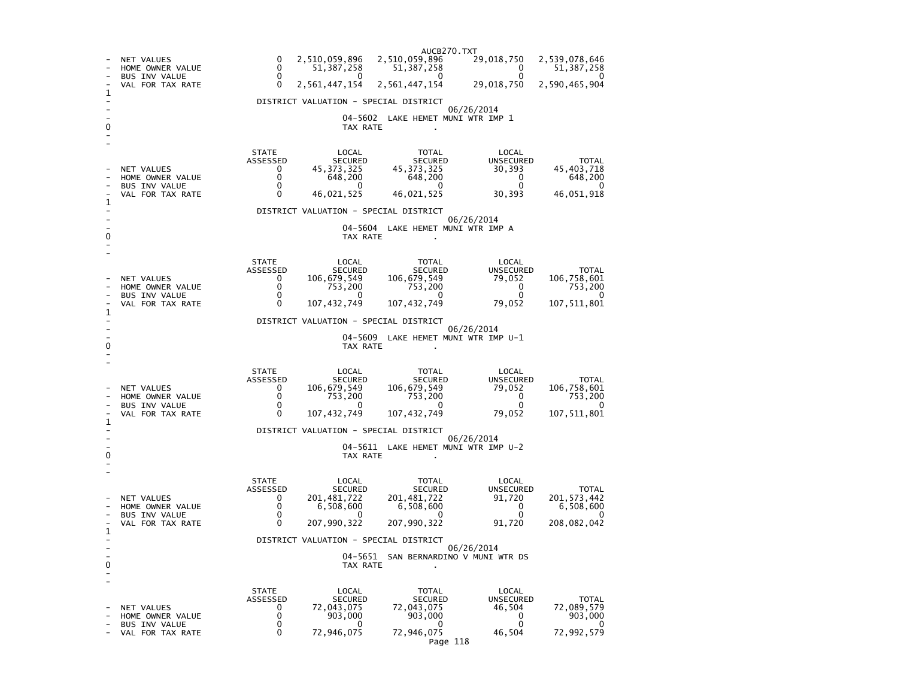AUCB270.TXT29,018,750 - NET VALUES 0 2,510,059,896 2,510,059,896 2,539,078,646<br>- HOME OWNER VALUE 0 51,387,258 51,387,258 0 51,387,258  $51,387,258$  $\begin{array}{ccc} 0 & 51,387,258 & 51,387,258 & 0 \ 0 & 0 & 0 & 0 \end{array}$  $\Omega$ - BUS INV VALUE 29,018,750 2,590,465,904 VAL FOR TAX RATE 0 2,561,447,154 2,561,447,154 1 - DISTRICT VALUATION - SPECIAL DISTRICT - 06/26/2014 - 04-5602 LAKE HEMET MUNI WTR IMP 1 0 TAX RATE . - - STATE LOCAL TOTAL LOCAL **UNSECURED**  ASSESSED SECURED SECURED UNSECURED TOTAL 45.403.718 - NET VALUES 0 45,373,325 45,373,325 30,393 45,403,718 648,200 - HOME OWNER VALUE 0 648,200 648,200 0 648,200  $\Omega$ - BUS INV VALUE 46.051.918 VAL FOR TAX RATE 0 46,021,525 46,021,525 30,393 1  $\sim$ - DISTRICT VALUATION - SPECIAL DISTRICT - 06/26/2014 - 04-5604 LAKE HEMET MUNI WTR IMP A 0 TAX RATE . - - STATE LOCAL TOTAL LOCAL UNSECURED ASSESSED SECURED SECURED UNSECURED TOTAL 106,758,601 - NET VALUES 0 106,679,549 106,679,549 79,052 106,758,601 753,200 - HOME OWNER VALUE 0 753,200 753,200 0 753,200  $\overline{\phantom{0}}$ - BUS INV VALUE 0 0 0 0 0 107, 511, 801 VAL FOR TAX RATE 0 1 - DISTRICT VALUATION - SPECIAL DISTRICT - 06/26/2014 - 04-5609 LAKE HEMET MUNI WTR IMP U-1 0 CONTROL TO TAX RATE THE SET OF TAX RATE AND TAX RATE ASSESSMENT OF TAX RATE AND TAX RATE AND TAX RATE AND TAX RATE AND TAX RATE AND TAX RATE AND TAX RATE AND TAX RATE AND TAX RATE AND TAX RATE AND TAX RATE AND TAX RATE A - - STATE LOCAL TOTAL LOCAL UNSECURED ASSESSED SECURED SECURED UNSECURED TOTAL 106,758,601 - NET VALUES 0 106,679,549 106,679,549 79,052 106,758,601 753,200 - HOME OWNER VALUE 0 753,200 753,200 0 753,200  $\overline{\mathbf{0}}$ BUS INV VALUE 107.511.801 - VAL FOR TAX RATE 0 107.432.749 107.432.749 79.052 1  $\sim$ - DISTRICT VALUATION - SPECIAL DISTRICT - 06/26/2014 - 04-5611 LAKE HEMET MUNI WTR IMP U-2 0 CONTROL CONTROL CONTROL CONTROL CONTROL CONTROL CONTROL CONTROL CONTROL CONTROL CONTROL CONTROL CONTROL CONTROL CONTROL CONTROL CONTROL CONTROL CONTROL CONTROL CONTROL CONTROL CONTROL CONTROL CONTROL CONTROL CONTROL CONT - - STATE LOCAL TOTAL LOCAL ASSESSED SECURED SECURED UNSECURED TOTAL **UNSECURED** 201, 573, 442 - NET VALUES 0 201,481,722 201,481,722 91,720<br>- HOME OWNER VALUE 0 6,508,600 6,508,600 0  $6,508,600$ - HOME OWNER VALUE 0 6,508,600 6,508,600 0 6,508,600 - 0 - BUS INV VALUE 0 0 0 0 0 208,082,042 - VAL FOR TAX RATE 0 1  $\sim$ - DISTRICT VALUATION - SPECIAL DISTRICT - 06/26/2014 - 04-5651 SAN BERNARDINO V MUNI WTR DS 0 TAX RATE . - - STATE LOCAL TOTAL LOCAL **UNSECURED**  ASSESSED SECURED SECURED UNSECURED TOTAL 72.089.579 - NET VALUES<br>- HOME OWNER VALUE  $\begin{array}{cccc} 0 & 72,043,075 & 72,043,075 \\ - & 0 & 903,000 & 903,000 \end{array}$  46,504 903,000 السباب المسلم المسلم المسلم المسلم المسلم المسلم المسلم المسلم المسلم المسلم المسلم المسلم المسلم المسلم المسل<br>- BUS INV VALUE للمسلم المسلم المسلم المسلم المسلم المسلم المسلم المسلم المسلم المسلم المسلم المسلم المسلم الم  $\overline{\mathbf{0}}$ - BUS INV VALUE 0 0 0 0 0 72,992,579 - VAL FOR TAX RATE 0 72,946,075 72,946,075 46,504 Page 118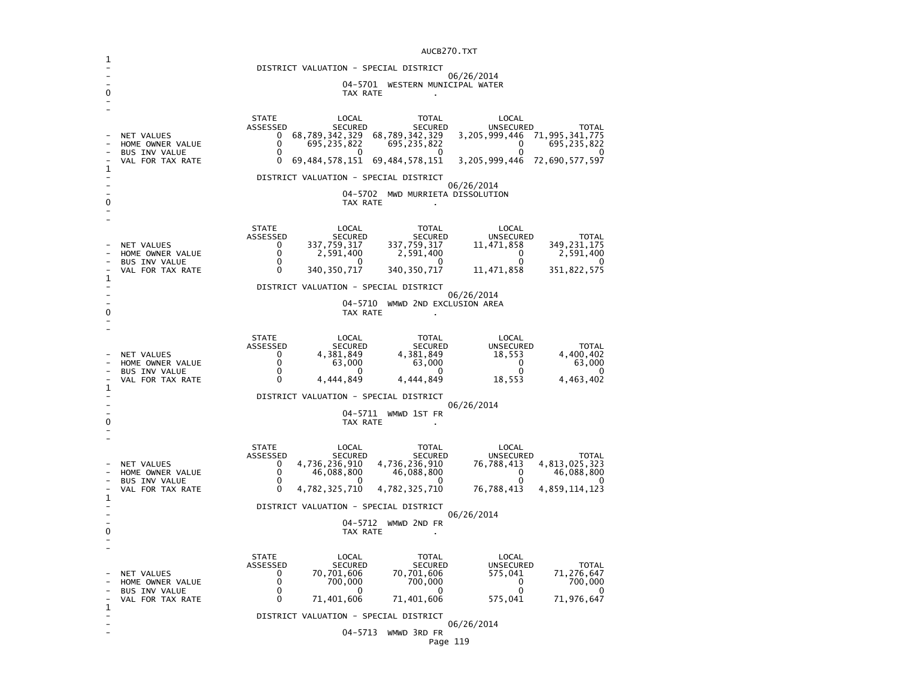|                          | AUCB270.TXT                                   |                                                                                                                                           |  |  |  |  |  |
|--------------------------|-----------------------------------------------|-------------------------------------------------------------------------------------------------------------------------------------------|--|--|--|--|--|
| 1                        |                                               | DISTRICT VALUATION - SPECIAL DISTRICT                                                                                                     |  |  |  |  |  |
|                          | 06/26/2014<br>04-5701 WESTERN MUNICIPAL WATER |                                                                                                                                           |  |  |  |  |  |
| 0                        | TAX RATE                                      |                                                                                                                                           |  |  |  |  |  |
|                          |                                               |                                                                                                                                           |  |  |  |  |  |
|                          |                                               | <b>STATE</b><br>TOTAL<br>LOCAL<br>LOCAL<br>ASSESSED<br><b>SECURED</b><br>SECURED<br><b>UNSECURED</b><br><b>TOTAL</b>                      |  |  |  |  |  |
|                          | NET VALUES<br>HOME OWNER VALUE                | 68,789,342,329<br>68,789,342,329<br>3, 205, 999, 446 71, 995, 341, 775<br>0<br>0<br>695, 235, 822<br>695, 235, 822<br>0<br>695, 235, 822  |  |  |  |  |  |
|                          | <b>BUS INV VALUE</b>                          | 0<br>$\mathbf{0}$<br>0<br>0                                                                                                               |  |  |  |  |  |
| 1                        | VAL FOR TAX RATE                              | 69, 484, 578, 151 69, 484, 578, 151<br>3, 205, 999, 446 72, 690, 577, 597<br>0                                                            |  |  |  |  |  |
|                          |                                               | DISTRICT VALUATION - SPECIAL DISTRICT<br>06/26/2014                                                                                       |  |  |  |  |  |
| 0                        |                                               | 04-5702 MWD MURRIETA DISSOLUTION<br>TAX RATE                                                                                              |  |  |  |  |  |
|                          |                                               |                                                                                                                                           |  |  |  |  |  |
|                          |                                               | STATE<br>LOCAL<br>TOTAL<br>LOCAL                                                                                                          |  |  |  |  |  |
|                          | NET VALUES                                    | ASSESSED<br><b>SECURED</b><br><b>SECURED</b><br>UNSECURED<br><b>TOTAL</b><br>337,759,317<br>337,759,317<br>349,231,175<br>0<br>11,471,858 |  |  |  |  |  |
|                          | HOME OWNER VALUE<br><b>BUS INV VALUE</b>      | 0<br>2,591,400<br>2,591,400<br>$\Omega$<br>2,591,400<br>0<br>$\Omega$<br>0<br>0                                                           |  |  |  |  |  |
|                          | VAL FOR TAX RATE                              | $\Omega$<br>340, 350, 717<br>11,471,858<br>351,822,575<br>340, 350, 717                                                                   |  |  |  |  |  |
| 1                        | DISTRICT VALUATION - SPECIAL DISTRICT         |                                                                                                                                           |  |  |  |  |  |
|                          |                                               | 06/26/2014<br>04-5710 WMWD 2ND EXCLUSION AREA                                                                                             |  |  |  |  |  |
| 0                        |                                               | TAX RATE                                                                                                                                  |  |  |  |  |  |
|                          |                                               | <b>STATE</b><br>LOCAL<br>TOTAL<br>LOCAL                                                                                                   |  |  |  |  |  |
|                          |                                               | ASSESSED<br><b>SECURED</b><br>UNSECURED<br><b>TOTAL</b><br><b>SECURED</b>                                                                 |  |  |  |  |  |
|                          | NET VALUES<br>HOME OWNER VALUE                | 0<br>4,381,849<br>4,381,849<br>18,553<br>4,400,402<br>63,000<br>0<br>63.000<br>$\mathbf{0}$<br>63,000                                     |  |  |  |  |  |
|                          | <b>BUS INV VALUE</b><br>VAL FOR TAX RATE      | 0<br>$\mathbf{0}$<br>0<br>0<br>0<br>$\Omega$<br>4,444,849<br>4,444,849<br>18,553<br>4,463,402                                             |  |  |  |  |  |
| 1                        |                                               | DISTRICT VALUATION - SPECIAL DISTRICT                                                                                                     |  |  |  |  |  |
|                          | 06/26/2014<br>04-5711 WMWD 1ST FR             |                                                                                                                                           |  |  |  |  |  |
| 0                        |                                               | TAX RATE                                                                                                                                  |  |  |  |  |  |
|                          |                                               |                                                                                                                                           |  |  |  |  |  |
|                          |                                               | <b>STATE</b><br>LOCAL<br>LOCAL<br>TOTAL<br>ASSESSED<br><b>SECURED</b><br><b>SECURED</b><br>UNSECURED<br><b>TOTAL</b>                      |  |  |  |  |  |
|                          | NET VALUES<br>HOME OWNER VALUE                | 4,736,236,910<br>4,736,236,910<br>76,788,413<br>4,813,025,323<br>0<br>0<br>46,088,800<br>46,088,800<br>46,088,800<br>0                    |  |  |  |  |  |
|                          | <b>BUS INV VALUE</b><br>VAL FOR TAX RATE      | 0<br>$\mathbf{0}$<br>$\mathbf{0}$<br>$\Omega$<br>0<br>$\Omega$<br>76,788,413                                                              |  |  |  |  |  |
| 1                        |                                               | 4,782,325,710<br>4,782,325,710<br>4,859,114,123                                                                                           |  |  |  |  |  |
|                          |                                               | DISTRICT VALUATION - SPECIAL DISTRICT<br>06/26/2014                                                                                       |  |  |  |  |  |
| 0                        |                                               | 04-5712 WMWD 2ND FR<br>TAX RATE                                                                                                           |  |  |  |  |  |
|                          |                                               |                                                                                                                                           |  |  |  |  |  |
|                          |                                               | <b>STATE</b><br><b>TOTAL</b><br>LOCAL<br>LOCAL                                                                                            |  |  |  |  |  |
|                          | NET VALUES                                    | ASSESSED<br>UNSECURED<br><b>TOTAL</b><br><b>SECURED</b><br><b>SECURED</b><br>70,701,606<br>70,701,606<br>575,041<br>71,276,647<br>0       |  |  |  |  |  |
|                          | HOME OWNER VALUE<br>BUS INV VALUE             | 0<br>700,000<br>700,000<br>700,000<br>0<br>0<br>0<br>0<br>0                                                                               |  |  |  |  |  |
| 1                        | VAL FOR TAX RATE                              | 0<br>71,976,647<br>71,401,606<br>71,401,606<br>575,041                                                                                    |  |  |  |  |  |
| $\overline{\phantom{0}}$ |                                               | DISTRICT VALUATION - SPECIAL DISTRICT                                                                                                     |  |  |  |  |  |
|                          |                                               | 06/26/2014<br>04-5713<br>WMWD 3RD FR                                                                                                      |  |  |  |  |  |
|                          |                                               | Page 119                                                                                                                                  |  |  |  |  |  |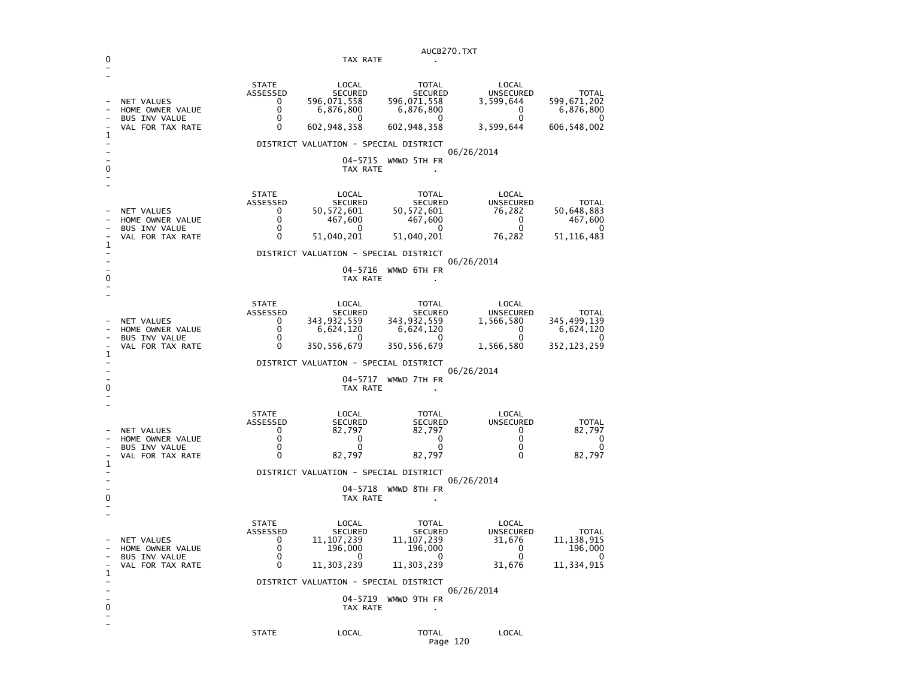| AUCB270.TXT                                               |                                                                            |                                                        |                                                                            |                                                                                  |                                                                      |                                                                   |
|-----------------------------------------------------------|----------------------------------------------------------------------------|--------------------------------------------------------|----------------------------------------------------------------------------|----------------------------------------------------------------------------------|----------------------------------------------------------------------|-------------------------------------------------------------------|
| 0                                                         |                                                                            |                                                        | TAX RATE                                                                   |                                                                                  |                                                                      |                                                                   |
| 1                                                         | NET VALUES<br>HOME OWNER VALUE<br><b>BUS INV VALUE</b><br>VAL FOR TAX RATE | <b>STATE</b><br>ASSESSED<br>0<br>0<br>$\mathbf 0$<br>0 | LOCAL<br><b>SECURED</b><br>596,071,558<br>6,876,800<br>0<br>602,948,358    | <b>TOTAL</b><br><b>SECURED</b><br>596,071,558<br>6,876,800<br>0<br>602, 948, 358 | LOCAL<br><b>UNSECURED</b><br>3,599,644<br>0<br>0<br>3,599,644        | <b>TOTAL</b><br>599,671,202<br>6,876,800<br>0<br>606,548,002      |
|                                                           |                                                                            |                                                        | DISTRICT VALUATION - SPECIAL DISTRICT                                      |                                                                                  | 06/26/2014                                                           |                                                                   |
| 0                                                         |                                                                            |                                                        | 04-5715<br>TAX RATE                                                        | WMWD 5TH FR                                                                      |                                                                      |                                                                   |
| 1                                                         | NET VALUES<br>HOME OWNER VALUE<br><b>BUS INV VALUE</b><br>VAL FOR TAX RATE | <b>STATE</b><br>ASSESSED<br>0<br>0<br>0<br>0           | LOCAL<br><b>SECURED</b><br>50,572,601<br>467,600<br>0<br>51,040,201        | <b>TOTAL</b><br><b>SECURED</b><br>50, 572, 601<br>467,600<br>0<br>51,040,201     | LOCAL<br><b>UNSECURED</b><br>76,282<br>0<br>0<br>76,282              | <b>TOTAL</b><br>50,648,883<br>467,600<br>0<br>51,116,483          |
|                                                           |                                                                            |                                                        | DISTRICT VALUATION - SPECIAL DISTRICT                                      |                                                                                  |                                                                      |                                                                   |
| 0                                                         |                                                                            |                                                        | 04-5716<br>TAX RATE                                                        | WMWD 6TH FR                                                                      | 06/26/2014                                                           |                                                                   |
| 1                                                         | NET VALUES<br>HOME OWNER VALUE<br><b>BUS INV VALUE</b><br>VAL FOR TAX RATE | <b>STATE</b><br>ASSESSED<br>0<br>0<br>0<br>0           | LOCAL<br><b>SECURED</b><br>343,932,559<br>6,624,120<br>0<br>350,556,679    | <b>TOTAL</b><br><b>SECURED</b><br>343,932,559<br>6,624,120<br>0<br>350, 556, 679 | LOCAL<br><b>UNSECURED</b><br>1,566,580<br>0<br>0<br>1,566,580        | <b>TOTAL</b><br>345,499,139<br>6,624,120<br>0<br>352,123,259      |
|                                                           |                                                                            |                                                        | DISTRICT VALUATION - SPECIAL DISTRICT                                      |                                                                                  |                                                                      |                                                                   |
| 0                                                         |                                                                            |                                                        | 04-5717<br>TAX RATE                                                        | WMWD 7TH FR                                                                      | 06/26/2014                                                           |                                                                   |
|                                                           | NET VALUES<br>HOME OWNER VALUE<br><b>BUS INV VALUE</b><br>VAL FOR TAX RATE | <b>STATE</b><br>ASSESSED<br>0<br>0<br>0<br>0           | LOCAL<br><b>SECURED</b><br>82,797<br>0<br>0<br>82,797                      | <b>TOTAL</b><br><b>SECURED</b><br>82,797<br>0<br>0<br>82,797                     | LOCAL<br><b>UNSECURED</b><br>0<br>0<br>0<br>0                        | <b>TOTAL</b><br>82,797<br>0<br>0<br>82,797                        |
| 1                                                         |                                                                            |                                                        | DISTRICT VALUATION - SPECIAL DISTRICT                                      |                                                                                  |                                                                      |                                                                   |
| 0                                                         |                                                                            |                                                        | 04-5718<br>TAX RATE                                                        | WMWD 8TH FR                                                                      | 06/26/2014                                                           |                                                                   |
| $\overline{\phantom{0}}$                                  | NET VALUES<br>HOME OWNER VALUE<br><b>BUS INV VALUE</b><br>VAL FOR TAX RATE | <b>STATE</b><br>ASSESSED<br>0<br>0<br>0<br>0           | LOCAL<br><b>SECURED</b><br>11,107,239<br>196,000<br>$\sim$ 0<br>11,303,239 | TOTAL<br><b>SECURED</b><br>11, 107, 239<br>196,000<br>$\sim$ 0<br>11, 303, 239   | LOCAL<br><b>UNSECURED</b><br>31,676<br>0<br>$\overline{0}$<br>31,676 | <b>TOTAL</b><br>11, 138, 915<br>196,000<br>$\sim$ 0<br>11,334,915 |
| 1<br>$\overline{\phantom{0}}$                             |                                                                            |                                                        | DISTRICT VALUATION - SPECIAL DISTRICT                                      |                                                                                  |                                                                      |                                                                   |
| $\overline{\phantom{a}}$<br>0<br>$\overline{\phantom{0}}$ |                                                                            |                                                        | TAX RATE                                                                   | 04-5719 WMWD 9TH FR<br>$\bullet$                                                 | 06/26/2014                                                           |                                                                   |
|                                                           |                                                                            | <b>STATE</b>                                           | LOCAL                                                                      | TOTAL<br>Page 120                                                                | LOCAL                                                                |                                                                   |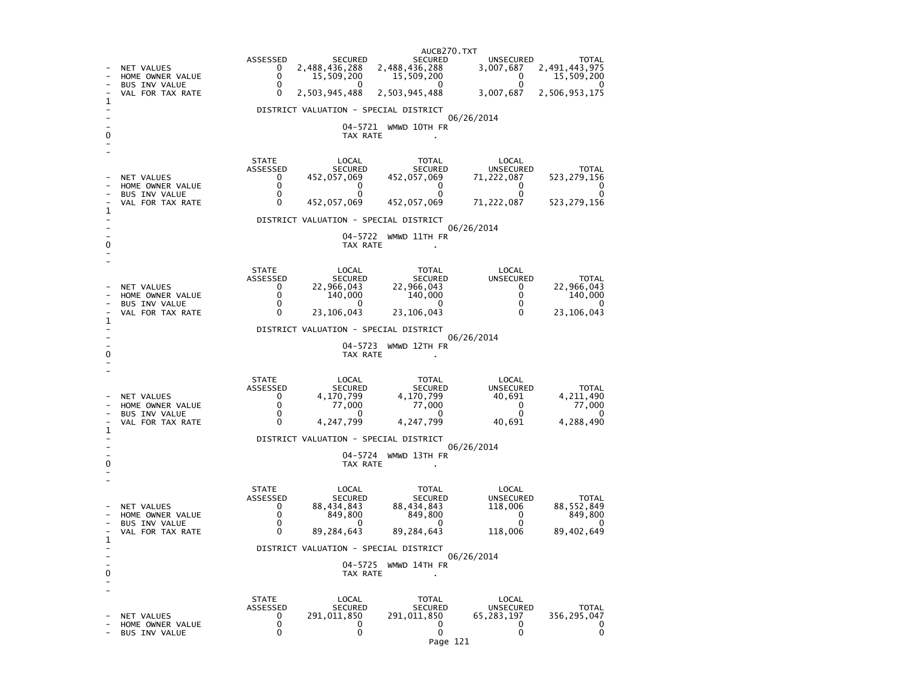AUCB270.TXTASSESSED SECURED SECURED SECURED UNSECURED TOTAL 3,007,687 2,491,443,975 - NET VALUES 0 2,488,436,288 2,488,436,288 3,007<br>- HOME OWNER VALUE 0 15,509,200 15,509,200  $0 \qquad 15,509,200$  $\begin{array}{ccc} 0 & 15,509,200 & 15,509,200 \ 0 & 0 & 0 \end{array}$ ໌ ∩ - BUS INV VALUE 3,007,687 2,506,953,175 VAL FOR TAX RATE 0 2,503,945,488 2,503,945,488 1  $\sim$ - DISTRICT VALUATION - SPECIAL DISTRICT - 06/26/2014 - 04-5721 WMWD 10TH FR 0 TAX RATE . - - STATE LOCAL TOTAL LOCAL ASSESSED SECURED SECURED UNSECURED TOTAL 523, 279, 156 - NET VALUES 0 452,057,069 452,057,069 71,222,087<br>- HOME OWNER VALUE 0 0 0 0 0  $\Omega$ - HOME OWNER VALUE 0 0 0 0 0  $\Omega$ - BUS INV VALUE 0 0 0 0 0 523, 279, 156 - VAL FOR TAX RATE 452,057,069 91,222,069 92,057,069 452,069 92,057,069 92,057,069 92,069 92,069 523,279,1566 523,279,1566 92,069 92,069 92,069 92,069 93,279,1669 93,279,1566 93,279,1566 93,279,1566 93,279,1566 93,279,1566 1 - DISTRICT VALUATION - SPECIAL DISTRICT - 06/26/2014 - 04-5722 WMWD 11TH FR 0 CONTROL CONTROL CONTROL CONTROL CONTROL CONTROL CONTROL CONTROL CONTROL CONTROL CONTROL CONTROL CONTROL CONTROL CONTROL CONTROL CONTROL CONTROL CONTROL CONTROL CONTROL CONTROL CONTROL CONTROL CONTROL CONTROL CONTROL CONT - - STATE LOCAL TOTAL LOCAL **UNSECURED**  ASSESSED SECURED SECURED UNSECURED TOTAL 22.966.043 - NET VALUES 0 22,966,043 22,966,043 0 22,966,043  $140,000$ - HOME OWNER VALUE 0 140,000 140,000 0 140,000 BUS INV VALUE 23.106.043 - VAL FOR TAX RATE 0 23,106,043 23,106,043 0 23,106,043 1 - DISTRICT VALUATION - SPECIAL DISTRICT - 06/26/2014 - 04-5723 WMWD 12TH FR 0 TAX RATE . - - STATE LOCAL TOTAL LOCAL **UNSECURED**  ASSESSED SECURED SECURED UNSECURED TOTAL 4, 211, 490 - NET VALUES 0 4,170,799 4,170,799 40,691 4,211,490 77,000 - HOME OWNER VALUE 0 77,000 77,000 0 77,000  $\overline{\mathbf{0}}$ - BUS INV VALUE 0 0 0 0 0 4,288,490 - VAL FOR TAX RATE 0 1  $\sim$ - DISTRICT VALUATION - SPECIAL DISTRICT - 06/26/2014 - 04-5724 WMWD 13TH FR 0 TAX RATE . - - STATE LOCAL TOTAL LOCAL **UNSECURED**  ASSESSED SECURED SECURED UNSECURED TOTAL 88.552.849 - NET VALUES 0 88,434,843 88,434,843 118,006<br>- HOME OWNER VALUE 0 849,800 849,800 0 849,800 - HOME OWNER VALUE 0 849,800 849,800 0 849,800  $\Omega$ - BUS INV VALUE 0 0 0 0 0 89,402,649 - VAL FOR TAX RATE 0 89.284.643 89.284.643 118.006 1  $\sim$ - DISTRICT VALUATION - SPECIAL DISTRICT - 06/26/2014 - 04-5725 WMWD 14TH FR 0 CONTROL CONTROL CONTROL CONTROL CONTROL CONTROL CONTROL CONTROL CONTROL CONTROL CONTROL CONTROL CONTROL CONTROL CONTROL CONTROL CONTROL CONTROL CONTROL CONTROL CONTROL CONTROL CONTROL CONTROL CONTROL CONTROL CONTROL CONT - - STATE LOCAL TOTAL LOCAL ASSESSED SECURED SECURED UNSECURED TOTAL 356.295.047 - NET VALUES 0 291,011,850 291,011,850 65,283,197 356,295,047  $\mathbf 0$ - HOME OWNER VALUE  $\mathbf 0$ - BUS INV VALUE  $\begin{array}{ccccccc} 0 & 0 & 0 & 0 & 0 \end{array}$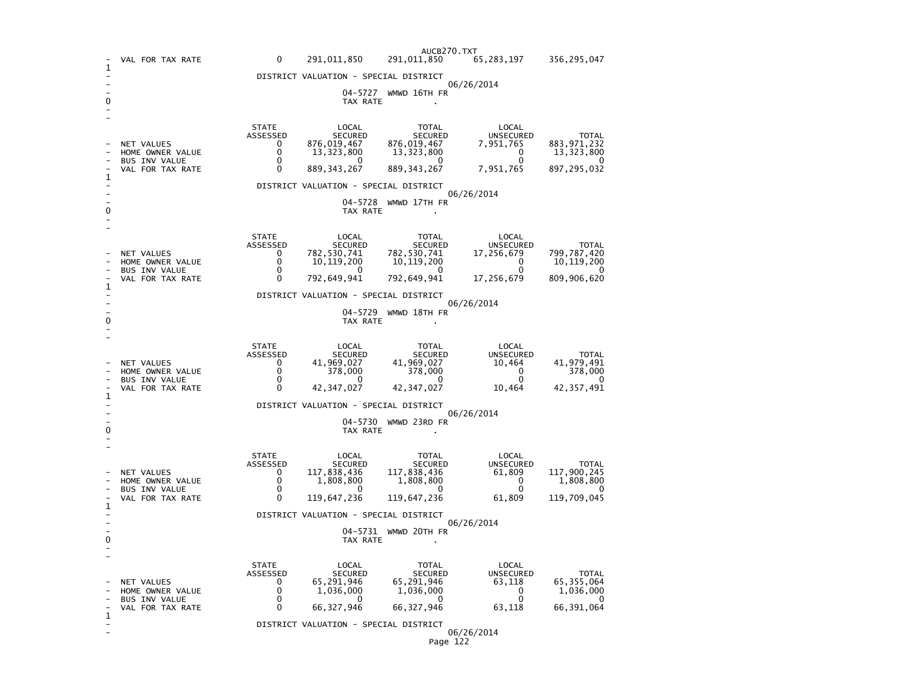|                                       |                                                                                   |                                                                |                                                                         | AUCB270.TXT                                                               |                                                                        |                                                                     |
|---------------------------------------|-----------------------------------------------------------------------------------|----------------------------------------------------------------|-------------------------------------------------------------------------|---------------------------------------------------------------------------|------------------------------------------------------------------------|---------------------------------------------------------------------|
| 1                                     | VAL FOR TAX RATE                                                                  | 0                                                              | 291,011,850                                                             | 291,011,850                                                               | 65,283,197                                                             | 356,295,047                                                         |
|                                       |                                                                                   |                                                                | DISTRICT VALUATION - SPECIAL DISTRICT                                   |                                                                           | 06/26/2014                                                             |                                                                     |
| 0                                     |                                                                                   |                                                                | TAX RATE                                                                | 04-5727 WMWD 16TH FR                                                      |                                                                        |                                                                     |
|                                       | NET VALUES<br>HOME OWNER VALUE<br>BUS INV VALUE                                   | <b>STATE</b><br>ASSESSED<br>0<br>0<br>0                        | LOCAL<br><b>SECURED</b><br>876,019,467<br>13,323,800<br>$\Omega$        | TOTAL<br><b>SECURED</b><br>876,019,467<br>13, 323, 800<br>$\Omega$        | LOCAL<br>UNSECURED<br>7,951,765<br>0<br>$\mathbf 0$                    | <b>TOTAL</b><br>883, 971, 232<br>13,323,800<br>$\mathbf{I}$         |
| 1                                     | VAL FOR TAX RATE                                                                  | 0                                                              | 889, 343, 267                                                           | 889, 343, 267                                                             | 7,951,765                                                              | 897, 295, 032                                                       |
|                                       |                                                                                   |                                                                | DISTRICT VALUATION - SPECIAL DISTRICT                                   |                                                                           | 06/26/2014                                                             |                                                                     |
| 0                                     |                                                                                   |                                                                | 04-5728<br>TAX RATE                                                     | WMWD 17TH FR                                                              |                                                                        |                                                                     |
|                                       | NET VALUES<br>HOME OWNER VALUE<br><b>BUS INV VALUE</b>                            | <b>STATE</b><br>ASSESSED<br>$\Omega$<br>0<br>0                 | LOCAL<br><b>SECURED</b><br>782,530,741<br>10, 119, 200<br>0             | TOTAL<br>SECURED<br>782,530,741<br>10, 119, 200<br>$\Omega$               | LOCAL<br>UNSECURED<br>17,256,679<br>0<br>$\mathbf 0$                   | <b>TOTAL</b><br>799,787,420<br>10, 119, 200<br>0                    |
| 1                                     | VAL FOR TAX RATE                                                                  | 0                                                              | 792,649,941                                                             | 792,649,941                                                               | 17,256,679                                                             | 809,906,620                                                         |
|                                       |                                                                                   |                                                                | DISTRICT VALUATION - SPECIAL DISTRICT                                   |                                                                           | 06/26/2014                                                             |                                                                     |
| 0                                     |                                                                                   | 04-5729 WMWD 18TH FR<br>TAX RATE                               |                                                                         |                                                                           |                                                                        |                                                                     |
| 1                                     | NET VALUES<br>HOME OWNER VALUE<br>BUS INV VALUE<br>VAL FOR TAX RATE               | <b>STATE</b><br>ASSESSED<br>0<br>0<br>$\Omega$<br>0            | LOCAL<br>SECURED<br>41,969,027<br>378,000<br>0<br>42, 347, 027          | TOTAL<br>SECURED<br>41,969,027<br>378,000<br>$\mathbf{0}$<br>42, 347, 027 | LOCAL<br>UNSECURED<br>10,464<br>$\mathbf{0}$<br>$\mathbf{0}$<br>10,464 | <b>TOTAL</b><br>41,979,491<br>378,000<br>$\Omega$<br>42, 357, 491   |
| DISTRICT VALUATION - SPECIAL DISTRICT |                                                                                   |                                                                |                                                                         |                                                                           |                                                                        |                                                                     |
| 0                                     | 06/26/2014<br>04-5730 WMWD 23RD FR<br>TAX RATE                                    |                                                                |                                                                         |                                                                           |                                                                        |                                                                     |
|                                       | <b>NET VALUES</b><br>HOME OWNER VALUE<br><b>BUS INV VALUE</b><br>VAL FOR TAX RATE | <b>STATE</b><br>ASSESSED<br>0<br>$\Omega$<br>0<br>0            | LOCAL<br>SECURED<br>117,838,436<br>1,808,800<br>0<br>119,647,236        | TOTAL<br>SECURED<br>117,838,436<br>1,808,800<br>$\Omega$<br>119,647,236   | LOCAL<br>UNSECURED<br>61,809<br>$\Omega$<br>0<br>61,809                | <b>TOTAL</b><br>117,900,245<br>1,808,800<br>$\Omega$<br>119,709,045 |
| 1                                     |                                                                                   |                                                                | DISTRICT VALUATION - SPECIAL DISTRICT                                   |                                                                           |                                                                        |                                                                     |
| 0                                     | 06/26/2014<br>04-5731 WMWD 20TH FR<br>TAX RATE                                    |                                                                |                                                                         |                                                                           |                                                                        |                                                                     |
|                                       | NET VALUES<br>HOME OWNER VALUE<br><b>BUS INV VALUE</b><br>VAL FOR TAX RATE        | <b>STATE</b><br>ASSESSED<br>$\Omega$<br>0<br>0<br>$\mathbf{0}$ | LOCAL<br><b>SECURED</b><br>65,291,946<br>1,036,000<br>0<br>66, 327, 946 | TOTAL<br>SECURED<br>65,291,946<br>1,036,000<br>0<br>66, 327, 946          | LOCAL<br><b>UNSECURED</b><br>63,118<br>0<br>$\mathbf 0$<br>63,118      | <b>TOTAL</b><br>65, 355, 064<br>1,036,000<br>0<br>66,391,064        |
| 1                                     |                                                                                   |                                                                | DISTRICT VALUATION - SPECIAL DISTRICT                                   |                                                                           | 06/26/2014                                                             |                                                                     |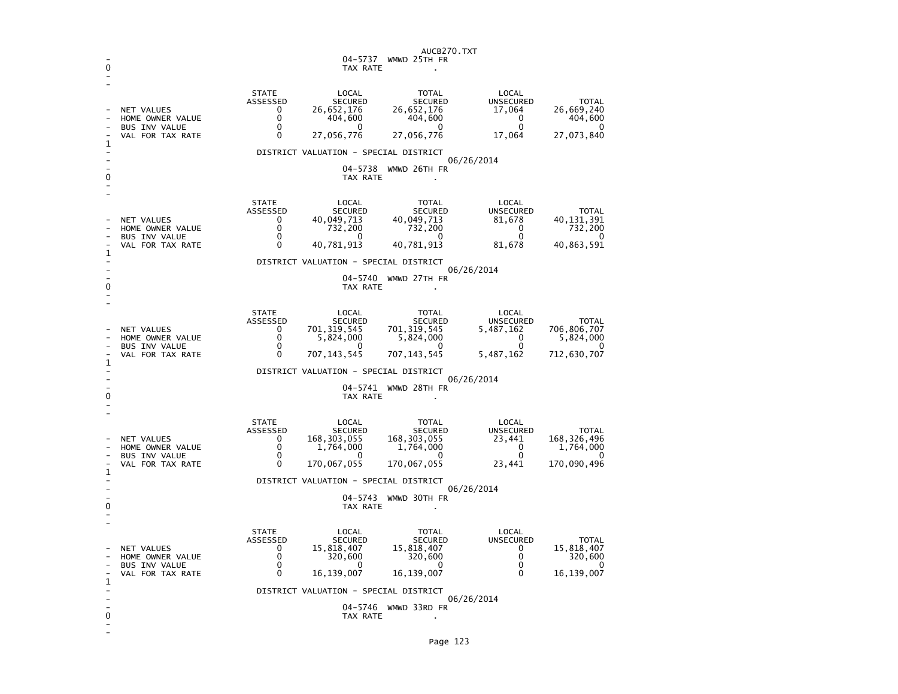| 0 |                                                                                         |                                                            | AUCB270.TXT<br>04–5737<br>WMWD 25TH FR<br>TAX RATE                                     |                                                                             |                                                                |                                                                 |  |
|---|-----------------------------------------------------------------------------------------|------------------------------------------------------------|----------------------------------------------------------------------------------------|-----------------------------------------------------------------------------|----------------------------------------------------------------|-----------------------------------------------------------------|--|
| 1 | <b>NET VALUES</b><br>HOME OWNER VALUE<br><b>BUS INV VALUE</b><br>VAL FOR TAX RATE       | <b>STATE</b><br>ASSESSED<br>0<br>$\Omega$<br>0<br>0        | LOCAL<br><b>SECURED</b><br>26,652,176<br>404,600<br>$\Omega$<br>27,056,776             | TOTAL<br><b>SECURED</b><br>26,652,176<br>404,600<br>0<br>27,056,776         | LOCAL<br><b>UNSECURED</b><br>17,064<br>0<br>$\Omega$<br>17,064 | <b>TOTAL</b><br>26,669,240<br>404,600<br>$\Omega$<br>27,073,840 |  |
| 0 |                                                                                         |                                                            | DISTRICT VALUATION - SPECIAL DISTRICT<br>04-5738<br>TAX RATE                           | WMWD 26TH FR                                                                | 06/26/2014                                                     |                                                                 |  |
| 1 | NET VALUES<br>HOME OWNER VALUE<br><b>BUS INV VALUE</b><br>VAL FOR TAX RATE              | <b>STATE</b><br>ASSESSED<br>0<br>0<br>0<br>$\Omega$        | LOCAL<br><b>SECURED</b><br>40,049,713<br>732,200<br>0<br>40,781,913                    | <b>TOTAL</b><br><b>SECURED</b><br>40,049,713<br>732,200<br>0<br>40,781,913  | LOCAL<br><b>UNSECURED</b><br>81,678<br>0<br>0<br>81,678        | <b>TOTAL</b><br>40, 131, 391<br>732,200<br>0<br>40,863,591      |  |
| 0 |                                                                                         |                                                            | DISTRICT VALUATION - SPECIAL DISTRICT<br>04-5740<br>TAX RATE                           | WMWD 27TH FR                                                                | 06/26/2014                                                     |                                                                 |  |
| 1 | <b>NET VALUES</b><br>HOME OWNER VALUE<br>BUS INV VALUE<br>VAL FOR TAX RATE              | <b>STATE</b><br>ASSESSED<br>0<br>$\Omega$<br>0<br>$\Omega$ | LOCAL<br><b>SECURED</b><br>701, 319, 545<br>5,824,000<br><sup>0</sup><br>707, 143, 545 | TOTAL<br><b>SECURED</b><br>701, 319, 545<br>5,824,000<br>0<br>707, 143, 545 | LOCAL<br>UNSECURED<br>5,487,162<br>0<br>0<br>5,487,162         | <b>TOTAL</b><br>706,806,707<br>5,824,000<br>O<br>712,630,707    |  |
| 0 | DISTRICT VALUATION - SPECIAL DISTRICT<br>06/26/2014<br>04-5741 WMWD 28TH FR<br>TAX RATE |                                                            |                                                                                        |                                                                             |                                                                |                                                                 |  |
| 1 | NET VALUES<br>HOME OWNER VALUE<br><b>BUS INV VALUE</b><br>VAL FOR TAX RATE              | <b>STATE</b><br>ASSESSED<br>0<br>0<br>0<br>$\Omega$        | LOCAL<br><b>SECURED</b><br>168, 303, 055<br>1,764,000<br><sup>0</sup><br>170,067,055   | TOTAL<br>SECURED<br>168, 303, 055<br>1,764,000<br>0<br>170,067,055          | LOCAL<br><b>UNSECURED</b><br>23,441<br>0<br>0<br>23,441        | <b>TOTAL</b><br>168, 326, 496<br>1,764,000<br>0<br>170,090,496  |  |
| 0 | DISTRICT VALUATION - SPECIAL DISTRICT<br>06/26/2014<br>04-5743 WMWD 30TH FR<br>TAX RATE |                                                            |                                                                                        |                                                                             |                                                                |                                                                 |  |
| 1 | NET VALUES<br>HOME OWNER VALUE<br>BUS INV VALUE<br>VAL FOR TAX RATE                     | <b>STATE</b><br>ASSESSED<br>0<br>0<br>$\Omega$<br>0        | LOCAL<br><b>SECURED</b><br>15,818,407<br>320,600<br>$\Omega$<br>16, 139, 007           | TOTAL<br><b>SECURED</b><br>15,818,407<br>320,600<br>0<br>16,139,007         | LOCAL<br><b>UNSECURED</b><br>0<br>0<br>0<br>$\mathbf{0}$       | <b>TOTAL</b><br>15,818,407<br>320,600<br>0<br>16,139,007        |  |
| 0 |                                                                                         |                                                            | DISTRICT VALUATION - SPECIAL DISTRICT<br>04-5746<br>TAX RATE                           | WMWD 33RD FR                                                                | 06/26/2014                                                     |                                                                 |  |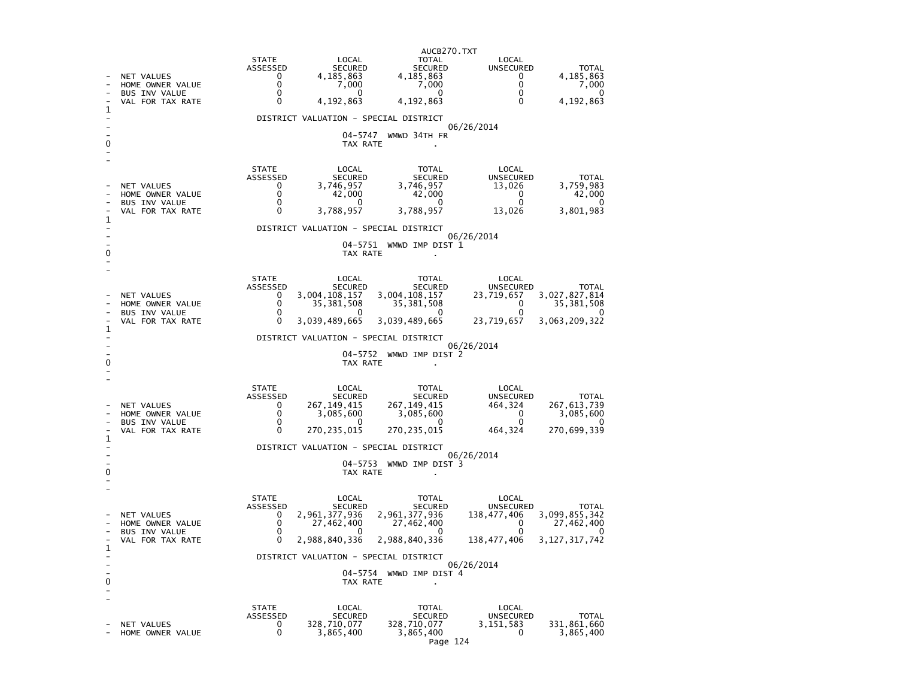|   |                                                                            | AUCB270.TXT                                                                                                                                                                                                                                                                                                                                                                                              |
|---|----------------------------------------------------------------------------|----------------------------------------------------------------------------------------------------------------------------------------------------------------------------------------------------------------------------------------------------------------------------------------------------------------------------------------------------------------------------------------------------------|
|   | NET VALUES<br>HOME OWNER VALUE<br><b>BUS INV VALUE</b><br>VAL FOR TAX RATE | <b>STATE</b><br>LOCAL<br>TOTAL<br>LOCAL<br>SECURED<br>ASSESSED<br>SECURED<br>UNSECURED<br><b>TOTAL</b><br>$\mathbf{0}$<br>4,185,863<br>4,185,863<br>4,185,863<br>$\mathbf{0}$<br>0<br>$\Omega$<br>7,000<br>7,000<br>7,000<br>$\mathbf{0}$<br>$\mathbf{0}$<br>$\Omega$<br>$\mathbf{0}$<br>$\mathbf{0}$<br>4,192,863<br>4,192,863<br>4,192,863<br>0<br>0                                                   |
| 1 |                                                                            | DISTRICT VALUATION - SPECIAL DISTRICT                                                                                                                                                                                                                                                                                                                                                                    |
| 0 |                                                                            | 06/26/2014<br>04-5747 WMWD 34TH FR<br>TAX RATE                                                                                                                                                                                                                                                                                                                                                           |
| 1 | NET VALUES<br>HOME OWNER VALUE<br><b>BUS INV VALUE</b><br>VAL FOR TAX RATE | <b>STATE</b><br>LOCAL<br>TOTAL<br>LOCAL<br>ASSESSED<br>SECURED<br>SECURED<br>UNSECURED<br><b>TOTAL</b><br>3,746,957<br>3,746,957<br>3,759,983<br>$\Omega$<br>13,026<br>$\Omega$<br>42,000<br>42,000<br>42,000<br>$\overline{\mathbf{0}}$<br>$\mathbf 0$<br>0<br>$\mathbf{0}$<br>- 0<br>0<br>3,788,957<br>3,788,957<br>3,801,983<br>$\Omega$<br>13,026                                                    |
|   |                                                                            | DISTRICT VALUATION - SPECIAL DISTRICT<br>06/26/2014                                                                                                                                                                                                                                                                                                                                                      |
| 0 |                                                                            | 04-5751 WMWD IMP DIST 1<br>TAX RATE                                                                                                                                                                                                                                                                                                                                                                      |
|   | NET VALUES<br>HOME OWNER VALUE<br><b>BUS INV VALUE</b><br>VAL FOR TAX RATE | <b>STATE</b><br>LOCAL<br>TOTAL<br>LOCAL<br>ASSESSED<br>SECURED<br>SECURED<br>UNSECURED<br><b>TOTAL</b><br>3,004,108,157<br>3,004,108,157<br>3,027,827,814<br>23,719,657<br>0<br>35, 381, 508<br>$\mathbf{0}$<br>35, 381, 508<br>35, 381, 508<br>$\Omega$<br>$\mathbf{0}$<br>$\overline{0}$<br>$\mathbf{0}$<br>$\Omega$<br>$\Omega$<br>3,039,489,665<br>3,039,489,665<br>3,063,209,322<br>0<br>23,719,657 |
| 1 |                                                                            | DISTRICT VALUATION - SPECIAL DISTRICT                                                                                                                                                                                                                                                                                                                                                                    |
| 0 |                                                                            | 06/26/2014<br>04-5752 WMWD IMP DIST 2<br>TAX RATE                                                                                                                                                                                                                                                                                                                                                        |
| 1 | NET VALUES<br>HOME OWNER VALUE<br><b>BUS INV VALUE</b><br>VAL FOR TAX RATE | <b>STATE</b><br>LOCAL<br>TOTAL<br>LOCAL<br>SECURED<br>ASSESSED<br>SECURED<br>UNSECURED<br><b>TOTAL</b><br>267,149,415<br>267, 149, 415<br>$\mathbf{0}$<br>464,324<br>267, 613, 739<br>0<br>3,085,600<br>3,085,600<br>$\mathbf 0$<br>3,085,600<br>$\mathbf{0}$<br>$\mathbf{0}$<br><sup>0</sup><br>270, 235, 015<br>270, 235, 015<br>270,699,339<br>$\Omega$<br>464,324                                    |
|   |                                                                            | DISTRICT VALUATION - SPECIAL DISTRICT<br>06/26/2014                                                                                                                                                                                                                                                                                                                                                      |
| 0 |                                                                            | 04-5753 WMWD IMP DIST 3<br>TAX RATE                                                                                                                                                                                                                                                                                                                                                                      |
| 1 | NET VALUES<br>HOME OWNER VALUE<br><b>BUS INV VALUE</b><br>VAL FOR TAX RATE | <b>STATE</b><br>LOCAL<br>TOTAL<br>LOCAL<br>ASSESSED<br>SECURED<br>SECURED<br>UNSECURED<br><b>TOTAL</b><br>2,961,377,936<br>2,961,377,936<br>138,477,406<br>3,099,855,342<br>$\Omega$<br>$\mathbf 0$<br>27,462,400<br>27,462,400<br>$\mathbf{0}$<br>27,462,400<br>$\mathbf 0$<br>0<br>$\Omega$<br>2,988,840,336<br>2,988,840,336<br>3, 127, 317, 742<br>0<br>138,477,406                                  |
|   |                                                                            | DISTRICT VALUATION - SPECIAL DISTRICT                                                                                                                                                                                                                                                                                                                                                                    |
| 0 |                                                                            | 06/26/2014<br>04-5754 WMWD IMP DIST 4<br>TAX RATE                                                                                                                                                                                                                                                                                                                                                        |
|   | NET VALUES<br>HOME OWNER VALUE                                             | <b>STATE</b><br>LOCAL<br>TOTAL<br>LOCAL<br>ASSESSED<br>SECURED<br><b>UNSECURED</b><br>SECURED<br><b>TOTAL</b><br>328,710,077<br>328,710,077<br>3,151,583<br>331,861,660<br>$\mathbf{0}$<br>0<br>3,865,400<br>3,865,400<br>3,865,400<br>0                                                                                                                                                                 |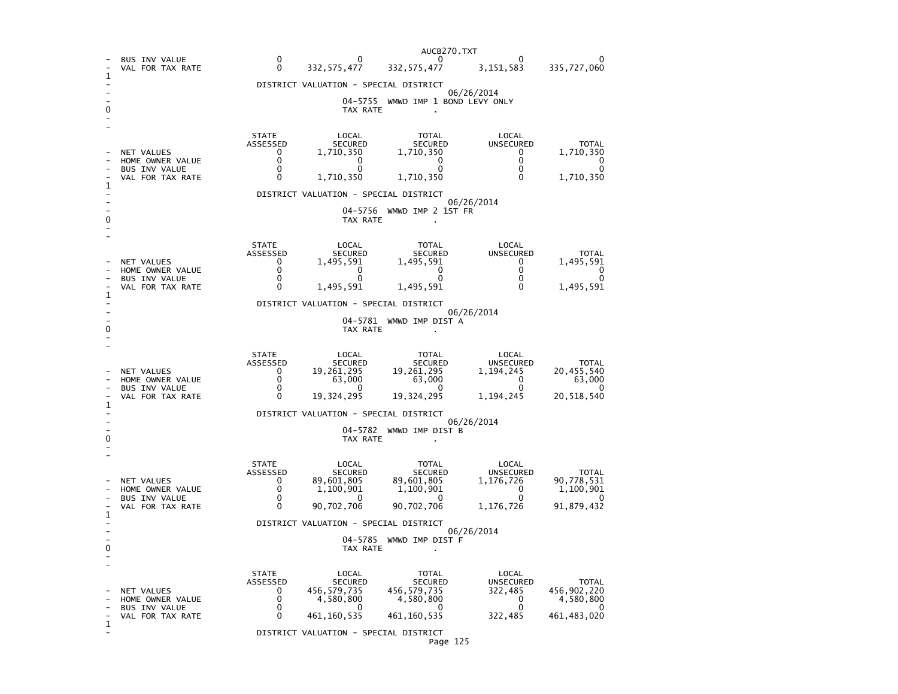|   |                                          |                                                     |                                                    | AUCB270.TXT                  |                                       |                            |  |  |
|---|------------------------------------------|-----------------------------------------------------|----------------------------------------------------|------------------------------|---------------------------------------|----------------------------|--|--|
|   | <b>BUS INV VALUE</b><br>VAL FOR TAX RATE | 0<br>$\Omega$                                       | 0<br>332, 575, 477                                 | 0<br>332, 575, 477           | 3, 151, 583                           | 335,727,060                |  |  |
| 1 |                                          |                                                     | DISTRICT VALUATION - SPECIAL DISTRICT              |                              | 06/26/2014                            |                            |  |  |
|   |                                          |                                                     | 04-5755<br>TAX RATE                                | WMWD IMP 1 BOND LEVY ONLY    |                                       |                            |  |  |
|   |                                          |                                                     |                                                    |                              |                                       |                            |  |  |
|   |                                          | <b>STATE</b><br>ASSESSED                            | LOCAL<br><b>SECURED</b>                            | TOTAL<br><b>SECURED</b>      | LOCAL<br><b>UNSECURED</b>             | <b>TOTAL</b>               |  |  |
|   | NET VALUES<br>HOME OWNER VALUE           | 0<br>0                                              | 1,710,350<br>0                                     | 1,710,350<br>0               | 0<br>0                                | 1,710,350<br>0             |  |  |
|   | <b>BUS INV VALUE</b><br>VAL FOR TAX RATE | 0<br>0                                              | 0<br>1,710,350                                     | $\Omega$<br>1,710,350        | $\Omega$<br>0                         | 0<br>1,710,350             |  |  |
| 1 |                                          |                                                     | DISTRICT VALUATION - SPECIAL DISTRICT              |                              |                                       |                            |  |  |
|   |                                          |                                                     | 04-5756                                            | WMWD IMP 2 1ST FR            | 06/26/2014                            |                            |  |  |
|   |                                          |                                                     | TAX RATE                                           |                              |                                       |                            |  |  |
|   |                                          | <b>STATE</b>                                        | LOCAL                                              | TOTAL                        | LOCAL                                 |                            |  |  |
|   | NET VALUES                               | ASSESSED<br>0<br>0                                  | <b>SECURED</b><br>1,495,591                        | <b>SECURED</b><br>1,495,591  | <b>UNSECURED</b><br>0<br>$\mathbf{0}$ | <b>TOTAL</b><br>1,495,591  |  |  |
|   | HOME OWNER VALUE<br><b>BUS INV VALUE</b> | 0<br>0                                              | 0<br>$\Omega$                                      | 0<br>$\Omega$                | $\Omega$<br>0                         | 0<br>$\Omega$              |  |  |
| 1 | VAL FOR TAX RATE                         |                                                     | 1,495,591<br>DISTRICT VALUATION - SPECIAL DISTRICT | 1,495,591                    |                                       | 1,495,591                  |  |  |
|   |                                          |                                                     | 04–5781                                            | WMWD IMP DIST A              | 06/26/2014                            |                            |  |  |
|   |                                          |                                                     | TAX RATE                                           |                              |                                       |                            |  |  |
|   |                                          | <b>STATE</b>                                        | LOCAL                                              | TOTAL                        | LOCAL                                 |                            |  |  |
|   | NET VALUES                               | ASSESSED<br>0                                       | <b>SECURED</b><br>19,261,295                       | <b>SECURED</b><br>19,261,295 | <b>UNSECURED</b><br>1.194.245         | <b>TOTAL</b><br>20,455,540 |  |  |
|   | HOME OWNER VALUE<br><b>BUS INV VALUE</b> | 0<br>0                                              | 63,000                                             | 63,000<br>$\mathbf{0}$       | 0<br>$\mathbf{0}$                     | 63,000<br>0                |  |  |
| 1 | VAL FOR TAX RATE                         | 0                                                   | 19,324,295                                         | 19,324,295                   | 1,194,245                             | 20,518,540                 |  |  |
|   |                                          | DISTRICT VALUATION - SPECIAL DISTRICT<br>06/26/2014 |                                                    |                              |                                       |                            |  |  |
| 0 |                                          | 04–5782<br>WMWD IMP DIST B<br>TAX RATE              |                                                    |                              |                                       |                            |  |  |
|   |                                          | <b>STATE</b>                                        | LOCAL                                              | TOTAL                        | LOCAL                                 |                            |  |  |
|   | NET VALUES                               | ASSESSED<br>0                                       | <b>SECURED</b><br>89,601,805                       | <b>SECURED</b><br>89,601,805 | UNSECURED<br>1,176,726                | <b>TOTAL</b><br>90,778,531 |  |  |
|   | HOME OWNER VALUE<br><b>BUS INV VALUE</b> | 0<br>0                                              | 1,100,901                                          | 1,100,901<br>0               | $\mathbf{0}$<br>$\mathbf{0}$          | 1,100,901<br>O             |  |  |
| 1 | VAL FOR TAX RATE                         | 0                                                   | 90,702,706                                         | 90,702,706                   | 1,176,726                             | 91,879,432                 |  |  |
|   |                                          |                                                     | DISTRICT VALUATION - SPECIAL DISTRICT              |                              | 06/26/2014                            |                            |  |  |
| 0 |                                          |                                                     | 04-5785<br>TAX RATE                                | WMWD IMP DIST F              |                                       |                            |  |  |
|   |                                          |                                                     |                                                    |                              |                                       |                            |  |  |
|   |                                          | <b>STATE</b><br>ASSESSED                            | LOCAL<br><b>SECURED</b>                            | <b>TOTAL</b><br>SECURED      | LOCAL<br><b>UNSECURED</b>             | TOTAL                      |  |  |
|   | NET VALUES<br>HOME OWNER VALUE           | 0<br>0                                              | 456,579,735<br>4,580,800                           | 456, 579, 735<br>4,580,800   | 322,485<br>0                          | 456,902,220<br>4,580,800   |  |  |
|   | <b>BUS INV VALUE</b><br>VAL FOR TAX RATE | 0<br>0                                              | 0<br>461, 160, 535                                 | O<br>461, 160, 535           | 0<br>322,485                          | 0<br>461, 483, 020         |  |  |
| 1 |                                          |                                                     | DISTRICT VALUATION - SPECIAL DISTRICT              |                              |                                       |                            |  |  |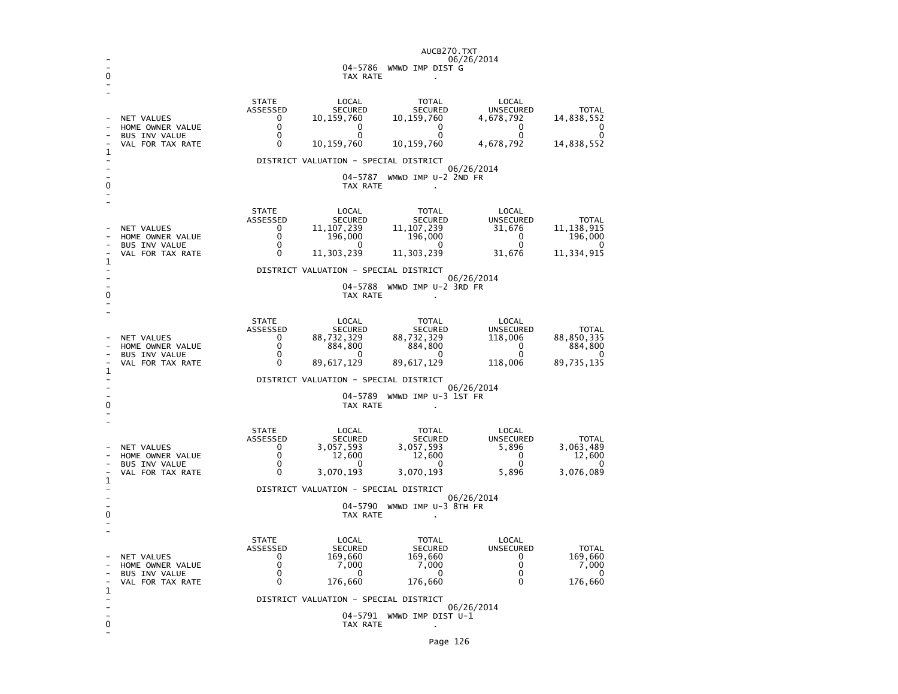|   |                                                                            |                                                                                       |                                                                                                                    | AUCB270.TXT                                                                     | 06/26/2014                                                                 |                                                                   |  |
|---|----------------------------------------------------------------------------|---------------------------------------------------------------------------------------|--------------------------------------------------------------------------------------------------------------------|---------------------------------------------------------------------------------|----------------------------------------------------------------------------|-------------------------------------------------------------------|--|
| 0 |                                                                            |                                                                                       | TAX RATE                                                                                                           | 04-5786 WMWD IMP DIST G                                                         |                                                                            |                                                                   |  |
|   |                                                                            |                                                                                       |                                                                                                                    |                                                                                 |                                                                            |                                                                   |  |
| 1 | NET VALUES<br>HOME OWNER VALUE<br><b>BUS INV VALUE</b><br>VAL FOR TAX RATE | <b>STATE</b><br>ASSESSED<br>$\Omega$<br>0<br>0<br>0                                   | LOCAL<br>SECURED<br>10,159,760<br>0<br>0<br>10,159,760<br>DISTRICT VALUATION - SPECIAL DISTRICT                    | TOTAL<br>SECURED<br>10,159,760<br>$\mathbf 0$<br>0<br>10,159,760                | LOCAL<br>UNSECURED<br>4,678,792<br>0<br>0<br>4,678,792                     | <b>TOTAL</b><br>14,838,552<br>0<br>0<br>14,838,552                |  |
| 0 |                                                                            |                                                                                       | 04–5787<br>TAX RATE                                                                                                | WMWD IMP U-2 2ND FR                                                             | 06/26/2014                                                                 |                                                                   |  |
| 1 | NET VALUES<br>HOME OWNER VALUE<br><b>BUS INV VALUE</b><br>VAL FOR TAX RATE | <b>STATE</b><br>ASSESSED<br>$\mathbf{0}$<br>$\mathbf{0}$<br>0<br>$\Omega$             | LOCAL<br>SECURED<br>11, 107, 239<br>196,000<br><sup>0</sup><br>11,303,239<br>DISTRICT VALUATION - SPECIAL DISTRICT | <b>TOTAL</b><br>SECURED<br>11, 107, 239<br>196,000<br>- 0<br>11, 303, 239       | LOCAL<br><b>UNSECURED</b><br>31,676<br>0<br>0<br>31,676                    | <b>TOTAL</b><br>11, 138, 915<br>196,000<br>$\Omega$<br>11,334,915 |  |
| 0 |                                                                            |                                                                                       | 04-5788<br>TAX RATE                                                                                                | WMWD IMP U-2 3RD FR<br>$\mathbf{r}$                                             | 06/26/2014                                                                 |                                                                   |  |
| 1 | <b>NET VALUES</b><br>HOME OWNER VALUE<br>BUS INV VALUE<br>VAL FOR TAX RATE | <b>STATE</b><br>ASSESSED<br>0<br>0<br>$\Omega$<br>$\Omega$                            | LOCAL<br>SECURED<br>88,732,329<br>884,800<br>$\Omega$<br>89,617,129                                                | TOTAL<br>SECURED<br>88,732,329<br>884,800<br>- 0<br>89,617,129                  | LOCAL<br>UNSECURED<br>118,006<br>0<br>$\Omega$<br>118,006                  | <b>TOTAL</b><br>88,850,335<br>884,800<br>$\Omega$<br>89,735,135   |  |
|   |                                                                            | DISTRICT VALUATION - SPECIAL DISTRICT<br>06/26/2014<br>WMWD IMP U-3 1ST FR<br>04–5789 |                                                                                                                    |                                                                                 |                                                                            |                                                                   |  |
| 0 |                                                                            |                                                                                       | TAX RATE                                                                                                           |                                                                                 |                                                                            |                                                                   |  |
|   | NET VALUES<br>HOME OWNER VALUE<br><b>BUS INV VALUE</b><br>VAL FOR TAX RATE | <b>STATE</b><br>ASSESSED<br>$\Omega$<br>$\mathbf{0}$<br>0<br>0                        | LOCAL<br><b>SECURED</b><br>3,057,593<br>12,600<br>$\Omega$<br>3,070,193                                            | TOTAL<br>SECURED<br>3,057,593<br>12,600<br>$\overline{\mathbf{0}}$<br>3,070,193 | LOCAL<br><b>UNSECURED</b><br>5,896<br>$\Omega$<br>$\mathbf{0}$<br>5,896    | <b>TOTAL</b><br>3,063,489<br>12,600<br>$\Omega$<br>3,076,089      |  |
| 1 | DISTRICT VALUATION - SPECIAL DISTRICT                                      |                                                                                       |                                                                                                                    |                                                                                 |                                                                            |                                                                   |  |
| 0 | 06/26/2014<br>04-5790 WMWD IMP U-3 8TH FR<br>TAX RATE                      |                                                                                       |                                                                                                                    |                                                                                 |                                                                            |                                                                   |  |
| 1 | NET VALUES<br>HOME OWNER VALUE<br><b>BUS INV VALUE</b><br>VAL FOR TAX RATE | <b>STATE</b><br>ASSESSED<br>$\Omega$<br>0<br>0<br>$\Omega$                            | LOCAL<br><b>SECURED</b><br>169,660<br>7,000<br>$\mathbf{0}$<br>176,660<br>DISTRICT VALUATION - SPECIAL DISTRICT    | TOTAL<br>SECURED<br>169,660<br>7,000<br>0<br>176,660                            | LOCAL<br>UNSECURED<br>$\mathbf{0}$<br>0<br>0<br>$\mathbf{0}$<br>06/26/2014 | <b>TOTAL</b><br>169,660<br>7,000<br>$\mathbf{0}$<br>176,660       |  |
| 0 |                                                                            |                                                                                       | TAX RATE                                                                                                           | 04-5791 WMWD IMP DIST U-1                                                       |                                                                            |                                                                   |  |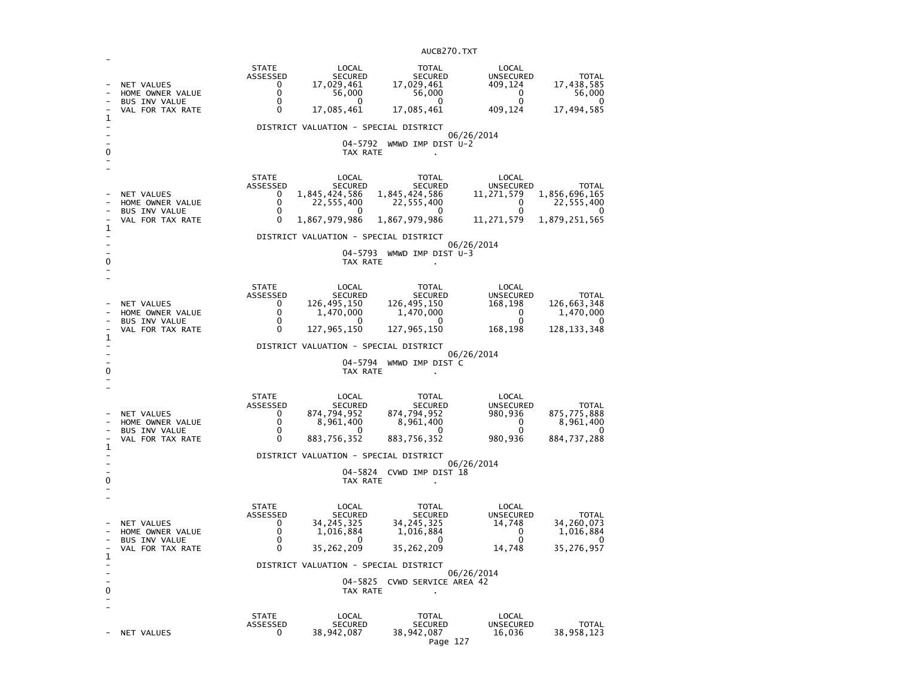| 1<br>0 | NET VALUES<br>HOME OWNER VALUE<br><b>BUS INV VALUE</b><br>VAL FOR TAX RATE | <b>STATE</b><br>ASSESSED<br>0<br>$\mathbf{0}$<br>0<br>0               | LOCAL<br><b>SECURED</b><br>17,029,461<br>56,000<br>0<br>17,085,461<br>DISTRICT VALUATION - SPECIAL DISTRICT<br>04–5792<br>TAX RATE                  | <b>TOTAL</b><br><b>SECURED</b><br>17,029,461<br>56,000<br>0<br>17,085,461<br>WMWD IMP DIST U-2                  | LOCAL<br><b>UNSECURED</b><br>409,124<br>0<br>0<br>409,124<br>06/26/2014        | <b>TOTAL</b><br>17,438,585<br>56,000<br>0<br>17,494,585               |
|--------|----------------------------------------------------------------------------|-----------------------------------------------------------------------|-----------------------------------------------------------------------------------------------------------------------------------------------------|-----------------------------------------------------------------------------------------------------------------|--------------------------------------------------------------------------------|-----------------------------------------------------------------------|
| 1<br>0 | NET VALUES<br>HOME OWNER VALUE<br><b>BUS INV VALUE</b><br>VAL FOR TAX RATE | <b>STATE</b><br>ASSESSED<br>0<br>0<br>0<br>$\Omega$                   | LOCAL<br><b>SECURED</b><br>1,845,424,586<br>22,555,400<br>$\Omega$<br>1,867,979,986<br>DISTRICT VALUATION - SPECIAL DISTRICT<br>04–5793<br>TAX RATE | <b>TOTAL</b><br><b>SECURED</b><br>1,845,424,586<br>22,555,400<br>$\Omega$<br>1,867,979,986<br>WMWD IMP DIST U-3 | LOCAL<br><b>UNSECURED</b><br>11,271,579<br>0<br>0<br>11,271,579<br>06/26/2014  | TOTAL<br>1,856,696,165<br>22,555,400<br>1,879,251,565                 |
| 1<br>0 | NET VALUES<br>HOME OWNER VALUE<br>BUS INV VALUE<br>VAL FOR TAX RATE        | <b>STATE</b><br>ASSESSED<br>0<br>0<br>0<br>0                          | LOCAL<br><b>SECURED</b><br>126,495,150<br>1,470,000<br>0<br>127,965,150<br>DISTRICT VALUATION - SPECIAL DISTRICT<br>04-5794<br>TAX RATE             | <b>TOTAL</b><br><b>SECURED</b><br>126,495,150<br>1,470,000<br>0<br>127,965,150<br>WMWD IMP DIST C               | LOCAL<br>UNSECURED<br>168,198<br>0<br>0<br>168,198<br>06/26/2014               | <b>TOTAL</b><br>126,663,348<br>1,470,000<br>$\Omega$<br>128, 133, 348 |
| 1<br>0 | NET VALUES<br>HOME OWNER VALUE<br><b>BUS INV VALUE</b><br>VAL FOR TAX RATE | <b>STATE</b><br>ASSESSED<br>0<br>$\mathbf{0}$<br>$\Omega$<br>$\Omega$ | LOCAL<br><b>SECURED</b><br>874,794,952<br>8,961,400<br>0<br>883,756,352<br>DISTRICT VALUATION - SPECIAL DISTRICT<br>TAX RATE                        | <b>TOTAL</b><br><b>SECURED</b><br>874,794,952<br>8,961,400<br>0<br>883,756,352<br>04-5824 CVWD IMP DIST 18      | LOCAL<br><b>UNSECURED</b><br>980,936<br>0<br>$\Omega$<br>980,936<br>06/26/2014 | <b>TOTAL</b><br>875,775,888<br>8,961,400<br>0<br>884,737,288          |
| 1<br>0 | NET VALUES<br>HOME OWNER VALUE<br><b>BUS INV VALUE</b><br>VAL FOR TAX RATE | <b>STATE</b><br>ASSESSED<br>0<br>0<br>0<br>$\Omega$                   | LOCAL<br><b>SECURED</b><br>34, 245, 325<br>1,016,884<br>0<br>35,262,209<br>DISTRICT VALUATION - SPECIAL DISTRICT<br>TAX RATE                        | <b>TOTAL</b><br><b>SECURED</b><br>34, 245, 325<br>1,016,884<br>0<br>35,262,209<br>04-5825 CVWD SERVICE AREA 42  | LOCAL<br>UNSECURED<br>14,748<br>0<br>0<br>14,748<br>06/26/2014                 | <b>TOTAL</b><br>34,260,073<br>1,016,884<br>0<br>35,276,957            |
|        | NET VALUES                                                                 | <b>STATE</b><br>ASSESSED<br>0                                         | LOCAL<br><b>SECURED</b><br>38,942,087                                                                                                               | <b>TOTAL</b><br><b>SECURED</b><br>38, 942, 087                                                                  | LOCAL<br><b>UNSECURED</b><br>16,036                                            | <b>TOTAL</b><br>38,958,123                                            |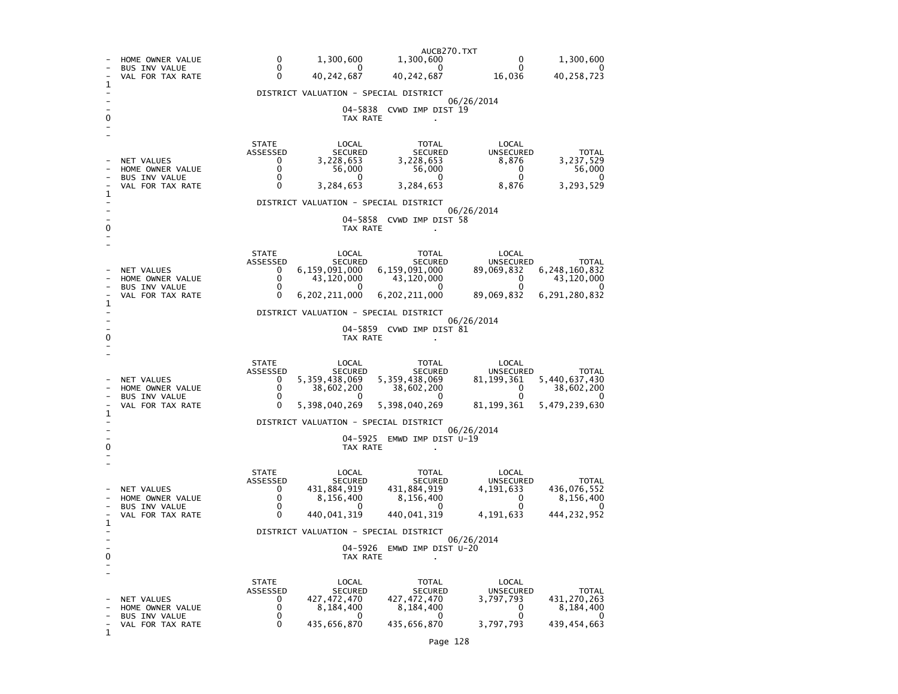|        |                                                                            | AUCB270.TXT                                                                                                                                                                                                                                                                                                                                                                                                                                                                                                             |  |
|--------|----------------------------------------------------------------------------|-------------------------------------------------------------------------------------------------------------------------------------------------------------------------------------------------------------------------------------------------------------------------------------------------------------------------------------------------------------------------------------------------------------------------------------------------------------------------------------------------------------------------|--|
|        | HOME OWNER VALUE<br>BUS INV VALUE                                          | $\Omega$<br>1,300,600<br>$\Omega$<br>1,300,600<br>1,300,600<br>0<br>0<br>0<br>$\Omega$<br>O                                                                                                                                                                                                                                                                                                                                                                                                                             |  |
| 1      | VAL FOR TAX RATE                                                           | 0<br>40, 242, 687<br>40, 242, 687<br>16,036<br>40,258,723                                                                                                                                                                                                                                                                                                                                                                                                                                                               |  |
|        |                                                                            | DISTRICT VALUATION - SPECIAL DISTRICT                                                                                                                                                                                                                                                                                                                                                                                                                                                                                   |  |
| 0      |                                                                            | 06/26/2014<br>04-5838 CVWD IMP DIST 19<br>TAX RATE                                                                                                                                                                                                                                                                                                                                                                                                                                                                      |  |
| 1<br>0 | NET VALUES<br>HOME OWNER VALUE<br><b>BUS INV VALUE</b><br>VAL FOR TAX RATE | <b>STATE</b><br>LOCAL<br>LOCAL<br>TOTAL<br>ASSESSED<br><b>SECURED</b><br><b>SECURED</b><br><b>UNSECURED</b><br><b>TOTAL</b><br>3,228,653<br>3,228,653<br>3,237,529<br>0<br>8,876<br>0<br>56,000<br>56,000<br>0<br>56,000<br>0<br>0<br>0<br>$\Omega$<br>0<br>3,284,653<br>3,284,653<br>3,293,529<br>$\Omega$<br>8,876<br>DISTRICT VALUATION - SPECIAL DISTRICT<br>06/26/2014<br>04-5858 CVWD IMP DIST 58<br>TAX RATE                                                                                                     |  |
| 1<br>0 | NET VALUES<br>HOME OWNER VALUE<br>BUS INV VALUE<br>VAL FOR TAX RATE        | <b>STATE</b><br>LOCAL<br>TOTAL<br>LOCAL<br>ASSESSED<br><b>SECURED</b><br><b>SECURED</b><br><b>UNSECURED</b><br><b>TOTAL</b><br>6,159,091,000<br>6,159,091,000<br>6, 248, 160, 832<br>0<br>89,069,832<br>0<br>43,120,000<br>43,120,000<br>43,120,000<br>0<br>0<br>0<br>0<br>0<br>0<br>6,202,211,000<br>6,291,280,832<br>$\mathbf{0}$<br>6,202,211,000<br>89,069,832<br>DISTRICT VALUATION - SPECIAL DISTRICT<br>06/26/2014<br>04-5859 CVWD IMP DIST 81<br>TAX RATE                                                       |  |
| 1<br>0 | NET VALUES<br>HOME OWNER VALUE<br>BUS INV VALUE<br>VAL FOR TAX RATE        | <b>STATE</b><br>LOCAL<br>LOCAL<br>TOTAL<br>ASSESSED<br><b>UNSECURED</b><br><b>SECURED</b><br><b>SECURED</b><br><b>TOTAL</b><br>5, 359, 438, 069<br>5,359,438,069<br>5,440,637,430<br>0<br>81, 199, 361<br>0<br>38,602,200<br>38,602,200<br>0<br>38,602,200<br>$\Omega$<br>0<br>$\mathbf{0}$<br>0<br>$\Omega$<br>$\Omega$<br>5,398,040,269<br>5,398,040,269<br>81, 199, 361<br>5,479,239,630<br>DISTRICT VALUATION - SPECIAL DISTRICT<br>06/26/2014<br>04–5925<br>EMWD IMP DIST U-19<br>TAX RATE<br>$\ddot{\phantom{a}}$ |  |
| 1<br>0 | NET VALUES<br>HOME OWNER VALUE<br><b>BUS INV VALUE</b><br>VAL FOR TAX RATE | <b>STATE</b><br>LOCAL<br>TOTAL<br>LOCAL<br>ASSESSED<br><b>UNSECURED</b><br><b>SECURED</b><br><b>SECURED</b><br><b>TOTAL</b><br>0<br>431,884,919<br>431,884,919<br>4,191,633<br>436,076,552<br>0<br>8,156,400<br>8,156,400<br>$\Omega$<br>8,156,400<br>0<br>0<br>$\Omega$<br>$\mathbf{0}$<br>$\Omega$<br>0<br>440,041,319<br>440,041,319<br>4,191,633<br>444,232,952<br>DISTRICT VALUATION - SPECIAL DISTRICT<br>06/26/2014<br>04-5926<br>EMWD IMP DIST U-20<br>TAX RATE                                                 |  |
| 1      | NET VALUES<br>HOME OWNER VALUE<br><b>BUS INV VALUE</b><br>VAL FOR TAX RATE | <b>STATE</b><br>LOCAL<br>TOTAL<br>LOCAL<br>UNSECURED<br>ASSESSED<br><b>SECURED</b><br><b>SECURED</b><br><b>TOTAL</b><br>427, 472, 470<br>431, 270, 263<br>0<br>427, 472, 470<br>3,797,793<br>$\mathbf 0$<br>8,184,400<br>8,184,400<br>0<br>8,184,400<br>0<br>0<br>0<br>0<br>0<br>0<br>435,656,870<br>435,656,870<br>3,797,793<br>439, 454, 663                                                                                                                                                                          |  |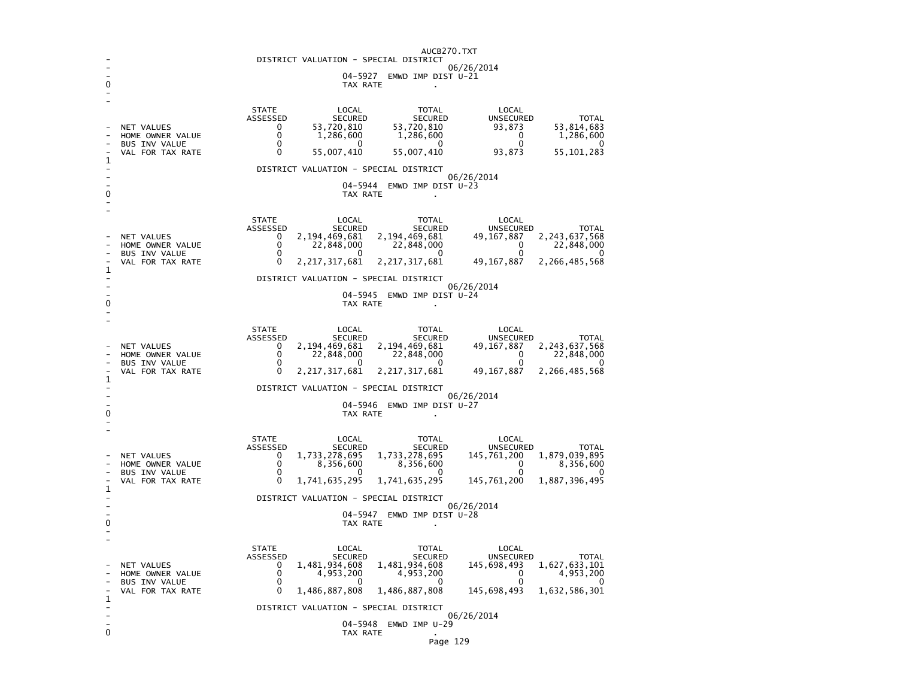|                                           | AUCB270.TXT<br>DISTRICT VALUATION - SPECIAL DISTRICT |                                                                                                                                                                |  |  |  |  |  |
|-------------------------------------------|------------------------------------------------------|----------------------------------------------------------------------------------------------------------------------------------------------------------------|--|--|--|--|--|
| 06/26/2014                                |                                                      |                                                                                                                                                                |  |  |  |  |  |
| 04-5927<br>EMWD IMP DIST U-21<br>TAX RATE |                                                      |                                                                                                                                                                |  |  |  |  |  |
|                                           |                                                      |                                                                                                                                                                |  |  |  |  |  |
|                                           |                                                      | <b>STATE</b><br>LOCAL<br><b>TOTAL</b><br>LOCAL<br>ASSESSED<br>UNSECURED<br><b>TOTAL</b><br><b>SECURED</b><br><b>SECURED</b>                                    |  |  |  |  |  |
|                                           | NET VALUES                                           | 53,720,810<br>53,720,810<br>93,873<br>53,814,683<br>0                                                                                                          |  |  |  |  |  |
|                                           | HOME OWNER VALUE<br><b>BUS INV VALUE</b>             | 0<br>1,286,600<br>1,286,600<br>0<br>1,286,600<br>0<br>0<br>0<br>0                                                                                              |  |  |  |  |  |
| 1                                         | VAL FOR TAX RATE                                     | 55, 101, 283<br>0<br>55,007,410<br>55,007,410<br>93,873                                                                                                        |  |  |  |  |  |
|                                           |                                                      | DISTRICT VALUATION - SPECIAL DISTRICT<br>06/26/2014                                                                                                            |  |  |  |  |  |
|                                           |                                                      | 04-5944<br>EMWD IMP DIST U-23                                                                                                                                  |  |  |  |  |  |
| 0                                         |                                                      | TAX RATE<br>$\mathbf{r}$                                                                                                                                       |  |  |  |  |  |
|                                           |                                                      | <b>STATE</b><br>LOCAL<br><b>TOTAL</b><br>LOCAL                                                                                                                 |  |  |  |  |  |
|                                           | <b>NET VALUES</b>                                    | ASSESSED<br><b>SECURED</b><br><b>SECURED</b><br><b>UNSECURED</b><br><b>TOTAL</b><br>2,194,469,681<br>2,194,469,681<br>49, 167, 887<br>2,243,637,568<br>0       |  |  |  |  |  |
|                                           | HOME OWNER VALUE                                     | $\Omega$<br>22,848,000<br>22,848,000<br>0<br>22,848,000<br>0<br>0<br>O                                                                                         |  |  |  |  |  |
|                                           | <b>BUS INV VALUE</b><br>VAL FOR TAX RATE             | 0<br>0<br>2, 217, 317, 681<br>2, 217, 317, 681<br>49, 167, 887<br>2,266,485,568                                                                                |  |  |  |  |  |
| 1                                         |                                                      | DISTRICT VALUATION - SPECIAL DISTRICT                                                                                                                          |  |  |  |  |  |
|                                           |                                                      | 06/26/2014<br>$04 - 5945$<br>EMWD IMP DIST U-24                                                                                                                |  |  |  |  |  |
| 0                                         |                                                      | TAX RATE                                                                                                                                                       |  |  |  |  |  |
|                                           |                                                      |                                                                                                                                                                |  |  |  |  |  |
|                                           |                                                      | <b>STATE</b><br>LOCAL<br><b>TOTAL</b><br>LOCAL<br>ASSESSED<br><b>SECURED</b><br><b>SECURED</b><br><b>UNSECURED</b><br><b>TOTAL</b>                             |  |  |  |  |  |
|                                           | NET VALUES<br>HOME OWNER VALUE                       | 2,194,469,681<br>2, 194, 469, 681<br>49, 167, 887<br>2, 243, 637, 568<br>0<br>$\mathbf 0$<br>22,848,000<br>22,848,000<br>22,848,000<br>0                       |  |  |  |  |  |
|                                           | <b>BUS INV VALUE</b><br>VAL FOR TAX RATE             | 0<br>0<br>0<br>0<br>0<br>49, 167, 887<br>0<br>2, 217, 317, 681<br>2,217,317,681<br>2,266,485,568                                                               |  |  |  |  |  |
| 1                                         |                                                      |                                                                                                                                                                |  |  |  |  |  |
|                                           | DISTRICT VALUATION - SPECIAL DISTRICT<br>06/26/2014  |                                                                                                                                                                |  |  |  |  |  |
| 0                                         |                                                      | 04-5946<br>EMWD IMP DIST U-27<br>TAX RATE                                                                                                                      |  |  |  |  |  |
|                                           |                                                      |                                                                                                                                                                |  |  |  |  |  |
|                                           |                                                      | <b>STATE</b><br><b>LOCAL</b><br><b>TOTAL</b><br>LOCAL<br>ASSESSED<br><b>SECURED</b><br><b>SECURED</b><br><b>UNSECURED</b><br><b>TOTAL</b>                      |  |  |  |  |  |
|                                           | NET VALUES<br>HOME OWNER VALUE                       | 1,733,278,695<br>1,733,278,695<br>1,879,039,895<br>0<br>145,761,200<br>$\Omega$<br>8,356,600<br>8,356,600<br>0<br>8,356,600                                    |  |  |  |  |  |
|                                           | <b>BUS INV VALUE</b>                                 | 0<br>U<br>0<br>∩<br>$\mathbf{0}$                                                                                                                               |  |  |  |  |  |
| 1                                         | VAL FOR TAX RATE                                     | 0<br>1,887,396,495<br>1,741,635,295<br>1,741,635,295<br>145,761,200                                                                                            |  |  |  |  |  |
|                                           |                                                      | DISTRICT VALUATION - SPECIAL DISTRICT<br>06/26/2014                                                                                                            |  |  |  |  |  |
| 0                                         |                                                      | 04-5947<br>EMWD IMP DIST U-28<br>TAX RATE                                                                                                                      |  |  |  |  |  |
|                                           |                                                      |                                                                                                                                                                |  |  |  |  |  |
|                                           |                                                      | <b>STATE</b><br>LOCAL<br><b>TOTAL</b><br>LOCAL                                                                                                                 |  |  |  |  |  |
|                                           | NET VALUES                                           | <b>ASSESSED</b><br><b>SECURED</b><br><b>SECURED</b><br><b>UNSECURED</b><br><b>TOTAL</b><br>1,481,934,608<br>1,481,934,608<br>1,627,633,101<br>0<br>145,698,493 |  |  |  |  |  |
|                                           | HOME OWNER VALUE<br><b>BUS INV VALUE</b>             | 0<br>4,953,200<br>4,953,200<br>0<br>4,953,200<br>$\mathbf 0$<br>0<br>0<br>0<br>0                                                                               |  |  |  |  |  |
| 1                                         | VAL FOR TAX RATE                                     | 0<br>1,486,887,808<br>145,698,493<br>1,632,586,301<br>1,486,887,808                                                                                            |  |  |  |  |  |
|                                           |                                                      | DISTRICT VALUATION - SPECIAL DISTRICT<br>06/26/2014                                                                                                            |  |  |  |  |  |
|                                           |                                                      | 04-5948<br>EMWD IMP U-29                                                                                                                                       |  |  |  |  |  |
| 0                                         |                                                      | TAX RATE                                                                                                                                                       |  |  |  |  |  |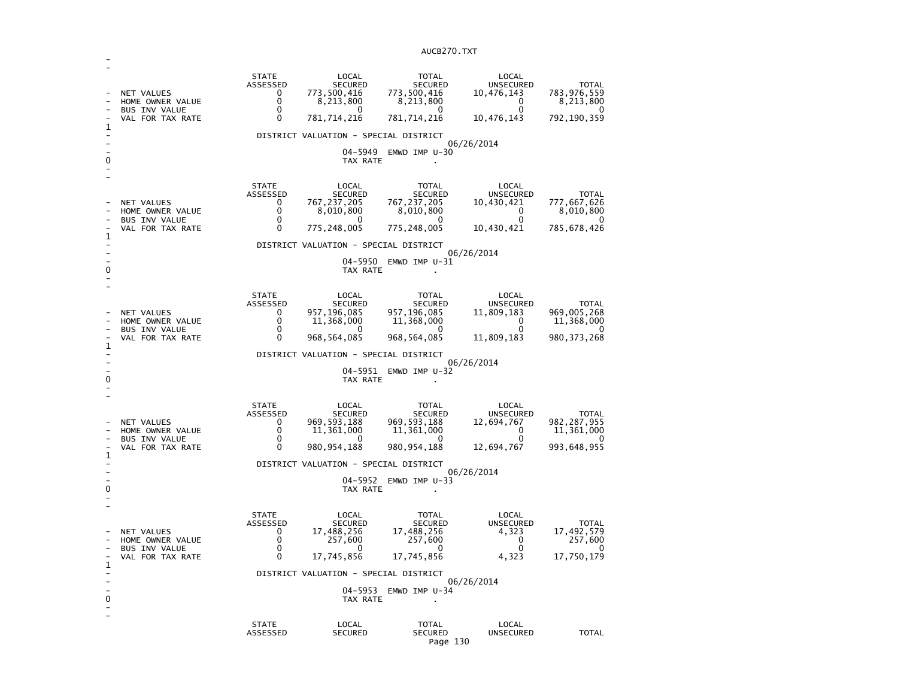| 1            | NET VALUES<br>HOME OWNER VALUE<br><b>BUS INV VALUE</b><br>VAL FOR TAX RATE        | <b>STATE</b><br>ASSESSED<br>0<br>0<br>$\Omega$<br>$\mathbf 0$ | LOCAL<br>SECURED<br>773,500,416<br>8,213,800<br>$\Omega$<br>781,714,216<br>DISTRICT VALUATION - SPECIAL DISTRICT                                 | <b>TOTAL</b><br><b>SECURED</b><br>773,500,416<br>8,213,800<br>0<br>781, 714, 216                           | LOCAL<br><b>UNSECURED</b><br>10,476,143<br>$\Omega$<br>$\Omega$<br>10,476,143<br>06/26/2014        | <b>TOTAL</b><br>783,976,559<br>8,213,800<br>$\Omega$<br>792, 190, 359  |  |
|--------------|-----------------------------------------------------------------------------------|---------------------------------------------------------------|--------------------------------------------------------------------------------------------------------------------------------------------------|------------------------------------------------------------------------------------------------------------|----------------------------------------------------------------------------------------------------|------------------------------------------------------------------------|--|
|              |                                                                                   |                                                               | 04–5949                                                                                                                                          | EMWD IMP $U-30$                                                                                            |                                                                                                    |                                                                        |  |
| 0<br>1       | NET VALUES<br>HOME OWNER VALUE<br><b>BUS INV VALUE</b><br>VAL FOR TAX RATE        | <b>STATE</b><br>ASSESSED<br>0<br>0<br>0<br>0                  | TAX RATE<br>LOCAL<br><b>SECURED</b><br>767,237,205<br>8,010,800<br>$^{(1)}$<br>775,248,005<br>DISTRICT VALUATION - SPECIAL DISTRICT              | <b>TOTAL</b><br><b>SECURED</b><br>767, 237, 205<br>8,010,800<br>0<br>775, 248, 005                         | LOCAL<br>UNSECURED<br>10,430,421<br>$\mathbf{0}$<br>0<br>10,430,421<br>06/26/2014                  | <b>TOTAL</b><br>777,667,626<br>8,010,800<br>$\Omega$<br>785,678,426    |  |
| 0            |                                                                                   |                                                               | 04–5950<br>TAX RATE                                                                                                                              | EMWD IMP U-31                                                                                              |                                                                                                    |                                                                        |  |
| $\mathbf{1}$ | <b>NET VALUES</b><br>HOME OWNER VALUE<br><b>BUS INV VALUE</b><br>VAL FOR TAX RATE | <b>STATE</b><br>ASSESSED<br>0<br>0<br>0<br>$\mathbf 0$        | LOCAL<br><b>SECURED</b><br>957,196,085<br>11,368,000<br>0<br>968,564,085<br>DISTRICT VALUATION - SPECIAL DISTRICT                                | <b>TOTAL</b><br><b>SECURED</b><br>957,196,085<br>11,368,000<br>0<br>968, 564, 085<br>04-5951 EMWD IMP U-32 | LOCAL<br><b>UNSECURED</b><br>11,809,183<br>$\mathbf 0$<br>$\mathbf{0}$<br>11,809,183<br>06/26/2014 | <b>TOTAL</b><br>969,005,268<br>11,368,000<br>0<br>980, 373, 268        |  |
| 0            |                                                                                   |                                                               | TAX RATE                                                                                                                                         |                                                                                                            |                                                                                                    |                                                                        |  |
| $\mathbf 1$  | NET VALUES<br>HOME OWNER VALUE<br>BUS INV VALUE<br>VAL FOR TAX RATE               | <b>STATE</b><br>ASSESSED<br>0<br>0<br>$\Omega$<br>0           | LOCAL<br><b>SECURED</b><br>969, 593, 188<br>11,361,000<br>n<br>980, 954, 188                                                                     | <b>TOTAL</b><br><b>SECURED</b><br>969, 593, 188<br>11,361,000<br>$\Omega$<br>980, 954, 188                 | LOCAL<br><b>UNSECURED</b><br>12,694,767<br>0<br>$\Omega$<br>12,694,767                             | <b>TOTAL</b><br>982, 287, 955<br>11,361,000<br>$\Omega$<br>993,648,955 |  |
|              |                                                                                   |                                                               | DISTRICT VALUATION - SPECIAL DISTRICT                                                                                                            |                                                                                                            |                                                                                                    |                                                                        |  |
| 0            | 06/26/2014<br>04-5952 EMWD IMP U-33<br>TAX RATE                                   |                                                               |                                                                                                                                                  |                                                                                                            |                                                                                                    |                                                                        |  |
| 1<br>0       | NET VALUES<br>HOME OWNER VALUE<br><b>BUS INV VALUE</b><br>VAL FOR TAX RATE        | <b>STATE</b><br>ASSESSED<br>0<br>0<br>0<br>0                  | LOCAL<br><b>SECURED</b><br>17,488,256<br>257,600<br>$^{\circ}$<br>17,745,856<br>DISTRICT VALUATION - SPECIAL DISTRICT<br>$04 - 5953$<br>TAX RATE | <b>TOTAL</b><br><b>SECURED</b><br>17,488,256<br>257,600<br>0<br>17,745,856<br>EMWD IMP $U-34$              | LOCAL<br>UNSECURED<br>4,323<br>$\Omega$<br>$\mathbf{0}$<br>4,323<br>06/26/2014                     | <b>TOTAL</b><br>17,492,579<br>257,600<br>O<br>17,750,179               |  |
|              |                                                                                   |                                                               |                                                                                                                                                  |                                                                                                            |                                                                                                    |                                                                        |  |
|              |                                                                                   | <b>STATE</b><br>ASSESSED                                      | LOCAL<br><b>SECURED</b>                                                                                                                          | <b>TOTAL</b><br><b>SECURED</b>                                                                             | LOCAL<br>UNSECURED                                                                                 | <b>TOTAL</b>                                                           |  |

-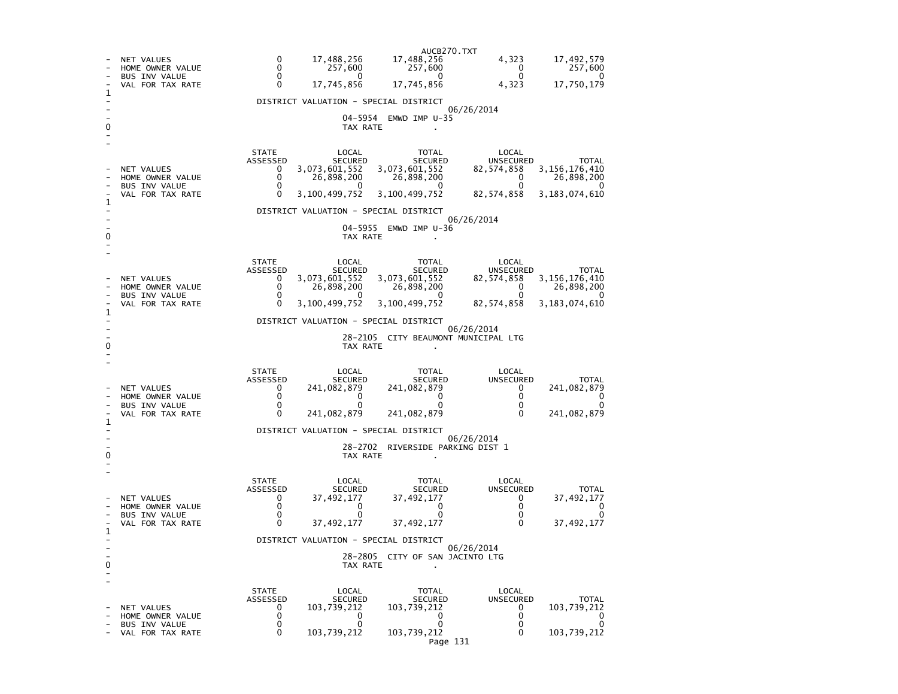AUCB270.TXT<br>17.488,256 - NET VALUES 0 17,488,256 17,488,256 4,323 17,492,579<br>- HOME OWNER VALUE 0 257,600 257,600 257,600 0 257,600  $257,600$ - HOME OWNER VALUE 0 257,600 257,600 0 257,600  $\overline{0}$ - BUS INV VALUE 0 0 0 0 0 17,750,179 VAL FOR TAX RATE 0 17,745,856 17,745,856 1 - DISTRICT VALUATION - SPECIAL DISTRICT - 06/26/2014 - 04-5954 EMWD IMP U-35 0 TAX RATE . - - STATE LOCAL TOTAL LOCAL ASSESSED SECURED SECURED UNSECURED TOTAL 82, 574, 858 3, 156, 176, 410 - NET VALUES 0 3,073,601,552 3,073,601,552 82,574,858<br>- HOME OWNER VALUE 0 26,898,200 26,898,200 0  $26,898,200$  $\begin{bmatrix} 0 & 26,898,200 & 26,898,200 & 0 \\ 0 & 0 & 0 & 0 \\ 0 & 0 & 0 & 0 \end{bmatrix}$  $\Omega$ - BUS INV VALUE 82,574,858 3,183,074,610 VAL FOR TAX RATE 0 3,100,499,752 3,100,499,752 1  $\sim$ - DISTRICT VALUATION - SPECIAL DISTRICT - 06/26/2014 - 04-5955 EMWD IMP U-36 0 TAX RATE - - STATE LOCAL TOTAL LOCAL ASSESSED SECURED SECURED UNSECURED TOTAL  $82,574,858$   $3,156,176,410$ - NET VALUES 0 3,073,601,552 3,073,601,552<br>- HOME OWNER VALUE 0 26.898.200 26.898.200  $0 \t 26,898,200$  $\begin{array}{ccc} 0 & 26,898,200 & 26,898,200\ 0 & 0 & 0\ \end{array}$  $\overline{\phantom{0}}$ - BUS INV VALUE  $\begin{array}{ccc} & 0 & 0 & 0 \end{array}$ 82,574,858 3,183,074,610 VAL FOR TAX RATE 0 3,100,499,752 3,100,499,752 1 - DISTRICT VALUATION - SPECIAL DISTRICT - 06/26/2014 - 28-2105 CITY BEAUMONT MUNICIPAL LTG 0 CONTROL TO TAX RATE THE SET OF TAX RATE AND TAX RATE ASSESSMENT OF TAX RATE AND TAX RATE AND TAX RATE AND TAX RATE AND TAX RATE AND TAX RATE AND TAX RATE AND TAX RATE AND TAX RATE AND TAX RATE AND TAX RATE AND TAX RATE A - - STATE LOCAL TOTAL LOCAL UNSECURED ASSESSED SECURED SECURED UNSECURED TOTAL 241,082,879 - NET VALUES 0 241,082,879 241,082,879 0 241,082,879  $\sim$   $\sim$   $\sim$  0 - HOME OWNER VALUE  $\mathbf 0$ - BUS INV VALUE 0 0 0 0 0 241.082.879 - VAL FOR TAX RATE 0 241,082,879 241,082,879 0 241,082,879 1  $\sim$ - DISTRICT VALUATION - SPECIAL DISTRICT - 06/26/2014 - 28-2702 RIVERSIDE PARKING DIST 1 0 CONTROL TO TAX RATE THE SET OF TAX RATE AND TAX RATE ASSESSMENT OF TAX RATE AND TAX RATE AND TAX RATE AND TAX RATE AND TAX RATE AND TAX RATE AND TAX RATE AND TAX RATE AND TAX RATE AND TAX RATE AND TAX RATE AND TAX RATE A - - STATE LOCAL TOTAL LOCAL ASSESSED SECURED SECURED UNSECURED TOTAL 37.492.177 - NET VALUES 0 37,492,177 37,492,177 0<br>- HOME OWNER VALUE 0 0 0 0 0  $\sim$  0 - HOME OWNER VALUE  $\Omega$ - BUS INV VALUE 0 0 0 0 0 37, 492, 177 - VAL FOR TAX RATE 0 37,492,177 37,492,177 0 37,492,177 1  $\sim$ - DISTRICT VALUATION - SPECIAL DISTRICT - 06/26/2014 - 28-2805 CITY OF SAN JACINTO LTG 0 TAX RATE . - - STATE LOCAL TOTAL LOCAL **UNSECURED**  ASSESSED SECURED SECURED UNSECURED TOTAL 103.739.212 - NET VALUES 0 103,739,212 103,739,212<br>- HOME OWNER VALUE 0 0 0 0 0 0 0 0  $\Omega$ - HOME OWNER VALUE 0 0 0 0 0  $\Omega$ - BUS INV VALUE 0 0 0 0 0 103,739,212 - VAL FOR TAX RATE 0 103,739,212 103,739,212 0 103,739,212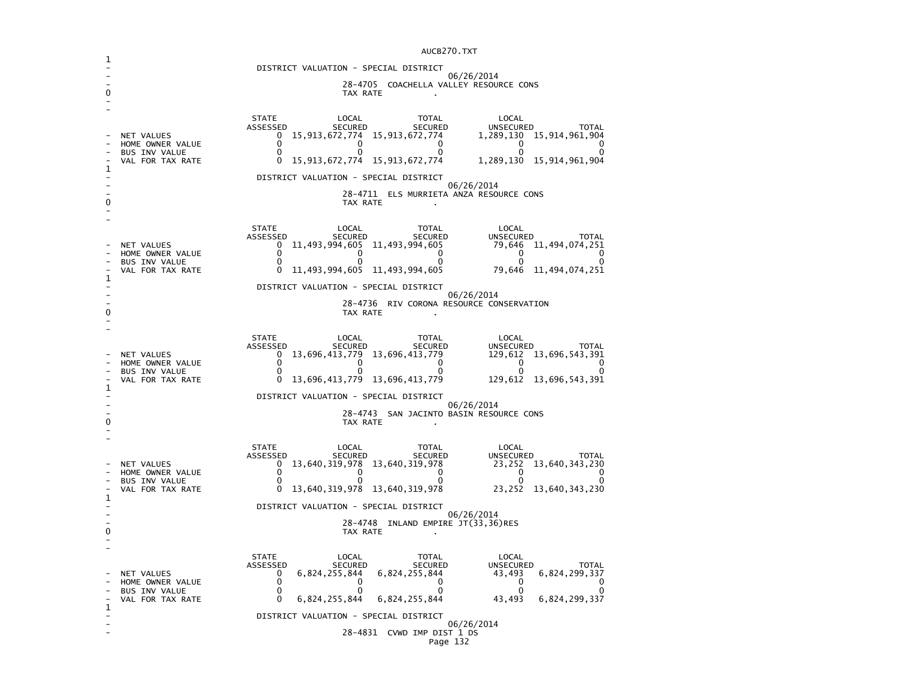|   |                                                                     | DISTRICT VALUATION - SPECIAL DISTRICT                                                                                                                                                                                                                                                                                                                                                                                           |  |  |  |  |  |
|---|---------------------------------------------------------------------|---------------------------------------------------------------------------------------------------------------------------------------------------------------------------------------------------------------------------------------------------------------------------------------------------------------------------------------------------------------------------------------------------------------------------------|--|--|--|--|--|
|   |                                                                     | 06/26/2014<br>28-4705 COACHELLA VALLEY RESOURCE CONS<br>TAX RATE                                                                                                                                                                                                                                                                                                                                                                |  |  |  |  |  |
|   |                                                                     | <b>STATE</b><br>LOCAL<br>TOTAL<br>LOCAL                                                                                                                                                                                                                                                                                                                                                                                         |  |  |  |  |  |
| 1 | NET VALUES<br>HOME OWNER VALUE<br>BUS INV VALUE<br>VAL FOR TAX RATE |                                                                                                                                                                                                                                                                                                                                                                                                                                 |  |  |  |  |  |
|   |                                                                     | DISTRICT VALUATION - SPECIAL DISTRICT<br>06/26/2014                                                                                                                                                                                                                                                                                                                                                                             |  |  |  |  |  |
|   |                                                                     | 28-4711 ELS MURRIETA ANZA RESOURCE CONS<br>TAX RATE                                                                                                                                                                                                                                                                                                                                                                             |  |  |  |  |  |
|   | NET VALUES<br>HOME OWNER VALUE<br>BUS INV VALUE                     | STATE<br>LOCAL<br>TOTAL<br>LOCAL<br>STATE LOCAL TOTAL LOCAL SECURED SECURED SECURED TOTAL SECURED TOTAL SECURED TOTAL ON SECURED TOTAL ON SECURED TOTAL SECURED SECURED TOTAL SECURED TOTAL SECURED SECURED UNSECURED TOTAL ON SECURED SECURED USE ON SECURE ON SE                                                                                                                                                              |  |  |  |  |  |
| 1 | VAL FOR TAX RATE                                                    |                                                                                                                                                                                                                                                                                                                                                                                                                                 |  |  |  |  |  |
|   |                                                                     | DISTRICT VALUATION - SPECIAL DISTRICT<br>06/26/2014                                                                                                                                                                                                                                                                                                                                                                             |  |  |  |  |  |
| n |                                                                     | 28-4736 RIV CORONA RESOURCE CONSERVATION<br>TAX RATE                                                                                                                                                                                                                                                                                                                                                                            |  |  |  |  |  |
|   | NET VALUES<br>HOME OWNER VALUE<br>BUS INV VALUE                     | STATE<br>LOCAL<br>TOTAL<br>913,696,413,779 13,696,413,779 13,696,413,779 13,696,413,779 13,696,413,779 129,612 129,612 13,696,543,391                                                                                                                                                                                                                                                                                           |  |  |  |  |  |
| 1 | VAL FOR TAX RATE                                                    |                                                                                                                                                                                                                                                                                                                                                                                                                                 |  |  |  |  |  |
|   | DISTRICT VALUATION - SPECIAL DISTRICT<br>06/26/2014                 |                                                                                                                                                                                                                                                                                                                                                                                                                                 |  |  |  |  |  |
| 0 | 28-4743 SAN JACINTO BASIN RESOURCE CONS<br>TAX RATE                 |                                                                                                                                                                                                                                                                                                                                                                                                                                 |  |  |  |  |  |
|   | NET VALUES<br>HOME OWNER VALUE<br>BUS INV VALUE                     | LOCAL<br>STATE LOCAL TOTAL<br>ASSESSED SECURED SECURED<br>0 13,640,319,978 13,640,319,978<br>0 0 0 0<br>0 13,640,319,978 13.640.319 978<br>UNSECURED TOTAL<br>$\begin{bmatrix} 23,252 & 13,640,343,230 \\ 0 & 0 & 0 \\ 0 & 0 & 0 \end{bmatrix}$<br>$\mathbf{0}$<br>$\Omega$                                                                                                                                                     |  |  |  |  |  |
|   | VAL FOR TAX RATE                                                    | $0$ 13,640,319,978 13,640,319,978 23,252 13,640,343,230                                                                                                                                                                                                                                                                                                                                                                         |  |  |  |  |  |
| 1 |                                                                     | DISTRICT VALUATION - SPECIAL DISTRICT<br>06/26/2014                                                                                                                                                                                                                                                                                                                                                                             |  |  |  |  |  |
| o |                                                                     | 28-4748 INLAND EMPIRE JT(33,36)RES<br>TAX RATE                                                                                                                                                                                                                                                                                                                                                                                  |  |  |  |  |  |
| 1 | NET VALUES<br>HOME OWNER VALUE<br>BUS INV VALUE<br>VAL FOR TAX RATE | <b>STATE</b><br>LOCAL<br>TOTAL<br>LOCAL<br><b>SECURED</b><br>ASSESSED<br>SECURED<br>$6,824,255,844$ $6,824,255,844$<br>$6,824,255,844$<br>$6,824,255,844$<br>$6,824,255,844$<br>$6,824,255,844$<br>$6,824,255,844$<br>$6,824,255,844$<br>$6,824,255,844$<br>$6,824,255,844$<br>$6,824,255,844$<br>$6,824,255,844$<br>$6,824,255,844$<br>$6,824,255,844$<br>$6,824,255,844$<br><br>$\overline{\mathbf{0}}$<br>0<br>$\Omega$<br>0 |  |  |  |  |  |
|   |                                                                     | DISTRICT VALUATION - SPECIAL DISTRICT<br>06/26/2014                                                                                                                                                                                                                                                                                                                                                                             |  |  |  |  |  |
|   |                                                                     | 28-4831 CVWD IMP DIST 1 DS<br>Page 132                                                                                                                                                                                                                                                                                                                                                                                          |  |  |  |  |  |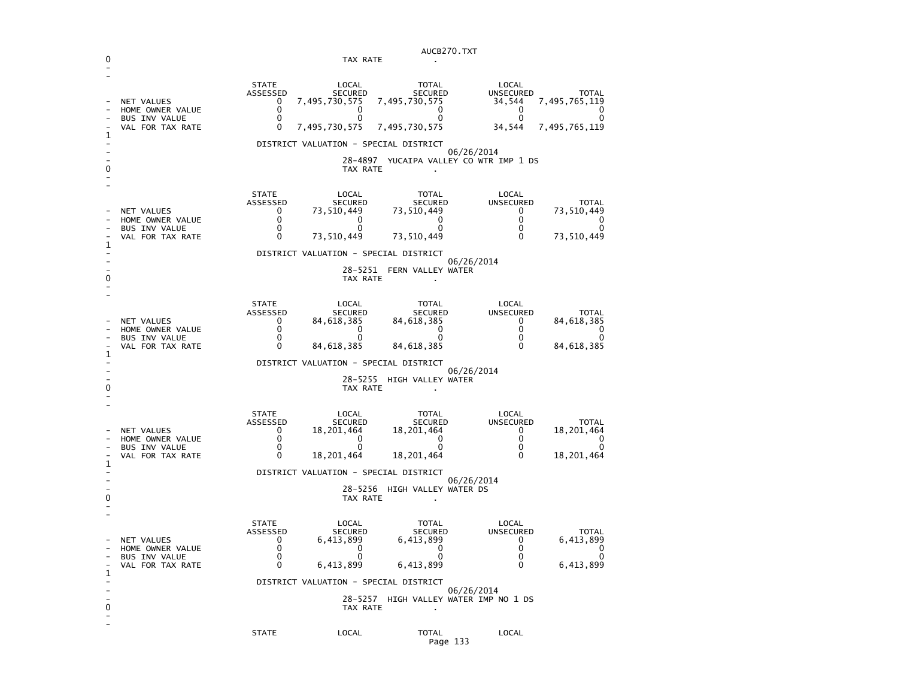| AUCB270.TXT              |                                                                            |                                                     |                                                                                                                         |                                                                                                                     |                                                  |                                                                        |
|--------------------------|----------------------------------------------------------------------------|-----------------------------------------------------|-------------------------------------------------------------------------------------------------------------------------|---------------------------------------------------------------------------------------------------------------------|--------------------------------------------------|------------------------------------------------------------------------|
|                          |                                                                            |                                                     | TAX RATE                                                                                                                |                                                                                                                     |                                                  |                                                                        |
| 1                        | NET VALUES<br>HOME OWNER VALUE<br><b>BUS INV VALUE</b><br>VAL FOR TAX RATE | <b>STATE</b><br>ASSESSED<br>0<br>0<br>0<br>0        | LOCAL<br><b>SECURED</b><br>7,495,730,575<br>0<br>0<br>7,495,730,575<br>DISTRICT VALUATION - SPECIAL DISTRICT<br>28–4897 | <b>TOTAL</b><br>SECURED<br>7,495,730,575<br>0<br>0<br>7,495,730,575<br>06/26/2014<br>YUCAIPA VALLEY CO WTR IMP 1 DS | LOCAL<br>UNSECURED<br>34,544<br>0<br>0<br>34,544 | <b>TOTAL</b><br>7,495,765,119<br>0<br>0<br>7,495,765,119               |
| 0                        |                                                                            |                                                     | TAX RATE                                                                                                                |                                                                                                                     |                                                  |                                                                        |
| 1                        | NET VALUES<br>HOME OWNER VALUE<br><b>BUS INV VALUE</b><br>VAL FOR TAX RATE | <b>STATE</b><br>ASSESSED<br>0<br>0<br>0<br>0        | LOCAL<br><b>SECURED</b><br>73,510,449<br>0<br>$\Omega$<br>73,510,449                                                    | TOTAL<br><b>SECURED</b><br>73,510,449<br>0<br>$\Omega$<br>73,510,449                                                | LOCAL<br>UNSECURED<br>0<br>0<br>0<br>0           | <b>TOTAL</b><br>73,510,449<br>0<br>0<br>73,510,449                     |
|                          |                                                                            |                                                     |                                                                                                                         | DISTRICT VALUATION - SPECIAL DISTRICT                                                                               |                                                  |                                                                        |
|                          |                                                                            |                                                     | 28–5251<br>TAX RATE                                                                                                     | 06/26/2014<br>FERN VALLEY WATER                                                                                     |                                                  |                                                                        |
| 1                        | NET VALUES<br>HOME OWNER VALUE<br><b>BUS INV VALUE</b><br>VAL FOR TAX RATE | <b>STATE</b><br>ASSESSED<br>0<br>0<br>0<br>0        | LOCAL<br><b>SECURED</b><br>84,618,385<br>0<br>$\Omega$<br>84,618,385                                                    | <b>TOTAL</b><br><b>SECURED</b><br>84, 618, 385<br>0<br>0<br>84,618,385                                              | LOCAL<br>UNSECURED<br>0<br>0<br>0<br>0           | <b>TOTAL</b><br>84,618,385<br>0<br>0<br>84,618,385                     |
|                          |                                                                            |                                                     |                                                                                                                         | DISTRICT VALUATION - SPECIAL DISTRICT                                                                               |                                                  |                                                                        |
| O                        |                                                                            |                                                     | TAX RATE                                                                                                                | 06/26/2014<br>28-5255 HIGH VALLEY WATER                                                                             |                                                  |                                                                        |
| 1                        | NET VALUES<br>HOME OWNER VALUE<br><b>BUS INV VALUE</b><br>VAL FOR TAX RATE | <b>STATE</b><br>ASSESSED<br>0<br>0<br>0<br>$\Omega$ | LOCAL<br><b>SECURED</b><br>18,201,464<br>0<br>0<br>18,201,464                                                           | <b>TOTAL</b><br>SECURED<br>18,201,464<br>0<br>0<br>18,201,464                                                       | LOCAL<br><b>UNSECURED</b><br>0<br>0<br>0<br>0    | <b>TOTAL</b><br>18,201,464<br>0<br>0<br>18,201,464                     |
|                          |                                                                            |                                                     |                                                                                                                         | DISTRICT VALUATION - SPECIAL DISTRICT                                                                               |                                                  |                                                                        |
| 0                        |                                                                            |                                                     | TAX RATE                                                                                                                | 06/26/2014<br>28-5256 HIGH VALLEY WATER DS                                                                          |                                                  |                                                                        |
| 1                        | NET VALUES<br>HOME OWNER VALUE<br>BUS INV VALUE<br>VAL FOR TAX RATE        | <b>STATE</b><br>ASSESSED<br>0<br>0<br>0<br>0        | LOCAL<br><b>SECURED</b><br>6,413,899<br>0<br>$\overline{\phantom{0}}$<br>6,413,899                                      | TOTAL<br><b>SECURED</b><br>6,413,899<br>0<br>$\sim$ 0<br>6,413,899                                                  | LOCAL<br><b>UNSECURED</b><br>0<br>0<br>0<br>0    | <b>TOTAL</b><br>6,413,899<br>0<br>$\overline{\mathbf{0}}$<br>6,413,899 |
| -<br>0<br>$\overline{a}$ |                                                                            |                                                     | TAX RATE                                                                                                                | DISTRICT VALUATION - SPECIAL DISTRICT<br>06/26/2014<br>28-5257 HIGH VALLEY WATER IMP NO 1 DS<br>$\sim$              |                                                  |                                                                        |
|                          |                                                                            | <b>STATE</b>                                        | LOCAL                                                                                                                   | TOTAL<br>Page 133                                                                                                   | LOCAL                                            |                                                                        |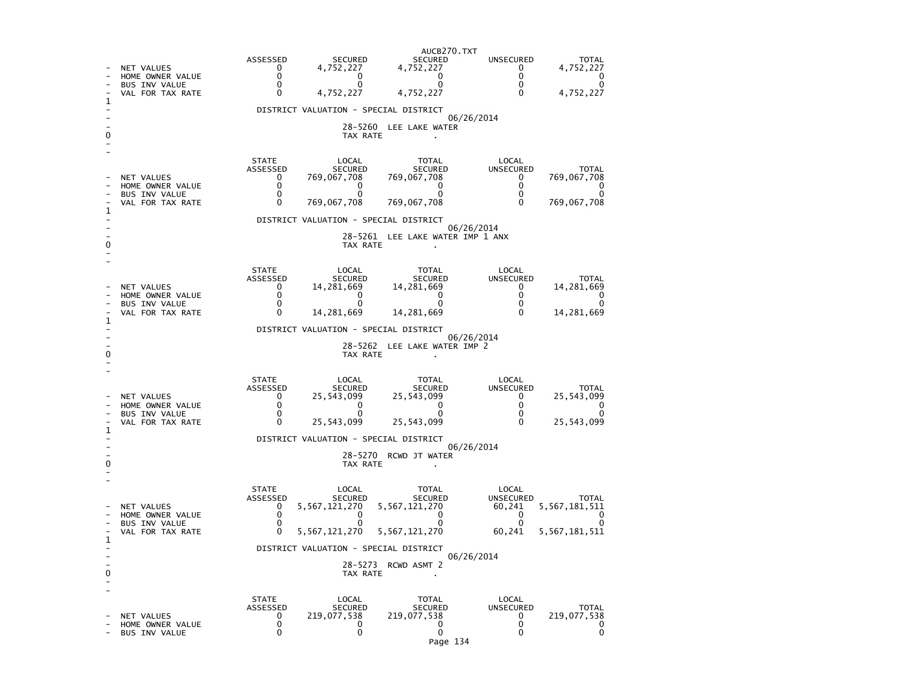| 1 | NET VALUES<br>HOME OWNER VALUE<br>BUS INV VALUE<br>VAL FOR TAX RATE        | ASSESSED<br>0<br>0<br>0<br>$\Omega$                     | <b>SECURED</b><br>4,752,227<br>0<br>0<br>4,752,227<br>DISTRICT VALUATION - SPECIAL DISTRICT | AUCB270.TXT<br><b>SECURED</b><br>4,752,227<br>0<br>0<br>4,752,227<br>28-5260 LEE LAKE WATER | UNSECURED<br>$^{\rm o}$<br>0<br>0<br>$\mathbf{0}$<br>06/26/2014 | <b>TOTAL</b><br>4,752,227<br>0<br>0<br>4,752,227            |
|---|----------------------------------------------------------------------------|---------------------------------------------------------|---------------------------------------------------------------------------------------------|---------------------------------------------------------------------------------------------|-----------------------------------------------------------------|-------------------------------------------------------------|
|   | NET VALUES                                                                 | <b>STATE</b><br>ASSESSED<br>0                           | TAX RATE<br>LOCAL<br>SECURED<br>769,067,708                                                 | TOTAL<br><b>SECURED</b><br>769,067,708                                                      | LOCAL<br>UNSECURED<br>$\mathbf{0}$                              | <b>TOTAL</b><br>769,067,708                                 |
| 1 | HOME OWNER VALUE<br>BUS INV VALUE<br>VAL FOR TAX RATE                      | 0<br>0<br>$\Omega$                                      | 0<br>$\Omega$<br>769,067,708                                                                | 0<br>0<br>769,067,708                                                                       | $\mathbf{0}$<br>0<br>$\Omega$                                   | 0<br>0<br>769,067,708                                       |
|   |                                                                            |                                                         | DISTRICT VALUATION - SPECIAL DISTRICT                                                       |                                                                                             | 06/26/2014                                                      |                                                             |
|   |                                                                            |                                                         | TAX RATE                                                                                    | 28-5261 LEE LAKE WATER IMP 1 ANX                                                            |                                                                 |                                                             |
|   | NET VALUES<br>HOME OWNER VALUE<br><b>BUS INV VALUE</b>                     | <b>STATE</b><br>ASSESSED<br>0<br>0<br>$\mathbf 0$<br>0  | LOCAL<br>SECURED<br>14,281,669<br>0<br>0                                                    | TOTAL<br>SECURED<br>14,281,669<br>0<br>0                                                    | LOCAL<br>UNSECURED<br>$^{\rm o}$<br>0<br>0<br>0                 | <b>TOTAL</b><br>14,281,669<br>0<br>0                        |
| 1 | VAL FOR TAX RATE                                                           |                                                         | 14,281,669                                                                                  | 14,281,669                                                                                  |                                                                 | 14,281,669                                                  |
|   |                                                                            |                                                         | DISTRICT VALUATION - SPECIAL DISTRICT<br>TAX RATE                                           | 28-5262 LEE LAKE WATER IMP 2                                                                | 06/26/2014                                                      |                                                             |
|   | NET VALUES<br>HOME OWNER VALUE<br>BUS INV VALUE<br>VAL FOR TAX RATE        | <b>STATE</b><br>ASSESSED<br>0<br>0<br>0<br>0            | LOCAL<br>SECURED<br>25,543,099<br>0<br>0<br>25,543,099                                      | TOTAL<br>SECURED<br>25,543,099<br>0<br>0<br>25,543,099                                      | LOCAL<br>UNSECURED<br>0<br>0<br>0<br>0                          | <b>TOTAL</b><br>25,543,099<br>0<br>0<br>25,543,099          |
| 1 |                                                                            |                                                         | DISTRICT VALUATION - SPECIAL DISTRICT                                                       |                                                                                             |                                                                 |                                                             |
|   |                                                                            |                                                         | TAX RATE                                                                                    | 28-5270 RCWD JT WATER                                                                       | 06/26/2014                                                      |                                                             |
| 1 | <b>NET VALUES</b><br>HOME OWNER VALUE<br>BUS INV VALUE<br>VAL FOR TAX RATE | <b>STATE</b><br>ASSESSED<br>0<br>0<br>0<br>$\mathbf{0}$ | LOCAL<br>SECURED<br>5,567,121,270<br>0<br>$\Omega$<br>5,567,121,270                         | TOTAL<br>SECURED<br>5,567,121,270<br>0<br>0<br>5,567,121,270                                | LOCAL<br>UNSECURED<br>60,241<br>0<br>$\Omega$<br>60,241         | <b>TOTAL</b><br>5, 567, 181, 511<br>0<br>0<br>5,567,181,511 |
|   |                                                                            |                                                         | DISTRICT VALUATION - SPECIAL DISTRICT                                                       |                                                                                             | 06/26/2014                                                      |                                                             |
| 0 |                                                                            |                                                         | 28-5273<br>TAX RATE                                                                         | RCWD ASMT 2                                                                                 |                                                                 |                                                             |
|   | NET VALUES<br>HOME OWNER VALUE<br><b>BUS INV VALUE</b>                     | STATE<br>ASSESSED<br>0<br>0<br>0                        | LOCAL<br><b>SECURED</b><br>219,077,538<br>0<br>0                                            | TOTAL<br><b>SECURED</b><br>219,077,538<br>0<br>0<br>Page 134                                | LOCAL<br><b>UNSECURED</b><br>0<br>0<br>0                        | <b>TOTAL</b><br>219,077,538<br>0<br>0                       |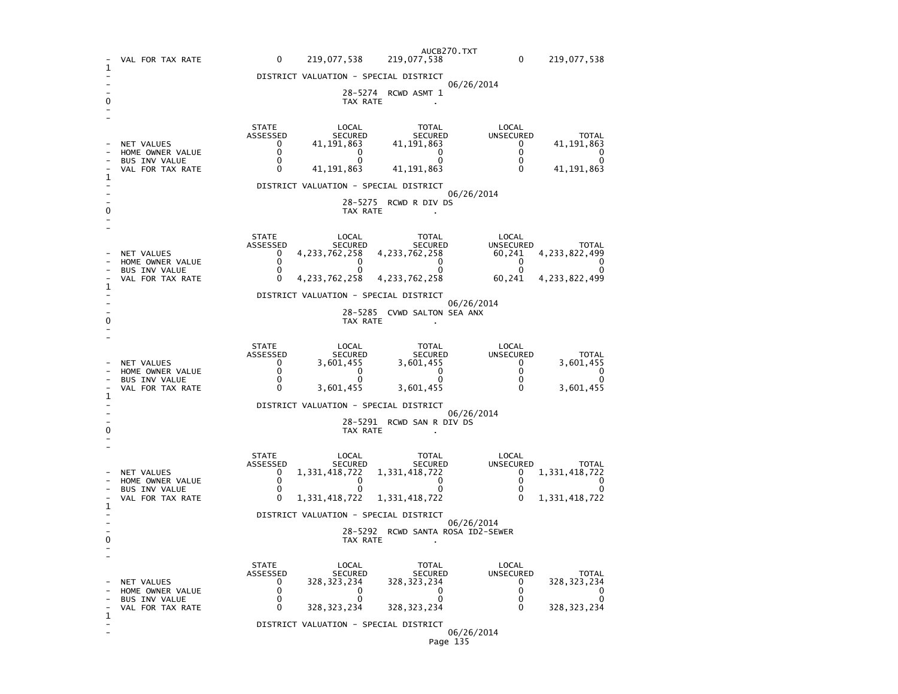|   | VAL FOR TAX RATE                                                           | $\mathbf 0$<br>219,077,538                                                                                                                                          | AUCB270.TXT<br>219,077,538                                                                                        | $\mathbf 0$                                                                                                           | 219,077,538                                                                  |  |  |  |
|---|----------------------------------------------------------------------------|---------------------------------------------------------------------------------------------------------------------------------------------------------------------|-------------------------------------------------------------------------------------------------------------------|-----------------------------------------------------------------------------------------------------------------------|------------------------------------------------------------------------------|--|--|--|
| 1 |                                                                            | DISTRICT VALUATION - SPECIAL DISTRICT                                                                                                                               |                                                                                                                   |                                                                                                                       |                                                                              |  |  |  |
|   |                                                                            | TAX RATE                                                                                                                                                            | 28-5274 RCWD ASMT 1                                                                                               | 06/26/2014                                                                                                            |                                                                              |  |  |  |
| 1 | NET VALUES<br>HOME OWNER VALUE<br>BUS INV VALUE<br>VAL FOR TAX RATE        | <b>STATE</b><br>LUCAL<br>SECURED<br>ASSESSED<br>41, 191, 863<br>$\mathbf{0}$<br>$\mathbf{0}$<br>$\overline{0}$<br>$\mathbf 0$<br>$\mathbf{0}$<br>$\mathbf 0$        | SECURED<br>41, 191, 863<br>$\frac{1}{2}$ $\frac{1}{2}$ $\frac{1}{2}$<br>$\mathbf{0}$<br>41, 191, 863 41, 191, 863 | LOCAL<br><b>UNSECURED</b><br>$\overline{a}$<br>$\overline{0}$<br>$\overline{0}$<br>$\mathbf{0}$                       | <b>TOTAL</b><br>41, 191, 863<br>0<br>O<br>41, 191, 863                       |  |  |  |
|   |                                                                            | DISTRICT VALUATION - SPECIAL DISTRICT                                                                                                                               |                                                                                                                   | 06/26/2014                                                                                                            |                                                                              |  |  |  |
|   |                                                                            | TAX RATE                                                                                                                                                            | 28-5275 RCWD R DIV DS                                                                                             |                                                                                                                       |                                                                              |  |  |  |
|   | NET VALUES<br>HOME OWNER VALUE<br><b>BUS INV VALUE</b><br>VAL FOR TAX RATE | STATE<br>LUCAL<br>SECURED<br>ASSESSED<br>4, 233, 762, 258 4, 233, 762, 258<br>$\mathbf{0}$<br>$\mathbf{0}$<br>$\overline{0}$<br>$\overline{0}$<br>$\mathbf 0$<br>0  | SECURED<br>$\begin{smallmatrix}0\end{smallmatrix}$<br>4, 233, 762, 258 4, 233, 762, 258                           | LOCAL<br><b>UNSECURED</b><br>$\overline{a}$<br>$\overline{0}$<br>60,241                                               | <b>TOTAL</b><br>60,241 4,233,822,499<br>$\mathbf 0$<br>0<br>4, 233, 822, 499 |  |  |  |
| 1 |                                                                            | DISTRICT VALUATION - SPECIAL DISTRICT                                                                                                                               |                                                                                                                   |                                                                                                                       |                                                                              |  |  |  |
|   | 06/26/2014<br>28-5285 CVWD SALTON SEA ANX<br>TAX RATE                      |                                                                                                                                                                     |                                                                                                                   |                                                                                                                       |                                                                              |  |  |  |
| 1 | NET VALUES<br>HOME OWNER VALUE<br>BUS INV VALUE<br>VAL FOR TAX RATE        | <b>STATE</b><br>LOCAL<br>SECURED<br>JELURED<br>3,601,455 3<br>0<br>ASSESSED<br>$\mathbf{0}$<br>$\mathbf{0}$<br>$\Omega$<br>$\mathbf{0}$<br>$\mathbf 0$<br>3,601,455 | TOTAL<br><b>SECURED</b><br>3,601,455<br>$\overline{Q}$<br>$\mathbf{0}$<br>3,601,455                               | LOCAL<br>UNSECURED<br>$\begin{matrix}0\\0\end{matrix}$<br>$\overline{0}$<br>$\check{\mathrm{o}}$<br>$\overline{0}$    | <b>TOTAL</b><br>3,601,455<br>$\Omega$<br>0<br>3,601,455                      |  |  |  |
|   |                                                                            | DISTRICT VALUATION - SPECIAL DISTRICT                                                                                                                               |                                                                                                                   |                                                                                                                       |                                                                              |  |  |  |
|   |                                                                            | 06/26/2014<br>28-5291 RCWD SAN R DIV DS<br>TAX RATE                                                                                                                 |                                                                                                                   |                                                                                                                       |                                                                              |  |  |  |
| 1 | <b>NET VALUES</b><br>HOME OWNER VALUE<br>BUS INV VALUE<br>VAL FOR TAX RATE | <b>STATE</b><br>LOCAL<br>SECURED<br>ASSESSED<br>1, 331, 418, 722<br>$\mathbf{0}$<br>$\mathbf 0$<br>$\mathbf{0}$<br>0<br>$\mathbf{0}$<br>0<br>1,331,418,722          | TOTAL<br>$\overline{a}$<br>$\mathbf{0}$<br>1,331,418,722                                                          | LOCAL<br>UNSECURED $\begin{bmatrix} 0 & 1 \\ 0 & 0 \\ 0 & 0 \end{bmatrix}$<br>$\overline{\mathbf{0}}$<br>$\sim$ 0     | <b>TOTAL</b><br>1,331,418,722<br>$\mathbf{0}$<br>0<br>1,331,418,722          |  |  |  |
|   |                                                                            | DISTRICT VALUATION - SPECIAL DISTRICT                                                                                                                               |                                                                                                                   | 06/26/2014                                                                                                            |                                                                              |  |  |  |
|   |                                                                            | TAX RATE                                                                                                                                                            | 28-5292 RCWD SANTA ROSA ID2-SEWER                                                                                 |                                                                                                                       |                                                                              |  |  |  |
| 1 | NET VALUES<br>HOME OWNER VALUE<br><b>BUS INV VALUE</b><br>VAL FOR TAX RATE | <b>STATE</b><br>LOCAL<br>ASSESSED<br>SECURED<br>328, 323, 234<br>$\mathbf{0}$<br>0<br>$\mathbf{0}$<br>$\mathbf 0$<br>$\overline{0}$<br>$\Omega$<br>328, 323, 234    | TOTAL<br><b>SECURED</b><br>328, 323, 234<br>$\overline{0}$<br>$\mathbf 0$<br>328, 323, 234                        | LOCAL<br>UNSECURED<br>$\overline{\mathbf{0}}$<br>$\overline{\mathbf{0}}$<br>$\overline{\mathbf{0}}$<br>$\overline{0}$ | <b>TOTAL</b><br>328, 323, 234<br>0<br>0<br>328, 323, 234                     |  |  |  |
|   |                                                                            | DISTRICT VALUATION - SPECIAL DISTRICT                                                                                                                               |                                                                                                                   | 06/26/2014                                                                                                            |                                                                              |  |  |  |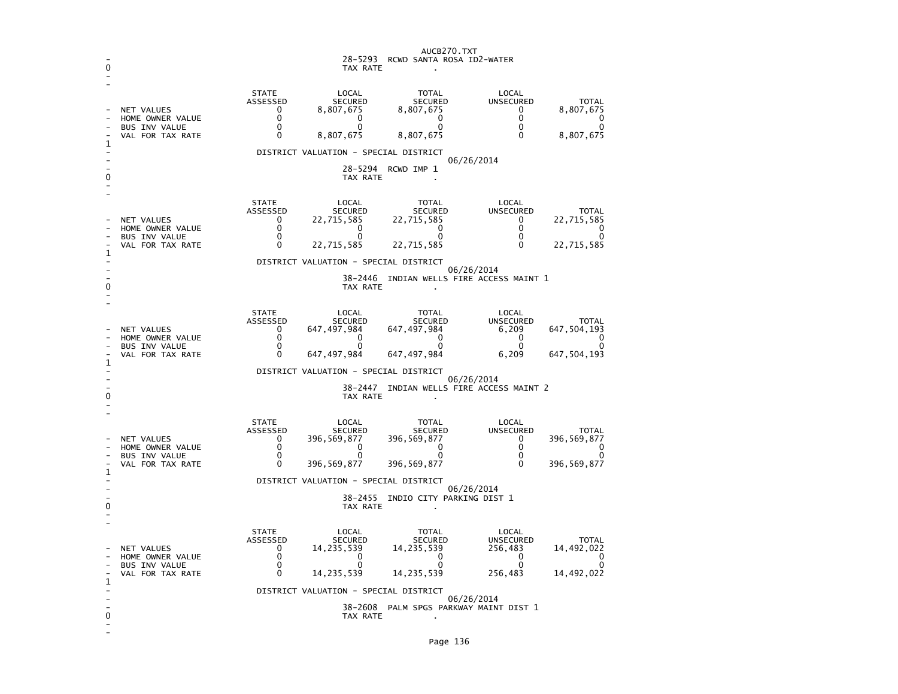| 0      | AUCB270.TXT<br>28–5293<br>RCWD SANTA ROSA ID2-WATER<br>TAX RATE                          |                                                                                                                |                                                                                                                                             |                                                                                                          |                                                                                   |                                                                 |  |  |
|--------|------------------------------------------------------------------------------------------|----------------------------------------------------------------------------------------------------------------|---------------------------------------------------------------------------------------------------------------------------------------------|----------------------------------------------------------------------------------------------------------|-----------------------------------------------------------------------------------|-----------------------------------------------------------------|--|--|
| 1      | <b>NET VALUES</b><br>HOME OWNER VALUE<br><b>BUS INV VALUE</b><br>VAL FOR TAX RATE        | <b>STATE</b><br>ASSESSED<br>$\mathbf{0}$<br>0<br>$\Omega$<br>0                                                 | LOCAL<br><b>SECURED</b><br>8,807,675<br>0<br>$\Omega$<br>8,807,675                                                                          | <b>TOTAL</b><br><b>SECURED</b><br>8,807,675<br>0<br>$\Omega$<br>8,807,675                                | LOCAL<br><b>UNSECURED</b><br>$\mathbf{0}$<br>0<br>$\mathbf 0$<br>$\Omega$         | <b>TOTAL</b><br>8,807,675<br>0<br>0<br>8,807,675                |  |  |
| 0      | DISTRICT VALUATION - SPECIAL DISTRICT<br>06/26/2014<br>28-5294<br>RCWD IMP 1<br>TAX RATE |                                                                                                                |                                                                                                                                             |                                                                                                          |                                                                                   |                                                                 |  |  |
| 1      | <b>NET VALUES</b><br>HOME OWNER VALUE<br><b>BUS INV VALUE</b><br>VAL FOR TAX RATE        | <b>STATE</b><br>ASSESSED<br>$\mathbf{0}$<br>0<br>$\Omega$<br>0                                                 | LOCAL<br><b>SECURED</b><br>22,715,585<br>0<br>$\Omega$<br>22,715,585                                                                        | <b>TOTAL</b><br><b>SECURED</b><br>22,715,585<br>0<br>$\Omega$<br>22,715,585                              | LOCAL<br><b>UNSECURED</b><br>$\Omega$<br>0<br>$\mathbf 0$<br>$\Omega$             | <b>TOTAL</b><br>22,715,585<br>0<br>$\Omega$<br>22,715,585       |  |  |
| 0      |                                                                                          | DISTRICT VALUATION - SPECIAL DISTRICT<br>06/26/2014<br>38–2446<br>INDIAN WELLS FIRE ACCESS MAINT 1<br>TAX RATE |                                                                                                                                             |                                                                                                          |                                                                                   |                                                                 |  |  |
| 1      | <b>NET VALUES</b><br>HOME OWNER VALUE<br><b>BUS INV VALUE</b><br>VAL FOR TAX RATE        | <b>STATE</b><br>ASSESSED<br>$\mathbf{0}$<br>0<br>$\mathbf 0$<br>0                                              | LOCAL<br><b>SECURED</b><br>647,497,984<br>$\mathbf{0}$<br>$\Omega$<br>647,497,984                                                           | <b>TOTAL</b><br><b>SECURED</b><br>647,497,984<br>$\mathbf 0$<br>$\mathbf 0$<br>647, 497, 984             | LOCAL<br><b>UNSECURED</b><br>6,209<br>0<br>$\mathbf 0$<br>6,209                   | <b>TOTAL</b><br>647, 504, 193<br>0<br>$\Omega$<br>647, 504, 193 |  |  |
| 0      |                                                                                          | DISTRICT VALUATION - SPECIAL DISTRICT<br>06/26/2014<br>38–2447<br>INDIAN WELLS FIRE ACCESS MAINT 2<br>TAX RATE |                                                                                                                                             |                                                                                                          |                                                                                   |                                                                 |  |  |
| 1      | <b>NET VALUES</b><br>HOME OWNER VALUE<br><b>BUS INV VALUE</b><br>VAL FOR TAX RATE        | <b>STATE</b><br>ASSESSED<br>$\mathbf{0}$<br>0<br>$\mathbf 0$<br>0                                              | LOCAL<br><b>SECURED</b><br>396,569,877<br>0<br>$\Omega$<br>396,569,877                                                                      | <b>TOTAL</b><br><b>SECURED</b><br>396,569,877<br>0<br>0<br>396,569,877                                   | LOCAL<br><b>UNSECURED</b><br>$\Omega$<br>0<br>$\mathbf 0$<br>$\Omega$             | <b>TOTAL</b><br>396, 569, 877<br>0<br>$\Omega$<br>396, 569, 877 |  |  |
| 0      |                                                                                          | DISTRICT VALUATION - SPECIAL DISTRICT<br>06/26/2014<br>38–2455<br>INDIO CITY PARKING DIST 1<br>TAX RATE        |                                                                                                                                             |                                                                                                          |                                                                                   |                                                                 |  |  |
| 1<br>0 | <b>NET VALUES</b><br>HOME OWNER VALUE<br><b>BUS INV VALUE</b><br>VAL FOR TAX RATE        | <b>STATE</b><br>ASSESSED<br>0<br>0<br>$\mathbf 0$<br>0                                                         | LOCAL<br><b>SECURED</b><br>14,235,539<br>$\Omega$<br>$\Omega$<br>14,235,539<br>DISTRICT VALUATION - SPECIAL DISTRICT<br>38-2608<br>TAX RATE | <b>TOTAL</b><br><b>SECURED</b><br>14,235,539<br>0<br>0<br>14, 235, 539<br>PALM SPGS PARKWAY MAINT DIST 1 | LOCAL<br><b>UNSECURED</b><br>256,483<br>0<br>$\mathbf 0$<br>256,483<br>06/26/2014 | <b>TOTAL</b><br>14,492,022<br>0<br>$\Omega$<br>14,492,022       |  |  |

-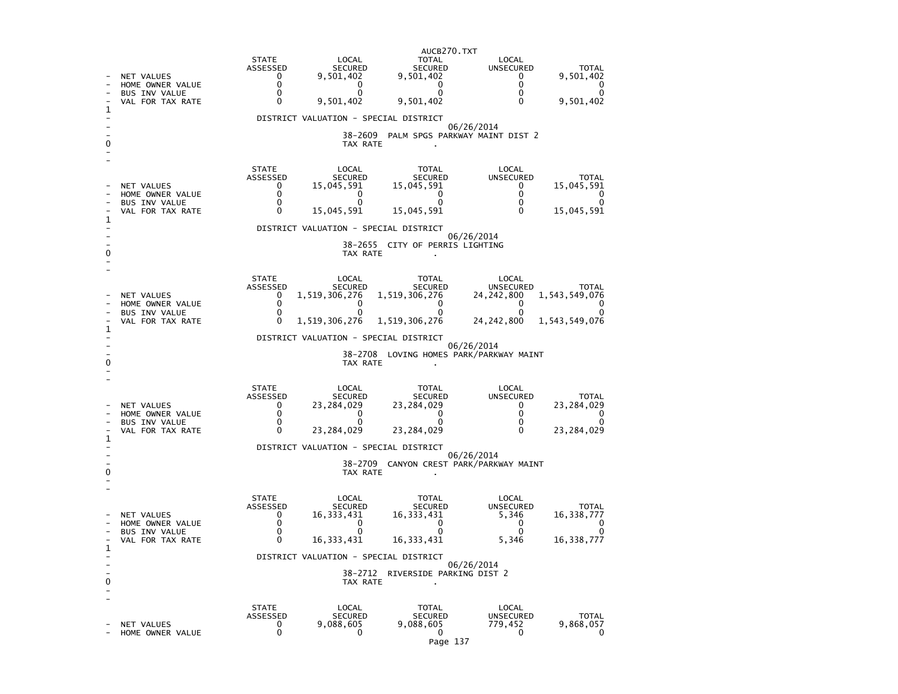|                                                       | AUCB270.TXT                                |                                |                                       |                                 |                                 |                           |  |
|-------------------------------------------------------|--------------------------------------------|--------------------------------|---------------------------------------|---------------------------------|---------------------------------|---------------------------|--|
|                                                       |                                            | <b>STATE</b>                   | LOCAL                                 | TOTAL                           | LOCAL                           |                           |  |
|                                                       | <b>NET VALUES</b>                          | ASSESSED<br>$\Omega$           | <b>SECURED</b><br>9,501,402           | <b>SECURED</b><br>9,501,402     | <b>UNSECURED</b><br>$\Omega$    | <b>TOTAL</b><br>9,501,402 |  |
|                                                       | HOME OWNER VALUE                           | 0                              | 0                                     | 0                               | 0                               | 0                         |  |
|                                                       | BUS INV VALUE<br>VAL FOR TAX RATE          | 0<br>$\Omega$                  | 0<br>9,501,402                        | 0<br>9,501,402                  | 0<br>$\mathbf{0}$               | O<br>9,501,402            |  |
|                                                       |                                            |                                |                                       |                                 |                                 |                           |  |
|                                                       |                                            |                                | DISTRICT VALUATION - SPECIAL DISTRICT |                                 | 06/26/2014                      |                           |  |
|                                                       |                                            | PALM SPGS PARKWAY MAINT DIST 2 |                                       |                                 |                                 |                           |  |
|                                                       |                                            |                                | TAX RATE                              |                                 |                                 |                           |  |
|                                                       |                                            |                                |                                       |                                 |                                 |                           |  |
|                                                       |                                            | <b>STATE</b><br>ASSESSED       | LOCAL<br>SECURED                      | TOTAL<br><b>SECURED</b>         | LOCAL<br>UNSECURED              | <b>TOTAL</b>              |  |
|                                                       | NET VALUES                                 | 0                              | 15,045,591                            | 15,045,591                      | 0                               | 15,045,591                |  |
|                                                       | HOME OWNER VALUE<br>BUS INV VALUE          | 0<br>0                         | 0<br>0                                | 0<br>0                          | 0<br>0                          | 0<br>0                    |  |
|                                                       | VAL FOR TAX RATE                           | $\Omega$                       | 15,045,591                            | 15,045,591                      | $\Omega$                        | 15,045,591                |  |
|                                                       |                                            |                                | DISTRICT VALUATION - SPECIAL DISTRICT |                                 |                                 |                           |  |
|                                                       |                                            |                                |                                       |                                 | 06/26/2014                      |                           |  |
|                                                       |                                            |                                | TAX RATE                              | 38-2655 CITY OF PERRIS LIGHTING |                                 |                           |  |
|                                                       |                                            |                                |                                       |                                 |                                 |                           |  |
|                                                       |                                            | <b>STATE</b>                   | LOCAL                                 |                                 |                                 |                           |  |
|                                                       |                                            | <b>ASSESSED</b>                | <b>SECURED</b>                        | TOTAL<br><b>SECURED</b>         | LOCAL<br><b>UNSECURED</b>       | <b>TOTAL</b>              |  |
|                                                       | NET VALUES<br>HOME OWNER VALUE             | 0<br>$\Omega$                  | 1,519,306,276<br>0                    | 1,519,306,276<br>$\Omega$       | 24, 242, 800<br>$\Omega$        | 1,543,549,076<br>∩        |  |
|                                                       | <b>BUS INV VALUE</b>                       | 0                              | $^{\circ}$                            | $\Omega$                        | 0                               | $\Omega$                  |  |
|                                                       | VAL FOR TAX RATE                           | $\Omega$                       | 1,519,306,276                         | 1,519,306,276                   | 24, 242, 800                    | 1,543,549,076             |  |
|                                                       | 1<br>DISTRICT VALUATION - SPECIAL DISTRICT |                                |                                       |                                 |                                 |                           |  |
| 06/26/2014<br>38-2708 LOVING HOMES PARK/PARKWAY MAINT |                                            |                                |                                       |                                 |                                 |                           |  |
|                                                       |                                            |                                |                                       |                                 |                                 |                           |  |
|                                                       |                                            |                                | TAX RATE                              |                                 |                                 |                           |  |
|                                                       |                                            |                                |                                       |                                 |                                 |                           |  |
|                                                       |                                            | <b>STATE</b>                   | LOCAL                                 | <b>TOTAL</b>                    | LOCAL                           |                           |  |
|                                                       |                                            | ASSESSED                       | <b>SECURED</b>                        | <b>SECURED</b>                  | UNSECURED                       | <b>TOTAL</b>              |  |
|                                                       | NET VALUES<br>HOME OWNER VALUE             | 0<br>$\mathbf 0$               | 23,284,029<br>0                       | 23,284,029<br>0                 | 0<br>0                          | 23,284,029<br>O           |  |
|                                                       | <b>BUS INV VALUE</b>                       | $\Omega$                       | U                                     | O                               | $\mathbf{0}$                    |                           |  |
|                                                       | VAL FOR TAX RATE                           | $\Omega$                       | 23,284,029                            | 23,284,029                      | $\mathbf{0}$                    | 23,284,029                |  |
|                                                       |                                            |                                | DISTRICT VALUATION - SPECIAL DISTRICT |                                 | 06/26/2014                      |                           |  |
|                                                       |                                            |                                | 38-2709                               |                                 | CANYON CREST PARK/PARKWAY MAINT |                           |  |
|                                                       |                                            |                                | TAX RATE                              |                                 |                                 |                           |  |
|                                                       |                                            |                                |                                       |                                 |                                 |                           |  |
|                                                       |                                            | <b>STATE</b><br>ASSESSED       | LOCAL<br><b>SECURED</b>               | <b>TOTAL</b><br><b>SECURED</b>  | LOCAL<br>UNSECURED              | <b>TOTAL</b>              |  |
|                                                       | NET VALUES                                 | 0                              | 16,333,431                            | 16,333,431                      | 5,346                           | 16,338,777                |  |
|                                                       | HOME OWNER VALUE<br><b>BUS INV VALUE</b>   | $\Omega$<br>0                  | $\Omega$<br>U                         | $\mathbf{0}$<br>0               | $\mathbf{0}$<br>0               | O<br>O                    |  |
|                                                       | VAL FOR TAX RATE                           | $\Omega$                       | 16, 333, 431                          | 16,333,431                      | 5,346                           | 16,338,777                |  |
| 1                                                     |                                            |                                | DISTRICT VALUATION - SPECIAL DISTRICT |                                 |                                 |                           |  |
|                                                       |                                            |                                |                                       |                                 | 06/26/2014                      |                           |  |
|                                                       |                                            |                                | 38–2712<br>TAX RATE                   | RIVERSIDE PARKING DIST 2        |                                 |                           |  |
|                                                       |                                            |                                |                                       |                                 |                                 |                           |  |
|                                                       |                                            | <b>STATE</b>                   | LOCAL                                 | <b>TOTAL</b>                    | LOCAL                           |                           |  |
|                                                       | NET VALUES                                 | ASSESSED<br>0                  | <b>SECURED</b><br>9,088,605           | <b>SECURED</b><br>9,088,605     | <b>UNSECURED</b><br>779,452     | <b>TOTAL</b><br>9,868,057 |  |

```
Page 137
```